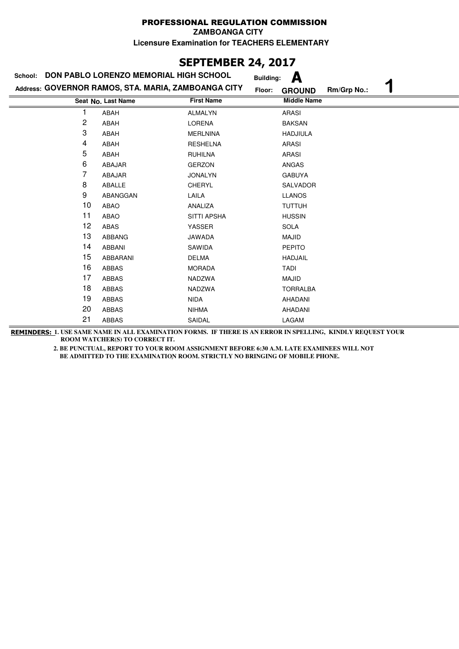**ZAMBOANGA CITY**

**Licensure Examination for TEACHERS ELEMENTARY**

## **SEPTEMBER 24, 2017**

| School: | DON PABLO LORENZO MEMORIAL HIGH SCHOOL              |                    | <b>Building:</b> | А                  |             |  |
|---------|-----------------------------------------------------|--------------------|------------------|--------------------|-------------|--|
|         | Address: GOVERNOR RAMOS, STA. MARIA, ZAMBOANGA CITY |                    | Floor:           | <b>GROUND</b>      | Rm/Grp No.: |  |
|         | Seat No. Last Name                                  | <b>First Name</b>  |                  | <b>Middle Name</b> |             |  |
|         | ABAH                                                | <b>ALMALYN</b>     |                  | <b>ARASI</b>       |             |  |
| 2       | ABAH                                                | <b>LORENA</b>      |                  | <b>BAKSAN</b>      |             |  |
| 3       | ABAH                                                | <b>MERLNINA</b>    |                  | <b>HADJIULA</b>    |             |  |
| 4       | ABAH                                                | <b>RESHELNA</b>    |                  | <b>ARASI</b>       |             |  |
| 5       | ABAH                                                | <b>RUHILNA</b>     |                  | ARASI              |             |  |
| 6       | ABAJAR                                              | <b>GERZON</b>      |                  | ANGAS              |             |  |
| 7       | ABAJAR                                              | <b>JONALYN</b>     |                  | <b>GABUYA</b>      |             |  |
| 8       | ABALLE                                              | CHERYL             |                  | SALVADOR           |             |  |
| 9       | ABANGGAN                                            | LAILA              |                  | <b>LLANOS</b>      |             |  |
| 10      | <b>ABAO</b>                                         | ANALIZA            |                  | <b>TUTTUH</b>      |             |  |
| 11      | <b>ABAO</b>                                         | <b>SITTI APSHA</b> |                  | <b>HUSSIN</b>      |             |  |
| 12      | ABAS                                                | YASSER             |                  | <b>SOLA</b>        |             |  |
| 13      | <b>ABBANG</b>                                       | <b>JAWADA</b>      |                  | <b>MAJID</b>       |             |  |
| 14      | ABBANI                                              | SAWIDA             |                  | <b>PEPITO</b>      |             |  |
| 15      | ABBARANI                                            | <b>DELMA</b>       |                  | <b>HADJAIL</b>     |             |  |
| 16      | <b>ABBAS</b>                                        | <b>MORADA</b>      | <b>TADI</b>      |                    |             |  |
| 17      | ABBAS                                               | NADZWA             |                  | MAJID              |             |  |
| 18      | <b>ABBAS</b>                                        | NADZWA             |                  | <b>TORRALBA</b>    |             |  |
| 19      | <b>ABBAS</b>                                        | <b>NIDA</b>        |                  | <b>AHADANI</b>     |             |  |
| 20      | ABBAS                                               | <b>NIHMA</b>       |                  | AHADANI            |             |  |
| 21      | ABBAS                                               | SAIDAL             |                  | LAGAM              |             |  |

**REMINDERS: 1. USE SAME NAME IN ALL EXAMINATION FORMS. IF THERE IS AN ERROR IN SPELLING, KINDLY REQUEST YOUR ROOM WATCHER(S) TO CORRECT IT.**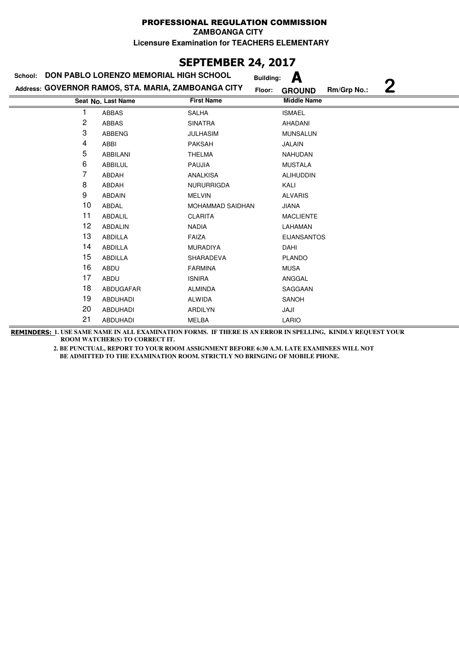**ZAMBOANGA CITY**

**Licensure Examination for TEACHERS ELEMENTARY**

## **SEPTEMBER 24, 2017**

| School: | DON PABLO LORENZO MEMORIAL HIGH SCHOOL              |                   | А<br><b>Building:</b>                       |
|---------|-----------------------------------------------------|-------------------|---------------------------------------------|
|         | Address: GOVERNOR RAMOS, STA. MARIA, ZAMBOANGA CITY | Floor:            | $\mathbf 2$<br>Rm/Grp No.:<br><b>GROUND</b> |
|         | Seat No. Last Name                                  | <b>First Name</b> | <b>Middle Name</b>                          |
|         | ABBAS                                               | <b>SALHA</b>      | <b>ISMAEL</b>                               |
| 2       | ABBAS                                               | <b>SINATRA</b>    | AHADANI                                     |
| 3       | <b>ABBENG</b>                                       | <b>JULHASIM</b>   | <b>MUNSALUN</b>                             |
| 4       | ABBI                                                | <b>PAKSAH</b>     | JALAIN                                      |
| 5       | ABBILANI                                            | <b>THELMA</b>     | <b>NAHUDAN</b>                              |
| 6       | ABBILUL                                             | <b>PAUJIA</b>     | <b>MUSTALA</b>                              |
| 7       | ABDAH                                               | <b>ANALKISA</b>   | <b>ALIHUDDIN</b>                            |
| 8       | ABDAH                                               | <b>NURURRIGDA</b> | KALI                                        |
| 9       | ABDAIN                                              | <b>MELVIN</b>     | <b>ALVARIS</b>                              |
| 10      | ABDAL                                               | MOHAMMAD SAIDHAN  | <b>JIANA</b>                                |
| 11      | ABDALIL                                             | <b>CLARITA</b>    | <b>MACLIENTE</b>                            |
| 12      | ABDALIN                                             | <b>NADIA</b>      | LAHAMAN                                     |
| 13      | ABDILLA                                             | <b>FAIZA</b>      | <b>EIJANSANTOS</b>                          |
| 14      | ABDILLA                                             | <b>MURADIYA</b>   | DAHI                                        |
| 15      | <b>ABDILLA</b>                                      | SHARADEVA         | <b>PLANDO</b>                               |
| 16      | ABDU                                                | <b>FARMINA</b>    | <b>MUSA</b>                                 |
| 17      | ABDU                                                | <b>ISNIRA</b>     | ANGGAL                                      |
| 18      | ABDUGAFAR                                           | <b>ALMINDA</b>    | SAGGAAN                                     |
| 19      | <b>ABDUHADI</b>                                     | <b>ALWIDA</b>     | SANOH                                       |
| 20      | <b>ABDUHADI</b>                                     | <b>ARDILYN</b>    | JAJI                                        |
| 21      | <b>ABDUHADI</b>                                     | <b>MELBA</b>      | LARIO                                       |

**REMINDERS: 1. USE SAME NAME IN ALL EXAMINATION FORMS. IF THERE IS AN ERROR IN SPELLING, KINDLY REQUEST YOUR ROOM WATCHER(S) TO CORRECT IT.**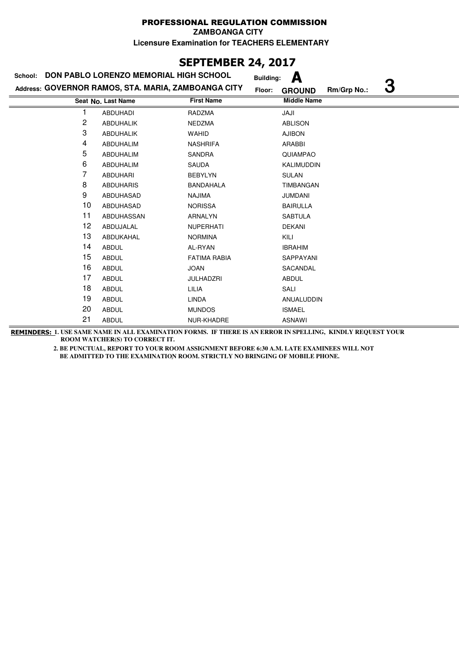**ZAMBOANGA CITY**

**Licensure Examination for TEACHERS ELEMENTARY**

## **SEPTEMBER 24, 2017**

| School: | DON PABLO LORENZO MEMORIAL HIGH SCHOOL              |                     | А<br><b>Building:</b>   |             |   |
|---------|-----------------------------------------------------|---------------------|-------------------------|-------------|---|
|         | Address: GOVERNOR RAMOS, STA. MARIA, ZAMBOANGA CITY |                     | Floor:<br><b>GROUND</b> | Rm/Grp No.: | З |
|         | Seat No. Last Name                                  | <b>First Name</b>   | <b>Middle Name</b>      |             |   |
|         | <b>ABDUHADI</b>                                     | RADZMA              | JAJI                    |             |   |
| 2       | <b>ABDUHALIK</b>                                    | NEDZMA              | <b>ABLISON</b>          |             |   |
| 3       | <b>ABDUHALIK</b>                                    | <b>WAHID</b>        | <b>AJIBON</b>           |             |   |
| 4       | ABDUHALIM                                           | <b>NASHRIFA</b>     | ARABBI                  |             |   |
| 5       | ABDUHALIM                                           | <b>SANDRA</b>       | QUIAMPAO                |             |   |
| 6       | ABDUHALIM                                           | SAUDA               | KALIMUDDIN              |             |   |
| 7       | <b>ABDUHARI</b>                                     | <b>BEBYLYN</b>      | <b>SULAN</b>            |             |   |
| 8       | <b>ABDUHARIS</b>                                    | <b>BANDAHALA</b>    | <b>TIMBANGAN</b>        |             |   |
| 9       | ABDUHASAD                                           | <b>NAJIMA</b>       | <b>JUMDANI</b>          |             |   |
| 10      | ABDUHASAD                                           | <b>NORISSA</b>      | <b>BAIRULLA</b>         |             |   |
| 11      | ABDUHASSAN                                          | ARNALYN             | <b>SABTULA</b>          |             |   |
| 12      | ABDUJALAL                                           | <b>NUPERHATI</b>    | <b>DEKANI</b>           |             |   |
| 13      | ABDUKAHAL                                           | <b>NORMINA</b>      | KILI                    |             |   |
| 14      | <b>ABDUL</b>                                        | AL-RYAN             | <b>IBRAHIM</b>          |             |   |
| 15      | <b>ABDUL</b>                                        | <b>FATIMA RABIA</b> | SAPPAYANI               |             |   |
| 16      | <b>ABDUL</b>                                        | <b>JOAN</b>         | SACANDAL                |             |   |
| 17      | <b>ABDUL</b>                                        | <b>JULHADZRI</b>    | <b>ABDUL</b>            |             |   |
| 18      | <b>ABDUL</b>                                        | LILIA               | SALI                    |             |   |
| 19      | <b>ABDUL</b>                                        | LINDA               | ANUALUDDIN              |             |   |
| 20      | <b>ABDUL</b>                                        | <b>MUNDOS</b>       | <b>ISMAEL</b>           |             |   |
| 21      | <b>ABDUL</b>                                        | NUR-KHADRE          | <b>ASNAWI</b>           |             |   |

**REMINDERS: 1. USE SAME NAME IN ALL EXAMINATION FORMS. IF THERE IS AN ERROR IN SPELLING, KINDLY REQUEST YOUR ROOM WATCHER(S) TO CORRECT IT.**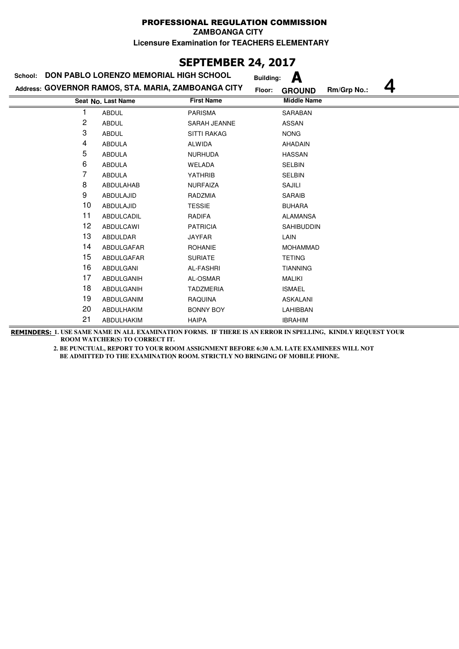**ZAMBOANGA CITY**

**Licensure Examination for TEACHERS ELEMENTARY**

## **SEPTEMBER 24, 2017**

| School: | DON PABLO LORENZO MEMORIAL HIGH SCHOOL              |                    | А<br><b>Building:</b> |             |
|---------|-----------------------------------------------------|--------------------|-----------------------|-------------|
|         | Address: GOVERNOR RAMOS, STA. MARIA, ZAMBOANGA CITY | Floor:             | <b>GROUND</b>         | Rm/Grp No.: |
|         | Seat No. Last Name                                  | <b>First Name</b>  | <b>Middle Name</b>    |             |
|         | <b>ABDUL</b>                                        | <b>PARISMA</b>     | <b>SARABAN</b>        |             |
| 2       | <b>ABDUL</b>                                        | SARAH JEANNE       | <b>ASSAN</b>          |             |
| 3       | <b>ABDUL</b>                                        | <b>SITTI RAKAG</b> | <b>NONG</b>           |             |
| 4       | <b>ABDULA</b>                                       | <b>ALWIDA</b>      | <b>AHADAIN</b>        |             |
| 5       | <b>ABDULA</b>                                       | <b>NURHUDA</b>     | <b>HASSAN</b>         |             |
| 6       | <b>ABDULA</b>                                       | WELADA             | <b>SELBIN</b>         |             |
| 7       | <b>ABDULA</b>                                       | YATHRIB            | <b>SELBIN</b>         |             |
| 8       | ABDULAHAB                                           | <b>NURFAIZA</b>    | SAJILI                |             |
| 9       | ABDULAJID                                           | RADZMIA            | <b>SARAIB</b>         |             |
| 10      | ABDULAJID                                           | <b>TESSIE</b>      | <b>BUHARA</b>         |             |
| 11      | ABDULCADIL                                          | <b>RADIFA</b>      | <b>ALAMANSA</b>       |             |
| 12      | <b>ABDULCAWI</b>                                    | <b>PATRICIA</b>    | <b>SAHIBUDDIN</b>     |             |
| 13      | ABDULDAR                                            | <b>JAYFAR</b>      | LAIN                  |             |
| 14      | ABDULGAFAR                                          | <b>ROHANIE</b>     | <b>MOHAMMAD</b>       |             |
| 15      | ABDULGAFAR                                          | <b>SURIATE</b>     | <b>TETING</b>         |             |
| 16      | <b>ABDULGANI</b>                                    | <b>AL-FASHRI</b>   | <b>TIANNING</b>       |             |
| 17      | ABDULGANIH                                          | AL-OSMAR           | <b>MALIKI</b>         |             |
| 18      | ABDULGANIH                                          | <b>TADZMERIA</b>   | <b>ISMAEL</b>         |             |
| 19      | ABDULGANIM                                          | <b>RAQUINA</b>     | <b>ASKALANI</b>       |             |
| 20      | ABDULHAKIM                                          | <b>BONNY BOY</b>   | LAHIBBAN              |             |
| 21      | ABDULHAKIM                                          | <b>HAIPA</b>       | <b>IBRAHIM</b>        |             |

**REMINDERS: 1. USE SAME NAME IN ALL EXAMINATION FORMS. IF THERE IS AN ERROR IN SPELLING, KINDLY REQUEST YOUR ROOM WATCHER(S) TO CORRECT IT.**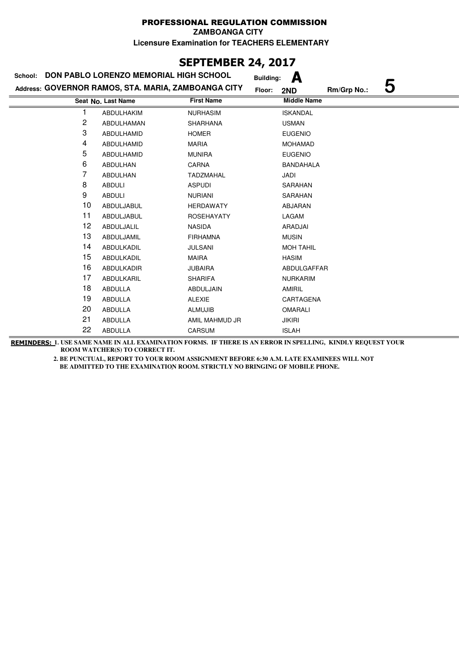# **SEPTEMBER 24, 2017**

| School: | DON PABLO LORENZO MEMORIAL HIGH SCHOOL              |                   | А<br><b>Building:</b> |                  |
|---------|-----------------------------------------------------|-------------------|-----------------------|------------------|
|         | Address: GOVERNOR RAMOS, STA. MARIA, ZAMBOANGA CITY |                   | Floor:<br>2ND         | 5<br>Rm/Grp No.: |
|         | Seat No. Last Name                                  | <b>First Name</b> | <b>Middle Name</b>    |                  |
|         | <b>ABDULHAKIM</b>                                   | <b>NURHASIM</b>   | <b>ISKANDAL</b>       |                  |
| 2       | ABDULHAMAN                                          | <b>SHARHANA</b>   | <b>USMAN</b>          |                  |
| 3       | ABDULHAMID                                          | <b>HOMER</b>      | <b>EUGENIO</b>        |                  |
| 4       | ABDULHAMID                                          | <b>MARIA</b>      | <b>MOHAMAD</b>        |                  |
| 5       | ABDULHAMID                                          | <b>MUNIRA</b>     | <b>EUGENIO</b>        |                  |
| 6       | <b>ABDULHAN</b>                                     | <b>CARNA</b>      | <b>BANDAHALA</b>      |                  |
| 7       | ABDULHAN                                            | <b>TADZMAHAL</b>  | JADI                  |                  |
| 8       | <b>ABDULI</b>                                       | <b>ASPUDI</b>     | <b>SARAHAN</b>        |                  |
| 9       | <b>ABDULI</b>                                       | <b>NURIANI</b>    | SARAHAN               |                  |
| 10      | ABDULJABUL                                          | <b>HERDAWATY</b>  | ABJARAN               |                  |
| 11      | ABDULJABUL                                          | <b>ROSEHAYATY</b> | LAGAM                 |                  |
| 12      | ABDULJALIL                                          | <b>NASIDA</b>     | ARADJAI               |                  |
| 13      | ABDULJAMIL                                          | <b>FIRHAMNA</b>   | <b>MUSIN</b>          |                  |
| 14      | ABDULKADIL                                          | <b>JULSANI</b>    | <b>MOH TAHIL</b>      |                  |
| 15      | ABDULKADIL                                          | <b>MAIRA</b>      | <b>HASIM</b>          |                  |
| 16      | ABDULKADIR                                          | <b>JUBAIRA</b>    | ABDULGAFFAR           |                  |
| 17      | ABDULKARIL                                          | <b>SHARIFA</b>    | <b>NURKARIM</b>       |                  |
| 18      | ABDULLA                                             | ABDULJAIN         | <b>AMIRIL</b>         |                  |
| 19      | ABDULLA                                             | <b>ALEXIE</b>     | CARTAGENA             |                  |
| 20      | <b>ABDULLA</b>                                      | <b>ALMUJIB</b>    | <b>OMARALI</b>        |                  |
| 21      | <b>ABDULLA</b>                                      | AMIL MAHMUD JR    | <b>JIKIRI</b>         |                  |
| 22      | <b>ABDULLA</b>                                      | CARSUM            | <b>ISLAH</b>          |                  |

**REMINDERS: 1. USE SAME NAME IN ALL EXAMINATION FORMS. IF THERE IS AN ERROR IN SPELLING, KINDLY REQUEST YOUR ROOM WATCHER(S) TO CORRECT IT.**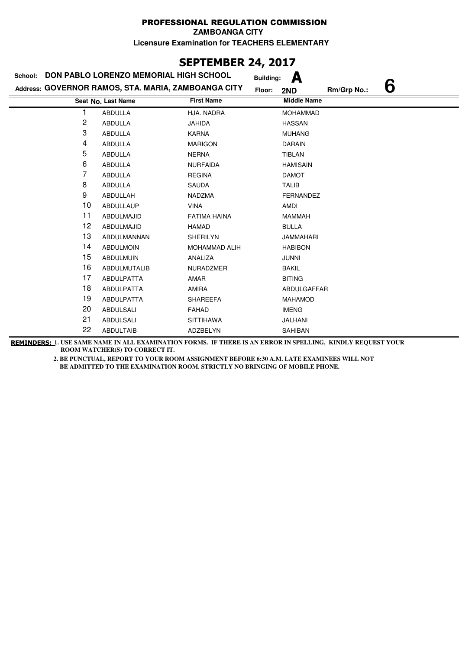# **SEPTEMBER 24, 2017**

| School: | DON PABLO LORENZO MEMORIAL HIGH SCHOOL              |                      | <b>Building:</b> | А                  |             |   |
|---------|-----------------------------------------------------|----------------------|------------------|--------------------|-------------|---|
|         | Address: GOVERNOR RAMOS, STA. MARIA, ZAMBOANGA CITY |                      | Floor:           | 2ND                | Rm/Grp No.: | 6 |
|         | Seat No. Last Name                                  | <b>First Name</b>    |                  | <b>Middle Name</b> |             |   |
| 1       | <b>ABDULLA</b>                                      | HJA. NADRA           |                  | <b>MOHAMMAD</b>    |             |   |
| 2       | ABDULLA                                             | <b>JAHIDA</b>        |                  | <b>HASSAN</b>      |             |   |
| 3       | <b>ABDULLA</b>                                      | <b>KARNA</b>         |                  | <b>MUHANG</b>      |             |   |
| 4       | <b>ABDULLA</b>                                      | <b>MARIGON</b>       |                  | <b>DARAIN</b>      |             |   |
| 5       | <b>ABDULLA</b>                                      | <b>NERNA</b>         |                  | TIBLAN             |             |   |
| 6       | ABDULLA                                             | <b>NURFAIDA</b>      |                  | <b>HAMISAIN</b>    |             |   |
| 7       | ABDULLA                                             | <b>REGINA</b>        |                  | <b>DAMOT</b>       |             |   |
| 8       | <b>ABDULLA</b>                                      | <b>SAUDA</b>         |                  | <b>TALIB</b>       |             |   |
| 9       | ABDULLAH                                            | <b>NADZMA</b>        |                  | <b>FERNANDEZ</b>   |             |   |
| 10      | <b>ABDULLAUP</b>                                    | <b>VINA</b>          |                  | AMDI               |             |   |
| 11      | ABDULMAJID                                          | <b>FATIMA HAINA</b>  |                  | <b>MAMMAH</b>      |             |   |
| 12      | ABDULMAJID                                          | <b>HAMAD</b>         |                  | <b>BULLA</b>       |             |   |
| 13      | ABDULMANNAN                                         | <b>SHERILYN</b>      |                  | <b>JAMMAHARI</b>   |             |   |
| 14      | <b>ABDULMOIN</b>                                    | <b>MOHAMMAD ALIH</b> |                  | <b>HABIBON</b>     |             |   |
| 15      | <b>ABDULMUIN</b>                                    | ANALIZA              |                  | <b>JUNNI</b>       |             |   |
| 16      | <b>ABDULMUTALIB</b>                                 | NURADZMER            |                  | <b>BAKIL</b>       |             |   |
| 17      | <b>ABDULPATTA</b>                                   | AMAR                 |                  | <b>BITING</b>      |             |   |
| 18      | ABDULPATTA                                          | <b>AMIRA</b>         |                  | ABDULGAFFAR        |             |   |
| 19      | <b>ABDULPATTA</b>                                   | <b>SHAREEFA</b>      |                  | <b>MAHAMOD</b>     |             |   |
| 20      | <b>ABDULSALI</b>                                    | <b>FAHAD</b>         |                  | <b>IMENG</b>       |             |   |
| 21      | <b>ABDULSALI</b>                                    | <b>SITTIHAWA</b>     |                  | JALHANI            |             |   |
| 22      | <b>ABDULTAIB</b>                                    | ADZBELYN             |                  | SAHIBAN            |             |   |

**REMINDERS: 1. USE SAME NAME IN ALL EXAMINATION FORMS. IF THERE IS AN ERROR IN SPELLING, KINDLY REQUEST YOUR ROOM WATCHER(S) TO CORRECT IT.**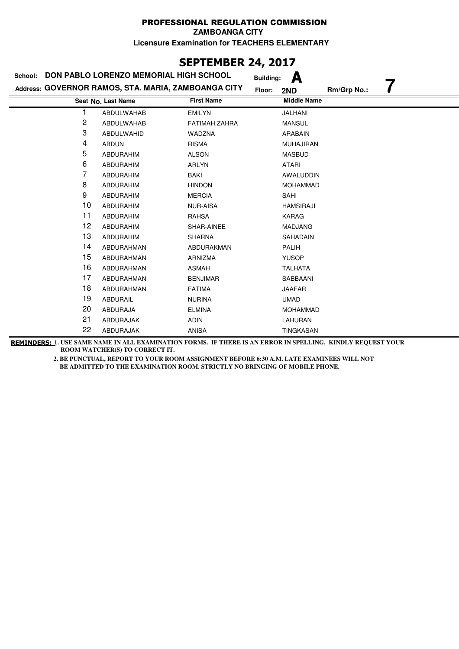## **SEPTEMBER 24, 2017**

| School: | DON PABLO LORENZO MEMORIAL HIGH SCHOOL              |                      | <b>Building:</b> | А                  |             |  |
|---------|-----------------------------------------------------|----------------------|------------------|--------------------|-------------|--|
|         | Address: GOVERNOR RAMOS, STA. MARIA, ZAMBOANGA CITY |                      | Floor:           | 2ND                | Rm/Grp No.: |  |
|         | Seat No. Last Name                                  | <b>First Name</b>    |                  | <b>Middle Name</b> |             |  |
|         | ABDULWAHAB                                          | <b>EMILYN</b>        |                  | JALHANI            |             |  |
| 2       | ABDULWAHAB                                          | <b>FATIMAH ZAHRA</b> |                  | <b>MANSUL</b>      |             |  |
| 3       | ABDULWAHID                                          | WADZNA               |                  | ARABAIN            |             |  |
| 4       | <b>ABDUN</b>                                        | <b>RISMA</b>         |                  | <b>MUHAJIRAN</b>   |             |  |
| 5       | ABDURAHIM                                           | <b>ALSON</b>         |                  | <b>MASBUD</b>      |             |  |
| 6       | <b>ABDURAHIM</b>                                    | <b>ARLYN</b>         |                  | <b>ATARI</b>       |             |  |
| 7       | ABDURAHIM                                           | BAKI                 |                  | AWALUDDIN          |             |  |
| 8       | ABDURAHIM                                           | <b>HINDON</b>        |                  | <b>MOHAMMAD</b>    |             |  |
| 9       | <b>ABDURAHIM</b>                                    | <b>MERCIA</b>        |                  | SAHI               |             |  |
| 10      | ABDURAHIM                                           | <b>NUR-AISA</b>      |                  | <b>HAMSIRAJI</b>   |             |  |
| 11      | <b>ABDURAHIM</b>                                    | <b>RAHSA</b>         |                  | <b>KARAG</b>       |             |  |
| 12      | ABDURAHIM                                           | SHAR-AINEE           |                  | <b>MADJANG</b>     |             |  |
| 13      | <b>ABDURAHIM</b>                                    | <b>SHARNA</b>        |                  | SAHADAIN           |             |  |
| 14      | ABDURAHMAN                                          | ABDURAKMAN           |                  | PALIH              |             |  |
| 15      | ABDURAHMAN                                          | ARNIZMA              |                  | <b>YUSOP</b>       |             |  |
| 16      | ABDURAHMAN                                          | <b>ASMAH</b>         |                  | <b>TALHATA</b>     |             |  |
| 17      | ABDURAHMAN                                          | <b>BENJIMAR</b>      |                  | SABBAANI           |             |  |
| 18      | ABDURAHMAN                                          | <b>FATIMA</b>        |                  | <b>JAAFAR</b>      |             |  |
| 19      | ABDURAIL                                            | <b>NURINA</b>        |                  | <b>UMAD</b>        |             |  |
| 20      | ABDURAJA                                            | <b>ELMINA</b>        |                  | <b>MOHAMMAD</b>    |             |  |
| 21      | ABDURAJAK                                           | <b>ADIN</b>          |                  | LAHURAN            |             |  |
| 22      | ABDURAJAK                                           | <b>ANISA</b>         |                  | TINGKASAN          |             |  |

**REMINDERS: 1. USE SAME NAME IN ALL EXAMINATION FORMS. IF THERE IS AN ERROR IN SPELLING, KINDLY REQUEST YOUR ROOM WATCHER(S) TO CORRECT IT.**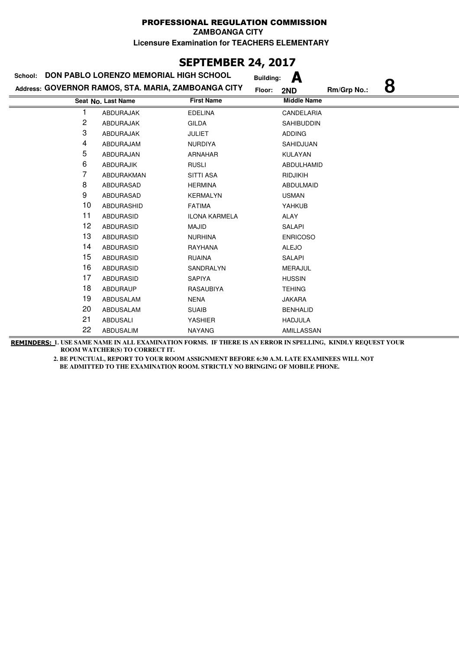# **SEPTEMBER 24, 2017**

| School: | DON PABLO LORENZO MEMORIAL HIGH SCHOOL              |                      | А<br><b>Building:</b> |                  |
|---------|-----------------------------------------------------|----------------------|-----------------------|------------------|
|         | Address: GOVERNOR RAMOS, STA. MARIA, ZAMBOANGA CITY |                      | Floor:<br>2ND         | 8<br>Rm/Grp No.: |
|         | Seat No. Last Name                                  | <b>First Name</b>    | <b>Middle Name</b>    |                  |
|         | <b>ABDURAJAK</b>                                    | <b>EDELINA</b>       | <b>CANDELARIA</b>     |                  |
| 2       | ABDURAJAK                                           | <b>GILDA</b>         | <b>SAHIBUDDIN</b>     |                  |
| 3       | ABDURAJAK                                           | <b>JULIET</b>        | <b>ADDING</b>         |                  |
| 4       | ABDURAJAM                                           | <b>NURDIYA</b>       | SAHIDJUAN             |                  |
| 5       | ABDURAJAN                                           | <b>ARNAHAR</b>       | KULAYAN               |                  |
| 6       | <b>ABDURAJIK</b>                                    | <b>RUSLI</b>         | ABDULHAMID            |                  |
| 7       | ABDURAKMAN                                          | <b>SITTI ASA</b>     | RIDJIKIH              |                  |
| 8       | <b>ABDURASAD</b>                                    | <b>HERMINA</b>       | <b>ABDULMAID</b>      |                  |
| 9       | ABDURASAD                                           | <b>KERMALYN</b>      | <b>USMAN</b>          |                  |
| 10      | ABDURASHID                                          | <b>FATIMA</b>        | YAHKUB                |                  |
| 11      | <b>ABDURASID</b>                                    | <b>ILONA KARMELA</b> | ALAY                  |                  |
| 12      | ABDURASID                                           | <b>MAJID</b>         | SALAPI                |                  |
| 13      | ABDURASID                                           | <b>NURHINA</b>       | <b>ENRICOSO</b>       |                  |
| 14      | ABDURASID                                           | RAYHANA              | <b>ALEJO</b>          |                  |
| 15      | <b>ABDURASID</b>                                    | <b>RUAINA</b>        | <b>SALAPI</b>         |                  |
| 16      | <b>ABDURASID</b>                                    | SANDRALYN            | <b>MERAJUL</b>        |                  |
| 17      | <b>ABDURASID</b>                                    | <b>SAPIYA</b>        | <b>HUSSIN</b>         |                  |
| 18      | <b>ABDURAUP</b>                                     | RASAUBIYA            | <b>TEHING</b>         |                  |
| 19      | ABDUSALAM                                           | <b>NENA</b>          | <b>JAKARA</b>         |                  |
| 20      | ABDUSALAM                                           | <b>SUAIB</b>         | <b>BENHALID</b>       |                  |
| 21      | ABDUSALI                                            | <b>YASHIER</b>       | <b>HADJULA</b>        |                  |
| 22      | ABDUSALIM                                           | <b>NAYANG</b>        | AMILLASSAN            |                  |

**REMINDERS: 1. USE SAME NAME IN ALL EXAMINATION FORMS. IF THERE IS AN ERROR IN SPELLING, KINDLY REQUEST YOUR ROOM WATCHER(S) TO CORRECT IT.**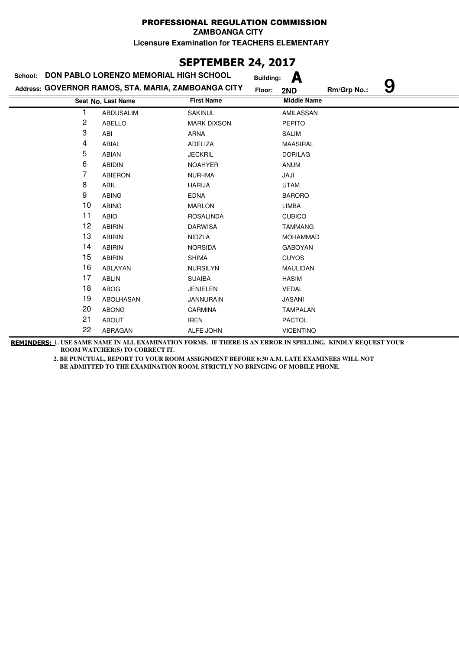# **SEPTEMBER 24, 2017**

| School: | DON PABLO LORENZO MEMORIAL HIGH SCHOOL              |                    | <b>Building:</b> | A                  |             |   |
|---------|-----------------------------------------------------|--------------------|------------------|--------------------|-------------|---|
|         | Address: GOVERNOR RAMOS, STA. MARIA, ZAMBOANGA CITY |                    | Floor:           | 2ND                | Rm/Grp No.: | 9 |
|         | Seat No. Last Name                                  | <b>First Name</b>  |                  | <b>Middle Name</b> |             |   |
|         | <b>ABDUSALIM</b>                                    | <b>SAKINUL</b>     |                  | AMILASSAN          |             |   |
| 2       | <b>ABELLO</b>                                       | <b>MARK DIXSON</b> |                  | <b>PEPITO</b>      |             |   |
| 3       | ABI                                                 | <b>ARNA</b>        |                  | <b>SALIM</b>       |             |   |
| 4       | ABIAL                                               | <b>ADELIZA</b>     |                  | <b>MAASIRAL</b>    |             |   |
| 5       | <b>ABIAN</b>                                        | <b>JECKRIL</b>     |                  | <b>DORILAG</b>     |             |   |
| 6       | <b>ABIDIN</b>                                       | <b>NOAHYER</b>     |                  | <b>ANUM</b>        |             |   |
| 7       | <b>ABIERON</b>                                      | <b>NUR-IMA</b>     |                  | JAJI               |             |   |
| 8       | <b>ABIL</b>                                         | <b>HARIJA</b>      |                  | <b>UTAM</b>        |             |   |
| 9       | <b>ABING</b>                                        | <b>EDNA</b>        |                  | <b>BARORO</b>      |             |   |
| 10      | <b>ABING</b>                                        | <b>MARLON</b>      |                  | LIMBA              |             |   |
| 11      | <b>ABIO</b>                                         | <b>ROSALINDA</b>   |                  | <b>CUBICO</b>      |             |   |
| 12      | <b>ABIRIN</b>                                       | <b>DARWISA</b>     |                  | <b>TAMMANG</b>     |             |   |
| 13      | <b>ABIRIN</b>                                       | <b>NIDZLA</b>      |                  | <b>MOHAMMAD</b>    |             |   |
| 14      | <b>ABIRIN</b>                                       | <b>NORSIDA</b>     |                  | <b>GABOYAN</b>     |             |   |
| 15      | <b>ABIRIN</b>                                       | <b>SHIMA</b>       |                  | <b>CUYOS</b>       |             |   |
| 16      | ABLAYAN                                             | <b>NURSILYN</b>    |                  | <b>MAULIDAN</b>    |             |   |
| 17      | <b>ABLIN</b>                                        | <b>SUAIBA</b>      |                  | <b>HASIM</b>       |             |   |
| 18      | ABOG                                                | <b>JENIELEN</b>    |                  | <b>VEDAL</b>       |             |   |
| 19      | <b>ABOLHASAN</b>                                    | <b>JANNURAIN</b>   |                  | <b>JASANI</b>      |             |   |
| 20      | <b>ABONG</b>                                        | CARMINA            |                  | <b>TAMPALAN</b>    |             |   |
| 21      | <b>ABOUT</b>                                        | <b>IREN</b>        |                  | <b>PACTOL</b>      |             |   |
| 22      | ABRAGAN                                             | ALFE JOHN          |                  | <b>VICENTINO</b>   |             |   |

**REMINDERS: 1. USE SAME NAME IN ALL EXAMINATION FORMS. IF THERE IS AN ERROR IN SPELLING, KINDLY REQUEST YOUR ROOM WATCHER(S) TO CORRECT IT.**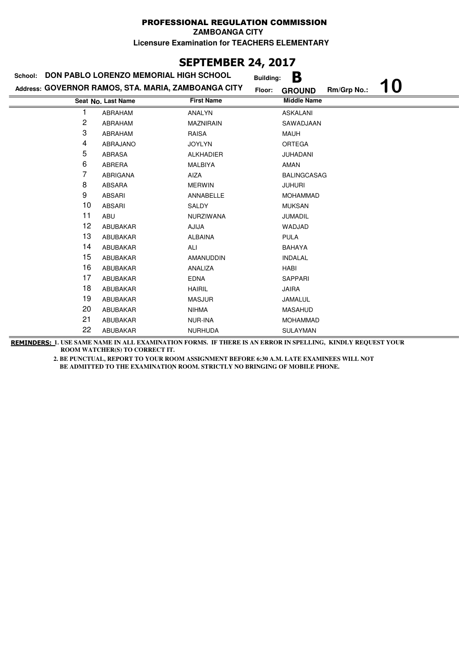**ZAMBOANGA CITY**

**Licensure Examination for TEACHERS ELEMENTARY**

## **SEPTEMBER 24, 2017**

| School: | DON PABLO LORENZO MEMORIAL HIGH SCHOOL              |                   | B<br><b>Building:</b>                        |
|---------|-----------------------------------------------------|-------------------|----------------------------------------------|
|         | Address: GOVERNOR RAMOS, STA. MARIA, ZAMBOANGA CITY |                   | 10<br>Rm/Grp No.:<br>Floor:<br><b>GROUND</b> |
|         | Seat No. Last Name                                  | <b>First Name</b> | <b>Middle Name</b>                           |
|         | ABRAHAM                                             | <b>ANALYN</b>     | <b>ASKALANI</b>                              |
| 2       | ABRAHAM                                             | <b>MAZNIRAIN</b>  | SAWADJAAN                                    |
| 3       | ABRAHAM                                             | <b>RAISA</b>      | <b>MAUH</b>                                  |
| 4       | ABRAJANO                                            | <b>JOYLYN</b>     | <b>ORTEGA</b>                                |
| 5       | <b>ABRASA</b>                                       | <b>ALKHADIER</b>  | JUHADANI                                     |
| 6       | ABRERA                                              | MALBIYA           | <b>AMAN</b>                                  |
| 7       | ABRIGANA                                            | AIZA              | <b>BALINGCASAG</b>                           |
| 8       | <b>ABSARA</b>                                       | <b>MERWIN</b>     | <b>JUHURI</b>                                |
| 9       | <b>ABSARI</b>                                       | ANNABELLE         | <b>MOHAMMAD</b>                              |
| 10      | <b>ABSARI</b>                                       | <b>SALDY</b>      | <b>MUKSAN</b>                                |
| 11      | ABU                                                 | <b>NURZIWANA</b>  | <b>JUMADIL</b>                               |
| 12      | ABUBAKAR                                            | <b>AJIJA</b>      | WADJAD                                       |
| 13      | ABUBAKAR                                            | <b>ALBAINA</b>    | <b>PULA</b>                                  |
| 14      | ABUBAKAR                                            | ALI               | <b>BAHAYA</b>                                |
| 15      | ABUBAKAR                                            | <b>AMANUDDIN</b>  | <b>INDALAL</b>                               |
| 16      | ABUBAKAR                                            | ANALIZA           | HABI                                         |
| 17      | ABUBAKAR                                            | <b>EDNA</b>       | <b>SAPPARI</b>                               |
| 18      | ABUBAKAR                                            | <b>HAIRIL</b>     | <b>JAIRA</b>                                 |
| 19      | ABUBAKAR                                            | <b>MASJUR</b>     | JAMALUL                                      |
| 20      | ABUBAKAR                                            | <b>NIHMA</b>      | <b>MASAHUD</b>                               |
| 21      | ABUBAKAR                                            | NUR-INA           | <b>MOHAMMAD</b>                              |
| 22      | ABUBAKAR                                            | <b>NURHUDA</b>    | SULAYMAN                                     |

**REMINDERS: 1. USE SAME NAME IN ALL EXAMINATION FORMS. IF THERE IS AN ERROR IN SPELLING, KINDLY REQUEST YOUR ROOM WATCHER(S) TO CORRECT IT.**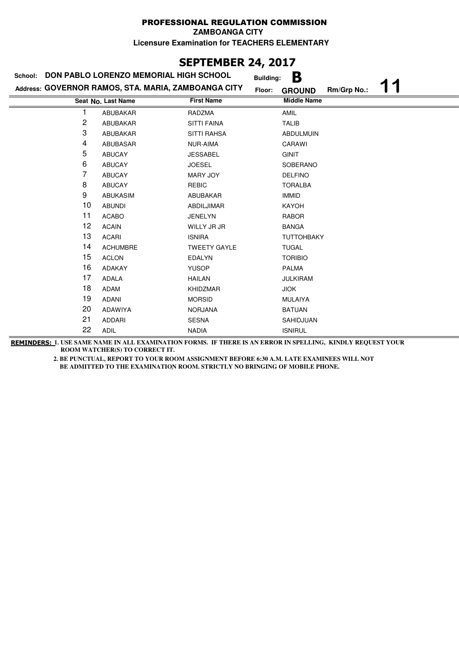**ZAMBOANGA CITY**

**Licensure Examination for TEACHERS ELEMENTARY**

# **SEPTEMBER 24, 2017**

|    | School: DON PABLO LORENZO MEMORIAL HIGH SCHOOL      | <b>Building:</b>    | B                            |
|----|-----------------------------------------------------|---------------------|------------------------------|
|    | Address: GOVERNOR RAMOS, STA. MARIA, ZAMBOANGA CITY | Floor:              | Rm/Grp No.:<br><b>GROUND</b> |
|    | Seat No. Last Name                                  | <b>First Name</b>   | <b>Middle Name</b>           |
|    | ABUBAKAR                                            | RADZMA              | AMIL                         |
| 2  | ABUBAKAR                                            | <b>SITTI FAINA</b>  | <b>TALIB</b>                 |
| 3  | ABUBAKAR                                            | <b>SITTI RAHSA</b>  | <b>ABDULMUIN</b>             |
| 4  | ABUBASAR                                            | NUR-AIMA            | CARAWI                       |
| 5  | <b>ABUCAY</b>                                       | <b>JESSABEL</b>     | <b>GINIT</b>                 |
| 6  | <b>ABUCAY</b>                                       | <b>JOESEL</b>       | SOBERANO                     |
| 7  | <b>ABUCAY</b>                                       | MARY JOY            | <b>DELFINO</b>               |
| 8  | <b>ABUCAY</b>                                       | <b>REBIC</b>        | <b>TORALBA</b>               |
| 9  | <b>ABUKASIM</b>                                     | <b>ABUBAKAR</b>     | <b>IMMID</b>                 |
| 10 | <b>ABUNDI</b>                                       | ABDILJIMAR          | <b>KAYOH</b>                 |
| 11 | <b>ACABO</b>                                        | <b>JENELYN</b>      | <b>RABOR</b>                 |
| 12 | <b>ACAIN</b>                                        | WILLY JR JR         | <b>BANGA</b>                 |
| 13 | <b>ACARI</b>                                        | <b>ISNIRA</b>       | <b>TUTTOHBAKY</b>            |
| 14 | <b>ACHUMBRE</b>                                     | <b>TWEETY GAYLE</b> | <b>TUGAL</b>                 |
| 15 | <b>ACLON</b>                                        | <b>EDALYN</b>       | <b>TORIBIO</b>               |
| 16 | <b>ADAKAY</b>                                       | <b>YUSOP</b>        | <b>PALMA</b>                 |
| 17 | <b>ADALA</b>                                        | <b>HAILAN</b>       | <b>JULKIRAM</b>              |
| 18 | ADAM                                                | <b>KHIDZMAR</b>     | <b>JIOK</b>                  |
| 19 | <b>ADANI</b>                                        | <b>MORSID</b>       | <b>MULAIYA</b>               |
| 20 | ADAWIYA                                             | <b>NORJANA</b>      | <b>BATUAN</b>                |
| 21 | <b>ADDARI</b>                                       | <b>SESNA</b>        | SAHIDJUAN                    |
| 22 | <b>ADIL</b>                                         | <b>NADIA</b>        | <b>ISNIRUL</b>               |

**REMINDERS: 1. USE SAME NAME IN ALL EXAMINATION FORMS. IF THERE IS AN ERROR IN SPELLING, KINDLY REQUEST YOUR ROOM WATCHER(S) TO CORRECT IT.**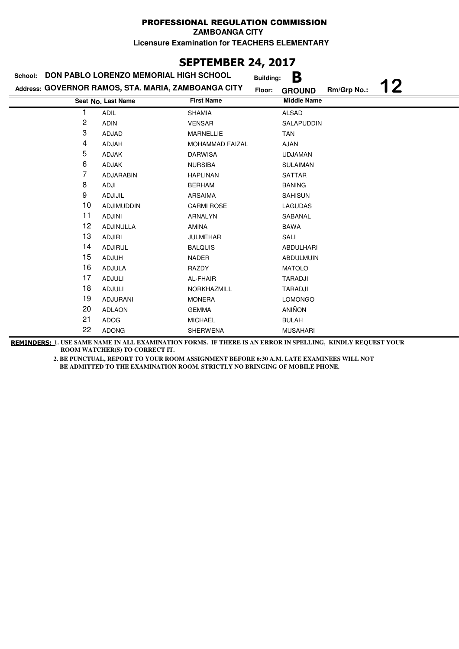**ZAMBOANGA CITY**

**Licensure Examination for TEACHERS ELEMENTARY**

# **SEPTEMBER 24, 2017**

| School: | DON PABLO LORENZO MEMORIAL HIGH SCHOOL              |                        | В<br><b>Building:</b> |                   |  |
|---------|-----------------------------------------------------|------------------------|-----------------------|-------------------|--|
|         | Address: GOVERNOR RAMOS, STA. MARIA, ZAMBOANGA CITY | Floor:                 | <b>GROUND</b>         | 12<br>Rm/Grp No.: |  |
|         | Seat No. Last Name                                  | <b>First Name</b>      | <b>Middle Name</b>    |                   |  |
|         | <b>ADIL</b>                                         | <b>SHAMIA</b>          | <b>ALSAD</b>          |                   |  |
| 2       | <b>ADIN</b>                                         | <b>VENSAR</b>          | SALAPUDDIN            |                   |  |
| 3       | ADJAD                                               | <b>MARNELLIE</b>       | <b>TAN</b>            |                   |  |
| 4       | ADJAH                                               | <b>MOHAMMAD FAIZAL</b> | <b>AJAN</b>           |                   |  |
| 5       | ADJAK                                               | <b>DARWISA</b>         | <b>UDJAMAN</b>        |                   |  |
| 6       | ADJAK                                               | <b>NURSIBA</b>         | <b>SULAIMAN</b>       |                   |  |
| 7       | ADJARABIN                                           | <b>HAPLINAN</b>        | <b>SATTAR</b>         |                   |  |
| 8       | ADJI                                                | <b>BERHAM</b>          | <b>BANING</b>         |                   |  |
| 9       | ADJIJIL                                             | ARSAIMA                | <b>SAHISUN</b>        |                   |  |
| 10      | <b>ADJIMUDDIN</b>                                   | <b>CARMI ROSE</b>      | <b>LAGUDAS</b>        |                   |  |
| 11      | <b>ADJINI</b>                                       | <b>ARNALYN</b>         | SABANAL               |                   |  |
| 12      | ADJINULLA                                           | AMINA                  | <b>BAWA</b>           |                   |  |
| 13      | <b>ADJIRI</b>                                       | <b>JULMEHAR</b>        | SALI                  |                   |  |
| 14      | <b>ADJIRUL</b>                                      | <b>BALQUIS</b>         | <b>ABDULHARI</b>      |                   |  |
| 15      | <b>ADJUH</b>                                        | <b>NADER</b>           | <b>ABDULMUIN</b>      |                   |  |
| 16      | <b>ADJULA</b>                                       | RAZDY                  | <b>MATOLO</b>         |                   |  |
| 17      | <b>ADJULI</b>                                       | AL-FHAIR               | TARADJI               |                   |  |
| 18      | <b>ADJULI</b>                                       | NORKHAZMILL            | TARADJI               |                   |  |
| 19      | <b>ADJURANI</b>                                     | <b>MONERA</b>          | <b>LOMONGO</b>        |                   |  |
| 20      | <b>ADLAON</b>                                       | <b>GEMMA</b>           | <b>ANIÑON</b>         |                   |  |
| 21      | ADOG                                                | <b>MICHAEL</b>         | <b>BULAH</b>          |                   |  |
| 22      | <b>ADONG</b>                                        | <b>SHERWENA</b>        | <b>MUSAHARI</b>       |                   |  |

**REMINDERS: 1. USE SAME NAME IN ALL EXAMINATION FORMS. IF THERE IS AN ERROR IN SPELLING, KINDLY REQUEST YOUR ROOM WATCHER(S) TO CORRECT IT.**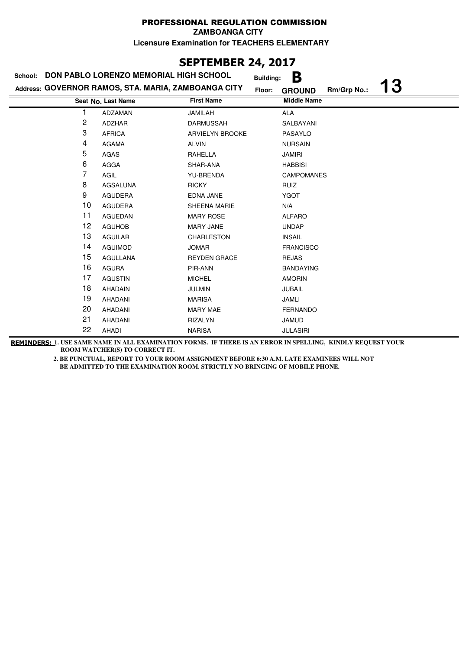**ZAMBOANGA CITY**

**Licensure Examination for TEACHERS ELEMENTARY**

## **SEPTEMBER 24, 2017**

| School: | DON PABLO LORENZO MEMORIAL HIGH SCHOOL              |                        | В<br><b>Building:</b>                     |
|---------|-----------------------------------------------------|------------------------|-------------------------------------------|
|         | Address: GOVERNOR RAMOS, STA. MARIA, ZAMBOANGA CITY | Floor:                 | <b>13</b><br>Rm/Grp No.:<br><b>GROUND</b> |
|         | Seat No. Last Name                                  | <b>First Name</b>      | <b>Middle Name</b>                        |
| 1       | ADZAMAN                                             | JAMILAH                | <b>ALA</b>                                |
| 2       | <b>ADZHAR</b>                                       | <b>DARMUSSAH</b>       | SALBAYANI                                 |
| 3       | <b>AFRICA</b>                                       | <b>ARVIELYN BROOKE</b> | PASAYLO                                   |
| 4       | <b>AGAMA</b>                                        | <b>ALVIN</b>           | <b>NURSAIN</b>                            |
| 5       | AGAS                                                | RAHELLA                | <b>JAMIRI</b>                             |
| 6       | AGGA                                                | SHAR-ANA               | <b>HABBISI</b>                            |
| 7       | AGIL                                                | <b>YU-BRENDA</b>       | <b>CAMPOMANES</b>                         |
| 8       | AGSALUNA                                            | <b>RICKY</b>           | <b>RUIZ</b>                               |
| 9       | <b>AGUDERA</b>                                      | EDNA JANE              | <b>YGOT</b>                               |
| 10      | <b>AGUDERA</b>                                      | SHEENA MARIE           | N/A                                       |
| 11      | <b>AGUEDAN</b>                                      | <b>MARY ROSE</b>       | <b>ALFARO</b>                             |
| 12      | <b>AGUHOB</b>                                       | <b>MARY JANE</b>       | <b>UNDAP</b>                              |
| 13      | <b>AGUILAR</b>                                      | <b>CHARLESTON</b>      | <b>INSAIL</b>                             |
| 14      | <b>AGUIMOD</b>                                      | <b>JOMAR</b>           | <b>FRANCISCO</b>                          |
| 15      | <b>AGULLANA</b>                                     | <b>REYDEN GRACE</b>    | <b>REJAS</b>                              |
| 16      | <b>AGURA</b>                                        | PIR-ANN                | <b>BANDAYING</b>                          |
| 17      | <b>AGUSTIN</b>                                      | <b>MICHEL</b>          | <b>AMORIN</b>                             |
| 18      | <b>AHADAIN</b>                                      | <b>JULMIN</b>          | <b>JUBAIL</b>                             |
| 19      | AHADANI                                             | <b>MARISA</b>          | <b>JAMLI</b>                              |
| 20      | AHADANI                                             | <b>MARY MAE</b>        | <b>FERNANDO</b>                           |
| 21      | AHADANI                                             | <b>RIZALYN</b>         | <b>JAMUD</b>                              |
| 22      | AHADI                                               | <b>NARISA</b>          | <b>JULASIRI</b>                           |

**REMINDERS: 1. USE SAME NAME IN ALL EXAMINATION FORMS. IF THERE IS AN ERROR IN SPELLING, KINDLY REQUEST YOUR ROOM WATCHER(S) TO CORRECT IT.**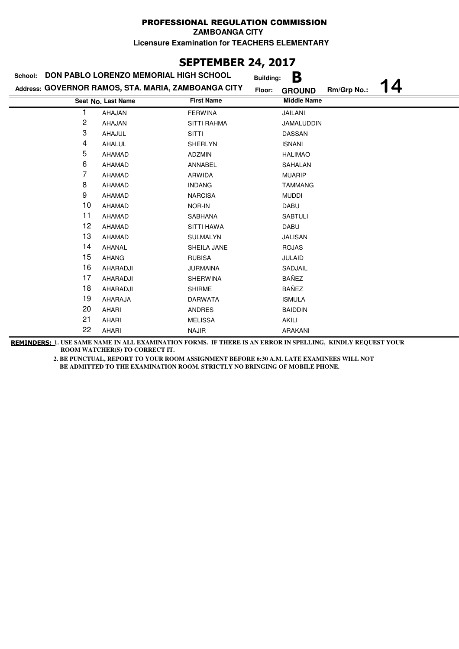**ZAMBOANGA CITY**

**Licensure Examination for TEACHERS ELEMENTARY**

# **SEPTEMBER 24, 2017**

| School: | DON PABLO LORENZO MEMORIAL HIGH SCHOOL              |                    | <b>Building:</b> | B                  |             |    |
|---------|-----------------------------------------------------|--------------------|------------------|--------------------|-------------|----|
|         | Address: GOVERNOR RAMOS, STA. MARIA, ZAMBOANGA CITY |                    | Floor:           | <b>GROUND</b>      | Rm/Grp No.: | 14 |
|         | Seat No. Last Name                                  | <b>First Name</b>  |                  | <b>Middle Name</b> |             |    |
|         | AHAJAN                                              | <b>FERWINA</b>     |                  | <b>JAILANI</b>     |             |    |
| 2       | AHAJAN                                              | <b>SITTI RAHMA</b> |                  | JAMALUDDIN         |             |    |
| 3       | AHAJUL                                              | <b>SITTI</b>       |                  | DASSAN             |             |    |
| 4       | AHALUL                                              | <b>SHERLYN</b>     |                  | <b>ISNANI</b>      |             |    |
| 5       | AHAMAD                                              | <b>ADZMIN</b>      |                  | <b>HALIMAO</b>     |             |    |
| 6       | AHAMAD                                              | ANNABEL            |                  | SAHALAN            |             |    |
| 7       | AHAMAD                                              | ARWIDA             |                  | <b>MUARIP</b>      |             |    |
| 8       | AHAMAD                                              | <b>INDANG</b>      |                  | <b>TAMMANG</b>     |             |    |
| 9       | AHAMAD                                              | <b>NARCISA</b>     |                  | <b>MUDDI</b>       |             |    |
| 10      | AHAMAD                                              | NOR-IN             |                  | DABU               |             |    |
| 11      | AHAMAD                                              | SABHANA            |                  | <b>SABTULI</b>     |             |    |
| 12      | AHAMAD                                              | <b>SITTI HAWA</b>  |                  | DABU               |             |    |
| 13      | AHAMAD                                              | <b>SULMALYN</b>    |                  | JALISAN            |             |    |
| 14      | <b>AHANAL</b>                                       | SHEILA JANE        |                  | <b>ROJAS</b>       |             |    |
| 15      | <b>AHANG</b>                                        | <b>RUBISA</b>      |                  | <b>JULAID</b>      |             |    |
| 16      | AHARADJI                                            | <b>JURMAINA</b>    |                  | SADJAIL            |             |    |
| 17      | AHARADJI                                            | <b>SHERWINA</b>    |                  | BAÑEZ              |             |    |
| 18      | AHARADJI                                            | <b>SHIRME</b>      |                  | <b>BAÑEZ</b>       |             |    |
| 19      | AHARAJA                                             | <b>DARWATA</b>     |                  | <b>ISMULA</b>      |             |    |
| 20      | AHARI                                               | <b>ANDRES</b>      |                  | <b>BAIDDIN</b>     |             |    |
| 21      | AHARI                                               | <b>MELISSA</b>     |                  | AKILI              |             |    |
| 22      | AHARI                                               | <b>NAJIR</b>       |                  | <b>ARAKANI</b>     |             |    |

**REMINDERS: 1. USE SAME NAME IN ALL EXAMINATION FORMS. IF THERE IS AN ERROR IN SPELLING, KINDLY REQUEST YOUR ROOM WATCHER(S) TO CORRECT IT.**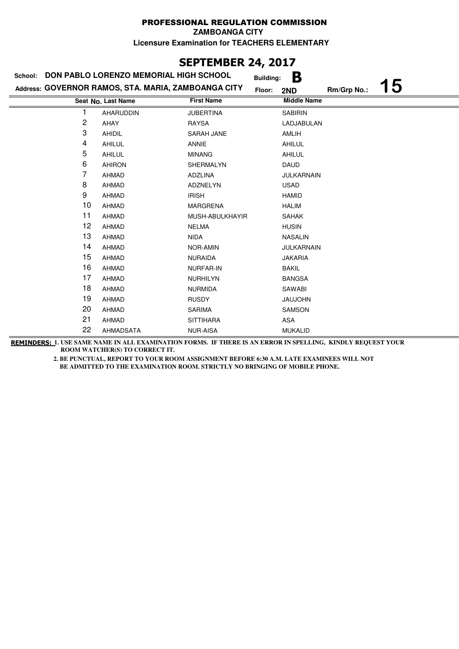#### PROFESSIONAL REGULATION COMMISSION **ZAMBOANGA CITY**

**Licensure Examination for TEACHERS ELEMENTARY**

# **SEPTEMBER 24, 2017**

| School: | DON PABLO LORENZO MEMORIAL HIGH SCHOOL              |                   | В<br><b>Building:</b> |             |           |
|---------|-----------------------------------------------------|-------------------|-----------------------|-------------|-----------|
|         | Address: GOVERNOR RAMOS, STA. MARIA, ZAMBOANGA CITY |                   | Floor:<br>2ND         | Rm/Grp No.: | <b>15</b> |
|         | Seat No. Last Name                                  | <b>First Name</b> | <b>Middle Name</b>    |             |           |
|         | AHARUDDIN                                           | <b>JUBERTINA</b>  | <b>SABIRIN</b>        |             |           |
| 2       | AHAY                                                | <b>RAYSA</b>      | LADJABULAN            |             |           |
| 3       | AHIDIL                                              | SARAH JANE        | AMLIH                 |             |           |
| 4       | AHILUL                                              | <b>ANNIE</b>      | AHILUL                |             |           |
| 5       | AHILUL                                              | <b>MINANG</b>     | AHILUL                |             |           |
| 6       | <b>AHIRON</b>                                       | SHERMALYN         | <b>DAUD</b>           |             |           |
| 7       | AHMAD                                               | ADZLINA           | <b>JULKARNAIN</b>     |             |           |
| 8       | <b>AHMAD</b>                                        | <b>ADZNELYN</b>   | <b>USAD</b>           |             |           |
| 9       | <b>AHMAD</b>                                        | <b>IRISH</b>      | <b>HAMID</b>          |             |           |
| 10      | AHMAD                                               | <b>MARGRENA</b>   | <b>HALIM</b>          |             |           |
| 11      | AHMAD                                               | MUSH-ABULKHAYIR   | <b>SAHAK</b>          |             |           |
| 12      | <b>AHMAD</b>                                        | <b>NELMA</b>      | <b>HUSIN</b>          |             |           |
| 13      | <b>AHMAD</b>                                        | <b>NIDA</b>       | <b>NASALIN</b>        |             |           |
| 14      | AHMAD                                               | <b>NOR-AMIN</b>   | JULKARNAIN            |             |           |
| 15      | AHMAD                                               | <b>NURAIDA</b>    | <b>JAKARIA</b>        |             |           |
| 16      | AHMAD                                               | <b>NURFAR-IN</b>  | <b>BAKIL</b>          |             |           |
| 17      | <b>AHMAD</b>                                        | <b>NURHILYN</b>   | <b>BANGSA</b>         |             |           |
| 18      | <b>AHMAD</b>                                        | <b>NURMIDA</b>    | SAWABI                |             |           |
| 19      | AHMAD                                               | <b>RUSDY</b>      | <b>JAUJOHN</b>        |             |           |
| 20      | <b>AHMAD</b>                                        | <b>SARIMA</b>     | SAMSON                |             |           |
| 21      | AHMAD                                               | <b>SITTIHARA</b>  | ASA                   |             |           |
| 22      | <b>AHMADSATA</b>                                    | <b>NUR-AISA</b>   | <b>MUKALID</b>        |             |           |

**REMINDERS: 1. USE SAME NAME IN ALL EXAMINATION FORMS. IF THERE IS AN ERROR IN SPELLING, KINDLY REQUEST YOUR ROOM WATCHER(S) TO CORRECT IT.**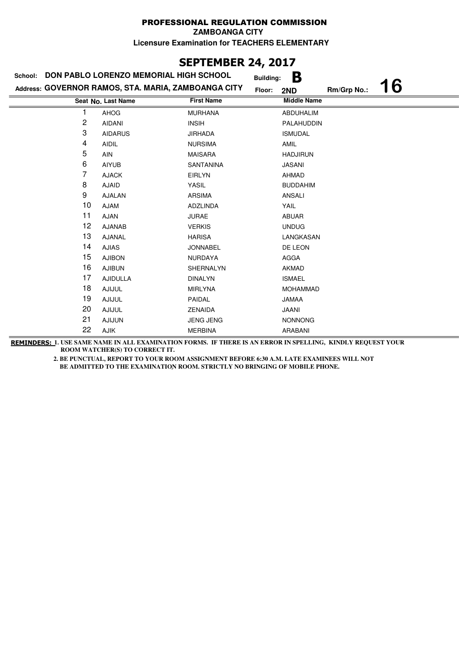### PROFESSIONAL REGULATION COMMISSION **ZAMBOANGA CITY**

**Licensure Examination for TEACHERS ELEMENTARY**

# **SEPTEMBER 24, 2017**

| School: | DON PABLO LORENZO MEMORIAL HIGH SCHOOL              |                   | B<br><b>Building:</b> |             |           |
|---------|-----------------------------------------------------|-------------------|-----------------------|-------------|-----------|
|         | Address: GOVERNOR RAMOS, STA. MARIA, ZAMBOANGA CITY |                   | Floor:<br>2ND         | Rm/Grp No.: | <b>16</b> |
|         | Seat No. Last Name                                  | <b>First Name</b> | <b>Middle Name</b>    |             |           |
|         | <b>AHOG</b>                                         | <b>MURHANA</b>    | <b>ABDUHALIM</b>      |             |           |
| 2       | <b>AIDANI</b>                                       | <b>INSIH</b>      | PALAHUDDIN            |             |           |
| 3       | <b>AIDARUS</b>                                      | <b>JIRHADA</b>    | <b>ISMUDAL</b>        |             |           |
| 4       | <b>AIDIL</b>                                        | <b>NURSIMA</b>    | AMIL                  |             |           |
| 5       | AIN                                                 | <b>MAISARA</b>    | <b>HADJIRUN</b>       |             |           |
| 6       | <b>AIYUB</b>                                        | <b>SANTANINA</b>  | <b>JASANI</b>         |             |           |
| 7       | <b>AJACK</b>                                        | <b>EIRLYN</b>     | AHMAD                 |             |           |
| 8       | <b>AJAID</b>                                        | YASIL             | <b>BUDDAHIM</b>       |             |           |
| 9       | <b>AJALAN</b>                                       | <b>ARSIMA</b>     | ANSALI                |             |           |
| 10      | <b>AJAM</b>                                         | ADZLINDA          | YAIL                  |             |           |
| 11      | <b>AJAN</b>                                         | <b>JURAE</b>      | ABUAR                 |             |           |
| 12      | <b>AJANAB</b>                                       | <b>VERKIS</b>     | <b>UNDUG</b>          |             |           |
| 13      | <b>AJANAL</b>                                       | <b>HARISA</b>     | LANGKASAN             |             |           |
| 14      | <b>AJIAS</b>                                        | <b>JONNABEL</b>   | DE LEON               |             |           |
| 15      | <b>AJIBON</b>                                       | <b>NURDAYA</b>    | <b>AGGA</b>           |             |           |
| 16      | <b>AJIBUN</b>                                       | SHERNALYN         | AKMAD                 |             |           |
| 17      | <b>AJIDULLA</b>                                     | <b>DINALYN</b>    | <b>ISMAEL</b>         |             |           |
| 18      | <b>AJIJUL</b>                                       | <b>MIRLYNA</b>    | <b>MOHAMMAD</b>       |             |           |
| 19      | <b>AJIJUL</b>                                       | PAIDAL            | <b>JAMAA</b>          |             |           |
| 20      | <b>AJIJUL</b>                                       | ZENAIDA           | JAANI                 |             |           |
| 21      | <b>AJIJUN</b>                                       | <b>JENG JENG</b>  | <b>NONNONG</b>        |             |           |
| 22      | AJIK                                                | <b>MERBINA</b>    | ARABANI               |             |           |

**REMINDERS: 1. USE SAME NAME IN ALL EXAMINATION FORMS. IF THERE IS AN ERROR IN SPELLING, KINDLY REQUEST YOUR ROOM WATCHER(S) TO CORRECT IT.**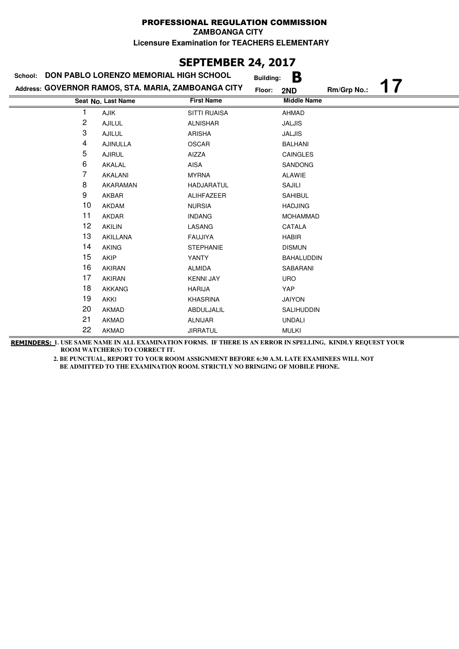## **SEPTEMBER 24, 2017**

| DON PABLO LORENZO MEMORIAL HIGH SCHOOL<br>School: |                                                     |                     | <b>Building:</b> | В                  |             |  |
|---------------------------------------------------|-----------------------------------------------------|---------------------|------------------|--------------------|-------------|--|
|                                                   | Address: GOVERNOR RAMOS, STA. MARIA, ZAMBOANGA CITY |                     | Floor:           | 2ND                | Rm/Grp No.: |  |
|                                                   | Seat No. Last Name                                  | <b>First Name</b>   |                  | <b>Middle Name</b> |             |  |
|                                                   | AJIK                                                | <b>SITTI RUAISA</b> |                  | <b>AHMAD</b>       |             |  |
| 2                                                 | <b>AJILUL</b>                                       | <b>ALNISHAR</b>     |                  | <b>JALJIS</b>      |             |  |
| 3                                                 | <b>AJILUL</b>                                       | <b>ARISHA</b>       |                  | <b>JALJIS</b>      |             |  |
| 4                                                 | <b>AJINULLA</b>                                     | <b>OSCAR</b>        |                  | <b>BALHANI</b>     |             |  |
| 5                                                 | <b>AJIRUL</b>                                       | AIZZA               |                  | <b>CAINGLES</b>    |             |  |
| 6                                                 | AKALAL                                              | AISA                |                  | <b>SANDONG</b>     |             |  |
| 7                                                 | AKALANI                                             | <b>MYRNA</b>        |                  | ALAWIE             |             |  |
| 8                                                 | AKARAMAN                                            | <b>HADJARATUL</b>   |                  | SAJILI             |             |  |
| 9                                                 | AKBAR                                               | ALIHFAZEER          |                  | <b>SAHIBUL</b>     |             |  |
| 10                                                | <b>AKDAM</b>                                        | <b>NURSIA</b>       |                  | <b>HADJING</b>     |             |  |
| 11                                                | <b>AKDAR</b>                                        | <b>INDANG</b>       |                  | <b>MOHAMMAD</b>    |             |  |
| 12                                                | <b>AKILIN</b>                                       | LASANG              |                  | CATALA             |             |  |
| 13                                                | AKILLANA                                            | <b>FAUJIYA</b>      |                  | <b>HABIR</b>       |             |  |
| 14                                                | <b>AKING</b>                                        | <b>STEPHANIE</b>    |                  | <b>DISMUN</b>      |             |  |
| 15                                                | AKIP                                                | YANTY               |                  | <b>BAHALUDDIN</b>  |             |  |
| 16                                                | <b>AKIRAN</b>                                       | <b>ALMIDA</b>       |                  | SABARANI           |             |  |
| 17                                                | <b>AKIRAN</b>                                       | <b>KENNI JAY</b>    |                  | <b>URO</b>         |             |  |
| 18                                                | <b>AKKANG</b>                                       | <b>HARIJA</b>       |                  | YAP                |             |  |
| 19                                                | <b>AKKI</b>                                         | <b>KHASRINA</b>     |                  | <b>JAIYON</b>      |             |  |
| 20                                                | <b>AKMAD</b>                                        | ABDULJALIL          |                  | SALIHUDDIN         |             |  |
| 21                                                | <b>AKMAD</b>                                        | <b>ALNIJAR</b>      |                  | <b>UNDALI</b>      |             |  |
| 22                                                | <b>AKMAD</b>                                        | <b>JIRRATUL</b>     |                  | <b>MULKI</b>       |             |  |

**REMINDERS: 1. USE SAME NAME IN ALL EXAMINATION FORMS. IF THERE IS AN ERROR IN SPELLING, KINDLY REQUEST YOUR ROOM WATCHER(S) TO CORRECT IT.**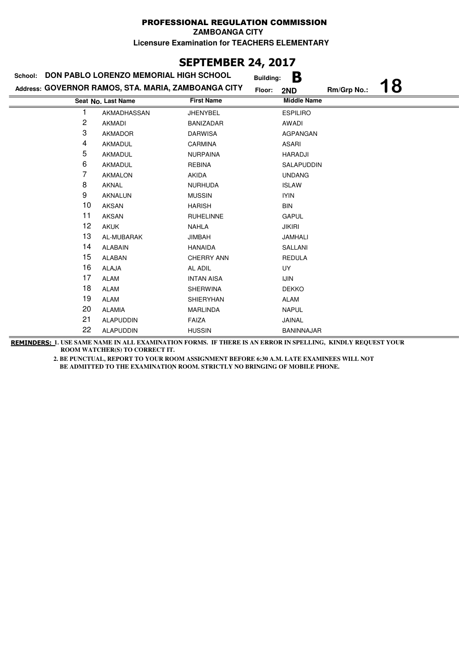## **SEPTEMBER 24, 2017**

| School: | DON PABLO LORENZO MEMORIAL HIGH SCHOOL              |                   | B<br><b>Building:</b> |             |    |
|---------|-----------------------------------------------------|-------------------|-----------------------|-------------|----|
|         | Address: GOVERNOR RAMOS, STA. MARIA, ZAMBOANGA CITY |                   | Floor:<br>2ND         | Rm/Grp No.: | 18 |
|         | Seat No. Last Name                                  | <b>First Name</b> | <b>Middle Name</b>    |             |    |
|         | AKMADHASSAN                                         | <b>JHENYBEL</b>   | <b>ESPILIRO</b>       |             |    |
| 2       | <b>AKMADI</b>                                       | <b>BANIZADAR</b>  | AWADI                 |             |    |
| 3       | <b>AKMADOR</b>                                      | <b>DARWISA</b>    | AGPANGAN              |             |    |
| 4       | AKMADUL                                             | <b>CARMINA</b>    | <b>ASARI</b>          |             |    |
| 5       | AKMADUL                                             | <b>NURPAINA</b>   | <b>HARADJI</b>        |             |    |
| 6       | AKMADUL                                             | <b>REBINA</b>     | SALAPUDDIN            |             |    |
| 7       | <b>AKMALON</b>                                      | <b>AKIDA</b>      | <b>UNDANG</b>         |             |    |
| 8       | AKNAL                                               | <b>NURHUDA</b>    | <b>ISLAW</b>          |             |    |
| 9       | <b>AKNALUN</b>                                      | <b>MUSSIN</b>     | <b>IYIN</b>           |             |    |
| 10      | <b>AKSAN</b>                                        | <b>HARISH</b>     | <b>BIN</b>            |             |    |
| 11      | <b>AKSAN</b>                                        | <b>RUHELINNE</b>  | <b>GAPUL</b>          |             |    |
| 12      | <b>AKUK</b>                                         | <b>NAHLA</b>      | <b>JIKIRI</b>         |             |    |
| 13      | AL-MUBARAK                                          | <b>JIMBAH</b>     | JAMHALI               |             |    |
| 14      | <b>ALABAIN</b>                                      | <b>HANAIDA</b>    | SALLANI               |             |    |
| 15      | <b>ALABAN</b>                                       | <b>CHERRY ANN</b> | <b>REDULA</b>         |             |    |
| 16      | <b>ALAJA</b>                                        | AL ADIL           | <b>UY</b>             |             |    |
| 17      | ALAM                                                | <b>INTAN AISA</b> | <b>IJIN</b>           |             |    |
| 18      | ALAM                                                | <b>SHERWINA</b>   | <b>DEKKO</b>          |             |    |
| 19      | <b>ALAM</b>                                         | <b>SHIERYHAN</b>  | ALAM                  |             |    |
| 20      | <b>ALAMIA</b>                                       | <b>MARLINDA</b>   | <b>NAPUL</b>          |             |    |
| 21      | <b>ALAPUDDIN</b>                                    | FAIZA             | JAINAL                |             |    |
| 22      | <b>ALAPUDDIN</b>                                    | <b>HUSSIN</b>     | <b>BANINNAJAR</b>     |             |    |

**REMINDERS: 1. USE SAME NAME IN ALL EXAMINATION FORMS. IF THERE IS AN ERROR IN SPELLING, KINDLY REQUEST YOUR ROOM WATCHER(S) TO CORRECT IT.**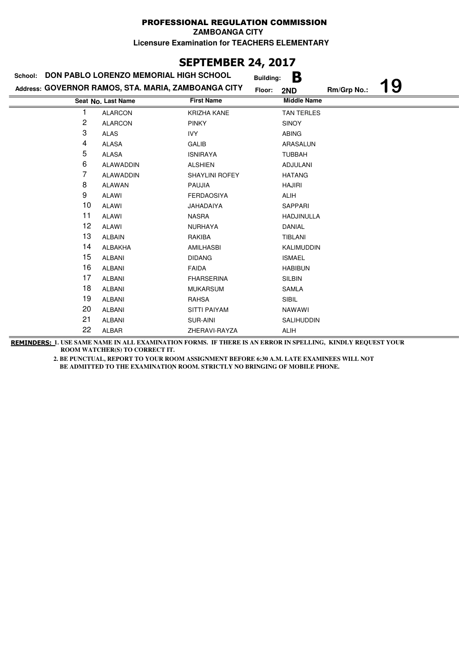# **SEPTEMBER 24, 2017**

| School: | <b>DON PABLO LORENZO MEMORIAL HIGH SCHOOL</b>       |                       | В<br><b>Building:</b> |             |    |
|---------|-----------------------------------------------------|-----------------------|-----------------------|-------------|----|
|         | Address: GOVERNOR RAMOS, STA. MARIA, ZAMBOANGA CITY |                       | Floor:<br>2ND         | Rm/Grp No.: | 19 |
|         | Seat No. Last Name                                  | <b>First Name</b>     | <b>Middle Name</b>    |             |    |
|         | <b>ALARCON</b>                                      | <b>KRIZHA KANE</b>    | <b>TAN TERLES</b>     |             |    |
| 2       | <b>ALARCON</b>                                      | <b>PINKY</b>          | <b>SINOY</b>          |             |    |
| 3       | <b>ALAS</b>                                         | <b>IVY</b>            | <b>ABING</b>          |             |    |
| 4       | <b>ALASA</b>                                        | GALIB                 | ARASALUN              |             |    |
| 5       | <b>ALASA</b>                                        | <b>ISNIRAYA</b>       | <b>TUBBAH</b>         |             |    |
| 6       | <b>ALAWADDIN</b>                                    | <b>ALSHIEN</b>        | <b>ADJULANI</b>       |             |    |
| 7       | <b>ALAWADDIN</b>                                    | <b>SHAYLINI ROFEY</b> | <b>HATANG</b>         |             |    |
| 8       | <b>ALAWAN</b>                                       | <b>PAUJIA</b>         | <b>HAJIRI</b>         |             |    |
| 9       | <b>ALAWI</b>                                        | <b>FERDAOSIYA</b>     | <b>ALIH</b>           |             |    |
| 10      | <b>ALAWI</b>                                        | <b>JAHADAIYA</b>      | SAPPARI               |             |    |
| 11      | <b>ALAWI</b>                                        | <b>NASRA</b>          | HADJINULLA            |             |    |
| 12      | <b>ALAWI</b>                                        | <b>NURHAYA</b>        | DANIAL                |             |    |
| 13      | <b>ALBAIN</b>                                       | RAKIBA                | TIBLANI               |             |    |
| 14      | ALBAKHA                                             | AMILHASBI             | KALIMUDDIN            |             |    |
| 15      | <b>ALBANI</b>                                       | <b>DIDANG</b>         | <b>ISMAEL</b>         |             |    |
| 16      | <b>ALBANI</b>                                       | <b>FAIDA</b>          | <b>HABIBUN</b>        |             |    |
| 17      | <b>ALBANI</b>                                       | <b>FHARSERINA</b>     | <b>SILBIN</b>         |             |    |
| 18      | <b>ALBANI</b>                                       | <b>MUKARSUM</b>       | SAMLA                 |             |    |
| 19      | <b>ALBANI</b>                                       | <b>RAHSA</b>          | <b>SIBIL</b>          |             |    |
| 20      | <b>ALBANI</b>                                       | <b>SITTI PAIYAM</b>   | <b>NAWAWI</b>         |             |    |
| 21      | <b>ALBANI</b>                                       | SUR-AINI              | <b>SALIHUDDIN</b>     |             |    |
| 22      | ALBAR                                               | ZHERAVI-RAYZA         | <b>ALIH</b>           |             |    |

**REMINDERS: 1. USE SAME NAME IN ALL EXAMINATION FORMS. IF THERE IS AN ERROR IN SPELLING, KINDLY REQUEST YOUR ROOM WATCHER(S) TO CORRECT IT.**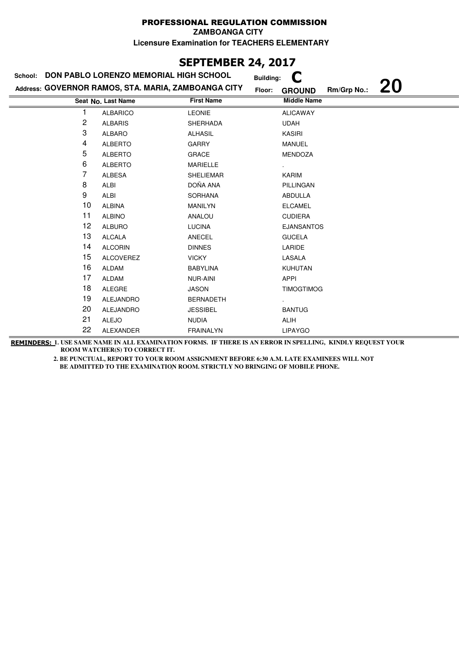#### PROFESSIONAL REGULATION COMMISSION **ZAMBOANGA CITY**

**Licensure Examination for TEACHERS ELEMENTARY**

# **SEPTEMBER 24, 2017**

| School: | DON PABLO LORENZO MEMORIAL HIGH SCHOOL              | <b>Building:</b>  |                                           |
|---------|-----------------------------------------------------|-------------------|-------------------------------------------|
|         | Address: GOVERNOR RAMOS, STA. MARIA, ZAMBOANGA CITY | Floor:            | <b>20</b><br>Rm/Grp No.:<br><b>GROUND</b> |
|         | Seat No. Last Name                                  | <b>First Name</b> | <b>Middle Name</b>                        |
|         | <b>ALBARICO</b>                                     | <b>LEONIE</b>     | <b>ALICAWAY</b>                           |
| 2       | <b>ALBARIS</b>                                      | <b>SHERHADA</b>   | <b>UDAH</b>                               |
| 3       | <b>ALBARO</b>                                       | <b>ALHASIL</b>    | <b>KASIRI</b>                             |
| 4       | <b>ALBERTO</b>                                      | <b>GARRY</b>      | <b>MANUEL</b>                             |
| 5       | <b>ALBERTO</b>                                      | GRACE             | <b>MENDOZA</b>                            |
| 6       | <b>ALBERTO</b>                                      | MARIELLE          |                                           |
| 7       | <b>ALBESA</b>                                       | <b>SHELIEMAR</b>  | <b>KARIM</b>                              |
| 8       | <b>ALBI</b>                                         | DOÑA ANA          | PILLINGAN                                 |
| 9       | <b>ALBI</b>                                         | <b>SORHANA</b>    | ABDULLA                                   |
| 10      | <b>ALBINA</b>                                       | <b>MANILYN</b>    | <b>ELCAMEL</b>                            |
| 11      | <b>ALBINO</b>                                       | ANALOU            | <b>CUDIERA</b>                            |
| 12      | <b>ALBURO</b>                                       | <b>LUCINA</b>     | <b>EJANSANTOS</b>                         |
| 13      | <b>ALCALA</b>                                       | <b>ANECEL</b>     | <b>GUCELA</b>                             |
| 14      | <b>ALCORIN</b>                                      | <b>DINNES</b>     | LARIDE                                    |
| 15      | <b>ALCOVEREZ</b>                                    | <b>VICKY</b>      | LASALA                                    |
| 16      | <b>ALDAM</b>                                        | <b>BABYLINA</b>   | <b>KUHUTAN</b>                            |
| 17      | ALDAM                                               | <b>NUR-AINI</b>   | <b>APPI</b>                               |
| 18      | <b>ALEGRE</b>                                       | <b>JASON</b>      | <b>TIMOGTIMOG</b>                         |
| 19      | <b>ALEJANDRO</b>                                    | <b>BERNADETH</b>  |                                           |
| 20      | <b>ALEJANDRO</b>                                    | <b>JESSIBEL</b>   | <b>BANTUG</b>                             |
| 21      | <b>ALEJO</b>                                        | <b>NUDIA</b>      | ALIH                                      |
| 22      | ALEXANDER                                           | <b>FRAINALYN</b>  | <b>LIPAYGO</b>                            |

**REMINDERS: 1. USE SAME NAME IN ALL EXAMINATION FORMS. IF THERE IS AN ERROR IN SPELLING, KINDLY REQUEST YOUR ROOM WATCHER(S) TO CORRECT IT.**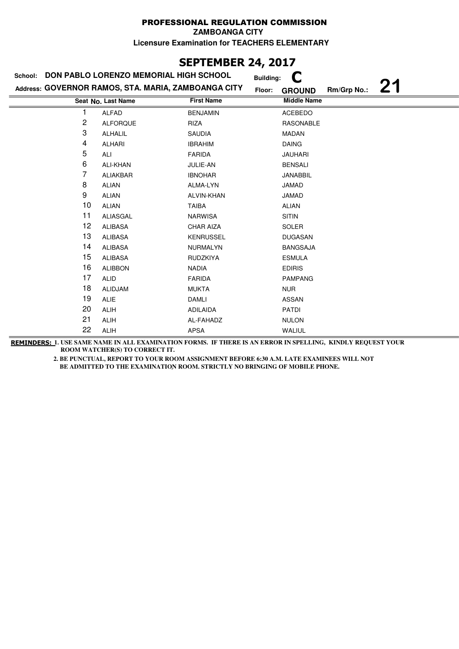**ZAMBOANGA CITY**

**Licensure Examination for TEACHERS ELEMENTARY**

## **SEPTEMBER 24, 2017**

| School:        | DON PABLO LORENZO MEMORIAL HIGH SCHOOL              |                   | <b>Building:</b>        |             |  |
|----------------|-----------------------------------------------------|-------------------|-------------------------|-------------|--|
|                | Address: GOVERNOR RAMOS, STA. MARIA, ZAMBOANGA CITY |                   | Floor:<br><b>GROUND</b> | Rm/Grp No.: |  |
|                | Seat No. Last Name                                  | <b>First Name</b> | <b>Middle Name</b>      |             |  |
|                | <b>ALFAD</b>                                        | <b>BENJAMIN</b>   | <b>ACEBEDO</b>          |             |  |
| $\overline{c}$ | <b>ALFORQUE</b>                                     | RIZA              | <b>RASONABLE</b>        |             |  |
| 3              | <b>ALHALIL</b>                                      | <b>SAUDIA</b>     | <b>MADAN</b>            |             |  |
| 4              | <b>ALHARI</b>                                       | <b>IBRAHIM</b>    | <b>DAING</b>            |             |  |
| 5              | ALI                                                 | FARIDA            | <b>JAUHARI</b>          |             |  |
| 6              | <b>ALI-KHAN</b>                                     | JULIE-AN          | <b>BENSALI</b>          |             |  |
| 7              | ALIAKBAR                                            | <b>IBNOHAR</b>    | <b>JANABBIL</b>         |             |  |
| 8              | <b>ALIAN</b>                                        | ALMA-LYN          | <b>JAMAD</b>            |             |  |
| 9              | <b>ALIAN</b>                                        | ALVIN-KHAN        | JAMAD                   |             |  |
| 10             | <b>ALIAN</b>                                        | <b>TAIBA</b>      | <b>ALIAN</b>            |             |  |
| 11             | ALIASGAL                                            | <b>NARWISA</b>    | <b>SITIN</b>            |             |  |
| 12             | <b>ALIBASA</b>                                      | <b>CHAR AIZA</b>  | <b>SOLER</b>            |             |  |
| 13             | <b>ALIBASA</b>                                      | <b>KENRUSSEL</b>  | <b>DUGASAN</b>          |             |  |
| 14             | <b>ALIBASA</b>                                      | NURMALYN          | <b>BANGSAJA</b>         |             |  |
| 15             | <b>ALIBASA</b>                                      | <b>RUDZKIYA</b>   | <b>ESMULA</b>           |             |  |
| 16             | <b>ALIBBON</b>                                      | <b>NADIA</b>      | <b>EDIRIS</b>           |             |  |
| 17             | ALID                                                | <b>FARIDA</b>     | <b>PAMPANG</b>          |             |  |
| 18             | <b>ALIDJAM</b>                                      | <b>MUKTA</b>      | <b>NUR</b>              |             |  |
| 19             | <b>ALIE</b>                                         | <b>DAMLI</b>      | <b>ASSAN</b>            |             |  |
| 20             | ALIH                                                | <b>ADILAIDA</b>   | <b>PATDI</b>            |             |  |
| 21             | <b>ALIH</b>                                         | AL-FAHADZ         | <b>NULON</b>            |             |  |
| 22             | <b>ALIH</b>                                         | APSA              | WALIUL                  |             |  |

**REMINDERS: 1. USE SAME NAME IN ALL EXAMINATION FORMS. IF THERE IS AN ERROR IN SPELLING, KINDLY REQUEST YOUR ROOM WATCHER(S) TO CORRECT IT.**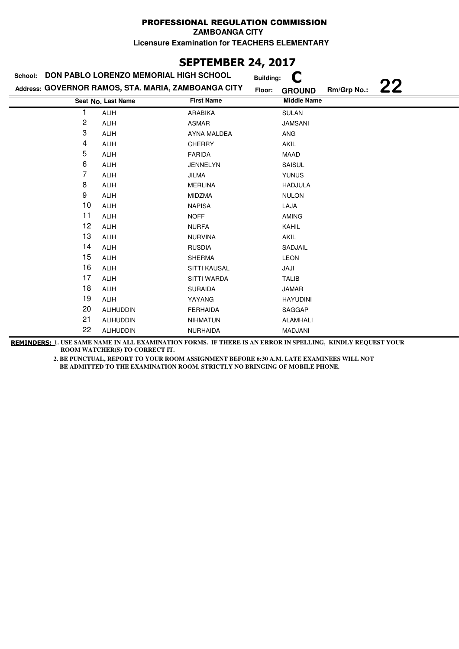**ZAMBOANGA CITY**

**Licensure Examination for TEACHERS ELEMENTARY**

## **SEPTEMBER 24, 2017**

| School: | DON PABLO LORENZO MEMORIAL HIGH SCHOOL              | <b>Building:</b>   |                                    |
|---------|-----------------------------------------------------|--------------------|------------------------------------|
|         | Address: GOVERNOR RAMOS, STA. MARIA, ZAMBOANGA CITY | Floor:             | 22<br>Rm/Grp No.:<br><b>GROUND</b> |
|         | Seat No. Last Name                                  | <b>First Name</b>  | <b>Middle Name</b>                 |
| 1       | <b>ALIH</b>                                         | ARABIKA            | <b>SULAN</b>                       |
| 2       | <b>ALIH</b>                                         | ASMAR              | <b>JAMSANI</b>                     |
| 3       | <b>ALIH</b>                                         | <b>AYNA MALDEA</b> | <b>ANG</b>                         |
| 4       | <b>ALIH</b>                                         | <b>CHERRY</b>      | <b>AKIL</b>                        |
| 5       | <b>ALIH</b>                                         | <b>FARIDA</b>      | MAAD                               |
| 6       | <b>ALIH</b>                                         | <b>JENNELYN</b>    | <b>SAISUL</b>                      |
| 7       | ALIH                                                | JILMA              | <b>YUNUS</b>                       |
| 8       | ALIH                                                | <b>MERLINA</b>     | <b>HADJULA</b>                     |
| 9       | ALIH                                                | <b>MIDZMA</b>      | <b>NULON</b>                       |
| 10      | <b>ALIH</b>                                         | <b>NAPISA</b>      | LAJA                               |
| 11      | <b>ALIH</b>                                         | <b>NOFF</b>        | <b>AMING</b>                       |
| 12      | <b>ALIH</b>                                         | <b>NURFA</b>       | <b>KAHIL</b>                       |
| 13      | <b>ALIH</b>                                         | <b>NURVINA</b>     | <b>AKIL</b>                        |
| 14      | <b>ALIH</b>                                         | <b>RUSDIA</b>      | SADJAIL                            |
| 15      | <b>ALIH</b>                                         | <b>SHERMA</b>      | <b>LEON</b>                        |
| 16      | ALIH                                                | SITTI KAUSAL       | JAJI                               |
| 17      | <b>ALIH</b>                                         | SITTI WARDA        | <b>TALIB</b>                       |
| 18      | <b>ALIH</b>                                         | <b>SURAIDA</b>     | <b>JAMAR</b>                       |
| 19      | <b>ALIH</b>                                         | YAYANG             | <b>HAYUDINI</b>                    |
| 20      | <b>ALIHUDDIN</b>                                    | <b>FERHAIDA</b>    | SAGGAP                             |
| 21      | <b>ALIHUDDIN</b>                                    | <b>NIHMATUN</b>    | <b>ALAMHALI</b>                    |
| 22      | <b>ALIHUDDIN</b>                                    | <b>NURHAIDA</b>    | MADJANI                            |

**REMINDERS: 1. USE SAME NAME IN ALL EXAMINATION FORMS. IF THERE IS AN ERROR IN SPELLING, KINDLY REQUEST YOUR ROOM WATCHER(S) TO CORRECT IT.**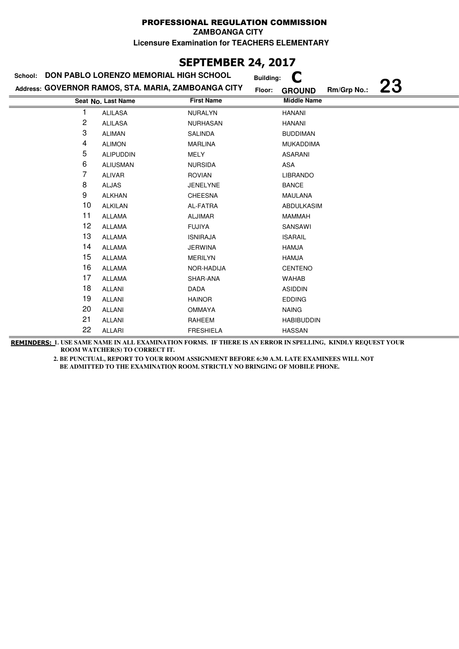**ZAMBOANGA CITY**

**Licensure Examination for TEACHERS ELEMENTARY**

## **SEPTEMBER 24, 2017**

| School: | DON PABLO LORENZO MEMORIAL HIGH SCHOOL              |                   | <b>Building:</b> |                    |             |           |
|---------|-----------------------------------------------------|-------------------|------------------|--------------------|-------------|-----------|
|         | Address: GOVERNOR RAMOS, STA. MARIA, ZAMBOANGA CITY |                   | Floor:           | <b>GROUND</b>      | Rm/Grp No.: | <b>23</b> |
|         | Seat No. Last Name                                  | <b>First Name</b> |                  | <b>Middle Name</b> |             |           |
| 1       | <b>ALILASA</b>                                      | <b>NURALYN</b>    |                  | <b>HANANI</b>      |             |           |
| 2       | <b>ALILASA</b>                                      | <b>NURHASAN</b>   |                  | <b>HANANI</b>      |             |           |
| 3       | <b>ALIMAN</b>                                       | <b>SALINDA</b>    |                  | <b>BUDDIMAN</b>    |             |           |
| 4       | <b>ALIMON</b>                                       | <b>MARLINA</b>    |                  | <b>MUKADDIMA</b>   |             |           |
| 5       | <b>ALIPUDDIN</b>                                    | <b>MELY</b>       |                  | <b>ASARANI</b>     |             |           |
| 6       | <b>ALIUSMAN</b>                                     | <b>NURSIDA</b>    |                  | ASA                |             |           |
| 7       | <b>ALIVAR</b>                                       | <b>ROVIAN</b>     |                  | <b>LIBRANDO</b>    |             |           |
| 8       | <b>ALJAS</b>                                        | <b>JENELYNE</b>   |                  | <b>BANCE</b>       |             |           |
| 9       | <b>ALKHAN</b>                                       | <b>CHEESNA</b>    |                  | <b>MAULANA</b>     |             |           |
| 10      | <b>ALKILAN</b>                                      | AL-FATRA          |                  | <b>ABDULKASIM</b>  |             |           |
| 11      | <b>ALLAMA</b>                                       | <b>ALJIMAR</b>    |                  | <b>MAMMAH</b>      |             |           |
| 12      | <b>ALLAMA</b>                                       | <b>FUJIYA</b>     |                  | SANSAWI            |             |           |
| 13      | <b>ALLAMA</b>                                       | <b>ISNIRAJA</b>   |                  | <b>ISARAIL</b>     |             |           |
| 14      | <b>ALLAMA</b>                                       | <b>JERWINA</b>    |                  | <b>HAMJA</b>       |             |           |
| 15      | <b>ALLAMA</b>                                       | <b>MERILYN</b>    |                  | <b>HAMJA</b>       |             |           |
| 16      | <b>ALLAMA</b>                                       | NOR-HADIJA        |                  | <b>CENTENO</b>     |             |           |
| 17      | <b>ALLAMA</b>                                       | SHAR-ANA          |                  | <b>WAHAB</b>       |             |           |
| 18      | ALLANI                                              | <b>DADA</b>       |                  | <b>ASIDDIN</b>     |             |           |
| 19      | <b>ALLANI</b>                                       | <b>HAINOR</b>     |                  | <b>EDDING</b>      |             |           |
| 20      | <b>ALLANI</b>                                       | <b>OMMAYA</b>     |                  | <b>NAING</b>       |             |           |
| 21      | <b>ALLANI</b>                                       | RAHEEM            |                  | <b>HABIBUDDIN</b>  |             |           |
| 22      | ALLARI                                              | <b>FRESHIELA</b>  |                  | <b>HASSAN</b>      |             |           |

**REMINDERS: 1. USE SAME NAME IN ALL EXAMINATION FORMS. IF THERE IS AN ERROR IN SPELLING, KINDLY REQUEST YOUR ROOM WATCHER(S) TO CORRECT IT.**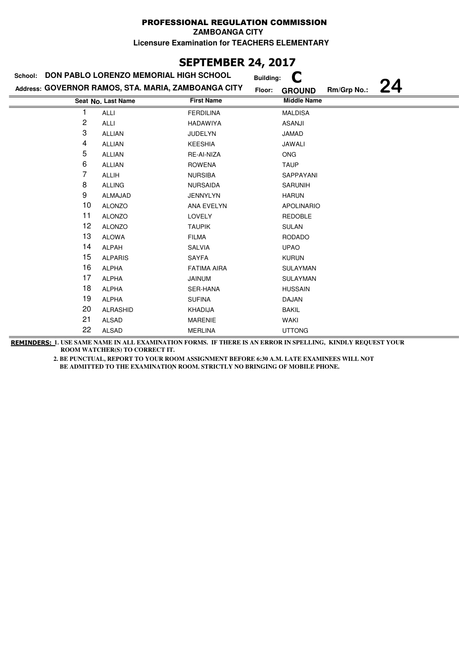**ZAMBOANGA CITY**

**Licensure Examination for TEACHERS ELEMENTARY**

# **SEPTEMBER 24, 2017**

| School: | DON PABLO LORENZO MEMORIAL HIGH SCHOOL              |                    | <b>Building:</b> |                    |             |    |
|---------|-----------------------------------------------------|--------------------|------------------|--------------------|-------------|----|
|         | Address: GOVERNOR RAMOS, STA. MARIA, ZAMBOANGA CITY |                    | Floor:           | <b>GROUND</b>      | Rm/Grp No.: | 24 |
|         | Seat No. Last Name                                  | <b>First Name</b>  |                  | <b>Middle Name</b> |             |    |
| 1       | <b>ALLI</b>                                         | <b>FERDILINA</b>   |                  | <b>MALDISA</b>     |             |    |
| 2       | ALLI                                                | <b>HADAWIYA</b>    |                  | <b>ASANJI</b>      |             |    |
| 3       | <b>ALLIAN</b>                                       | <b>JUDELYN</b>     |                  | <b>JAMAD</b>       |             |    |
| 4       | <b>ALLIAN</b>                                       | <b>KEESHIA</b>     |                  | JAWALI             |             |    |
| 5       | <b>ALLIAN</b>                                       | RE-AI-NIZA         |                  | <b>ONG</b>         |             |    |
| 6       | ALLIAN                                              | <b>ROWENA</b>      |                  | <b>TAUP</b>        |             |    |
| 7       | <b>ALLIH</b>                                        | <b>NURSIBA</b>     |                  | SAPPAYANI          |             |    |
| 8       | <b>ALLING</b>                                       | <b>NURSAIDA</b>    |                  | SARUNIH            |             |    |
| 9       | ALMAJAD                                             | <b>JENNYLYN</b>    |                  | <b>HARUN</b>       |             |    |
| 10      | <b>ALONZO</b>                                       | <b>ANA EVELYN</b>  |                  | <b>APOLINARIO</b>  |             |    |
| 11      | <b>ALONZO</b>                                       | <b>LOVELY</b>      |                  | <b>REDOBLE</b>     |             |    |
| 12      | <b>ALONZO</b>                                       | <b>TAUPIK</b>      |                  | <b>SULAN</b>       |             |    |
| 13      | <b>ALOWA</b>                                        | <b>FILMA</b>       |                  | <b>RODADO</b>      |             |    |
| 14      | ALPAH                                               | <b>SALVIA</b>      |                  | <b>UPAO</b>        |             |    |
| 15      | <b>ALPARIS</b>                                      | <b>SAYFA</b>       |                  | <b>KURUN</b>       |             |    |
| 16      | <b>ALPHA</b>                                        | <b>FATIMA AIRA</b> |                  | <b>SULAYMAN</b>    |             |    |
| 17      | <b>ALPHA</b>                                        | <b>JAINUM</b>      |                  | SULAYMAN           |             |    |
| 18      | <b>ALPHA</b>                                        | SER-HANA           |                  | <b>HUSSAIN</b>     |             |    |
| 19      | <b>ALPHA</b>                                        | <b>SUFINA</b>      |                  | <b>DAJAN</b>       |             |    |
| 20      | <b>ALRASHID</b>                                     | <b>KHADIJA</b>     |                  | <b>BAKIL</b>       |             |    |
| 21      | <b>ALSAD</b>                                        | <b>MARENIE</b>     |                  | WAKI               |             |    |
| 22      | <b>ALSAD</b>                                        | <b>MERLINA</b>     |                  | <b>UTTONG</b>      |             |    |

**REMINDERS: 1. USE SAME NAME IN ALL EXAMINATION FORMS. IF THERE IS AN ERROR IN SPELLING, KINDLY REQUEST YOUR ROOM WATCHER(S) TO CORRECT IT.**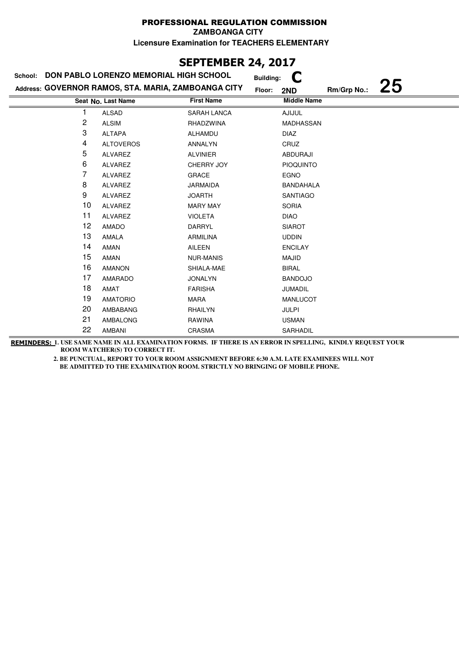# **SEPTEMBER 24, 2017**

| School:        | DON PABLO LORENZO MEMORIAL HIGH SCHOOL              |                    | <b>Building:</b>   |             |    |
|----------------|-----------------------------------------------------|--------------------|--------------------|-------------|----|
|                | Address: GOVERNOR RAMOS, STA. MARIA, ZAMBOANGA CITY |                    | Floor:<br>2ND      | Rm/Grp No.: | 25 |
|                | Seat No. Last Name                                  | <b>First Name</b>  | <b>Middle Name</b> |             |    |
|                | <b>ALSAD</b>                                        | <b>SARAH LANCA</b> | <b>AJIJUL</b>      |             |    |
| $\overline{c}$ | <b>ALSIM</b>                                        | RHADZWINA          | MADHASSAN          |             |    |
| 3              | <b>ALTAPA</b>                                       | ALHAMDU            | <b>DIAZ</b>        |             |    |
| 4              | <b>ALTOVEROS</b>                                    | ANNALYN            | CRUZ               |             |    |
| 5              | ALVAREZ                                             | <b>ALVINIER</b>    | <b>ABDURAJI</b>    |             |    |
| 6              | ALVAREZ                                             | CHERRY JOY         | <b>PIOQUINTO</b>   |             |    |
| 7              | ALVAREZ                                             | <b>GRACE</b>       | <b>EGNO</b>        |             |    |
| 8              | ALVAREZ                                             | <b>JARMAIDA</b>    | <b>BANDAHALA</b>   |             |    |
| 9              | <b>ALVAREZ</b>                                      | <b>JOARTH</b>      | <b>SANTIAGO</b>    |             |    |
| 10             | ALVAREZ                                             | <b>MARY MAY</b>    | <b>SORIA</b>       |             |    |
| 11             | ALVAREZ                                             | <b>VIOLETA</b>     | <b>DIAO</b>        |             |    |
| 12             | <b>AMADO</b>                                        | DARRYL             | <b>SIAROT</b>      |             |    |
| 13             | AMALA                                               | <b>ARMILINA</b>    | <b>UDDIN</b>       |             |    |
| 14             | AMAN                                                | AILEEN             | <b>ENCILAY</b>     |             |    |
| 15             | <b>AMAN</b>                                         | <b>NUR-MANIS</b>   | MAJID              |             |    |
| 16             | <b>AMANON</b>                                       | SHIALA-MAE         | <b>BIRAL</b>       |             |    |
| 17             | AMARADO                                             | <b>JONALYN</b>     | <b>BANDOJO</b>     |             |    |
| 18             | AMAT                                                | <b>FARISHA</b>     | <b>JUMADIL</b>     |             |    |
| 19             | <b>AMATORIO</b>                                     | <b>MARA</b>        | <b>MANLUCOT</b>    |             |    |
| 20             | AMBABANG                                            | RHAILYN            | <b>JULPI</b>       |             |    |
| 21             | <b>AMBALONG</b>                                     | <b>RAWINA</b>      | <b>USMAN</b>       |             |    |
| 22             | AMBANI                                              | CRASMA             | SARHADIL           |             |    |

**REMINDERS: 1. USE SAME NAME IN ALL EXAMINATION FORMS. IF THERE IS AN ERROR IN SPELLING, KINDLY REQUEST YOUR ROOM WATCHER(S) TO CORRECT IT.**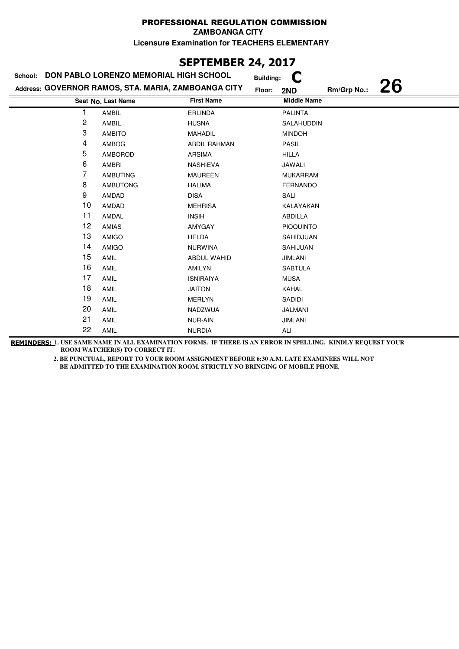## **SEPTEMBER 24, 2017**

| School: | DON PABLO LORENZO MEMORIAL HIGH SCHOOL              |                     | <b>Building:</b>   |             |           |
|---------|-----------------------------------------------------|---------------------|--------------------|-------------|-----------|
|         | Address: GOVERNOR RAMOS, STA. MARIA, ZAMBOANGA CITY |                     | Floor:<br>2ND      | Rm/Grp No.: | <b>26</b> |
|         | Seat No. Last Name                                  | <b>First Name</b>   | <b>Middle Name</b> |             |           |
|         | AMBIL                                               | <b>ERLINDA</b>      | <b>PALINTA</b>     |             |           |
| 2       | AMBIL                                               | <b>HUSNA</b>        | SALAHUDDIN         |             |           |
| 3       | <b>AMBITO</b>                                       | <b>MAHADIL</b>      | <b>MINDOH</b>      |             |           |
| 4       | AMBOG                                               | <b>ABDIL RAHMAN</b> | PASIL              |             |           |
| 5       | AMBOROD                                             | <b>ARSIMA</b>       | <b>HILLA</b>       |             |           |
| 6       | <b>AMBRI</b>                                        | <b>NASHIEVA</b>     | JAWALI             |             |           |
| 7       | <b>AMBUTING</b>                                     | <b>MAUREEN</b>      | <b>MUKARRAM</b>    |             |           |
| 8       | <b>AMBUTONG</b>                                     | <b>HALIMA</b>       | <b>FERNANDO</b>    |             |           |
| 9       | AMDAD                                               | <b>DISA</b>         | SALI               |             |           |
| 10      | AMDAD                                               | <b>MEHRISA</b>      | KALAYAKAN          |             |           |
| 11      | AMDAL                                               | <b>INSIH</b>        | ABDILLA            |             |           |
| 12      | AMIAS                                               | AMYGAY              | <b>PIOQUINTO</b>   |             |           |
| 13      | AMIGO                                               | <b>HELDA</b>        | SAHIDJUAN          |             |           |
| 14      | AMIGO                                               | <b>NURWINA</b>      | SAHIJUAN           |             |           |
| 15      | AMIL                                                | ABDUL WAHID         | <b>JIMLANI</b>     |             |           |
| 16      | AMIL                                                | <b>AMILYN</b>       | <b>SABTULA</b>     |             |           |
| 17      | AMIL                                                | <b>ISNIRAIYA</b>    | <b>MUSA</b>        |             |           |
| 18      | AMIL                                                | <b>JAITON</b>       | KAHAL              |             |           |
| 19      | AMIL                                                | <b>MERLYN</b>       | SADIDI             |             |           |
| 20      | AMIL                                                | NADZWUA             | JALMANI            |             |           |
| 21      | AMIL                                                | <b>NUR-AIN</b>      | <b>JIMLANI</b>     |             |           |
| 22      | AMIL                                                | <b>NURDIA</b>       | ALI                |             |           |

**REMINDERS: 1. USE SAME NAME IN ALL EXAMINATION FORMS. IF THERE IS AN ERROR IN SPELLING, KINDLY REQUEST YOUR ROOM WATCHER(S) TO CORRECT IT.**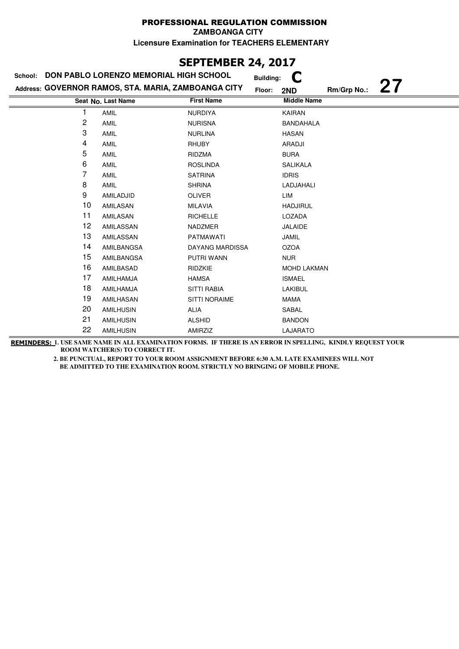## **SEPTEMBER 24, 2017**

| School: | DON PABLO LORENZO MEMORIAL HIGH SCHOOL              | <b>Building:</b>       |                          |
|---------|-----------------------------------------------------|------------------------|--------------------------|
|         | Address: GOVERNOR RAMOS, STA. MARIA, ZAMBOANGA CITY | Floor:                 | 27<br>Rm/Grp No.:<br>2ND |
|         | Seat No. Last Name                                  | <b>First Name</b>      | <b>Middle Name</b>       |
| 1       | AMIL                                                | <b>NURDIYA</b>         | KAIRAN                   |
| 2       | AMIL                                                | <b>NURISNA</b>         | <b>BANDAHALA</b>         |
| 3       | AMIL                                                | <b>NURLINA</b>         | <b>HASAN</b>             |
| 4       | AMIL                                                | <b>RHUBY</b>           | ARADJI                   |
| 5       | AMIL                                                | RIDZMA                 | <b>BURA</b>              |
| 6       | AMIL                                                | <b>ROSLINDA</b>        | <b>SALIKALA</b>          |
| 7       | AMIL                                                | <b>SATRINA</b>         | <b>IDRIS</b>             |
| 8       | <b>AMIL</b>                                         | <b>SHRINA</b>          | LADJAHALI                |
| 9       | AMILADJID                                           | <b>OLIVER</b>          | LIM                      |
| 10      | AMILASAN                                            | <b>MILAVIA</b>         | <b>HADJIRUL</b>          |
| 11      | AMILASAN                                            | <b>RICHELLE</b>        | LOZADA                   |
| 12      | AMILASSAN                                           | <b>NADZMER</b>         | <b>JALAIDE</b>           |
| 13      | AMILASSAN                                           | <b>PATMAWATI</b>       | JAMIL                    |
| 14      | AMILBANGSA                                          | <b>DAYANG MARDISSA</b> | <b>OZOA</b>              |
| 15      | AMILBANGSA                                          | PUTRI WANN             | <b>NUR</b>               |
| 16      | AMILBASAD                                           | RIDZKIE                | <b>MOHD LAKMAN</b>       |
| 17      | AMILHAMJA                                           | <b>HAMSA</b>           | <b>ISMAEL</b>            |
| 18      | AMILHAMJA                                           | <b>SITTI RABIA</b>     | LAKIBUL                  |
| 19      | AMILHASAN                                           | <b>SITTI NORAIME</b>   | <b>MAMA</b>              |
| 20      | <b>AMILHUSIN</b>                                    | <b>ALIA</b>            | SABAL                    |
| 21      | <b>AMILHUSIN</b>                                    | <b>ALSHID</b>          | <b>BANDON</b>            |
| 22      | <b>AMILHUSIN</b>                                    | AMIRZIZ                | LAJARATO                 |

**REMINDERS: 1. USE SAME NAME IN ALL EXAMINATION FORMS. IF THERE IS AN ERROR IN SPELLING, KINDLY REQUEST YOUR ROOM WATCHER(S) TO CORRECT IT.**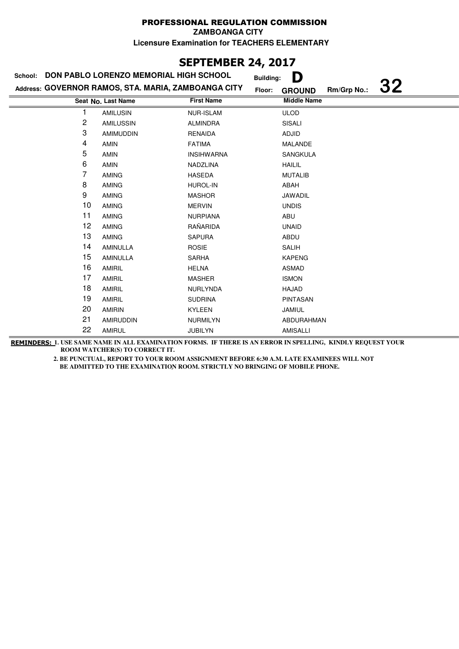**ZAMBOANGA CITY**

**Licensure Examination for TEACHERS ELEMENTARY**

# **SEPTEMBER 24, 2017**

| School: | DON PABLO LORENZO MEMORIAL HIGH SCHOOL              | <b>Building:</b>  | D                                  |
|---------|-----------------------------------------------------|-------------------|------------------------------------|
|         | Address: GOVERNOR RAMOS, STA. MARIA, ZAMBOANGA CITY | Floor:            | 32<br>Rm/Grp No.:<br><b>GROUND</b> |
|         | Seat No. Last Name                                  | <b>First Name</b> | <b>Middle Name</b>                 |
|         | <b>AMILUSIN</b>                                     | <b>NUR-ISLAM</b>  | <b>ULOD</b>                        |
| 2       | AMILUSSIN                                           | <b>ALMINDRA</b>   | SISALI                             |
| 3       | <b>AMIMUDDIN</b>                                    | <b>RENAIDA</b>    | ADJID                              |
| 4       | <b>AMIN</b>                                         | <b>FATIMA</b>     | <b>MALANDE</b>                     |
| 5       | AMIN                                                | <b>INSIHWARNA</b> | SANGKULA                           |
| 6       | <b>AMIN</b>                                         | NADZLINA          | <b>HAILIL</b>                      |
| 7       | <b>AMING</b>                                        | <b>HASEDA</b>     | <b>MUTALIB</b>                     |
| 8       | <b>AMING</b>                                        | <b>HUROL-IN</b>   | ABAH                               |
| 9       | <b>AMING</b>                                        | <b>MASHOR</b>     | JAWADIL                            |
| 10      | <b>AMING</b>                                        | <b>MERVIN</b>     | <b>UNDIS</b>                       |
| 11      | <b>AMING</b>                                        | <b>NURPIANA</b>   | ABU                                |
| 12      | <b>AMING</b>                                        | RAÑARIDA          | <b>UNAID</b>                       |
| 13      | <b>AMING</b>                                        | <b>SAPURA</b>     | ABDU                               |
| 14      | <b>AMINULLA</b>                                     | <b>ROSIE</b>      | <b>SALIH</b>                       |
| 15      | <b>AMINULLA</b>                                     | <b>SARHA</b>      | <b>KAPENG</b>                      |
| 16      | AMIRIL                                              | <b>HELNA</b>      | <b>ASMAD</b>                       |
| 17      | <b>AMIRIL</b>                                       | <b>MASHER</b>     | <b>ISMON</b>                       |
| 18      | AMIRIL                                              | NURLYNDA          | HAJAD                              |
| 19      | AMIRIL                                              | <b>SUDRINA</b>    | <b>PINTASAN</b>                    |
| 20      | <b>AMIRIN</b>                                       | <b>KYLEEN</b>     | <b>JAMIUL</b>                      |
| 21      | <b>AMIRUDDIN</b>                                    | <b>NURMILYN</b>   | ABDURAHMAN                         |
| 22      | <b>AMIRUL</b>                                       | <b>JUBILYN</b>    | <b>AMISALLI</b>                    |

**REMINDERS: 1. USE SAME NAME IN ALL EXAMINATION FORMS. IF THERE IS AN ERROR IN SPELLING, KINDLY REQUEST YOUR ROOM WATCHER(S) TO CORRECT IT.**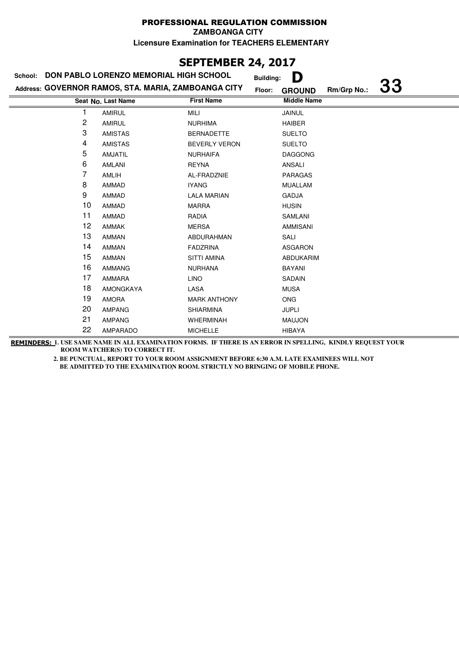**ZAMBOANGA CITY**

**Licensure Examination for TEACHERS ELEMENTARY**

# **SEPTEMBER 24, 2017**

|    | School: DON PABLO LORENZO MEMORIAL HIGH SCHOOL      |                      | D<br><b>Building:</b>                               |  |
|----|-----------------------------------------------------|----------------------|-----------------------------------------------------|--|
|    | Address: GOVERNOR RAMOS, STA. MARIA, ZAMBOANGA CITY |                      | <b>33</b><br>Rm/Grp No.:<br>Floor:<br><b>GROUND</b> |  |
|    | Seat No. Last Name                                  | <b>First Name</b>    | <b>Middle Name</b>                                  |  |
|    | <b>AMIRUL</b>                                       | <b>MILI</b>          | JAINUL                                              |  |
| 2  | <b>AMIRUL</b>                                       | <b>NURHIMA</b>       | <b>HAIBER</b>                                       |  |
| 3  | <b>AMISTAS</b>                                      | <b>BERNADETTE</b>    | <b>SUELTO</b>                                       |  |
| 4  | <b>AMISTAS</b>                                      | <b>BEVERLY VERON</b> | <b>SUELTO</b>                                       |  |
| 5  | <b>AMJATIL</b>                                      | <b>NURHAIFA</b>      | <b>DAGGONG</b>                                      |  |
| 6  | <b>AMLANI</b>                                       | <b>REYNA</b>         | <b>ANSALI</b>                                       |  |
| 7  | AMLIH                                               | AL-FRADZNIE          | <b>PARAGAS</b>                                      |  |
| 8  | <b>AMMAD</b>                                        | <b>IYANG</b>         | <b>MUALLAM</b>                                      |  |
| 9  | <b>AMMAD</b>                                        | <b>LALA MARIAN</b>   | <b>GADJA</b>                                        |  |
| 10 | AMMAD                                               | <b>MARRA</b>         | <b>HUSIN</b>                                        |  |
| 11 | AMMAD                                               | RADIA                | SAMLANI                                             |  |
| 12 | <b>AMMAK</b>                                        | <b>MERSA</b>         | AMMISANI                                            |  |
| 13 | <b>AMMAN</b>                                        | ABDURAHMAN           | SALI                                                |  |
| 14 | <b>AMMAN</b>                                        | <b>FADZRINA</b>      | <b>ASGARON</b>                                      |  |
| 15 | <b>AMMAN</b>                                        | <b>SITTI AMINA</b>   | <b>ABDUKARIM</b>                                    |  |
| 16 | <b>AMMANG</b>                                       | <b>NURHANA</b>       | <b>BAYANI</b>                                       |  |
| 17 | AMMARA                                              | <b>LINO</b>          | SADAIN                                              |  |
| 18 | AMONGKAYA                                           | LASA                 | <b>MUSA</b>                                         |  |
| 19 | <b>AMORA</b>                                        | <b>MARK ANTHONY</b>  | <b>ONG</b>                                          |  |
| 20 | <b>AMPANG</b>                                       | <b>SHIARMINA</b>     | <b>JUPLI</b>                                        |  |
| 21 | <b>AMPANG</b>                                       | <b>WHERMINAH</b>     | <b>MAUJON</b>                                       |  |
| 22 | AMPARADO                                            | <b>MICHELLE</b>      | <b>HIBAYA</b>                                       |  |

**REMINDERS: 1. USE SAME NAME IN ALL EXAMINATION FORMS. IF THERE IS AN ERROR IN SPELLING, KINDLY REQUEST YOUR ROOM WATCHER(S) TO CORRECT IT.**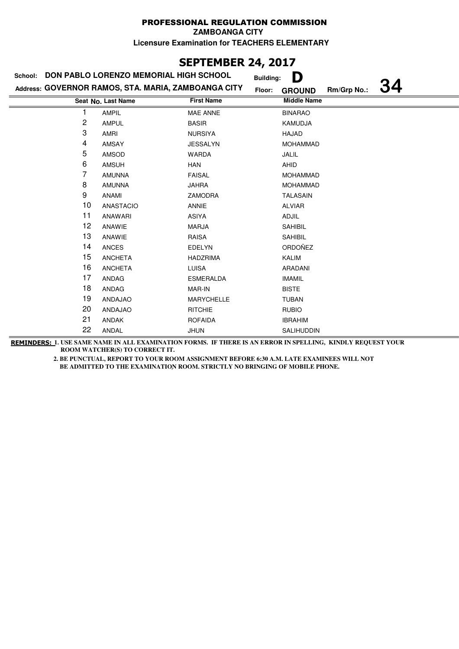**ZAMBOANGA CITY**

**Licensure Examination for TEACHERS ELEMENTARY**

# **SEPTEMBER 24, 2017**

|    | School: DON PABLO LORENZO MEMORIAL HIGH SCHOOL      |                   | D<br><b>Building:</b>                               |  |
|----|-----------------------------------------------------|-------------------|-----------------------------------------------------|--|
|    | Address: GOVERNOR RAMOS, STA. MARIA, ZAMBOANGA CITY |                   | <b>34</b><br>Rm/Grp No.:<br>Floor:<br><b>GROUND</b> |  |
|    | Seat No. Last Name                                  | <b>First Name</b> | <b>Middle Name</b>                                  |  |
|    | <b>AMPIL</b>                                        | MAE ANNE          | <b>BINARAO</b>                                      |  |
| 2  | <b>AMPUL</b>                                        | <b>BASIR</b>      | KAMUDJA                                             |  |
| 3  | AMRI                                                | <b>NURSIYA</b>    | HAJAD                                               |  |
| 4  | <b>AMSAY</b>                                        | <b>JESSALYN</b>   | <b>MOHAMMAD</b>                                     |  |
| 5  | AMSOD                                               | <b>WARDA</b>      | JALIL                                               |  |
| 6  | <b>AMSUH</b>                                        | HAN               | AHID                                                |  |
| 7  | <b>AMUNNA</b>                                       | <b>FAISAL</b>     | <b>MOHAMMAD</b>                                     |  |
| 8  | <b>AMUNNA</b>                                       | <b>JAHRA</b>      | <b>MOHAMMAD</b>                                     |  |
| 9  | ANAMI                                               | ZAMODRA           | <b>TALASAIN</b>                                     |  |
| 10 | <b>ANASTACIO</b>                                    | <b>ANNIE</b>      | <b>ALVIAR</b>                                       |  |
| 11 | ANAWARI                                             | ASIYA             | ADJIL                                               |  |
| 12 | ANAWIE                                              | <b>MARJA</b>      | <b>SAHIBIL</b>                                      |  |
| 13 | ANAWIE                                              | <b>RAISA</b>      | <b>SAHIBIL</b>                                      |  |
| 14 | <b>ANCES</b>                                        | EDELYN            | ORDOÑEZ                                             |  |
| 15 | <b>ANCHETA</b>                                      | <b>HADZRIMA</b>   | KALIM                                               |  |
| 16 | <b>ANCHETA</b>                                      | <b>LUISA</b>      | ARADANI                                             |  |
| 17 | <b>ANDAG</b>                                        | <b>ESMERALDA</b>  | <b>IMAMIL</b>                                       |  |
| 18 | <b>ANDAG</b>                                        | MAR-IN            | <b>BISTE</b>                                        |  |
| 19 | ANDAJAO                                             | <b>MARYCHELLE</b> | <b>TUBAN</b>                                        |  |
| 20 | ANDAJAO                                             | <b>RITCHIE</b>    | <b>RUBIO</b>                                        |  |
| 21 | <b>ANDAK</b>                                        | <b>ROFAIDA</b>    | <b>IBRAHIM</b>                                      |  |
| 22 | ANDAL                                               | <b>JHUN</b>       | SALIHUDDIN                                          |  |

**REMINDERS: 1. USE SAME NAME IN ALL EXAMINATION FORMS. IF THERE IS AN ERROR IN SPELLING, KINDLY REQUEST YOUR ROOM WATCHER(S) TO CORRECT IT.**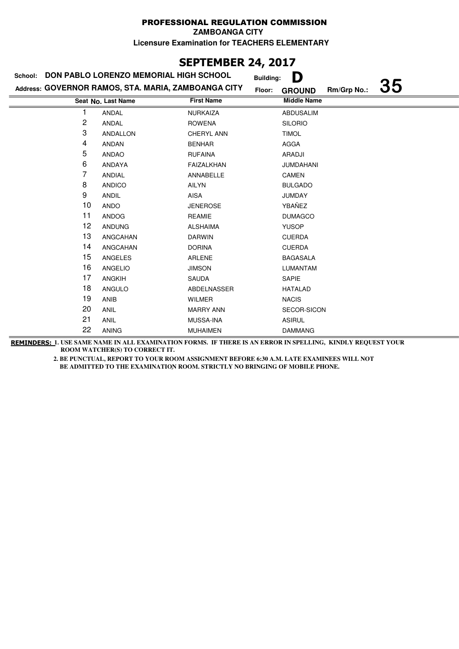**ZAMBOANGA CITY**

**Licensure Examination for TEACHERS ELEMENTARY**

# **SEPTEMBER 24, 2017**

| School: | DON PABLO LORENZO MEMORIAL HIGH SCHOOL              |                   | D<br><b>Building:</b>   |             |    |
|---------|-----------------------------------------------------|-------------------|-------------------------|-------------|----|
|         | Address: GOVERNOR RAMOS, STA. MARIA, ZAMBOANGA CITY |                   | Floor:<br><b>GROUND</b> | Rm/Grp No.: | 35 |
|         | Seat No. Last Name                                  | <b>First Name</b> | <b>Middle Name</b>      |             |    |
| 1       | <b>ANDAL</b>                                        | <b>NURKAIZA</b>   | <b>ABDUSALIM</b>        |             |    |
| 2       | ANDAL                                               | <b>ROWENA</b>     | <b>SILORIO</b>          |             |    |
| 3       | ANDALLON                                            | CHERYL ANN        | <b>TIMOL</b>            |             |    |
| 4       | <b>ANDAN</b>                                        | <b>BENHAR</b>     | <b>AGGA</b>             |             |    |
| 5       | ANDAO                                               | <b>RUFAINA</b>    | ARADJI                  |             |    |
| 6       | ANDAYA                                              | FAIZALKHAN        | <b>JUMDAHANI</b>        |             |    |
| 7       | <b>ANDIAL</b>                                       | ANNABELLE         | CAMEN                   |             |    |
| 8       | <b>ANDICO</b>                                       | AILYN             | <b>BULGADO</b>          |             |    |
| 9       | <b>ANDIL</b>                                        | AISA              | <b>JUMDAY</b>           |             |    |
| 10      | ANDO                                                | <b>JENEROSE</b>   | YBAÑEZ                  |             |    |
| 11      | ANDOG                                               | <b>REAMIE</b>     | <b>DUMAGCO</b>          |             |    |
| 12      | <b>ANDUNG</b>                                       | <b>ALSHAIMA</b>   | <b>YUSOP</b>            |             |    |
| 13      | ANGCAHAN                                            | <b>DARWIN</b>     | <b>CUERDA</b>           |             |    |
| 14      | ANGCAHAN                                            | <b>DORINA</b>     | <b>CUERDA</b>           |             |    |
| 15      | ANGELES                                             | ARLENE            | <b>BAGASALA</b>         |             |    |
| 16      | <b>ANGELIO</b>                                      | <b>JIMSON</b>     | <b>LUMANTAM</b>         |             |    |
| 17      | <b>ANGKIH</b>                                       | SAUDA             | SAPIE                   |             |    |
| 18      | ANGULO                                              | ABDELNASSER       | <b>HATALAD</b>          |             |    |
| 19      | <b>ANIB</b>                                         | <b>WILMER</b>     | <b>NACIS</b>            |             |    |
| 20      | <b>ANIL</b>                                         | <b>MARRY ANN</b>  | SECOR-SICON             |             |    |
| 21      | ANIL                                                | <b>MUSSA-INA</b>  | <b>ASIRUL</b>           |             |    |
| 22      | <b>ANING</b>                                        | <b>MUHAIMEN</b>   | <b>DAMMANG</b>          |             |    |

**REMINDERS: 1. USE SAME NAME IN ALL EXAMINATION FORMS. IF THERE IS AN ERROR IN SPELLING, KINDLY REQUEST YOUR ROOM WATCHER(S) TO CORRECT IT.**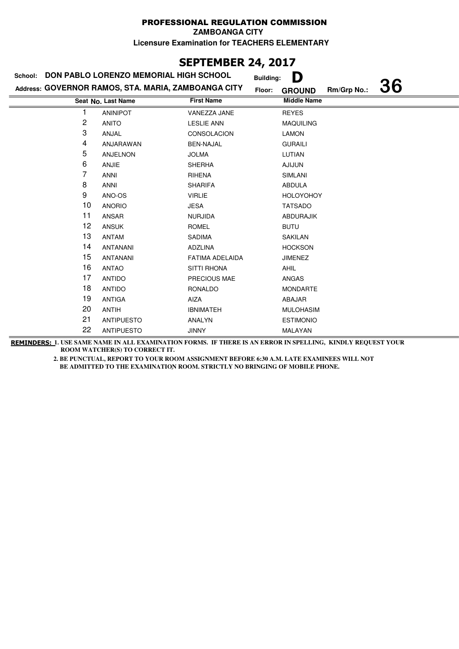**ZAMBOANGA CITY**

**Licensure Examination for TEACHERS ELEMENTARY**

# **SEPTEMBER 24, 2017**

| School: | DON PABLO LORENZO MEMORIAL HIGH SCHOOL              |                    | <b>Building:</b> | D                  |             |    |
|---------|-----------------------------------------------------|--------------------|------------------|--------------------|-------------|----|
|         | Address: GOVERNOR RAMOS, STA. MARIA, ZAMBOANGA CITY |                    | Floor:           | <b>GROUND</b>      | Rm/Grp No.: | 36 |
|         | Seat No. Last Name                                  | <b>First Name</b>  |                  | <b>Middle Name</b> |             |    |
|         | <b>ANINIPOT</b>                                     | VANEZZA JANE       |                  | <b>REYES</b>       |             |    |
| 2       | <b>ANITO</b>                                        | <b>LESLIE ANN</b>  |                  | <b>MAQUILING</b>   |             |    |
| 3       | ANJAL                                               | <b>CONSOLACION</b> |                  | LAMON              |             |    |
| 4       | ANJARAWAN                                           | <b>BEN-NAJAL</b>   |                  | <b>GURAILI</b>     |             |    |
| 5       | ANJELNON                                            | <b>JOLMA</b>       |                  | LUTIAN             |             |    |
| 6       | <b>ANJIE</b>                                        | <b>SHERHA</b>      |                  | <b>AJIJUN</b>      |             |    |
| 7       | <b>ANNI</b>                                         | <b>RIHENA</b>      |                  | <b>SIMLANI</b>     |             |    |
| 8       | <b>ANNI</b>                                         | <b>SHARIFA</b>     |                  | <b>ABDULA</b>      |             |    |
| 9       | ANO-OS                                              | <b>VIRLIE</b>      |                  | <b>HOLOYOHOY</b>   |             |    |
| 10      | <b>ANORIO</b>                                       | JESA               |                  | <b>TATSADO</b>     |             |    |
| 11      | ANSAR                                               | <b>NURJIDA</b>     |                  | <b>ABDURAJIK</b>   |             |    |
| 12      | <b>ANSUK</b>                                        | <b>ROMEL</b>       |                  | <b>BUTU</b>        |             |    |
| 13      | <b>ANTAM</b>                                        | <b>SADIMA</b>      |                  | SAKILAN            |             |    |
| 14      | <b>ANTANANI</b>                                     | ADZLINA            |                  | <b>HOCKSON</b>     |             |    |
| 15      | <b>ANTANANI</b>                                     | FATIMA ADELAIDA    |                  | <b>JIMENEZ</b>     |             |    |
| 16      | <b>ANTAO</b>                                        | <b>SITTI RHONA</b> |                  | <b>AHIL</b>        |             |    |
| 17      | <b>ANTIDO</b>                                       | PRECIOUS MAE       |                  | ANGAS              |             |    |
| 18      | <b>ANTIDO</b>                                       | RONALDO            |                  | <b>MONDARTE</b>    |             |    |
| 19      | <b>ANTIGA</b>                                       | AIZA               |                  | ABAJAR             |             |    |
| 20      | <b>ANTIH</b>                                        | <b>IBNIMATEH</b>   |                  | <b>MULOHASIM</b>   |             |    |
| 21      | <b>ANTIPUESTO</b>                                   | ANALYN             |                  | <b>ESTIMONIO</b>   |             |    |
| 22      | <b>ANTIPUESTO</b>                                   | <b>JINNY</b>       |                  | MALAYAN            |             |    |

**REMINDERS: 1. USE SAME NAME IN ALL EXAMINATION FORMS. IF THERE IS AN ERROR IN SPELLING, KINDLY REQUEST YOUR ROOM WATCHER(S) TO CORRECT IT.**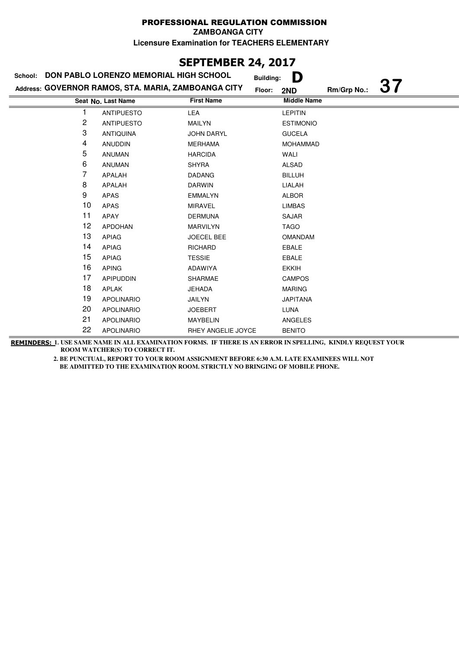**SEPTEMBER 24, 2017**

| 36. TEPIDER <del>27</del> / 291/ |                                                     |                    |                       |             |    |  |
|----------------------------------|-----------------------------------------------------|--------------------|-----------------------|-------------|----|--|
| School:                          | DON PABLO LORENZO MEMORIAL HIGH SCHOOL              |                    | D<br><b>Building:</b> |             |    |  |
|                                  | Address: GOVERNOR RAMOS, STA. MARIA, ZAMBOANGA CITY |                    | Floor:<br>2ND         | Rm/Grp No.: | 37 |  |
|                                  | Seat No. Last Name                                  | <b>First Name</b>  | <b>Middle Name</b>    |             |    |  |
|                                  | <b>ANTIPUESTO</b>                                   | LEA                | <b>LEPITIN</b>        |             |    |  |
| 2                                | <b>ANTIPUESTO</b>                                   | <b>MAILYN</b>      | <b>ESTIMONIO</b>      |             |    |  |
| 3                                | <b>ANTIQUINA</b>                                    | <b>JOHN DARYL</b>  | <b>GUCELA</b>         |             |    |  |
| 4                                | <b>ANUDDIN</b>                                      | <b>MERHAMA</b>     | <b>MOHAMMAD</b>       |             |    |  |
| 5                                | <b>ANUMAN</b>                                       | <b>HARCIDA</b>     | WALI                  |             |    |  |
| 6                                | <b>ANUMAN</b>                                       | <b>SHYRA</b>       | <b>ALSAD</b>          |             |    |  |
| 7                                | APALAH                                              | <b>DADANG</b>      | <b>BILLUH</b>         |             |    |  |
| 8                                | APALAH                                              | <b>DARWIN</b>      | LIALAH                |             |    |  |
| 9                                | <b>APAS</b>                                         | <b>EMMALYN</b>     | <b>ALBOR</b>          |             |    |  |
| 10                               | <b>APAS</b>                                         | <b>MIRAVEL</b>     | <b>LIMBAS</b>         |             |    |  |
| 11                               | APAY                                                | <b>DERMUNA</b>     | <b>SAJAR</b>          |             |    |  |
| 12                               | <b>APDOHAN</b>                                      | <b>MARVILYN</b>    | <b>TAGO</b>           |             |    |  |
| 13                               | <b>APIAG</b>                                        | <b>JOECEL BEE</b>  | <b>OMANDAM</b>        |             |    |  |
| 14                               | <b>APIAG</b>                                        | <b>RICHARD</b>     | <b>EBALE</b>          |             |    |  |
| 15                               | <b>APIAG</b>                                        | <b>TESSIE</b>      | EBALE                 |             |    |  |
| 16                               | <b>APING</b>                                        | ADAWIYA            | <b>EKKIH</b>          |             |    |  |
| 17                               | <b>APIPUDDIN</b>                                    | <b>SHARMAE</b>     | <b>CAMPOS</b>         |             |    |  |
| 18                               | <b>APLAK</b>                                        | <b>JEHADA</b>      | <b>MARING</b>         |             |    |  |
| 19                               | <b>APOLINARIO</b>                                   | JAILYN             | <b>JAPITANA</b>       |             |    |  |
| 20                               | <b>APOLINARIO</b>                                   | <b>JOEBERT</b>     | <b>LUNA</b>           |             |    |  |
| 21                               | <b>APOLINARIO</b>                                   | <b>MAYBELIN</b>    | <b>ANGELES</b>        |             |    |  |
| 22                               | <b>APOLINARIO</b>                                   | RHEY ANGELIE JOYCE | <b>BENITO</b>         |             |    |  |

**REMINDERS: 1. USE SAME NAME IN ALL EXAMINATION FORMS. IF THERE IS AN ERROR IN SPELLING, KINDLY REQUEST YOUR ROOM WATCHER(S) TO CORRECT IT.**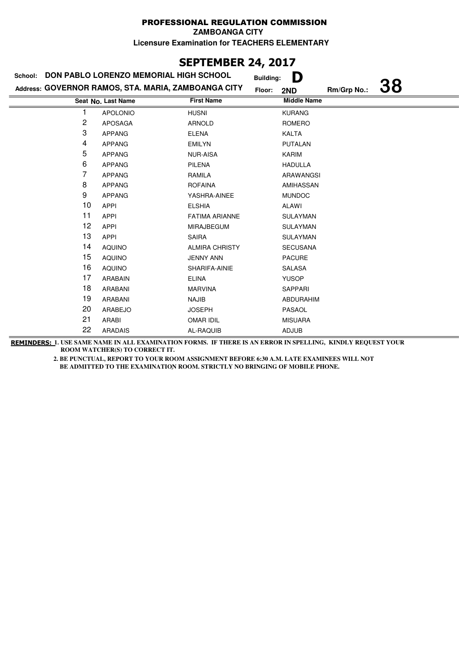**ZAMBOANGA CITY**

**Licensure Examination for TEACHERS ELEMENTARY**

## **SEPTEMBER 24, 2017**

| DON PABLO LORENZO MEMORIAL HIGH SCHOOL<br>School: |                                                     |                       | D<br><b>Building:</b> |             |    |
|---------------------------------------------------|-----------------------------------------------------|-----------------------|-----------------------|-------------|----|
|                                                   | Address: GOVERNOR RAMOS, STA. MARIA, ZAMBOANGA CITY |                       | Floor:<br>2ND         | Rm/Grp No.: | 38 |
|                                                   | Seat No. Last Name                                  | <b>First Name</b>     | <b>Middle Name</b>    |             |    |
|                                                   | <b>APOLONIO</b>                                     | <b>HUSNI</b>          | <b>KURANG</b>         |             |    |
| $\overline{c}$                                    | <b>APOSAGA</b>                                      | <b>ARNOLD</b>         | ROMERO                |             |    |
| 3                                                 | <b>APPANG</b>                                       | <b>ELENA</b>          | <b>KALTA</b>          |             |    |
| 4                                                 | <b>APPANG</b>                                       | <b>EMILYN</b>         | <b>PUTALAN</b>        |             |    |
| 5                                                 | <b>APPANG</b>                                       | <b>NUR-AISA</b>       | <b>KARIM</b>          |             |    |
| 6                                                 | <b>APPANG</b>                                       | <b>PILENA</b>         | <b>HADULLA</b>        |             |    |
| 7                                                 | <b>APPANG</b>                                       | RAMILA                | ARAWANGSI             |             |    |
| 8                                                 | <b>APPANG</b>                                       | <b>ROFAINA</b>        | AMIHASSAN             |             |    |
| 9                                                 | <b>APPANG</b>                                       | YASHRA-AINEE          | <b>MUNDOC</b>         |             |    |
| 10                                                | <b>APPI</b>                                         | <b>ELSHIA</b>         | <b>ALAWI</b>          |             |    |
| 11                                                | <b>APPI</b>                                         | <b>FATIMA ARIANNE</b> | <b>SULAYMAN</b>       |             |    |
| 12                                                | <b>APPI</b>                                         | <b>MIRAJBEGUM</b>     | <b>SULAYMAN</b>       |             |    |
| 13                                                | <b>APPI</b>                                         | <b>SAIRA</b>          | <b>SULAYMAN</b>       |             |    |
| 14                                                | <b>AQUINO</b>                                       | <b>ALMIRA CHRISTY</b> | <b>SECUSANA</b>       |             |    |
| 15                                                | <b>AQUINO</b>                                       | <b>JENNY ANN</b>      | <b>PACURE</b>         |             |    |
| 16                                                | <b>AQUINO</b>                                       | SHARIFA-AINIE         | <b>SALASA</b>         |             |    |
| 17                                                | <b>ARABAIN</b>                                      | <b>ELINA</b>          | <b>YUSOP</b>          |             |    |
| 18                                                | ARABANI                                             | <b>MARVINA</b>        | SAPPARI               |             |    |
| 19                                                | ARABANI                                             | <b>NAJIB</b>          | <b>ABDURAHIM</b>      |             |    |
| 20                                                | ARABEJO                                             | <b>JOSEPH</b>         | PASAOL                |             |    |
| 21                                                | ARABI                                               | <b>OMAR IDIL</b>      | <b>MISUARA</b>        |             |    |
| 22                                                | <b>ARADAIS</b>                                      | AL-RAQUIB             | <b>ADJUB</b>          |             |    |

**REMINDERS: 1. USE SAME NAME IN ALL EXAMINATION FORMS. IF THERE IS AN ERROR IN SPELLING, KINDLY REQUEST YOUR ROOM WATCHER(S) TO CORRECT IT.**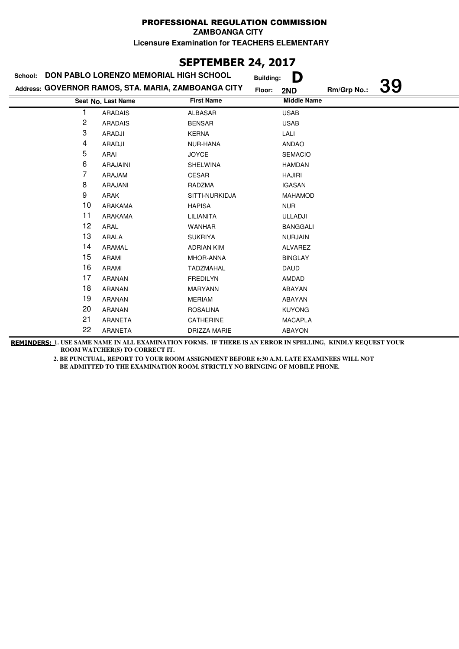#### PROFESSIONAL REGULATION COMMISSION **ZAMBOANGA CITY**

**Licensure Examination for TEACHERS ELEMENTARY**

# **SEPTEMBER 24, 2017**

| School: | DON PABLO LORENZO MEMORIAL HIGH SCHOOL              |                   | D<br><b>Building:</b> |             |           |
|---------|-----------------------------------------------------|-------------------|-----------------------|-------------|-----------|
|         | Address: GOVERNOR RAMOS, STA. MARIA, ZAMBOANGA CITY |                   | Floor:<br>2ND         | Rm/Grp No.: | <b>39</b> |
|         | Seat No. Last Name                                  | <b>First Name</b> | <b>Middle Name</b>    |             |           |
|         | <b>ARADAIS</b>                                      | <b>ALBASAR</b>    | <b>USAB</b>           |             |           |
| 2       | <b>ARADAIS</b>                                      | <b>BENSAR</b>     | <b>USAB</b>           |             |           |
| 3       | ARADJI                                              | <b>KERNA</b>      | LALI                  |             |           |
| 4       | ARADJI                                              | NUR-HANA          | <b>ANDAO</b>          |             |           |
| 5       | ARAI                                                | <b>JOYCE</b>      | <b>SEMACIO</b>        |             |           |
| 6       | <b>ARAJAINI</b>                                     | <b>SHELWINA</b>   | <b>HAMDAN</b>         |             |           |
| 7       | ARAJAM                                              | CESAR             | <b>HAJIRI</b>         |             |           |
| 8       | ARAJANI                                             | RADZMA            | <b>IGASAN</b>         |             |           |
| 9       | ARAK                                                | SITTI-NURKIDJA    | MAHAMOD               |             |           |
| 10      | ARAKAMA                                             | <b>HAPISA</b>     | <b>NUR</b>            |             |           |
| 11      | ARAKAMA                                             | LILIANITA         | <b>ULLADJI</b>        |             |           |
| 12      | ARAL                                                | <b>WANHAR</b>     | <b>BANGGALI</b>       |             |           |
| 13      | ARALA                                               | <b>SUKRIYA</b>    | <b>NURJAIN</b>        |             |           |
| 14      | ARAMAL                                              | <b>ADRIAN KIM</b> | ALVAREZ               |             |           |
| 15      | ARAMI                                               | MHOR-ANNA         | <b>BINGLAY</b>        |             |           |
| 16      | ARAMI                                               | <b>TADZMAHAL</b>  | <b>DAUD</b>           |             |           |
| 17      | <b>ARANAN</b>                                       | <b>FREDILYN</b>   | AMDAD                 |             |           |
| 18      | ARANAN                                              | <b>MARYANN</b>    | ABAYAN                |             |           |
| 19      | ARANAN                                              | <b>MERIAM</b>     | ABAYAN                |             |           |
| 20      | ARANAN                                              | <b>ROSALINA</b>   | <b>KUYONG</b>         |             |           |
| 21      | ARANETA                                             | CATHERINE         | <b>MACAPLA</b>        |             |           |
| 22      | ARANETA                                             | DRIZZA MARIE      | <b>ABAYON</b>         |             |           |

**REMINDERS: 1. USE SAME NAME IN ALL EXAMINATION FORMS. IF THERE IS AN ERROR IN SPELLING, KINDLY REQUEST YOUR ROOM WATCHER(S) TO CORRECT IT.**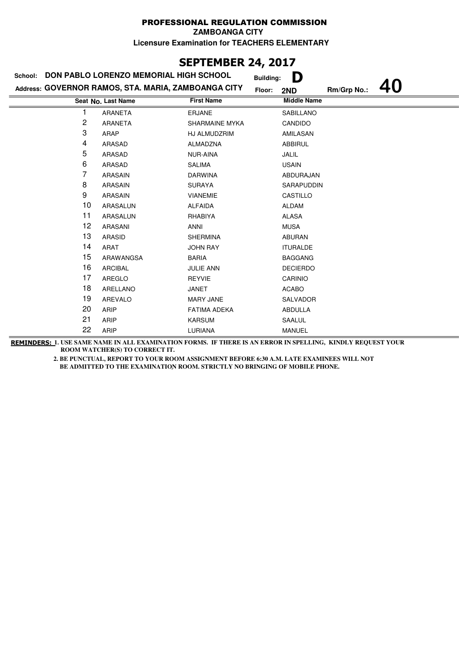## **SEPTEMBER 24, 2017**

| DON PABLO LORENZO MEMORIAL HIGH SCHOOL<br>School: |                                                     |                     |        | D<br><b>Building:</b> |             |  |
|---------------------------------------------------|-----------------------------------------------------|---------------------|--------|-----------------------|-------------|--|
|                                                   | Address: GOVERNOR RAMOS, STA. MARIA, ZAMBOANGA CITY |                     | Floor: | 2ND                   | Rm/Grp No.: |  |
|                                                   | Seat No. Last Name                                  | <b>First Name</b>   |        | <b>Middle Name</b>    |             |  |
|                                                   | ARANETA                                             | <b>ERJANE</b>       |        | <b>SABILLANO</b>      |             |  |
| 2                                                 | <b>ARANETA</b>                                      | SHARMAINE MYKA      |        | CANDIDO               |             |  |
| 3                                                 | ARAP                                                | HJ ALMUDZRIM        |        | AMILASAN              |             |  |
| 4                                                 | <b>ARASAD</b>                                       | ALMADZNA            |        | <b>ABBIRUL</b>        |             |  |
| 5                                                 | ARASAD                                              | NUR-AINA            |        | JALIL                 |             |  |
| 6                                                 | ARASAD                                              | <b>SALIMA</b>       |        | <b>USAIN</b>          |             |  |
| 7                                                 | <b>ARASAIN</b>                                      | <b>DARWINA</b>      |        | ABDURAJAN             |             |  |
| 8                                                 | ARASAIN                                             | <b>SURAYA</b>       |        | SARAPUDDIN            |             |  |
| 9                                                 | <b>ARASAIN</b>                                      | <b>VIANEMIE</b>     |        | CASTILLO              |             |  |
| 10                                                | ARASALUN                                            | <b>ALFAIDA</b>      |        | <b>ALDAM</b>          |             |  |
| 11                                                | ARASALUN                                            | RHABIYA             |        | <b>ALASA</b>          |             |  |
| 12                                                | ARASANI                                             | <b>ANNI</b>         |        | <b>MUSA</b>           |             |  |
| 13                                                | <b>ARASID</b>                                       | <b>SHERMINA</b>     |        | <b>ABURAN</b>         |             |  |
| 14                                                | <b>ARAT</b>                                         | <b>JOHN RAY</b>     |        | <b>ITURALDE</b>       |             |  |
| 15                                                | ARAWANGSA                                           | <b>BARIA</b>        |        | <b>BAGGANG</b>        |             |  |
| 16                                                | <b>ARCIBAL</b>                                      | <b>JULIE ANN</b>    |        | <b>DECIERDO</b>       |             |  |
| 17                                                | <b>AREGLO</b>                                       | <b>REYVIE</b>       |        | CARINIO               |             |  |
| 18                                                | ARELLANO                                            | JANET               |        | <b>ACABO</b>          |             |  |
| 19                                                | <b>AREVALO</b>                                      | <b>MARY JANE</b>    |        | <b>SALVADOR</b>       |             |  |
| 20                                                | <b>ARIP</b>                                         | <b>FATIMA ADEKA</b> |        | ABDULLA               |             |  |
| 21                                                | ARIP                                                | <b>KARSUM</b>       |        | SAALUL                |             |  |
| 22                                                | ARIP                                                | LURIANA             |        | <b>MANUEL</b>         |             |  |

**REMINDERS: 1. USE SAME NAME IN ALL EXAMINATION FORMS. IF THERE IS AN ERROR IN SPELLING, KINDLY REQUEST YOUR ROOM WATCHER(S) TO CORRECT IT.**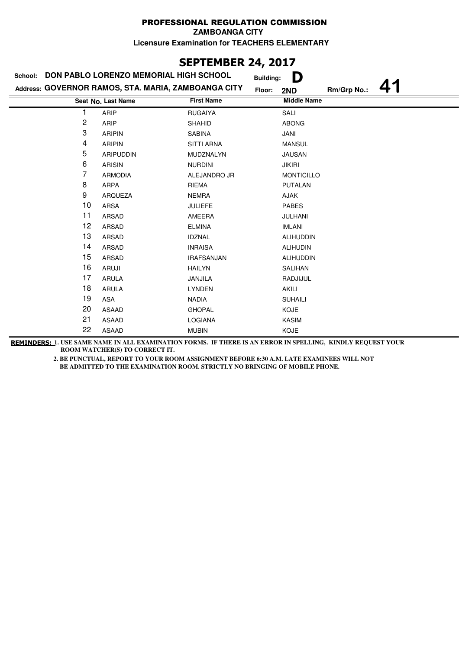**ZAMBOANGA CITY**

**Licensure Examination for TEACHERS ELEMENTARY**

# **SEPTEMBER 24, 2017**

| School: | DON PABLO LORENZO MEMORIAL HIGH SCHOOL              |                   | D<br><b>Building:</b> |             |  |
|---------|-----------------------------------------------------|-------------------|-----------------------|-------------|--|
|         | Address: GOVERNOR RAMOS, STA. MARIA, ZAMBOANGA CITY |                   | Floor:<br>2ND         | Rm/Grp No.: |  |
|         | Seat No. Last Name                                  | <b>First Name</b> | <b>Middle Name</b>    |             |  |
|         | ARIP                                                | <b>RUGAIYA</b>    | SALI                  |             |  |
| 2       | ARIP                                                | <b>SHAHID</b>     | <b>ABONG</b>          |             |  |
| 3       | <b>ARIPIN</b>                                       | <b>SABINA</b>     | JANI                  |             |  |
| 4       | <b>ARIPIN</b>                                       | <b>SITTI ARNA</b> | <b>MANSUL</b>         |             |  |
| 5       | <b>ARIPUDDIN</b>                                    | MUDZNALYN         | <b>JAUSAN</b>         |             |  |
| 6       | <b>ARISIN</b>                                       | <b>NURDINI</b>    | <b>JIKIRI</b>         |             |  |
| 7       | <b>ARMODIA</b>                                      | ALEJANDRO JR      | <b>MONTICILLO</b>     |             |  |
| 8       | ARPA                                                | <b>RIEMA</b>      | <b>PUTALAN</b>        |             |  |
| 9       | ARQUEZA                                             | <b>NEMRA</b>      | AJAK                  |             |  |
| 10      | ARSA                                                | <b>JULIEFE</b>    | <b>PABES</b>          |             |  |
| 11      | ARSAD                                               | AMEERA            | <b>JULHANI</b>        |             |  |
| 12      | ARSAD                                               | <b>ELMINA</b>     | <b>IMLANI</b>         |             |  |
| 13      | ARSAD                                               | <b>IDZNAL</b>     | <b>ALIHUDDIN</b>      |             |  |
| 14      | ARSAD                                               | <b>INRAISA</b>    | <b>ALIHUDIN</b>       |             |  |
| 15      | <b>ARSAD</b>                                        | <b>IRAFSANJAN</b> | <b>ALIHUDDIN</b>      |             |  |
| 16      | ARUJI                                               | <b>HAILYN</b>     | SALIHAN               |             |  |
| 17      | <b>ARULA</b>                                        | JANJILA           | RADJIJUL              |             |  |
| 18      | <b>ARULA</b>                                        | <b>LYNDEN</b>     | AKILI                 |             |  |
| 19      | ASA                                                 | <b>NADIA</b>      | <b>SUHAILI</b>        |             |  |
| 20      | ASAAD                                               | <b>GHOPAL</b>     | <b>KOJE</b>           |             |  |
| 21      | ASAAD                                               | LOGIANA           | KASIM                 |             |  |
| 22      | <b>ASAAD</b>                                        | <b>MUBIN</b>      | <b>KOJE</b>           |             |  |

**REMINDERS: 1. USE SAME NAME IN ALL EXAMINATION FORMS. IF THERE IS AN ERROR IN SPELLING, KINDLY REQUEST YOUR ROOM WATCHER(S) TO CORRECT IT.**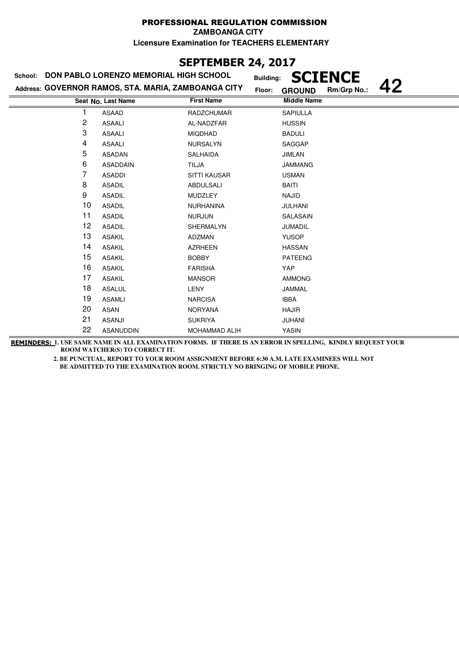# **SEPTEMBER 24, 2017**

| School: | DON PABLO LORENZO MEMORIAL HIGH SCHOOL              | <b>Building:</b>  | <b>IENCE</b>                       |
|---------|-----------------------------------------------------|-------------------|------------------------------------|
|         | Address: GOVERNOR RAMOS, STA. MARIA, ZAMBOANGA CITY | Floor:            | 42<br>Rm/Grp No.:<br><b>GROUND</b> |
|         | Seat No. Last Name                                  | <b>First Name</b> | <b>Middle Name</b>                 |
| 1       | <b>ASAAD</b>                                        | <b>RADZCHUMAR</b> | <b>SAPIULLA</b>                    |
| 2       | <b>ASAALI</b>                                       | AL-NADZFAR        | <b>HUSSIN</b>                      |
| 3       | <b>ASAALI</b>                                       | <b>MIQDHAD</b>    | <b>BADULI</b>                      |
| 4       | <b>ASAALI</b>                                       | <b>NURSALYN</b>   | SAGGAP                             |
| 5       | <b>ASADAN</b>                                       | SALHAIDA          | <b>JIMLAN</b>                      |
| 6       | <b>ASADDAIN</b>                                     | <b>TILJA</b>      | <b>JAMMANG</b>                     |
| 7       | <b>ASADDI</b>                                       | SITTI KAUSAR      | <b>USMAN</b>                       |
| 8       | <b>ASADIL</b>                                       | <b>ABDULSALI</b>  | BAITI                              |
| 9       | <b>ASADIL</b>                                       | MUDZLEY           | NAJID                              |
| 10      | <b>ASADIL</b>                                       | <b>NURHANINA</b>  | <b>JULHANI</b>                     |
| 11      | <b>ASADIL</b>                                       | <b>NURJUN</b>     | SALASAIN                           |
| 12      | <b>ASADIL</b>                                       | SHERMALYN         | <b>JUMADIL</b>                     |
| 13      | <b>ASAKIL</b>                                       | ADZMAN            | <b>YUSOP</b>                       |
| 14      | <b>ASAKIL</b>                                       | <b>AZRHEEN</b>    | <b>HASSAN</b>                      |
| 15      | <b>ASAKIL</b>                                       | <b>BOBBY</b>      | <b>PATEENG</b>                     |
| 16      | <b>ASAKIL</b>                                       | <b>FARISHA</b>    | YAP                                |
| 17      | <b>ASAKIL</b>                                       | <b>MANSOR</b>     | <b>AMMONG</b>                      |
| 18      | <b>ASALUL</b>                                       | LENY              | JAMMAL                             |
| 19      | <b>ASAMLI</b>                                       | <b>NARCISA</b>    | <b>IBBA</b>                        |
| 20      | ASAN                                                | <b>NORYANA</b>    | <b>HAJIR</b>                       |
| 21      | <b>ASANJI</b>                                       | <b>SUKRIYA</b>    | <b>JUHANI</b>                      |
| 22      | <b>ASANUDDIN</b>                                    | MOHAMMAD ALIH     | <b>YASIN</b>                       |

**REMINDERS: 1. USE SAME NAME IN ALL EXAMINATION FORMS. IF THERE IS AN ERROR IN SPELLING, KINDLY REQUEST YOUR ROOM WATCHER(S) TO CORRECT IT.**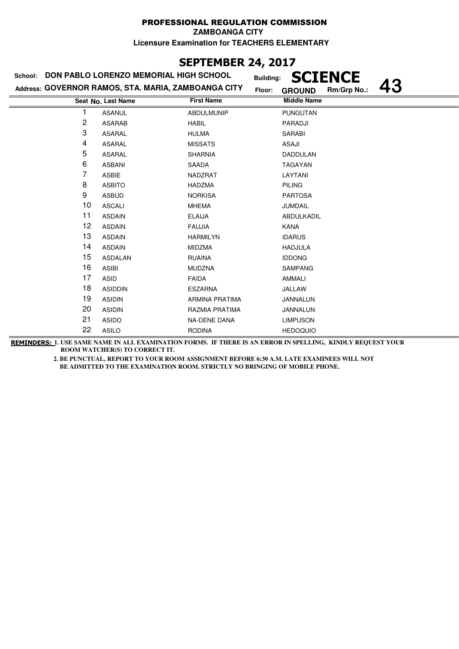**ZAMBOANGA CITY**

**Licensure Examination for TEACHERS ELEMENTARY**

## **SEPTEMBER 24, 2017**

### **Last Name First Name Middle Name Address: GOVERNOR RAMOS, STA. MARIA, ZAMBOANGA CITY School: DON PABLO LORENZO MEMORIAL HIGH SCHOOL Building: SCIENCE Floor: GROUND Rm/Grp No.: 43 Seat No.** 1 ASANUL ABDULMUNIP PUNGUTAN 2 ASARAB HABIL PARADJI 3 ASARAL HULMA SARABI 4 ASARAL MISSATS ASAJI 5 ASARAL SHARNIA DADDULAN 6 ASBANI SAADA TAGAYAN 7 ASBIE NADZRAT LAYTANI 8 ASBITO **HADZMA** PILING 9 ASBUD NORKISA PARTOSA 10 ASCALI MHEMA JUMDAIL 11 ASDAIN ELAIJA ABDULKADIL 12 ASDAIN FAUJIA KANA 13 ASDAIN HARMILYN IDARUS 14 ASDAIN MIDZMA HADJULA 15 ASDALAN RUAINA IDDONG 16 ASIBI MUDZNA SAMPANG 17 ASID **FAIDA** FAIDA 18 ASIDDIN ESZARNA JALLAW 19 ASIDIN ARMINA PRATIMA JANNALUN 20 ASIDIN RAZMIA PRATIMA JANNALUN 21 ASIDO NA-DENE DANA LIMPUSON 22 ASILO RODINA HEDOQUIO

**REMINDERS: 1. USE SAME NAME IN ALL EXAMINATION FORMS. IF THERE IS AN ERROR IN SPELLING, KINDLY REQUEST YOUR ROOM WATCHER(S) TO CORRECT IT.**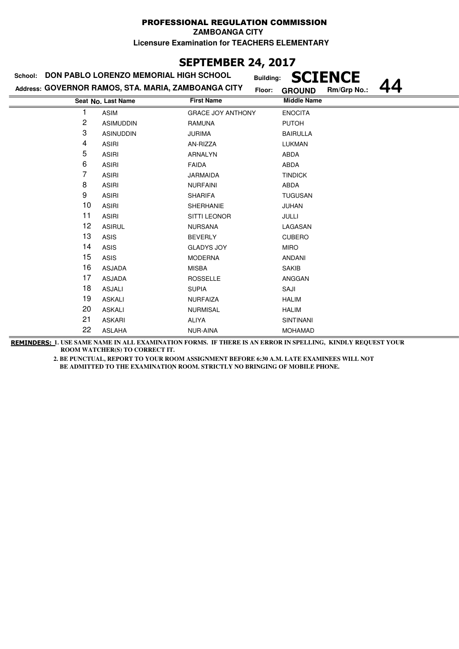**ZAMBOANGA CITY**

**Licensure Examination for TEACHERS ELEMENTARY**

## **SEPTEMBER 24, 2017**

# **School: DON PABLO LORENZO MEMORIAL HIGH SCHOOL**

| School:                                             | DON PABLO LORENZO MEMORIAL HIGH SCHOOL |                          | <b>SCIENCE</b><br><b>Building:</b>     |  |
|-----------------------------------------------------|----------------------------------------|--------------------------|----------------------------------------|--|
| Address: GOVERNOR RAMOS, STA. MARIA, ZAMBOANGA CITY |                                        |                          | Rm/Grp No.:<br>Floor:<br><b>GROUND</b> |  |
|                                                     | Seat No. Last Name                     | <b>First Name</b>        | <b>Middle Name</b>                     |  |
|                                                     | ASIM                                   | <b>GRACE JOY ANTHONY</b> | <b>ENOCITA</b>                         |  |
| 2                                                   | <b>ASIMUDDIN</b>                       | <b>RAMUNA</b>            | <b>PUTOH</b>                           |  |
| 3                                                   | <b>ASINUDDIN</b>                       | <b>JURIMA</b>            | <b>BAIRULLA</b>                        |  |
| 4                                                   | <b>ASIRI</b>                           | AN-RIZZA                 | LUKMAN                                 |  |
| 5                                                   | <b>ASIRI</b>                           | <b>ARNALYN</b>           | ABDA                                   |  |
| 6                                                   | <b>ASIRI</b>                           | <b>FAIDA</b>             | ABDA                                   |  |
| 7                                                   | <b>ASIRI</b>                           | <b>JARMAIDA</b>          | <b>TINDICK</b>                         |  |
| 8                                                   | <b>ASIRI</b>                           | <b>NURFAINI</b>          | ABDA                                   |  |
| 9                                                   | <b>ASIRI</b>                           | <b>SHARIFA</b>           | <b>TUGUSAN</b>                         |  |
| 10                                                  | <b>ASIRI</b>                           | <b>SHERHANIE</b>         | JUHAN                                  |  |
| 11                                                  | <b>ASIRI</b>                           | <b>SITTI LEONOR</b>      | JULLI                                  |  |
| 12                                                  | <b>ASIRUL</b>                          | <b>NURSANA</b>           | LAGASAN                                |  |
| 13                                                  | <b>ASIS</b>                            | <b>BEVERLY</b>           | <b>CUBERO</b>                          |  |
| 14                                                  | <b>ASIS</b>                            | <b>GLADYS JOY</b>        | <b>MIRO</b>                            |  |
| 15                                                  | <b>ASIS</b>                            | <b>MODERNA</b>           | <b>ANDANI</b>                          |  |
| 16                                                  | <b>ASJADA</b>                          | <b>MISBA</b>             | <b>SAKIB</b>                           |  |
| 17                                                  | <b>ASJADA</b>                          | <b>ROSSELLE</b>          | ANGGAN                                 |  |
| 18                                                  | <b>ASJALI</b>                          | <b>SUPIA</b>             | SAJI                                   |  |
| 19                                                  | <b>ASKALI</b>                          | <b>NURFAIZA</b>          | <b>HALIM</b>                           |  |
| 20                                                  | <b>ASKALI</b>                          | <b>NURMISAL</b>          | <b>HALIM</b>                           |  |
| 21                                                  | <b>ASKARI</b>                          | <b>ALIYA</b>             | <b>SINTINANI</b>                       |  |

**REMINDERS: 1. USE SAME NAME IN ALL EXAMINATION FORMS. IF THERE IS AN ERROR IN SPELLING, KINDLY REQUEST YOUR ROOM WATCHER(S) TO CORRECT IT.** 

ASLAHA NUR-AINA MOHAMAD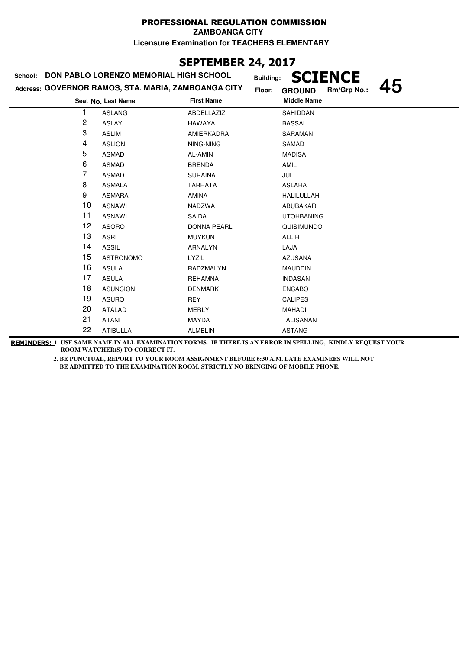#### PROFESSIONAL REGULATION COMMISSION **ZAMBOANGA CITY**

**Licensure Examination for TEACHERS ELEMENTARY**

## **SEPTEMBER 24, 2017**

### **Last Name Middle Name Address: GOVERNOR RAMOS, STA. MARIA, ZAMBOANGA CITY School: DON PABLO LORENZO MEMORIAL HIGH SCHOOL Building: SCIENCE Floor: GROUND Rm/Grp No.: 45 Seat No.** 1 ASLANG ABDELLAZIZ SAHIDDAN 2 ASLAY HAWAYA BASSAL 3 ASLIM AMIERKADRA SARAMAN 4 ASLION NING-NING SAMAD 5 ASMAD AL-AMIN AL-AMIN 6 ASMAD BRENDA BRENDA AMIL 7 ASMAD SURAINA JUL 8 ASMALA TARHATA ASLAHA 9 ASMARA AMINA AMINA HALILULLAH 10 ASNAWI NADZWA NADZWA ABUBAKAR 11 ASNAWI SAIDA UTOHBANING 12 ASORO DONNA PEARL QUISIMUNDO 13 ASRI MUYKUN ALLIH 14 ASSIL ARNALYN LAJA 15 ASTRONOMO LYZIL AZUSANA 16 ASULA RADZMALYN MAUDDIN 17 ASULA REHAMNA INDASAN 18 ASUNCION DENMARK ENCABO 19 ASURO REY CALIPES 20 ATALAD MERLY MAHADI 21 ATANI MAYDA TALISANAN 22 ATIBULLA ALMELIN ASTANG

**REMINDERS: 1. USE SAME NAME IN ALL EXAMINATION FORMS. IF THERE IS AN ERROR IN SPELLING, KINDLY REQUEST YOUR ROOM WATCHER(S) TO CORRECT IT.**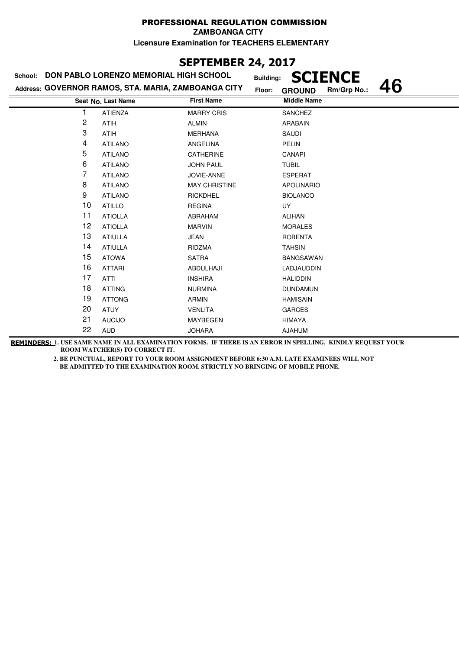#### PROFESSIONAL REGULATION COMMISSION **ZAMBOANGA CITY**

**Licensure Examination for TEACHERS ELEMENTARY**

## **SEPTEMBER 24, 2017**

| School: | DON PABLO LORENZO MEMORIAL HIGH SCHOOL              | <b>Building:</b>     | <b>SCIENCE</b>               |    |
|---------|-----------------------------------------------------|----------------------|------------------------------|----|
|         | Address: GOVERNOR RAMOS, STA. MARIA, ZAMBOANGA CITY | Floor:               | Rm/Grp No.:<br><b>GROUND</b> | 46 |
|         | Seat No. Last Name                                  | <b>First Name</b>    | <b>Middle Name</b>           |    |
|         | <b>ATIENZA</b>                                      | <b>MARRY CRIS</b>    | <b>SANCHEZ</b>               |    |
| 2       | <b>ATIH</b>                                         | <b>ALMIN</b>         | <b>ARABAIN</b>               |    |
| 3       | ATIH                                                | <b>MERHANA</b>       | SAUDI                        |    |
| 4       | <b>ATILANO</b>                                      | ANGELINA             | <b>PELIN</b>                 |    |
| 5       | <b>ATILANO</b>                                      | CATHERINE            | CANAPI                       |    |
| 6       | <b>ATILANO</b>                                      | <b>JOHN PAUL</b>     | <b>TUBIL</b>                 |    |
| 7       | <b>ATILANO</b>                                      | JOVIE-ANNE           | <b>ESPERAT</b>               |    |
| 8       | <b>ATILANO</b>                                      | <b>MAY CHRISTINE</b> | <b>APOLINARIO</b>            |    |
| 9       | <b>ATILANO</b>                                      | <b>RICKDHEL</b>      | <b>BIOLANCO</b>              |    |
| 10      | <b>ATILLO</b>                                       | <b>REGINA</b>        | <b>UY</b>                    |    |
| 11      | <b>ATIOLLA</b>                                      | ABRAHAM              | <b>ALIHAN</b>                |    |
| 12      | <b>ATIOLLA</b>                                      | <b>MARVIN</b>        | <b>MORALES</b>               |    |
| 13      | <b>ATIULLA</b>                                      | JEAN                 | <b>ROBENTA</b>               |    |
| 14      | <b>ATIULLA</b>                                      | RIDZMA               | <b>TAHSIN</b>                |    |
| 15      | <b>ATOWA</b>                                        | <b>SATRA</b>         | <b>BANGSAWAN</b>             |    |
| 16      | <b>ATTARI</b>                                       | ABDULHAJI            | LADJAUDDIN                   |    |
| 17      | <b>ATTI</b>                                         | <b>INSHIRA</b>       | <b>HALIDDIN</b>              |    |
| 18      | <b>ATTING</b>                                       | <b>NURMINA</b>       | <b>DUNDAMUN</b>              |    |
| 19      | <b>ATTONG</b>                                       | ARMIN                | <b>HAMISAIN</b>              |    |
| 20      | <b>ATUY</b>                                         | <b>VENLITA</b>       | <b>GARCES</b>                |    |
| 21      | <b>AUCIJO</b>                                       | <b>MAYBEGEN</b>      | <b>HIMAYA</b>                |    |
| 22      | <b>AUD</b>                                          | <b>JOHARA</b>        | <b>AJAHUM</b>                |    |

**REMINDERS: 1. USE SAME NAME IN ALL EXAMINATION FORMS. IF THERE IS AN ERROR IN SPELLING, KINDLY REQUEST YOUR ROOM WATCHER(S) TO CORRECT IT.**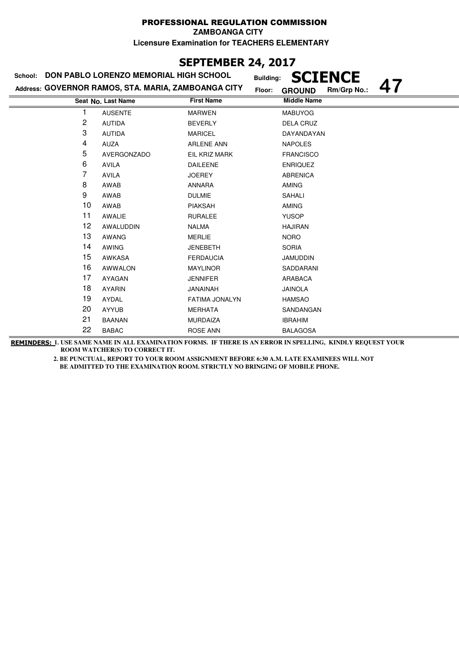## **SEPTEMBER 24, 2017**

| School: | DON PABLO LORENZO MEMORIAL HIGH SCHOOL              | <b>Building:</b>  | <b>CIENCE</b>                |
|---------|-----------------------------------------------------|-------------------|------------------------------|
|         | Address: GOVERNOR RAMOS, STA. MARIA, ZAMBOANGA CITY | Floor:            | Rm/Grp No.:<br><b>GROUND</b> |
|         | Seat No. Last Name                                  | <b>First Name</b> | <b>Middle Name</b>           |
|         | <b>AUSENTE</b>                                      | <b>MARWEN</b>     | <b>MABUYOG</b>               |
| 2       | <b>AUTIDA</b>                                       | <b>BEVERLY</b>    | <b>DELA CRUZ</b>             |
| 3       | <b>AUTIDA</b>                                       | <b>MARICEL</b>    | DAYANDAYAN                   |
| 4       | <b>AUZA</b>                                         | <b>ARLENE ANN</b> | <b>NAPOLES</b>               |
| 5       | AVERGONZADO                                         | EIL KRIZ MARK     | <b>FRANCISCO</b>             |
| 6       | <b>AVILA</b>                                        | <b>DAILEENE</b>   | <b>ENRIQUEZ</b>              |
| 7       | <b>AVILA</b>                                        | <b>JOEREY</b>     | <b>ABRENICA</b>              |
| 8       | AWAB                                                | <b>ANNARA</b>     | <b>AMING</b>                 |
| 9       | AWAB                                                | <b>DULMIE</b>     | SAHALI                       |
| 10      | AWAB                                                | <b>PIAKSAH</b>    | <b>AMING</b>                 |
| 11      | AWALIE                                              | <b>RURALEE</b>    | <b>YUSOP</b>                 |
| 12      | AWALUDDIN                                           | <b>NALMA</b>      | <b>HAJIRAN</b>               |
| 13      | AWANG                                               | <b>MERLIE</b>     | <b>NORO</b>                  |
| 14      | <b>AWING</b>                                        | <b>JENEBETH</b>   | <b>SORIA</b>                 |
| 15      | AWKASA                                              | <b>FERDAUCIA</b>  | <b>JAMUDDIN</b>              |
| 16      | <b>AWWALON</b>                                      | <b>MAYLINOR</b>   | SADDARANI                    |
| 17      | <b>AYAGAN</b>                                       | <b>JENNIFER</b>   | ARABACA                      |
| 18      | <b>AYARIN</b>                                       | <b>JANAINAH</b>   | <b>JAINOLA</b>               |
| 19      | AYDAL                                               | FATIMA JONALYN    | <b>HAMSAO</b>                |
| 20      | <b>AYYUB</b>                                        | <b>MERHATA</b>    | SANDANGAN                    |
| 21      | <b>BAANAN</b>                                       | <b>MURDAIZA</b>   | <b>IBRAHIM</b>               |
| 22      | <b>BABAC</b>                                        | <b>ROSE ANN</b>   | <b>BALAGOSA</b>              |

**REMINDERS: 1. USE SAME NAME IN ALL EXAMINATION FORMS. IF THERE IS AN ERROR IN SPELLING, KINDLY REQUEST YOUR ROOM WATCHER(S) TO CORRECT IT.**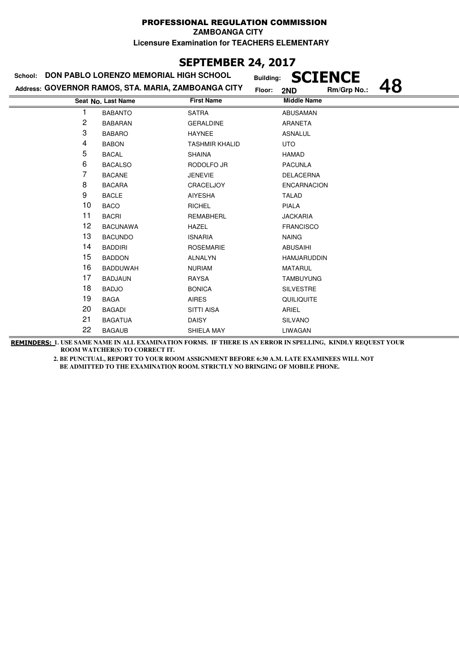# **SEPTEMBER 24, 2017**

| School: DON PABLO LORENZO MEMORIAL HIGH SCHOOL |                                                     |                       | <b>Building:</b> |                    | <b>SCIENCE</b> |    |
|------------------------------------------------|-----------------------------------------------------|-----------------------|------------------|--------------------|----------------|----|
|                                                | Address: GOVERNOR RAMOS, STA. MARIA, ZAMBOANGA CITY |                       | Floor:           | 2ND                | Rm/Grp No.:    | 48 |
|                                                | Seat No. Last Name                                  | <b>First Name</b>     |                  | <b>Middle Name</b> |                |    |
|                                                | <b>BABANTO</b>                                      | <b>SATRA</b>          |                  | <b>ABUSAMAN</b>    |                |    |
| $\overline{c}$                                 | <b>BABARAN</b>                                      | <b>GERALDINE</b>      |                  | ARANETA            |                |    |
| 3                                              | <b>BABARO</b>                                       | <b>HAYNEE</b>         |                  | <b>ASNALUL</b>     |                |    |
| 4                                              | <b>BABON</b>                                        | <b>TASHMIR KHALID</b> |                  | <b>UTO</b>         |                |    |
| 5                                              | <b>BACAL</b>                                        | <b>SHAINA</b>         |                  | <b>HAMAD</b>       |                |    |
| 6                                              | <b>BACALSO</b>                                      | RODOLFO JR            |                  | <b>PACUNLA</b>     |                |    |
| 7                                              | <b>BACANE</b>                                       | <b>JENEVIE</b>        |                  | <b>DELACERNA</b>   |                |    |
| 8                                              | <b>BACARA</b>                                       | CRACELJOY             |                  | <b>ENCARNACION</b> |                |    |
| 9                                              | <b>BACLE</b>                                        | <b>AIYESHA</b>        |                  | <b>TALAD</b>       |                |    |
| 10                                             | <b>BACO</b>                                         | <b>RICHEL</b>         |                  | <b>PIALA</b>       |                |    |
| 11                                             | <b>BACRI</b>                                        | <b>REMABHERL</b>      |                  | <b>JACKARIA</b>    |                |    |
| 12                                             | <b>BACUNAWA</b>                                     | <b>HAZEL</b>          |                  | <b>FRANCISCO</b>   |                |    |
| 13                                             | <b>BACUNDO</b>                                      | <b>ISNARIA</b>        |                  | <b>NAING</b>       |                |    |
| 14                                             | <b>BADDIRI</b>                                      | <b>ROSEMARIE</b>      |                  | <b>ABUSAIHI</b>    |                |    |
| 15                                             | <b>BADDON</b>                                       | <b>ALNALYN</b>        |                  | <b>HAMJARUDDIN</b> |                |    |
| 16                                             | <b>BADDUWAH</b>                                     | <b>NURIAM</b>         |                  | <b>MATARUL</b>     |                |    |
| 17                                             | <b>BADJAUN</b>                                      | <b>RAYSA</b>          |                  | <b>TAMBUYUNG</b>   |                |    |
| 18                                             | <b>BADJO</b>                                        | <b>BONICA</b>         |                  | <b>SILVESTRE</b>   |                |    |
| 19                                             | <b>BAGA</b>                                         | <b>AIRES</b>          |                  | QUILIQUITE         |                |    |
| 20                                             | <b>BAGADI</b>                                       | <b>SITTI AISA</b>     |                  | ARIEL              |                |    |
| 21                                             | <b>BAGATUA</b>                                      | <b>DAISY</b>          |                  | <b>SILVANO</b>     |                |    |
| 22                                             | <b>BAGAUB</b>                                       | SHIELA MAY            |                  | LIWAGAN            |                |    |

**REMINDERS: 1. USE SAME NAME IN ALL EXAMINATION FORMS. IF THERE IS AN ERROR IN SPELLING, KINDLY REQUEST YOUR ROOM WATCHER(S) TO CORRECT IT.**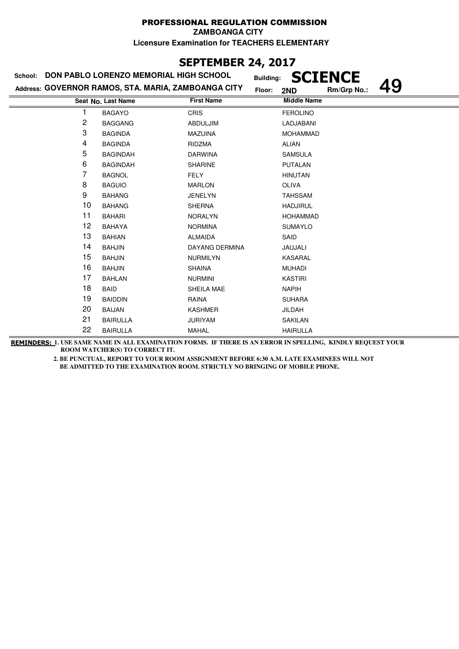## **SEPTEMBER 24, 2017**

| School: | DON PABLO LORENZO MEMORIAL HIGH SCHOOL              | <b>Building:</b>      | <b>SCIENCE</b>     |
|---------|-----------------------------------------------------|-----------------------|--------------------|
|         | Address: GOVERNOR RAMOS, STA. MARIA, ZAMBOANGA CITY | Floor:                | Rm/Grp No.:<br>2ND |
|         | Seat No. Last Name                                  | <b>First Name</b>     | <b>Middle Name</b> |
|         | <b>BAGAYO</b>                                       | <b>CRIS</b>           | <b>FEROLINO</b>    |
| 2       | <b>BAGGANG</b>                                      | ABDULJIM              | LADJABANI          |
| 3       | <b>BAGINDA</b>                                      | <b>MAZUINA</b>        | <b>MOHAMMAD</b>    |
| 4       | <b>BAGINDA</b>                                      | RIDZMA                | <b>ALIAN</b>       |
| 5       | <b>BAGINDAH</b>                                     | <b>DARWINA</b>        | <b>SAMSULA</b>     |
| 6       | <b>BAGINDAH</b>                                     | <b>SHARINE</b>        | <b>PUTALAN</b>     |
| 7       | <b>BAGNOL</b>                                       | FELY                  | <b>HINUTAN</b>     |
| 8       | <b>BAGUIO</b>                                       | <b>MARLON</b>         | <b>OLIVA</b>       |
| 9       | <b>BAHANG</b>                                       | <b>JENELYN</b>        | <b>TAHSSAM</b>     |
| 10      | <b>BAHANG</b>                                       | <b>SHERNA</b>         | <b>HADJIRUL</b>    |
| 11      | <b>BAHARI</b>                                       | <b>NORALYN</b>        | <b>HOHAMMAD</b>    |
| 12      | <b>BAHAYA</b>                                       | <b>NORMINA</b>        | <b>SUMAYLO</b>     |
| 13      | <b>BAHIAN</b>                                       | <b>ALMAIDA</b>        | SAID               |
| 14      | <b>BAHJIN</b>                                       | <b>DAYANG DERMINA</b> | JAUJALI            |
| 15      | <b>BAHJIN</b>                                       | <b>NURMILYN</b>       | KASARAL            |
| 16      | <b>BAHJIN</b>                                       | <b>SHAINA</b>         | <b>MUHADI</b>      |
| 17      | <b>BAHLAN</b>                                       | <b>NURMINI</b>        | <b>KASTIRI</b>     |
| 18      | <b>BAID</b>                                         | SHEILA MAE            | <b>NAPIH</b>       |
| 19      | <b>BAIDDIN</b>                                      | RAINA                 | <b>SUHARA</b>      |
| 20      | <b>BAIJAN</b>                                       | <b>KASHMER</b>        | JILDAH             |
| 21      | <b>BAIRULLA</b>                                     | <b>JURIYAM</b>        | <b>SAKILAN</b>     |
| 22      | <b>BAIRULLA</b>                                     | MAHAL                 | <b>HAIRULLA</b>    |

**REMINDERS: 1. USE SAME NAME IN ALL EXAMINATION FORMS. IF THERE IS AN ERROR IN SPELLING, KINDLY REQUEST YOUR ROOM WATCHER(S) TO CORRECT IT.**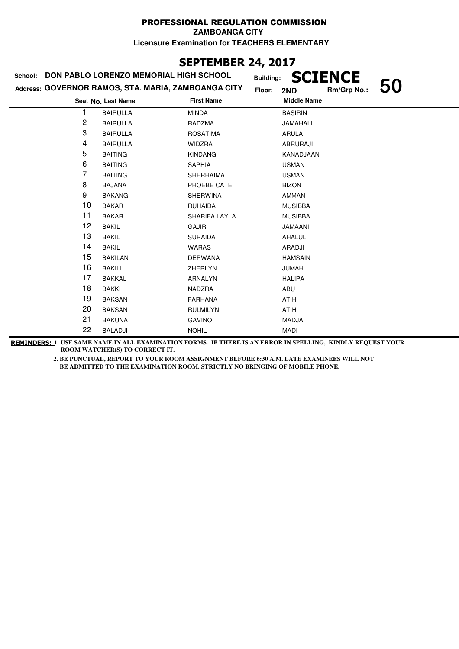## **SEPTEMBER 24, 2017**

| School: | <b>DON PABLO LORENZO MEMORIAL HIGH SCHOOL</b>       | <b>Building:</b>  | <b>SCIENCE</b>           |
|---------|-----------------------------------------------------|-------------------|--------------------------|
|         | Address: GOVERNOR RAMOS, STA. MARIA, ZAMBOANGA CITY | Floor:            | 50<br>Rm/Grp No.:<br>2ND |
|         | Seat No. Last Name                                  | <b>First Name</b> | <b>Middle Name</b>       |
| 1       | <b>BAIRULLA</b>                                     | <b>MINDA</b>      | <b>BASIRIN</b>           |
| 2       | <b>BAIRULLA</b>                                     | RADZMA            | JAMAHALI                 |
| 3       | <b>BAIRULLA</b>                                     | <b>ROSATIMA</b>   | <b>ARULA</b>             |
| 4       | <b>BAIRULLA</b>                                     | <b>WIDZRA</b>     | <b>ABRURAJI</b>          |
| 5       | <b>BAITING</b>                                      | <b>KINDANG</b>    | KANADJAAN                |
| 6       | <b>BAITING</b>                                      | <b>SAPHIA</b>     | <b>USMAN</b>             |
| 7       | <b>BAITING</b>                                      | <b>SHERHAIMA</b>  | <b>USMAN</b>             |
| 8       | <b>BAJANA</b>                                       | PHOEBE CATE       | <b>BIZON</b>             |
| 9       | <b>BAKANG</b>                                       | <b>SHERWINA</b>   | AMMAN                    |
| 10      | <b>BAKAR</b>                                        | <b>RUHAIDA</b>    | <b>MUSIBBA</b>           |
| 11      | <b>BAKAR</b>                                        | SHARIFA LAYLA     | <b>MUSIBBA</b>           |
| 12      | <b>BAKIL</b>                                        | <b>GAJIR</b>      | <b>JAMAANI</b>           |
| 13      | <b>BAKIL</b>                                        | <b>SURAIDA</b>    | AHALUL                   |
| 14      | <b>BAKIL</b>                                        | <b>WARAS</b>      | ARADJI                   |
| 15      | <b>BAKILAN</b>                                      | <b>DERWANA</b>    | <b>HAMSAIN</b>           |
| 16      | <b>BAKILI</b>                                       | ZHERLYN           | <b>JUMAH</b>             |
| 17      | <b>BAKKAL</b>                                       | <b>ARNALYN</b>    | <b>HALIPA</b>            |
| 18      | <b>BAKKI</b>                                        | NADZRA            | ABU                      |
| 19      | <b>BAKSAN</b>                                       | <b>FARHANA</b>    | <b>ATIH</b>              |
| 20      | <b>BAKSAN</b>                                       | <b>RULMILYN</b>   | <b>ATIH</b>              |
| 21      | <b>BAKUNA</b>                                       | <b>GAVINO</b>     | <b>MADJA</b>             |
| 22      | <b>BALADJI</b>                                      | <b>NOHIL</b>      | <b>MADI</b>              |

**REMINDERS: 1. USE SAME NAME IN ALL EXAMINATION FORMS. IF THERE IS AN ERROR IN SPELLING, KINDLY REQUEST YOUR ROOM WATCHER(S) TO CORRECT IT.**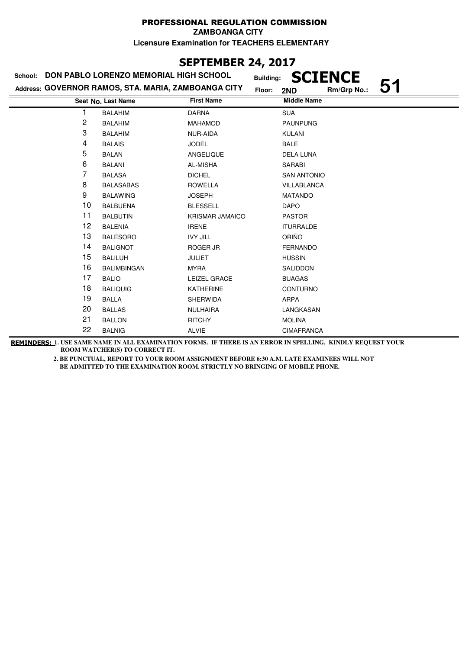# **SEPTEMBER 24, 2017**

| School: | DON PABLO LORENZO MEMORIAL HIGH SCHOOL              | <b>Building:</b>       | <b>SCIENCE</b>           |  |
|---------|-----------------------------------------------------|------------------------|--------------------------|--|
|         | Address: GOVERNOR RAMOS, STA. MARIA, ZAMBOANGA CITY | Floor:                 | 51<br>Rm/Grp No.:<br>2ND |  |
|         | Seat No. Last Name                                  | <b>First Name</b>      | <b>Middle Name</b>       |  |
|         | <b>BALAHIM</b>                                      | <b>DARNA</b>           | <b>SUA</b>               |  |
| 2       | <b>BALAHIM</b>                                      | <b>MAHAMOD</b>         | <b>PAUNPUNG</b>          |  |
| 3       | <b>BALAHIM</b>                                      | NUR-AIDA               | <b>KULANI</b>            |  |
| 4       | <b>BALAIS</b>                                       | <b>JODEL</b>           | <b>BALE</b>              |  |
| 5       | <b>BALAN</b>                                        | ANGELIQUE              | <b>DELA LUNA</b>         |  |
| 6       | <b>BALANI</b>                                       | AL-MISHA               | SARABI                   |  |
| 7       | <b>BALASA</b>                                       | <b>DICHEL</b>          | <b>SAN ANTONIO</b>       |  |
| 8       | <b>BALASABAS</b>                                    | <b>ROWELLA</b>         | VILLABLANCA              |  |
| 9       | <b>BALAWING</b>                                     | <b>JOSEPH</b>          | <b>MATANDO</b>           |  |
| 10      | <b>BALBUENA</b>                                     | <b>BLESSELL</b>        | <b>DAPO</b>              |  |
| 11      | <b>BALBUTIN</b>                                     | <b>KRISMAR JAMAICO</b> | <b>PASTOR</b>            |  |
| 12      | <b>BALENIA</b>                                      | <b>IRENE</b>           | <b>ITURRALDE</b>         |  |
| 13      | <b>BALESORO</b>                                     | <b>IVY JILL</b>        | ORIÑO                    |  |
| 14      | <b>BALIGNOT</b>                                     | ROGER JR               | <b>FERNANDO</b>          |  |
| 15      | <b>BALILUH</b>                                      | <b>JULIET</b>          | <b>HUSSIN</b>            |  |
| 16      | <b>BALIMBINGAN</b>                                  | <b>MYRA</b>            | SALIDDON                 |  |
| 17      | <b>BALIO</b>                                        | LEIZEL GRACE           | <b>BUAGAS</b>            |  |
| 18      | <b>BALIQUIG</b>                                     | <b>KATHERINE</b>       | <b>CONTURNO</b>          |  |
| 19      | <b>BALLA</b>                                        | <b>SHERWIDA</b>        | <b>ARPA</b>              |  |
| 20      | <b>BALLAS</b>                                       | <b>NULHAIRA</b>        | LANGKASAN                |  |
| 21      | <b>BALLON</b>                                       | <b>RITCHY</b>          | <b>MOLINA</b>            |  |
| 22      | <b>BALNIG</b>                                       | <b>ALVIE</b>           | <b>CIMAFRANCA</b>        |  |

**REMINDERS: 1. USE SAME NAME IN ALL EXAMINATION FORMS. IF THERE IS AN ERROR IN SPELLING, KINDLY REQUEST YOUR ROOM WATCHER(S) TO CORRECT IT.**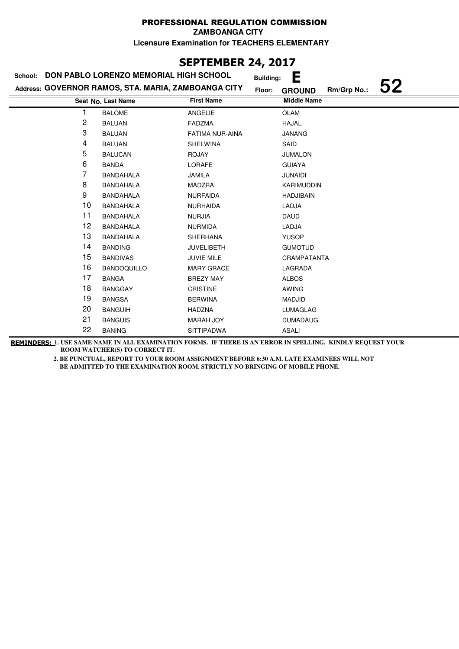**ZAMBOANGA CITY**

**Licensure Examination for TEACHERS ELEMENTARY**

# **SEPTEMBER 24, 2017**

| School: | DON PABLO LORENZO MEMORIAL HIGH SCHOOL              |                        | Е<br><b>Building:</b>                        |
|---------|-----------------------------------------------------|------------------------|----------------------------------------------|
|         | Address: GOVERNOR RAMOS, STA. MARIA, ZAMBOANGA CITY |                        | 52<br>Rm/Grp No.:<br>Floor:<br><b>GROUND</b> |
|         | Seat No. Last Name                                  | <b>First Name</b>      | <b>Middle Name</b>                           |
| 1       | <b>BALOME</b>                                       | ANGELIE                | <b>OLAM</b>                                  |
| 2       | <b>BALUAN</b>                                       | <b>FADZMA</b>          | <b>HAJAL</b>                                 |
| 3       | <b>BALUAN</b>                                       | <b>FATIMA NUR-AINA</b> | <b>JANANG</b>                                |
| 4       | <b>BALUAN</b>                                       | <b>SHELWINA</b>        | SAID                                         |
| 5       | <b>BALUCAN</b>                                      | <b>ROJAY</b>           | <b>JUMALON</b>                               |
| 6       | <b>BANDA</b>                                        | LORAFE                 | <b>GUIAYA</b>                                |
| 7       | <b>BANDAHALA</b>                                    | JAMILA                 | <b>JUNAIDI</b>                               |
| 8       | <b>BANDAHALA</b>                                    | MADZRA                 | <b>KARIMUDDIN</b>                            |
| 9       | <b>BANDAHALA</b>                                    | <b>NURFAIDA</b>        | <b>HADJIBAIN</b>                             |
| 10      | <b>BANDAHALA</b>                                    | <b>NURHAIDA</b>        | LADJA                                        |
| 11      | <b>BANDAHALA</b>                                    | <b>NURJIA</b>          | <b>DAUD</b>                                  |
| 12      | <b>BANDAHALA</b>                                    | <b>NURMIDA</b>         | LADJA                                        |
| 13      | <b>BANDAHALA</b>                                    | SHERHANA               | <b>YUSOP</b>                                 |
| 14      | <b>BANDING</b>                                      | <b>JUVELIBETH</b>      | <b>GUMOTUD</b>                               |
| 15      | <b>BANDIVAS</b>                                     | JUVIE MILE             | CRAMPATANTA                                  |
| 16      | <b>BANDOQUILLO</b>                                  | <b>MARY GRACE</b>      | LAGRADA                                      |
| 17      | <b>BANGA</b>                                        | <b>BREZY MAY</b>       | <b>ALBOS</b>                                 |
| 18      | <b>BANGGAY</b>                                      | <b>CRISTINE</b>        | <b>AWING</b>                                 |
| 19      | <b>BANGSA</b>                                       | <b>BERWINA</b>         | MADJID                                       |
| 20      | <b>BANGUIH</b>                                      | <b>HADZNA</b>          | LUMAGLAG                                     |
| 21      | <b>BANGUIS</b>                                      | <b>MARAH JOY</b>       | <b>DUMADAUG</b>                              |
| 22      | <b>BANING</b>                                       | <b>SITTIPADWA</b>      | <b>ASALI</b>                                 |

**REMINDERS: 1. USE SAME NAME IN ALL EXAMINATION FORMS. IF THERE IS AN ERROR IN SPELLING, KINDLY REQUEST YOUR ROOM WATCHER(S) TO CORRECT IT.**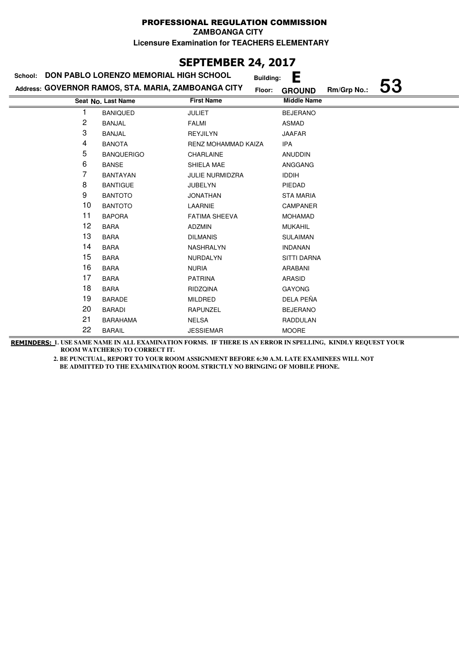**ZAMBOANGA CITY**

**Licensure Examination for TEACHERS ELEMENTARY**

## **SEPTEMBER 24, 2017**

| DON PABLO LORENZO MEMORIAL HIGH SCHOOL<br>School: |                                                     |                            |        | E                  |             |    |
|---------------------------------------------------|-----------------------------------------------------|----------------------------|--------|--------------------|-------------|----|
|                                                   | Address: GOVERNOR RAMOS, STA. MARIA, ZAMBOANGA CITY |                            | Floor: | <b>GROUND</b>      | Rm/Grp No.: | 53 |
|                                                   | Seat No. Last Name                                  | <b>First Name</b>          |        | <b>Middle Name</b> |             |    |
|                                                   | <b>BANIQUED</b>                                     | <b>JULIET</b>              |        | <b>BEJERANO</b>    |             |    |
| 2                                                 | <b>BANJAL</b>                                       | <b>FALMI</b>               |        | ASMAD              |             |    |
| 3                                                 | <b>BANJAL</b>                                       | <b>REYJILYN</b>            |        | <b>JAAFAR</b>      |             |    |
| 4                                                 | <b>BANOTA</b>                                       | <b>RENZ MOHAMMAD KAIZA</b> |        | IPA                |             |    |
| 5                                                 | <b>BANQUERIGO</b>                                   | CHARLAINE                  |        | <b>ANUDDIN</b>     |             |    |
| 6                                                 | <b>BANSE</b>                                        | SHIELA MAE                 |        | ANGGANG            |             |    |
| 7                                                 | <b>BANTAYAN</b>                                     | <b>JULIE NURMIDZRA</b>     |        | <b>IDDIH</b>       |             |    |
| 8                                                 | <b>BANTIGUE</b>                                     | <b>JUBELYN</b>             |        | PIEDAD             |             |    |
| 9                                                 | <b>BANTOTO</b>                                      | <b>JONATHAN</b>            |        | <b>STA MARIA</b>   |             |    |
| 10                                                | <b>BANTOTO</b>                                      | LAARNIE                    |        | <b>CAMPANER</b>    |             |    |
| 11                                                | <b>BAPORA</b>                                       | <b>FATIMA SHEEVA</b>       |        | <b>MOHAMAD</b>     |             |    |
| 12                                                | <b>BARA</b>                                         | <b>ADZMIN</b>              |        | <b>MUKAHIL</b>     |             |    |
| 13                                                | <b>BARA</b>                                         | <b>DILMANIS</b>            |        | <b>SULAIMAN</b>    |             |    |
| 14                                                | <b>BARA</b>                                         | NASHRALYN                  |        | <b>INDANAN</b>     |             |    |
| 15                                                | <b>BARA</b>                                         | NURDALYN                   |        | <b>SITTI DARNA</b> |             |    |
| 16                                                | <b>BARA</b>                                         | <b>NURIA</b>               |        | ARABANI            |             |    |
| 17                                                | <b>BARA</b>                                         | <b>PATRINA</b>             |        | <b>ARASID</b>      |             |    |
| 18                                                | <b>BARA</b>                                         | <b>RIDZQINA</b>            |        | <b>GAYONG</b>      |             |    |
| 19                                                | <b>BARADE</b>                                       | <b>MILDRED</b>             |        | DELA PEÑA          |             |    |
| 20                                                | <b>BARADI</b>                                       | RAPUNZEL                   |        | <b>BEJERANO</b>    |             |    |
| 21                                                | <b>BARAHAMA</b>                                     | <b>NELSA</b>               |        | <b>RADDULAN</b>    |             |    |
| 22                                                | <b>BARAIL</b>                                       | <b>JESSIEMAR</b>           |        | <b>MOORE</b>       |             |    |

**REMINDERS: 1. USE SAME NAME IN ALL EXAMINATION FORMS. IF THERE IS AN ERROR IN SPELLING, KINDLY REQUEST YOUR ROOM WATCHER(S) TO CORRECT IT.**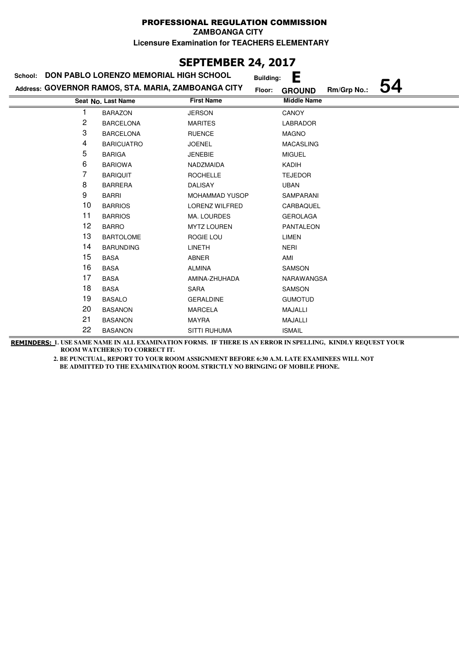**ZAMBOANGA CITY**

**Licensure Examination for TEACHERS ELEMENTARY**

## **SEPTEMBER 24, 2017**

#### **Last Name Middle Name Address: GOVERNOR RAMOS, STA. MARIA, ZAMBOANGA CITY School: DON PABLO LORENZO MEMORIAL HIGH SCHOOL Building: E Floor: GROUND Rm/Grp No.: 54 Seat No.** 1 BARAZON JERSON CANOY 2 BARCELONA MARITES LABRADOR 3 BARCELONA RUENCE MAGNO 4 BARICUATRO JOENEL MACASLING 5 BARIGA JENEBIE MIGUEL 6 BARIOWA NADZMAIDA KADIH 7 BARIQUIT ROCHELLE TEJEDOR 8 BARRERA DALISAY UBAN 9 BARRI MOHAMMAD YUSOP SAMPARANI 10 BARRIOS LORENZ WILFRED CARBAQUEL 11 BARRIOS MA. LOURDES GEROLAGA 12 BARRO MYTZ LOUREN PANTALEON 13 BARTOLOME ROGIE LOU LIMEN 14 BARUNDING LINETH NERI 15 BASA ABNER AMI 16 BASA ALMINA SAMSON 17 BASA AMINA-ZHUHADA NARAWANGSA 18 BASA SARA SARA SAMSON 19 BASALO GERALDINE GUMOTUD 20 BASANON MARCELA MAJALLI 21 BASANON MAYRA MAJALLI 22 BASANON SITTI RUHUMA ISMAIL

**REMINDERS: 1. USE SAME NAME IN ALL EXAMINATION FORMS. IF THERE IS AN ERROR IN SPELLING, KINDLY REQUEST YOUR ROOM WATCHER(S) TO CORRECT IT.**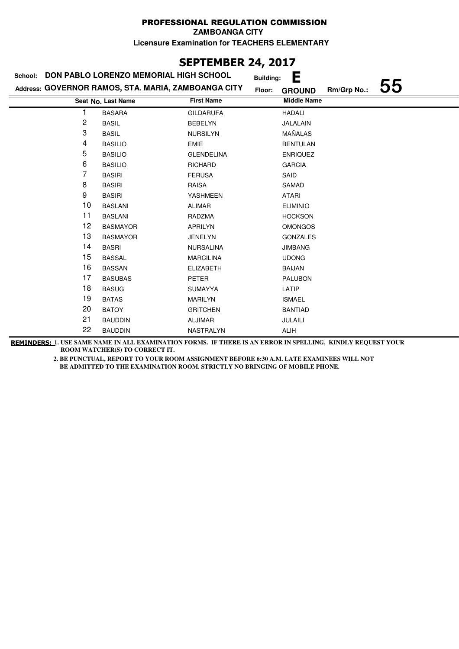**ZAMBOANGA CITY**

**Licensure Examination for TEACHERS ELEMENTARY**

## **SEPTEMBER 24, 2017**

| School: | DON PABLO LORENZO MEMORIAL HIGH SCHOOL              |                   | <b>Building:</b> | Е                  |             |    |
|---------|-----------------------------------------------------|-------------------|------------------|--------------------|-------------|----|
|         | Address: GOVERNOR RAMOS, STA. MARIA, ZAMBOANGA CITY |                   | Floor:           | <b>GROUND</b>      | Rm/Grp No.: | 55 |
|         | Seat No. Last Name                                  | <b>First Name</b> |                  | <b>Middle Name</b> |             |    |
|         | <b>BASARA</b>                                       | <b>GILDARUFA</b>  |                  | <b>HADALI</b>      |             |    |
| 2       | <b>BASIL</b>                                        | <b>BEBELYN</b>    |                  | JALALAIN           |             |    |
| 3       | <b>BASIL</b>                                        | <b>NURSILYN</b>   |                  | MAÑALAS            |             |    |
| 4       | <b>BASILIO</b>                                      | <b>EMIE</b>       |                  | <b>BENTULAN</b>    |             |    |
| 5       | <b>BASILIO</b>                                      | <b>GLENDELINA</b> |                  | <b>ENRIQUEZ</b>    |             |    |
| 6       | <b>BASILIO</b>                                      | <b>RICHARD</b>    |                  | <b>GARCIA</b>      |             |    |
| 7       | <b>BASIRI</b>                                       | <b>FERUSA</b>     |                  | SAID               |             |    |
| 8       | <b>BASIRI</b>                                       | <b>RAISA</b>      |                  | SAMAD              |             |    |
| 9       | <b>BASIRI</b>                                       | <b>YASHMEEN</b>   |                  | <b>ATARI</b>       |             |    |
| 10      | <b>BASLANI</b>                                      | <b>ALIMAR</b>     |                  | <b>ELIMINIO</b>    |             |    |
| 11      | <b>BASLANI</b>                                      | RADZMA            |                  | <b>HOCKSON</b>     |             |    |
| 12      | <b>BASMAYOR</b>                                     | <b>APRILYN</b>    |                  | <b>OMONGOS</b>     |             |    |
| 13      | <b>BASMAYOR</b>                                     | <b>JENELYN</b>    |                  | <b>GONZALES</b>    |             |    |
| 14      | <b>BASRI</b>                                        | <b>NURSALINA</b>  |                  | <b>JIMBANG</b>     |             |    |
| 15      | <b>BASSAL</b>                                       | <b>MARCILINA</b>  |                  | <b>UDONG</b>       |             |    |
| 16      | <b>BASSAN</b>                                       | <b>ELIZABETH</b>  |                  | <b>BAIJAN</b>      |             |    |
| 17      | <b>BASUBAS</b>                                      | PETER             |                  | <b>PALUBON</b>     |             |    |
| 18      | <b>BASUG</b>                                        | <b>SUMAYYA</b>    |                  | LATIP              |             |    |
| 19      | <b>BATAS</b>                                        | <b>MARILYN</b>    |                  | <b>ISMAEL</b>      |             |    |
| 20      | <b>BATOY</b>                                        | <b>GRITCHEN</b>   |                  | <b>BANTIAD</b>     |             |    |
| 21      | <b>BAUDDIN</b>                                      | <b>ALJIMAR</b>    |                  | JULAILI            |             |    |
| 22      | <b>BAUDDIN</b>                                      | NASTRALYN         |                  | <b>ALIH</b>        |             |    |

**REMINDERS: 1. USE SAME NAME IN ALL EXAMINATION FORMS. IF THERE IS AN ERROR IN SPELLING, KINDLY REQUEST YOUR ROOM WATCHER(S) TO CORRECT IT.**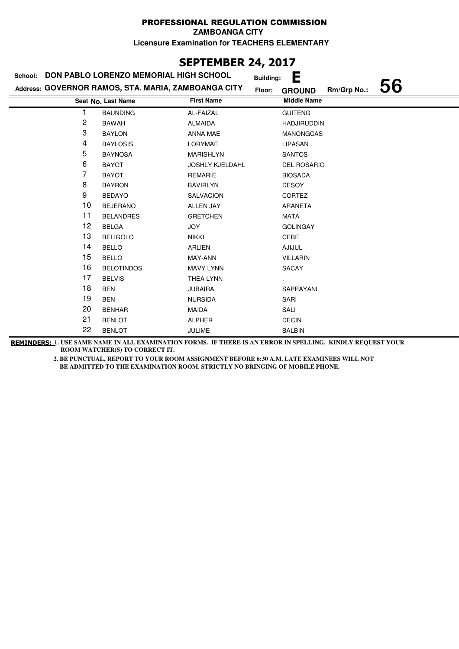**ZAMBOANGA CITY**

**Licensure Examination for TEACHERS ELEMENTARY**

## **SEPTEMBER 24, 2017**

|    | School: DON PABLO LORENZO MEMORIAL HIGH SCHOOL      |                        | <b>Building:</b> | E                  |             |    |
|----|-----------------------------------------------------|------------------------|------------------|--------------------|-------------|----|
|    | Address: GOVERNOR RAMOS, STA. MARIA, ZAMBOANGA CITY |                        | Floor:           | <b>GROUND</b>      | Rm/Grp No.: | 56 |
|    | Seat No. Last Name                                  | <b>First Name</b>      |                  | <b>Middle Name</b> |             |    |
| 1  | <b>BAUNDING</b>                                     | AL-FAIZAL              |                  | <b>GUITENG</b>     |             |    |
| 2  | <b>BAWAH</b>                                        | <b>ALMAIDA</b>         |                  | <b>HADJIRUDDIN</b> |             |    |
| 3  | <b>BAYLON</b>                                       | ANNA MAE               |                  | <b>MANONGCAS</b>   |             |    |
| 4  | <b>BAYLOSIS</b>                                     | LORYMAE                |                  | LIPASAN            |             |    |
| 5  | <b>BAYNOSA</b>                                      | <b>MARISHLYN</b>       |                  | <b>SANTOS</b>      |             |    |
| 6  | <b>BAYOT</b>                                        | <b>JOSHLY KJELDAHL</b> |                  | <b>DEL ROSARIO</b> |             |    |
| 7  | <b>BAYOT</b>                                        | <b>REMARIE</b>         |                  | <b>BIOSADA</b>     |             |    |
| 8  | <b>BAYRON</b>                                       | <b>BAVIRLYN</b>        |                  | <b>DESOY</b>       |             |    |
| 9  | <b>BEDAYO</b>                                       | <b>SALVACION</b>       |                  | <b>CORTEZ</b>      |             |    |
| 10 | <b>BEJERANO</b>                                     | <b>ALLEN JAY</b>       |                  | <b>ARANETA</b>     |             |    |
| 11 | <b>BELANDRES</b>                                    | <b>GRETCHEN</b>        |                  | MATA               |             |    |
| 12 | <b>BELGA</b>                                        | <b>JOY</b>             |                  | <b>GOLINGAY</b>    |             |    |
| 13 | <b>BELIGOLO</b>                                     | <b>NIKKI</b>           |                  | CEBE               |             |    |
| 14 | <b>BELLO</b>                                        | ARLIEN                 |                  | <b>AJIJUL</b>      |             |    |
| 15 | <b>BELLO</b>                                        | MAY-ANN                |                  | <b>VILLARIN</b>    |             |    |
| 16 | <b>BELOTINDOS</b>                                   | <b>MAVY LYNN</b>       |                  | SACAY              |             |    |
| 17 | <b>BELVIS</b>                                       | THEA LYNN              |                  |                    |             |    |
| 18 | <b>BEN</b>                                          | <b>JUBAIRA</b>         |                  | SAPPAYANI          |             |    |
| 19 | <b>BEN</b>                                          | <b>NURSIDA</b>         |                  | SARI               |             |    |
| 20 | <b>BENHAR</b>                                       | MAIDA                  |                  | SALI               |             |    |
| 21 | <b>BENLOT</b>                                       | <b>ALPHER</b>          |                  | <b>DECIN</b>       |             |    |
| 22 | <b>BENLOT</b>                                       | <b>JULIME</b>          |                  | <b>BALBIN</b>      |             |    |

**REMINDERS: 1. USE SAME NAME IN ALL EXAMINATION FORMS. IF THERE IS AN ERROR IN SPELLING, KINDLY REQUEST YOUR ROOM WATCHER(S) TO CORRECT IT.**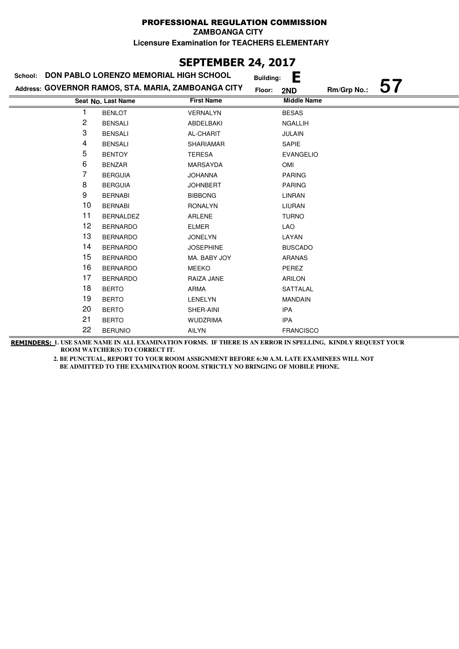# **SEPTEMBER 24, 2017**

| School: | DON PABLO LORENZO MEMORIAL HIGH SCHOOL              |                   | Е<br><b>Building:</b> |             |    |
|---------|-----------------------------------------------------|-------------------|-----------------------|-------------|----|
|         | Address: GOVERNOR RAMOS, STA. MARIA, ZAMBOANGA CITY |                   | Floor:<br>2ND         | Rm/Grp No.: | 57 |
|         | Seat No. Last Name                                  | <b>First Name</b> | <b>Middle Name</b>    |             |    |
|         | <b>BENLOT</b>                                       | <b>VERNALYN</b>   | <b>BESAS</b>          |             |    |
| 2       | <b>BENSALI</b>                                      | ABDELBAKI         | <b>NGALLIH</b>        |             |    |
| 3       | <b>BENSALI</b>                                      | AL-CHARIT         | <b>JULAIN</b>         |             |    |
| 4       | <b>BENSALI</b>                                      | <b>SHARIAMAR</b>  | SAPIE                 |             |    |
| 5       | <b>BENTOY</b>                                       | <b>TERESA</b>     | <b>EVANGELIO</b>      |             |    |
| 6       | <b>BENZAR</b>                                       | <b>MARSAYDA</b>   | <b>OMI</b>            |             |    |
| 7       | <b>BERGUIA</b>                                      | <b>JOHANNA</b>    | <b>PARING</b>         |             |    |
| 8       | <b>BERGUIA</b>                                      | <b>JOHNBERT</b>   | <b>PARING</b>         |             |    |
| 9       | <b>BERNABI</b>                                      | <b>BIBBONG</b>    | LINRAN                |             |    |
| 10      | <b>BERNABI</b>                                      | <b>RONALYN</b>    | <b>LIURAN</b>         |             |    |
| 11      | <b>BERNALDEZ</b>                                    | ARLENE            | <b>TURNO</b>          |             |    |
| 12      | <b>BERNARDO</b>                                     | <b>ELMER</b>      | LAO                   |             |    |
| 13      | <b>BERNARDO</b>                                     | <b>JONELYN</b>    | LAYAN                 |             |    |
| 14      | <b>BERNARDO</b>                                     | <b>JOSEPHINE</b>  | <b>BUSCADO</b>        |             |    |
| 15      | <b>BERNARDO</b>                                     | MA. BABY JOY      | <b>ARANAS</b>         |             |    |
| 16      | <b>BERNARDO</b>                                     | <b>MEEKO</b>      | PEREZ                 |             |    |
| 17      | <b>BERNARDO</b>                                     | RAIZA JANE        | <b>ARILON</b>         |             |    |
| 18      | <b>BERTO</b>                                        | ARMA              | SATTALAL              |             |    |
| 19      | <b>BERTO</b>                                        | <b>LENELYN</b>    | <b>MANDAIN</b>        |             |    |
| 20      | <b>BERTO</b>                                        | SHER-AINI         | <b>IPA</b>            |             |    |
| 21      | <b>BERTO</b>                                        | <b>WUDZRIMA</b>   | <b>IPA</b>            |             |    |
| 22      | <b>BERUNIO</b>                                      | <b>AILYN</b>      | <b>FRANCISCO</b>      |             |    |

**REMINDERS: 1. USE SAME NAME IN ALL EXAMINATION FORMS. IF THERE IS AN ERROR IN SPELLING, KINDLY REQUEST YOUR ROOM WATCHER(S) TO CORRECT IT.**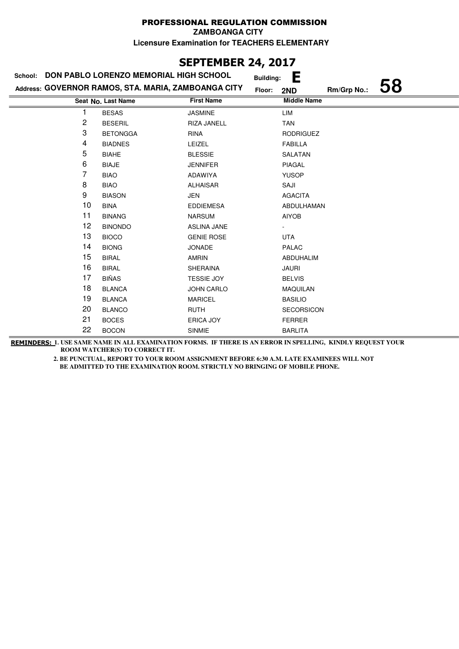**ZAMBOANGA CITY**

**Licensure Examination for TEACHERS ELEMENTARY**

# **SEPTEMBER 24, 2017**

|    | School: DON PABLO LORENZO MEMORIAL HIGH SCHOOL      |                    | <b>Building:</b> | Е                  |             |    |
|----|-----------------------------------------------------|--------------------|------------------|--------------------|-------------|----|
|    | Address: GOVERNOR RAMOS, STA. MARIA, ZAMBOANGA CITY |                    | Floor:           | 2ND                | Rm/Grp No.: | 58 |
|    | Seat No. Last Name                                  | <b>First Name</b>  |                  | <b>Middle Name</b> |             |    |
| 1  | <b>BESAS</b>                                        | <b>JASMINE</b>     |                  | LIM                |             |    |
| 2  | <b>BESERIL</b>                                      | RIZA JANELL        |                  | <b>TAN</b>         |             |    |
| 3  | <b>BETONGGA</b>                                     | <b>RINA</b>        |                  | <b>RODRIGUEZ</b>   |             |    |
| 4  | <b>BIADNES</b>                                      | LEIZEL             |                  | <b>FABILLA</b>     |             |    |
| 5  | <b>BIAHE</b>                                        | <b>BLESSIE</b>     |                  | SALATAN            |             |    |
| 6  | <b>BIAJE</b>                                        | <b>JENNIFER</b>    |                  | <b>PIAGAL</b>      |             |    |
| 7  | <b>BIAO</b>                                         | ADAWIYA            |                  | <b>YUSOP</b>       |             |    |
| 8  | <b>BIAO</b>                                         | <b>ALHAISAR</b>    |                  | SAJI               |             |    |
| 9  | <b>BIASON</b>                                       | JEN                |                  | <b>AGACITA</b>     |             |    |
| 10 | <b>BINA</b>                                         | <b>EDDIEMESA</b>   |                  | ABDULHAMAN         |             |    |
| 11 | <b>BINANG</b>                                       | <b>NARSUM</b>      |                  | <b>AIYOB</b>       |             |    |
| 12 | <b>BINONDO</b>                                      | <b>ASLINA JANE</b> |                  |                    |             |    |
| 13 | <b>BIOCO</b>                                        | <b>GENIE ROSE</b>  |                  | <b>UTA</b>         |             |    |
| 14 | <b>BIONG</b>                                        | <b>JONADE</b>      |                  | PALAC              |             |    |
| 15 | <b>BIRAL</b>                                        | <b>AMRIN</b>       |                  | ABDUHALIM          |             |    |
| 16 | <b>BIRAL</b>                                        | SHERAINA           |                  | <b>JAURI</b>       |             |    |
| 17 | <b>BIÑAS</b>                                        | <b>TESSIE JOY</b>  |                  | <b>BELVIS</b>      |             |    |
| 18 | <b>BLANCA</b>                                       | <b>JOHN CARLO</b>  |                  | <b>MAQUILAN</b>    |             |    |
| 19 | <b>BLANCA</b>                                       | <b>MARICEL</b>     |                  | <b>BASILIO</b>     |             |    |
| 20 | <b>BLANCO</b>                                       | <b>RUTH</b>        |                  | <b>SECORSICON</b>  |             |    |
| 21 | <b>BOCES</b>                                        | ERICA JOY          |                  | <b>FERRER</b>      |             |    |
| 22 | <b>BOCON</b>                                        | <b>SINMIE</b>      |                  | <b>BARLITA</b>     |             |    |

**REMINDERS: 1. USE SAME NAME IN ALL EXAMINATION FORMS. IF THERE IS AN ERROR IN SPELLING, KINDLY REQUEST YOUR ROOM WATCHER(S) TO CORRECT IT.**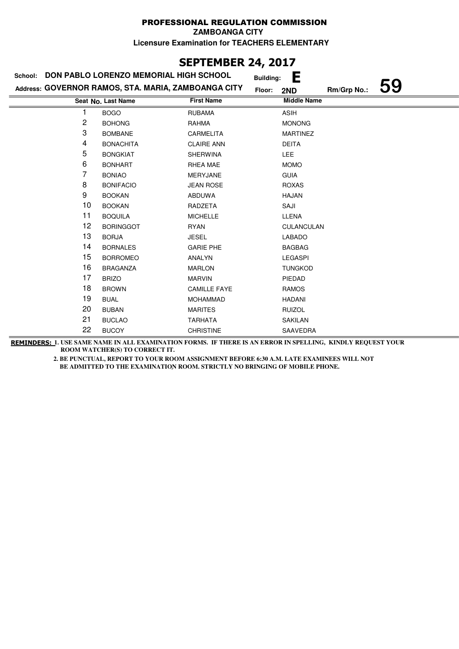# **SEPTEMBER 24, 2017**

| School: | DON PABLO LORENZO MEMORIAL HIGH SCHOOL              |                     | <b>Building:</b> | Е                  |             |    |
|---------|-----------------------------------------------------|---------------------|------------------|--------------------|-------------|----|
|         | Address: GOVERNOR RAMOS, STA. MARIA, ZAMBOANGA CITY |                     | Floor:           | 2ND                | Rm/Grp No.: | 59 |
|         | Seat No. Last Name                                  | <b>First Name</b>   |                  | <b>Middle Name</b> |             |    |
|         | <b>BOGO</b>                                         | <b>RUBAMA</b>       |                  | <b>ASIH</b>        |             |    |
| 2       | <b>BOHONG</b>                                       | RAHMA               |                  | <b>MONONG</b>      |             |    |
| 3       | <b>BOMBANE</b>                                      | <b>CARMELITA</b>    |                  | <b>MARTINEZ</b>    |             |    |
| 4       | <b>BONACHITA</b>                                    | <b>CLAIRE ANN</b>   |                  | <b>DEITA</b>       |             |    |
| 5       | <b>BONGKIAT</b>                                     | <b>SHERWINA</b>     |                  | <b>LEE</b>         |             |    |
| 6       | <b>BONHART</b>                                      | RHEA MAE            |                  | <b>MOMO</b>        |             |    |
| 7       | <b>BONIAO</b>                                       | MERYJANE            |                  | <b>GUIA</b>        |             |    |
| 8       | <b>BONIFACIO</b>                                    | <b>JEAN ROSE</b>    |                  | <b>ROXAS</b>       |             |    |
| 9       | <b>BOOKAN</b>                                       | ABDUWA              |                  | <b>HAJAN</b>       |             |    |
| 10      | <b>BOOKAN</b>                                       | RADZETA             |                  | SAJI               |             |    |
| 11      | <b>BOQUILA</b>                                      | <b>MICHELLE</b>     |                  | LLENA              |             |    |
| 12      | <b>BORINGGOT</b>                                    | <b>RYAN</b>         |                  | CULANCULAN         |             |    |
| 13      | <b>BORJA</b>                                        | <b>JESEL</b>        |                  | <b>LABADO</b>      |             |    |
| 14      | <b>BORNALES</b>                                     | <b>GARIE PHE</b>    |                  | <b>BAGBAG</b>      |             |    |
| 15      | <b>BORROMEO</b>                                     | <b>ANALYN</b>       |                  | <b>LEGASPI</b>     |             |    |
| 16      | <b>BRAGANZA</b>                                     | <b>MARLON</b>       |                  | <b>TUNGKOD</b>     |             |    |
| 17      | <b>BRIZO</b>                                        | <b>MARVIN</b>       |                  | PIEDAD             |             |    |
| 18      | <b>BROWN</b>                                        | <b>CAMILLE FAYE</b> |                  | <b>RAMOS</b>       |             |    |
| 19      | <b>BUAL</b>                                         | <b>MOHAMMAD</b>     |                  | HADANI             |             |    |
| 20      | <b>BUBAN</b>                                        | <b>MARITES</b>      |                  | <b>RUIZOL</b>      |             |    |
| 21      | <b>BUCLAO</b>                                       | <b>TARHATA</b>      |                  | SAKILAN            |             |    |
| 22      | <b>BUCOY</b>                                        | <b>CHRISTINE</b>    |                  | SAAVEDRA           |             |    |

**REMINDERS: 1. USE SAME NAME IN ALL EXAMINATION FORMS. IF THERE IS AN ERROR IN SPELLING, KINDLY REQUEST YOUR ROOM WATCHER(S) TO CORRECT IT.**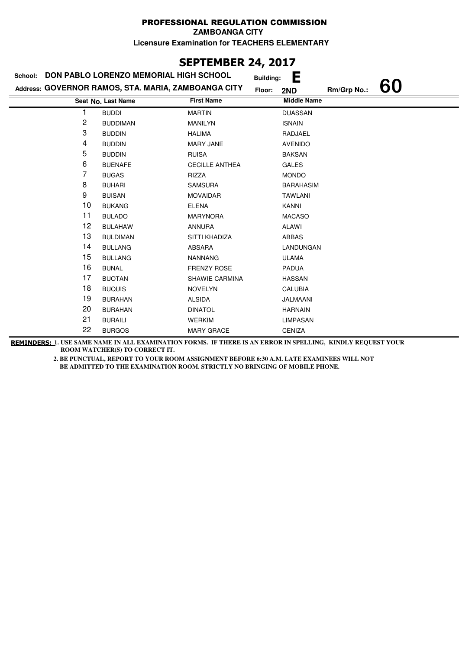# **SEPTEMBER 24, 2017**

| School: | DON PABLO LORENZO MEMORIAL HIGH SCHOOL              |                       | <b>Building:</b> | Е                  |             |    |
|---------|-----------------------------------------------------|-----------------------|------------------|--------------------|-------------|----|
|         | Address: GOVERNOR RAMOS, STA. MARIA, ZAMBOANGA CITY |                       | Floor:<br>2ND    |                    | Rm/Grp No.: | 60 |
|         | Seat No. Last Name                                  | <b>First Name</b>     |                  | <b>Middle Name</b> |             |    |
|         | <b>BUDDI</b>                                        | <b>MARTIN</b>         |                  | <b>DUASSAN</b>     |             |    |
| 2       | <b>BUDDIMAN</b>                                     | <b>MANILYN</b>        |                  | <b>ISNAIN</b>      |             |    |
| 3       | <b>BUDDIN</b>                                       | <b>HALIMA</b>         |                  | RADJAEL            |             |    |
| 4       | <b>BUDDIN</b>                                       | <b>MARY JANE</b>      |                  | <b>AVENIDO</b>     |             |    |
| 5       | <b>BUDDIN</b>                                       | <b>RUISA</b>          |                  | <b>BAKSAN</b>      |             |    |
| 6       | <b>BUENAFE</b>                                      | <b>CECILLE ANTHEA</b> |                  | <b>GALES</b>       |             |    |
| 7       | <b>BUGAS</b>                                        | RIZZA                 |                  | <b>MONDO</b>       |             |    |
| 8       | <b>BUHARI</b>                                       | <b>SAMSURA</b>        |                  | <b>BARAHASIM</b>   |             |    |
| 9       | <b>BUISAN</b>                                       | <b>MOVAIDAR</b>       |                  | <b>TAWLANI</b>     |             |    |
| 10      | <b>BUKANG</b>                                       | <b>ELENA</b>          | <b>KANNI</b>     |                    |             |    |
| 11      | <b>BULADO</b>                                       | <b>MARYNORA</b>       |                  | <b>MACASO</b>      |             |    |
| 12      | <b>BULAHAW</b>                                      | <b>ANNURA</b>         | <b>ALAWI</b>     |                    |             |    |
| 13      | <b>BULDIMAN</b>                                     | SITTI KHADIZA         |                  | ABBAS              |             |    |
| 14      | <b>BULLANG</b>                                      | ABSARA                |                  | LANDUNGAN          |             |    |
| 15      | <b>BULLANG</b>                                      | <b>NANNANG</b>        |                  | <b>ULAMA</b>       |             |    |
| 16      | <b>BUNAL</b>                                        | <b>FRENZY ROSE</b>    |                  | PADUA              |             |    |
| 17      | <b>BUOTAN</b>                                       | SHAWIE CARMINA        |                  | <b>HASSAN</b>      |             |    |
| 18      | <b>BUQUIS</b>                                       | <b>NOVELYN</b>        |                  | <b>CALUBIA</b>     |             |    |
| 19      | <b>BURAHAN</b>                                      | <b>ALSIDA</b>         |                  | JALMAANI           |             |    |
| 20      | <b>BURAHAN</b>                                      | <b>DINATOL</b>        |                  | <b>HARNAIN</b>     |             |    |
| 21      | <b>BURAILI</b>                                      | <b>WERKIM</b>         |                  | <b>LIMPASAN</b>    |             |    |
| 22      | <b>BURGOS</b>                                       | <b>MARY GRACE</b>     |                  | <b>CENIZA</b>      |             |    |

**REMINDERS: 1. USE SAME NAME IN ALL EXAMINATION FORMS. IF THERE IS AN ERROR IN SPELLING, KINDLY REQUEST YOUR ROOM WATCHER(S) TO CORRECT IT.**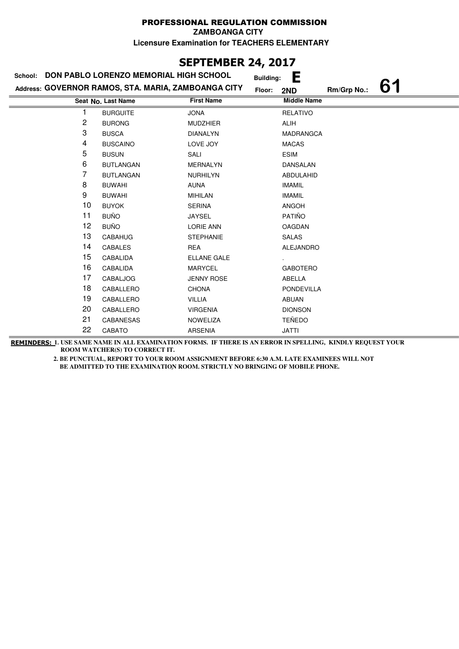## **SEPTEMBER 24, 2017**

| School: | DON PABLO LORENZO MEMORIAL HIGH SCHOOL              |                    | <b>Building:</b> | Е                  |             |    |
|---------|-----------------------------------------------------|--------------------|------------------|--------------------|-------------|----|
|         | Address: GOVERNOR RAMOS, STA. MARIA, ZAMBOANGA CITY |                    | Floor:           | 2ND                | Rm/Grp No.: | 61 |
|         | Seat No. Last Name                                  | <b>First Name</b>  |                  | <b>Middle Name</b> |             |    |
|         | <b>BURGUITE</b>                                     | <b>JONA</b>        |                  | <b>RELATIVO</b>    |             |    |
| 2       | <b>BURONG</b>                                       | <b>MUDZHIER</b>    |                  | <b>ALIH</b>        |             |    |
| 3       | <b>BUSCA</b>                                        | <b>DIANALYN</b>    |                  | <b>MADRANGCA</b>   |             |    |
| 4       | <b>BUSCAINO</b>                                     | LOVE JOY           |                  | <b>MACAS</b>       |             |    |
| 5       | <b>BUSUN</b>                                        | SALI               |                  | <b>ESIM</b>        |             |    |
| 6       | <b>BUTLANGAN</b>                                    | <b>MERNALYN</b>    |                  | <b>DANSALAN</b>    |             |    |
| 7       | <b>BUTLANGAN</b>                                    | <b>NURHILYN</b>    |                  | ABDULAHID          |             |    |
| 8       | <b>BUWAHI</b>                                       | <b>AUNA</b>        |                  | <b>IMAMIL</b>      |             |    |
| 9       | <b>BUWAHI</b>                                       | <b>MIHILAN</b>     |                  | <b>IMAMIL</b>      |             |    |
| 10      | <b>BUYOK</b>                                        | <b>SERINA</b>      |                  | ANGOH              |             |    |
| 11      | <b>BUÑO</b>                                         | <b>JAYSEL</b>      |                  | <b>PATIÑO</b>      |             |    |
| 12      | <b>BUÑO</b>                                         | <b>LORIE ANN</b>   |                  | <b>OAGDAN</b>      |             |    |
| 13      | CABAHUG                                             | <b>STEPHANIE</b>   |                  | <b>SALAS</b>       |             |    |
| 14      | CABALES                                             | <b>REA</b>         |                  | <b>ALEJANDRO</b>   |             |    |
| 15      | CABALIDA                                            | <b>ELLANE GALE</b> |                  |                    |             |    |
| 16      | CABALIDA                                            | <b>MARYCEL</b>     |                  | <b>GABOTERO</b>    |             |    |
| 17      | <b>CABALJOG</b>                                     | <b>JENNY ROSE</b>  |                  | ABELLA             |             |    |
| 18      | CABALLERO                                           | <b>CHONA</b>       |                  | <b>PONDEVILLA</b>  |             |    |
| 19      | CABALLERO                                           | <b>VILLIA</b>      |                  | <b>ABUAN</b>       |             |    |
| 20      | CABALLERO                                           | <b>VIRGENIA</b>    |                  | <b>DIONSON</b>     |             |    |
| 21      | <b>CABANESAS</b>                                    | <b>NOWELIZA</b>    |                  | <b>TEÑEDO</b>      |             |    |
| 22      | CABATO                                              | <b>ARSENIA</b>     |                  | <b>JATTI</b>       |             |    |

**REMINDERS: 1. USE SAME NAME IN ALL EXAMINATION FORMS. IF THERE IS AN ERROR IN SPELLING, KINDLY REQUEST YOUR ROOM WATCHER(S) TO CORRECT IT.**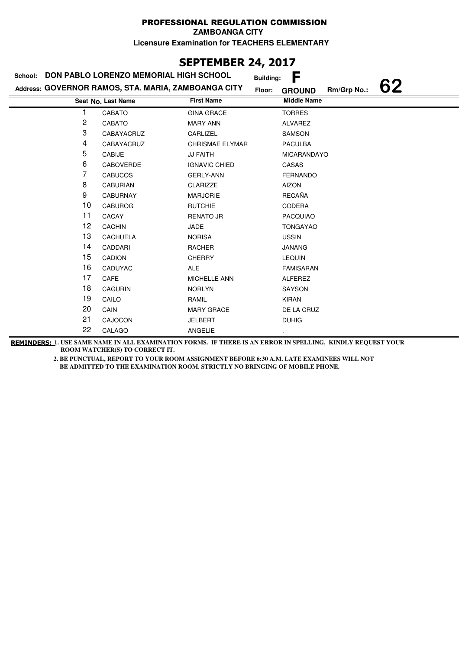**ZAMBOANGA CITY**

**Licensure Examination for TEACHERS ELEMENTARY**

## **SEPTEMBER 24, 2017**

| School: | DON PABLO LORENZO MEMORIAL HIGH SCHOOL              |                        | <b>Building:</b> | F                  |             |    |
|---------|-----------------------------------------------------|------------------------|------------------|--------------------|-------------|----|
|         | Address: GOVERNOR RAMOS, STA. MARIA, ZAMBOANGA CITY |                        | Floor:           | <b>GROUND</b>      | Rm/Grp No.: | 62 |
|         | Seat No. Last Name                                  | <b>First Name</b>      |                  | <b>Middle Name</b> |             |    |
| 1       | CABATO                                              | <b>GINA GRACE</b>      |                  | <b>TORRES</b>      |             |    |
| 2       | CABATO                                              | <b>MARY ANN</b>        |                  | ALVAREZ            |             |    |
| 3       | CABAYACRUZ                                          | CARLIZEL               |                  | SAMSON             |             |    |
| 4       | CABAYACRUZ                                          | <b>CHRISMAE ELYMAR</b> |                  | <b>PACULBA</b>     |             |    |
| 5       | CABIJE                                              | <b>JJ FAITH</b>        |                  | <b>MICARANDAYO</b> |             |    |
| 6       | CABOVERDE                                           | <b>IGNAVIC CHIED</b>   |                  | CASAS              |             |    |
| 7       | <b>CABUCOS</b>                                      | <b>GERLY-ANN</b>       |                  | <b>FERNANDO</b>    |             |    |
| 8       | <b>CABURIAN</b>                                     | <b>CLARIZZE</b>        |                  | <b>AIZON</b>       |             |    |
| 9       | <b>CABURNAY</b>                                     | <b>MARJORIE</b>        |                  | <b>RECAÑA</b>      |             |    |
| 10      | <b>CABUROG</b>                                      | <b>RUTCHIE</b>         |                  | <b>CODERA</b>      |             |    |
| 11      | CACAY                                               | <b>RENATO JR</b>       |                  | <b>PACQUIAO</b>    |             |    |
| 12      | <b>CACHIN</b>                                       | JADE                   |                  | <b>TONGAYAO</b>    |             |    |
| 13      | <b>CACHUELA</b>                                     | <b>NORISA</b>          |                  | <b>USSIN</b>       |             |    |
| 14      | CADDARI                                             | RACHER                 |                  | <b>JANANG</b>      |             |    |
| 15      | <b>CADION</b>                                       | <b>CHERRY</b>          |                  | <b>LEQUIN</b>      |             |    |
| 16      | CADUYAC                                             | <b>ALE</b>             |                  | <b>FAMISARAN</b>   |             |    |
| 17      | CAFE                                                | <b>MICHELLE ANN</b>    |                  | <b>ALFEREZ</b>     |             |    |
| 18      | <b>CAGURIN</b>                                      | <b>NORLYN</b>          |                  | SAYSON             |             |    |
| 19      | CAILO                                               | RAMIL                  |                  | <b>KIRAN</b>       |             |    |
| 20      | CAIN                                                | <b>MARY GRACE</b>      |                  | DE LA CRUZ         |             |    |
| 21      | CAJOCON                                             | <b>JELBERT</b>         |                  | <b>DUHIG</b>       |             |    |
| 22      | CALAGO                                              | ANGELIE                |                  |                    |             |    |

**REMINDERS: 1. USE SAME NAME IN ALL EXAMINATION FORMS. IF THERE IS AN ERROR IN SPELLING, KINDLY REQUEST YOUR ROOM WATCHER(S) TO CORRECT IT.**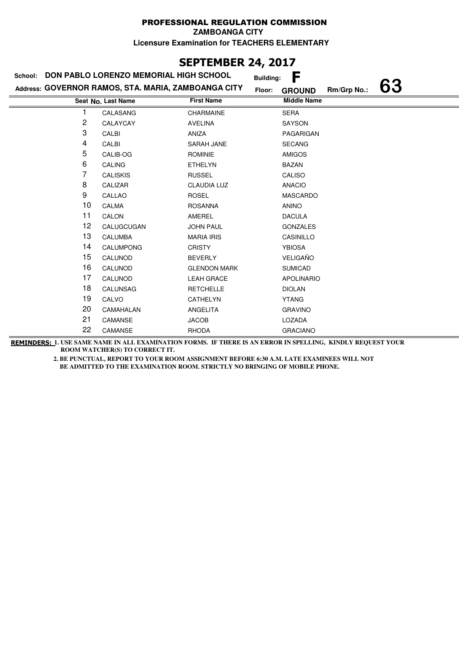**ZAMBOANGA CITY**

**Licensure Examination for TEACHERS ELEMENTARY**

## **SEPTEMBER 24, 2017**

| School: | <b>DON PABLO LORENZO MEMORIAL HIGH SCHOOL</b>       |                     | <b>Building:</b> | F                  |             |    |
|---------|-----------------------------------------------------|---------------------|------------------|--------------------|-------------|----|
|         | Address: GOVERNOR RAMOS, STA. MARIA, ZAMBOANGA CITY |                     | Floor:           | <b>GROUND</b>      | Rm/Grp No.: | 63 |
|         | Seat No. Last Name                                  | <b>First Name</b>   |                  | <b>Middle Name</b> |             |    |
|         | CALASANG                                            | CHARMAINE           |                  | <b>SERA</b>        |             |    |
| 2       | CALAYCAY                                            | <b>AVELINA</b>      |                  | SAYSON             |             |    |
| 3       | CALBI                                               | ANIZA               |                  | PAGARIGAN          |             |    |
| 4       | CALBI                                               | SARAH JANE          |                  | <b>SECANG</b>      |             |    |
| 5       | CALIB-OG                                            | <b>ROMINIE</b>      |                  | <b>AMIGOS</b>      |             |    |
| 6       | <b>CALING</b>                                       | <b>ETHELYN</b>      |                  | <b>BAZAN</b>       |             |    |
| 7       | <b>CALISKIS</b>                                     | <b>RUSSEL</b>       |                  | CALISO             |             |    |
| 8       | CALIZAR                                             | <b>CLAUDIA LUZ</b>  |                  | <b>ANACIO</b>      |             |    |
| 9       | CALLAO                                              | <b>ROSEL</b>        |                  | <b>MASCARDO</b>    |             |    |
| 10      | CALMA                                               | <b>ROSANNA</b>      |                  | <b>ANINO</b>       |             |    |
| 11      | CALON                                               | AMEREL              |                  | <b>DACULA</b>      |             |    |
| 12      | CALUGCUGAN                                          | <b>JOHN PAUL</b>    |                  | <b>GONZALES</b>    |             |    |
| 13      | <b>CALUMBA</b>                                      | <b>MARIA IRIS</b>   |                  | CASINILLO          |             |    |
| 14      | CALUMPONG                                           | <b>CRISTY</b>       |                  | <b>YBIOSA</b>      |             |    |
| 15      | CALUNOD                                             | <b>BEVERLY</b>      |                  | <b>VELIGAÑO</b>    |             |    |
| 16      | CALUNOD                                             | <b>GLENDON MARK</b> |                  | <b>SUMICAD</b>     |             |    |
| 17      | CALUNOD                                             | <b>LEAH GRACE</b>   |                  | <b>APOLINARIO</b>  |             |    |
| 18      | <b>CALUNSAG</b>                                     | <b>RETCHELLE</b>    |                  | <b>DIOLAN</b>      |             |    |
| 19      | CALVO                                               | CATHELYN            |                  | <b>YTANG</b>       |             |    |
| 20      | CAMAHALAN                                           | ANGELITA            |                  | <b>GRAVINO</b>     |             |    |
| 21      | CAMANSE                                             | <b>JACOB</b>        |                  | LOZADA             |             |    |
| 22      | CAMANSE                                             | <b>RHODA</b>        |                  | <b>GRACIANO</b>    |             |    |

**REMINDERS: 1. USE SAME NAME IN ALL EXAMINATION FORMS. IF THERE IS AN ERROR IN SPELLING, KINDLY REQUEST YOUR ROOM WATCHER(S) TO CORRECT IT.**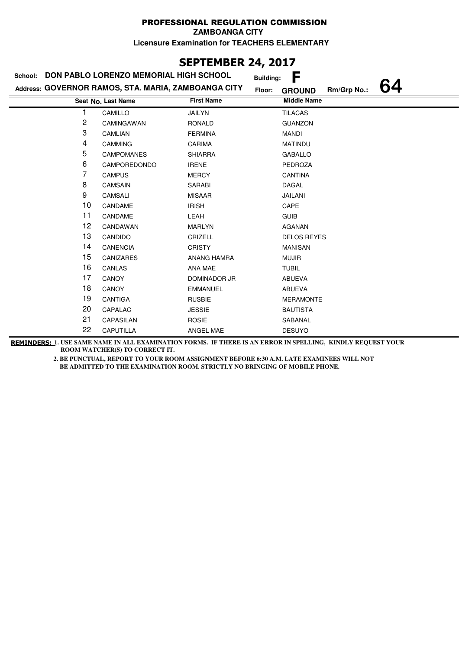**ZAMBOANGA CITY**

**Licensure Examination for TEACHERS ELEMENTARY**

## **SEPTEMBER 24, 2017**

| School: | DON PABLO LORENZO MEMORIAL HIGH SCHOOL              |                   |        |                    | F<br><b>Building:</b> |    |  |
|---------|-----------------------------------------------------|-------------------|--------|--------------------|-----------------------|----|--|
|         | Address: GOVERNOR RAMOS, STA. MARIA, ZAMBOANGA CITY |                   | Floor: | <b>GROUND</b>      | Rm/Grp No.:           | 64 |  |
|         | Seat No. Last Name                                  | <b>First Name</b> |        | <b>Middle Name</b> |                       |    |  |
|         | CAMILLO                                             | JAILYN            |        | <b>TILACAS</b>     |                       |    |  |
| 2       | CAMINGAWAN                                          | <b>RONALD</b>     |        | <b>GUANZON</b>     |                       |    |  |
| 3       | CAMLIAN                                             | <b>FERMINA</b>    |        | <b>MANDI</b>       |                       |    |  |
| 4       | <b>CAMMING</b>                                      | CARIMA            |        | <b>MATINDU</b>     |                       |    |  |
| 5       | <b>CAMPOMANES</b>                                   | <b>SHIARRA</b>    |        | <b>GABALLO</b>     |                       |    |  |
| 6       | CAMPOREDONDO                                        | <b>IRENE</b>      |        | <b>PEDROZA</b>     |                       |    |  |
| 7       | <b>CAMPUS</b>                                       | <b>MERCY</b>      |        | <b>CANTINA</b>     |                       |    |  |
| 8       | <b>CAMSAIN</b>                                      | SARABI            |        | <b>DAGAL</b>       |                       |    |  |
| 9       | <b>CAMSALI</b>                                      | <b>MISAAR</b>     |        | <b>JAILANI</b>     |                       |    |  |
| 10      | CANDAME                                             | <b>IRISH</b>      |        | CAPE               |                       |    |  |
| 11      | CANDAME                                             | LEAH              |        | <b>GUIB</b>        |                       |    |  |
| 12      | CANDAWAN                                            | <b>MARLYN</b>     |        | <b>AGANAN</b>      |                       |    |  |
| 13      | CANDIDO                                             | CRIZELL           |        | <b>DELOS REYES</b> |                       |    |  |
| 14      | <b>CANENCIA</b>                                     | <b>CRISTY</b>     |        | <b>MANISAN</b>     |                       |    |  |
| 15      | <b>CANIZARES</b>                                    | ANANG HAMRA       |        | <b>MUJIR</b>       |                       |    |  |
| 16      | CANLAS                                              | ANA MAE           |        | <b>TUBIL</b>       |                       |    |  |
| 17      | CANOY                                               | DOMINADOR JR      |        | ABUEVA             |                       |    |  |
| 18      | CANOY                                               | <b>EMMANUEL</b>   |        | ABUEVA             |                       |    |  |
| 19      | CANTIGA                                             | <b>RUSBIE</b>     |        | <b>MERAMONTE</b>   |                       |    |  |
| 20      | CAPALAC                                             | <b>JESSIE</b>     |        | <b>BAUTISTA</b>    |                       |    |  |
| 21      | CAPASILAN                                           | <b>ROSIE</b>      |        | SABANAL            |                       |    |  |
| 22      | CAPUTILLA                                           | ANGEL MAE         |        | <b>DESUYO</b>      |                       |    |  |

**REMINDERS: 1. USE SAME NAME IN ALL EXAMINATION FORMS. IF THERE IS AN ERROR IN SPELLING, KINDLY REQUEST YOUR ROOM WATCHER(S) TO CORRECT IT.**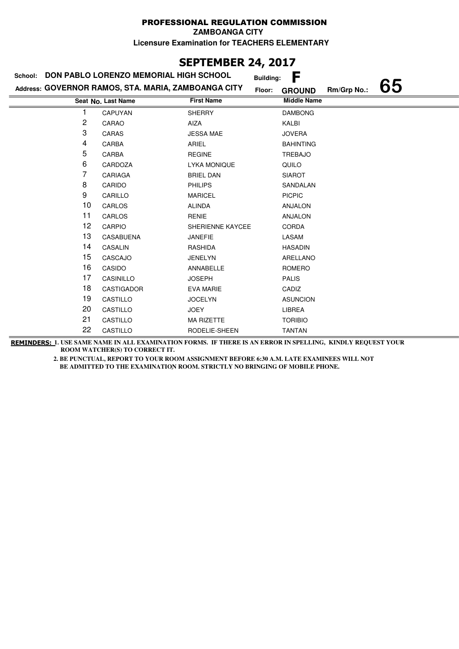**ZAMBOANGA CITY**

**Licensure Examination for TEACHERS ELEMENTARY**

## **SEPTEMBER 24, 2017**

| School: | DON PABLO LORENZO MEMORIAL HIGH SCHOOL              |                     | F<br><b>Building:</b> |             |    |
|---------|-----------------------------------------------------|---------------------|-----------------------|-------------|----|
|         | Address: GOVERNOR RAMOS, STA. MARIA, ZAMBOANGA CITY | Floor:              | <b>GROUND</b>         | Rm/Grp No.: | 65 |
|         | Seat No. Last Name                                  | <b>First Name</b>   | <b>Middle Name</b>    |             |    |
|         | <b>CAPUYAN</b>                                      | <b>SHERRY</b>       | <b>DAMBONG</b>        |             |    |
| 2       | CARAO                                               | AIZA                | KALBI                 |             |    |
| 3       | CARAS                                               | <b>JESSA MAE</b>    | <b>JOVERA</b>         |             |    |
| 4       | CARBA                                               | ARIEL               | <b>BAHINTING</b>      |             |    |
| 5       | CARBA                                               | <b>REGINE</b>       | <b>TREBAJO</b>        |             |    |
| 6       | CARDOZA                                             | <b>LYKA MONIQUE</b> | QUILO                 |             |    |
| 7       | CARIAGA                                             | <b>BRIEL DAN</b>    | <b>SIAROT</b>         |             |    |
| 8       | CARIDO                                              | <b>PHILIPS</b>      | SANDALAN              |             |    |
| 9       | CARILLO                                             | <b>MARICEL</b>      | <b>PICPIC</b>         |             |    |
| 10      | CARLOS                                              | <b>ALINDA</b>       | <b>ANJALON</b>        |             |    |
| 11      | CARLOS                                              | <b>RENIE</b>        | <b>ANJALON</b>        |             |    |
| 12      | <b>CARPIO</b>                                       | SHERIENNE KAYCEE    | <b>CORDA</b>          |             |    |
| 13      | <b>CASABUENA</b>                                    | <b>JANEFIE</b>      | LASAM                 |             |    |
| 14      | CASALIN                                             | RASHIDA             | <b>HASADIN</b>        |             |    |
| 15      | CASCAJO                                             | <b>JENELYN</b>      | ARELLANO              |             |    |
| 16      | CASIDO                                              | ANNABELLE           | <b>ROMERO</b>         |             |    |
| 17      | CASINILLO                                           | <b>JOSEPH</b>       | <b>PALIS</b>          |             |    |
| 18      | <b>CASTIGADOR</b>                                   | <b>EVA MARIE</b>    | CADIZ                 |             |    |
| 19      | CASTILLO                                            | <b>JOCELYN</b>      | <b>ASUNCION</b>       |             |    |
| 20      | CASTILLO                                            | <b>JOEY</b>         | LIBREA                |             |    |
| 21      | CASTILLO                                            | <b>MA RIZETTE</b>   | <b>TORIBIO</b>        |             |    |
| 22      | CASTILLO                                            | RODELIE-SHEEN       | <b>TANTAN</b>         |             |    |

**REMINDERS: 1. USE SAME NAME IN ALL EXAMINATION FORMS. IF THERE IS AN ERROR IN SPELLING, KINDLY REQUEST YOUR ROOM WATCHER(S) TO CORRECT IT.**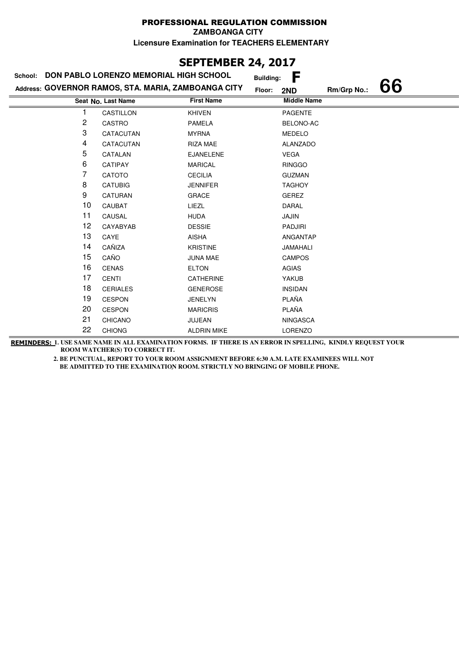## **SEPTEMBER 24, 2017**

| School:        | DON PABLO LORENZO MEMORIAL HIGH SCHOOL              |                    | <b>Building:</b> | F                  |             |    |
|----------------|-----------------------------------------------------|--------------------|------------------|--------------------|-------------|----|
|                | Address: GOVERNOR RAMOS, STA. MARIA, ZAMBOANGA CITY |                    | Floor:           | 2ND                | Rm/Grp No.: | 66 |
|                | Seat No. Last Name                                  | <b>First Name</b>  |                  | <b>Middle Name</b> |             |    |
|                | CASTILLON                                           | <b>KHIVEN</b>      |                  | <b>PAGENTE</b>     |             |    |
| $\overline{c}$ | CASTRO                                              | <b>PAMELA</b>      |                  | BELONO-AC          |             |    |
| 3              | CATACUTAN                                           | <b>MYRNA</b>       |                  | <b>MEDELO</b>      |             |    |
| 4              | CATACUTAN                                           | <b>RIZA MAE</b>    |                  | <b>ALANZADO</b>    |             |    |
| 5              | CATALAN                                             | <b>EJANELENE</b>   |                  | <b>VEGA</b>        |             |    |
| 6              | <b>CATIPAY</b>                                      | <b>MARICAL</b>     |                  | <b>RINGGO</b>      |             |    |
| 7              | CATOTO                                              | <b>CECILIA</b>     |                  | <b>GUZMAN</b>      |             |    |
| 8              | <b>CATUBIG</b>                                      | <b>JENNIFER</b>    |                  | <b>TAGHOY</b>      |             |    |
| 9              | <b>CATURAN</b>                                      | <b>GRACE</b>       |                  | <b>GEREZ</b>       |             |    |
| 10             | <b>CAUBAT</b>                                       | LIEZL              |                  | DARAL              |             |    |
| 11             | CAUSAL                                              | <b>HUDA</b>        |                  | <b>JAJIN</b>       |             |    |
| 12             | CAYABYAB                                            | <b>DESSIE</b>      |                  | PADJIRI            |             |    |
| 13             | CAYE                                                | <b>AISHA</b>       |                  | ANGANTAP           |             |    |
| 14             | CAÑIZA                                              | <b>KRISTINE</b>    |                  | <b>JAMAHALI</b>    |             |    |
| 15             | CAÑO                                                | <b>JUNA MAE</b>    |                  | <b>CAMPOS</b>      |             |    |
| 16             | <b>CENAS</b>                                        | <b>ELTON</b>       |                  | <b>AGIAS</b>       |             |    |
| 17             | <b>CENTI</b>                                        | CATHERINE          |                  | <b>YAKUB</b>       |             |    |
| 18             | <b>CERIALES</b>                                     | <b>GENEROSE</b>    |                  | <b>INSIDAN</b>     |             |    |
| 19             | <b>CESPON</b>                                       | <b>JENELYN</b>     |                  | PLAÑA              |             |    |
| 20             | <b>CESPON</b>                                       | <b>MARICRIS</b>    |                  | PLAÑA              |             |    |
| 21             | <b>CHICANO</b>                                      | JUJEAN             |                  | <b>NINGASCA</b>    |             |    |
| 22             | <b>CHIONG</b>                                       | <b>ALDRIN MIKE</b> |                  | <b>LORENZO</b>     |             |    |

**REMINDERS: 1. USE SAME NAME IN ALL EXAMINATION FORMS. IF THERE IS AN ERROR IN SPELLING, KINDLY REQUEST YOUR ROOM WATCHER(S) TO CORRECT IT.**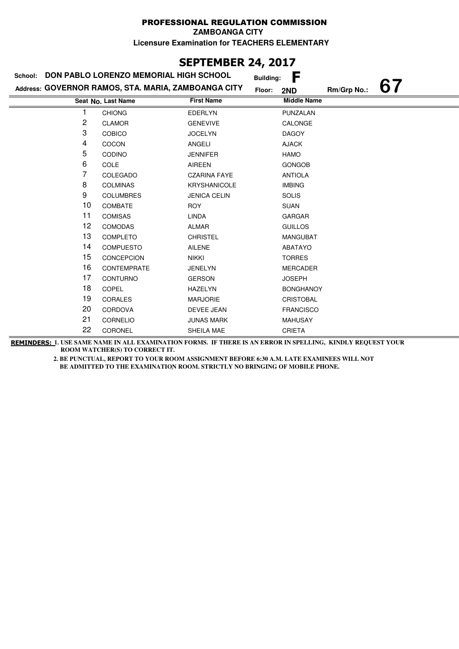## **SEPTEMBER 24, 2017**

| School: | DON PABLO LORENZO MEMORIAL HIGH SCHOOL              |                     | <b>Building:</b> | F                  |             |  |
|---------|-----------------------------------------------------|---------------------|------------------|--------------------|-------------|--|
|         | Address: GOVERNOR RAMOS, STA. MARIA, ZAMBOANGA CITY |                     | Floor:           | 2ND                | Rm/Grp No.: |  |
|         | Seat No. Last Name                                  | <b>First Name</b>   |                  | <b>Middle Name</b> |             |  |
|         | <b>CHIONG</b>                                       | <b>EDERLYN</b>      |                  | <b>PUNZALAN</b>    |             |  |
| 2       | <b>CLAMOR</b>                                       | <b>GENEVIVE</b>     |                  | CALONGE            |             |  |
| 3       | <b>COBICO</b>                                       | <b>JOCELYN</b>      |                  | <b>DAGOY</b>       |             |  |
| 4       | COCON                                               | ANGELI              |                  | <b>AJACK</b>       |             |  |
| 5       | <b>CODINO</b>                                       | <b>JENNIFER</b>     |                  | HAMO               |             |  |
| 6       | COLE                                                | <b>AIREEN</b>       |                  | <b>GONGOB</b>      |             |  |
| 7       | COLEGADO                                            | <b>CZARINA FAYE</b> |                  | <b>ANTIOLA</b>     |             |  |
| 8       | <b>COLMINAS</b>                                     | <b>KRYSHANICOLE</b> |                  | <b>IMBING</b>      |             |  |
| 9       | <b>COLUMBRES</b>                                    | <b>JENICA CELIN</b> |                  | <b>SOLIS</b>       |             |  |
| 10      | <b>COMBATE</b>                                      | <b>ROY</b>          |                  | <b>SUAN</b>        |             |  |
| 11      | <b>COMISAS</b>                                      | <b>LINDA</b>        |                  | GARGAR             |             |  |
| 12      | <b>COMODAS</b>                                      | <b>ALMAR</b>        |                  | <b>GUILLOS</b>     |             |  |
| 13      | <b>COMPLETO</b>                                     | <b>CHRISTEL</b>     |                  | <b>MANGUBAT</b>    |             |  |
| 14      | <b>COMPUESTO</b>                                    | AILENE              |                  | ABATAYO            |             |  |
| 15      | CONCEPCION                                          | <b>NIKKI</b>        |                  | <b>TORRES</b>      |             |  |
| 16      | CONTEMPRATE                                         | <b>JENELYN</b>      |                  | <b>MERCADER</b>    |             |  |
| 17      | <b>CONTURNO</b>                                     | <b>GERSON</b>       |                  | <b>JOSEPH</b>      |             |  |
| 18      | <b>COPEL</b>                                        | <b>HAZELYN</b>      |                  | <b>BONGHANOY</b>   |             |  |
| 19      | <b>CORALES</b>                                      | <b>MARJORIE</b>     |                  | <b>CRISTOBAL</b>   |             |  |
| 20      | CORDOVA                                             | DEVEE JEAN          |                  | <b>FRANCISCO</b>   |             |  |
| 21      | CORNELIO                                            | <b>JUNAS MARK</b>   |                  | <b>MAHUSAY</b>     |             |  |
| 22      | CORONEL                                             | SHEILA MAE          |                  | <b>CRIETA</b>      |             |  |

**REMINDERS: 1. USE SAME NAME IN ALL EXAMINATION FORMS. IF THERE IS AN ERROR IN SPELLING, KINDLY REQUEST YOUR ROOM WATCHER(S) TO CORRECT IT.**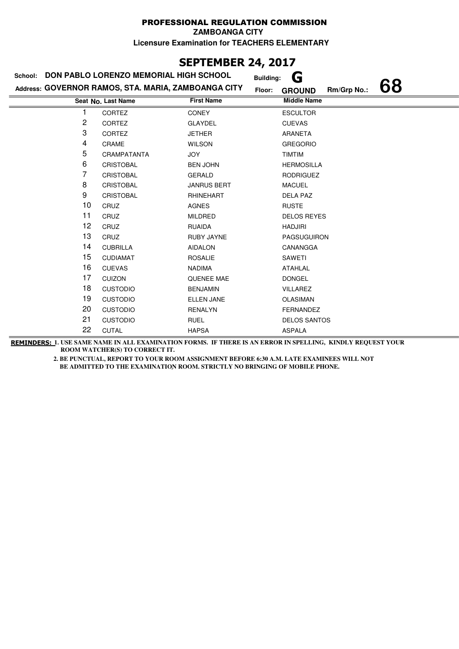**ZAMBOANGA CITY**

**Licensure Examination for TEACHERS ELEMENTARY**

# **SEPTEMBER 24, 2017**

| School: | DON PABLO LORENZO MEMORIAL HIGH SCHOOL              |                    | G<br><b>Building:</b>                        |
|---------|-----------------------------------------------------|--------------------|----------------------------------------------|
|         | Address: GOVERNOR RAMOS, STA. MARIA, ZAMBOANGA CITY |                    | 68<br>Rm/Grp No.:<br>Floor:<br><b>GROUND</b> |
|         | Seat No. Last Name                                  | <b>First Name</b>  | <b>Middle Name</b>                           |
|         | CORTEZ                                              | <b>CONEY</b>       | <b>ESCULTOR</b>                              |
| 2       | CORTEZ                                              | <b>GLAYDEL</b>     | <b>CUEVAS</b>                                |
| 3       | <b>CORTEZ</b>                                       | <b>JETHER</b>      | ARANETA                                      |
| 4       | <b>CRAME</b>                                        | <b>WILSON</b>      | <b>GREGORIO</b>                              |
| 5       | CRAMPATANTA                                         | <b>JOY</b>         | <b>TIMTIM</b>                                |
| 6       | <b>CRISTOBAL</b>                                    | <b>BEN JOHN</b>    | <b>HERMOSILLA</b>                            |
| 7       | <b>CRISTOBAL</b>                                    | GERALD             | <b>RODRIGUEZ</b>                             |
| 8       | <b>CRISTOBAL</b>                                    | <b>JANRUS BERT</b> | <b>MACUEL</b>                                |
| 9       | <b>CRISTOBAL</b>                                    | RHINEHART          | DELA PAZ                                     |
| 10      | CRUZ                                                | <b>AGNES</b>       | <b>RUSTE</b>                                 |
| 11      | CRUZ                                                | <b>MILDRED</b>     | <b>DELOS REYES</b>                           |
| 12      | CRUZ                                                | <b>RUAIDA</b>      | <b>HADJIRI</b>                               |
| 13      | CRUZ                                                | <b>RUBY JAYNE</b>  | <b>PAGSUGUIRON</b>                           |
| 14      | <b>CUBRILLA</b>                                     | <b>AIDALON</b>     | CANANGGA                                     |
| 15      | <b>CUDIAMAT</b>                                     | <b>ROSALIE</b>     | SAWETI                                       |
| 16      | <b>CUEVAS</b>                                       | <b>NADIMA</b>      | ATAHLAL                                      |
| 17      | <b>CUIZON</b>                                       | <b>QUENEE MAE</b>  | <b>DONGEL</b>                                |
| 18      | <b>CUSTODIO</b>                                     | <b>BENJAMIN</b>    | <b>VILLAREZ</b>                              |
| 19      | <b>CUSTODIO</b>                                     | <b>ELLEN JANE</b>  | <b>OLASIMAN</b>                              |
| 20      | <b>CUSTODIO</b>                                     | <b>RENALYN</b>     | <b>FERNANDEZ</b>                             |
| 21      | <b>CUSTODIO</b>                                     | <b>RUEL</b>        | <b>DELOS SANTOS</b>                          |
| 22      | <b>CUTAL</b>                                        | <b>HAPSA</b>       | <b>ASPALA</b>                                |

**REMINDERS: 1. USE SAME NAME IN ALL EXAMINATION FORMS. IF THERE IS AN ERROR IN SPELLING, KINDLY REQUEST YOUR ROOM WATCHER(S) TO CORRECT IT.**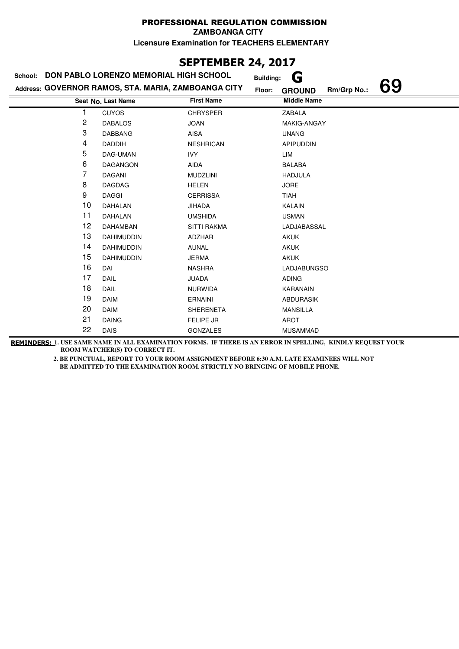**ZAMBOANGA CITY**

**Licensure Examination for TEACHERS ELEMENTARY**

# **SEPTEMBER 24, 2017**

| School: | DON PABLO LORENZO MEMORIAL HIGH SCHOOL              |                    | G<br><b>Building:</b>                        |
|---------|-----------------------------------------------------|--------------------|----------------------------------------------|
|         | Address: GOVERNOR RAMOS, STA. MARIA, ZAMBOANGA CITY |                    | 69<br>Rm/Grp No.:<br>Floor:<br><b>GROUND</b> |
|         | Seat No. Last Name                                  | <b>First Name</b>  | <b>Middle Name</b>                           |
|         | <b>CUYOS</b>                                        | <b>CHRYSPER</b>    | <b>ZABALA</b>                                |
| 2       | <b>DABALOS</b>                                      | <b>JOAN</b>        | MAKIG-ANGAY                                  |
| 3       | <b>DABBANG</b>                                      | AISA               | <b>UNANG</b>                                 |
| 4       | <b>DADDIH</b>                                       | <b>NESHRICAN</b>   | <b>APIPUDDIN</b>                             |
| 5       | DAG-UMAN                                            | <b>IVY</b>         | LIM                                          |
| 6       | <b>DAGANGON</b>                                     | AIDA               | <b>BALABA</b>                                |
| 7       | <b>DAGANI</b>                                       | <b>MUDZLINI</b>    | <b>HADJULA</b>                               |
| 8       | <b>DAGDAG</b>                                       | <b>HELEN</b>       | <b>JORE</b>                                  |
| 9       | <b>DAGGI</b>                                        | <b>CERRISSA</b>    | <b>TIAH</b>                                  |
| 10      | DAHALAN                                             | <b>JIHADA</b>      | <b>KALAIN</b>                                |
| 11      | DAHALAN                                             | <b>UMSHIDA</b>     | <b>USMAN</b>                                 |
| 12      | <b>DAHAMBAN</b>                                     | <b>SITTI RAKMA</b> | LADJABASSAL                                  |
| 13      | <b>DAHIMUDDIN</b>                                   | ADZHAR             | <b>AKUK</b>                                  |
| 14      | <b>DAHIMUDDIN</b>                                   | <b>AUNAL</b>       | <b>AKUK</b>                                  |
| 15      | <b>DAHIMUDDIN</b>                                   | <b>JERMA</b>       | <b>AKUK</b>                                  |
| 16      | DAI                                                 | <b>NASHRA</b>      | <b>LADJABUNGSO</b>                           |
| 17      | <b>DAIL</b>                                         | <b>JUADA</b>       | <b>ADING</b>                                 |
| 18      | <b>DAIL</b>                                         | <b>NURWIDA</b>     | <b>KARANAIN</b>                              |
| 19      | <b>DAIM</b>                                         | <b>ERNAINI</b>     | <b>ABDURASIK</b>                             |
| 20      | <b>DAIM</b>                                         | <b>SHERENETA</b>   | <b>MANSILLA</b>                              |
| 21      | <b>DAING</b>                                        | FELIPE JR          | AROT                                         |
| 22      | <b>DAIS</b>                                         | <b>GONZALES</b>    | <b>MUSAMMAD</b>                              |

**REMINDERS: 1. USE SAME NAME IN ALL EXAMINATION FORMS. IF THERE IS AN ERROR IN SPELLING, KINDLY REQUEST YOUR ROOM WATCHER(S) TO CORRECT IT.**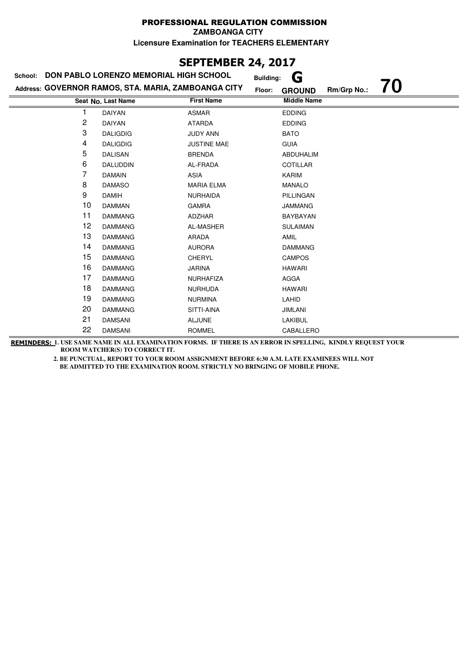**ZAMBOANGA CITY**

**Licensure Examination for TEACHERS ELEMENTARY**

# **SEPTEMBER 24, 2017**

| <b>DON PABLO LORENZO MEMORIAL HIGH SCHOOL</b><br>School: |                                                     |                    | G<br><b>Building:</b>        |    |
|----------------------------------------------------------|-----------------------------------------------------|--------------------|------------------------------|----|
|                                                          | Address: GOVERNOR RAMOS, STA. MARIA, ZAMBOANGA CITY | Floor:             | Rm/Grp No.:<br><b>GROUND</b> | 70 |
|                                                          | Seat No. Last Name                                  | <b>First Name</b>  | <b>Middle Name</b>           |    |
|                                                          | <b>DAIYAN</b>                                       | <b>ASMAR</b>       | <b>EDDING</b>                |    |
| 2                                                        | <b>DAIYAN</b>                                       | <b>ATARDA</b>      | <b>EDDING</b>                |    |
| 3                                                        | <b>DALIGDIG</b>                                     | <b>JUDY ANN</b>    | <b>BATO</b>                  |    |
| 4                                                        | <b>DALIGDIG</b>                                     | <b>JUSTINE MAE</b> | <b>GUIA</b>                  |    |
| 5                                                        | <b>DALISAN</b>                                      | <b>BRENDA</b>      | <b>ABDUHALIM</b>             |    |
| 6                                                        | DALUDDIN                                            | AL-FRADA           | <b>COTILLAR</b>              |    |
| 7                                                        | <b>DAMAIN</b>                                       | ASIA               | KARIM                        |    |
| 8                                                        | <b>DAMASO</b>                                       | <b>MARIA ELMA</b>  | <b>MANALO</b>                |    |
| 9                                                        | <b>DAMIH</b>                                        | <b>NURHAIDA</b>    | PILLINGAN                    |    |
| 10                                                       | <b>DAMMAN</b>                                       | <b>GAMRA</b>       | <b>JAMMANG</b>               |    |
| 11                                                       | <b>DAMMANG</b>                                      | ADZHAR             | <b>BAYBAYAN</b>              |    |
| 12                                                       | <b>DAMMANG</b>                                      | AL-MASHER          | <b>SULAIMAN</b>              |    |
| 13                                                       | <b>DAMMANG</b>                                      | ARADA              | AMIL                         |    |
| 14                                                       | <b>DAMMANG</b>                                      | <b>AURORA</b>      | <b>DAMMANG</b>               |    |
| 15                                                       | <b>DAMMANG</b>                                      | <b>CHERYL</b>      | <b>CAMPOS</b>                |    |
| 16                                                       | <b>DAMMANG</b>                                      | <b>JARINA</b>      | <b>HAWARI</b>                |    |
| 17                                                       | <b>DAMMANG</b>                                      | <b>NURHAFIZA</b>   | <b>AGGA</b>                  |    |
| 18                                                       | <b>DAMMANG</b>                                      | <b>NURHUDA</b>     | <b>HAWARI</b>                |    |
| 19                                                       | <b>DAMMANG</b>                                      | <b>NURMINA</b>     | LAHID                        |    |
| 20                                                       | <b>DAMMANG</b>                                      | SITTI-AINA         | <b>JIMLANI</b>               |    |
| 21                                                       | <b>DAMSANI</b>                                      | <b>ALJUNE</b>      | LAKIBUL                      |    |
| 22                                                       | <b>DAMSANI</b>                                      | <b>ROMMEL</b>      | CABALLERO                    |    |

**REMINDERS: 1. USE SAME NAME IN ALL EXAMINATION FORMS. IF THERE IS AN ERROR IN SPELLING, KINDLY REQUEST YOUR ROOM WATCHER(S) TO CORRECT IT.**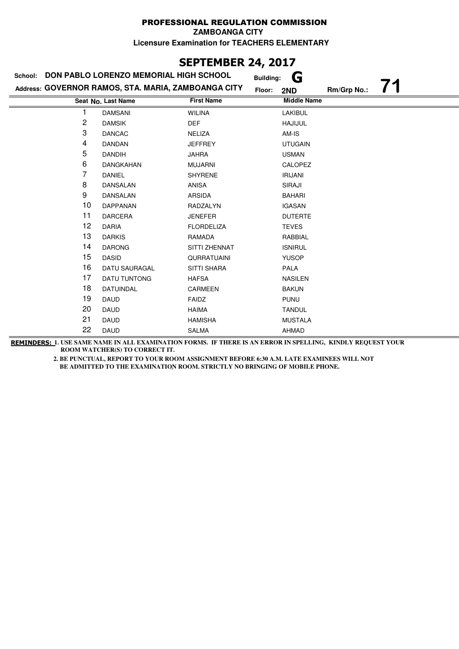# **SEPTEMBER 24, 2017**

| DON PABLO LORENZO MEMORIAL HIGH SCHOOL<br>School: |                                                     |                    | G<br><b>Building:</b> |             |  |
|---------------------------------------------------|-----------------------------------------------------|--------------------|-----------------------|-------------|--|
|                                                   | Address: GOVERNOR RAMOS, STA. MARIA, ZAMBOANGA CITY |                    | Floor:<br>2ND         | Rm/Grp No.: |  |
|                                                   | Seat No. Last Name                                  | <b>First Name</b>  | <b>Middle Name</b>    |             |  |
|                                                   | <b>DAMSANI</b>                                      | <b>WILINA</b>      | <b>LAKIBUL</b>        |             |  |
| $\overline{c}$                                    | <b>DAMSIK</b>                                       | <b>DEF</b>         | <b>HAJIJUL</b>        |             |  |
| 3                                                 | <b>DANCAC</b>                                       | NELIZA             | AM-IS                 |             |  |
| 4                                                 | DANDAN                                              | <b>JEFFREY</b>     | <b>UTUGAIN</b>        |             |  |
| 5                                                 | <b>DANDIH</b>                                       | <b>JAHRA</b>       | <b>USMAN</b>          |             |  |
| 6                                                 | DANGKAHAN                                           | <b>MUJARNI</b>     | <b>CALOPEZ</b>        |             |  |
| 7                                                 | DANIEL                                              | <b>SHYRENE</b>     | <b>IRIJANI</b>        |             |  |
| 8                                                 | <b>DANSALAN</b>                                     | <b>ANISA</b>       | SIRAJI                |             |  |
| 9                                                 | DANSALAN                                            | ARSIDA             | <b>BAHARI</b>         |             |  |
| 10                                                | <b>DAPPANAN</b>                                     | RADZALYN           | <b>IGASAN</b>         |             |  |
| 11                                                | <b>DARCERA</b>                                      | <b>JENEFER</b>     | <b>DUTERTE</b>        |             |  |
| 12                                                | <b>DARIA</b>                                        | <b>FLORDELIZA</b>  | <b>TEVES</b>          |             |  |
| 13                                                | <b>DARKIS</b>                                       | RAMADA             | RABBIAL               |             |  |
| 14                                                | <b>DARONG</b>                                       | SITTI ZHENNAT      | <b>ISNIRUL</b>        |             |  |
| 15                                                | <b>DASID</b>                                        | <b>QURRATUAINI</b> | <b>YUSOP</b>          |             |  |
| 16                                                | <b>DATU SAURAGAL</b>                                | <b>SITTI SHARA</b> | <b>PALA</b>           |             |  |
| 17                                                | <b>DATU TUNTONG</b>                                 | <b>HAFSA</b>       | <b>NASILEN</b>        |             |  |
| 18                                                | DATUINDAL                                           | <b>CARMEEN</b>     | <b>BAKUN</b>          |             |  |
| 19                                                | <b>DAUD</b>                                         | FAIDZ              | <b>PUNU</b>           |             |  |
| 20                                                | <b>DAUD</b>                                         | <b>HAIMA</b>       | <b>TANDUL</b>         |             |  |
| 21                                                | DAUD                                                | <b>HAMISHA</b>     | <b>MUSTALA</b>        |             |  |
| 22                                                | <b>DAUD</b>                                         | <b>SALMA</b>       | <b>AHMAD</b>          |             |  |

**REMINDERS: 1. USE SAME NAME IN ALL EXAMINATION FORMS. IF THERE IS AN ERROR IN SPELLING, KINDLY REQUEST YOUR ROOM WATCHER(S) TO CORRECT IT.**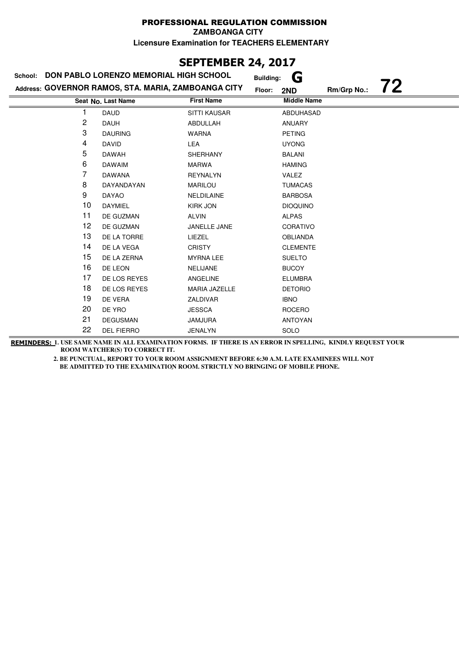# **SEPTEMBER 24, 2017**

| <b>DON PABLO LORENZO MEMORIAL HIGH SCHOOL</b><br>School: |                                                     |                     | G<br><b>Building:</b>    |
|----------------------------------------------------------|-----------------------------------------------------|---------------------|--------------------------|
|                                                          | Address: GOVERNOR RAMOS, STA. MARIA, ZAMBOANGA CITY | Floor:              | 72<br>Rm/Grp No.:<br>2ND |
|                                                          | Seat No. Last Name                                  | <b>First Name</b>   | <b>Middle Name</b>       |
|                                                          | <b>DAUD</b>                                         | <b>SITTI KAUSAR</b> | <b>ABDUHASAD</b>         |
| 2                                                        | <b>DAUH</b>                                         | ABDULLAH            | <b>ANUARY</b>            |
| 3                                                        | <b>DAURING</b>                                      | <b>WARNA</b>        | <b>PETING</b>            |
| 4                                                        | DAVID                                               | <b>LEA</b>          | <b>UYONG</b>             |
| 5                                                        | DAWAH                                               | <b>SHERHANY</b>     | <b>BALANI</b>            |
| 6                                                        | <b>DAWAIM</b>                                       | MARWA               | <b>HAMING</b>            |
| 7                                                        | <b>DAWANA</b>                                       | <b>REYNALYN</b>     | <b>VALEZ</b>             |
| 8                                                        | DAYANDAYAN                                          | <b>MARILOU</b>      | <b>TUMACAS</b>           |
| 9                                                        | <b>DAYAO</b>                                        | NELDILAINE          | <b>BARBOSA</b>           |
| 10                                                       | <b>DAYMIEL</b>                                      | <b>KIRK JON</b>     | <b>DIOQUINO</b>          |
| 11                                                       | DE GUZMAN                                           | <b>ALVIN</b>        | <b>ALPAS</b>             |
| 12                                                       | DE GUZMAN                                           | JANELLE JANE        | <b>CORATIVO</b>          |
| 13                                                       | DE LA TORRE                                         | LIEZEL              | <b>OBLIANDA</b>          |
| 14                                                       | DE LA VEGA                                          | <b>CRISTY</b>       | <b>CLEMENTE</b>          |
| 15                                                       | DE LA ZERNA                                         | <b>MYRNA LEE</b>    | <b>SUELTO</b>            |
| 16                                                       | DE LEON                                             | NELIJANE            | <b>BUCOY</b>             |
| 17                                                       | DE LOS REYES                                        | <b>ANGELINE</b>     | <b>ELUMBRA</b>           |
| 18                                                       | DE LOS REYES                                        | MARIA JAZELLE       | <b>DETORIO</b>           |
| 19                                                       | DE VERA                                             | ZALDIVAR            | <b>IBNO</b>              |
| 20                                                       | DE YRO                                              | <b>JESSCA</b>       | <b>ROCERO</b>            |
| 21                                                       | <b>DEGUSMAN</b>                                     | <b>JAMJURA</b>      | <b>ANTOYAN</b>           |
| 22                                                       | <b>DEL FIERRO</b>                                   | <b>JENALYN</b>      | SOLO                     |

**REMINDERS: 1. USE SAME NAME IN ALL EXAMINATION FORMS. IF THERE IS AN ERROR IN SPELLING, KINDLY REQUEST YOUR ROOM WATCHER(S) TO CORRECT IT.**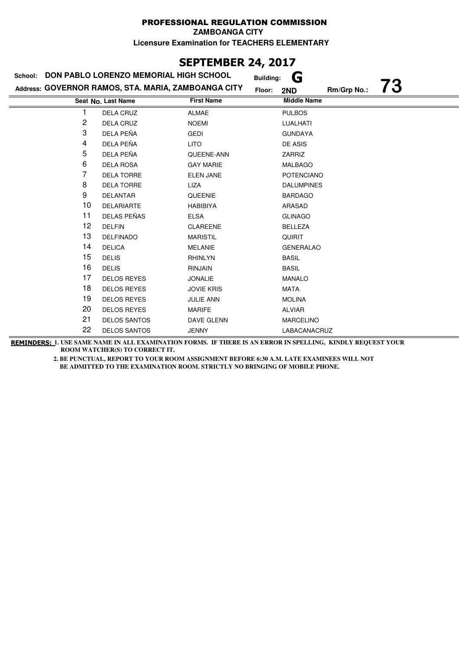## **SEPTEMBER 24, 2017**

| DON PABLO LORENZO MEMORIAL HIGH SCHOOL<br>School: |                                                     |                   | G<br><b>Building:</b>              |  |
|---------------------------------------------------|-----------------------------------------------------|-------------------|------------------------------------|--|
|                                                   | Address: GOVERNOR RAMOS, STA. MARIA, ZAMBOANGA CITY |                   | 73<br>Rm/Grp No.:<br>Floor:<br>2ND |  |
|                                                   | Seat No. Last Name                                  | <b>First Name</b> | <b>Middle Name</b>                 |  |
|                                                   | <b>DELA CRUZ</b>                                    | <b>ALMAE</b>      | <b>PULBOS</b>                      |  |
| 2                                                 | <b>DELA CRUZ</b>                                    | <b>NOEMI</b>      | LUALHATI                           |  |
| 3                                                 | DELA PEÑA                                           | <b>GEDI</b>       | <b>GUNDAYA</b>                     |  |
| 4                                                 | DELA PEÑA                                           | <b>LITO</b>       | <b>DE ASIS</b>                     |  |
| 5                                                 | DELA PEÑA                                           | QUEENE-ANN        | ZARRIZ                             |  |
| 6                                                 | <b>DELA ROSA</b>                                    | <b>GAY MARIE</b>  | <b>MALBAGO</b>                     |  |
| 7                                                 | <b>DELA TORRE</b>                                   | <b>ELEN JANE</b>  | <b>POTENCIANO</b>                  |  |
| 8                                                 | <b>DELA TORRE</b>                                   | LIZA              | <b>DALUMPINES</b>                  |  |
| 9                                                 | <b>DELANTAR</b>                                     | QUEENIE           | <b>BARDAGO</b>                     |  |
| 10                                                | <b>DELARIARTE</b>                                   | <b>HABIBIYA</b>   | ARASAD                             |  |
| 11                                                | DELAS PEÑAS                                         | <b>ELSA</b>       | <b>GLINAGO</b>                     |  |
| 12                                                | <b>DELFIN</b>                                       | <b>CLAREENE</b>   | <b>BELLEZA</b>                     |  |
| 13                                                | <b>DELFINADO</b>                                    | <b>MARISTIL</b>   | <b>QUIRIT</b>                      |  |
| 14                                                | <b>DELICA</b>                                       | <b>MELANIE</b>    | <b>GENERALAO</b>                   |  |
| 15                                                | <b>DELIS</b>                                        | <b>RHINLYN</b>    | <b>BASIL</b>                       |  |
| 16                                                | <b>DELIS</b>                                        | <b>RINJAIN</b>    | <b>BASIL</b>                       |  |
| 17                                                | <b>DELOS REYES</b>                                  | <b>JONALIE</b>    | <b>MANALO</b>                      |  |
| 18                                                | <b>DELOS REYES</b>                                  | <b>JOVIE KRIS</b> | <b>MATA</b>                        |  |
| 19                                                | <b>DELOS REYES</b>                                  | <b>JULIE ANN</b>  | <b>MOLINA</b>                      |  |
| 20                                                | <b>DELOS REYES</b>                                  | <b>MARIFE</b>     | <b>ALVIAR</b>                      |  |
| 21                                                | <b>DELOS SANTOS</b>                                 | DAVE GLENN        | <b>MARCELINO</b>                   |  |
| 22                                                | <b>DELOS SANTOS</b>                                 | <b>JENNY</b>      | LABACANACRUZ                       |  |

**REMINDERS: 1. USE SAME NAME IN ALL EXAMINATION FORMS. IF THERE IS AN ERROR IN SPELLING, KINDLY REQUEST YOUR ROOM WATCHER(S) TO CORRECT IT.**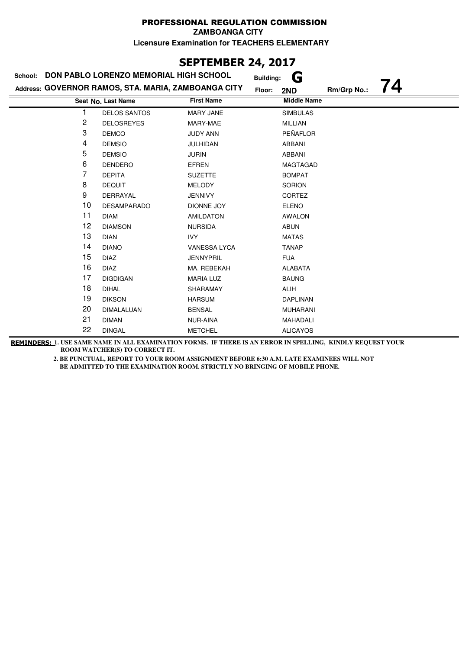# **SEPTEMBER 24, 2017**

| DON PABLO LORENZO MEMORIAL HIGH SCHOOL<br>School: |                                                     | G<br><b>Building:</b> |                    |             |    |
|---------------------------------------------------|-----------------------------------------------------|-----------------------|--------------------|-------------|----|
|                                                   | Address: GOVERNOR RAMOS, STA. MARIA, ZAMBOANGA CITY |                       | Floor:<br>2ND      | Rm/Grp No.: | 74 |
|                                                   | Seat No. Last Name                                  | <b>First Name</b>     | <b>Middle Name</b> |             |    |
|                                                   | <b>DELOS SANTOS</b>                                 | <b>MARY JANE</b>      | <b>SIMBULAS</b>    |             |    |
| 2                                                 | <b>DELOSREYES</b>                                   | MARY-MAE              | <b>MILLIAN</b>     |             |    |
| 3                                                 | <b>DEMCO</b>                                        | <b>JUDY ANN</b>       | PEÑAFLOR           |             |    |
| 4                                                 | <b>DEMSIO</b>                                       | <b>JULHIDAN</b>       | <b>ABBANI</b>      |             |    |
| 5                                                 | <b>DEMSIO</b>                                       | <b>JURIN</b>          | ABBANI             |             |    |
| 6                                                 | <b>DENDERO</b>                                      | EFREN                 | <b>MAGTAGAD</b>    |             |    |
| 7                                                 | <b>DEPITA</b>                                       | <b>SUZETTE</b>        | <b>BOMPAT</b>      |             |    |
| 8                                                 | <b>DEQUIT</b>                                       | <b>MELODY</b>         | <b>SORION</b>      |             |    |
| 9                                                 | DERRAYAL                                            | <b>JENNIVY</b>        | CORTEZ             |             |    |
| 10                                                | <b>DESAMPARADO</b>                                  | DIONNE JOY            | <b>ELENO</b>       |             |    |
| 11                                                | <b>DIAM</b>                                         | <b>AMILDATON</b>      | <b>AWALON</b>      |             |    |
| 12                                                | <b>DIAMSON</b>                                      | <b>NURSIDA</b>        | <b>ABUN</b>        |             |    |
| 13                                                | <b>DIAN</b>                                         | IVY                   | <b>MATAS</b>       |             |    |
| 14                                                | <b>DIANO</b>                                        | VANESSA LYCA          | <b>TANAP</b>       |             |    |
| 15                                                | <b>DIAZ</b>                                         | <b>JENNYPRIL</b>      | <b>FUA</b>         |             |    |
| 16                                                | <b>DIAZ</b>                                         | MA. REBEKAH           | <b>ALABATA</b>     |             |    |
| 17                                                | <b>DIGDIGAN</b>                                     | <b>MARIA LUZ</b>      | <b>BAUNG</b>       |             |    |
| 18                                                | <b>DIHAL</b>                                        | SHARAMAY              | <b>ALIH</b>        |             |    |
| 19                                                | <b>DIKSON</b>                                       | <b>HARSUM</b>         | <b>DAPLINAN</b>    |             |    |
| 20                                                | <b>DIMALALUAN</b>                                   | <b>BENSAL</b>         | <b>MUHARANI</b>    |             |    |
| 21                                                | <b>DIMAN</b>                                        | NUR-AINA              | MAHADALI           |             |    |
| 22                                                | <b>DINGAL</b>                                       | <b>METCHEL</b>        | <b>ALICAYOS</b>    |             |    |

**REMINDERS: 1. USE SAME NAME IN ALL EXAMINATION FORMS. IF THERE IS AN ERROR IN SPELLING, KINDLY REQUEST YOUR ROOM WATCHER(S) TO CORRECT IT.**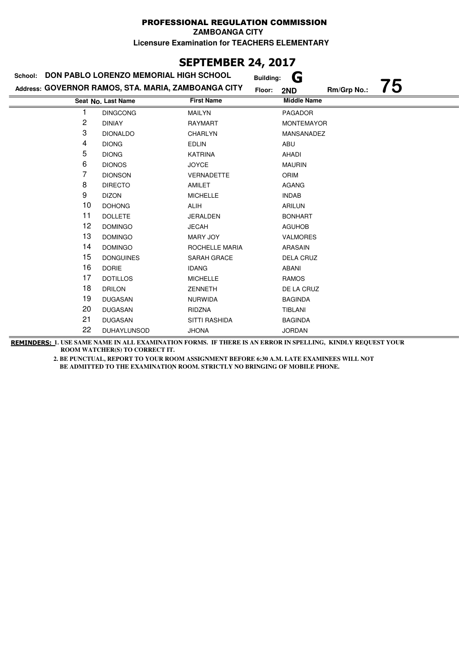## **SEPTEMBER 24, 2017**

| DON PABLO LORENZO MEMORIAL HIGH SCHOOL<br>School: |                                                     |                      | G<br><b>Building:</b>              |  |
|---------------------------------------------------|-----------------------------------------------------|----------------------|------------------------------------|--|
|                                                   | Address: GOVERNOR RAMOS, STA. MARIA, ZAMBOANGA CITY |                      | 75<br>Rm/Grp No.:<br>Floor:<br>2ND |  |
|                                                   | Seat No. Last Name                                  | <b>First Name</b>    | <b>Middle Name</b>                 |  |
| 1                                                 | <b>DINGCONG</b>                                     | <b>MAILYN</b>        | <b>PAGADOR</b>                     |  |
| 2                                                 | <b>DINIAY</b>                                       | <b>RAYMART</b>       | <b>MONTEMAYOR</b>                  |  |
| 3                                                 | <b>DIONALDO</b>                                     | <b>CHARLYN</b>       | MANSANADEZ                         |  |
| 4                                                 | <b>DIONG</b>                                        | <b>EDLIN</b>         | ABU                                |  |
| 5                                                 | <b>DIONG</b>                                        | <b>KATRINA</b>       | AHADI                              |  |
| 6                                                 | <b>DIONOS</b>                                       | <b>JOYCE</b>         | <b>MAURIN</b>                      |  |
| 7                                                 | <b>DIONSON</b>                                      | VERNADETTE           | ORIM                               |  |
| 8                                                 | <b>DIRECTO</b>                                      | AMILET               | <b>AGANG</b>                       |  |
| 9                                                 | <b>DIZON</b>                                        | <b>MICHELLE</b>      | <b>INDAB</b>                       |  |
| 10                                                | <b>DOHONG</b>                                       | ALIH                 | <b>ARILUN</b>                      |  |
| 11                                                | <b>DOLLETE</b>                                      | <b>JERALDEN</b>      | <b>BONHART</b>                     |  |
| 12                                                | <b>DOMINGO</b>                                      | <b>JECAH</b>         | <b>AGUHOB</b>                      |  |
| 13                                                | <b>DOMINGO</b>                                      | <b>MARY JOY</b>      | <b>VALMORES</b>                    |  |
| 14                                                | <b>DOMINGO</b>                                      | ROCHELLE MARIA       | <b>ARASAIN</b>                     |  |
| 15                                                | <b>DONGUINES</b>                                    | SARAH GRACE          | <b>DELA CRUZ</b>                   |  |
| 16                                                | <b>DORIE</b>                                        | <b>IDANG</b>         | <b>ABANI</b>                       |  |
| 17                                                | <b>DOTILLOS</b>                                     | <b>MICHELLE</b>      | <b>RAMOS</b>                       |  |
| 18                                                | <b>DRILON</b>                                       | <b>ZENNETH</b>       | DE LA CRUZ                         |  |
| 19                                                | <b>DUGASAN</b>                                      | <b>NURWIDA</b>       | <b>BAGINDA</b>                     |  |
| 20                                                | <b>DUGASAN</b>                                      | RIDZNA               | TIBLANI                            |  |
| 21                                                | <b>DUGASAN</b>                                      | <b>SITTI RASHIDA</b> | <b>BAGINDA</b>                     |  |
| 22                                                | DUHAYLUNSOD                                         | <b>JHONA</b>         | <b>JORDAN</b>                      |  |

**REMINDERS: 1. USE SAME NAME IN ALL EXAMINATION FORMS. IF THERE IS AN ERROR IN SPELLING, KINDLY REQUEST YOUR ROOM WATCHER(S) TO CORRECT IT.**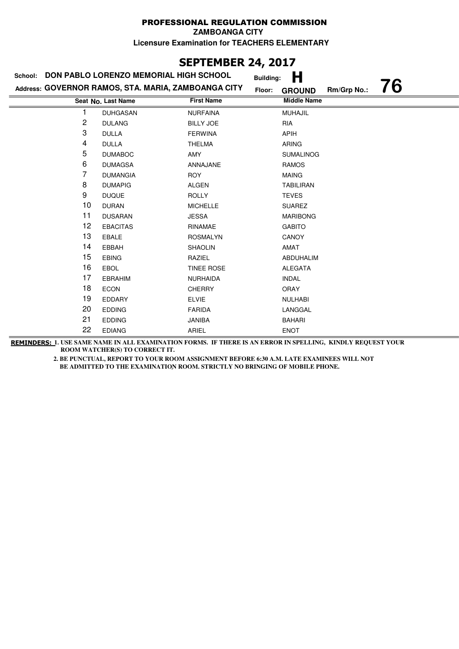**ZAMBOANGA CITY**

**Licensure Examination for TEACHERS ELEMENTARY**

## **SEPTEMBER 24, 2017**

| DON PABLO LORENZO MEMORIAL HIGH SCHOOL<br>School: |                                                     |                   | <b>Building:</b> | Н                  |             |    |
|---------------------------------------------------|-----------------------------------------------------|-------------------|------------------|--------------------|-------------|----|
|                                                   | Address: GOVERNOR RAMOS, STA. MARIA, ZAMBOANGA CITY |                   | Floor:           | <b>GROUND</b>      | Rm/Grp No.: | 76 |
|                                                   | Seat No. Last Name                                  | <b>First Name</b> |                  | <b>Middle Name</b> |             |    |
| 1                                                 | <b>DUHGASAN</b>                                     | <b>NURFAINA</b>   |                  | <b>MUHAJIL</b>     |             |    |
| 2                                                 | <b>DULANG</b>                                       | <b>BILLY JOE</b>  |                  | <b>RIA</b>         |             |    |
| 3                                                 | <b>DULLA</b>                                        | <b>FERWINA</b>    |                  | <b>APIH</b>        |             |    |
| 4                                                 | <b>DULLA</b>                                        | <b>THELMA</b>     |                  | <b>ARING</b>       |             |    |
| 5                                                 | <b>DUMABOC</b>                                      | AMY               |                  | <b>SUMALINOG</b>   |             |    |
| 6                                                 | <b>DUMAGSA</b>                                      | ANNAJANE          |                  | <b>RAMOS</b>       |             |    |
| 7                                                 | <b>DUMANGIA</b>                                     | <b>ROY</b>        |                  | <b>MAING</b>       |             |    |
| 8                                                 | <b>DUMAPIG</b>                                      | ALGEN             |                  | <b>TABILIRAN</b>   |             |    |
| 9                                                 | <b>DUQUE</b>                                        | <b>ROLLY</b>      |                  | <b>TEVES</b>       |             |    |
| 10                                                | <b>DURAN</b>                                        | <b>MICHELLE</b>   |                  | <b>SUAREZ</b>      |             |    |
| 11                                                | <b>DUSARAN</b>                                      | <b>JESSA</b>      |                  | <b>MARIBONG</b>    |             |    |
| 12                                                | <b>EBACITAS</b>                                     | RINAMAE           |                  | <b>GABITO</b>      |             |    |
| 13                                                | <b>EBALE</b>                                        | <b>ROSMALYN</b>   |                  | CANOY              |             |    |
| 14                                                | EBBAH                                               | SHAOLIN           |                  | <b>AMAT</b>        |             |    |
| 15                                                | <b>EBING</b>                                        | RAZIEL            |                  | ABDUHALIM          |             |    |
| 16                                                | <b>EBOL</b>                                         | <b>TINEE ROSE</b> |                  | <b>ALEGATA</b>     |             |    |
| 17                                                | <b>EBRAHIM</b>                                      | <b>NURHAIDA</b>   |                  | <b>INDAL</b>       |             |    |
| 18                                                | <b>ECON</b>                                         | <b>CHERRY</b>     |                  | <b>ORAY</b>        |             |    |
| 19                                                | <b>EDDARY</b>                                       | <b>ELVIE</b>      |                  | <b>NULHABI</b>     |             |    |
| 20                                                | <b>EDDING</b>                                       | <b>FARIDA</b>     |                  | LANGGAL            |             |    |
| 21                                                | <b>EDDING</b>                                       | JANIBA            |                  | <b>BAHARI</b>      |             |    |
| 22                                                | <b>EDIANG</b>                                       | ARIEL             |                  | <b>ENOT</b>        |             |    |

**REMINDERS: 1. USE SAME NAME IN ALL EXAMINATION FORMS. IF THERE IS AN ERROR IN SPELLING, KINDLY REQUEST YOUR ROOM WATCHER(S) TO CORRECT IT.**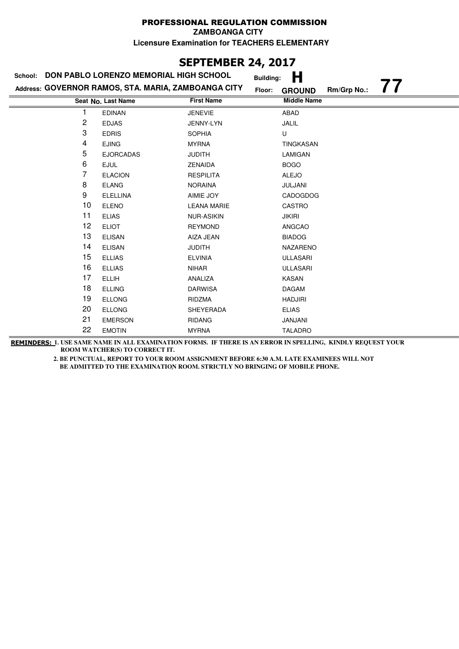**ZAMBOANGA CITY**

**Licensure Examination for TEACHERS ELEMENTARY**

### **SEPTEMBER 24, 2017**

| School:        | DON PABLO LORENZO MEMORIAL HIGH SCHOOL              |                    | Н<br><b>Building:</b>                          |
|----------------|-----------------------------------------------------|--------------------|------------------------------------------------|
|                | Address: GOVERNOR RAMOS, STA. MARIA, ZAMBOANGA CITY | Floor:             | $\prime\prime$<br>Rm/Grp No.:<br><b>GROUND</b> |
|                | Seat No. Last Name                                  | <b>First Name</b>  | <b>Middle Name</b>                             |
|                | <b>EDINAN</b>                                       | <b>JENEVIE</b>     | ABAD                                           |
| $\overline{c}$ | <b>EDJAS</b>                                        | JENNY-LYN          | JALIL                                          |
| 3              | <b>EDRIS</b>                                        | <b>SOPHIA</b>      | U                                              |
| 4              | <b>EJING</b>                                        | <b>MYRNA</b>       | TINGKASAN                                      |
| 5              | <b>EJORCADAS</b>                                    | <b>JUDITH</b>      | LAMIGAN                                        |
| 6              | <b>EJUL</b>                                         | <b>ZENAIDA</b>     | <b>BOGO</b>                                    |
| 7              | <b>ELACION</b>                                      | <b>RESPILITA</b>   | <b>ALEJO</b>                                   |
| 8              | <b>ELANG</b>                                        | <b>NORAINA</b>     | JULJANI                                        |
| 9              | <b>ELELLINA</b>                                     | AIMIE JOY          | CADOGDOG                                       |
| 10             | <b>ELENO</b>                                        | <b>LEANA MARIE</b> | CASTRO                                         |
| 11             | <b>ELIAS</b>                                        | <b>NUR-ASIKIN</b>  | JIKIRI                                         |
| 12             | <b>ELIOT</b>                                        | <b>REYMOND</b>     | ANGCAO                                         |
| 13             | <b>ELISAN</b>                                       | AIZA JEAN          | <b>BIADOG</b>                                  |
| 14             | <b>ELISAN</b>                                       | <b>JUDITH</b>      | <b>NAZARENO</b>                                |
| 15             | <b>ELLIAS</b>                                       | <b>ELVINIA</b>     | <b>ULLASARI</b>                                |
| 16             | <b>ELLIAS</b>                                       | <b>NIHAR</b>       | <b>ULLASARI</b>                                |
| 17             | <b>ELLIH</b>                                        | ANALIZA            | KASAN                                          |
| 18             | <b>ELLING</b>                                       | <b>DARWISA</b>     | <b>DAGAM</b>                                   |
| 19             | <b>ELLONG</b>                                       | <b>RIDZMA</b>      | <b>HADJIRI</b>                                 |
| 20             | <b>ELLONG</b>                                       | <b>SHEYERADA</b>   | <b>ELIAS</b>                                   |
| 21             | <b>EMERSON</b>                                      | <b>RIDANG</b>      | JANJANI                                        |
| 22             | <b>EMOTIN</b>                                       | <b>MYRNA</b>       | <b>TALADRO</b>                                 |

**REMINDERS: 1. USE SAME NAME IN ALL EXAMINATION FORMS. IF THERE IS AN ERROR IN SPELLING, KINDLY REQUEST YOUR ROOM WATCHER(S) TO CORRECT IT.**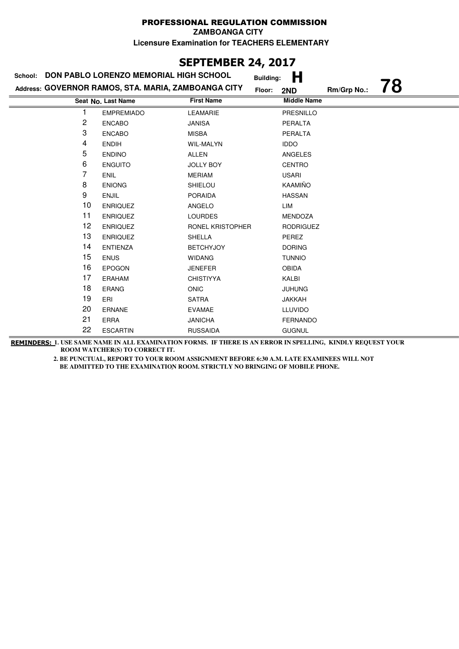### **SEPTEMBER 24, 2017**

| School:        | DON PABLO LORENZO MEMORIAL HIGH SCHOOL              |                   | <b>Building:</b> | H                  |             |    |
|----------------|-----------------------------------------------------|-------------------|------------------|--------------------|-------------|----|
|                | Address: GOVERNOR RAMOS, STA. MARIA, ZAMBOANGA CITY |                   | Floor:           | 2ND                | Rm/Grp No.: | 78 |
|                | Seat No. Last Name                                  | <b>First Name</b> |                  | <b>Middle Name</b> |             |    |
|                | <b>EMPREMIADO</b>                                   | <b>LEAMARIE</b>   |                  | PRESNILLO          |             |    |
| $\overline{c}$ | <b>ENCABO</b>                                       | <b>JANISA</b>     |                  | PERALTA            |             |    |
| 3              | <b>ENCABO</b>                                       | <b>MISBA</b>      |                  | PERALTA            |             |    |
| 4              | <b>ENDIH</b>                                        | <b>WIL-MALYN</b>  |                  | <b>IDDO</b>        |             |    |
| 5              | <b>ENDINO</b>                                       | <b>ALLEN</b>      |                  | ANGELES            |             |    |
| 6              | <b>ENGUITO</b>                                      | <b>JOLLY BOY</b>  |                  | <b>CENTRO</b>      |             |    |
| 7              | <b>ENIL</b>                                         | <b>MERIAM</b>     |                  | <b>USARI</b>       |             |    |
| 8              | <b>ENIONG</b>                                       | SHIELOU           |                  | KAAMIÑO            |             |    |
| 9              | <b>ENJIL</b>                                        | <b>PORAIDA</b>    |                  | <b>HASSAN</b>      |             |    |
| 10             | <b>ENRIQUEZ</b>                                     | ANGELO            |                  | LIM                |             |    |
| 11             | <b>ENRIQUEZ</b>                                     | <b>LOURDES</b>    |                  | MENDOZA            |             |    |
| 12             | <b>ENRIQUEZ</b>                                     | RONEL KRISTOPHER  |                  | <b>RODRIGUEZ</b>   |             |    |
| 13             | <b>ENRIQUEZ</b>                                     | <b>SHELLA</b>     |                  | PEREZ              |             |    |
| 14             | <b>ENTIENZA</b>                                     | <b>BETCHYJOY</b>  |                  | <b>DORING</b>      |             |    |
| 15             | <b>ENUS</b>                                         | <b>WIDANG</b>     |                  | <b>TUNNIO</b>      |             |    |
| 16             | <b>EPOGON</b>                                       | <b>JENEFER</b>    |                  | <b>OBIDA</b>       |             |    |
| 17             | <b>ERAHAM</b>                                       | <b>CHISTIYYA</b>  |                  | KALBI              |             |    |
| 18             | <b>ERANG</b>                                        | <b>ONIC</b>       |                  | <b>JUHUNG</b>      |             |    |
| 19             | ERI                                                 | SATRA             |                  | <b>JAKKAH</b>      |             |    |
| 20             | <b>ERNANE</b>                                       | <b>EVAMAE</b>     |                  | <b>LLUVIDO</b>     |             |    |
| 21             | <b>ERRA</b>                                         | <b>JANICHA</b>    |                  | <b>FERNANDO</b>    |             |    |
| 22             | <b>ESCARTIN</b>                                     | <b>RUSSAIDA</b>   |                  | <b>GUGNUL</b>      |             |    |

**REMINDERS: 1. USE SAME NAME IN ALL EXAMINATION FORMS. IF THERE IS AN ERROR IN SPELLING, KINDLY REQUEST YOUR ROOM WATCHER(S) TO CORRECT IT.**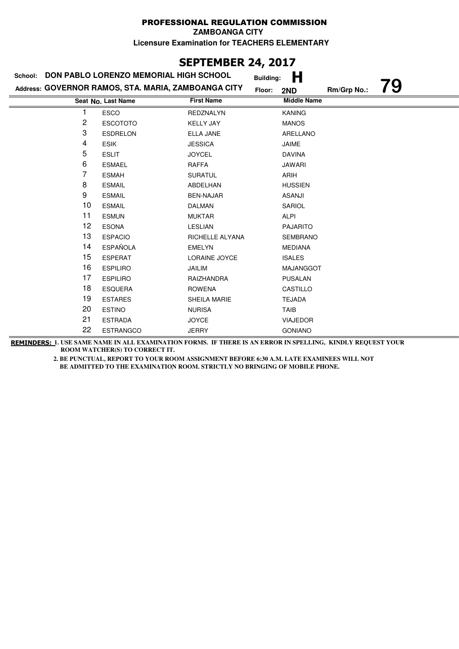## **SEPTEMBER 24, 2017**

| School: | DON PABLO LORENZO MEMORIAL HIGH SCHOOL              |                   | Н<br><b>Building:</b> |             |    |
|---------|-----------------------------------------------------|-------------------|-----------------------|-------------|----|
|         | Address: GOVERNOR RAMOS, STA. MARIA, ZAMBOANGA CITY |                   | Floor:<br>2ND         | Rm/Grp No.: | 79 |
|         | Seat No. Last Name                                  | <b>First Name</b> | <b>Middle Name</b>    |             |    |
| 1       | <b>ESCO</b>                                         | <b>REDZNALYN</b>  | <b>KANING</b>         |             |    |
| 2       | <b>ESCOTOTO</b>                                     | <b>KELLY JAY</b>  | <b>MANOS</b>          |             |    |
| 3       | <b>ESDRELON</b>                                     | <b>ELLA JANE</b>  | ARELLANO              |             |    |
| 4       | <b>ESIK</b>                                         | <b>JESSICA</b>    | JAIME                 |             |    |
| 5       | <b>ESLIT</b>                                        | <b>JOYCEL</b>     | <b>DAVINA</b>         |             |    |
| 6       | <b>ESMAEL</b>                                       | <b>RAFFA</b>      | <b>JAWARI</b>         |             |    |
| 7       | <b>ESMAH</b>                                        | <b>SURATUL</b>    | ARIH                  |             |    |
| 8       | <b>ESMAIL</b>                                       | ABDELHAN          | <b>HUSSIEN</b>        |             |    |
| 9       | <b>ESMAIL</b>                                       | <b>BEN-NAJAR</b>  | <b>ASANJI</b>         |             |    |
| 10      | <b>ESMAIL</b>                                       | <b>DALMAN</b>     | SARIOL                |             |    |
| 11      | <b>ESMUN</b>                                        | <b>MUKTAR</b>     | <b>ALPI</b>           |             |    |
| 12      | <b>ESONA</b>                                        | <b>LESLIAN</b>    | <b>PAJARITO</b>       |             |    |
| 13      | <b>ESPACIO</b>                                      | RICHELLE ALYANA   | <b>SEMBRANO</b>       |             |    |
| 14      | <b>ESPAÑOLA</b>                                     | <b>EMELYN</b>     | <b>MEDIANA</b>        |             |    |
| 15      | <b>ESPERAT</b>                                      | LORAINE JOYCE     | <b>ISALES</b>         |             |    |
| 16      | <b>ESPILIRO</b>                                     | JAILIM            | MAJANGGOT             |             |    |
| 17      | <b>ESPILIRO</b>                                     | RAIZHANDRA        | <b>PUSALAN</b>        |             |    |
| 18      | <b>ESQUERA</b>                                      | <b>ROWENA</b>     | CASTILLO              |             |    |
| 19      | <b>ESTARES</b>                                      | SHEILA MARIE      | <b>TEJADA</b>         |             |    |
| 20      | <b>ESTINO</b>                                       | <b>NURISA</b>     | <b>TAIB</b>           |             |    |
| 21      | <b>ESTRADA</b>                                      | <b>JOYCE</b>      | <b>VIAJEDOR</b>       |             |    |
| 22      | <b>ESTRANGCO</b>                                    | <b>JERRY</b>      | <b>GONIANO</b>        |             |    |

**REMINDERS: 1. USE SAME NAME IN ALL EXAMINATION FORMS. IF THERE IS AN ERROR IN SPELLING, KINDLY REQUEST YOUR ROOM WATCHER(S) TO CORRECT IT.**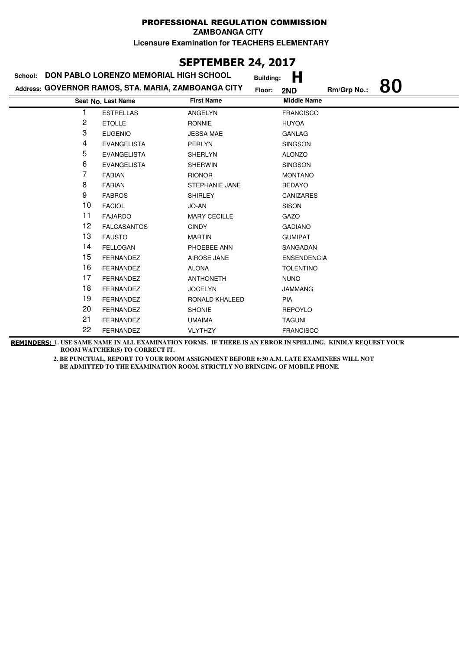### **SEPTEMBER 24, 2017**

| DON PABLO LORENZO MEMORIAL HIGH SCHOOL<br>School: |                                                     |                       | <b>Building:</b> | Н                  |             |    |
|---------------------------------------------------|-----------------------------------------------------|-----------------------|------------------|--------------------|-------------|----|
|                                                   | Address: GOVERNOR RAMOS, STA. MARIA, ZAMBOANGA CITY |                       |                  | 2ND                | Rm/Grp No.: | 80 |
|                                                   | Seat No. Last Name                                  | <b>First Name</b>     |                  | <b>Middle Name</b> |             |    |
|                                                   | <b>ESTRELLAS</b>                                    | ANGELYN               |                  | <b>FRANCISCO</b>   |             |    |
| $\overline{c}$                                    | <b>ETOLLE</b>                                       | <b>RONNIE</b>         |                  | <b>HUYOA</b>       |             |    |
| 3                                                 | <b>EUGENIO</b>                                      | <b>JESSA MAE</b>      |                  | <b>GANLAG</b>      |             |    |
| 4                                                 | <b>EVANGELISTA</b>                                  | PERLYN                |                  | <b>SINGSON</b>     |             |    |
| 5                                                 | <b>EVANGELISTA</b>                                  | <b>SHERLYN</b>        |                  | <b>ALONZO</b>      |             |    |
| 6                                                 | <b>EVANGELISTA</b>                                  | <b>SHERWIN</b>        |                  | <b>SINGSON</b>     |             |    |
| 7                                                 | <b>FABIAN</b>                                       | <b>RIONOR</b>         |                  | <b>MONTAÑO</b>     |             |    |
| 8                                                 | <b>FABIAN</b>                                       | <b>STEPHANIE JANE</b> |                  | <b>BEDAYO</b>      |             |    |
| 9                                                 | <b>FABROS</b>                                       | <b>SHIRLEY</b>        |                  | <b>CANIZARES</b>   |             |    |
| 10                                                | <b>FACIOL</b>                                       | JO-AN                 |                  | <b>SISON</b>       |             |    |
| 11                                                | <b>FAJARDO</b>                                      | <b>MARY CECILLE</b>   |                  | GAZO               |             |    |
| 12                                                | <b>FALCASANTOS</b>                                  | <b>CINDY</b>          |                  | <b>GADIANO</b>     |             |    |
| 13                                                | <b>FAUSTO</b>                                       | <b>MARTIN</b>         |                  | <b>GUMIPAT</b>     |             |    |
| 14                                                | <b>FELLOGAN</b>                                     | PHOEBEE ANN           |                  | SANGADAN           |             |    |
| 15                                                | <b>FERNANDEZ</b>                                    | AIROSE JANE           |                  | <b>ENSENDENCIA</b> |             |    |
| 16                                                | <b>FERNANDEZ</b>                                    | <b>ALONA</b>          |                  | <b>TOLENTINO</b>   |             |    |
| 17                                                | <b>FERNANDEZ</b>                                    | <b>ANTHONETH</b>      |                  | <b>NUNO</b>        |             |    |
| 18                                                | <b>FERNANDEZ</b>                                    | <b>JOCELYN</b>        |                  | <b>JAMMANG</b>     |             |    |
| 19                                                | <b>FERNANDEZ</b>                                    | RONALD KHALEED        |                  | PIA                |             |    |
| 20                                                | <b>FERNANDEZ</b>                                    | <b>SHONIE</b>         |                  | <b>REPOYLO</b>     |             |    |
| 21                                                | <b>FERNANDEZ</b>                                    | <b>UMAIMA</b>         |                  | <b>TAGUNI</b>      |             |    |
| 22                                                | <b>FERNANDEZ</b>                                    | <b>VLYTHZY</b>        |                  | <b>FRANCISCO</b>   |             |    |

**REMINDERS: 1. USE SAME NAME IN ALL EXAMINATION FORMS. IF THERE IS AN ERROR IN SPELLING, KINDLY REQUEST YOUR ROOM WATCHER(S) TO CORRECT IT.**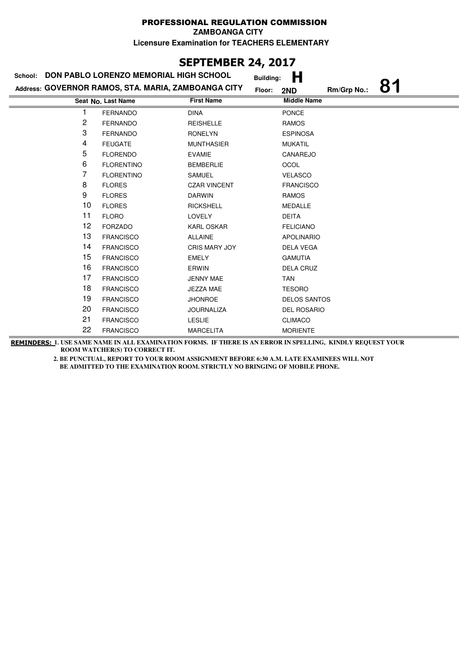### **SEPTEMBER 24, 2017**

| DON PABLO LORENZO MEMORIAL HIGH SCHOOL<br>School: |                                                     |                      | <b>Building:</b> | Н                   |             |    |
|---------------------------------------------------|-----------------------------------------------------|----------------------|------------------|---------------------|-------------|----|
|                                                   | Address: GOVERNOR RAMOS, STA. MARIA, ZAMBOANGA CITY |                      | Floor:           | 2ND                 | Rm/Grp No.: | 81 |
|                                                   | Seat No. Last Name                                  | <b>First Name</b>    |                  | <b>Middle Name</b>  |             |    |
| 1                                                 | <b>FERNANDO</b>                                     | <b>DINA</b>          |                  | <b>PONCE</b>        |             |    |
| 2                                                 | <b>FERNANDO</b>                                     | <b>REISHELLE</b>     |                  | <b>RAMOS</b>        |             |    |
| 3                                                 | <b>FERNANDO</b>                                     | <b>RONELYN</b>       |                  | <b>ESPINOSA</b>     |             |    |
| 4                                                 | <b>FEUGATE</b>                                      | <b>MUNTHASIER</b>    |                  | <b>MUKATIL</b>      |             |    |
| 5                                                 | <b>FLORENDO</b>                                     | <b>EVAMIE</b>        |                  | CANAREJO            |             |    |
| 6                                                 | <b>FLORENTINO</b>                                   | <b>BEMBERLIE</b>     |                  | <b>OCOL</b>         |             |    |
| 7                                                 | <b>FLORENTINO</b>                                   | <b>SAMUEL</b>        |                  | <b>VELASCO</b>      |             |    |
| 8                                                 | <b>FLORES</b>                                       | <b>CZAR VINCENT</b>  |                  | <b>FRANCISCO</b>    |             |    |
| 9                                                 | <b>FLORES</b>                                       | <b>DARWIN</b>        |                  | <b>RAMOS</b>        |             |    |
| 10                                                | <b>FLORES</b>                                       | <b>RICKSHELL</b>     |                  | <b>MEDALLE</b>      |             |    |
| 11                                                | <b>FLORO</b>                                        | <b>LOVELY</b>        |                  | <b>DEITA</b>        |             |    |
| 12                                                | <b>FORZADO</b>                                      | <b>KARL OSKAR</b>    |                  | <b>FELICIANO</b>    |             |    |
| 13                                                | <b>FRANCISCO</b>                                    | <b>ALLAINE</b>       |                  | <b>APOLINARIO</b>   |             |    |
| 14                                                | <b>FRANCISCO</b>                                    | <b>CRIS MARY JOY</b> |                  | <b>DELA VEGA</b>    |             |    |
| 15                                                | <b>FRANCISCO</b>                                    | <b>EMELY</b>         |                  | <b>GAMUTIA</b>      |             |    |
| 16                                                | <b>FRANCISCO</b>                                    | ERWIN                |                  | <b>DELA CRUZ</b>    |             |    |
| 17                                                | <b>FRANCISCO</b>                                    | <b>JENNY MAE</b>     |                  | <b>TAN</b>          |             |    |
| 18                                                | <b>FRANCISCO</b>                                    | JEZZA MAE            |                  | <b>TESORO</b>       |             |    |
| 19                                                | <b>FRANCISCO</b>                                    | <b>JHONROE</b>       |                  | <b>DELOS SANTOS</b> |             |    |
| 20                                                | <b>FRANCISCO</b>                                    | <b>JOURNALIZA</b>    |                  | <b>DEL ROSARIO</b>  |             |    |
| 21                                                | <b>FRANCISCO</b>                                    | <b>LESLIE</b>        |                  | <b>CLIMACO</b>      |             |    |
| 22                                                | <b>FRANCISCO</b>                                    | <b>MARCELITA</b>     |                  | <b>MORIENTE</b>     |             |    |

**REMINDERS: 1. USE SAME NAME IN ALL EXAMINATION FORMS. IF THERE IS AN ERROR IN SPELLING, KINDLY REQUEST YOUR ROOM WATCHER(S) TO CORRECT IT.**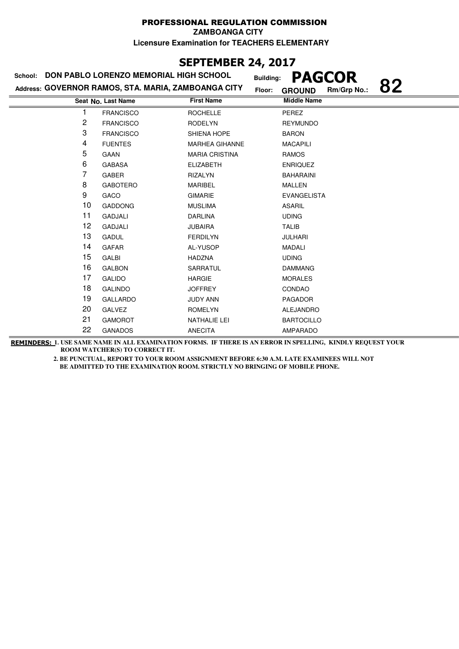### **SEPTEMBER 24, 2017**

### **Last Name First Name Middle Name Address: GOVERNOR RAMOS, STA. MARIA, ZAMBOANGA CITY School: DON PABLO LORENZO MEMORIAL HIGH SCHOOL Building: PAGCOR Floor: GROUND Rm/Grp No.: 82 Seat No.** 1 FRANCISCO ROCHELLE PEREZ 2 FRANCISCO RODELYN REYMUNDO 3 FRANCISCO SHIENA HOPE BARON 4 FUENTES MARHEA GIHANNE MACAPILI 5 GAAN MARIA CRISTINA RAMOS 6 GABASA ELIZABETH ENRIQUEZ 7 GABER RIZALYN BAHARAINI 8 GABOTERO MARIBEL MALLEN 9 GACO GIMARIE EVANGELISTA 10 GADDONG MUSLIMA ASARIL 11 GADJALI DARLINA UDING 12 GADJALI JUBAIRA TALIB 13 GADUL FERDILYN JULHARI 14 GAFAR AL-YUSOP MADALI 15 GALBI HADZNA UDING 16 GALBON SARRATUL DAMMANG 17 GALIDO **HARGIE** MORALES 18 GALINDO JOFFREY CONDAO 19 GALLARDO JUDY ANN PAGADOR 20 GALVEZ ROMELYN ALEJANDRO 21 GAMOROT NATHALIE LEI BARTOCILLO 22 GANADOS ANECITA AMPARADO

**REMINDERS: 1. USE SAME NAME IN ALL EXAMINATION FORMS. IF THERE IS AN ERROR IN SPELLING, KINDLY REQUEST YOUR ROOM WATCHER(S) TO CORRECT IT.**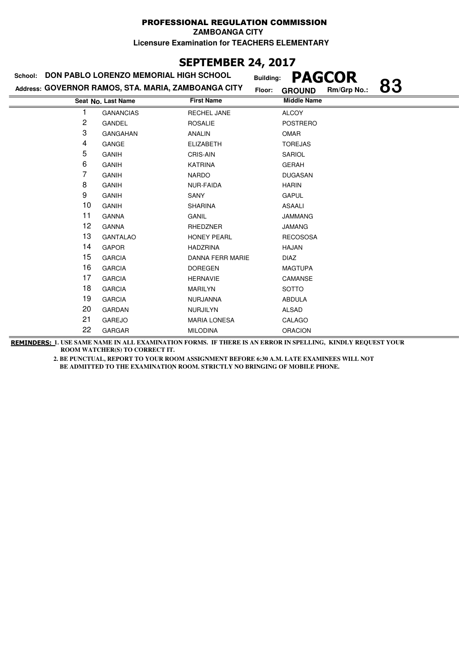### **SEPTEMBER 24, 2017**

### **Last Name First Name Middle Name Address: GOVERNOR RAMOS, STA. MARIA, ZAMBOANGA CITY School: DON PABLO LORENZO MEMORIAL HIGH SCHOOL Building: PAGCOR Floor: GROUND Rm/Grp No.: 83 Seat No.** 1 GANANCIAS RECHEL JANE ALCOY 2 GANDEL ROSALIE POSTRERO 3 GANGAHAN ANALIN OMAR 4 GANGE ELIZABETH TOREJAS 5 GANIH CRIS-AIN SARIOL 6 GANIH KATRINA GERAH **7** GANIH NARDO DUGASAN 8 GANIH NUR-FAIDA HARIN 9 GANIH SANY SANY GAPUL 10 GANIH SHARINA SHARINA ASAALI 11 GANNA GANIL JAMMANG 12 GANNA RHEDZNER JAMANG 13 GANTALAO HONEY PEARL RECOSOSA 14 GAPOR HADZRINA HAJAN 15 GARCIA DANNA FERR MARIE DIAZ 16 GARCIA DOREGEN MAGTUPA 17 GARCIA HERNAVIE CAMANSE 18 GARCIA MARILYN SOTTO 19 GARCIA NURJANNA ABDULA 20 GARDAN NURJILYN ALSAD 21 GAREJO MARIA LONESA CALAGO 22 GARGAR MILODINA ORACION

**REMINDERS: 1. USE SAME NAME IN ALL EXAMINATION FORMS. IF THERE IS AN ERROR IN SPELLING, KINDLY REQUEST YOUR ROOM WATCHER(S) TO CORRECT IT.**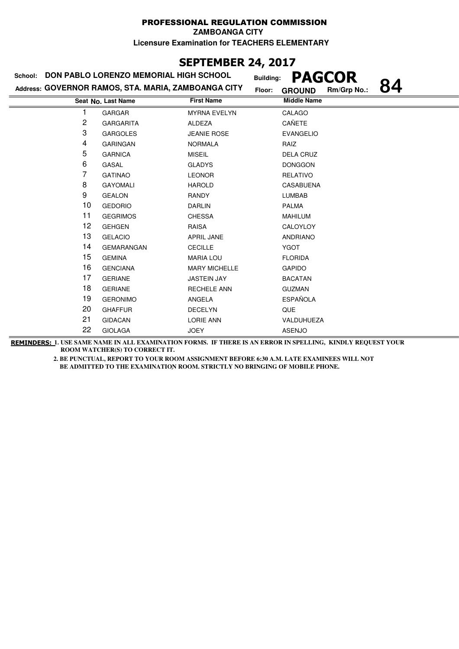### PROFESSIONAL REGULATION COMMISSION **ZAMBOANGA CITY**

**Licensure Examination for TEACHERS ELEMENTARY**

### **SEPTEMBER 24, 2017**

|  |  | School: DON PABLO LORENZO MEMORIAL HIGH SCHOOL |  |
|--|--|------------------------------------------------|--|
|  |  |                                                |  |

**Address: GOVERNOR RAMOS, STA. MARIA, ZAMBOANGA CITY**

**Building: PAGCOR Floor: GROUND Rm/Grp No.: 84**

| ?m/Grp No.: |  |
|-------------|--|
|             |  |

|                | Seat No. Last Name | <b>First Name</b>    | <b>Middle Name</b> |
|----------------|--------------------|----------------------|--------------------|
|                | GARGAR             | <b>MYRNA EVELYN</b>  | CALAGO             |
| $\overline{c}$ | <b>GARGARITA</b>   | ALDEZA               | CAÑETE             |
| 3              | <b>GARGOLES</b>    | <b>JEANIE ROSE</b>   | <b>EVANGELIO</b>   |
| 4              | <b>GARINGAN</b>    | <b>NORMALA</b>       | RAIZ               |
| 5              | <b>GARNICA</b>     | <b>MISEIL</b>        | <b>DELA CRUZ</b>   |
| 6              | GASAL              | <b>GLADYS</b>        | <b>DONGGON</b>     |
| 7              | <b>GATINAO</b>     | <b>LEONOR</b>        | <b>RELATIVO</b>    |
| 8              | <b>GAYOMALI</b>    | <b>HAROLD</b>        | <b>CASABUENA</b>   |
| 9              | <b>GEALON</b>      | RANDY                | <b>LUMBAB</b>      |
| 10             | <b>GEDORIO</b>     | <b>DARLIN</b>        | <b>PALMA</b>       |
| 11             | <b>GEGRIMOS</b>    | <b>CHESSA</b>        | <b>MAHILUM</b>     |
| 12             | <b>GEHGEN</b>      | <b>RAISA</b>         | CALOYLOY           |
| 13             | <b>GELACIO</b>     | <b>APRIL JANE</b>    | <b>ANDRIANO</b>    |
| 14             | <b>GEMARANGAN</b>  | <b>CECILLE</b>       | <b>YGOT</b>        |
| 15             | <b>GEMINA</b>      | <b>MARIA LOU</b>     | <b>FLORIDA</b>     |
| 16             | <b>GENCIANA</b>    | <b>MARY MICHELLE</b> | <b>GAPIDO</b>      |
| 17             | <b>GERIANE</b>     | <b>JASTEIN JAY</b>   | <b>BACATAN</b>     |
| 18             | <b>GERIANE</b>     | <b>RECHELE ANN</b>   | <b>GUZMAN</b>      |
| 19             | <b>GERONIMO</b>    | ANGELA               | <b>ESPAÑOLA</b>    |
| 20             | <b>GHAFFUR</b>     | <b>DECELYN</b>       | QUE                |
| 21             | <b>GIDACAN</b>     | <b>LORIE ANN</b>     | VALDUHUEZA         |
| 22             | <b>GIOLAGA</b>     | <b>JOEY</b>          | <b>ASENJO</b>      |

**REMINDERS: 1. USE SAME NAME IN ALL EXAMINATION FORMS. IF THERE IS AN ERROR IN SPELLING, KINDLY REQUEST YOUR ROOM WATCHER(S) TO CORRECT IT.**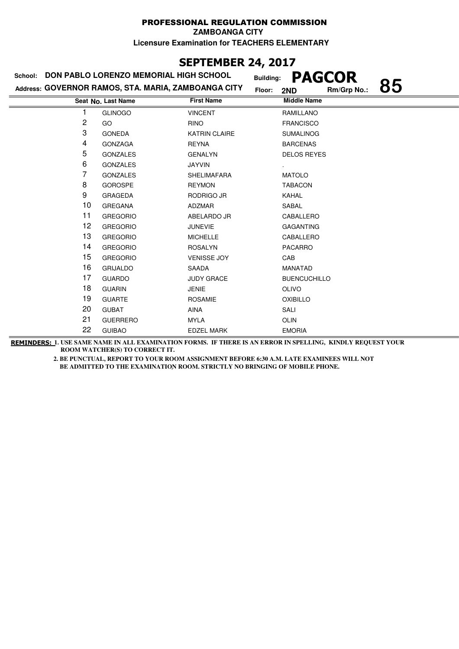### **SEPTEMBER 24, 2017**

| DON PABLO LORENZO MEMORIAL HIGH SCHOOL<br>School: |                                                     |                      | <b>PAGCOR</b><br><b>Building:</b> |    |
|---------------------------------------------------|-----------------------------------------------------|----------------------|-----------------------------------|----|
|                                                   | Address: GOVERNOR RAMOS, STA. MARIA, ZAMBOANGA CITY | Floor:               | Rm/Grp No.:<br>2ND                | 85 |
|                                                   | Seat No. Last Name                                  | <b>First Name</b>    | <b>Middle Name</b>                |    |
| 1                                                 | <b>GLINOGO</b>                                      | <b>VINCENT</b>       | RAMILLANO                         |    |
| 2                                                 | GO                                                  | <b>RINO</b>          | <b>FRANCISCO</b>                  |    |
| 3                                                 | <b>GONEDA</b>                                       | <b>KATRIN CLAIRE</b> | <b>SUMALINOG</b>                  |    |
| 4                                                 | <b>GONZAGA</b>                                      | <b>REYNA</b>         | <b>BARCENAS</b>                   |    |
| 5                                                 | <b>GONZALES</b>                                     | <b>GENALYN</b>       | <b>DELOS REYES</b>                |    |
| 6                                                 | <b>GONZALES</b>                                     | <b>JAYVIN</b>        |                                   |    |
| 7                                                 | <b>GONZALES</b>                                     | <b>SHELIMAFARA</b>   | <b>MATOLO</b>                     |    |
| 8                                                 | <b>GOROSPE</b>                                      | <b>REYMON</b>        | <b>TABACON</b>                    |    |
| 9                                                 | <b>GRAGEDA</b>                                      | RODRIGO JR           | KAHAL                             |    |
| 10                                                | <b>GREGANA</b>                                      | ADZMAR               | SABAL                             |    |
| 11                                                | <b>GREGORIO</b>                                     | ABELARDO JR          | CABALLERO                         |    |
| 12                                                | <b>GREGORIO</b>                                     | <b>JUNEVIE</b>       | <b>GAGANTING</b>                  |    |
| 13                                                | <b>GREGORIO</b>                                     | <b>MICHELLE</b>      | CABALLERO                         |    |
| 14                                                | <b>GREGORIO</b>                                     | <b>ROSALYN</b>       | <b>PACARRO</b>                    |    |
| 15                                                | <b>GREGORIO</b>                                     | <b>VENISSE JOY</b>   | CAB                               |    |
| 16                                                | <b>GRIJALDO</b>                                     | SAADA                | <b>MANATAD</b>                    |    |
| 17                                                | <b>GUARDO</b>                                       | <b>JUDY GRACE</b>    | <b>BUENCUCHILLO</b>               |    |
| 18                                                | <b>GUARIN</b>                                       | <b>JENIE</b>         | <b>OLIVO</b>                      |    |
| 19                                                | <b>GUARTE</b>                                       | <b>ROSAMIE</b>       | <b>OXIBILLO</b>                   |    |
| 20                                                | <b>GUBAT</b>                                        | AINA                 | SALI                              |    |
| 21                                                | <b>GUERRERO</b>                                     | <b>MYLA</b>          | <b>OLIN</b>                       |    |
| 22                                                | <b>GUIBAO</b>                                       | <b>EDZEL MARK</b>    | <b>EMORIA</b>                     |    |

**REMINDERS: 1. USE SAME NAME IN ALL EXAMINATION FORMS. IF THERE IS AN ERROR IN SPELLING, KINDLY REQUEST YOUR ROOM WATCHER(S) TO CORRECT IT.**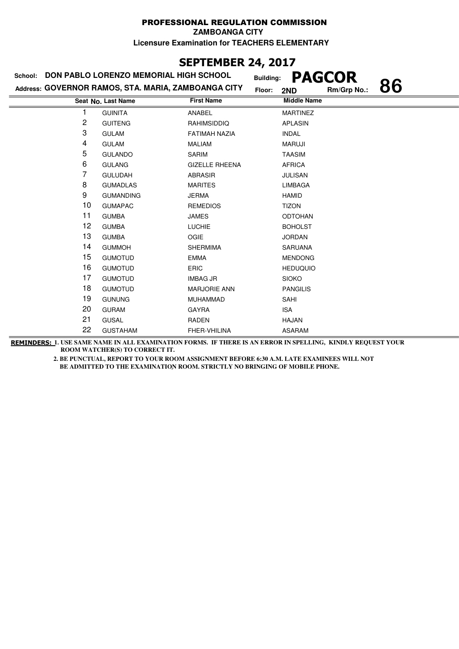### **SEPTEMBER 24, 2017**

| School: | DON PABLO LORENZO MEMORIAL HIGH SCHOOL              | <b>Building:</b>      | <b>PAGCOR</b>      |    |
|---------|-----------------------------------------------------|-----------------------|--------------------|----|
|         | Address: GOVERNOR RAMOS, STA. MARIA, ZAMBOANGA CITY | Floor:                | Rm/Grp No.:<br>2ND | 86 |
|         | Seat No. Last Name                                  | <b>First Name</b>     | <b>Middle Name</b> |    |
| 1       | <b>GUINITA</b>                                      | <b>ANABEL</b>         | <b>MARTINEZ</b>    |    |
| 2       | <b>GUITENG</b>                                      | RAHIMSIDDIQ           | <b>APLASIN</b>     |    |
| 3       | <b>GULAM</b>                                        | <b>FATIMAH NAZIA</b>  | <b>INDAL</b>       |    |
| 4       | <b>GULAM</b>                                        | <b>MALIAM</b>         | <b>MARUJI</b>      |    |
| 5       | <b>GULANDO</b>                                      | <b>SARIM</b>          | <b>TAASIM</b>      |    |
| 6       | <b>GULANG</b>                                       | <b>GIZELLE RHEENA</b> | <b>AFRICA</b>      |    |
| 7       | <b>GULUDAH</b>                                      | <b>ABRASIR</b>        | <b>JULISAN</b>     |    |
| 8       | <b>GUMADLAS</b>                                     | <b>MARITES</b>        | <b>LIMBAGA</b>     |    |
| 9       | <b>GUMANDING</b>                                    | <b>JERMA</b>          | <b>HAMID</b>       |    |
| 10      | <b>GUMAPAC</b>                                      | <b>REMEDIOS</b>       | <b>TIZON</b>       |    |
| 11      | <b>GUMBA</b>                                        | <b>JAMES</b>          | <b>ODTOHAN</b>     |    |
| 12      | <b>GUMBA</b>                                        | <b>LUCHIE</b>         | <b>BOHOLST</b>     |    |
| 13      | <b>GUMBA</b>                                        | <b>OGIE</b>           | <b>JORDAN</b>      |    |
| 14      | <b>GUMMOH</b>                                       | <b>SHERMIMA</b>       | <b>SARUANA</b>     |    |
| 15      | <b>GUMOTUD</b>                                      | <b>EMMA</b>           | <b>MENDONG</b>     |    |
| 16      | <b>GUMOTUD</b>                                      | <b>ERIC</b>           | <b>HEDUQUIO</b>    |    |
| 17      | <b>GUMOTUD</b>                                      | <b>IMBAG JR</b>       | <b>SIOKO</b>       |    |
| 18      | <b>GUMOTUD</b>                                      | <b>MARJORIE ANN</b>   | <b>PANGILIS</b>    |    |
| 19      | <b>GUNUNG</b>                                       | <b>MUHAMMAD</b>       | SAHI               |    |
| 20      | <b>GURAM</b>                                        | <b>GAYRA</b>          | <b>ISA</b>         |    |
| 21      | <b>GUSAL</b>                                        | RADEN                 | <b>HAJAN</b>       |    |
| 22      | <b>GUSTAHAM</b>                                     | FHER-VHILINA          | <b>ASARAM</b>      |    |

**REMINDERS: 1. USE SAME NAME IN ALL EXAMINATION FORMS. IF THERE IS AN ERROR IN SPELLING, KINDLY REQUEST YOUR ROOM WATCHER(S) TO CORRECT IT.**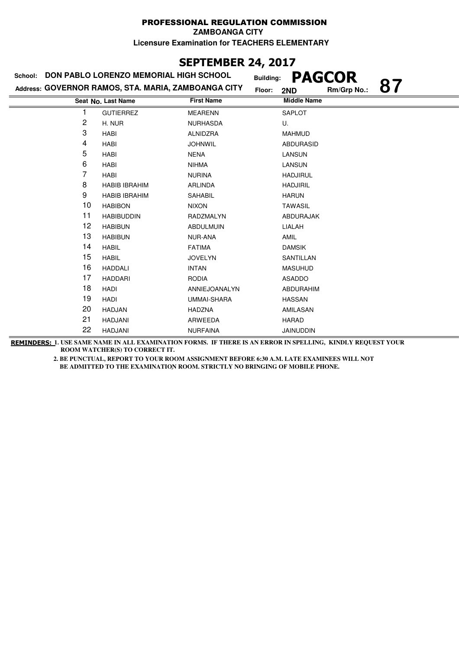### **SEPTEMBER 24, 2017**

|    | School: DON PABLO LORENZO MEMORIAL HIGH SCHOOL      | <b>Building:</b>   | <b>PAGCOR</b>            |
|----|-----------------------------------------------------|--------------------|--------------------------|
|    | Address: GOVERNOR RAMOS, STA. MARIA, ZAMBOANGA CITY | Floor:             | 87<br>Rm/Grp No.:<br>2ND |
|    | Seat No. Last Name                                  | <b>First Name</b>  | <b>Middle Name</b>       |
| 1  | <b>GUTIERREZ</b>                                    | <b>MEARENN</b>     | <b>SAPLOT</b>            |
| 2  | H. NUR                                              | <b>NURHASDA</b>    | U.                       |
| 3  | <b>HABI</b>                                         | ALNIDZRA           | <b>MAHMUD</b>            |
| 4  | HABI                                                | <b>JOHNWIL</b>     | ABDURASID                |
| 5  | <b>HABI</b>                                         | <b>NENA</b>        | LANSUN                   |
| 6  | <b>HABI</b>                                         | <b>NIHMA</b>       | LANSUN                   |
| 7  | <b>HABI</b>                                         | <b>NURINA</b>      | <b>HADJIRUL</b>          |
| 8  | <b>HABIB IBRAHIM</b>                                | <b>ARLINDA</b>     | <b>HADJIRIL</b>          |
| 9  | <b>HABIB IBRAHIM</b>                                | SAHABIL            | <b>HARUN</b>             |
| 10 | <b>HABIBON</b>                                      | <b>NIXON</b>       | <b>TAWASIL</b>           |
| 11 | <b>HABIBUDDIN</b>                                   | RADZMALYN          | ABDURAJAK                |
| 12 | <b>HABIBUN</b>                                      | <b>ABDULMUIN</b>   | LIALAH                   |
| 13 | <b>HABIBUN</b>                                      | <b>NUR-ANA</b>     | <b>AMIL</b>              |
| 14 | <b>HABIL</b>                                        | <b>FATIMA</b>      | <b>DAMSIK</b>            |
| 15 | <b>HABIL</b>                                        | <b>JOVELYN</b>     | SANTILLAN                |
| 16 | <b>HADDALI</b>                                      | <b>INTAN</b>       | <b>MASUHUD</b>           |
| 17 | <b>HADDARI</b>                                      | <b>RODIA</b>       | ASADDO                   |
| 18 | HADI                                                | ANNIEJOANALYN      | ABDURAHIM                |
| 19 | <b>HADI</b>                                         | <b>UMMAI-SHARA</b> | <b>HASSAN</b>            |
| 20 | <b>HADJAN</b>                                       | <b>HADZNA</b>      | AMILASAN                 |
| 21 | <b>HADJANI</b>                                      | ARWEEDA            | <b>HARAD</b>             |
| 22 | HADJANI                                             | <b>NURFAINA</b>    | <b>JAINUDDIN</b>         |

**REMINDERS: 1. USE SAME NAME IN ALL EXAMINATION FORMS. IF THERE IS AN ERROR IN SPELLING, KINDLY REQUEST YOUR ROOM WATCHER(S) TO CORRECT IT.**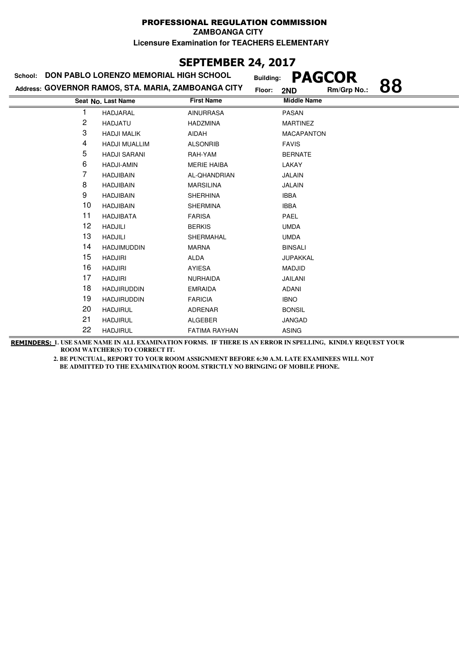### **SEPTEMBER 24, 2017**

| School: | DON PABLO LORENZO MEMORIAL HIGH SCHOOL              | <b>Building:</b>     | <b>PAGCOR</b>            |
|---------|-----------------------------------------------------|----------------------|--------------------------|
|         | Address: GOVERNOR RAMOS, STA. MARIA, ZAMBOANGA CITY | Floor:               | 88<br>Rm/Grp No.:<br>2ND |
|         | Seat No. Last Name                                  | <b>First Name</b>    | <b>Middle Name</b>       |
|         | HADJARAL                                            | <b>AINURRASA</b>     | <b>PASAN</b>             |
| 2       | <b>HADJATU</b>                                      | <b>HADZMINA</b>      | <b>MARTINEZ</b>          |
| 3       | <b>HADJI MALIK</b>                                  | AIDAH                | <b>MACAPANTON</b>        |
| 4       | <b>HADJI MUALLIM</b>                                | <b>ALSONRIB</b>      | <b>FAVIS</b>             |
| 5       | <b>HADJI SARANI</b>                                 | RAH-YAM              | <b>BERNATE</b>           |
| 6       | <b>HADJI-AMIN</b>                                   | <b>MERIE HAIBA</b>   | LAKAY                    |
| 7       | <b>HADJIBAIN</b>                                    | AL-QHANDRIAN         | <b>JALAIN</b>            |
| 8       | <b>HADJIBAIN</b>                                    | <b>MARSILINA</b>     | <b>JALAIN</b>            |
| 9       | <b>HADJIBAIN</b>                                    | <b>SHERHINA</b>      | <b>IBBA</b>              |
| 10      | <b>HADJIBAIN</b>                                    | <b>SHERMINA</b>      | <b>IBBA</b>              |
| 11      | <b>HADJIBATA</b>                                    | <b>FARISA</b>        | <b>PAEL</b>              |
| 12      | <b>HADJILI</b>                                      | <b>BERKIS</b>        | <b>UMDA</b>              |
| 13      | <b>HADJILI</b>                                      | SHERMAHAL            | <b>UMDA</b>              |
| 14      | <b>HADJIMUDDIN</b>                                  | <b>MARNA</b>         | <b>BINSALI</b>           |
| 15      | <b>HADJIRI</b>                                      | <b>ALDA</b>          | <b>JUPAKKAL</b>          |
| 16      | <b>HADJIRI</b>                                      | AYIESA               | <b>MADJID</b>            |
| 17      | <b>HADJIRI</b>                                      | <b>NURHAIDA</b>      | <b>JAILANI</b>           |
| 18      | <b>HADJIRUDDIN</b>                                  | <b>EMRAIDA</b>       | <b>ADANI</b>             |
| 19      | <b>HADJIRUDDIN</b>                                  | <b>FARICIA</b>       | <b>IBNO</b>              |
| 20      | <b>HADJIRUL</b>                                     | <b>ADRENAR</b>       | <b>BONSIL</b>            |
| 21      | <b>HADJIRUL</b>                                     | <b>ALGEBER</b>       | <b>JANGAD</b>            |
| 22      | <b>HADJIRUL</b>                                     | <b>FATIMA RAYHAN</b> | <b>ASING</b>             |

**REMINDERS: 1. USE SAME NAME IN ALL EXAMINATION FORMS. IF THERE IS AN ERROR IN SPELLING, KINDLY REQUEST YOUR ROOM WATCHER(S) TO CORRECT IT.**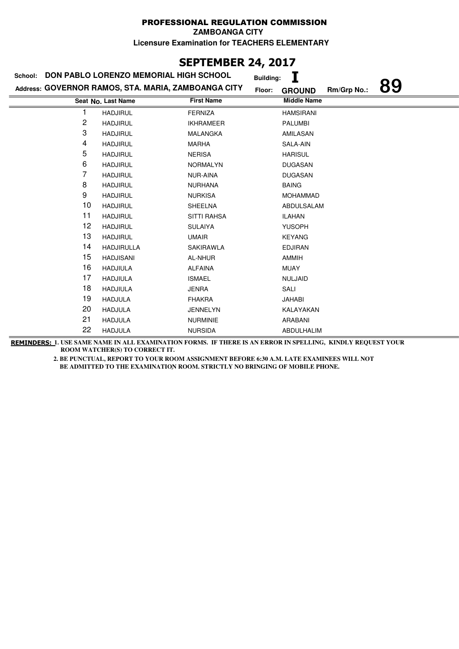**ZAMBOANGA CITY**

**Licensure Examination for TEACHERS ELEMENTARY**

## **SEPTEMBER 24, 2017**

| School: | DON PABLO LORENZO MEMORIAL HIGH SCHOOL              |                    | <b>Building:</b> |                    |             |    |
|---------|-----------------------------------------------------|--------------------|------------------|--------------------|-------------|----|
|         | Address: GOVERNOR RAMOS, STA. MARIA, ZAMBOANGA CITY |                    | Floor:           | <b>GROUND</b>      | Rm/Grp No.: | 89 |
|         | Seat No. Last Name                                  | <b>First Name</b>  |                  | <b>Middle Name</b> |             |    |
|         | <b>HADJIRUL</b>                                     | <b>FERNIZA</b>     |                  | <b>HAMSIRANI</b>   |             |    |
| 2       | <b>HADJIRUL</b>                                     | <b>IKHRAMEER</b>   |                  | <b>PALUMBI</b>     |             |    |
| 3       | <b>HADJIRUL</b>                                     | <b>MALANGKA</b>    |                  | AMILASAN           |             |    |
| 4       | <b>HADJIRUL</b>                                     | <b>MARHA</b>       |                  | SALA-AIN           |             |    |
| 5       | <b>HADJIRUL</b>                                     | <b>NERISA</b>      |                  | <b>HARISUL</b>     |             |    |
| 6       | <b>HADJIRUL</b>                                     | <b>NORMALYN</b>    |                  | <b>DUGASAN</b>     |             |    |
| 7       | <b>HADJIRUL</b>                                     | <b>NUR-AINA</b>    |                  | <b>DUGASAN</b>     |             |    |
| 8       | <b>HADJIRUL</b>                                     | <b>NURHANA</b>     |                  | <b>BAING</b>       |             |    |
| 9       | <b>HADJIRUL</b>                                     | <b>NURKISA</b>     |                  | <b>MOHAMMAD</b>    |             |    |
| 10      | <b>HADJIRUL</b>                                     | <b>SHEELNA</b>     |                  | ABDULSALAM         |             |    |
| 11      | <b>HADJIRUL</b>                                     | <b>SITTI RAHSA</b> |                  | <b>ILAHAN</b>      |             |    |
| 12      | <b>HADJIRUL</b>                                     | <b>SULAIYA</b>     |                  | <b>YUSOPH</b>      |             |    |
| 13      | <b>HADJIRUL</b>                                     | <b>UMAIR</b>       |                  | <b>KEYANG</b>      |             |    |
| 14      | <b>HADJIRULLA</b>                                   | SAKIRAWLA          |                  | <b>EDJIRAN</b>     |             |    |
| 15      | <b>HADJISANI</b>                                    | AL-NHUR            |                  | AMMIH              |             |    |
| 16      | <b>HADJIULA</b>                                     | <b>ALFAINA</b>     |                  | <b>MUAY</b>        |             |    |
| 17      | <b>HADJIULA</b>                                     | <b>ISMAEL</b>      |                  | <b>NULJAID</b>     |             |    |
| 18      | <b>HADJIULA</b>                                     | <b>JENRA</b>       |                  | SALI               |             |    |
| 19      | <b>HADJULA</b>                                      | <b>FHAKRA</b>      |                  | JAHABI             |             |    |
| 20      | <b>HADJULA</b>                                      | <b>JENNELYN</b>    |                  | KALAYAKAN          |             |    |
| 21      | <b>HADJULA</b>                                      | <b>NURMINIE</b>    |                  | ARABANI            |             |    |
| 22      | <b>HADJULA</b>                                      | <b>NURSIDA</b>     |                  | ABDULHALIM         |             |    |

**REMINDERS: 1. USE SAME NAME IN ALL EXAMINATION FORMS. IF THERE IS AN ERROR IN SPELLING, KINDLY REQUEST YOUR ROOM WATCHER(S) TO CORRECT IT.**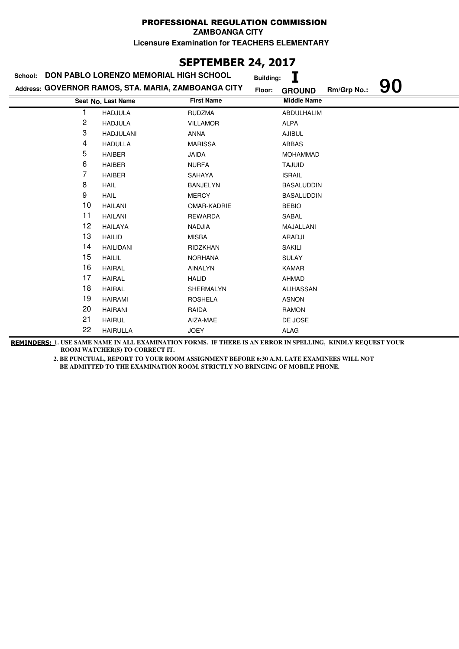**ZAMBOANGA CITY**

**Licensure Examination for TEACHERS ELEMENTARY**

## **SEPTEMBER 24, 2017**

| School: | DON PABLO LORENZO MEMORIAL HIGH SCHOOL              |                   | <b>Building:</b> |                    |             |    |
|---------|-----------------------------------------------------|-------------------|------------------|--------------------|-------------|----|
|         | Address: GOVERNOR RAMOS, STA. MARIA, ZAMBOANGA CITY |                   | Floor:           | <b>GROUND</b>      | Rm/Grp No.: | 90 |
|         | Seat No. Last Name                                  | <b>First Name</b> |                  | <b>Middle Name</b> |             |    |
| 1       | <b>HADJULA</b>                                      | <b>RUDZMA</b>     |                  | ABDULHALIM         |             |    |
| 2       | <b>HADJULA</b>                                      | <b>VILLAMOR</b>   |                  | ALPA               |             |    |
| 3       | <b>HADJULANI</b>                                    | <b>ANNA</b>       |                  | <b>AJIBUL</b>      |             |    |
| 4       | <b>HADULLA</b>                                      | <b>MARISSA</b>    |                  | <b>ABBAS</b>       |             |    |
| 5       | <b>HAIBER</b>                                       | <b>JAIDA</b>      |                  | <b>MOHAMMAD</b>    |             |    |
| 6       | <b>HAIBER</b>                                       | <b>NURFA</b>      |                  | <b>TAJUID</b>      |             |    |
| 7       | HAIBER                                              | SAHAYA            |                  | <b>ISRAIL</b>      |             |    |
| 8       | <b>HAIL</b>                                         | <b>BANJELYN</b>   |                  | <b>BASALUDDIN</b>  |             |    |
| 9       | <b>HAIL</b>                                         | <b>MERCY</b>      |                  | <b>BASALUDDIN</b>  |             |    |
| 10      | <b>HAILANI</b>                                      | OMAR-KADRIE       |                  | <b>BEBIO</b>       |             |    |
| 11      | <b>HAILANI</b>                                      | <b>REWARDA</b>    |                  | SABAL              |             |    |
| 12      | <b>HAILAYA</b>                                      | <b>NADJIA</b>     |                  | MAJALLANI          |             |    |
| 13      | <b>HAILID</b>                                       | MISBA             |                  | <b>ARADJI</b>      |             |    |
| 14      | <b>HAILIDANI</b>                                    | <b>RIDZKHAN</b>   |                  | <b>SAKILI</b>      |             |    |
| 15      | <b>HAILIL</b>                                       | <b>NORHANA</b>    |                  | <b>SULAY</b>       |             |    |
| 16      | <b>HAIRAL</b>                                       | AINALYN           |                  | <b>KAMAR</b>       |             |    |
| 17      | <b>HAIRAL</b>                                       | <b>HALID</b>      |                  | AHMAD              |             |    |
| 18      | <b>HAIRAL</b>                                       | SHERMALYN         |                  | <b>ALIHASSAN</b>   |             |    |
| 19      | <b>HAIRAMI</b>                                      | <b>ROSHELA</b>    |                  | <b>ASNON</b>       |             |    |
| 20      | <b>HAIRANI</b>                                      | RAIDA             |                  | <b>RAMON</b>       |             |    |
| 21      | <b>HAIRUL</b>                                       | AIZA-MAE          |                  | DE JOSE            |             |    |
| 22      | <b>HAIRULLA</b>                                     | <b>JOEY</b>       |                  | ALAG               |             |    |

**REMINDERS: 1. USE SAME NAME IN ALL EXAMINATION FORMS. IF THERE IS AN ERROR IN SPELLING, KINDLY REQUEST YOUR ROOM WATCHER(S) TO CORRECT IT.**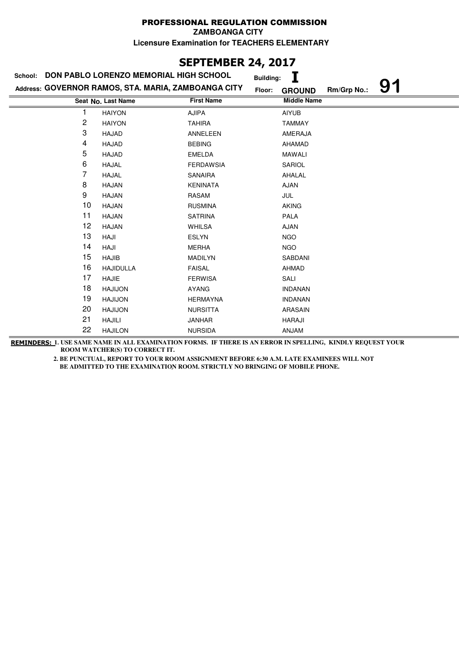**ZAMBOANGA CITY**

**Licensure Examination for TEACHERS ELEMENTARY**

# **SEPTEMBER 24, 2017**

| School: | DON PABLO LORENZO MEMORIAL HIGH SCHOOL              |                   | <b>Building:</b> |                    |             |    |
|---------|-----------------------------------------------------|-------------------|------------------|--------------------|-------------|----|
|         | Address: GOVERNOR RAMOS, STA. MARIA, ZAMBOANGA CITY |                   | Floor:           | <b>GROUND</b>      | Rm/Grp No.: | 91 |
|         | Seat No. Last Name                                  | <b>First Name</b> |                  | <b>Middle Name</b> |             |    |
|         | <b>HAIYON</b>                                       | <b>AJIPA</b>      |                  | <b>AIYUB</b>       |             |    |
| 2       | <b>HAIYON</b>                                       | <b>TAHIRA</b>     |                  | <b>TAMMAY</b>      |             |    |
| 3       | HAJAD                                               | ANNELEEN          |                  | AMERAJA            |             |    |
| 4       | HAJAD                                               | <b>BEBING</b>     |                  | AHAMAD             |             |    |
| 5       | <b>HAJAD</b>                                        | <b>EMELDA</b>     |                  | <b>MAWALI</b>      |             |    |
| 6       | <b>HAJAL</b>                                        | <b>FERDAWSIA</b>  |                  | SARIOL             |             |    |
| 7       | <b>HAJAL</b>                                        | SANAIRA           |                  | AHALAL             |             |    |
| 8       | <b>HAJAN</b>                                        | <b>KENINATA</b>   |                  | <b>AJAN</b>        |             |    |
| 9       | <b>HAJAN</b>                                        | RASAM             |                  | <b>JUL</b>         |             |    |
| 10      | <b>HAJAN</b>                                        | <b>RUSMINA</b>    |                  | <b>AKING</b>       |             |    |
| 11      | <b>HAJAN</b>                                        | <b>SATRINA</b>    |                  | <b>PALA</b>        |             |    |
| 12      | <b>HAJAN</b>                                        | <b>WHILSA</b>     |                  | <b>AJAN</b>        |             |    |
| 13      | HAJI                                                | <b>ESLYN</b>      |                  | <b>NGO</b>         |             |    |
| 14      | HAJI                                                | <b>MERHA</b>      |                  | <b>NGO</b>         |             |    |
| 15      | <b>HAJIB</b>                                        | <b>MADILYN</b>    |                  | SABDANI            |             |    |
| 16      | <b>HAJIDULLA</b>                                    | <b>FAISAL</b>     |                  | <b>AHMAD</b>       |             |    |
| 17      | <b>HAJIE</b>                                        | <b>FERWISA</b>    |                  | SALI               |             |    |
| 18      | <b>HAJIJON</b>                                      | AYANG             |                  | <b>INDANAN</b>     |             |    |
| 19      | <b>HAJIJON</b>                                      | <b>HERMAYNA</b>   |                  | <b>INDANAN</b>     |             |    |
| 20      | <b>HAJIJON</b>                                      | <b>NURSITTA</b>   |                  | ARASAIN            |             |    |
| 21      | <b>HAJILI</b>                                       | <b>JANHAR</b>     |                  | <b>HARAJI</b>      |             |    |
| 22      | <b>HAJILON</b>                                      | <b>NURSIDA</b>    |                  | ANJAM              |             |    |

**REMINDERS: 1. USE SAME NAME IN ALL EXAMINATION FORMS. IF THERE IS AN ERROR IN SPELLING, KINDLY REQUEST YOUR ROOM WATCHER(S) TO CORRECT IT.**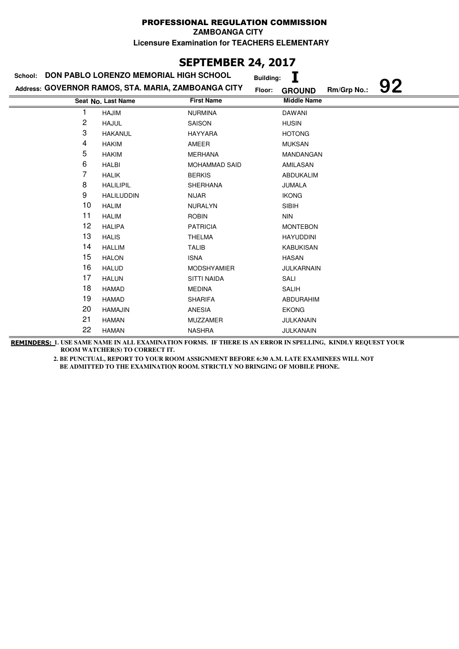**ZAMBOANGA CITY**

**Licensure Examination for TEACHERS ELEMENTARY**

# **SEPTEMBER 24, 2017**

| School: | DON PABLO LORENZO MEMORIAL HIGH SCHOOL              |                      | <b>Building:</b> |                    |             |    |
|---------|-----------------------------------------------------|----------------------|------------------|--------------------|-------------|----|
|         | Address: GOVERNOR RAMOS, STA. MARIA, ZAMBOANGA CITY |                      | Floor:           | <b>GROUND</b>      | Rm/Grp No.: | 92 |
|         | Seat No. Last Name                                  | <b>First Name</b>    |                  | <b>Middle Name</b> |             |    |
|         | <b>HAJIM</b>                                        | <b>NURMINA</b>       |                  | <b>DAWANI</b>      |             |    |
| 2       | <b>HAJUL</b>                                        | SAISON               |                  | <b>HUSIN</b>       |             |    |
| 3       | <b>HAKANUL</b>                                      | <b>HAYYARA</b>       |                  | <b>HOTONG</b>      |             |    |
| 4       | <b>HAKIM</b>                                        | AMEER                |                  | <b>MUKSAN</b>      |             |    |
| 5       | <b>HAKIM</b>                                        | <b>MERHANA</b>       |                  | MANDANGAN          |             |    |
| 6       | <b>HALBI</b>                                        | <b>MOHAMMAD SAID</b> |                  | AMILASAN           |             |    |
| 7       | <b>HALIK</b>                                        | <b>BERKIS</b>        |                  | ABDUKALIM          |             |    |
| 8       | <b>HALILIPIL</b>                                    | <b>SHERHANA</b>      |                  | JUMALA             |             |    |
| 9       | <b>HALILUDDIN</b>                                   | <b>NIJAR</b>         |                  | <b>IKONG</b>       |             |    |
| 10      | <b>HALIM</b>                                        | <b>NURALYN</b>       |                  | <b>SIBIH</b>       |             |    |
| 11      | <b>HALIM</b>                                        | <b>ROBIN</b>         |                  | <b>NIN</b>         |             |    |
| 12      | <b>HALIPA</b>                                       | <b>PATRICIA</b>      |                  | <b>MONTEBON</b>    |             |    |
| 13      | <b>HALIS</b>                                        | <b>THELMA</b>        |                  | <b>HAYUDDINI</b>   |             |    |
| 14      | <b>HALLIM</b>                                       | <b>TALIB</b>         |                  | <b>KABUKISAN</b>   |             |    |
| 15      | <b>HALON</b>                                        | <b>ISNA</b>          |                  | <b>HASAN</b>       |             |    |
| 16      | <b>HALUD</b>                                        | <b>MODSHYAMIER</b>   |                  | <b>JULKARNAIN</b>  |             |    |
| 17      | <b>HALUN</b>                                        | <b>SITTI NAIDA</b>   |                  | SALI               |             |    |
| 18      | <b>HAMAD</b>                                        | <b>MEDINA</b>        |                  | <b>SALIH</b>       |             |    |
| 19      | <b>HAMAD</b>                                        | <b>SHARIFA</b>       |                  | ABDURAHIM          |             |    |
| 20      | <b>HAMAJIN</b>                                      | ANESIA               |                  | <b>EKONG</b>       |             |    |
| 21      | <b>HAMAN</b>                                        | <b>MUZZAMER</b>      |                  | JULKANAIN          |             |    |
| 22      | <b>HAMAN</b>                                        | <b>NASHRA</b>        |                  | JULKANAIN          |             |    |

**REMINDERS: 1. USE SAME NAME IN ALL EXAMINATION FORMS. IF THERE IS AN ERROR IN SPELLING, KINDLY REQUEST YOUR ROOM WATCHER(S) TO CORRECT IT.**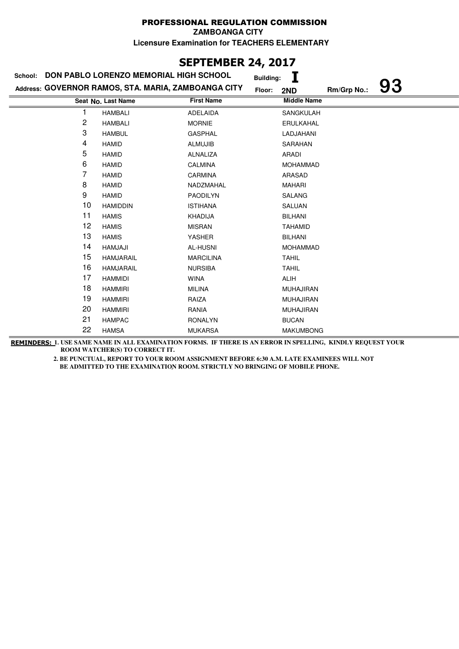### **SEPTEMBER 24, 2017**

| School: | DON PABLO LORENZO MEMORIAL HIGH SCHOOL              |                   | <b>Building:</b>   |             |    |
|---------|-----------------------------------------------------|-------------------|--------------------|-------------|----|
|         | Address: GOVERNOR RAMOS, STA. MARIA, ZAMBOANGA CITY |                   | Floor:<br>2ND      | Rm/Grp No.: | 93 |
|         | Seat No. Last Name                                  | <b>First Name</b> | <b>Middle Name</b> |             |    |
|         | <b>HAMBALI</b>                                      | <b>ADELAIDA</b>   | <b>SANGKULAH</b>   |             |    |
| 2       | <b>HAMBALI</b>                                      | <b>MORNIE</b>     | ERULKAHAL          |             |    |
| 3       | <b>HAMBUL</b>                                       | <b>GASPHAL</b>    | LADJAHANI          |             |    |
| 4       | <b>HAMID</b>                                        | <b>ALMUJIB</b>    | SARAHAN            |             |    |
| 5       | <b>HAMID</b>                                        | ALNALIZA          | ARADI              |             |    |
| 6       | <b>HAMID</b>                                        | <b>CALMINA</b>    | <b>MOHAMMAD</b>    |             |    |
| 7       | <b>HAMID</b>                                        | CARMINA           | ARASAD             |             |    |
| 8       | <b>HAMID</b>                                        | NADZMAHAL         | <b>MAHARI</b>      |             |    |
| 9       | <b>HAMID</b>                                        | PAODILYN          | SALANG             |             |    |
| 10      | <b>HAMIDDIN</b>                                     | <b>ISTIHANA</b>   | SALUAN             |             |    |
| 11      | <b>HAMIS</b>                                        | <b>KHADIJA</b>    | <b>BILHANI</b>     |             |    |
| 12      | <b>HAMIS</b>                                        | <b>MISRAN</b>     | <b>TAHAMID</b>     |             |    |
| 13      | <b>HAMIS</b>                                        | <b>YASHER</b>     | <b>BILHANI</b>     |             |    |
| 14      | HAMJAJI                                             | AL-HUSNI          | <b>MOHAMMAD</b>    |             |    |
| 15      | <b>HAMJARAIL</b>                                    | <b>MARCILINA</b>  | <b>TAHIL</b>       |             |    |
| 16      | <b>HAMJARAIL</b>                                    | <b>NURSIBA</b>    | <b>TAHIL</b>       |             |    |
| 17      | <b>HAMMIDI</b>                                      | <b>WINA</b>       | ALIH               |             |    |
| 18      | <b>HAMMIRI</b>                                      | <b>MILINA</b>     | <b>MUHAJIRAN</b>   |             |    |
| 19      | <b>HAMMIRI</b>                                      | RAIZA             | <b>MUHAJIRAN</b>   |             |    |
| 20      | <b>HAMMIRI</b>                                      | RANIA             | <b>MUHAJIRAN</b>   |             |    |
| 21      | <b>HAMPAC</b>                                       | <b>RONALYN</b>    | <b>BUCAN</b>       |             |    |
| 22      | <b>HAMSA</b>                                        | <b>MUKARSA</b>    | <b>MAKUMBONG</b>   |             |    |

**REMINDERS: 1. USE SAME NAME IN ALL EXAMINATION FORMS. IF THERE IS AN ERROR IN SPELLING, KINDLY REQUEST YOUR ROOM WATCHER(S) TO CORRECT IT.**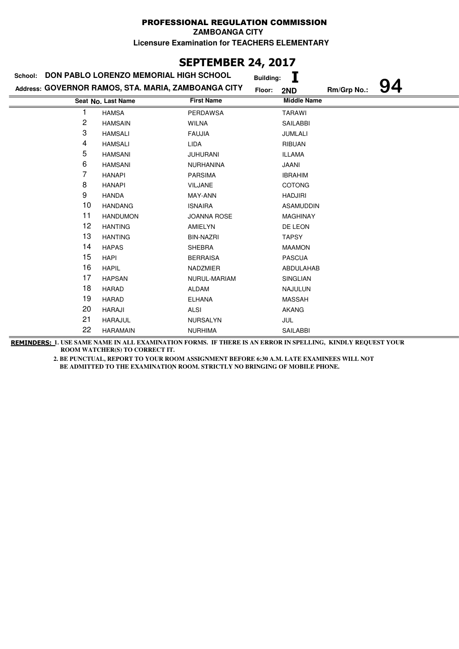# **SEPTEMBER 24, 2017**

| School: | DON PABLO LORENZO MEMORIAL HIGH SCHOOL              |                    | <b>Building:</b>   |             |    |
|---------|-----------------------------------------------------|--------------------|--------------------|-------------|----|
|         | Address: GOVERNOR RAMOS, STA. MARIA, ZAMBOANGA CITY |                    | Floor:<br>2ND      | Rm/Grp No.: | 94 |
|         | Seat No. Last Name                                  | <b>First Name</b>  | <b>Middle Name</b> |             |    |
|         | <b>HAMSA</b>                                        | <b>PERDAWSA</b>    | <b>TARAWI</b>      |             |    |
| 2       | <b>HAMSAIN</b>                                      | <b>WILNA</b>       | <b>SAILABBI</b>    |             |    |
| 3       | <b>HAMSALI</b>                                      | <b>FAUJIA</b>      | <b>JUMLALI</b>     |             |    |
| 4       | <b>HAMSALI</b>                                      | <b>LIDA</b>        | <b>RIBUAN</b>      |             |    |
| 5       | <b>HAMSANI</b>                                      | <b>JUHURANI</b>    | <b>ILLAMA</b>      |             |    |
| 6       | <b>HAMSANI</b>                                      | <b>NURHANINA</b>   | <b>JAANI</b>       |             |    |
| 7       | <b>HANAPI</b>                                       | <b>PARSIMA</b>     | <b>IBRAHIM</b>     |             |    |
| 8       | <b>HANAPI</b>                                       | <b>VILJANE</b>     | <b>COTONG</b>      |             |    |
| 9       | <b>HANDA</b>                                        | MAY-ANN            | <b>HADJIRI</b>     |             |    |
| 10      | <b>HANDANG</b>                                      | <b>ISNAIRA</b>     | <b>ASAMUDDIN</b>   |             |    |
| 11      | <b>HANDUMON</b>                                     | <b>JOANNA ROSE</b> | <b>MAGHINAY</b>    |             |    |
| 12      | <b>HANTING</b>                                      | AMIELYN            | DE LEON            |             |    |
| 13      | <b>HANTING</b>                                      | <b>BIN-NAZRI</b>   | <b>TAPSY</b>       |             |    |
| 14      | <b>HAPAS</b>                                        | <b>SHEBRA</b>      | <b>MAAMON</b>      |             |    |
| 15      | <b>HAPI</b>                                         | <b>BERRAISA</b>    | <b>PASCUA</b>      |             |    |
| 16      | <b>HAPIL</b>                                        | NADZMIER           | ABDULAHAB          |             |    |
| 17      | <b>HAPSAN</b>                                       | NURUL-MARIAM       | SINGLIAN           |             |    |
| 18      | <b>HARAD</b>                                        | <b>ALDAM</b>       | <b>NAJULUN</b>     |             |    |
| 19      | <b>HARAD</b>                                        | <b>ELHANA</b>      | <b>MASSAH</b>      |             |    |
| 20      | HARAJI                                              | <b>ALSI</b>        | <b>AKANG</b>       |             |    |
| 21      | <b>HARAJUL</b>                                      | <b>NURSALYN</b>    | JUL                |             |    |
| 22      | <b>HARAMAIN</b>                                     | <b>NURHIMA</b>     | <b>SAILABBI</b>    |             |    |

**REMINDERS: 1. USE SAME NAME IN ALL EXAMINATION FORMS. IF THERE IS AN ERROR IN SPELLING, KINDLY REQUEST YOUR ROOM WATCHER(S) TO CORRECT IT.**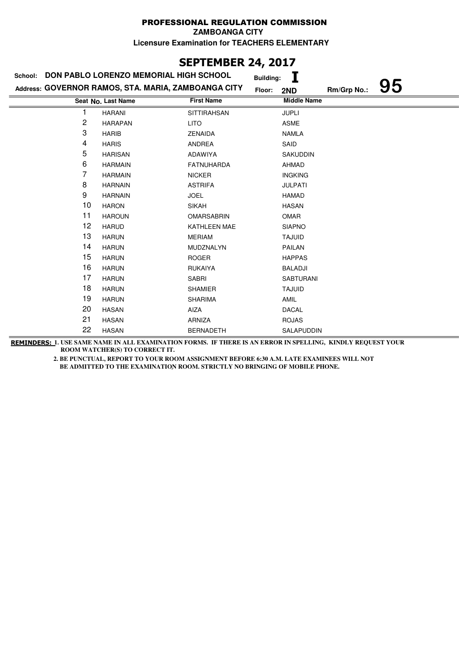## **SEPTEMBER 24, 2017**

|    | School: DON PABLO LORENZO MEMORIAL HIGH SCHOOL      |                    | <b>Building:</b>   |             |    |
|----|-----------------------------------------------------|--------------------|--------------------|-------------|----|
|    | Address: GOVERNOR RAMOS, STA. MARIA, ZAMBOANGA CITY |                    | Floor:<br>2ND      | Rm/Grp No.: | 95 |
|    | Seat No. Last Name                                  | <b>First Name</b>  | <b>Middle Name</b> |             |    |
|    | <b>HARANI</b>                                       | <b>SITTIRAHSAN</b> | <b>JUPLI</b>       |             |    |
| 2  | <b>HARAPAN</b>                                      | <b>LITO</b>        | <b>ASME</b>        |             |    |
| 3  | <b>HARIB</b>                                        | <b>ZENAIDA</b>     | <b>NAMLA</b>       |             |    |
| 4  | <b>HARIS</b>                                        | ANDREA             | SAID               |             |    |
| 5  | <b>HARISAN</b>                                      | ADAWIYA            | <b>SAKUDDIN</b>    |             |    |
| 6  | <b>HARMAIN</b>                                      | <b>FATNUHARDA</b>  | AHMAD              |             |    |
| 7  | <b>HARMAIN</b>                                      | <b>NICKER</b>      | <b>INGKING</b>     |             |    |
| 8  | <b>HARNAIN</b>                                      | <b>ASTRIFA</b>     | <b>JULPATI</b>     |             |    |
| 9  | <b>HARNAIN</b>                                      | <b>JOEL</b>        | <b>HAMAD</b>       |             |    |
| 10 | <b>HARON</b>                                        | <b>SIKAH</b>       | <b>HASAN</b>       |             |    |
| 11 | <b>HAROUN</b>                                       | <b>OMARSABRIN</b>  | <b>OMAR</b>        |             |    |
| 12 | <b>HARUD</b>                                        | KATHLEEN MAE       | <b>SIAPNO</b>      |             |    |
| 13 | <b>HARUN</b>                                        | <b>MERIAM</b>      | <b>TAJUID</b>      |             |    |
| 14 | <b>HARUN</b>                                        | MUDZNALYN          | <b>PAILAN</b>      |             |    |
| 15 | <b>HARUN</b>                                        | <b>ROGER</b>       | <b>HAPPAS</b>      |             |    |
| 16 | <b>HARUN</b>                                        | <b>RUKAIYA</b>     | <b>BALADJI</b>     |             |    |
| 17 | <b>HARUN</b>                                        | <b>SABRI</b>       | <b>SABTURANI</b>   |             |    |
| 18 | <b>HARUN</b>                                        | <b>SHAMIER</b>     | <b>TAJUID</b>      |             |    |
| 19 | <b>HARUN</b>                                        | <b>SHARIMA</b>     | AMIL               |             |    |
| 20 | <b>HASAN</b>                                        | AIZA               | <b>DACAL</b>       |             |    |
| 21 | <b>HASAN</b>                                        | ARNIZA             | <b>ROJAS</b>       |             |    |
| 22 | <b>HASAN</b>                                        | <b>BERNADETH</b>   | SALAPUDDIN         |             |    |

**REMINDERS: 1. USE SAME NAME IN ALL EXAMINATION FORMS. IF THERE IS AN ERROR IN SPELLING, KINDLY REQUEST YOUR ROOM WATCHER(S) TO CORRECT IT.**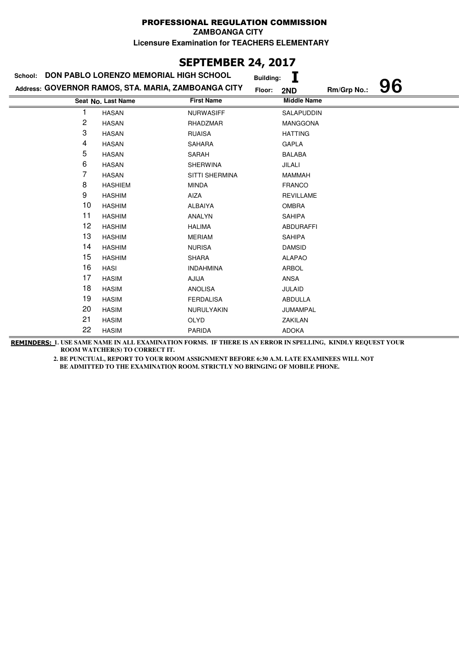### **SEPTEMBER 24, 2017**

|    | School: DON PABLO LORENZO MEMORIAL HIGH SCHOOL      |                   | <b>Building:</b> |                    |             |    |
|----|-----------------------------------------------------|-------------------|------------------|--------------------|-------------|----|
|    | Address: GOVERNOR RAMOS, STA. MARIA, ZAMBOANGA CITY |                   | Floor:           | 2ND                | Rm/Grp No.: | 96 |
|    | Seat No. Last Name                                  | <b>First Name</b> |                  | <b>Middle Name</b> |             |    |
|    | <b>HASAN</b>                                        | <b>NURWASIFF</b>  |                  | <b>SALAPUDDIN</b>  |             |    |
| 2  | <b>HASAN</b>                                        | RHADZMAR          |                  | MANGGONA           |             |    |
| 3  | <b>HASAN</b>                                        | <b>RUAISA</b>     |                  | <b>HATTING</b>     |             |    |
| 4  | <b>HASAN</b>                                        | SAHARA            |                  | GAPLA              |             |    |
| 5  | <b>HASAN</b>                                        | SARAH             |                  | <b>BALABA</b>      |             |    |
| 6  | <b>HASAN</b>                                        | <b>SHERWINA</b>   |                  | JILALI             |             |    |
| 7  | <b>HASAN</b>                                        | SITTI SHERMINA    |                  | <b>MAMMAH</b>      |             |    |
| 8  | <b>HASHIEM</b>                                      | <b>MINDA</b>      |                  | <b>FRANCO</b>      |             |    |
| 9  | <b>HASHIM</b>                                       | AIZA              |                  | <b>REVILLAME</b>   |             |    |
| 10 | <b>HASHIM</b>                                       | <b>ALBAIYA</b>    |                  | <b>OMBRA</b>       |             |    |
| 11 | <b>HASHIM</b>                                       | ANALYN            |                  | <b>SAHIPA</b>      |             |    |
| 12 | <b>HASHIM</b>                                       | <b>HALIMA</b>     |                  | <b>ABDURAFFI</b>   |             |    |
| 13 | <b>HASHIM</b>                                       | <b>MERIAM</b>     |                  | <b>SAHIPA</b>      |             |    |
| 14 | <b>HASHIM</b>                                       | <b>NURISA</b>     |                  | <b>DAMSID</b>      |             |    |
| 15 | <b>HASHIM</b>                                       | <b>SHARA</b>      |                  | <b>ALAPAO</b>      |             |    |
| 16 | <b>HASI</b>                                         | <b>INDAHMINA</b>  |                  | <b>ARBOL</b>       |             |    |
| 17 | <b>HASIM</b>                                        | AJIJA             |                  | ANSA               |             |    |
| 18 | <b>HASIM</b>                                        | <b>ANOLISA</b>    |                  | <b>JULAID</b>      |             |    |
| 19 | <b>HASIM</b>                                        | <b>FERDALISA</b>  |                  | <b>ABDULLA</b>     |             |    |
| 20 | <b>HASIM</b>                                        | NURULYAKIN        |                  | JUMAMPAL           |             |    |
| 21 | <b>HASIM</b>                                        | <b>OLYD</b>       |                  | ZAKILAN            |             |    |
| 22 | <b>HASIM</b>                                        | <b>PARIDA</b>     |                  | <b>ADOKA</b>       |             |    |

**REMINDERS: 1. USE SAME NAME IN ALL EXAMINATION FORMS. IF THERE IS AN ERROR IN SPELLING, KINDLY REQUEST YOUR ROOM WATCHER(S) TO CORRECT IT.**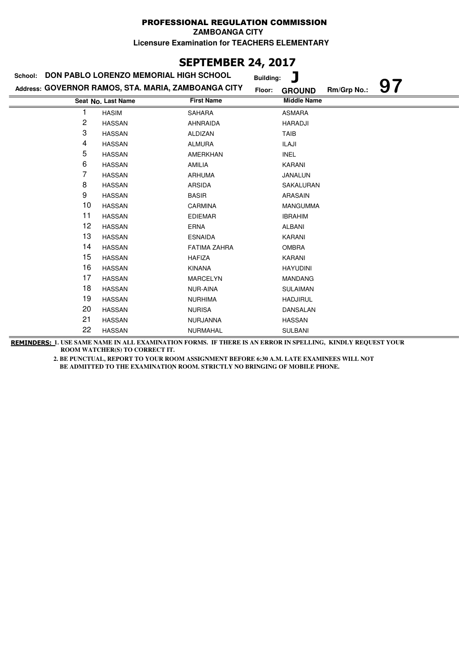**ZAMBOANGA CITY**

**Licensure Examination for TEACHERS ELEMENTARY**

### **SEPTEMBER 24, 2017**

| School: | <b>DON PABLO LORENZO MEMORIAL HIGH SCHOOL</b>       |                     | Ţ<br><b>Building:</b>                        |  |
|---------|-----------------------------------------------------|---------------------|----------------------------------------------|--|
|         | Address: GOVERNOR RAMOS, STA. MARIA, ZAMBOANGA CITY |                     | 97<br>Rm/Grp No.:<br>Floor:<br><b>GROUND</b> |  |
|         | Seat No. Last Name                                  | <b>First Name</b>   | <b>Middle Name</b>                           |  |
|         | <b>HASIM</b>                                        | <b>SAHARA</b>       | <b>ASMARA</b>                                |  |
| 2       | <b>HASSAN</b>                                       | <b>AHNRAIDA</b>     | <b>HARADJI</b>                               |  |
| 3       | <b>HASSAN</b>                                       | ALDIZAN             | <b>TAIB</b>                                  |  |
| 4       | <b>HASSAN</b>                                       | <b>ALMURA</b>       | ILAJI                                        |  |
| 5       | <b>HASSAN</b>                                       | <b>AMERKHAN</b>     | <b>INEL</b>                                  |  |
| 6       | <b>HASSAN</b>                                       | AMILIA              | KARANI                                       |  |
| 7       | <b>HASSAN</b>                                       | <b>ARHUMA</b>       | JANALUN                                      |  |
| 8       | <b>HASSAN</b>                                       | <b>ARSIDA</b>       | SAKALURAN                                    |  |
| 9       | <b>HASSAN</b>                                       | <b>BASIR</b>        | ARASAIN                                      |  |
| 10      | <b>HASSAN</b>                                       | <b>CARMINA</b>      | <b>MANGUMMA</b>                              |  |
| 11      | <b>HASSAN</b>                                       | <b>EDIEMAR</b>      | <b>IBRAHIM</b>                               |  |
| 12      | <b>HASSAN</b>                                       | <b>ERNA</b>         | <b>ALBANI</b>                                |  |
| 13      | <b>HASSAN</b>                                       | <b>ESNAIDA</b>      | KARANI                                       |  |
| 14      | <b>HASSAN</b>                                       | <b>FATIMA ZAHRA</b> | <b>OMBRA</b>                                 |  |
| 15      | <b>HASSAN</b>                                       | <b>HAFIZA</b>       | KARANI                                       |  |
| 16      | <b>HASSAN</b>                                       | <b>KINANA</b>       | <b>HAYUDINI</b>                              |  |
| 17      | <b>HASSAN</b>                                       | <b>MARCELYN</b>     | <b>MANDANG</b>                               |  |
| 18      | <b>HASSAN</b>                                       | NUR-AINA            | <b>SULAIMAN</b>                              |  |
| 19      | <b>HASSAN</b>                                       | <b>NURHIMA</b>      | <b>HADJIRUL</b>                              |  |
| 20      | <b>HASSAN</b>                                       | <b>NURISA</b>       | DANSALAN                                     |  |
| 21      | <b>HASSAN</b>                                       | <b>NURJANNA</b>     | <b>HASSAN</b>                                |  |
| 22      | <b>HASSAN</b>                                       | <b>NURMAHAL</b>     | <b>SULBANI</b>                               |  |

**REMINDERS: 1. USE SAME NAME IN ALL EXAMINATION FORMS. IF THERE IS AN ERROR IN SPELLING, KINDLY REQUEST YOUR ROOM WATCHER(S) TO CORRECT IT.**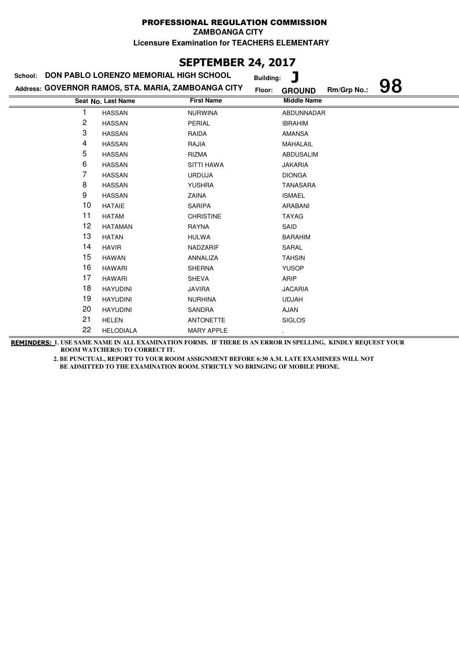**ZAMBOANGA CITY**

**Licensure Examination for TEACHERS ELEMENTARY**

## **SEPTEMBER 24, 2017**

|    | School: DON PABLO LORENZO MEMORIAL HIGH SCHOOL      |                   | J<br><b>Building:</b>              |
|----|-----------------------------------------------------|-------------------|------------------------------------|
|    | Address: GOVERNOR RAMOS, STA. MARIA, ZAMBOANGA CITY | Floor:            | 98<br>Rm/Grp No.:<br><b>GROUND</b> |
|    | Seat No. Last Name                                  | <b>First Name</b> | <b>Middle Name</b>                 |
|    | <b>HASSAN</b>                                       | <b>NURWINA</b>    | ABDUNNADAR                         |
| 2  | <b>HASSAN</b>                                       | PERIAL            | <b>IBRAHIM</b>                     |
| 3  | <b>HASSAN</b>                                       | RAIDA             | <b>AMANSA</b>                      |
| 4  | <b>HASSAN</b>                                       | RAJIA             | MAHALAIL                           |
| 5  | <b>HASSAN</b>                                       | RIZMA             | <b>ABDUSALIM</b>                   |
| 6  | <b>HASSAN</b>                                       | <b>SITTI HAWA</b> | <b>JAKARIA</b>                     |
| 7  | <b>HASSAN</b>                                       | <b>URDUJA</b>     | <b>DIONGA</b>                      |
| 8  | <b>HASSAN</b>                                       | <b>YUSHRA</b>     | <b>TANASARA</b>                    |
| 9  | <b>HASSAN</b>                                       | ZAINA             | <b>ISMAEL</b>                      |
| 10 | <b>HATAIE</b>                                       | <b>SARIPA</b>     | ARABANI                            |
| 11 | <b>HATAM</b>                                        | <b>CHRISTINE</b>  | <b>TAYAG</b>                       |
| 12 | <b>HATAMAN</b>                                      | RAYNA             | SAID                               |
| 13 | <b>HATAN</b>                                        | <b>HULWA</b>      | <b>BARAHIM</b>                     |
| 14 | <b>HAVIR</b>                                        | NADZARIF          | SARAL                              |
| 15 | <b>HAWAN</b>                                        | ANNALIZA          | <b>TAHSIN</b>                      |
| 16 | <b>HAWARI</b>                                       | <b>SHERNA</b>     | <b>YUSOP</b>                       |
| 17 | <b>HAWARI</b>                                       | <b>SHEVA</b>      | ARIP                               |
| 18 | <b>HAYUDINI</b>                                     | <b>JAVIRA</b>     | <b>JACARIA</b>                     |
| 19 | <b>HAYUDINI</b>                                     | <b>NURHINA</b>    | <b>UDJAH</b>                       |
| 20 | <b>HAYUDINI</b>                                     | SANDRA            | AJAN                               |
| 21 | <b>HELEN</b>                                        | <b>ANTONETTE</b>  | <b>SIGLOS</b>                      |
| 22 | <b>HELODIALA</b>                                    | <b>MARY APPLE</b> |                                    |

**REMINDERS: 1. USE SAME NAME IN ALL EXAMINATION FORMS. IF THERE IS AN ERROR IN SPELLING, KINDLY REQUEST YOUR ROOM WATCHER(S) TO CORRECT IT.**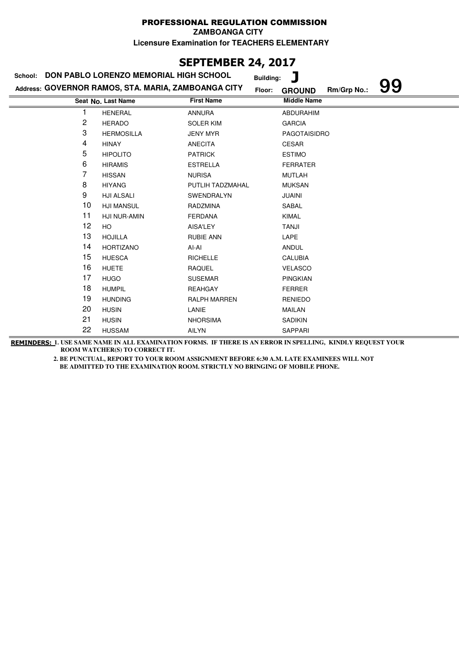**ZAMBOANGA CITY**

**Licensure Examination for TEACHERS ELEMENTARY**

### **SEPTEMBER 24, 2017**

### **Last Name First Name Middle Name Seat No. Address: GOVERNOR RAMOS, STA. MARIA, ZAMBOANGA CITY School: DON PABLO LORENZO MEMORIAL HIGH SCHOOL Building: J Floor: GROUND Rm/Grp No.: 99** 1 HENERAL ANNURA ABDURAHIM 2 HERADO SOLER KIM GARCIA 3 HERMOSILLA JENY MYR PAGOTAISIDRO 4 HINAY ANECITA CESAR 5 HIPOLITO PATRICK ESTIMO 6 HIRAMIS ESTRELLA FERRATER 7 HISSAN NURISA MUTLAH 8 HIYANG PUTLIH TADZMAHAL MUKSAN 9 HJI ALSALI SWENDRALYN JUAINI 10 HJI MANSUL RADZMINA SABAL 11 HJI NUR-AMIN FERDANA KIMAL 12 HO AISA'LEY TANJI 13 HOJILLA RUBIE ANN LAPE 14 HORTIZANO AI-AI AI-AI ANDUL 15 HUESCA RICHELLE CALUBIA 16 HUETE RAQUEL BAQUEL VELASCO 17 HUGO SUSEMAR PINGKIAN 18 HUMPIL REAHGAY FERRER 19 HUNDING RALPH MARREN RENIEDO 20 HUSIN LANIE LANIE MAILAN 21 HUSIN NHORSIMA SADIKIN 22 HUSSAM AILYN SAPPARI

**REMINDERS: 1. USE SAME NAME IN ALL EXAMINATION FORMS. IF THERE IS AN ERROR IN SPELLING, KINDLY REQUEST YOUR ROOM WATCHER(S) TO CORRECT IT.**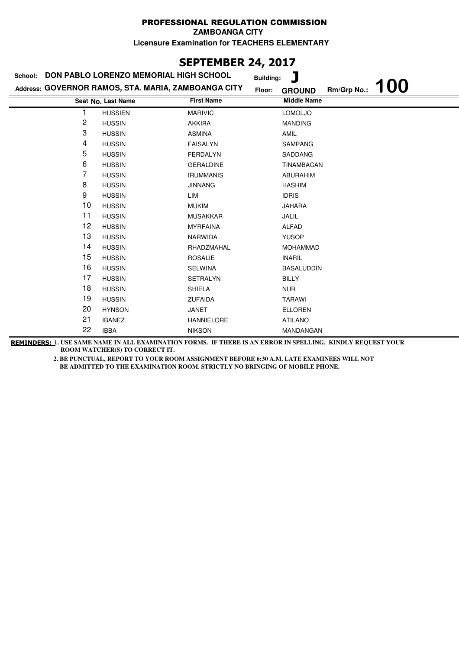**ZAMBOANGA CITY**

**Licensure Examination for TEACHERS ELEMENTARY**

## **SEPTEMBER 24, 2017**

| School: | DON PABLO LORENZO MEMORIAL HIGH SCHOOL              |                   | <b>Building:</b>        |             |            |
|---------|-----------------------------------------------------|-------------------|-------------------------|-------------|------------|
|         | Address: GOVERNOR RAMOS, STA. MARIA, ZAMBOANGA CITY |                   | Floor:<br><b>GROUND</b> | Rm/Grp No.: | <b>100</b> |
|         | Seat No. Last Name                                  | <b>First Name</b> | <b>Middle Name</b>      |             |            |
|         | <b>HUSSIEN</b>                                      | <b>MARIVIC</b>    | <b>LOMOLJO</b>          |             |            |
| 2       | <b>HUSSIN</b>                                       | <b>AKKIRA</b>     | <b>MANDING</b>          |             |            |
| 3       | <b>HUSSIN</b>                                       | <b>ASMINA</b>     | AMIL                    |             |            |
| 4       | <b>HUSSIN</b>                                       | <b>FAISALYN</b>   | <b>SAMPANG</b>          |             |            |
| 5       | <b>HUSSIN</b>                                       | <b>FERDALYN</b>   | SADDANG                 |             |            |
| 6       | <b>HUSSIN</b>                                       | <b>GERALDINE</b>  | TINAMBACAN              |             |            |
| 7       | <b>HUSSIN</b>                                       | <b>IRUMMANIS</b>  | <b>ABURAHIM</b>         |             |            |
| 8       | <b>HUSSIN</b>                                       | <b>JINNANG</b>    | <b>HASHIM</b>           |             |            |
| 9       | <b>HUSSIN</b>                                       | LIM               | <b>IDRIS</b>            |             |            |
| 10      | <b>HUSSIN</b>                                       | <b>MUKIM</b>      | <b>JAHARA</b>           |             |            |
| 11      | <b>HUSSIN</b>                                       | <b>MUSAKKAR</b>   | JALIL                   |             |            |
| 12      | <b>HUSSIN</b>                                       | <b>MYRFAINA</b>   | <b>ALFAD</b>            |             |            |
| 13      | <b>HUSSIN</b>                                       | <b>NARWIDA</b>    | <b>YUSOP</b>            |             |            |
| 14      | <b>HUSSIN</b>                                       | RHADZMAHAL        | <b>MOHAMMAD</b>         |             |            |
| 15      | <b>HUSSIN</b>                                       | <b>ROSALIE</b>    | <b>INARIL</b>           |             |            |
| 16      | <b>HUSSIN</b>                                       | <b>SELWINA</b>    | <b>BASALUDDIN</b>       |             |            |
| 17      | <b>HUSSIN</b>                                       | <b>SETRALYN</b>   | <b>BILLY</b>            |             |            |
| 18      | <b>HUSSIN</b>                                       | <b>SHIELA</b>     | <b>NUR</b>              |             |            |
| 19      | <b>HUSSIN</b>                                       | <b>ZUFAIDA</b>    | <b>TARAWI</b>           |             |            |
| 20      | <b>HYNSON</b>                                       | JANET             | <b>ELLOREN</b>          |             |            |
| 21      | <b>IBAÑEZ</b>                                       | <b>HANNIELORE</b> | <b>ATILANO</b>          |             |            |
| 22      | <b>IBBA</b>                                         | <b>NIKSON</b>     | MANDANGAN               |             |            |

**REMINDERS: 1. USE SAME NAME IN ALL EXAMINATION FORMS. IF THERE IS AN ERROR IN SPELLING, KINDLY REQUEST YOUR ROOM WATCHER(S) TO CORRECT IT.**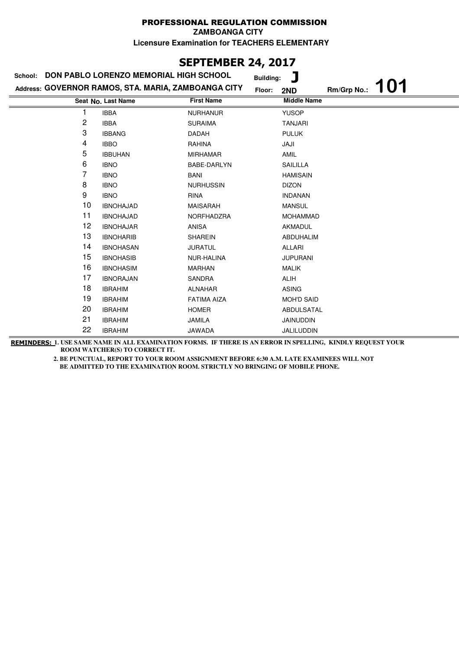### **SEPTEMBER 24, 2017**

| School: | DON PABLO LORENZO MEMORIAL HIGH SCHOOL              |                    | ٦<br><b>Building:</b> |             |     |
|---------|-----------------------------------------------------|--------------------|-----------------------|-------------|-----|
|         | Address: GOVERNOR RAMOS, STA. MARIA, ZAMBOANGA CITY | Floor:             | 2ND                   | Rm/Grp No.: | 101 |
|         | Seat No. Last Name                                  | <b>First Name</b>  | <b>Middle Name</b>    |             |     |
|         | <b>IBBA</b>                                         | <b>NURHANUR</b>    | <b>YUSOP</b>          |             |     |
| 2       | <b>IBBA</b>                                         | <b>SURAIMA</b>     | <b>TANJARI</b>        |             |     |
| 3       | <b>IBBANG</b>                                       | DADAH              | <b>PULUK</b>          |             |     |
| 4       | <b>IBBO</b>                                         | RAHINA             | JAJI                  |             |     |
| 5       | <b>IBBUHAN</b>                                      | <b>MIRHAMAR</b>    | AMIL                  |             |     |
| 6       | <b>IBNO</b>                                         | BABE-DARLYN        | SAILILLA              |             |     |
| 7       | <b>IBNO</b>                                         | BANI               | <b>HAMISAIN</b>       |             |     |
| 8       | <b>IBNO</b>                                         | <b>NURHUSSIN</b>   | <b>DIZON</b>          |             |     |
| 9       | <b>IBNO</b>                                         | <b>RINA</b>        | <b>INDANAN</b>        |             |     |
| 10      | <b>IBNOHAJAD</b>                                    | <b>MAISARAH</b>    | <b>MANSUL</b>         |             |     |
| 11      | <b>IBNOHAJAD</b>                                    | NORFHADZRA         | <b>MOHAMMAD</b>       |             |     |
| 12      | <b>IBNOHAJAR</b>                                    | <b>ANISA</b>       | AKMADUL               |             |     |
| 13      | <b>IBNOHARIB</b>                                    | <b>SHAREIN</b>     | ABDUHALIM             |             |     |
| 14      | <b>IBNOHASAN</b>                                    | <b>JURATUL</b>     | ALLARI                |             |     |
| 15      | <b>IBNOHASIB</b>                                    | NUR-HALINA         | <b>JUPURANI</b>       |             |     |
| 16      | <b>IBNOHASIM</b>                                    | <b>MARHAN</b>      | <b>MALIK</b>          |             |     |
| 17      | <b>IBNORAJAN</b>                                    | SANDRA             | <b>ALIH</b>           |             |     |
| 18      | <b>IBRAHIM</b>                                      | <b>ALNAHAR</b>     | <b>ASING</b>          |             |     |
| 19      | <b>IBRAHIM</b>                                      | <b>FATIMA AIZA</b> | <b>MOH'D SAID</b>     |             |     |
| 20      | <b>IBRAHIM</b>                                      | <b>HOMER</b>       | ABDULSATAL            |             |     |
| 21      | <b>IBRAHIM</b>                                      | <b>JAMILA</b>      | <b>JAINUDDIN</b>      |             |     |
| 22      | <b>IBRAHIM</b>                                      | <b>JAWADA</b>      | JALILUDDIN            |             |     |

**REMINDERS: 1. USE SAME NAME IN ALL EXAMINATION FORMS. IF THERE IS AN ERROR IN SPELLING, KINDLY REQUEST YOUR ROOM WATCHER(S) TO CORRECT IT.**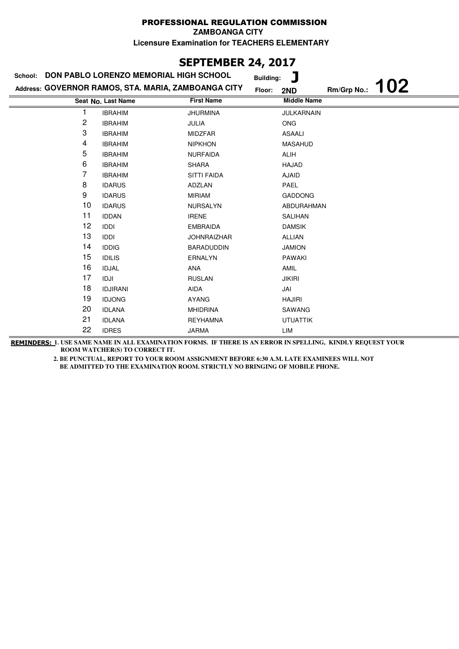**ZAMBOANGA CITY**

**Licensure Examination for TEACHERS ELEMENTARY**

### **SEPTEMBER 24, 2017**

| School:        | DON PABLO LORENZO MEMORIAL HIGH SCHOOL              |                    | T<br><b>Building:</b> |                           |
|----------------|-----------------------------------------------------|--------------------|-----------------------|---------------------------|
|                | Address: GOVERNOR RAMOS, STA. MARIA, ZAMBOANGA CITY |                    | Floor:<br>2ND         | <b>102</b><br>Rm/Grp No.: |
|                | Seat No. Last Name                                  | <b>First Name</b>  | <b>Middle Name</b>    |                           |
|                | <b>IBRAHIM</b>                                      | <b>JHURMINA</b>    | JULKARNAIN            |                           |
| $\overline{c}$ | <b>IBRAHIM</b>                                      | JULIA              | <b>ONG</b>            |                           |
| 3              | <b>IBRAHIM</b>                                      | <b>MIDZFAR</b>     | <b>ASAALI</b>         |                           |
| 4              | <b>IBRAHIM</b>                                      | <b>NIPKHON</b>     | <b>MASAHUD</b>        |                           |
| 5              | <b>IBRAHIM</b>                                      | <b>NURFAIDA</b>    | <b>ALIH</b>           |                           |
| 6              | <b>IBRAHIM</b>                                      | <b>SHARA</b>       | HAJAD                 |                           |
| 7              | <b>IBRAHIM</b>                                      | <b>SITTI FAIDA</b> | <b>AJAID</b>          |                           |
| 8              | <b>IDARUS</b>                                       | ADZLAN             | PAEL                  |                           |
| 9              | <b>IDARUS</b>                                       | <b>MIRIAM</b>      | <b>GADDONG</b>        |                           |
| 10             | <b>IDARUS</b>                                       | <b>NURSALYN</b>    | ABDURAHMAN            |                           |
| 11             | <b>IDDAN</b>                                        | <b>IRENE</b>       | <b>SALIHAN</b>        |                           |
| 12             | <b>IDDI</b>                                         | <b>EMBRAIDA</b>    | <b>DAMSIK</b>         |                           |
| 13             | IDDI                                                | <b>JOHNRAIZHAR</b> | <b>ALLIAN</b>         |                           |
| 14             | <b>IDDIG</b>                                        | <b>BARADUDDIN</b>  | <b>JAMION</b>         |                           |
| 15             | <b>IDILIS</b>                                       | <b>ERNALYN</b>     | <b>PAWAKI</b>         |                           |
| 16             | <b>IDJAL</b>                                        | ANA                | AMIL                  |                           |
| 17             | IDJI                                                | <b>RUSLAN</b>      | <b>JIKIRI</b>         |                           |
| 18             | <b>IDJIRANI</b>                                     | AIDA               | JAI                   |                           |
| 19             | <b>IDJONG</b>                                       | <b>AYANG</b>       | <b>HAJIRI</b>         |                           |
| 20             | <b>IDLANA</b>                                       | <b>MHIDRINA</b>    | SAWANG                |                           |
| 21             | <b>IDLANA</b>                                       | <b>REYHAMNA</b>    | <b>UTUATTIK</b>       |                           |
| 22             | <b>IDRES</b>                                        | <b>JARMA</b>       | LIM                   |                           |

**REMINDERS: 1. USE SAME NAME IN ALL EXAMINATION FORMS. IF THERE IS AN ERROR IN SPELLING, KINDLY REQUEST YOUR ROOM WATCHER(S) TO CORRECT IT.**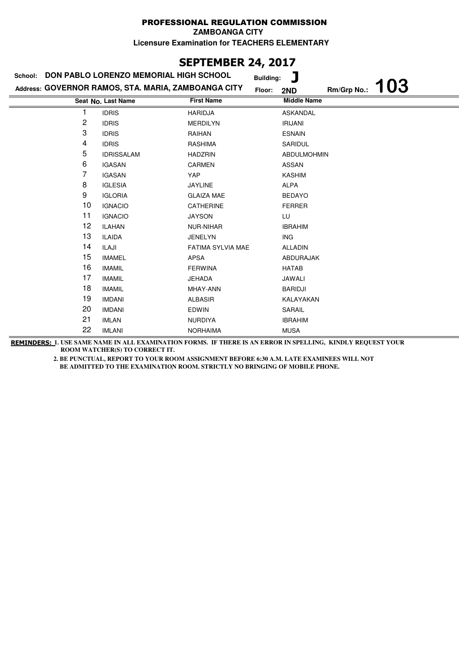**ZAMBOANGA CITY**

**Licensure Examination for TEACHERS ELEMENTARY**

# **SEPTEMBER 24, 2017**

| School: | DON PABLO LORENZO MEMORIAL HIGH SCHOOL              | <b>Building:</b>  | ٦                         |
|---------|-----------------------------------------------------|-------------------|---------------------------|
|         | Address: GOVERNOR RAMOS, STA. MARIA, ZAMBOANGA CITY | Floor:            | 103<br>Rm/Grp No.:<br>2ND |
|         | Seat No. Last Name                                  | <b>First Name</b> | <b>Middle Name</b>        |
|         | <b>IDRIS</b>                                        | <b>HARIDJA</b>    | <b>ASKANDAL</b>           |
| 2       | <b>IDRIS</b>                                        | <b>MERDILYN</b>   | <b>IRIJANI</b>            |
| 3       | <b>IDRIS</b>                                        | RAIHAN            | <b>ESNAIN</b>             |
| 4       | <b>IDRIS</b>                                        | <b>RASHIMA</b>    | SARIDUL                   |
| 5       | <b>IDRISSALAM</b>                                   | <b>HADZRIN</b>    | <b>ABDULMOHMIN</b>        |
| 6       | <b>IGASAN</b>                                       | <b>CARMEN</b>     | ASSAN                     |
| 7       | <b>IGASAN</b>                                       | YAP               | <b>KASHIM</b>             |
| 8       | <b>IGLESIA</b>                                      | <b>JAYLINE</b>    | <b>ALPA</b>               |
| 9       | <b>IGLORIA</b>                                      | <b>GLAIZA MAE</b> | <b>BEDAYO</b>             |
| 10      | <b>IGNACIO</b>                                      | <b>CATHERINE</b>  | <b>FERRER</b>             |
| 11      | <b>IGNACIO</b>                                      | <b>JAYSON</b>     | LU                        |
| 12      | <b>ILAHAN</b>                                       | NUR-NIHAR         | <b>IBRAHIM</b>            |
| 13      | <b>ILAIDA</b>                                       | <b>JENELYN</b>    | <b>ING</b>                |
| 14      | ILAJI                                               | FATIMA SYLVIA MAE | <b>ALLADIN</b>            |
| 15      | <b>IMAMEL</b>                                       | APSA              | ABDURAJAK                 |
| 16      | <b>IMAMIL</b>                                       | <b>FERWINA</b>    | <b>HATAB</b>              |
| 17      | <b>IMAMIL</b>                                       | <b>JEHADA</b>     | JAWALI                    |
| 18      | <b>IMAMIL</b>                                       | MHAY-ANN          | <b>BARIDJI</b>            |
| 19      | <b>IMDANI</b>                                       | <b>ALBASIR</b>    | KALAYAKAN                 |
| 20      | <b>IMDANI</b>                                       | <b>EDWIN</b>      | SARAIL                    |
| 21      | <b>IMLAN</b>                                        | <b>NURDIYA</b>    | <b>IBRAHIM</b>            |
| 22      | <b>IMLANI</b>                                       | <b>NORHAIMA</b>   | <b>MUSA</b>               |

**REMINDERS: 1. USE SAME NAME IN ALL EXAMINATION FORMS. IF THERE IS AN ERROR IN SPELLING, KINDLY REQUEST YOUR ROOM WATCHER(S) TO CORRECT IT.**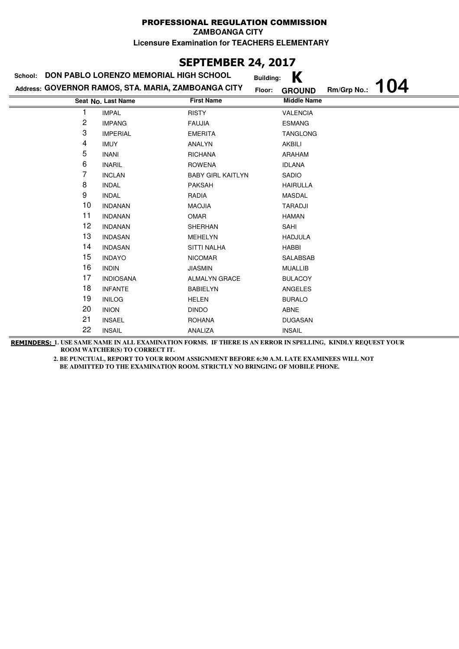**ZAMBOANGA CITY**

**Licensure Examination for TEACHERS ELEMENTARY**

# **SEPTEMBER 24, 2017**

| School: | DON PABLO LORENZO MEMORIAL HIGH SCHOOL              | <b>Building:</b>         | Κ                                   |
|---------|-----------------------------------------------------|--------------------------|-------------------------------------|
|         | Address: GOVERNOR RAMOS, STA. MARIA, ZAMBOANGA CITY | Floor:                   | 104<br>Rm/Grp No.:<br><b>GROUND</b> |
|         | Seat No. Last Name                                  | <b>First Name</b>        | <b>Middle Name</b>                  |
|         | <b>IMPAL</b>                                        | <b>RISTY</b>             | <b>VALENCIA</b>                     |
| 2       | <b>IMPANG</b>                                       | <b>FAUJIA</b>            | <b>ESMANG</b>                       |
| 3       | <b>IMPERIAL</b>                                     | <b>EMERITA</b>           | <b>TANGLONG</b>                     |
| 4       | <b>IMUY</b>                                         | ANALYN                   | AKBILI                              |
| 5       | <b>INANI</b>                                        | <b>RICHANA</b>           | ARAHAM                              |
| 6       | <b>INARIL</b>                                       | <b>ROWENA</b>            | <b>IDLANA</b>                       |
| 7       | <b>INCLAN</b>                                       | <b>BABY GIRL KAITLYN</b> | <b>SADIO</b>                        |
| 8       | <b>INDAL</b>                                        | <b>PAKSAH</b>            | <b>HAIRULLA</b>                     |
| 9       | <b>INDAL</b>                                        | RADIA                    | <b>MASDAL</b>                       |
| 10      | <b>INDANAN</b>                                      | <b>MAOJIA</b>            | <b>TARADJI</b>                      |
| 11      | <b>INDANAN</b>                                      | OMAR                     | <b>HAMAN</b>                        |
| 12      | <b>INDANAN</b>                                      | SHERHAN                  | SAHI                                |
| 13      | <b>INDASAN</b>                                      | <b>MEHELYN</b>           | <b>HADJULA</b>                      |
| 14      | <b>INDASAN</b>                                      | <b>SITTI NALHA</b>       | HABBI                               |
| 15      | <b>INDAYO</b>                                       | <b>NICOMAR</b>           | SALABSAB                            |
| 16      | <b>INDIN</b>                                        | <b>JIASMIN</b>           | <b>MUALLIB</b>                      |
| 17      | <b>INDIOSANA</b>                                    | <b>ALMALYN GRACE</b>     | <b>BULACOY</b>                      |
| 18      | <b>INFANTE</b>                                      | <b>BABIELYN</b>          | ANGELES                             |
| 19      | <b>INILOG</b>                                       | <b>HELEN</b>             | <b>BURALO</b>                       |
| 20      | <b>INION</b>                                        | <b>DINDO</b>             | ABNE                                |
| 21      | <b>INSAEL</b>                                       | <b>ROHANA</b>            | <b>DUGASAN</b>                      |
| 22      | <b>INSAIL</b>                                       | ANALIZA                  | <b>INSAIL</b>                       |

**REMINDERS: 1. USE SAME NAME IN ALL EXAMINATION FORMS. IF THERE IS AN ERROR IN SPELLING, KINDLY REQUEST YOUR ROOM WATCHER(S) TO CORRECT IT.**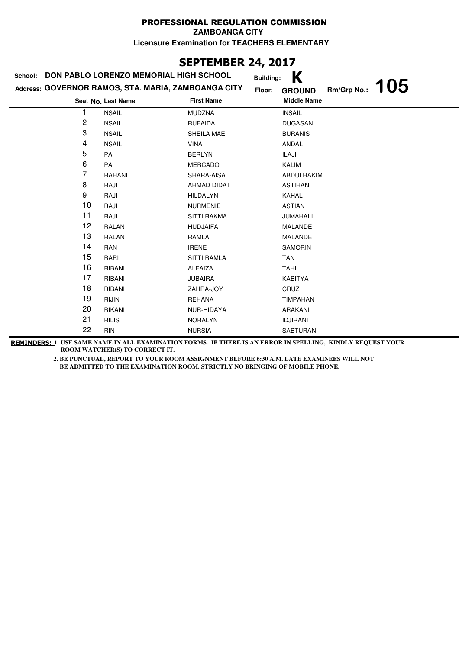**ZAMBOANGA CITY**

**Licensure Examination for TEACHERS ELEMENTARY**

# **SEPTEMBER 24, 2017**

| School: | DON PABLO LORENZO MEMORIAL HIGH SCHOOL              |                    | Κ<br><b>Building:</b>               |
|---------|-----------------------------------------------------|--------------------|-------------------------------------|
|         | Address: GOVERNOR RAMOS, STA. MARIA, ZAMBOANGA CITY | Floor:             | 105<br>Rm/Grp No.:<br><b>GROUND</b> |
|         | Seat No. Last Name                                  | <b>First Name</b>  | <b>Middle Name</b>                  |
| 1       | <b>INSAIL</b>                                       | <b>MUDZNA</b>      | <b>INSAIL</b>                       |
| 2       | <b>INSAIL</b>                                       | <b>RUFAIDA</b>     | <b>DUGASAN</b>                      |
| 3       | <b>INSAIL</b>                                       | SHEILA MAE         | <b>BURANIS</b>                      |
| 4       | <b>INSAIL</b>                                       | <b>VINA</b>        | ANDAL                               |
| 5       | <b>IPA</b>                                          | <b>BERLYN</b>      | ILAJI                               |
| 6       | <b>IPA</b>                                          | <b>MERCADO</b>     | KALIM                               |
| 7       | <b>IRAHANI</b>                                      | SHARA-AISA         | ABDULHAKIM                          |
| 8       | <b>IRAJI</b>                                        | AHMAD DIDAT        | <b>ASTIHAN</b>                      |
| 9       | <b>IRAJI</b>                                        | <b>HILDALYN</b>    | KAHAL                               |
| 10      | <b>IRAJI</b>                                        | <b>NURMENIE</b>    | ASTIAN                              |
| 11      | <b>IRAJI</b>                                        | <b>SITTI RAKMA</b> | JUMAHALI                            |
| 12      | <b>IRALAN</b>                                       | <b>HUDJAIFA</b>    | <b>MALANDE</b>                      |
| 13      | <b>IRALAN</b>                                       | RAMLA              | <b>MALANDE</b>                      |
| 14      | <b>IRAN</b>                                         | <b>IRENE</b>       | <b>SAMORIN</b>                      |
| 15      | <b>IRARI</b>                                        | <b>SITTI RAMLA</b> | TAN                                 |
| 16      | <b>IRIBANI</b>                                      | <b>ALFAIZA</b>     | <b>TAHIL</b>                        |
| 17      | <b>IRIBANI</b>                                      | <b>JUBAIRA</b>     | <b>KABITYA</b>                      |
| 18      | <b>IRIBANI</b>                                      | ZAHRA-JOY          | CRUZ                                |
| 19      | <b>IRIJIN</b>                                       | <b>REHANA</b>      | <b>TIMPAHAN</b>                     |
| 20      | <b>IRIKANI</b>                                      | NUR-HIDAYA         | ARAKANI                             |
| 21      | <b>IRILIS</b>                                       | <b>NORALYN</b>     | <b>IDJIRANI</b>                     |
| 22      | <b>IRIN</b>                                         | <b>NURSIA</b>      | <b>SABTURANI</b>                    |

**REMINDERS: 1. USE SAME NAME IN ALL EXAMINATION FORMS. IF THERE IS AN ERROR IN SPELLING, KINDLY REQUEST YOUR ROOM WATCHER(S) TO CORRECT IT.**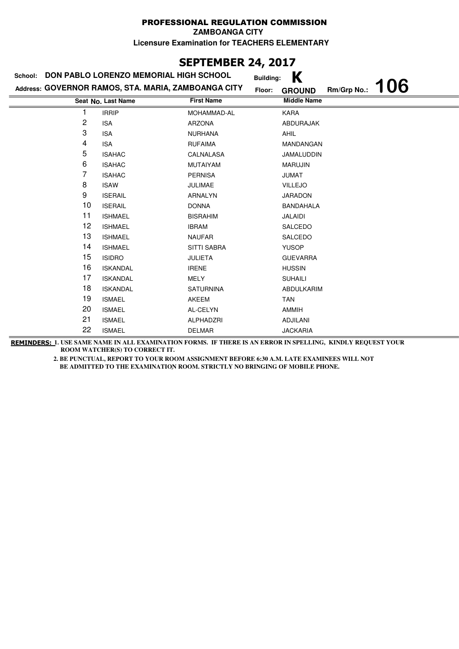**ZAMBOANGA CITY**

**Licensure Examination for TEACHERS ELEMENTARY**

# **SEPTEMBER 24, 2017**

| School: | DON PABLO LORENZO MEMORIAL HIGH SCHOOL              | <b>Building:</b>   | K                                          |
|---------|-----------------------------------------------------|--------------------|--------------------------------------------|
|         | Address: GOVERNOR RAMOS, STA. MARIA, ZAMBOANGA CITY | Floor:             | <b>106</b><br>Rm/Grp No.:<br><b>GROUND</b> |
|         | Seat No. Last Name                                  | <b>First Name</b>  | <b>Middle Name</b>                         |
|         | <b>IRRIP</b>                                        | MOHAMMAD-AL        | KARA                                       |
| 2       | <b>ISA</b>                                          | ARZONA             | ABDURAJAK                                  |
| 3       | <b>ISA</b>                                          | <b>NURHANA</b>     | <b>AHIL</b>                                |
| 4       | <b>ISA</b>                                          | <b>RUFAIMA</b>     | MANDANGAN                                  |
| 5       | <b>ISAHAC</b>                                       | CALNALASA          | JAMALUDDIN                                 |
| 6       | <b>ISAHAC</b>                                       | MUTAIYAM           | <b>MARUJIN</b>                             |
| 7       | <b>ISAHAC</b>                                       | <b>PERNISA</b>     | <b>JUMAT</b>                               |
| 8       | <b>ISAW</b>                                         | <b>JULIMAE</b>     | <b>VILLEJO</b>                             |
| 9       | <b>ISERAIL</b>                                      | ARNALYN            | <b>JARADON</b>                             |
| 10      | <b>ISERAIL</b>                                      | <b>DONNA</b>       | <b>BANDAHALA</b>                           |
| 11      | <b>ISHMAEL</b>                                      | <b>BISRAHIM</b>    | JALAIDI                                    |
| 12      | <b>ISHMAEL</b>                                      | <b>IBRAM</b>       | SALCEDO                                    |
| 13      | <b>ISHMAEL</b>                                      | <b>NAUFAR</b>      | SALCEDO                                    |
| 14      | <b>ISHMAEL</b>                                      | <b>SITTI SABRA</b> | <b>YUSOP</b>                               |
| 15      | <b>ISIDRO</b>                                       | <b>JULIETA</b>     | <b>GUEVARRA</b>                            |
| 16      | <b>ISKANDAL</b>                                     | <b>IRENE</b>       | <b>HUSSIN</b>                              |
| 17      | <b>ISKANDAL</b>                                     | MELY               | <b>SUHAILI</b>                             |
| 18      | <b>ISKANDAL</b>                                     | <b>SATURNINA</b>   | ABDULKARIM                                 |
| 19      | <b>ISMAEL</b>                                       | <b>AKEEM</b>       | <b>TAN</b>                                 |
| 20      | <b>ISMAEL</b>                                       | AL-CELYN           | AMMIH                                      |
| 21      | <b>ISMAEL</b>                                       | ALPHADZRI          | <b>ADJILANI</b>                            |
| 22      | <b>ISMAEL</b>                                       | <b>DELMAR</b>      | <b>JACKARIA</b>                            |

**REMINDERS: 1. USE SAME NAME IN ALL EXAMINATION FORMS. IF THERE IS AN ERROR IN SPELLING, KINDLY REQUEST YOUR ROOM WATCHER(S) TO CORRECT IT.**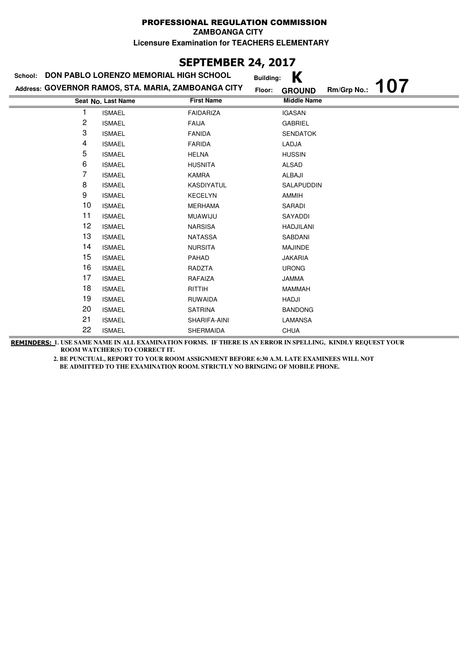**ZAMBOANGA CITY**

**Licensure Examination for TEACHERS ELEMENTARY**

# **SEPTEMBER 24, 2017**

| School: | DON PABLO LORENZO MEMORIAL HIGH SCHOOL              |                   | K<br><b>Building:</b>   |             |            |
|---------|-----------------------------------------------------|-------------------|-------------------------|-------------|------------|
|         | Address: GOVERNOR RAMOS, STA. MARIA, ZAMBOANGA CITY |                   | Floor:<br><b>GROUND</b> | Rm/Grp No.: | <b>107</b> |
|         | Seat No. Last Name                                  | <b>First Name</b> | <b>Middle Name</b>      |             |            |
| 1       | <b>ISMAEL</b>                                       | <b>FAIDARIZA</b>  | <b>IGASAN</b>           |             |            |
| 2       | <b>ISMAEL</b>                                       | <b>FAIJA</b>      | <b>GABRIEL</b>          |             |            |
| 3       | <b>ISMAEL</b>                                       | <b>FANIDA</b>     | <b>SENDATOK</b>         |             |            |
| 4       | <b>ISMAEL</b>                                       | <b>FARIDA</b>     | LADJA                   |             |            |
| 5       | <b>ISMAEL</b>                                       | <b>HELNA</b>      | <b>HUSSIN</b>           |             |            |
| 6       | <b>ISMAEL</b>                                       | <b>HUSNITA</b>    | <b>ALSAD</b>            |             |            |
| 7       | <b>ISMAEL</b>                                       | KAMRA             | ALBAJI                  |             |            |
| 8       | <b>ISMAEL</b>                                       | <b>KASDIYATUL</b> | SALAPUDDIN              |             |            |
| 9       | <b>ISMAEL</b>                                       | <b>KECELYN</b>    | AMMIH                   |             |            |
| 10      | <b>ISMAEL</b>                                       | <b>MERHAMA</b>    | SARADI                  |             |            |
| 11      | <b>ISMAEL</b>                                       | MUAWIJU           | SAYADDI                 |             |            |
| 12      | <b>ISMAEL</b>                                       | <b>NARSISA</b>    | <b>HADJILANI</b>        |             |            |
| 13      | <b>ISMAEL</b>                                       | <b>NATASSA</b>    | SABDANI                 |             |            |
| 14      | <b>ISMAEL</b>                                       | <b>NURSITA</b>    | <b>MAJINDE</b>          |             |            |
| 15      | <b>ISMAEL</b>                                       | <b>PAHAD</b>      | <b>JAKARIA</b>          |             |            |
| 16      | <b>ISMAEL</b>                                       | RADZTA            | <b>URONG</b>            |             |            |
| 17      | <b>ISMAEL</b>                                       | RAFAIZA           | <b>JAMMA</b>            |             |            |
| 18      | <b>ISMAEL</b>                                       | RITTIH            | <b>MAMMAH</b>           |             |            |
| 19      | <b>ISMAEL</b>                                       | <b>RUWAIDA</b>    | HADJI                   |             |            |
| 20      | <b>ISMAEL</b>                                       | <b>SATRINA</b>    | <b>BANDONG</b>          |             |            |
| 21      | <b>ISMAEL</b>                                       | SHARIFA-AINI      | <b>LAMANSA</b>          |             |            |
| 22      | <b>ISMAEL</b>                                       | <b>SHERMAIDA</b>  | <b>CHUA</b>             |             |            |

**REMINDERS: 1. USE SAME NAME IN ALL EXAMINATION FORMS. IF THERE IS AN ERROR IN SPELLING, KINDLY REQUEST YOUR ROOM WATCHER(S) TO CORRECT IT.**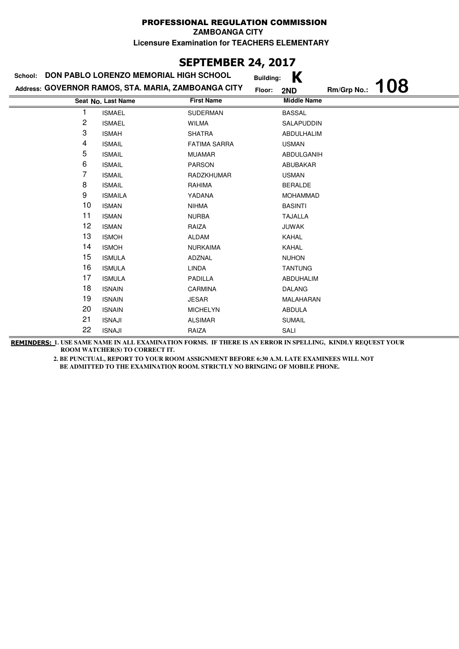### **SEPTEMBER 24, 2017**

| DON PABLO LORENZO MEMORIAL HIGH SCHOOL<br>School: |                                                     | K<br><b>Building:</b> |                |                    |            |
|---------------------------------------------------|-----------------------------------------------------|-----------------------|----------------|--------------------|------------|
|                                                   | Address: GOVERNOR RAMOS, STA. MARIA, ZAMBOANGA CITY |                       | Floor:<br>2ND  | Rm/Grp No.:        | <b>108</b> |
|                                                   | Seat No. Last Name                                  | <b>First Name</b>     |                | <b>Middle Name</b> |            |
|                                                   | <b>ISMAEL</b>                                       | <b>SUDERMAN</b>       | <b>BASSAL</b>  |                    |            |
| 2                                                 | <b>ISMAEL</b>                                       | <b>WILMA</b>          |                | SALAPUDDIN         |            |
| 3                                                 | <b>ISMAH</b>                                        | <b>SHATRA</b>         |                | ABDULHALIM         |            |
| 4                                                 | <b>ISMAIL</b>                                       | <b>FATIMA SARRA</b>   | <b>USMAN</b>   |                    |            |
| 5                                                 | <b>ISMAIL</b>                                       | <b>MUAMAR</b>         |                | ABDULGANIH         |            |
| 6                                                 | <b>ISMAIL</b>                                       | <b>PARSON</b>         |                | ABUBAKAR           |            |
| 7                                                 | <b>ISMAIL</b>                                       | RADZKHUMAR            | <b>USMAN</b>   |                    |            |
| 8                                                 | <b>ISMAIL</b>                                       | RAHIMA                | <b>BERALDE</b> |                    |            |
| 9                                                 | <b>ISMAILA</b>                                      | YADANA                |                | <b>MOHAMMAD</b>    |            |
| 10                                                | <b>ISMAN</b>                                        | <b>NIHMA</b>          | <b>BASINTI</b> |                    |            |
| 11                                                | <b>ISMAN</b>                                        | <b>NURBA</b>          | <b>TAJALLA</b> |                    |            |
| 12                                                | <b>ISMAN</b>                                        | RAIZA                 | <b>JUWAK</b>   |                    |            |
| 13                                                | <b>ISMOH</b>                                        | <b>ALDAM</b>          | KAHAL          |                    |            |
| 14                                                | <b>ISMOH</b>                                        | <b>NURKAIMA</b>       | KAHAL          |                    |            |
| 15                                                | <b>ISMULA</b>                                       | ADZNAL                | <b>NUHON</b>   |                    |            |
| 16                                                | <b>ISMULA</b>                                       | <b>LINDA</b>          | <b>TANTUNG</b> |                    |            |
| 17                                                | <b>ISMULA</b>                                       | PADILLA               |                | ABDUHALIM          |            |
| 18                                                | <b>ISNAIN</b>                                       | <b>CARMINA</b>        | <b>DALANG</b>  |                    |            |
| 19                                                | <b>ISNAIN</b>                                       | <b>JESAR</b>          |                | MALAHARAN          |            |
| 20                                                | <b>ISNAIN</b>                                       | <b>MICHELYN</b>       | ABDULA         |                    |            |
| 21                                                | <b>ISNAJI</b>                                       | <b>ALSIMAR</b>        | <b>SUMAIL</b>  |                    |            |
| 22                                                | <b>ISNAJI</b>                                       | RAIZA                 | SALI           |                    |            |

**REMINDERS: 1. USE SAME NAME IN ALL EXAMINATION FORMS. IF THERE IS AN ERROR IN SPELLING, KINDLY REQUEST YOUR ROOM WATCHER(S) TO CORRECT IT.**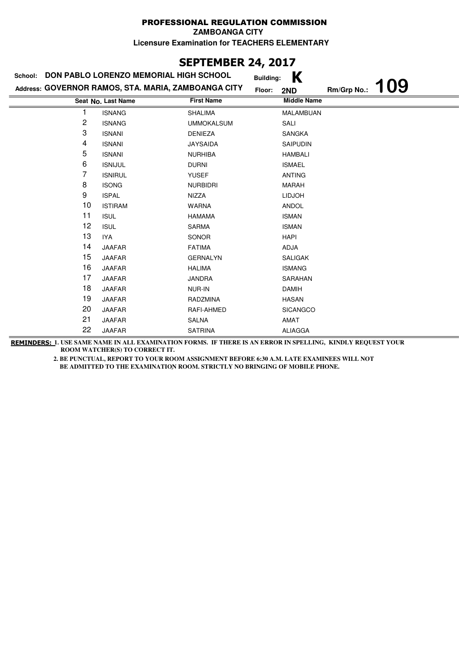### **SEPTEMBER 24, 2017**

| School: | DON PABLO LORENZO MEMORIAL HIGH SCHOOL              |                   | K<br><b>Building:</b> |             |            |
|---------|-----------------------------------------------------|-------------------|-----------------------|-------------|------------|
|         | Address: GOVERNOR RAMOS, STA. MARIA, ZAMBOANGA CITY |                   | Floor:<br>2ND         | Rm/Grp No.: | <b>109</b> |
|         | Seat No. Last Name                                  | <b>First Name</b> | <b>Middle Name</b>    |             |            |
|         | <b>ISNANG</b>                                       | <b>SHALIMA</b>    | MALAMBUAN             |             |            |
| 2       | <b>ISNANG</b>                                       | <b>UMMOKALSUM</b> | SALI                  |             |            |
| 3       | <b>ISNANI</b>                                       | <b>DENIEZA</b>    | <b>SANGKA</b>         |             |            |
| 4       | <b>ISNANI</b>                                       | <b>JAYSAIDA</b>   | SAIPUDIN              |             |            |
| 5       | <b>ISNANI</b>                                       | <b>NURHIBA</b>    | <b>HAMBALI</b>        |             |            |
| 6       | <b>ISNIJUL</b>                                      | <b>DURNI</b>      | <b>ISMAEL</b>         |             |            |
| 7       | <b>ISNIRUL</b>                                      | <b>YUSEF</b>      | <b>ANTING</b>         |             |            |
| 8       | <b>ISONG</b>                                        | <b>NURBIDRI</b>   | <b>MARAH</b>          |             |            |
| 9       | <b>ISPAL</b>                                        | NIZZA             | <b>LIDJOH</b>         |             |            |
| 10      | <b>ISTIRAM</b>                                      | <b>WARNA</b>      | <b>ANDOL</b>          |             |            |
| 11      | <b>ISUL</b>                                         | <b>HAMAMA</b>     | <b>ISMAN</b>          |             |            |
| 12      | <b>ISUL</b>                                         | <b>SARMA</b>      | <b>ISMAN</b>          |             |            |
| 13      | IYA                                                 | SONOR             | <b>HAPI</b>           |             |            |
| 14      | <b>JAAFAR</b>                                       | <b>FATIMA</b>     | ADJA                  |             |            |
| 15      | <b>JAAFAR</b>                                       | <b>GERNALYN</b>   | <b>SALIGAK</b>        |             |            |
| 16      | <b>JAAFAR</b>                                       | <b>HALIMA</b>     | <b>ISMANG</b>         |             |            |
| 17      | <b>JAAFAR</b>                                       | <b>JANDRA</b>     | SARAHAN               |             |            |
| 18      | <b>JAAFAR</b>                                       | NUR-IN            | <b>DAMIH</b>          |             |            |
| 19      | <b>JAAFAR</b>                                       | RADZMINA          | <b>HASAN</b>          |             |            |
| 20      | JAAFAR                                              | RAFI-AHMED        | <b>SICANGCO</b>       |             |            |
| 21      | <b>JAAFAR</b>                                       | <b>SALNA</b>      | AMAT                  |             |            |
| 22      | <b>JAAFAR</b>                                       | <b>SATRINA</b>    | <b>ALIAGGA</b>        |             |            |

**REMINDERS: 1. USE SAME NAME IN ALL EXAMINATION FORMS. IF THERE IS AN ERROR IN SPELLING, KINDLY REQUEST YOUR ROOM WATCHER(S) TO CORRECT IT.**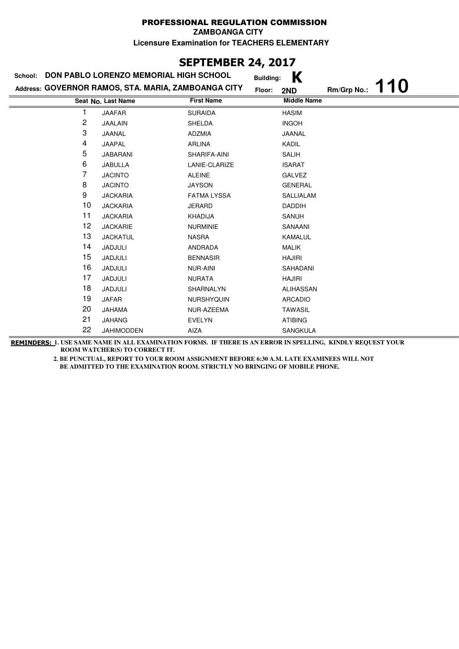# **SEPTEMBER 24, 2017**

| DON PABLO LORENZO MEMORIAL HIGH SCHOOL<br>School: |                                                     | K<br><b>Building:</b> |                    |             |            |
|---------------------------------------------------|-----------------------------------------------------|-----------------------|--------------------|-------------|------------|
|                                                   | Address: GOVERNOR RAMOS, STA. MARIA, ZAMBOANGA CITY |                       | Floor:<br>2ND      | Rm/Grp No.: | <b>110</b> |
|                                                   | Seat No. Last Name                                  | <b>First Name</b>     | <b>Middle Name</b> |             |            |
|                                                   | <b>JAAFAR</b>                                       | <b>SURAIDA</b>        | <b>HASIM</b>       |             |            |
| 2                                                 | JAALAIN                                             | <b>SHELDA</b>         | <b>INGOH</b>       |             |            |
| 3                                                 | JAANAL                                              | <b>ADZMIA</b>         | JAANAL             |             |            |
| 4                                                 | JAAPAL                                              | <b>ARLINA</b>         | KADIL              |             |            |
| 5                                                 | <b>JABARANI</b>                                     | SHARIFA-AINI          | <b>SALIH</b>       |             |            |
| 6                                                 | <b>JABULLA</b>                                      | LANIE-CLARIZE         | <b>ISARAT</b>      |             |            |
| 7                                                 | <b>JACINTO</b>                                      | <b>ALEINE</b>         | GALVEZ             |             |            |
| 8                                                 | <b>JACINTO</b>                                      | <b>JAYSON</b>         | <b>GENERAL</b>     |             |            |
| 9                                                 | <b>JACKARIA</b>                                     | <b>FATMA LYSSA</b>    | SALLIALAM          |             |            |
| 10                                                | <b>JACKARIA</b>                                     | JERARD                | <b>DADDIH</b>      |             |            |
| 11                                                | <b>JACKARIA</b>                                     | <b>KHADIJA</b>        | SANUH              |             |            |
| 12                                                | <b>JACKARIE</b>                                     | <b>NURMINIE</b>       | SANAANI            |             |            |
| 13                                                | <b>JACKATUL</b>                                     | <b>NASRA</b>          | <b>KAMALUL</b>     |             |            |
| 14                                                | JADJULI                                             | ANDRADA               | <b>MALIK</b>       |             |            |
| 15                                                | JADJULI                                             | <b>BENNASIR</b>       | <b>HAJIRI</b>      |             |            |
| 16                                                | JADJULI                                             | <b>NUR-AINI</b>       | SAHADANI           |             |            |
| 17                                                | JADJULI                                             | <b>NURATA</b>         | <b>HAJIRI</b>      |             |            |
| 18                                                | JADJULI                                             | SHARNALYN             | ALIHASSAN          |             |            |
| 19                                                | JAFAR                                               | NURSHYQUIN            | <b>ARCADIO</b>     |             |            |
| 20                                                | <b>JAHAMA</b>                                       | NUR-AZEEMA            | <b>TAWASIL</b>     |             |            |
| 21                                                | <b>JAHANG</b>                                       | <b>EVELYN</b>         | <b>ATIBING</b>     |             |            |
| 22                                                | <b>JAHIMODDEN</b>                                   | <b>AIZA</b>           | <b>SANGKULA</b>    |             |            |

**REMINDERS: 1. USE SAME NAME IN ALL EXAMINATION FORMS. IF THERE IS AN ERROR IN SPELLING, KINDLY REQUEST YOUR ROOM WATCHER(S) TO CORRECT IT.**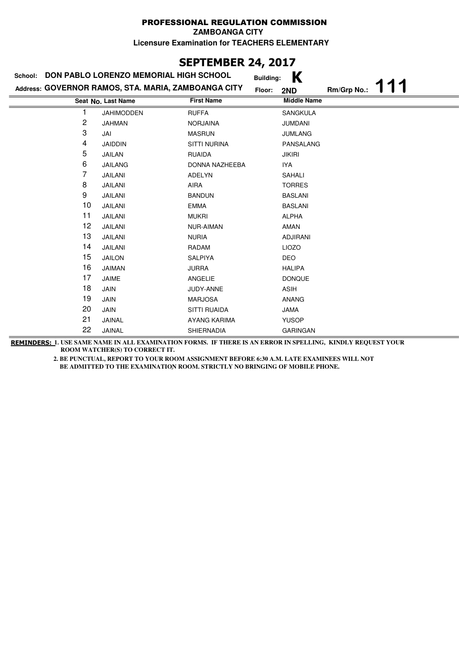### **SEPTEMBER 24, 2017**

| School:        | DON PABLO LORENZO MEMORIAL HIGH SCHOOL              |                     | K<br><b>Building:</b> |             |  |
|----------------|-----------------------------------------------------|---------------------|-----------------------|-------------|--|
|                | Address: GOVERNOR RAMOS, STA. MARIA, ZAMBOANGA CITY |                     | Floor:<br>2ND         | Rm/Grp No.: |  |
|                | Seat No. Last Name                                  | <b>First Name</b>   | <b>Middle Name</b>    |             |  |
|                | <b>JAHIMODDEN</b>                                   | <b>RUFFA</b>        | <b>SANGKULA</b>       |             |  |
| $\overline{c}$ | <b>JAHMAN</b>                                       | <b>NORJAINA</b>     | <b>JUMDANI</b>        |             |  |
| 3              | JAI                                                 | <b>MASRUN</b>       | <b>JUMLANG</b>        |             |  |
| 4              | <b>JAIDDIN</b>                                      | <b>SITTI NURINA</b> | PANSALANG             |             |  |
| 5              | <b>JAILAN</b>                                       | <b>RUAIDA</b>       | <b>JIKIRI</b>         |             |  |
| 6              | <b>JAILANG</b>                                      | DONNA NAZHEEBA      | IYA                   |             |  |
| 7              | JAILANI                                             | ADELYN              | <b>SAHALI</b>         |             |  |
| 8              | JAILANI                                             | AIRA                | <b>TORRES</b>         |             |  |
| 9              | JAILANI                                             | <b>BANDUN</b>       | <b>BASLANI</b>        |             |  |
| 10             | JAILANI                                             | <b>EMMA</b>         | <b>BASLANI</b>        |             |  |
| 11             | JAILANI                                             | <b>MUKRI</b>        | <b>ALPHA</b>          |             |  |
| 12             | JAILANI                                             | <b>NUR-AIMAN</b>    | AMAN                  |             |  |
| 13             | JAILANI                                             | <b>NURIA</b>        | <b>ADJIRANI</b>       |             |  |
| 14             | <b>JAILANI</b>                                      | RADAM               | <b>LIOZO</b>          |             |  |
| 15             | <b>JAILON</b>                                       | <b>SALPIYA</b>      | <b>DEO</b>            |             |  |
| 16             | JAIMAN                                              | <b>JURRA</b>        | <b>HALIPA</b>         |             |  |
| 17             | JAIME                                               | ANGELIE             | <b>DONQUE</b>         |             |  |
| 18             | JAIN                                                | JUDY-ANNE           | <b>ASIH</b>           |             |  |
| 19             | JAIN                                                | <b>MARJOSA</b>      | <b>ANANG</b>          |             |  |
| 20             | JAIN                                                | <b>SITTI RUAIDA</b> | <b>JAMA</b>           |             |  |
| 21             | JAINAL                                              | AYANG KARIMA        | <b>YUSOP</b>          |             |  |
| 22             | JAINAL                                              | SHIERNADIA          | <b>GARINGAN</b>       |             |  |

**REMINDERS: 1. USE SAME NAME IN ALL EXAMINATION FORMS. IF THERE IS AN ERROR IN SPELLING, KINDLY REQUEST YOUR ROOM WATCHER(S) TO CORRECT IT.**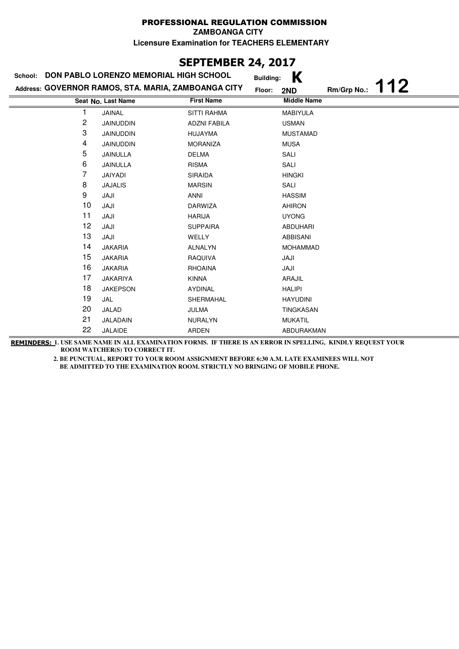## **SEPTEMBER 24, 2017**

| <b>DON PABLO LORENZO MEMORIAL HIGH SCHOOL</b><br>School: |                                                     |                     | K<br><b>Building:</b> |                    |
|----------------------------------------------------------|-----------------------------------------------------|---------------------|-----------------------|--------------------|
|                                                          | Address: GOVERNOR RAMOS, STA. MARIA, ZAMBOANGA CITY | Floor:              | 2ND                   | 112<br>Rm/Grp No.: |
|                                                          | Seat No. Last Name                                  | <b>First Name</b>   | <b>Middle Name</b>    |                    |
|                                                          | <b>JAINAL</b>                                       | <b>SITTI RAHMA</b>  | <b>MABIYULA</b>       |                    |
| 2                                                        | <b>JAINUDDIN</b>                                    | <b>ADZNI FABILA</b> | <b>USMAN</b>          |                    |
| 3                                                        | JAINUDDIN                                           | HUJAYMA             | <b>MUSTAMAD</b>       |                    |
| 4                                                        | JAINUDDIN                                           | <b>MORANIZA</b>     | <b>MUSA</b>           |                    |
| 5                                                        | JAINULLA                                            | <b>DELMA</b>        | SALI                  |                    |
| 6                                                        | JAINULLA                                            | <b>RISMA</b>        | SALI                  |                    |
| 7                                                        | JAIYADI                                             | <b>SIRAIDA</b>      | <b>HINGKI</b>         |                    |
| 8                                                        | <b>JAJALIS</b>                                      | <b>MARSIN</b>       | SALI                  |                    |
| 9                                                        | JAJI                                                | ANNI                | <b>HASSIM</b>         |                    |
| 10                                                       | JAJI                                                | <b>DARWIZA</b>      | <b>AHIRON</b>         |                    |
| 11                                                       | JAJI                                                | <b>HARIJA</b>       | <b>UYONG</b>          |                    |
| 12                                                       | JAJI                                                | <b>SUPPAIRA</b>     | <b>ABDUHARI</b>       |                    |
| 13                                                       | JAJI                                                | <b>WELLY</b>        | <b>ABBISANI</b>       |                    |
| 14                                                       | <b>JAKARIA</b>                                      | <b>ALNALYN</b>      | <b>MOHAMMAD</b>       |                    |
| 15                                                       | <b>JAKARIA</b>                                      | RAQUIVA             | JAJI                  |                    |
| 16                                                       | <b>JAKARIA</b>                                      | RHOAINA             | JAJI                  |                    |
| 17                                                       | <b>JAKARIYA</b>                                     | <b>KINNA</b>        | ARAJIL                |                    |
| 18                                                       | <b>JAKEPSON</b>                                     | AYDINAL             | <b>HALIPI</b>         |                    |
| 19                                                       | JAL                                                 | SHERMAHAL           | <b>HAYUDINI</b>       |                    |
| 20                                                       | JALAD                                               | JULMA               | TINGKASAN             |                    |
| 21                                                       | JALADAIN                                            | <b>NURALYN</b>      | <b>MUKATIL</b>        |                    |
| 22                                                       | JALAIDE                                             | ARDEN               | ABDURAKMAN            |                    |

**REMINDERS: 1. USE SAME NAME IN ALL EXAMINATION FORMS. IF THERE IS AN ERROR IN SPELLING, KINDLY REQUEST YOUR ROOM WATCHER(S) TO CORRECT IT.**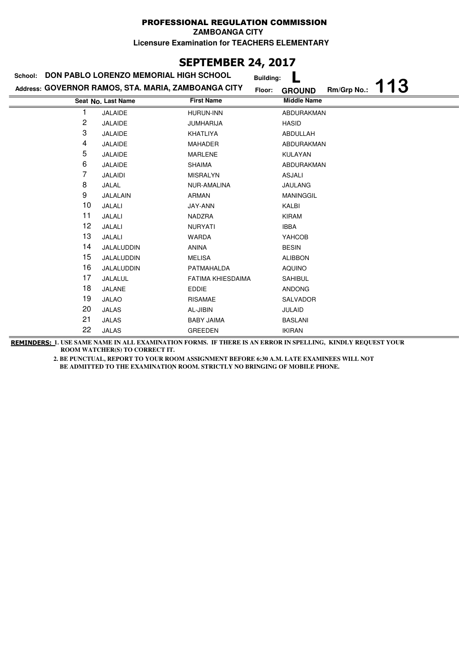**ZAMBOANGA CITY**

**Licensure Examination for TEACHERS ELEMENTARY**

# **SEPTEMBER 24, 2017**

| DON PABLO LORENZO MEMORIAL HIGH SCHOOL<br>School: |                                                     |                          | <b>Building:</b>                    |
|---------------------------------------------------|-----------------------------------------------------|--------------------------|-------------------------------------|
|                                                   | Address: GOVERNOR RAMOS, STA. MARIA, ZAMBOANGA CITY | Floor:                   | 113<br>Rm/Grp No.:<br><b>GROUND</b> |
|                                                   | Seat No. Last Name                                  | <b>First Name</b>        | <b>Middle Name</b>                  |
|                                                   | JALAIDE                                             | <b>HURUN-INN</b>         | ABDURAKMAN                          |
| 2                                                 | <b>JALAIDE</b>                                      | <b>JUMHARIJA</b>         | <b>HASID</b>                        |
| 3                                                 | JALAIDE                                             | KHATLIYA                 | ABDULLAH                            |
| 4                                                 | <b>JALAIDE</b>                                      | <b>MAHADER</b>           | ABDURAKMAN                          |
| 5                                                 | <b>JALAIDE</b>                                      | <b>MARLENE</b>           | KULAYAN                             |
| 6                                                 | JALAIDE                                             | <b>SHAIMA</b>            | ABDURAKMAN                          |
| 7                                                 | <b>JALAIDI</b>                                      | <b>MISRALYN</b>          | <b>ASJALI</b>                       |
| 8                                                 | JALAL                                               | NUR-AMALINA              | <b>JAULANG</b>                      |
| 9                                                 | JALALAIN                                            | <b>ARMAN</b>             | <b>MANINGGIL</b>                    |
| 10                                                | JALALI                                              | JAY-ANN                  | KALBI                               |
| 11                                                | JALALI                                              | NADZRA                   | <b>KIRAM</b>                        |
| 12                                                | JALALI                                              | <b>NURYATI</b>           | <b>IBBA</b>                         |
| 13                                                | JALALI                                              | <b>WARDA</b>             | YAHCOB                              |
| 14                                                | JALALUDDIN                                          | <b>ANINA</b>             | <b>BESIN</b>                        |
| 15                                                | JALALUDDIN                                          | <b>MELISA</b>            | <b>ALIBBON</b>                      |
| 16                                                | JALALUDDIN                                          | PATMAHALDA               | <b>AQUINO</b>                       |
| 17                                                | JALALUL                                             | <b>FATIMA KHIESDAIMA</b> | <b>SAHIBUL</b>                      |
| 18                                                | JALANE                                              | <b>EDDIE</b>             | <b>ANDONG</b>                       |
| 19                                                | <b>JALAO</b>                                        | <b>RISAMAE</b>           | SALVADOR                            |
| 20                                                | <b>JALAS</b>                                        | AL-JIBIN                 | <b>JULAID</b>                       |
| 21                                                | <b>JALAS</b>                                        | <b>BABY JAIMA</b>        | <b>BASLANI</b>                      |
| 22                                                | <b>JALAS</b>                                        | <b>GREEDEN</b>           | <b>IKIRAN</b>                       |

**REMINDERS: 1. USE SAME NAME IN ALL EXAMINATION FORMS. IF THERE IS AN ERROR IN SPELLING, KINDLY REQUEST YOUR ROOM WATCHER(S) TO CORRECT IT.**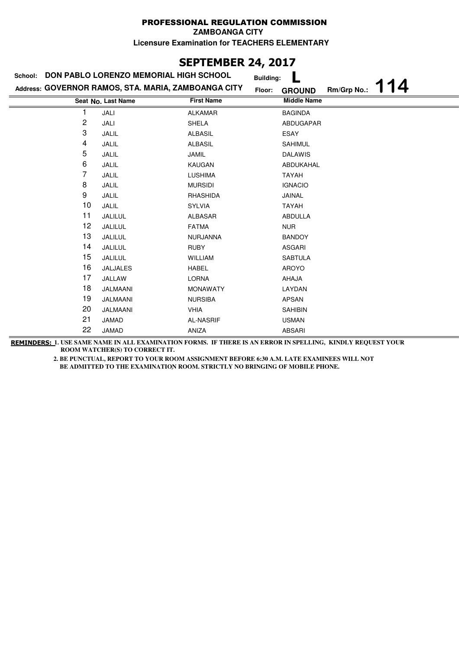**ZAMBOANGA CITY**

**Licensure Examination for TEACHERS ELEMENTARY**

# **SEPTEMBER 24, 2017**

| School: | DON PABLO LORENZO MEMORIAL HIGH SCHOOL              |                   | <b>Building:</b> |                    |             |   |
|---------|-----------------------------------------------------|-------------------|------------------|--------------------|-------------|---|
|         | Address: GOVERNOR RAMOS, STA. MARIA, ZAMBOANGA CITY |                   | Floor:           | <b>GROUND</b>      | Rm/Grp No.: | 4 |
|         | Seat No. Last Name                                  | <b>First Name</b> |                  | <b>Middle Name</b> |             |   |
| 1       | JALI                                                | <b>ALKAMAR</b>    |                  | <b>BAGINDA</b>     |             |   |
| 2       | JALI                                                | <b>SHELA</b>      |                  | ABDUGAPAR          |             |   |
| 3       | JALIL                                               | <b>ALBASIL</b>    |                  | ESAY               |             |   |
| 4       | JALIL                                               | <b>ALBASIL</b>    |                  | <b>SAHIMUL</b>     |             |   |
| 5       | JALIL                                               | JAMIL             |                  | <b>DALAWIS</b>     |             |   |
| 6       | JALIL                                               | KAUGAN            |                  | ABDUKAHAL          |             |   |
| 7       | JALIL                                               | <b>LUSHIMA</b>    |                  | TAYAH              |             |   |
| 8       | JALIL                                               | <b>MURSIDI</b>    |                  | <b>IGNACIO</b>     |             |   |
| 9       | JALIL                                               | RHASHIDA          |                  | JAINAL             |             |   |
| 10      | JALIL                                               | <b>SYLVIA</b>     |                  | TAYAH              |             |   |
| 11      | JALILUL                                             | ALBASAR           |                  | <b>ABDULLA</b>     |             |   |
| 12      | JALILUL                                             | <b>FATMA</b>      |                  | <b>NUR</b>         |             |   |
| 13      | JALILUL                                             | <b>NURJANNA</b>   |                  | <b>BANDOY</b>      |             |   |
| 14      | JALILUL                                             | <b>RUBY</b>       |                  | ASGARI             |             |   |
| 15      | JALILUL                                             | <b>WILLIAM</b>    |                  | <b>SABTULA</b>     |             |   |
| 16      | <b>JALJALES</b>                                     | <b>HABEL</b>      |                  | AROYO              |             |   |
| 17      | JALLAW                                              | <b>LORNA</b>      |                  | AHAJA              |             |   |
| 18      | JALMAANI                                            | <b>MONAWATY</b>   |                  | LAYDAN             |             |   |
| 19      | JALMAANI                                            | <b>NURSIBA</b>    |                  | <b>APSAN</b>       |             |   |
| 20      | JALMAANI                                            | VHIA              |                  | <b>SAHIBIN</b>     |             |   |
| 21      | JAMAD                                               | <b>AL-NASRIF</b>  |                  | <b>USMAN</b>       |             |   |
| 22      | JAMAD                                               | ANIZA             |                  | <b>ABSARI</b>      |             |   |

**REMINDERS: 1. USE SAME NAME IN ALL EXAMINATION FORMS. IF THERE IS AN ERROR IN SPELLING, KINDLY REQUEST YOUR ROOM WATCHER(S) TO CORRECT IT.**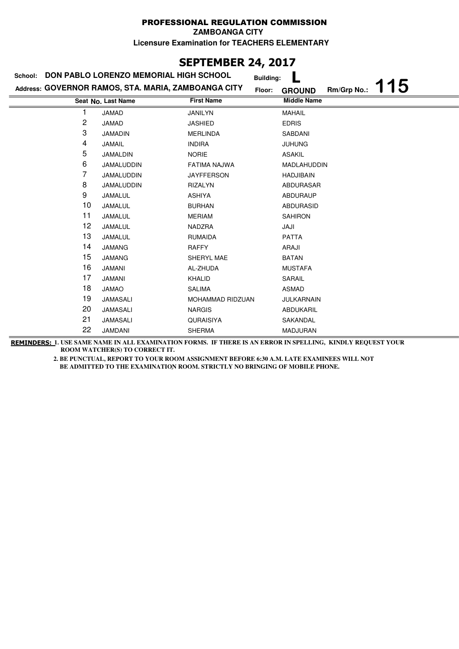**ZAMBOANGA CITY**

**Licensure Examination for TEACHERS ELEMENTARY**

# **SEPTEMBER 24, 2017**

| DON PABLO LORENZO MEMORIAL HIGH SCHOOL<br>School: |                                                     |                   | <b>Building:</b>                   |
|---------------------------------------------------|-----------------------------------------------------|-------------------|------------------------------------|
|                                                   | Address: GOVERNOR RAMOS, STA. MARIA, ZAMBOANGA CITY | Floor:            | 15<br>Rm/Grp No.:<br><b>GROUND</b> |
|                                                   | Seat No. Last Name                                  | <b>First Name</b> | <b>Middle Name</b>                 |
| 1                                                 | <b>JAMAD</b>                                        | <b>JANILYN</b>    | <b>MAHAIL</b>                      |
| 2                                                 | JAMAD                                               | <b>JASHIED</b>    | <b>EDRIS</b>                       |
| 3                                                 | <b>JAMADIN</b>                                      | <b>MERLINDA</b>   | SABDANI                            |
| 4                                                 | JAMAIL                                              | <b>INDIRA</b>     | <b>JUHUNG</b>                      |
| 5                                                 | JAMALDIN                                            | <b>NORIE</b>      | <b>ASAKIL</b>                      |
| 6                                                 | <b>JAMALUDDIN</b>                                   | FATIMA NAJWA      | MADLAHUDDIN                        |
| 7                                                 | JAMALUDDIN                                          | <b>JAYFFERSON</b> | <b>HADJIBAIN</b>                   |
| 8                                                 | <b>JAMALUDDIN</b>                                   | <b>RIZALYN</b>    | ABDURASAR                          |
| 9                                                 | JAMALUL                                             | <b>ASHIYA</b>     | <b>ABDURAUP</b>                    |
| 10                                                | JAMALUL                                             | <b>BURHAN</b>     | <b>ABDURASID</b>                   |
| 11                                                | JAMALUL                                             | <b>MERIAM</b>     | <b>SAHIRON</b>                     |
| 12                                                | JAMALUL                                             | NADZRA            | JAJI                               |
| 13                                                | JAMALUL                                             | <b>RUMAIDA</b>    | <b>PATTA</b>                       |
| 14                                                | <b>JAMANG</b>                                       | <b>RAFFY</b>      | ARAJI                              |
| 15                                                | <b>JAMANG</b>                                       | SHERYL MAE        | <b>BATAN</b>                       |
| 16                                                | <b>JAMANI</b>                                       | AL-ZHUDA          | <b>MUSTAFA</b>                     |
| 17                                                | <b>JAMANI</b>                                       | KHALID            | SARAIL                             |
| 18                                                | <b>JAMAO</b>                                        | <b>SALIMA</b>     | <b>ASMAD</b>                       |
| 19                                                | <b>JAMASALI</b>                                     | MOHAMMAD RIDZUAN  | <b>JULKARNAIN</b>                  |
| 20                                                | JAMASALI                                            | <b>NARGIS</b>     | ABDUKARIL                          |
| 21                                                | <b>JAMASALI</b>                                     | QURAISIYA         | SAKANDAL                           |
| 22                                                | <b>JAMDANI</b>                                      | <b>SHERMA</b>     | <b>MADJURAN</b>                    |

**REMINDERS: 1. USE SAME NAME IN ALL EXAMINATION FORMS. IF THERE IS AN ERROR IN SPELLING, KINDLY REQUEST YOUR ROOM WATCHER(S) TO CORRECT IT.**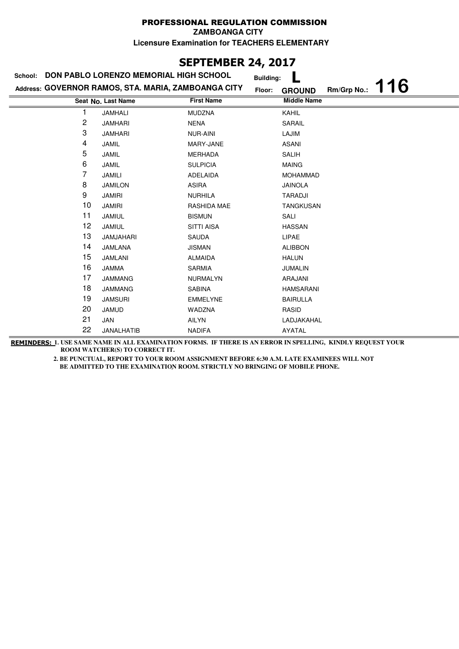**ZAMBOANGA CITY**

**Licensure Examination for TEACHERS ELEMENTARY**

# **SEPTEMBER 24, 2017**

| DON PABLO LORENZO MEMORIAL HIGH SCHOOL<br>School: |                                                     |                    | <b>Building:</b> |                    |             |    |
|---------------------------------------------------|-----------------------------------------------------|--------------------|------------------|--------------------|-------------|----|
|                                                   | Address: GOVERNOR RAMOS, STA. MARIA, ZAMBOANGA CITY |                    | Floor:           | <b>GROUND</b>      | Rm/Grp No.: | 16 |
|                                                   | Seat No. Last Name                                  | <b>First Name</b>  |                  | <b>Middle Name</b> |             |    |
|                                                   | <b>JAMHALI</b>                                      | <b>MUDZNA</b>      |                  | KAHIL              |             |    |
| 2                                                 | <b>JAMHARI</b>                                      | <b>NENA</b>        |                  | SARAIL             |             |    |
| 3                                                 | <b>JAMHARI</b>                                      | <b>NUR-AINI</b>    |                  | LAJIM              |             |    |
| 4                                                 | JAMIL                                               | MARY-JANE          |                  | <b>ASANI</b>       |             |    |
| 5                                                 | <b>JAMIL</b>                                        | <b>MERHADA</b>     |                  | <b>SALIH</b>       |             |    |
| 6                                                 | <b>JAMIL</b>                                        | <b>SULPICIA</b>    |                  | <b>MAING</b>       |             |    |
| 7                                                 | JAMILI                                              | <b>ADELAIDA</b>    |                  | MOHAMMAD           |             |    |
| 8                                                 | <b>JAMILON</b>                                      | <b>ASIRA</b>       |                  | <b>JAINOLA</b>     |             |    |
| 9                                                 | <b>JAMIRI</b>                                       | <b>NURHILA</b>     |                  | <b>TARADJI</b>     |             |    |
| 10                                                | <b>JAMIRI</b>                                       | <b>RASHIDA MAE</b> |                  | <b>TANGKUSAN</b>   |             |    |
| 11                                                | JAMIUL                                              | <b>BISMUN</b>      |                  | SALI               |             |    |
| 12                                                | <b>JAMIUL</b>                                       | <b>SITTI AISA</b>  |                  | <b>HASSAN</b>      |             |    |
| 13                                                | JAMJAHARI                                           | <b>SAUDA</b>       |                  | LIPAE              |             |    |
| 14                                                | JAMLANA                                             | <b>JISMAN</b>      |                  | <b>ALIBBON</b>     |             |    |
| 15                                                | <b>JAMLANI</b>                                      | <b>ALMAIDA</b>     |                  | <b>HALUN</b>       |             |    |
| 16                                                | <b>JAMMA</b>                                        | <b>SARMIA</b>      |                  | <b>JUMALIN</b>     |             |    |
| 17                                                | <b>JAMMANG</b>                                      | <b>NURMALYN</b>    |                  | ARAJANI            |             |    |
| 18                                                | <b>JAMMANG</b>                                      | <b>SABINA</b>      |                  | <b>HAMSARANI</b>   |             |    |
| 19                                                | <b>JAMSURI</b>                                      | <b>EMMELYNE</b>    |                  | <b>BAIRULLA</b>    |             |    |
| 20                                                | <b>JAMUD</b>                                        | <b>WADZNA</b>      |                  | RASID              |             |    |
| 21                                                | JAN                                                 | AILYN              |                  | LADJAKAHAL         |             |    |
| 22                                                | JANALHATIB                                          | <b>NADIFA</b>      |                  | AYATAL             |             |    |

**REMINDERS: 1. USE SAME NAME IN ALL EXAMINATION FORMS. IF THERE IS AN ERROR IN SPELLING, KINDLY REQUEST YOUR ROOM WATCHER(S) TO CORRECT IT.**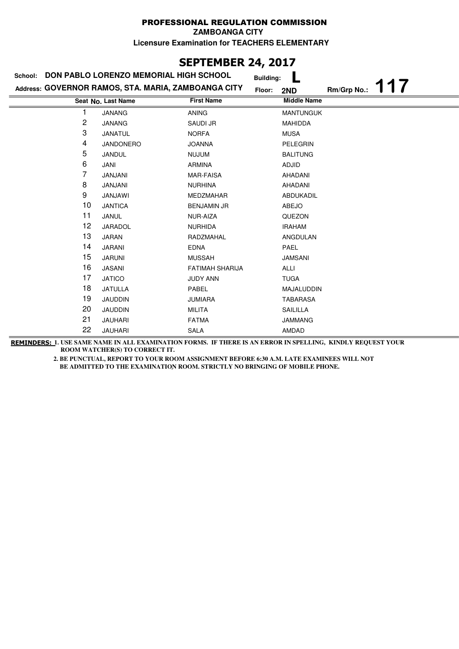# **SEPTEMBER 24, 2017**

|    | School: DON PABLO LORENZO MEMORIAL HIGH SCHOOL      |                        |                                   |             |    |
|----|-----------------------------------------------------|------------------------|-----------------------------------|-------------|----|
|    | Address: GOVERNOR RAMOS, STA. MARIA, ZAMBOANGA CITY |                        | <b>Building:</b><br>Floor:<br>2ND | Rm/Grp No.: | 17 |
|    | Seat No. Last Name                                  | <b>First Name</b>      | <b>Middle Name</b>                |             |    |
| 1  | <b>JANANG</b>                                       | <b>ANING</b>           | <b>MANTUNGUK</b>                  |             |    |
| 2  | <b>JANANG</b>                                       | <b>SAUDI JR</b>        | <b>MAHIDDA</b>                    |             |    |
| 3  | <b>JANATUL</b>                                      | <b>NORFA</b>           | <b>MUSA</b>                       |             |    |
| 4  | <b>JANDONERO</b>                                    | <b>JOANNA</b>          | PELEGRIN                          |             |    |
| 5  | JANDUL                                              | <b>NUJUM</b>           | <b>BALITUNG</b>                   |             |    |
| 6  | JANI                                                | <b>ARMINA</b>          | <b>ADJID</b>                      |             |    |
| 7  | JANJANI                                             | <b>MAR-FAISA</b>       | AHADANI                           |             |    |
| 8  | JANJANI                                             | <b>NURHINA</b>         | AHADANI                           |             |    |
| 9  | <b>JANJAWI</b>                                      | MEDZMAHAR              | ABDUKADIL                         |             |    |
| 10 | <b>JANTICA</b>                                      | <b>BENJAMIN JR</b>     | ABEJO                             |             |    |
| 11 | JANUL                                               | NUR-AIZA               | QUEZON                            |             |    |
| 12 | JARADOL                                             | <b>NURHIDA</b>         | <b>IRAHAM</b>                     |             |    |
| 13 | JARAN                                               | RADZMAHAL              | ANGDULAN                          |             |    |
| 14 | <b>JARANI</b>                                       | <b>EDNA</b>            | PAEL                              |             |    |
| 15 | <b>JARUNI</b>                                       | <b>MUSSAH</b>          | <b>JAMSANI</b>                    |             |    |
| 16 | <b>JASANI</b>                                       | <b>FATIMAH SHARIJA</b> | ALLI                              |             |    |
| 17 | <b>JATICO</b>                                       | <b>JUDY ANN</b>        | <b>TUGA</b>                       |             |    |
| 18 | <b>JATULLA</b>                                      | PABEL                  | MAJALUDDIN                        |             |    |
| 19 | JAUDDIN                                             | <b>JUMIARA</b>         | <b>TABARASA</b>                   |             |    |
| 20 | <b>JAUDDIN</b>                                      | <b>MILITA</b>          | SAILILLA                          |             |    |
| 21 | <b>JAUHARI</b>                                      | <b>FATMA</b>           | <b>JAMMANG</b>                    |             |    |
| 22 | <b>JAUHARI</b>                                      | <b>SALA</b>            | AMDAD                             |             |    |

**REMINDERS: 1. USE SAME NAME IN ALL EXAMINATION FORMS. IF THERE IS AN ERROR IN SPELLING, KINDLY REQUEST YOUR ROOM WATCHER(S) TO CORRECT IT.**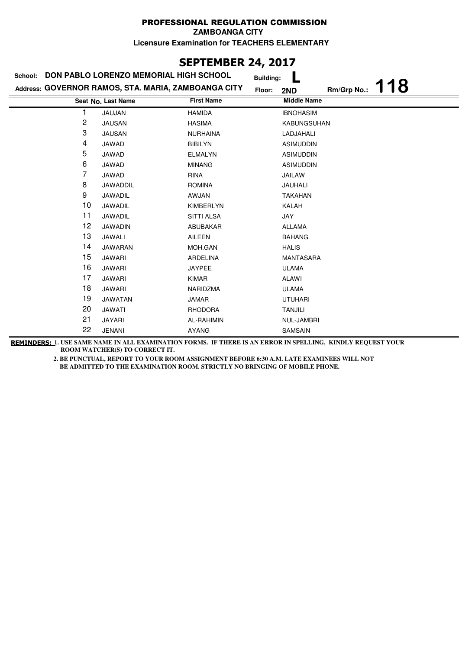# **SEPTEMBER 24, 2017**

| DON PABLO LORENZO MEMORIAL HIGH SCHOOL<br>School: |                                                     |                   | <b>Building:</b>   |                   |
|---------------------------------------------------|-----------------------------------------------------|-------------------|--------------------|-------------------|
|                                                   | Address: GOVERNOR RAMOS, STA. MARIA, ZAMBOANGA CITY |                   | Floor:<br>2ND      | 18<br>Rm/Grp No.: |
|                                                   | Seat No. Last Name                                  | <b>First Name</b> | <b>Middle Name</b> |                   |
|                                                   | JAUJAN                                              | <b>HAMIDA</b>     | <b>IBNOHASIM</b>   |                   |
| 2                                                 | <b>JAUSAN</b>                                       | <b>HASIMA</b>     | KABUNGSUHAN        |                   |
| 3                                                 | <b>JAUSAN</b>                                       | <b>NURHAINA</b>   | LADJAHALI          |                   |
| 4                                                 | JAWAD                                               | <b>BIBILYN</b>    | <b>ASIMUDDIN</b>   |                   |
| 5                                                 | JAWAD                                               | <b>ELMALYN</b>    | <b>ASIMUDDIN</b>   |                   |
| 6                                                 | JAWAD                                               | <b>MINANG</b>     | <b>ASIMUDDIN</b>   |                   |
| 7                                                 | JAWAD                                               | <b>RINA</b>       | JAILAW             |                   |
| 8                                                 | JAWADDIL                                            | <b>ROMINA</b>     | <b>JAUHALI</b>     |                   |
| 9                                                 | JAWADIL                                             | AWJAN             | <b>TAKAHAN</b>     |                   |
| 10                                                | JAWADIL                                             | <b>KIMBERLYN</b>  | KALAH              |                   |
| 11                                                | JAWADIL                                             | <b>SITTI ALSA</b> | JAY                |                   |
| 12                                                | <b>JAWADIN</b>                                      | ABUBAKAR          | <b>ALLAMA</b>      |                   |
| 13                                                | JAWALI                                              | AILEEN            | <b>BAHANG</b>      |                   |
| 14                                                | JAWARAN                                             | MOH.GAN           | <b>HALIS</b>       |                   |
| 15                                                | <b>JAWARI</b>                                       | <b>ARDELINA</b>   | <b>MANTASARA</b>   |                   |
| 16                                                | <b>JAWARI</b>                                       | <b>JAYPEE</b>     | <b>ULAMA</b>       |                   |
| 17                                                | <b>JAWARI</b>                                       | <b>KIMAR</b>      | ALAWI              |                   |
| 18                                                | <b>JAWARI</b>                                       | NARIDZMA          | <b>ULAMA</b>       |                   |
| 19                                                | <b>JAWATAN</b>                                      | JAMAR             | <b>UTUHARI</b>     |                   |
| 20                                                | JAWATI                                              | <b>RHODORA</b>    | <b>TANJILI</b>     |                   |
| 21                                                | JAYARI                                              | AL-RAHIMIN        | NUL-JAMBRI         |                   |
| 22                                                | <b>JENANI</b>                                       | <b>AYANG</b>      | SAMSAIN            |                   |

**REMINDERS: 1. USE SAME NAME IN ALL EXAMINATION FORMS. IF THERE IS AN ERROR IN SPELLING, KINDLY REQUEST YOUR ROOM WATCHER(S) TO CORRECT IT.**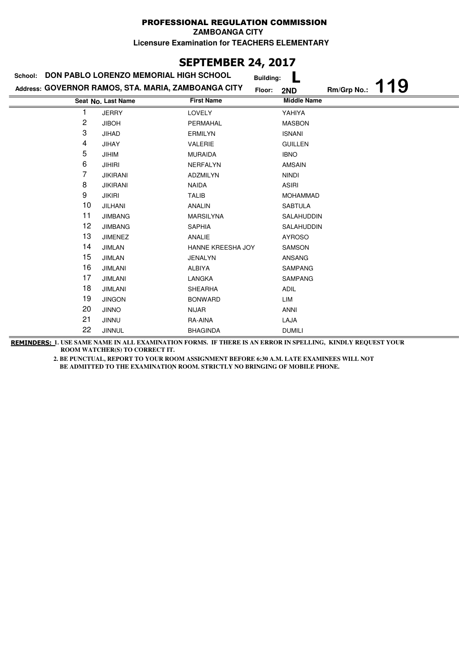# **SEPTEMBER 24, 2017**

| School:        | DON PABLO LORENZO MEMORIAL HIGH SCHOOL              | <b>Building:</b>  |                    |             |    |
|----------------|-----------------------------------------------------|-------------------|--------------------|-------------|----|
|                | Address: GOVERNOR RAMOS, STA. MARIA, ZAMBOANGA CITY | Floor:            | 2ND                | Rm/Grp No.: | 19 |
|                | Seat No. Last Name                                  | <b>First Name</b> | <b>Middle Name</b> |             |    |
|                | <b>JERRY</b>                                        | <b>LOVELY</b>     | YAHIYA             |             |    |
| $\overline{c}$ | <b>JIBOH</b>                                        | PERMAHAL          | <b>MASBON</b>      |             |    |
| 3              | <b>JIHAD</b>                                        | <b>ERMILYN</b>    | <b>ISNANI</b>      |             |    |
| 4              | <b>JIHAY</b>                                        | <b>VALERIE</b>    | <b>GUILLEN</b>     |             |    |
| 5              | <b>JIHIM</b>                                        | <b>MURAIDA</b>    | <b>IBNO</b>        |             |    |
| 6              | <b>JIHIRI</b>                                       | <b>NERFALYN</b>   | <b>AMSAIN</b>      |             |    |
| 7              | <b>JIKIRANI</b>                                     | ADZMILYN          | <b>NINDI</b>       |             |    |
| 8              | <b>JIKIRANI</b>                                     | <b>NAIDA</b>      | <b>ASIRI</b>       |             |    |
| 9              | <b>JIKIRI</b>                                       | <b>TALIB</b>      | <b>MOHAMMAD</b>    |             |    |
| 10             | <b>JILHANI</b>                                      | <b>ANALIN</b>     | <b>SABTULA</b>     |             |    |
| 11             | <b>JIMBANG</b>                                      | <b>MARSILYNA</b>  | SALAHUDDIN         |             |    |
| 12             | <b>JIMBANG</b>                                      | <b>SAPHIA</b>     | SALAHUDDIN         |             |    |
| 13             | <b>JIMENEZ</b>                                      | ANALIE            | <b>AYROSO</b>      |             |    |
| 14             | <b>JIMLAN</b>                                       | HANNE KREESHA JOY | <b>SAMSON</b>      |             |    |
| 15             | <b>JIMLAN</b>                                       | <b>JENALYN</b>    | ANSANG             |             |    |
| 16             | <b>JIMLANI</b>                                      | ALBIYA            | <b>SAMPANG</b>     |             |    |
| 17             | <b>JIMLANI</b>                                      | LANGKA            | <b>SAMPANG</b>     |             |    |
| 18             | <b>JIMLANI</b>                                      | <b>SHEARHA</b>    | <b>ADIL</b>        |             |    |
| 19             | <b>JINGON</b>                                       | <b>BONWARD</b>    | LIM                |             |    |
| 20             | <b>JINNO</b>                                        | <b>NIJAR</b>      | <b>ANNI</b>        |             |    |
| 21             | <b>JINNU</b>                                        | RA-AINA           | LAJA               |             |    |
| 22             | <b>JINNUL</b>                                       | <b>BHAGINDA</b>   | <b>DUMILI</b>      |             |    |

**REMINDERS: 1. USE SAME NAME IN ALL EXAMINATION FORMS. IF THERE IS AN ERROR IN SPELLING, KINDLY REQUEST YOUR ROOM WATCHER(S) TO CORRECT IT.**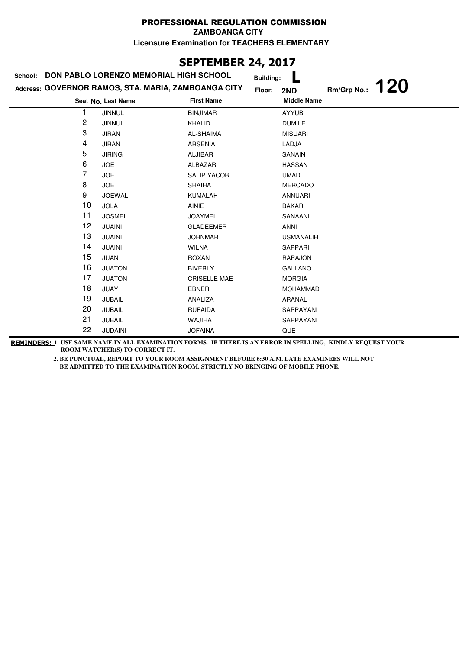# **SEPTEMBER 24, 2017**

| School: | DON PABLO LORENZO MEMORIAL HIGH SCHOOL              |                     | <b>Building:</b>   |             |            |
|---------|-----------------------------------------------------|---------------------|--------------------|-------------|------------|
|         | Address: GOVERNOR RAMOS, STA. MARIA, ZAMBOANGA CITY |                     | Floor:<br>2ND      | Rm/Grp No.: | <b>120</b> |
|         | Seat No. Last Name                                  | <b>First Name</b>   | <b>Middle Name</b> |             |            |
|         | <b>JINNUL</b>                                       | <b>BINJIMAR</b>     | <b>AYYUB</b>       |             |            |
| 2       | <b>JINNUL</b>                                       | <b>KHALID</b>       | <b>DUMILE</b>      |             |            |
| 3       | <b>JIRAN</b>                                        | AL-SHAIMA           | <b>MISUARI</b>     |             |            |
| 4       | <b>JIRAN</b>                                        | <b>ARSENIA</b>      | LADJA              |             |            |
| 5       | <b>JIRING</b>                                       | ALJIBAR             | SANAIN             |             |            |
| 6       | <b>JOE</b>                                          | ALBAZAR             | <b>HASSAN</b>      |             |            |
| 7       | <b>JOE</b>                                          | <b>SALIP YACOB</b>  | <b>UMAD</b>        |             |            |
| 8       | <b>JOE</b>                                          | <b>SHAIHA</b>       | <b>MERCADO</b>     |             |            |
| 9       | <b>JOEWALI</b>                                      | <b>KUMALAH</b>      | ANNUARI            |             |            |
| 10      | <b>JOLA</b>                                         | <b>AINIE</b>        | <b>BAKAR</b>       |             |            |
| 11      | <b>JOSMEL</b>                                       | <b>JOAYMEL</b>      | SANAANI            |             |            |
| 12      | <b>JUAINI</b>                                       | <b>GLADEEMER</b>    | ANNI               |             |            |
| 13      | <b>JUAINI</b>                                       | <b>JOHNMAR</b>      | <b>USMANALIH</b>   |             |            |
| 14      | <b>JUAINI</b>                                       | <b>WILNA</b>        | SAPPARI            |             |            |
| 15      | JUAN                                                | <b>ROXAN</b>        | <b>RAPAJON</b>     |             |            |
| 16      | <b>JUATON</b>                                       | <b>BIVERLY</b>      | <b>GALLANO</b>     |             |            |
| 17      | <b>JUATON</b>                                       | <b>CRISELLE MAE</b> | <b>MORGIA</b>      |             |            |
| 18      | JUAY                                                | <b>EBNER</b>        | <b>MOHAMMAD</b>    |             |            |
| 19      | <b>JUBAIL</b>                                       | ANALIZA             | ARANAL             |             |            |
| 20      | <b>JUBAIL</b>                                       | <b>RUFAIDA</b>      | SAPPAYANI          |             |            |
| 21      | <b>JUBAIL</b>                                       | <b>WAJIHA</b>       | SAPPAYANI          |             |            |
| 22      | <b>JUDAINI</b>                                      | <b>JOFAINA</b>      | QUE                |             |            |

**REMINDERS: 1. USE SAME NAME IN ALL EXAMINATION FORMS. IF THERE IS AN ERROR IN SPELLING, KINDLY REQUEST YOUR ROOM WATCHER(S) TO CORRECT IT.**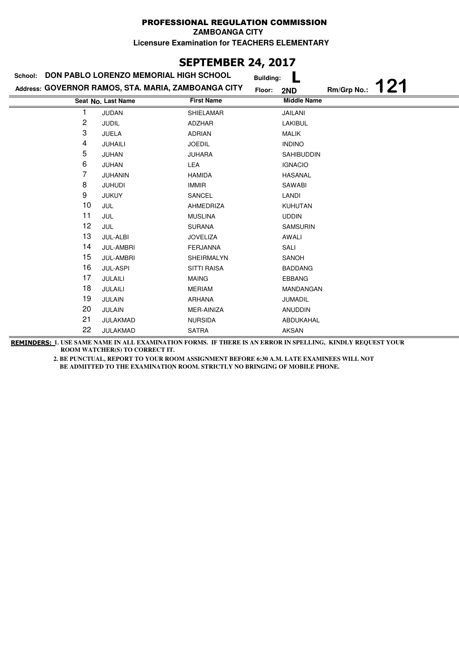# **SEPTEMBER 24, 2017**

| School: | DON PABLO LORENZO MEMORIAL HIGH SCHOOL              |                    |                                   |             |     |
|---------|-----------------------------------------------------|--------------------|-----------------------------------|-------------|-----|
|         | Address: GOVERNOR RAMOS, STA. MARIA, ZAMBOANGA CITY |                    | <b>Building:</b><br>Floor:<br>2ND | Rm/Grp No.: | 121 |
|         | Seat No. Last Name                                  | <b>First Name</b>  | <b>Middle Name</b>                |             |     |
| 1       | <b>JUDAN</b>                                        | <b>SHIELAMAR</b>   | JAILANI                           |             |     |
| 2       | <b>JUDIL</b>                                        | ADZHAR             | <b>LAKIBUL</b>                    |             |     |
| 3       | <b>JUELA</b>                                        | <b>ADRIAN</b>      | <b>MALIK</b>                      |             |     |
| 4       | JUHAILI                                             | <b>JOEDIL</b>      | <b>INDINO</b>                     |             |     |
| 5       | JUHAN                                               | <b>JUHARA</b>      | <b>SAHIBUDDIN</b>                 |             |     |
| 6       | JUHAN                                               | LEA                | <b>IGNACIO</b>                    |             |     |
| 7       | JUHANIN                                             | <b>HAMIDA</b>      | <b>HASANAL</b>                    |             |     |
| 8       | <b>JUHUDI</b>                                       | <b>IMMIR</b>       | SAWABI                            |             |     |
| 9       | <b>JUKUY</b>                                        | SANCEL             | LANDI                             |             |     |
| 10      | JUL                                                 | AHMEDRIZA          | <b>KUHUTAN</b>                    |             |     |
| 11      | JUL                                                 | <b>MUSLINA</b>     | <b>UDDIN</b>                      |             |     |
| 12      | JUL                                                 | <b>SURANA</b>      | <b>SAMSURIN</b>                   |             |     |
| 13      | JUL-ALBI                                            | <b>JOVELIZA</b>    | AWALI                             |             |     |
| 14      | <b>JUL-AMBRI</b>                                    | <b>FERJANNA</b>    | SALI                              |             |     |
| 15      | <b>JUL-AMBRI</b>                                    | SHEIRMALYN         | SANOH                             |             |     |
| 16      | <b>JUL-ASPI</b>                                     | <b>SITTI RAISA</b> | <b>BADDANG</b>                    |             |     |
| 17      | JULAILI                                             | <b>MAING</b>       | EBBANG                            |             |     |
| 18      | JULAILI                                             | <b>MERIAM</b>      | MANDANGAN                         |             |     |
| 19      | <b>JULAIN</b>                                       | <b>ARHANA</b>      | JUMADIL                           |             |     |
| 20      | <b>JULAIN</b>                                       | MER-AINIZA         | <b>ANUDDIN</b>                    |             |     |
| 21      | JULAKMAD                                            | <b>NURSIDA</b>     | ABDUKAHAL                         |             |     |
| 22      | JULAKMAD                                            | <b>SATRA</b>       | <b>AKSAN</b>                      |             |     |

**REMINDERS: 1. USE SAME NAME IN ALL EXAMINATION FORMS. IF THERE IS AN ERROR IN SPELLING, KINDLY REQUEST YOUR ROOM WATCHER(S) TO CORRECT IT.**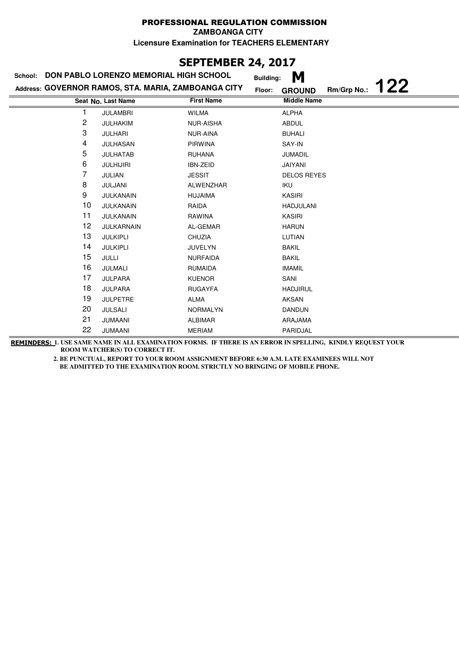**ZAMBOANGA CITY**

**Licensure Examination for TEACHERS ELEMENTARY**

## **SEPTEMBER 24, 2017**

| <b>DON PABLO LORENZO MEMORIAL HIGH SCHOOL</b><br>School: |                                                     |                   | M<br><b>Building:</b>               |
|----------------------------------------------------------|-----------------------------------------------------|-------------------|-------------------------------------|
|                                                          | Address: GOVERNOR RAMOS, STA. MARIA, ZAMBOANGA CITY | Floor:            | 122<br>Rm/Grp No.:<br><b>GROUND</b> |
|                                                          | Seat No. Last Name                                  | <b>First Name</b> | <b>Middle Name</b>                  |
|                                                          | <b>JULAMBRI</b>                                     | <b>WILMA</b>      | <b>ALPHA</b>                        |
| 2                                                        | <b>JULHAKIM</b>                                     | <b>NUR-AISHA</b>  | <b>ABDUL</b>                        |
| 3                                                        | <b>JULHARI</b>                                      | <b>NUR-AINA</b>   | <b>BUHALI</b>                       |
| 4                                                        | JULHASAN                                            | <b>PIRWINA</b>    | SAY-IN                              |
| 5                                                        | <b>JULHATAB</b>                                     | <b>RUHANA</b>     | <b>JUMADIL</b>                      |
| 6                                                        | <b>JULHIJIRI</b>                                    | IBN-ZEID          | JAIYANI                             |
| 7                                                        | JULIAN                                              | <b>JESSIT</b>     | <b>DELOS REYES</b>                  |
| 8                                                        | JULJANI                                             | <b>ALWENZHAR</b>  | IKU                                 |
| 9                                                        | JULKANAIN                                           | <b>HUJAIMA</b>    | <b>KASIRI</b>                       |
| 10                                                       | JULKANAIN                                           | RAIDA             | <b>HADJULANI</b>                    |
| 11                                                       | JULKANAIN                                           | RAWINA            | <b>KASIRI</b>                       |
| 12                                                       | <b>JULKARNAIN</b>                                   | AL-GEMAR          | <b>HARUN</b>                        |
| 13                                                       | <b>JULKIPLI</b>                                     | CHUZIA            | LUTIAN                              |
| 14                                                       | <b>JULKIPLI</b>                                     | <b>JUVELYN</b>    | <b>BAKIL</b>                        |
| 15                                                       | JULLI                                               | <b>NURFAIDA</b>   | <b>BAKIL</b>                        |
| 16                                                       | JULMALI                                             | <b>RUMAIDA</b>    | <b>IMAMIL</b>                       |
| 17                                                       | <b>JULPARA</b>                                      | <b>KUENOR</b>     | SANI                                |
| 18                                                       | <b>JULPARA</b>                                      | <b>RUGAYFA</b>    | <b>HADJIRUL</b>                     |
| 19                                                       | <b>JULPETRE</b>                                     | <b>ALMA</b>       | AKSAN                               |
| 20                                                       | <b>JULSALI</b>                                      | <b>NORMALYN</b>   | <b>DANDUN</b>                       |
| 21                                                       | <b>JUMAANI</b>                                      | <b>ALBIMAR</b>    | ARAJAMA                             |
| 22                                                       | <b>JUMAANI</b>                                      | <b>MERIAM</b>     | PARIDJAL                            |

**REMINDERS: 1. USE SAME NAME IN ALL EXAMINATION FORMS. IF THERE IS AN ERROR IN SPELLING, KINDLY REQUEST YOUR ROOM WATCHER(S) TO CORRECT IT.**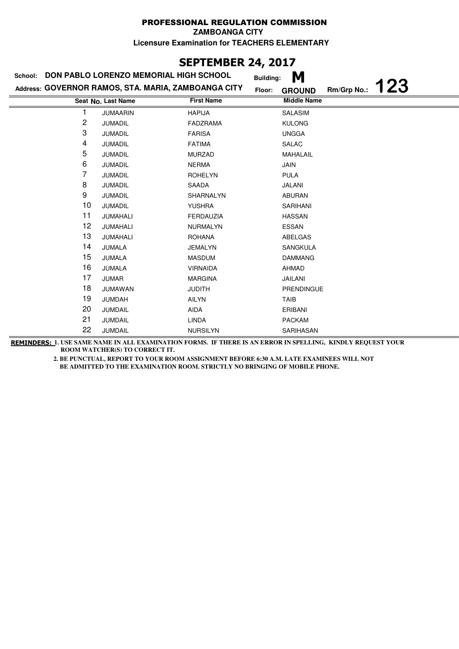#### PROFESSIONAL REGULATION COMMISSION **ZAMBOANGA CITY**

**Licensure Examination for TEACHERS ELEMENTARY**

# **SEPTEMBER 24, 2017**

| School: | DON PABLO LORENZO MEMORIAL HIGH SCHOOL              |                   | M<br><b>Building:</b>   |             |            |
|---------|-----------------------------------------------------|-------------------|-------------------------|-------------|------------|
|         | Address: GOVERNOR RAMOS, STA. MARIA, ZAMBOANGA CITY |                   | Floor:<br><b>GROUND</b> | Rm/Grp No.: | <b>123</b> |
|         | Seat No. Last Name                                  | <b>First Name</b> | <b>Middle Name</b>      |             |            |
|         | <b>JUMAARIN</b>                                     | <b>HAPIJA</b>     | <b>SALASIM</b>          |             |            |
| 2       | <b>JUMADIL</b>                                      | <b>FADZRAMA</b>   | <b>KULONG</b>           |             |            |
| 3       | <b>JUMADIL</b>                                      | <b>FARISA</b>     | <b>UNGGA</b>            |             |            |
| 4       | <b>JUMADIL</b>                                      | <b>FATIMA</b>     | <b>SALAC</b>            |             |            |
| 5       | <b>JUMADIL</b>                                      | <b>MURZAD</b>     | MAHALAIL                |             |            |
| 6       | <b>JUMADIL</b>                                      | <b>NERMA</b>      | JAIN                    |             |            |
| 7       | <b>JUMADIL</b>                                      | <b>ROHELYN</b>    | <b>PULA</b>             |             |            |
| 8       | JUMADIL                                             | SAADA             | JALANI                  |             |            |
| 9       | <b>JUMADIL</b>                                      | SHARNALYN         | <b>ABURAN</b>           |             |            |
| 10      | JUMADIL                                             | <b>YUSHRA</b>     | SARIHANI                |             |            |
| 11      | JUMAHALI                                            | <b>FERDAUZIA</b>  | <b>HASSAN</b>           |             |            |
| 12      | JUMAHALI                                            | <b>NURMALYN</b>   | ESSAN                   |             |            |
| 13      | JUMAHALI                                            | <b>ROHANA</b>     | ABELGAS                 |             |            |
| 14      | JUMALA                                              | <b>JEMALYN</b>    | <b>SANGKULA</b>         |             |            |
| 15      | JUMALA                                              | <b>MASDUM</b>     | <b>DAMMANG</b>          |             |            |
| 16      | JUMALA                                              | <b>VIRNAIDA</b>   | AHMAD                   |             |            |
| 17      | <b>JUMAR</b>                                        | <b>MARGINA</b>    | JAILANI                 |             |            |
| 18      | JUMAWAN                                             | <b>JUDITH</b>     | PRENDINGUE              |             |            |
| 19      | <b>JUMDAH</b>                                       | <b>AILYN</b>      | <b>TAIB</b>             |             |            |
| 20      | JUMDAIL                                             | AIDA              | ERIBANI                 |             |            |
| 21      | JUMDAIL                                             | LINDA             | <b>PACKAM</b>           |             |            |
| 22      | <b>JUMDAIL</b>                                      | <b>NURSILYN</b>   | SARIHASAN               |             |            |

**REMINDERS: 1. USE SAME NAME IN ALL EXAMINATION FORMS. IF THERE IS AN ERROR IN SPELLING, KINDLY REQUEST YOUR ROOM WATCHER(S) TO CORRECT IT.**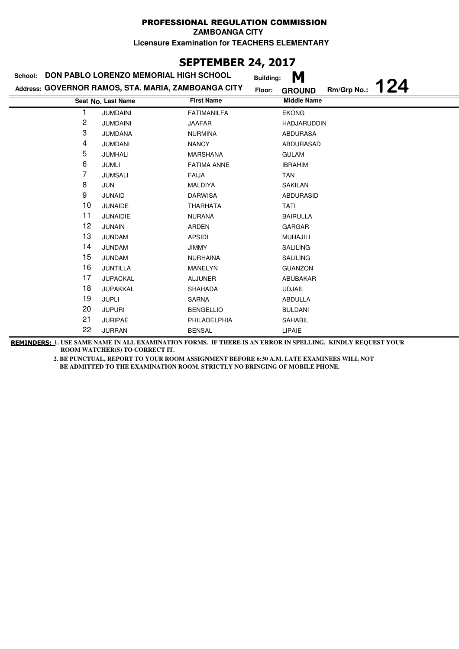**ZAMBOANGA CITY**

**Licensure Examination for TEACHERS ELEMENTARY**

## **SEPTEMBER 24, 2017**

| School: | DON PABLO LORENZO MEMORIAL HIGH SCHOOL              | <b>Building:</b>   | M                                   |
|---------|-----------------------------------------------------|--------------------|-------------------------------------|
|         | Address: GOVERNOR RAMOS, STA. MARIA, ZAMBOANGA CITY | Floor:             | 124<br>Rm/Grp No.:<br><b>GROUND</b> |
|         | Seat No. Last Name                                  | <b>First Name</b>  | <b>Middle Name</b>                  |
|         | <b>JUMDAINI</b>                                     | <b>FATIMANILFA</b> | <b>EKONG</b>                        |
| 2       | <b>JUMDAINI</b>                                     | JAAFAR             | <b>HADJARUDDIN</b>                  |
| 3       | <b>JUMDANA</b>                                      | <b>NURMINA</b>     | <b>ABDURASA</b>                     |
| 4       | <b>JUMDANI</b>                                      | <b>NANCY</b>       | ABDURASAD                           |
| 5       | <b>JUMHALI</b>                                      | <b>MARSHANA</b>    | <b>GULAM</b>                        |
| 6       | JUMLI                                               | <b>FATIMA ANNE</b> | <b>IBRAHIM</b>                      |
| 7       | <b>JUMSALI</b>                                      | <b>FAIJA</b>       | TAN                                 |
| 8       | JUN                                                 | <b>MALDIYA</b>     | <b>SAKILAN</b>                      |
| 9       | <b>JUNAID</b>                                       | <b>DARWISA</b>     | <b>ABDURASID</b>                    |
| 10      | <b>JUNAIDE</b>                                      | <b>THARHATA</b>    | TATI                                |
| 11      | <b>JUNAIDIE</b>                                     | <b>NURANA</b>      | <b>BAIRULLA</b>                     |
| 12      | <b>JUNAIN</b>                                       | <b>ARDEN</b>       | GARGAR                              |
| 13      | <b>JUNDAM</b>                                       | <b>APSIDI</b>      | <b>MUHAJILI</b>                     |
| 14      | <b>JUNDAM</b>                                       | <b>JIMMY</b>       | <b>SALILING</b>                     |
| 15      | <b>JUNDAM</b>                                       | <b>NURHAINA</b>    | <b>SALILING</b>                     |
| 16      | <b>JUNTILLA</b>                                     | MANELYN            | <b>GUANZON</b>                      |
| 17      | <b>JUPACKAL</b>                                     | <b>ALJUNER</b>     | ABUBAKAR                            |
| 18      | JUPAKKAL                                            | <b>SHAHADA</b>     | <b>UDJAIL</b>                       |
| 19      | <b>JUPLI</b>                                        | <b>SARNA</b>       | ABDULLA                             |
| 20      | <b>JUPURI</b>                                       | <b>BENGELLIO</b>   | <b>BULDANI</b>                      |
| 21      | <b>JURIPAE</b>                                      | PHILADELPHIA       | SAHABIL                             |
| 22      | <b>JURRAN</b>                                       | <b>BENSAL</b>      | <b>LIPAIE</b>                       |

**REMINDERS: 1. USE SAME NAME IN ALL EXAMINATION FORMS. IF THERE IS AN ERROR IN SPELLING, KINDLY REQUEST YOUR ROOM WATCHER(S) TO CORRECT IT.**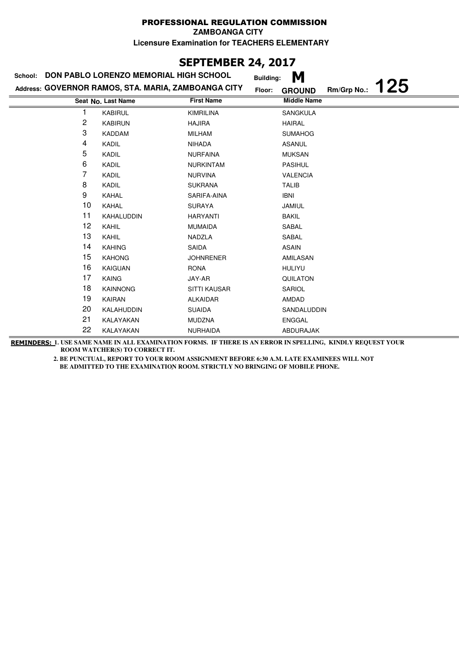**ZAMBOANGA CITY**

**Licensure Examination for TEACHERS ELEMENTARY**

# **SEPTEMBER 24, 2017**

| School: | DON PABLO LORENZO MEMORIAL HIGH SCHOOL              | <b>Building:</b>  | M                                   |
|---------|-----------------------------------------------------|-------------------|-------------------------------------|
|         | Address: GOVERNOR RAMOS, STA. MARIA, ZAMBOANGA CITY | Floor:            | 125<br>Rm/Grp No.:<br><b>GROUND</b> |
|         | Seat No. Last Name                                  | <b>First Name</b> | <b>Middle Name</b>                  |
| 1       | <b>KABIRUL</b>                                      | <b>KIMRILINA</b>  | <b>SANGKULA</b>                     |
| 2       | <b>KABIRUN</b>                                      | <b>HAJIRA</b>     | <b>HAIRAL</b>                       |
| 3       | <b>KADDAM</b>                                       | <b>MILHAM</b>     | <b>SUMAHOG</b>                      |
| 4       | KADIL                                               | <b>NIHADA</b>     | <b>ASANUL</b>                       |
| 5       | KADIL                                               | <b>NURFAINA</b>   | <b>MUKSAN</b>                       |
| 6       | KADIL                                               | <b>NURKINTAM</b>  | <b>PASIHUL</b>                      |
| 7       | KADIL                                               | <b>NURVINA</b>    | <b>VALENCIA</b>                     |
| 8       | KADIL                                               | <b>SUKRANA</b>    | <b>TALIB</b>                        |
| 9       | <b>KAHAL</b>                                        | SARIFA-AINA       | <b>IBNI</b>                         |
| 10      | KAHAL                                               | <b>SURAYA</b>     | <b>JAMIUL</b>                       |
| 11      | KAHALUDDIN                                          | <b>HARYANTI</b>   | <b>BAKIL</b>                        |
| 12      | KAHIL                                               | <b>MUMAIDA</b>    | SABAL                               |
| 13      | <b>KAHIL</b>                                        | NADZLA            | SABAL                               |
| 14      | <b>KAHING</b>                                       | <b>SAIDA</b>      | <b>ASAIN</b>                        |
| 15      | <b>KAHONG</b>                                       | <b>JOHNRENER</b>  | AMILASAN                            |
| 16      | <b>KAIGUAN</b>                                      | <b>RONA</b>       | <b>HULIYU</b>                       |
| 17      | <b>KAING</b>                                        | JAY-AR            | QUILATON                            |
| 18      | <b>KAINNONG</b>                                     | SITTI KAUSAR      | SARIOL                              |
| 19      | <b>KAIRAN</b>                                       | <b>ALKAIDAR</b>   | AMDAD                               |
| 20      | KALAHUDDIN                                          | <b>SUAIDA</b>     | SANDALUDDIN                         |
| 21      | KALAYAKAN                                           | <b>MUDZNA</b>     | <b>ENGGAL</b>                       |
| 22      | KALAYAKAN                                           | <b>NURHAIDA</b>   | ABDURAJAK                           |

**REMINDERS: 1. USE SAME NAME IN ALL EXAMINATION FORMS. IF THERE IS AN ERROR IN SPELLING, KINDLY REQUEST YOUR ROOM WATCHER(S) TO CORRECT IT.**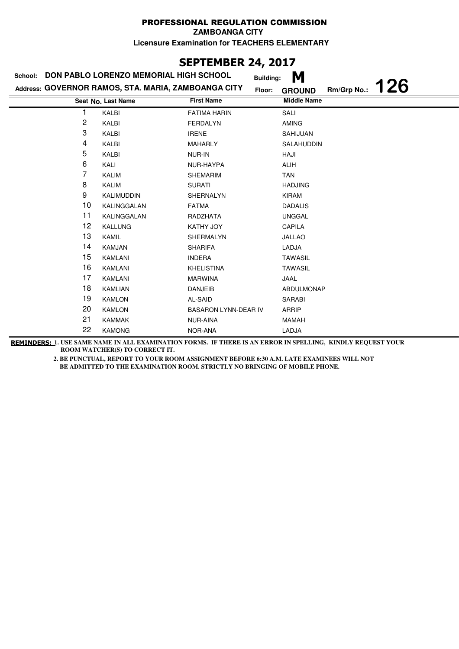**ZAMBOANGA CITY**

**Licensure Examination for TEACHERS ELEMENTARY**

# **SEPTEMBER 24, 2017**

| School:        | DON PABLO LORENZO MEMORIAL HIGH SCHOOL              |                      | M<br><b>Building:</b>                      |
|----------------|-----------------------------------------------------|----------------------|--------------------------------------------|
|                | Address: GOVERNOR RAMOS, STA. MARIA, ZAMBOANGA CITY | Floor:               | <b>126</b><br>Rm/Grp No.:<br><b>GROUND</b> |
|                | Seat No. Last Name                                  | <b>First Name</b>    | <b>Middle Name</b>                         |
|                | KALBI                                               | <b>FATIMA HARIN</b>  | SALI                                       |
| $\overline{c}$ | KALBI                                               | <b>FERDALYN</b>      | <b>AMING</b>                               |
| 3              | KALBI                                               | <b>IRENE</b>         | <b>SAHIJUAN</b>                            |
| 4              | KALBI                                               | <b>MAHARLY</b>       | SALAHUDDIN                                 |
| 5              | KALBI                                               | NUR-IN               | HAJI                                       |
| 6              | KALI                                                | NUR-HAYPA            | <b>ALIH</b>                                |
| 7              | <b>KALIM</b>                                        | <b>SHEMARIM</b>      | <b>TAN</b>                                 |
| 8              | <b>KALIM</b>                                        | <b>SURATI</b>        | <b>HADJING</b>                             |
| 9              | <b>KALIMUDDIN</b>                                   | <b>SHERNALYN</b>     | <b>KIRAM</b>                               |
| 10             | KALINGGALAN                                         | <b>FATMA</b>         | <b>DADALIS</b>                             |
| 11             | KALINGGALAN                                         | RADZHATA             | <b>UNGGAL</b>                              |
| 12             | <b>KALLUNG</b>                                      | <b>KATHY JOY</b>     | <b>CAPILA</b>                              |
| 13             | KAMIL                                               | SHERMALYN            | <b>JALLAO</b>                              |
| 14             | <b>KAMJAN</b>                                       | <b>SHARIFA</b>       | LADJA                                      |
| 15             | <b>KAMLANI</b>                                      | <b>INDERA</b>        | <b>TAWASIL</b>                             |
| 16             | <b>KAMLANI</b>                                      | <b>KHELISTINA</b>    | <b>TAWASIL</b>                             |
| 17             | <b>KAMLANI</b>                                      | <b>MARWINA</b>       | JAAL                                       |
| 18             | KAMLIAN                                             | <b>DANJEIB</b>       | ABDULMONAP                                 |
| 19             | <b>KAMLON</b>                                       | AL-SAID              | <b>SARABI</b>                              |
| 20             | <b>KAMLON</b>                                       | BASARON LYNN-DEAR IV | ARRIP                                      |
| 21             | <b>KAMMAK</b>                                       | NUR-AINA             | <b>MAMAH</b>                               |
| 22             | <b>KAMONG</b>                                       | NOR-ANA              | LADJA                                      |

**REMINDERS: 1. USE SAME NAME IN ALL EXAMINATION FORMS. IF THERE IS AN ERROR IN SPELLING, KINDLY REQUEST YOUR ROOM WATCHER(S) TO CORRECT IT.**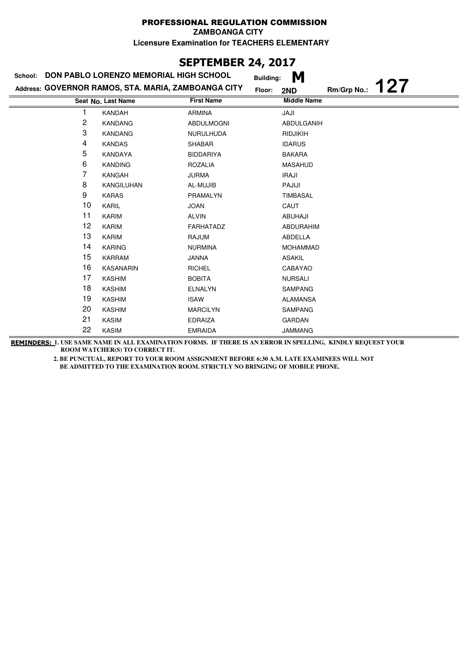# **SEPTEMBER 24, 2017**

| School: | DON PABLO LORENZO MEMORIAL HIGH SCHOOL              |                   | <b>Building:</b> | M                  |             |            |
|---------|-----------------------------------------------------|-------------------|------------------|--------------------|-------------|------------|
|         | Address: GOVERNOR RAMOS, STA. MARIA, ZAMBOANGA CITY |                   | Floor:           | 2ND                | Rm/Grp No.: | <b>127</b> |
|         | Seat No. Last Name                                  | <b>First Name</b> |                  | <b>Middle Name</b> |             |            |
| 1       | <b>KANDAH</b>                                       | <b>ARMINA</b>     |                  | JAJI               |             |            |
| 2       | <b>KANDANG</b>                                      | ABDULMOGNI        |                  | ABDULGANIH         |             |            |
| 3       | <b>KANDANG</b>                                      | <b>NURULHUDA</b>  |                  | <b>RIDJIKIH</b>    |             |            |
| 4       | <b>KANDAS</b>                                       | <b>SHABAR</b>     |                  | <b>IDARUS</b>      |             |            |
| 5       | KANDAYA                                             | <b>BIDDARIYA</b>  |                  | <b>BAKARA</b>      |             |            |
| 6       | <b>KANDING</b>                                      | <b>ROZALIA</b>    |                  | <b>MASAHUD</b>     |             |            |
| 7       | KANGAH                                              | <b>JURMA</b>      |                  | <b>IRAJI</b>       |             |            |
| 8       | <b>KANGILUHAN</b>                                   | AL-MUJIB          |                  | PAJIJI             |             |            |
| 9       | <b>KARAS</b>                                        | PRAMALYN          |                  | <b>TIMBASAL</b>    |             |            |
| 10      | KARIL                                               | <b>JOAN</b>       |                  | CAUT               |             |            |
| 11      | <b>KARIM</b>                                        | <b>ALVIN</b>      |                  | <b>ABUHAJI</b>     |             |            |
| 12      | <b>KARIM</b>                                        | FARHATADZ         |                  | <b>ABDURAHIM</b>   |             |            |
| 13      | <b>KARIM</b>                                        | <b>RAJUM</b>      |                  | ABDELLA            |             |            |
| 14      | <b>KARING</b>                                       | <b>NURMINA</b>    |                  | <b>MOHAMMAD</b>    |             |            |
| 15      | <b>KARRAM</b>                                       | <b>JANNA</b>      |                  | <b>ASAKIL</b>      |             |            |
| 16      | <b>KASANARIN</b>                                    | <b>RICHEL</b>     |                  | CABAYAO            |             |            |
| 17      | <b>KASHIM</b>                                       | <b>BOBITA</b>     |                  | <b>NURSALI</b>     |             |            |
| 18      | <b>KASHIM</b>                                       | <b>ELNALYN</b>    |                  | <b>SAMPANG</b>     |             |            |
| 19      | <b>KASHIM</b>                                       | <b>ISAW</b>       |                  | <b>ALAMANSA</b>    |             |            |
| 20      | <b>KASHIM</b>                                       | <b>MARCILYN</b>   |                  | SAMPANG            |             |            |
| 21      | <b>KASIM</b>                                        | <b>EDRAIZA</b>    |                  | <b>GARDAN</b>      |             |            |
| 22      | <b>KASIM</b>                                        | <b>EMRAIDA</b>    |                  | <b>JAMMANG</b>     |             |            |

**REMINDERS: 1. USE SAME NAME IN ALL EXAMINATION FORMS. IF THERE IS AN ERROR IN SPELLING, KINDLY REQUEST YOUR ROOM WATCHER(S) TO CORRECT IT.**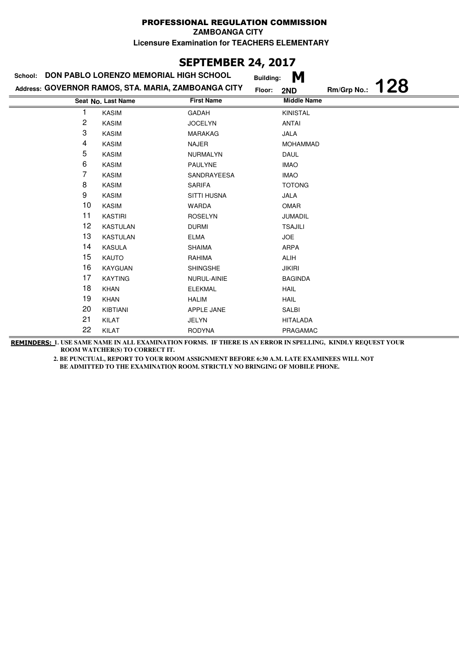#### PROFESSIONAL REGULATION COMMISSION **ZAMBOANGA CITY**

**Licensure Examination for TEACHERS ELEMENTARY**

# **SEPTEMBER 24, 2017**

| School: | DON PABLO LORENZO MEMORIAL HIGH SCHOOL              |                    | M<br><b>Building:</b> |             |     |
|---------|-----------------------------------------------------|--------------------|-----------------------|-------------|-----|
|         | Address: GOVERNOR RAMOS, STA. MARIA, ZAMBOANGA CITY |                    | Floor:<br>2ND         | Rm/Grp No.: | 128 |
|         | Seat No. Last Name                                  | <b>First Name</b>  | <b>Middle Name</b>    |             |     |
|         | <b>KASIM</b>                                        | <b>GADAH</b>       | <b>KINISTAL</b>       |             |     |
| 2       | <b>KASIM</b>                                        | <b>JOCELYN</b>     | <b>ANTAI</b>          |             |     |
| 3       | <b>KASIM</b>                                        | <b>MARAKAG</b>     | <b>JALA</b>           |             |     |
| 4       | <b>KASIM</b>                                        | <b>NAJER</b>       | <b>MOHAMMAD</b>       |             |     |
| 5       | <b>KASIM</b>                                        | <b>NURMALYN</b>    | <b>DAUL</b>           |             |     |
| 6       | <b>KASIM</b>                                        | <b>PAULYNE</b>     | <b>IMAO</b>           |             |     |
| 7       | <b>KASIM</b>                                        | SANDRAYEESA        | <b>IMAO</b>           |             |     |
| 8       | <b>KASIM</b>                                        | <b>SARIFA</b>      | <b>TOTONG</b>         |             |     |
| 9       | <b>KASIM</b>                                        | <b>SITTI HUSNA</b> | <b>JALA</b>           |             |     |
| 10      | <b>KASIM</b>                                        | <b>WARDA</b>       | <b>OMAR</b>           |             |     |
| 11      | <b>KASTIRI</b>                                      | <b>ROSELYN</b>     | JUMADIL               |             |     |
| 12      | <b>KASTULAN</b>                                     | <b>DURMI</b>       | <b>TSAJILI</b>        |             |     |
| 13      | <b>KASTULAN</b>                                     | <b>ELMA</b>        | <b>JOE</b>            |             |     |
| 14      | KASULA                                              | <b>SHAIMA</b>      | ARPA                  |             |     |
| 15      | KAUTO                                               | RAHIMA             | ALIH                  |             |     |
| 16      | <b>KAYGUAN</b>                                      | <b>SHINGSHE</b>    | <b>JIKIRI</b>         |             |     |
| 17      | <b>KAYTING</b>                                      | NURUL-AINIE        | <b>BAGINDA</b>        |             |     |
| 18      | <b>KHAN</b>                                         | <b>ELEKMAL</b>     | <b>HAIL</b>           |             |     |
| 19      | <b>KHAN</b>                                         | <b>HALIM</b>       | <b>HAIL</b>           |             |     |
| 20      | KIBTIANI                                            | APPLE JANE         | SALBI                 |             |     |
| 21      | KILAT                                               | JELYN              | <b>HITALADA</b>       |             |     |
| 22      | KILAT                                               | <b>RODYNA</b>      | PRAGAMAC              |             |     |

**REMINDERS: 1. USE SAME NAME IN ALL EXAMINATION FORMS. IF THERE IS AN ERROR IN SPELLING, KINDLY REQUEST YOUR ROOM WATCHER(S) TO CORRECT IT.**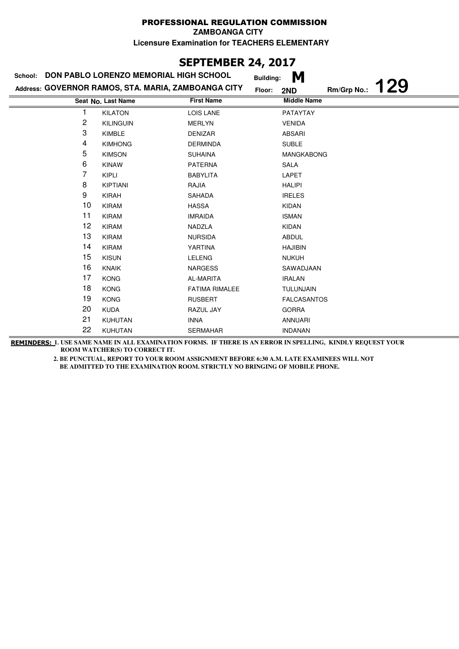# **SEPTEMBER 24, 2017**

| School: | DON PABLO LORENZO MEMORIAL HIGH SCHOOL              | <b>Building:</b>      | M                                |
|---------|-----------------------------------------------------|-----------------------|----------------------------------|
|         | Address: GOVERNOR RAMOS, STA. MARIA, ZAMBOANGA CITY | Floor:                | <b>129</b><br>Rm/Grp No.:<br>2ND |
|         | Seat No. Last Name                                  | <b>First Name</b>     | <b>Middle Name</b>               |
|         | <b>KILATON</b>                                      | <b>LOIS LANE</b>      | PATAYTAY                         |
| 2       | <b>KILINGUIN</b>                                    | <b>MERLYN</b>         | <b>VENIDA</b>                    |
| 3       | KIMBLE                                              | <b>DENIZAR</b>        | <b>ABSARI</b>                    |
| 4       | <b>KIMHONG</b>                                      | <b>DERMINDA</b>       | <b>SUBLE</b>                     |
| 5       | <b>KIMSON</b>                                       | <b>SUHAINA</b>        | <b>MANGKABONG</b>                |
| 6       | <b>KINAW</b>                                        | <b>PATERNA</b>        | SALA                             |
| 7       | <b>KIPLI</b>                                        | <b>BABYLITA</b>       | LAPET                            |
| 8       | <b>KIPTIANI</b>                                     | RAJIA                 | <b>HALIPI</b>                    |
| 9       | <b>KIRAH</b>                                        | SAHADA                | <b>IRELES</b>                    |
| 10      | <b>KIRAM</b>                                        | <b>HASSA</b>          | <b>KIDAN</b>                     |
| 11      | <b>KIRAM</b>                                        | <b>IMRAIDA</b>        | <b>ISMAN</b>                     |
| 12      | <b>KIRAM</b>                                        | NADZLA                | <b>KIDAN</b>                     |
| 13      | <b>KIRAM</b>                                        | <b>NURSIDA</b>        | <b>ABDUL</b>                     |
| 14      | <b>KIRAM</b>                                        | YARTINA               | <b>HAJIBIN</b>                   |
| 15      | <b>KISUN</b>                                        | <b>LELENG</b>         | <b>NUKUH</b>                     |
| 16      | <b>KNAIK</b>                                        | <b>NARGESS</b>        | SAWADJAAN                        |
| 17      | <b>KONG</b>                                         | <b>AL-MARITA</b>      | <b>IRALAN</b>                    |
| 18      | <b>KONG</b>                                         | <b>FATIMA RIMALEE</b> | TULUNJAIN                        |
| 19      | <b>KONG</b>                                         | <b>RUSBERT</b>        | <b>FALCASANTOS</b>               |
| 20      | <b>KUDA</b>                                         | RAZUL JAY             | <b>GORRA</b>                     |
| 21      | KUHUTAN                                             | <b>INNA</b>           | <b>ANNUARI</b>                   |
| 22      | KUHUTAN                                             | <b>SERMAHAR</b>       | <b>INDANAN</b>                   |

**REMINDERS: 1. USE SAME NAME IN ALL EXAMINATION FORMS. IF THERE IS AN ERROR IN SPELLING, KINDLY REQUEST YOUR ROOM WATCHER(S) TO CORRECT IT.**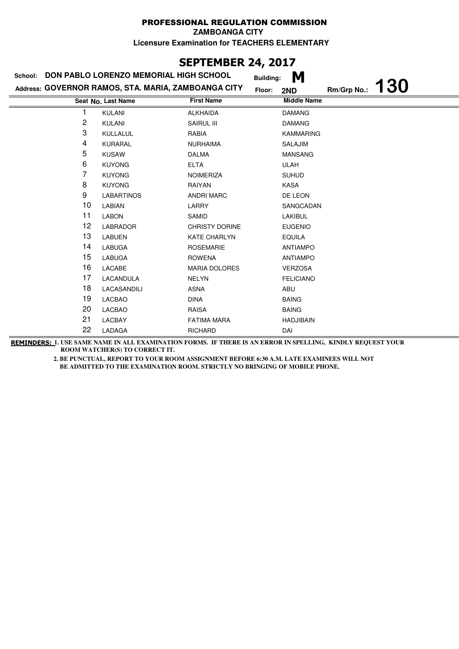# **SEPTEMBER 24, 2017**

| DON PABLO LORENZO MEMORIAL HIGH SCHOOL<br>School: |                                                     |                       | M<br><b>Building:</b> |             |            |
|---------------------------------------------------|-----------------------------------------------------|-----------------------|-----------------------|-------------|------------|
|                                                   | Address: GOVERNOR RAMOS, STA. MARIA, ZAMBOANGA CITY |                       | Floor:<br>2ND         | Rm/Grp No.: | <b>130</b> |
|                                                   | Seat No. Last Name                                  | <b>First Name</b>     | <b>Middle Name</b>    |             |            |
|                                                   | <b>KULANI</b>                                       | <b>ALKHAIDA</b>       | <b>DAMANG</b>         |             |            |
| 2                                                 | <b>KULANI</b>                                       | SAIRUL III            | <b>DAMANG</b>         |             |            |
| 3                                                 | KULLALUL                                            | RABIA                 | <b>KAMMARING</b>      |             |            |
| 4                                                 | KURARAL                                             | <b>NURHAIMA</b>       | SALAJIM               |             |            |
| 5                                                 | <b>KUSAW</b>                                        | <b>DALMA</b>          | <b>MANSANG</b>        |             |            |
| 6                                                 | <b>KUYONG</b>                                       | <b>ELTA</b>           | ULAH                  |             |            |
| 7                                                 | <b>KUYONG</b>                                       | NOIMERIZA             | <b>SUHUD</b>          |             |            |
| 8                                                 | <b>KUYONG</b>                                       | RAIYAN                | KASA                  |             |            |
| 9                                                 | <b>LABARTINOS</b>                                   | <b>ANDRI MARC</b>     | DE LEON               |             |            |
| 10                                                | LABIAN                                              | LARRY                 | SANGCADAN             |             |            |
| 11                                                | <b>LABON</b>                                        | SAMID                 | LAKIBUL               |             |            |
| 12                                                | <b>LABRADOR</b>                                     | <b>CHRISTY DORINE</b> | <b>EUGENIO</b>        |             |            |
| 13                                                | <b>LABUEN</b>                                       | <b>KATE CHARLYN</b>   | <b>EQUILA</b>         |             |            |
| 14                                                | <b>LABUGA</b>                                       | <b>ROSEMARIE</b>      | <b>ANTIAMPO</b>       |             |            |
| 15                                                | <b>LABUGA</b>                                       | <b>ROWENA</b>         | <b>ANTIAMPO</b>       |             |            |
| 16                                                | LACABE                                              | <b>MARIA DOLORES</b>  | <b>VERZOSA</b>        |             |            |
| 17                                                | LACANDULA                                           | <b>NELYN</b>          | <b>FELICIANO</b>      |             |            |
| 18                                                | LACASANDILI                                         | <b>ASNA</b>           | ABU                   |             |            |
| 19                                                | LACBAO                                              | <b>DINA</b>           | <b>BAING</b>          |             |            |
| 20                                                | LACBAO                                              | <b>RAISA</b>          | <b>BAING</b>          |             |            |
| 21                                                | LACBAY                                              | <b>FATIMA MARA</b>    | <b>HADJIBAIN</b>      |             |            |
| 22                                                | LADAGA                                              | RICHARD               | DAI                   |             |            |

**REMINDERS: 1. USE SAME NAME IN ALL EXAMINATION FORMS. IF THERE IS AN ERROR IN SPELLING, KINDLY REQUEST YOUR ROOM WATCHER(S) TO CORRECT IT.**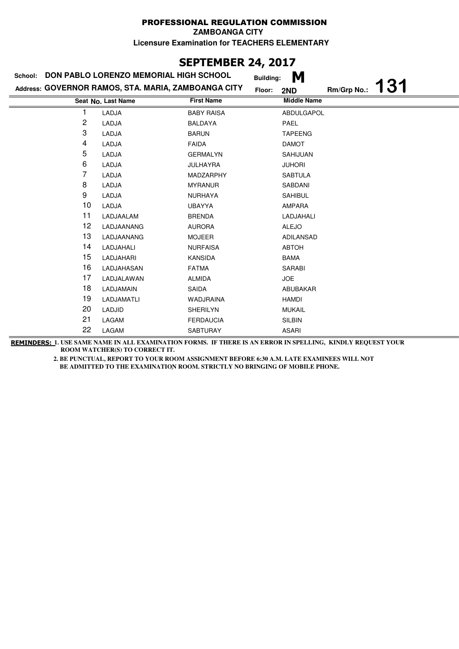# **SEPTEMBER 24, 2017**

| School: | DON PABLO LORENZO MEMORIAL HIGH SCHOOL              | <b>Building:</b>  | M                                |
|---------|-----------------------------------------------------|-------------------|----------------------------------|
|         | Address: GOVERNOR RAMOS, STA. MARIA, ZAMBOANGA CITY | Floor:            | <b>131</b><br>Rm/Grp No.:<br>2ND |
|         | Seat No. Last Name                                  | <b>First Name</b> | <b>Middle Name</b>               |
|         | LADJA                                               | <b>BABY RAISA</b> | <b>ABDULGAPOL</b>                |
| 2       | LADJA                                               | <b>BALDAYA</b>    | <b>PAEL</b>                      |
| 3       | LADJA                                               | <b>BARUN</b>      | <b>TAPEENG</b>                   |
| 4       | LADJA                                               | <b>FAIDA</b>      | <b>DAMOT</b>                     |
| 5       | LADJA                                               | <b>GERMALYN</b>   | SAHIJUAN                         |
| 6       | LADJA                                               | <b>JULHAYRA</b>   | <b>JUHORI</b>                    |
| 7       | LADJA                                               | MADZARPHY         | <b>SABTULA</b>                   |
| 8       | LADJA                                               | <b>MYRANUR</b>    | SABDANI                          |
| 9       | LADJA                                               | <b>NURHAYA</b>    | <b>SAHIBUL</b>                   |
| 10      | LADJA                                               | <b>UBAYYA</b>     | AMPARA                           |
| 11      | LADJAALAM                                           | <b>BRENDA</b>     | LADJAHALI                        |
| 12      | LADJAANANG                                          | <b>AURORA</b>     | <b>ALEJO</b>                     |
| 13      | LADJAANANG                                          | <b>MOJEER</b>     | ADILANSAD                        |
| 14      | LADJAHALI                                           | <b>NURFAISA</b>   | <b>ABTOH</b>                     |
| 15      | LADJAHARI                                           | <b>KANSIDA</b>    | <b>BAMA</b>                      |
| 16      | LADJAHASAN                                          | <b>FATMA</b>      | SARABI                           |
| 17      | LADJALAWAN                                          | <b>ALMIDA</b>     | <b>JOE</b>                       |
| 18      | LADJAMAIN                                           | SAIDA             | ABUBAKAR                         |
| 19      | LADJAMATLI                                          | WADJRAINA         | <b>HAMDI</b>                     |
| 20      | LADJID                                              | <b>SHERILYN</b>   | <b>MUKAIL</b>                    |
| 21      | LAGAM                                               | <b>FERDAUCIA</b>  | <b>SILBIN</b>                    |
| 22      | LAGAM                                               | <b>SABTURAY</b>   | <b>ASARI</b>                     |

**REMINDERS: 1. USE SAME NAME IN ALL EXAMINATION FORMS. IF THERE IS AN ERROR IN SPELLING, KINDLY REQUEST YOUR ROOM WATCHER(S) TO CORRECT IT.**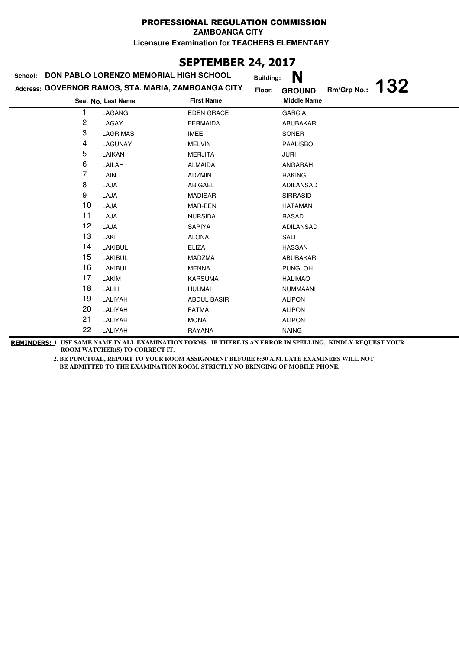**ZAMBOANGA CITY**

**Licensure Examination for TEACHERS ELEMENTARY**

# **SEPTEMBER 24, 2017**

| School:                 | DON PABLO LORENZO MEMORIAL HIGH SCHOOL              |                    | N<br><b>Building:</b>                         |  |
|-------------------------|-----------------------------------------------------|--------------------|-----------------------------------------------|--|
|                         | Address: GOVERNOR RAMOS, STA. MARIA, ZAMBOANGA CITY |                    | 132<br>Rm/Grp No.:<br>Floor:<br><b>GROUND</b> |  |
|                         | Seat No. Last Name                                  | <b>First Name</b>  | <b>Middle Name</b>                            |  |
|                         | LAGANG                                              | <b>EDEN GRACE</b>  | <b>GARCIA</b>                                 |  |
| $\overline{\mathbf{c}}$ | LAGAY                                               | <b>FERMAIDA</b>    | ABUBAKAR                                      |  |
| 3                       | LAGRIMAS                                            | IMEE               | SONER                                         |  |
| 4                       | LAGUNAY                                             | <b>MELVIN</b>      | <b>PAALISBO</b>                               |  |
| 5                       | LAIKAN                                              | <b>MERJITA</b>     | JURI                                          |  |
| 6                       | LAILAH                                              | <b>ALMAIDA</b>     | ANGARAH                                       |  |
| 7                       | LAIN                                                | <b>ADZMIN</b>      | <b>RAKING</b>                                 |  |
| 8                       | LAJA                                                | ABIGAEL            | ADILANSAD                                     |  |
| 9                       | LAJA                                                | <b>MADISAR</b>     | <b>SIRRASID</b>                               |  |
| 10                      | LAJA                                                | MAR-EEN            | <b>HATAMAN</b>                                |  |
| 11                      | LAJA                                                | <b>NURSIDA</b>     | RASAD                                         |  |
| 12                      | LAJA                                                | SAPIYA             | ADILANSAD                                     |  |
| 13                      | LAKI                                                | <b>ALONA</b>       | SALI                                          |  |
| 14                      | LAKIBUL                                             | <b>ELIZA</b>       | <b>HASSAN</b>                                 |  |
| 15                      | LAKIBUL                                             | MADZMA             | ABUBAKAR                                      |  |
| 16                      | <b>LAKIBUL</b>                                      | <b>MENNA</b>       | <b>PUNGLOH</b>                                |  |
| 17                      | LAKIM                                               | <b>KARSUMA</b>     | <b>HALIMAO</b>                                |  |
| 18                      | LALIH                                               | <b>HULMAH</b>      | NUMMAANI                                      |  |
| 19                      | LALIYAH                                             | <b>ABDUL BASIR</b> | <b>ALIPON</b>                                 |  |
| 20                      | LALIYAH                                             | <b>FATMA</b>       | <b>ALIPON</b>                                 |  |
| 21                      | LALIYAH                                             | <b>MONA</b>        | <b>ALIPON</b>                                 |  |
| 22                      | LALIYAH                                             | RAYANA             | <b>NAING</b>                                  |  |

**REMINDERS: 1. USE SAME NAME IN ALL EXAMINATION FORMS. IF THERE IS AN ERROR IN SPELLING, KINDLY REQUEST YOUR ROOM WATCHER(S) TO CORRECT IT.**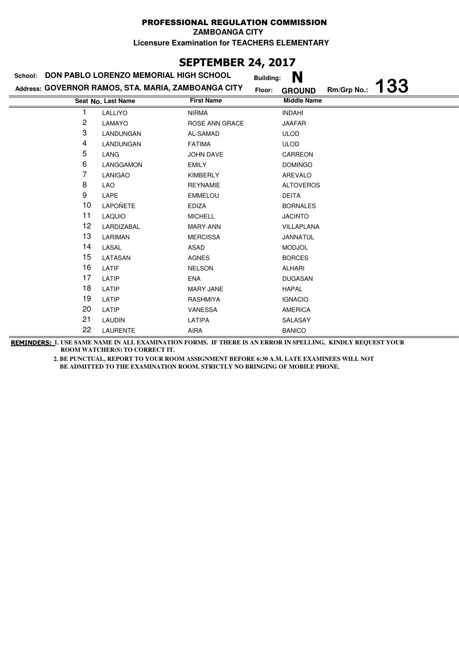**ZAMBOANGA CITY**

**Licensure Examination for TEACHERS ELEMENTARY**

# **SEPTEMBER 24, 2017**

| School: | DON PABLO LORENZO MEMORIAL HIGH SCHOOL              |                   | <b>Building:</b> | N                  |             |            |
|---------|-----------------------------------------------------|-------------------|------------------|--------------------|-------------|------------|
|         | Address: GOVERNOR RAMOS, STA. MARIA, ZAMBOANGA CITY |                   | Floor:           | <b>GROUND</b>      | Rm/Grp No.: | <b>133</b> |
|         | Seat No. Last Name                                  | <b>First Name</b> |                  | <b>Middle Name</b> |             |            |
| 1       | LALLIYO                                             | <b>NIRMA</b>      |                  | <b>INDAHI</b>      |             |            |
| 2       | LAMAYO                                              | ROSE ANN GRACE    |                  | <b>JAAFAR</b>      |             |            |
| 3       | LANDUNGAN                                           | AL-SAMAD          |                  | <b>ULOD</b>        |             |            |
| 4       | LANDUNGAN                                           | <b>FATIMA</b>     |                  | <b>ULOD</b>        |             |            |
| 5       | LANG                                                | <b>JOHN DAVE</b>  |                  | CARREON            |             |            |
| 6       | LANGGAMON                                           | <b>EMILY</b>      |                  | <b>DOMINGO</b>     |             |            |
| 7       | <b>LANIGAO</b>                                      | <b>KIMBERLY</b>   |                  | AREVALO            |             |            |
| 8       | LAO                                                 | <b>REYNAMIE</b>   |                  | <b>ALTOVEROS</b>   |             |            |
| 9       | LAPE                                                | <b>EMMELOU</b>    |                  | <b>DEITA</b>       |             |            |
| 10      | <b>LAPOÑETE</b>                                     | <b>EDIZA</b>      |                  | <b>BORNALES</b>    |             |            |
| 11      | <b>LAQUIO</b>                                       | <b>MICHELL</b>    |                  | <b>JACINTO</b>     |             |            |
| 12      | LARDIZABAL                                          | MARY-ANN          |                  | VILLAPLANA         |             |            |
| 13      | LARIMAN                                             | <b>MERCISSA</b>   |                  | JANNATUL           |             |            |
| 14      | LASAL                                               | ASAD              |                  | <b>MODJOL</b>      |             |            |
| 15      | LATASAN                                             | <b>AGNES</b>      |                  | <b>BORCES</b>      |             |            |
| 16      | LATIF                                               | <b>NELSON</b>     |                  | ALHARI             |             |            |
| 17      | LATIP                                               | <b>ENA</b>        |                  | <b>DUGASAN</b>     |             |            |
| 18      | LATIP                                               | <b>MARY JANE</b>  |                  | <b>HAPAL</b>       |             |            |
| 19      | LATIP                                               | RASHMIYA          |                  | <b>IGNACIO</b>     |             |            |
| 20      | LATIP                                               | <b>VANESSA</b>    |                  | <b>AMERICA</b>     |             |            |
| 21      | <b>LAUDIN</b>                                       | LATIPA            |                  | SALASAY            |             |            |
| 22      | <b>LAURENTE</b>                                     | <b>AIRA</b>       |                  | <b>BANICO</b>      |             |            |

**REMINDERS: 1. USE SAME NAME IN ALL EXAMINATION FORMS. IF THERE IS AN ERROR IN SPELLING, KINDLY REQUEST YOUR ROOM WATCHER(S) TO CORRECT IT.**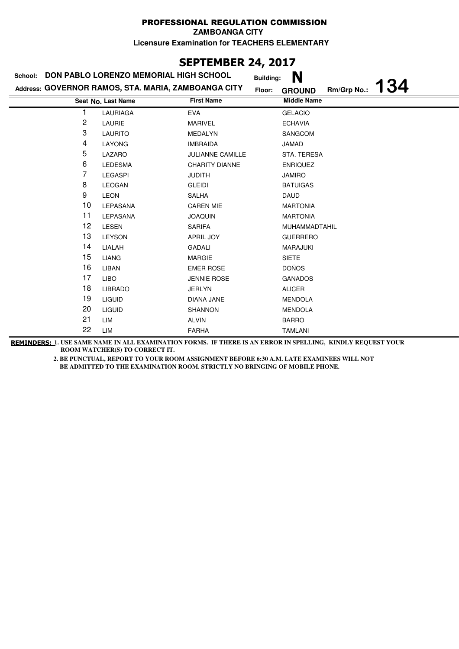**ZAMBOANGA CITY**

**Licensure Examination for TEACHERS ELEMENTARY**

## **SEPTEMBER 24, 2017**

#### **Last Name Middle Name Address: GOVERNOR RAMOS, STA. MARIA, ZAMBOANGA CITY School: DON PABLO LORENZO MEMORIAL HIGH SCHOOL Building: N Floor: GROUND Rm/Grp No.: 134 Seat No.** 1 LAURIAGA EVA GELACIO 2 LAURIE MARIVEL ECHAVIA 3 LAURITO MEDALYN SANGCOM 4 LAYONG IMBRAIDA JAMAD 5 LAZARO JULIANNE CAMILLE STA. TERESA 6 LEDESMA CHARITY DIANNE ENRIQUEZ 7 LEGASPI JUDITH JAMIRO 8 LEOGAN GLEIDI BATUIGAS 9 LEON SALHA DAUD 10 LEPASANA CAREN MIE MARTONIA 11 LEPASANA JOAQUIN MARTONIA 12 LESEN SARIFA MUHAMMADTAHIL 13 LEYSON APRIL JOY GUERRERO 14 LIALAH GADALI MARAJUKI 15 LIANG MARGIE SIETE 16 LIBAN EMER ROSE DOÑOS 17 LIBO JENNIE ROSE GANADOS 18 LIBRADO JERLYN ALICER 19 LIGUID DIANA JANE MENDOLA 20 LIGUID SHANNON SHANNON MENDOLA 21 LIM ALVIN ALVIN 22 LIM FARHA TAMLANI

**REMINDERS: 1. USE SAME NAME IN ALL EXAMINATION FORMS. IF THERE IS AN ERROR IN SPELLING, KINDLY REQUEST YOUR ROOM WATCHER(S) TO CORRECT IT.**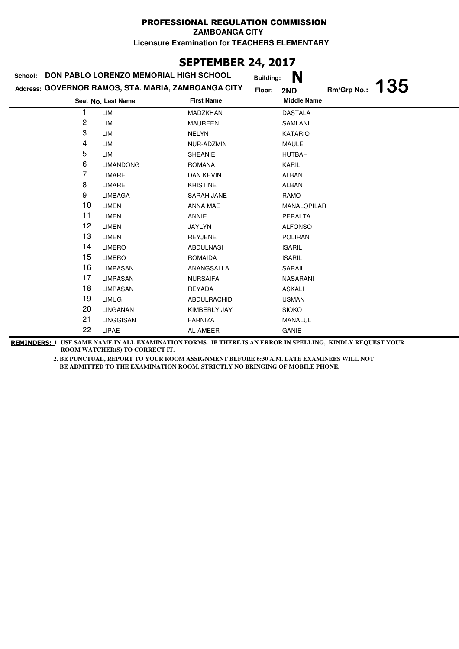# **SEPTEMBER 24, 2017**

| School: | DON PABLO LORENZO MEMORIAL HIGH SCHOOL              |                   | <b>Building:</b> | N                  |             |            |
|---------|-----------------------------------------------------|-------------------|------------------|--------------------|-------------|------------|
|         | Address: GOVERNOR RAMOS, STA. MARIA, ZAMBOANGA CITY |                   | Floor:           | 2ND                | Rm/Grp No.: | <b>135</b> |
|         | Seat No. Last Name                                  | <b>First Name</b> |                  | <b>Middle Name</b> |             |            |
|         | LIM                                                 | MADZKHAN          |                  | <b>DASTALA</b>     |             |            |
| 2       | LIM                                                 | <b>MAUREEN</b>    |                  | SAMLANI            |             |            |
| 3       | LIM                                                 | <b>NELYN</b>      |                  | <b>KATARIO</b>     |             |            |
| 4       | LIM                                                 | NUR-ADZMIN        |                  | <b>MAULE</b>       |             |            |
| 5       | LIM                                                 | <b>SHEANIE</b>    |                  | <b>HUTBAH</b>      |             |            |
| 6       | <b>LIMANDONG</b>                                    | <b>ROMANA</b>     |                  | <b>KARIL</b>       |             |            |
| 7       | LIMARE                                              | <b>DAN KEVIN</b>  |                  | <b>ALBAN</b>       |             |            |
| 8       | LIMARE                                              | <b>KRISTINE</b>   |                  | <b>ALBAN</b>       |             |            |
| 9       | <b>LIMBAGA</b>                                      | SARAH JANE        |                  | RAMO               |             |            |
| 10      | LIMEN                                               | ANNA MAE          |                  | MANALOPILAR        |             |            |
| 11      | <b>LIMEN</b>                                        | ANNIE             |                  | PERALTA            |             |            |
| 12      | <b>LIMEN</b>                                        | <b>JAYLYN</b>     |                  | <b>ALFONSO</b>     |             |            |
| 13      | <b>LIMEN</b>                                        | <b>REYJENE</b>    |                  | <b>POLIRAN</b>     |             |            |
| 14      | <b>LIMERO</b>                                       | <b>ABDULNASI</b>  |                  | <b>ISARIL</b>      |             |            |
| 15      | <b>LIMERO</b>                                       | ROMAIDA           |                  | <b>ISARIL</b>      |             |            |
| 16      | <b>LIMPASAN</b>                                     | ANANGSALLA        |                  | SARAIL             |             |            |
| 17      | LIMPASAN                                            | <b>NURSAIFA</b>   |                  | <b>NASARANI</b>    |             |            |
| 18      | <b>LIMPASAN</b>                                     | REYADA            |                  | <b>ASKALI</b>      |             |            |
| 19      | <b>LIMUG</b>                                        | ABDULRACHID       |                  | <b>USMAN</b>       |             |            |
| 20      | LINGANAN                                            | KIMBERLY JAY      |                  | <b>SIOKO</b>       |             |            |
| 21      | LINGGISAN                                           | <b>FARNIZA</b>    |                  | MANALUL            |             |            |
| 22      | <b>LIPAE</b>                                        | AL-AMEER          |                  | <b>GANIE</b>       |             |            |

**REMINDERS: 1. USE SAME NAME IN ALL EXAMINATION FORMS. IF THERE IS AN ERROR IN SPELLING, KINDLY REQUEST YOUR ROOM WATCHER(S) TO CORRECT IT.**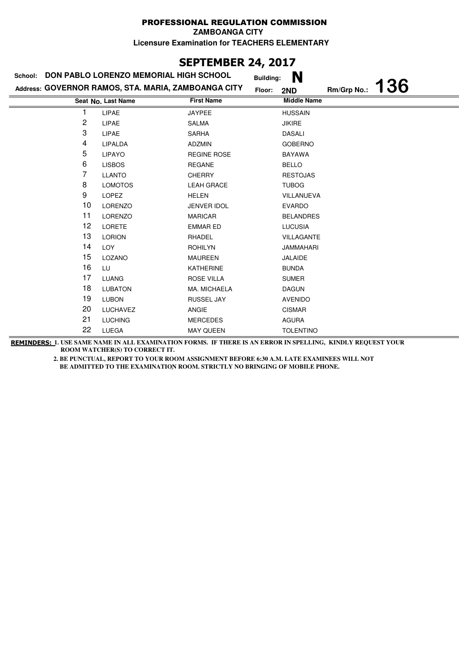# **SEPTEMBER 24, 2017**

| School: | DON PABLO LORENZO MEMORIAL HIGH SCHOOL              |                    | N<br><b>Building:</b> |             |            |
|---------|-----------------------------------------------------|--------------------|-----------------------|-------------|------------|
|         | Address: GOVERNOR RAMOS, STA. MARIA, ZAMBOANGA CITY |                    | Floor:<br>2ND         | Rm/Grp No.: | <b>136</b> |
|         | Seat No. Last Name                                  | <b>First Name</b>  | <b>Middle Name</b>    |             |            |
| 1       | <b>LIPAE</b>                                        | <b>JAYPEE</b>      | <b>HUSSAIN</b>        |             |            |
| 2       | LIPAE                                               | <b>SALMA</b>       | <b>JIKIRE</b>         |             |            |
| 3       | LIPAE                                               | <b>SARHA</b>       | <b>DASALI</b>         |             |            |
| 4       | LIPALDA                                             | <b>ADZMIN</b>      | <b>GOBERNO</b>        |             |            |
| 5       | <b>LIPAYO</b>                                       | <b>REGINE ROSE</b> | <b>BAYAWA</b>         |             |            |
| 6       | <b>LISBOS</b>                                       | <b>REGANE</b>      | <b>BELLO</b>          |             |            |
| 7       | <b>LLANTO</b>                                       | <b>CHERRY</b>      | <b>RESTOJAS</b>       |             |            |
| 8       | <b>LOMOTOS</b>                                      | <b>LEAH GRACE</b>  | <b>TUBOG</b>          |             |            |
| 9       | <b>LOPEZ</b>                                        | <b>HELEN</b>       | VILLANUEVA            |             |            |
| 10      | <b>LORENZO</b>                                      | <b>JENVER IDOL</b> | <b>EVARDO</b>         |             |            |
| 11      | <b>LORENZO</b>                                      | <b>MARICAR</b>     | <b>BELANDRES</b>      |             |            |
| 12      | <b>LORETE</b>                                       | <b>EMMAR ED</b>    | <b>LUCUSIA</b>        |             |            |
| 13      | <b>LORION</b>                                       | RHADEL             | VILLAGANTE            |             |            |
| 14      | LOY                                                 | <b>ROHILYN</b>     | <b>JAMMAHARI</b>      |             |            |
| 15      | LOZANO                                              | <b>MAUREEN</b>     | <b>JALAIDE</b>        |             |            |
| 16      | LU                                                  | <b>KATHERINE</b>   | <b>BUNDA</b>          |             |            |
| 17      | <b>LUANG</b>                                        | ROSE VILLA         | <b>SUMER</b>          |             |            |
| 18      | <b>LUBATON</b>                                      | MA. MICHAELA       | <b>DAGUN</b>          |             |            |
| 19      | <b>LUBON</b>                                        | RUSSEL JAY         | <b>AVENIDO</b>        |             |            |
| 20      | LUCHAVEZ                                            | ANGIE              | <b>CISMAR</b>         |             |            |
| 21      | <b>LUCHING</b>                                      | <b>MERCEDES</b>    | <b>AGURA</b>          |             |            |
| 22      | LUEGA                                               | <b>MAY QUEEN</b>   | <b>TOLENTINO</b>      |             |            |

**REMINDERS: 1. USE SAME NAME IN ALL EXAMINATION FORMS. IF THERE IS AN ERROR IN SPELLING, KINDLY REQUEST YOUR ROOM WATCHER(S) TO CORRECT IT.**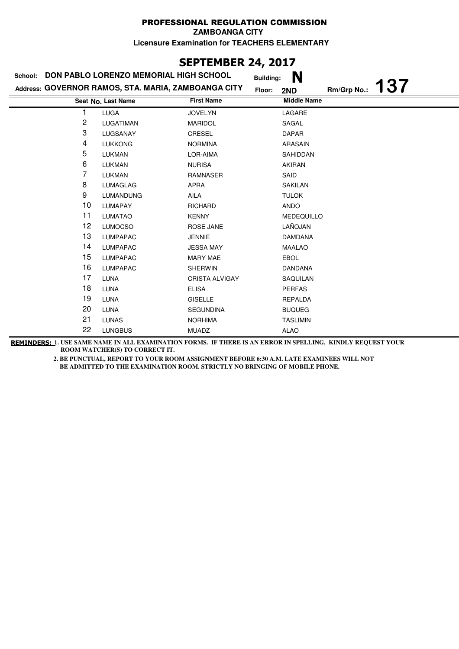# **SEPTEMBER 24, 2017**

| School: | DON PABLO LORENZO MEMORIAL HIGH SCHOOL              |                       | N<br><b>Building:</b> |                    |            |
|---------|-----------------------------------------------------|-----------------------|-----------------------|--------------------|------------|
|         | Address: GOVERNOR RAMOS, STA. MARIA, ZAMBOANGA CITY |                       | Floor:<br>2ND         | Rm/Grp No.:        | <b>137</b> |
|         | Seat No. Last Name                                  | <b>First Name</b>     |                       | <b>Middle Name</b> |            |
| 1       | <b>LUGA</b>                                         | <b>JOVELYN</b>        | LAGARE                |                    |            |
| 2       | LUGATIMAN                                           | <b>MARIDOL</b>        | SAGAL                 |                    |            |
| 3       | LUGSANAY                                            | CRESEL                | <b>DAPAR</b>          |                    |            |
| 4       | <b>LUKKONG</b>                                      | <b>NORMINA</b>        | <b>ARASAIN</b>        |                    |            |
| 5       | <b>LUKMAN</b>                                       | LOR-AIMA              | SAHIDDAN              |                    |            |
| 6       | <b>LUKMAN</b>                                       | <b>NURISA</b>         | <b>AKIRAN</b>         |                    |            |
| 7       | <b>LUKMAN</b>                                       | RAMNASER              | SAID                  |                    |            |
| 8       | <b>LUMAGLAG</b>                                     | <b>APRA</b>           | <b>SAKILAN</b>        |                    |            |
| 9       | <b>LUMANDUNG</b>                                    | AILA                  | <b>TULOK</b>          |                    |            |
| 10      | <b>LUMAPAY</b>                                      | <b>RICHARD</b>        | <b>ANDO</b>           |                    |            |
| 11      | <b>LUMATAO</b>                                      | <b>KENNY</b>          |                       | <b>MEDEQUILLO</b>  |            |
| 12      | <b>LUMOCSO</b>                                      | ROSE JANE             | LAÑOJAN               |                    |            |
| 13      | <b>LUMPAPAC</b>                                     | <b>JENNIE</b>         | <b>DAMDANA</b>        |                    |            |
| 14      | <b>LUMPAPAC</b>                                     | <b>JESSA MAY</b>      | <b>MAALAO</b>         |                    |            |
| 15      | <b>LUMPAPAC</b>                                     | MARY MAE              | <b>EBOL</b>           |                    |            |
| 16      | <b>LUMPAPAC</b>                                     | <b>SHERWIN</b>        | <b>DANDANA</b>        |                    |            |
| 17      | <b>LUNA</b>                                         | <b>CRISTA ALVIGAY</b> | SAQUILAN              |                    |            |
| 18      | LUNA                                                | <b>ELISA</b>          | <b>PERFAS</b>         |                    |            |
| 19      | <b>LUNA</b>                                         | <b>GISELLE</b>        | <b>REPALDA</b>        |                    |            |
| 20      | <b>LUNA</b>                                         | <b>SEGUNDINA</b>      | <b>BUQUEG</b>         |                    |            |
| 21      | <b>LUNAS</b>                                        | <b>NORHIMA</b>        | <b>TASLIMIN</b>       |                    |            |
| 22      | <b>LUNGBUS</b>                                      | <b>MUADZ</b>          | ALAO                  |                    |            |

**REMINDERS: 1. USE SAME NAME IN ALL EXAMINATION FORMS. IF THERE IS AN ERROR IN SPELLING, KINDLY REQUEST YOUR ROOM WATCHER(S) TO CORRECT IT.**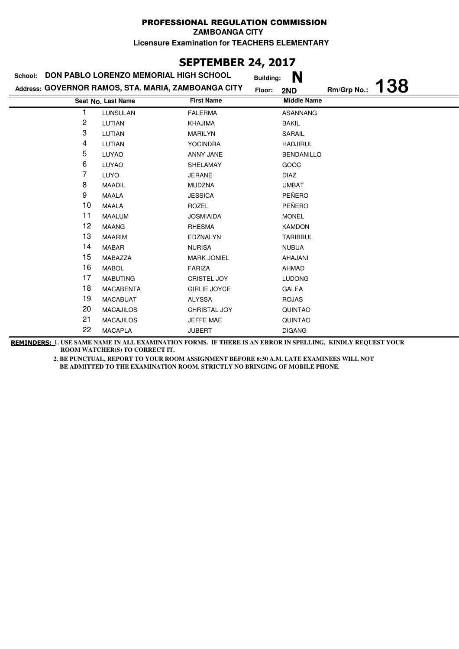# **SEPTEMBER 24, 2017**

| DON PABLO LORENZO MEMORIAL HIGH SCHOOL<br>School: |                                                     |                     | N<br><b>Building:</b> |             |            |
|---------------------------------------------------|-----------------------------------------------------|---------------------|-----------------------|-------------|------------|
|                                                   | Address: GOVERNOR RAMOS, STA. MARIA, ZAMBOANGA CITY |                     | Floor:<br>2ND         | Rm/Grp No.: | <b>138</b> |
|                                                   | Seat No. Last Name                                  | <b>First Name</b>   | <b>Middle Name</b>    |             |            |
|                                                   | <b>LUNSULAN</b>                                     | <b>FALERMA</b>      | <b>ASANNANG</b>       |             |            |
| 2                                                 | LUTIAN                                              | <b>KHAJIMA</b>      | <b>BAKIL</b>          |             |            |
| 3                                                 | LUTIAN                                              | <b>MARILYN</b>      | SARAIL                |             |            |
| 4                                                 | LUTIAN                                              | <b>YOCINDRA</b>     | <b>HADJIRUL</b>       |             |            |
| 5                                                 | LUYAO                                               | ANNY JANE           | <b>BENDANILLO</b>     |             |            |
| 6                                                 | <b>LUYAO</b>                                        | SHELAMAY            | GOOC                  |             |            |
| 7                                                 | <b>LUYO</b>                                         | <b>JERANE</b>       | DIAZ                  |             |            |
| 8                                                 | <b>MAADIL</b>                                       | <b>MUDZNA</b>       | <b>UMBAT</b>          |             |            |
| 9                                                 | <b>MAALA</b>                                        | <b>JESSICA</b>      | PEÑERO                |             |            |
| 10                                                | <b>MAALA</b>                                        | <b>ROZEL</b>        | PEÑERO                |             |            |
| 11                                                | <b>MAALUM</b>                                       | <b>JOSMIAIDA</b>    | <b>MONEL</b>          |             |            |
| 12                                                | <b>MAANG</b>                                        | RHESMA              | <b>KAMDON</b>         |             |            |
| 13                                                | <b>MAARIM</b>                                       | EDZNALYN            | <b>TARIBBUL</b>       |             |            |
| 14                                                | <b>MABAR</b>                                        | <b>NURISA</b>       | <b>NUBUA</b>          |             |            |
| 15                                                | MABAZZA                                             | <b>MARK JONIEL</b>  | AHAJANI               |             |            |
| 16                                                | <b>MABOL</b>                                        | <b>FARIZA</b>       | AHMAD                 |             |            |
| 17                                                | <b>MABUTING</b>                                     | <b>CRISTEL JOY</b>  | <b>LUDONG</b>         |             |            |
| 18                                                | <b>MACABENTA</b>                                    | <b>GIRLIE JOYCE</b> | GALEA                 |             |            |
| 19                                                | <b>MACABUAT</b>                                     | <b>ALYSSA</b>       | <b>ROJAS</b>          |             |            |
| 20                                                | <b>MACAJILOS</b>                                    | CHRISTAL JOY        | <b>QUINTAO</b>        |             |            |
| 21                                                | <b>MACAJILOS</b>                                    | JEFFE MAE           | <b>QUINTAO</b>        |             |            |
| 22                                                | <b>MACAPLA</b>                                      | <b>JUBERT</b>       | <b>DIGANG</b>         |             |            |

**REMINDERS: 1. USE SAME NAME IN ALL EXAMINATION FORMS. IF THERE IS AN ERROR IN SPELLING, KINDLY REQUEST YOUR ROOM WATCHER(S) TO CORRECT IT.**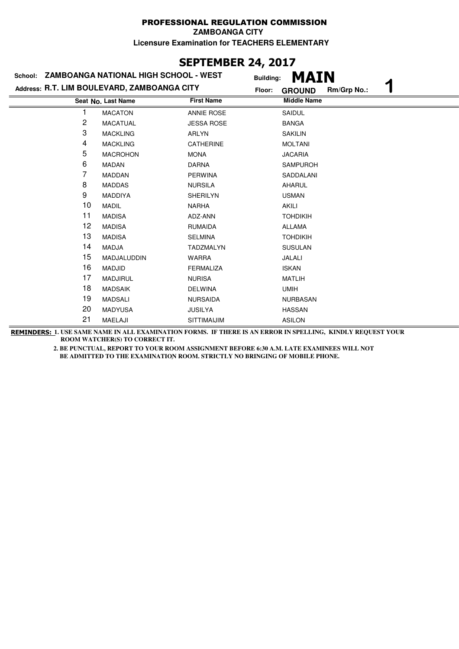# **SEPTEMBER 24, 2017**

| ZAMBOANGA NATIONAL HIGH SCHOOL - WEST<br>School: |                                             |                    | <b>MAIN</b><br><b>Building:</b> |
|--------------------------------------------------|---------------------------------------------|--------------------|---------------------------------|
|                                                  | Address: R.T. LIM BOULEVARD, ZAMBOANGA CITY | Floor:             | Rm/Grp No.:<br><b>GROUND</b>    |
|                                                  | Seat No. Last Name                          | <b>First Name</b>  | <b>Middle Name</b>              |
|                                                  | <b>MACATON</b>                              | <b>ANNIE ROSE</b>  | SAIDUL                          |
| 2                                                | <b>MACATUAL</b>                             | <b>JESSA ROSE</b>  | <b>BANGA</b>                    |
| 3                                                | <b>MACKLING</b>                             | <b>ARLYN</b>       | SAKILIN                         |
| 4                                                | <b>MACKLING</b>                             | <b>CATHERINE</b>   | <b>MOLTANI</b>                  |
| 5                                                | <b>MACROHON</b>                             | <b>MONA</b>        | <b>JACARIA</b>                  |
| 6                                                | MADAN                                       | <b>DARNA</b>       | <b>SAMPUROH</b>                 |
| 7                                                | <b>MADDAN</b>                               | <b>PERWINA</b>     | SADDALANI                       |
| 8                                                | <b>MADDAS</b>                               | <b>NURSILA</b>     | <b>AHARUL</b>                   |
| 9                                                | <b>MADDIYA</b>                              | <b>SHERILYN</b>    | <b>USMAN</b>                    |
| 10                                               | <b>MADIL</b>                                | <b>NARHA</b>       | <b>AKILI</b>                    |
| 11                                               | <b>MADISA</b>                               | ADZ-ANN            | <b>TOHDIKIH</b>                 |
| 12                                               | <b>MADISA</b>                               | <b>RUMAIDA</b>     | <b>ALLAMA</b>                   |
| 13                                               | <b>MADISA</b>                               | <b>SELMINA</b>     | <b>TOHDIKIH</b>                 |
| 14                                               | <b>MADJA</b>                                | <b>TADZMALYN</b>   | <b>SUSULAN</b>                  |
| 15                                               | MADJALUDDIN                                 | <b>WARRA</b>       | JALALI                          |
| 16                                               | <b>MADJID</b>                               | <b>FERMALIZA</b>   | <b>ISKAN</b>                    |
| 17                                               | <b>MADJIRUL</b>                             | <b>NURISA</b>      | <b>MATLIH</b>                   |
| 18                                               | <b>MADSAIK</b>                              | <b>DELWINA</b>     | <b>UMIH</b>                     |
| 19                                               | <b>MADSALI</b>                              | <b>NURSAIDA</b>    | <b>NURBASAN</b>                 |
| 20                                               | <b>MADYUSA</b>                              | <b>JUSILYA</b>     | <b>HASSAN</b>                   |
| 21                                               | MAELAJI                                     | <b>SITTIMAIJIM</b> | <b>ASILON</b>                   |

**REMINDERS: 1. USE SAME NAME IN ALL EXAMINATION FORMS. IF THERE IS AN ERROR IN SPELLING, KINDLY REQUEST YOUR ROOM WATCHER(S) TO CORRECT IT.**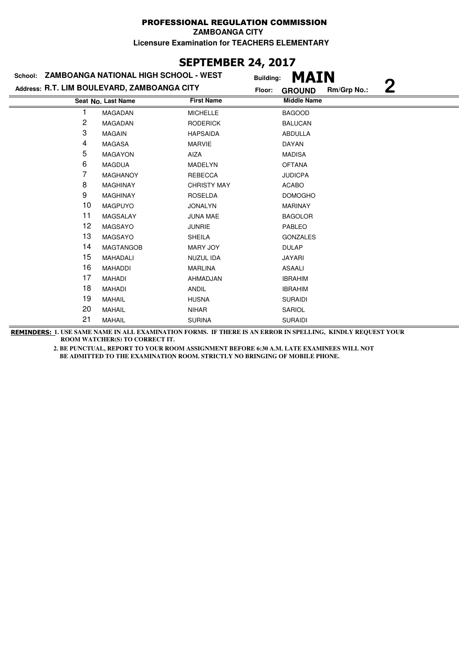# **SEPTEMBER 24, 2017**

| School: ZAMBOANGA NATIONAL HIGH SCHOOL - WEST |                                             |                    | MAIN<br><b>Building:</b>                 |
|-----------------------------------------------|---------------------------------------------|--------------------|------------------------------------------|
|                                               | Address: R.T. LIM BOULEVARD, ZAMBOANGA CITY |                    | $\bf{2}$<br>Rm/Grp No.:<br><b>GROUND</b> |
|                                               | Seat No. Last Name                          | <b>First Name</b>  | <b>Middle Name</b>                       |
|                                               | MAGADAN                                     | <b>MICHELLE</b>    | <b>BAGOOD</b>                            |
| 2                                             | <b>MAGADAN</b>                              | <b>RODERICK</b>    | <b>BALUCAN</b>                           |
| 3                                             | <b>MAGAIN</b>                               | <b>HAPSAIDA</b>    | ABDULLA                                  |
| 4                                             | <b>MAGASA</b>                               | <b>MARVIE</b>      | DAYAN                                    |
| 5                                             | <b>MAGAYON</b>                              | AIZA               | <b>MADISA</b>                            |
| 6                                             | <b>MAGDUA</b>                               | <b>MADELYN</b>     | <b>OFTANA</b>                            |
| 7                                             | <b>MAGHANOY</b>                             | <b>REBECCA</b>     | <b>JUDICPA</b>                           |
| 8                                             | <b>MAGHINAY</b>                             | <b>CHRISTY MAY</b> | <b>ACABO</b>                             |
| 9                                             | <b>MAGHINAY</b>                             | <b>ROSELDA</b>     | <b>DOMOGHO</b>                           |
| 10                                            | <b>MAGPUYO</b>                              | <b>JONALYN</b>     | <b>MARINAY</b>                           |
| 11                                            | MAGSALAY                                    | <b>JUNA MAE</b>    | <b>BAGOLOR</b>                           |
| 12                                            | MAGSAYO                                     | <b>JUNRIE</b>      | <b>PABLEO</b>                            |
| 13                                            | <b>MAGSAYO</b>                              | <b>SHEILA</b>      | <b>GONZALES</b>                          |
| 14                                            | <b>MAGTANGOB</b>                            | <b>MARY JOY</b>    | <b>DULAP</b>                             |
| 15                                            | MAHADALI                                    | NUZUL IDA          | <b>JAYARI</b>                            |
| 16                                            | <b>MAHADDI</b>                              | <b>MARLINA</b>     | <b>ASAALI</b>                            |
| 17                                            | <b>MAHADI</b>                               | AHMADJAN           | <b>IBRAHIM</b>                           |
| 18                                            | <b>MAHADI</b>                               | <b>ANDIL</b>       | <b>IBRAHIM</b>                           |
| 19                                            | <b>MAHAIL</b>                               | <b>HUSNA</b>       | <b>SURAIDI</b>                           |
| 20                                            | <b>MAHAIL</b>                               | <b>NIHAR</b>       | SARIOL                                   |
| 21                                            | <b>MAHAIL</b>                               | <b>SURINA</b>      | <b>SURAIDI</b>                           |

**REMINDERS: 1. USE SAME NAME IN ALL EXAMINATION FORMS. IF THERE IS AN ERROR IN SPELLING, KINDLY REQUEST YOUR ROOM WATCHER(S) TO CORRECT IT.**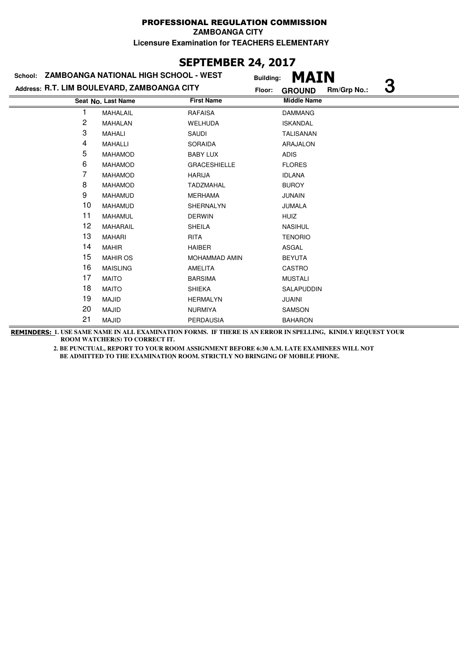# **SEPTEMBER 24, 2017**

| School: | <b>ZAMBOANGA NATIONAL HIGH SCHOOL - WEST</b> |                      | <b>MAIN</b><br><b>Building:</b>   |
|---------|----------------------------------------------|----------------------|-----------------------------------|
|         | Address: R.T. LIM BOULEVARD, ZAMBOANGA CITY  |                      | 3<br>Rm/Grp No.:<br><b>GROUND</b> |
|         | Seat No. Last Name                           | <b>First Name</b>    | <b>Middle Name</b>                |
| 1       | MAHALAIL                                     | <b>RAFAISA</b>       | <b>DAMMANG</b>                    |
| 2       | <b>MAHALAN</b>                               | <b>WELHUDA</b>       | <b>ISKANDAL</b>                   |
| 3       | <b>MAHALI</b>                                | SAUDI                | <b>TALISANAN</b>                  |
| 4       | <b>MAHALLI</b>                               | <b>SORAIDA</b>       | ARAJALON                          |
| 5       | <b>MAHAMOD</b>                               | <b>BABY LUX</b>      | <b>ADIS</b>                       |
| 6       | <b>MAHAMOD</b>                               | <b>GRACESHIELLE</b>  | <b>FLORES</b>                     |
| 7       | <b>MAHAMOD</b>                               | <b>HARIJA</b>        | <b>IDLANA</b>                     |
| 8       | <b>MAHAMOD</b>                               | <b>TADZMAHAL</b>     | <b>BUROY</b>                      |
| 9       | <b>MAHAMUD</b>                               | <b>MERHAMA</b>       | <b>JUNAIN</b>                     |
| 10      | <b>MAHAMUD</b>                               | SHERNALYN            | <b>JUMALA</b>                     |
| 11      | MAHAMUL                                      | <b>DERWIN</b>        | <b>HUIZ</b>                       |
| 12      | MAHARAIL                                     | <b>SHEILA</b>        | <b>NASIHUL</b>                    |
| 13      | <b>MAHARI</b>                                | <b>RITA</b>          | <b>TENORIO</b>                    |
| 14      | <b>MAHIR</b>                                 | <b>HAIBER</b>        | ASGAL                             |
| 15      | <b>MAHIR OS</b>                              | <b>MOHAMMAD AMIN</b> | <b>BEYUTA</b>                     |
| 16      | <b>MAISLING</b>                              | <b>AMELITA</b>       | <b>CASTRO</b>                     |
| 17      | <b>MAITO</b>                                 | <b>BARSIMA</b>       | <b>MUSTALI</b>                    |
| 18      | <b>MAITO</b>                                 | <b>SHIEKA</b>        | SALAPUDDIN                        |
| 19      | <b>MAJID</b>                                 | <b>HERMALYN</b>      | <b>JUAINI</b>                     |
| 20      | <b>MAJID</b>                                 | <b>NURMIYA</b>       | SAMSON                            |
| 21      | <b>MAJID</b>                                 | <b>PERDAUSIA</b>     | <b>BAHARON</b>                    |

**REMINDERS: 1. USE SAME NAME IN ALL EXAMINATION FORMS. IF THERE IS AN ERROR IN SPELLING, KINDLY REQUEST YOUR ROOM WATCHER(S) TO CORRECT IT.**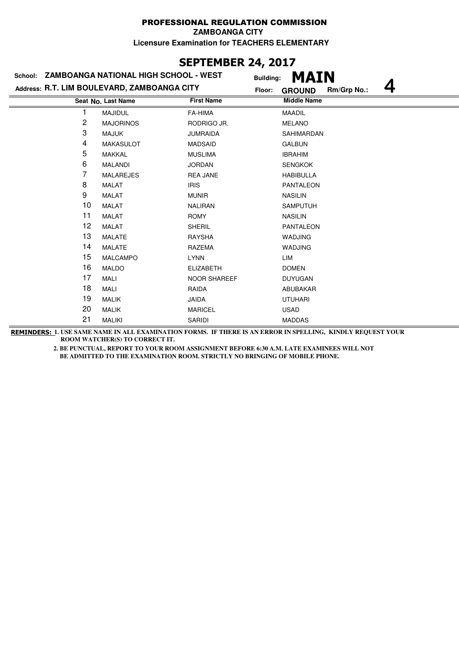# **SEPTEMBER 24, 2017**

| School: ZAMBOANGA NATIONAL HIGH SCHOOL - WEST |                                             |                     | MAIN<br><b>Building:</b>     |  |  |
|-----------------------------------------------|---------------------------------------------|---------------------|------------------------------|--|--|
|                                               | Address: R.T. LIM BOULEVARD, ZAMBOANGA CITY | Floor:              | Rm/Grp No.:<br><b>GROUND</b> |  |  |
|                                               | Seat No. Last Name                          | <b>First Name</b>   | <b>Middle Name</b>           |  |  |
|                                               | <b>MAJIDUL</b>                              | FA-HIMA             | <b>MAADIL</b>                |  |  |
| 2                                             | <b>MAJORINOS</b>                            | RODRIGO JR.         | <b>MELANO</b>                |  |  |
| 3                                             | <b>MAJUK</b>                                | <b>JUMRAIDA</b>     | SAHIMARDAN                   |  |  |
| 4                                             | <b>MAKASULOT</b>                            | <b>MADSAID</b>      | <b>GALBUN</b>                |  |  |
| 5                                             | MAKKAL                                      | <b>MUSLIMA</b>      | <b>IBRAHIM</b>               |  |  |
| 6                                             | <b>MALANDI</b>                              | <b>JORDAN</b>       | <b>SENGKOK</b>               |  |  |
| 7                                             | <b>MALAREJES</b>                            | <b>REA JANE</b>     | <b>HABIBULLA</b>             |  |  |
| 8                                             | MALAT                                       | <b>IRIS</b>         | <b>PANTALEON</b>             |  |  |
| 9                                             | <b>MALAT</b>                                | <b>MUNIR</b>        | <b>NASILIN</b>               |  |  |
| 10                                            | MALAT                                       | <b>NALIRAN</b>      | <b>SAMPUTUH</b>              |  |  |
| 11                                            | <b>MALAT</b>                                | <b>ROMY</b>         | <b>NASILIN</b>               |  |  |
| 12                                            | <b>MALAT</b>                                | <b>SHERIL</b>       | <b>PANTALEON</b>             |  |  |
| 13                                            | <b>MALATE</b>                               | <b>RAYSHA</b>       | <b>WADJING</b>               |  |  |
| 14                                            | <b>MALATE</b>                               | <b>RAZEMA</b>       | <b>WADJING</b>               |  |  |
| 15                                            | <b>MALCAMPO</b>                             | <b>LYNN</b>         | LIM                          |  |  |
| 16                                            | <b>MALDO</b>                                | <b>ELIZABETH</b>    | <b>DOMEN</b>                 |  |  |
| 17                                            | MALI                                        | <b>NOOR SHAREEF</b> | <b>DUYUGAN</b>               |  |  |
| 18                                            | MALI                                        | RAIDA               | ABUBAKAR                     |  |  |
| 19                                            | <b>MALIK</b>                                | <b>JAIDA</b>        | <b>UTUHARI</b>               |  |  |
| 20                                            | <b>MALIK</b>                                | <b>MARICEL</b>      | <b>USAD</b>                  |  |  |
| 21                                            | <b>MALIKI</b>                               | SARIDI              | <b>MADDAS</b>                |  |  |

**REMINDERS: 1. USE SAME NAME IN ALL EXAMINATION FORMS. IF THERE IS AN ERROR IN SPELLING, KINDLY REQUEST YOUR ROOM WATCHER(S) TO CORRECT IT.**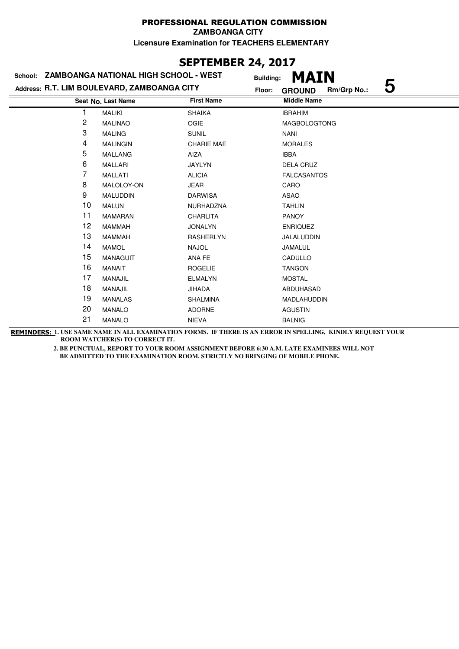# **SEPTEMBER 24, 2017**

| School: ZAMBOANGA NATIONAL HIGH SCHOOL - WEST |                                             | <b>Building:</b>  | MAIN                              |
|-----------------------------------------------|---------------------------------------------|-------------------|-----------------------------------|
|                                               | Address: R.T. LIM BOULEVARD, ZAMBOANGA CITY | Floor:            | 5<br>Rm/Grp No.:<br><b>GROUND</b> |
|                                               | Seat No. Last Name                          | <b>First Name</b> | <b>Middle Name</b>                |
|                                               | <b>MALIKI</b>                               | <b>SHAIKA</b>     | <b>IBRAHIM</b>                    |
| 2                                             | <b>MALINAO</b>                              | <b>OGIE</b>       | <b>MAGBOLOGTONG</b>               |
| 3                                             | <b>MALING</b>                               | <b>SUNIL</b>      | <b>NANI</b>                       |
| 4                                             | <b>MALINGIN</b>                             | <b>CHARIE MAE</b> | <b>MORALES</b>                    |
| 5                                             | <b>MALLANG</b>                              | AIZA              | <b>IBBA</b>                       |
| 6                                             | <b>MALLARI</b>                              | <b>JAYLYN</b>     | DELA CRUZ                         |
| 7                                             | <b>MALLATI</b>                              | <b>ALICIA</b>     | <b>FALCASANTOS</b>                |
| 8                                             | MALOLOY-ON                                  | <b>JEAR</b>       | CARO                              |
| 9                                             | <b>MALUDDIN</b>                             | <b>DARWISA</b>    | <b>ASAO</b>                       |
| 10                                            | <b>MALUN</b>                                | NURHADZNA         | <b>TAHLIN</b>                     |
| 11                                            | <b>MAMARAN</b>                              | <b>CHARLITA</b>   | <b>PANOY</b>                      |
| 12                                            | <b>MAMMAH</b>                               | <b>JONALYN</b>    | <b>ENRIQUEZ</b>                   |
| 13                                            | <b>MAMMAH</b>                               | <b>RASHERLYN</b>  | JALALUDDIN                        |
| 14                                            | <b>MAMOL</b>                                | <b>NAJOL</b>      | JAMALUL                           |
| 15                                            | <b>MANAGUIT</b>                             | ANA FE            | CADULLO                           |
| 16                                            | <b>MANAIT</b>                               | <b>ROGELIE</b>    | <b>TANGON</b>                     |
| 17                                            | MANAJIL                                     | <b>ELMALYN</b>    | <b>MOSTAL</b>                     |
| 18                                            | <b>MANAJIL</b>                              | <b>JIHADA</b>     | ABDUHASAD                         |
| 19                                            | <b>MANALAS</b>                              | <b>SHALMINA</b>   | MADLAHUDDIN                       |
| 20                                            | <b>MANALO</b>                               | <b>ADORNE</b>     | <b>AGUSTIN</b>                    |
| 21                                            | <b>MANALO</b>                               | <b>NIEVA</b>      | <b>BALNIG</b>                     |

**REMINDERS: 1. USE SAME NAME IN ALL EXAMINATION FORMS. IF THERE IS AN ERROR IN SPELLING, KINDLY REQUEST YOUR ROOM WATCHER(S) TO CORRECT IT.**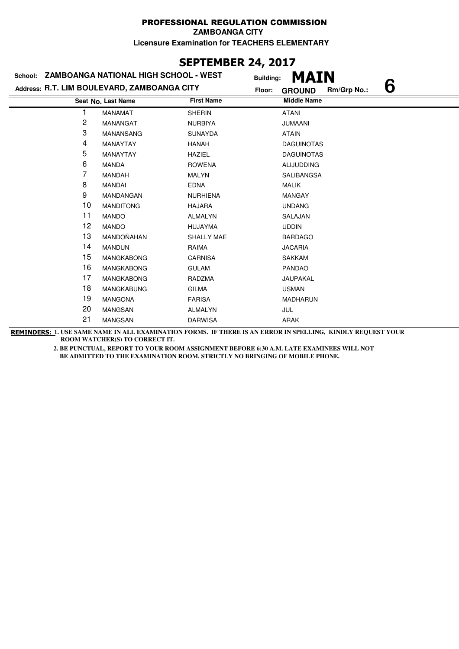# **SEPTEMBER 24, 2017**

| <b>ZAMBOANGA NATIONAL HIGH SCHOOL - WEST</b><br>School: |                    |                   | MAIN<br><b>Building:</b>          |
|---------------------------------------------------------|--------------------|-------------------|-----------------------------------|
| Address: R.T. LIM BOULEVARD, ZAMBOANGA CITY             |                    | Floor:            | 6<br>Rm/Grp No.:<br><b>GROUND</b> |
|                                                         | Seat No. Last Name | <b>First Name</b> | <b>Middle Name</b>                |
|                                                         | <b>MANAMAT</b>     | <b>SHERIN</b>     | <b>ATANI</b>                      |
| 2                                                       | <b>MANANGAT</b>    | <b>NURBIYA</b>    | <b>JUMAANI</b>                    |
| 3                                                       | MANANSANG          | <b>SUNAYDA</b>    | <b>ATAIN</b>                      |
| 4                                                       | MANAYTAY           | HANAH             | <b>DAGUINOTAS</b>                 |
| 5                                                       | <b>MANAYTAY</b>    | <b>HAZIEL</b>     | <b>DAGUINOTAS</b>                 |
| 6                                                       | <b>MANDA</b>       | <b>ROWENA</b>     | <b>ALIJUDDING</b>                 |
| 7                                                       | <b>MANDAH</b>      | <b>MALYN</b>      | SALIBANGSA                        |
| 8                                                       | MANDAI             | <b>EDNA</b>       | <b>MALIK</b>                      |
| 9                                                       | MANDANGAN          | <b>NURHIENA</b>   | <b>MANGAY</b>                     |
| 10                                                      | <b>MANDITONG</b>   | <b>HAJARA</b>     | <b>UNDANG</b>                     |
| 11                                                      | <b>MANDO</b>       | <b>ALMALYN</b>    | SALAJAN                           |
| 12                                                      | <b>MANDO</b>       | <b>HUJAYMA</b>    | <b>UDDIN</b>                      |
| 13                                                      | MANDOÑAHAN         | SHALLY MAE        | <b>BARDAGO</b>                    |
| 14                                                      | <b>MANDUN</b>      | RAIMA             | <b>JACARIA</b>                    |
| 15                                                      | <b>MANGKABONG</b>  | <b>CARNISA</b>    | <b>SAKKAM</b>                     |
| 16                                                      | <b>MANGKABONG</b>  | <b>GULAM</b>      | <b>PANDAO</b>                     |
| 17                                                      | <b>MANGKABONG</b>  | RADZMA            | JAUPAKAL                          |
| 18                                                      | <b>MANGKABUNG</b>  | <b>GILMA</b>      | <b>USMAN</b>                      |
| 19                                                      | <b>MANGONA</b>     | <b>FARISA</b>     | <b>MADHARUN</b>                   |
| 20                                                      | <b>MANGSAN</b>     | <b>ALMALYN</b>    | JUL                               |
| 21                                                      | <b>MANGSAN</b>     | <b>DARWISA</b>    | <b>ARAK</b>                       |

**REMINDERS: 1. USE SAME NAME IN ALL EXAMINATION FORMS. IF THERE IS AN ERROR IN SPELLING, KINDLY REQUEST YOUR ROOM WATCHER(S) TO CORRECT IT.**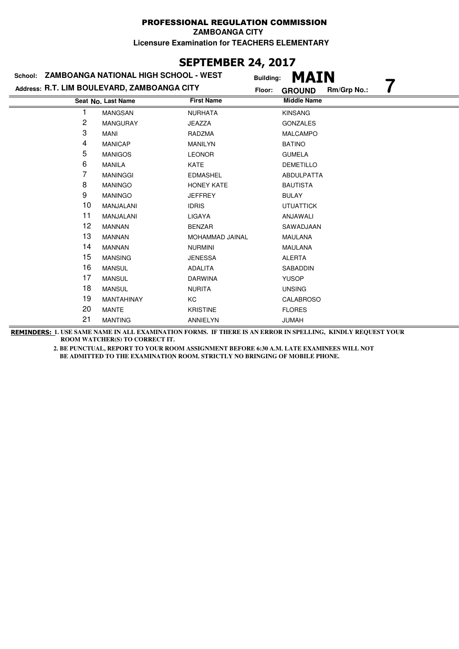# **SEPTEMBER 24, 2017**

| School: | ZAMBOANGA NATIONAL HIGH SCHOOL - WEST       | <b>Building:</b>  | <b>MAIN</b>                  |
|---------|---------------------------------------------|-------------------|------------------------------|
|         | Address: R.T. LIM BOULEVARD, ZAMBOANGA CITY | Floor:            | Rm/Grp No.:<br><b>GROUND</b> |
|         | Seat No. Last Name                          | <b>First Name</b> | <b>Middle Name</b>           |
|         | <b>MANGSAN</b>                              | <b>NURHATA</b>    | <b>KINSANG</b>               |
| 2       | <b>MANGURAY</b>                             | <b>JEAZZA</b>     | <b>GONZALES</b>              |
| 3       | MANI                                        | RADZMA            | <b>MALCAMPO</b>              |
| 4       | <b>MANICAP</b>                              | <b>MANILYN</b>    | <b>BATINO</b>                |
| 5       | <b>MANIGOS</b>                              | <b>LEONOR</b>     | <b>GUMELA</b>                |
| 6       | <b>MANILA</b>                               | KATE              | <b>DEMETILLO</b>             |
| 7       | <b>MANINGGI</b>                             | <b>EDMASHEL</b>   | ABDULPATTA                   |
| 8       | <b>MANINGO</b>                              | HONEY KATE        | <b>BAUTISTA</b>              |
| 9       | <b>MANINGO</b>                              | <b>JEFFREY</b>    | <b>BULAY</b>                 |
| 10      | MANJALANI                                   | <b>IDRIS</b>      | <b>UTUATTICK</b>             |
| 11      | MANJALANI                                   | LIGAYA            | ANJAWALI                     |
| 12      | <b>MANNAN</b>                               | <b>BENZAR</b>     | SAWADJAAN                    |
| 13      | <b>MANNAN</b>                               | MOHAMMAD JAINAL   | <b>MAULANA</b>               |
| 14      | <b>MANNAN</b>                               | <b>NURMINI</b>    | <b>MAULANA</b>               |
| 15      | <b>MANSING</b>                              | <b>JENESSA</b>    | <b>ALERTA</b>                |
| 16      | <b>MANSUL</b>                               | <b>ADALITA</b>    | <b>SABADDIN</b>              |
| 17      | <b>MANSUL</b>                               | <b>DARWINA</b>    | <b>YUSOP</b>                 |
| 18      | <b>MANSUL</b>                               | <b>NURITA</b>     | <b>UNSING</b>                |
| 19      | MANTAHINAY                                  | КC                | <b>CALABROSO</b>             |
| 20      | <b>MANTE</b>                                | <b>KRISTINE</b>   | <b>FLORES</b>                |
| 21      | <b>MANTING</b>                              | <b>ANNIELYN</b>   | <b>JUMAH</b>                 |

**REMINDERS: 1. USE SAME NAME IN ALL EXAMINATION FORMS. IF THERE IS AN ERROR IN SPELLING, KINDLY REQUEST YOUR ROOM WATCHER(S) TO CORRECT IT.**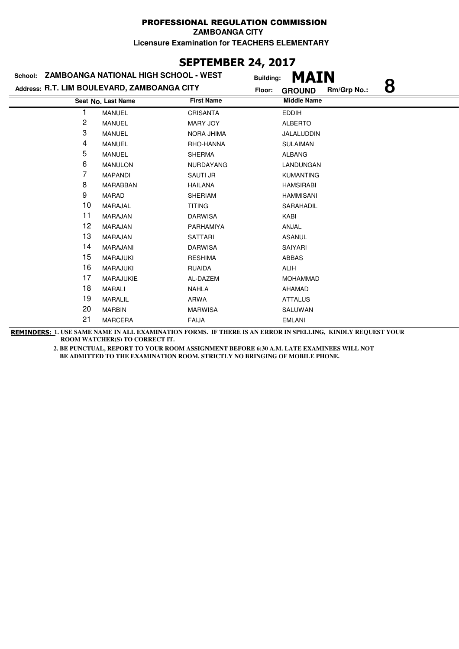# **SEPTEMBER 24, 2017**

| ZAMBOANGA NATIONAL HIGH SCHOOL - WEST<br>School:<br><b>Building:</b> |                                             |                   | MAIN                              |
|----------------------------------------------------------------------|---------------------------------------------|-------------------|-----------------------------------|
|                                                                      | Address: R.T. LIM BOULEVARD, ZAMBOANGA CITY | Floor:            | 8<br>Rm/Grp No.:<br><b>GROUND</b> |
|                                                                      | Seat No. Last Name                          | <b>First Name</b> | <b>Middle Name</b>                |
|                                                                      | <b>MANUEL</b>                               | <b>CRISANTA</b>   | <b>EDDIH</b>                      |
| 2                                                                    | <b>MANUEL</b>                               | <b>MARY JOY</b>   | <b>ALBERTO</b>                    |
| 3                                                                    | <b>MANUEL</b>                               | <b>NORA JHIMA</b> | JALALUDDIN                        |
| 4                                                                    | <b>MANUEL</b>                               | RHO-HANNA         | <b>SULAIMAN</b>                   |
| 5                                                                    | <b>MANUEL</b>                               | <b>SHERMA</b>     | <b>ALBANG</b>                     |
| 6                                                                    | <b>MANULON</b>                              | NURDAYANG         | LANDUNGAN                         |
| 7                                                                    | <b>MAPANDI</b>                              | SAUTI JR          | <b>KUMANTING</b>                  |
| 8                                                                    | <b>MARABBAN</b>                             | <b>HAILANA</b>    | <b>HAMSIRABI</b>                  |
| 9                                                                    | <b>MARAD</b>                                | <b>SHERIAM</b>    | <b>HAMMISANI</b>                  |
| 10                                                                   | MARAJAL                                     | <b>TITING</b>     | SARAHADIL                         |
| 11                                                                   | <b>MARAJAN</b>                              | <b>DARWISA</b>    | KABI                              |
| 12                                                                   | MARAJAN                                     | PARHAMIYA         | ANJAL                             |
| 13                                                                   | <b>MARAJAN</b>                              | <b>SATTARI</b>    | <b>ASANUL</b>                     |
| 14                                                                   | <b>MARAJANI</b>                             | <b>DARWISA</b>    | SAIYARI                           |
| 15                                                                   | <b>MARAJUKI</b>                             | <b>RESHIMA</b>    | <b>ABBAS</b>                      |
| 16                                                                   | <b>MARAJUKI</b>                             | <b>RUAIDA</b>     | ALIH                              |
| 17                                                                   | MARAJUKIE                                   | AL-DAZEM          | <b>MOHAMMAD</b>                   |
| 18                                                                   | <b>MARALI</b>                               | <b>NAHLA</b>      | AHAMAD                            |
| 19                                                                   | <b>MARALIL</b>                              | ARWA              | <b>ATTALUS</b>                    |
| 20                                                                   | <b>MARBIN</b>                               | <b>MARWISA</b>    | SALUWAN                           |
| 21                                                                   | <b>MARCERA</b>                              | <b>FAIJA</b>      | <b>EMLANI</b>                     |

**REMINDERS: 1. USE SAME NAME IN ALL EXAMINATION FORMS. IF THERE IS AN ERROR IN SPELLING, KINDLY REQUEST YOUR ROOM WATCHER(S) TO CORRECT IT.**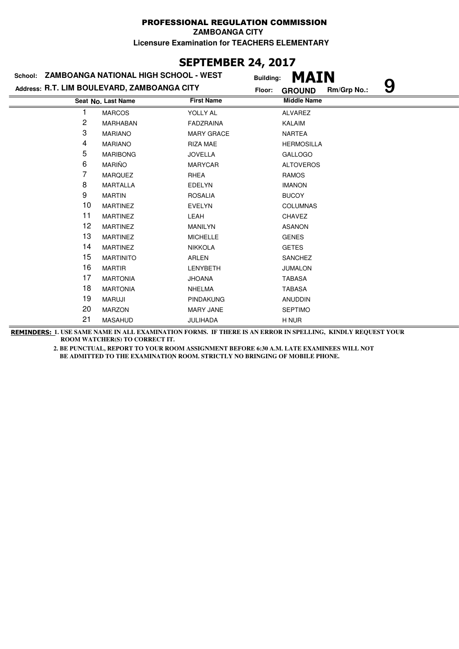# **SEPTEMBER 24, 2017**

| ZAMBOANGA NATIONAL HIGH SCHOOL - WEST<br>School: |                                             | <b>Building:</b>  | <b>MAIN</b>                       |
|--------------------------------------------------|---------------------------------------------|-------------------|-----------------------------------|
|                                                  | Address: R.T. LIM BOULEVARD, ZAMBOANGA CITY | Floor:            | 9<br>Rm/Grp No.:<br><b>GROUND</b> |
|                                                  | Seat No. Last Name                          | <b>First Name</b> | <b>Middle Name</b>                |
|                                                  | <b>MARCOS</b>                               | YOLLY AL          | <b>ALVAREZ</b>                    |
| 2                                                | MARHABAN                                    | <b>FADZRAINA</b>  | <b>KALAIM</b>                     |
| 3                                                | <b>MARIANO</b>                              | <b>MARY GRACE</b> | <b>NARTEA</b>                     |
| 4                                                | <b>MARIANO</b>                              | <b>RIZA MAE</b>   | <b>HERMOSILLA</b>                 |
| 5                                                | <b>MARIBONG</b>                             | <b>JOVELLA</b>    | <b>GALLOGO</b>                    |
| 6                                                | <b>MARIÑO</b>                               | <b>MARYCAR</b>    | <b>ALTOVEROS</b>                  |
| 7                                                | <b>MARQUEZ</b>                              | RHEA              | <b>RAMOS</b>                      |
| 8                                                | <b>MARTALLA</b>                             | <b>EDELYN</b>     | <b>IMANON</b>                     |
| 9                                                | <b>MARTIN</b>                               | <b>ROSALIA</b>    | <b>BUCOY</b>                      |
| 10                                               | <b>MARTINEZ</b>                             | <b>EVELYN</b>     | <b>COLUMNAS</b>                   |
| 11                                               | <b>MARTINEZ</b>                             | LEAH              | <b>CHAVEZ</b>                     |
| 12                                               | <b>MARTINEZ</b>                             | <b>MANILYN</b>    | <b>ASANON</b>                     |
| 13                                               | <b>MARTINEZ</b>                             | <b>MICHELLE</b>   | <b>GENES</b>                      |
| 14                                               | <b>MARTINEZ</b>                             | <b>NIKKOLA</b>    | <b>GETES</b>                      |
| 15                                               | <b>MARTINITO</b>                            | <b>ARLEN</b>      | <b>SANCHEZ</b>                    |
| 16                                               | <b>MARTIR</b>                               | <b>LENYBETH</b>   | <b>JUMALON</b>                    |
| 17                                               | <b>MARTONIA</b>                             | <b>JHOANA</b>     | <b>TABASA</b>                     |
| 18                                               | <b>MARTONIA</b>                             | <b>NHELMA</b>     | <b>TABASA</b>                     |
| 19                                               | <b>MARUJI</b>                               | <b>PINDAKUNG</b>  | <b>ANUDDIN</b>                    |
| 20                                               | <b>MARZON</b>                               | <b>MARY JANE</b>  | <b>SEPTIMO</b>                    |
| 21                                               | <b>MASAHUD</b>                              | <b>JULIHADA</b>   | H NUR                             |

**REMINDERS: 1. USE SAME NAME IN ALL EXAMINATION FORMS. IF THERE IS AN ERROR IN SPELLING, KINDLY REQUEST YOUR ROOM WATCHER(S) TO CORRECT IT.**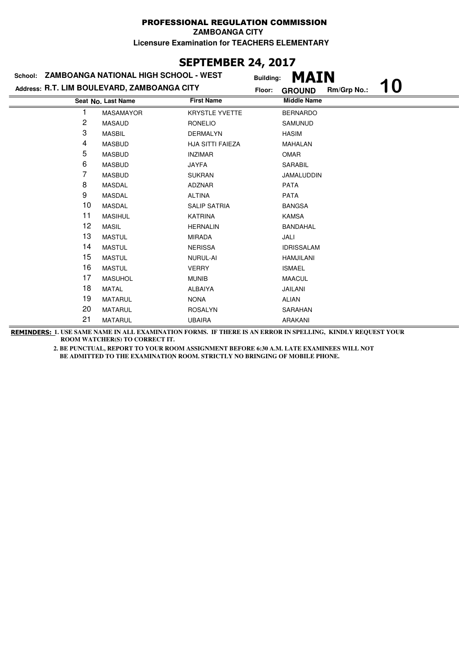# **SEPTEMBER 24, 2017**

| School: ZAMBOANGA NATIONAL HIGH SCHOOL - WEST |                    |                         | MAIN<br><b>Building:</b> |             |    |
|-----------------------------------------------|--------------------|-------------------------|--------------------------|-------------|----|
| Address: R.T. LIM BOULEVARD, ZAMBOANGA CITY   |                    |                         | Floor:<br><b>GROUND</b>  | Rm/Grp No.: | 10 |
|                                               | Seat No. Last Name | <b>First Name</b>       | <b>Middle Name</b>       |             |    |
|                                               | <b>MASAMAYOR</b>   | <b>KRYSTLE YVETTE</b>   | <b>BERNARDO</b>          |             |    |
| 2                                             | <b>MASAUD</b>      | <b>RONELIO</b>          | <b>SAMUNUD</b>           |             |    |
| 3                                             | <b>MASBIL</b>      | <b>DERMALYN</b>         | <b>HASIM</b>             |             |    |
| 4                                             | <b>MASBUD</b>      | <b>HJA SITTI FAIEZA</b> | <b>MAHALAN</b>           |             |    |
| 5                                             | <b>MASBUD</b>      | <b>INZIMAR</b>          | <b>OMAR</b>              |             |    |
| 6                                             | <b>MASBUD</b>      | <b>JAYFA</b>            | <b>SARABIL</b>           |             |    |
| 7                                             | <b>MASBUD</b>      | <b>SUKRAN</b>           | JAMALUDDIN               |             |    |
| 8                                             | <b>MASDAL</b>      | <b>ADZNAR</b>           | <b>PATA</b>              |             |    |
| 9                                             | <b>MASDAL</b>      | <b>ALTINA</b>           | <b>PATA</b>              |             |    |
| 10                                            | <b>MASDAL</b>      | <b>SALIP SATRIA</b>     | <b>BANGSA</b>            |             |    |
| 11                                            | <b>MASIHUL</b>     | <b>KATRINA</b>          | <b>KAMSA</b>             |             |    |
| 12                                            | <b>MASIL</b>       | <b>HERNALIN</b>         | BANDAHAL                 |             |    |
| 13                                            | <b>MASTUL</b>      | <b>MIRADA</b>           | JALI                     |             |    |
| 14                                            | <b>MASTUL</b>      | <b>NERISSA</b>          | <b>IDRISSALAM</b>        |             |    |
| 15                                            | <b>MASTUL</b>      | NURUL-AI                | <b>HAMJILANI</b>         |             |    |
| 16                                            | <b>MASTUL</b>      | <b>VERRY</b>            | <b>ISMAEL</b>            |             |    |
| 17                                            | <b>MASUHOL</b>     | <b>MUNIB</b>            | <b>MAACUL</b>            |             |    |
| 18                                            | <b>MATAL</b>       | <b>ALBAIYA</b>          | <b>JAILANI</b>           |             |    |
| 19                                            | <b>MATARUL</b>     | <b>NONA</b>             | <b>ALIAN</b>             |             |    |
| 20                                            | <b>MATARUL</b>     | <b>ROSALYN</b>          | SARAHAN                  |             |    |
| 21                                            | <b>MATARUL</b>     | <b>UBAIRA</b>           | <b>ARAKANI</b>           |             |    |

**REMINDERS: 1. USE SAME NAME IN ALL EXAMINATION FORMS. IF THERE IS AN ERROR IN SPELLING, KINDLY REQUEST YOUR ROOM WATCHER(S) TO CORRECT IT.**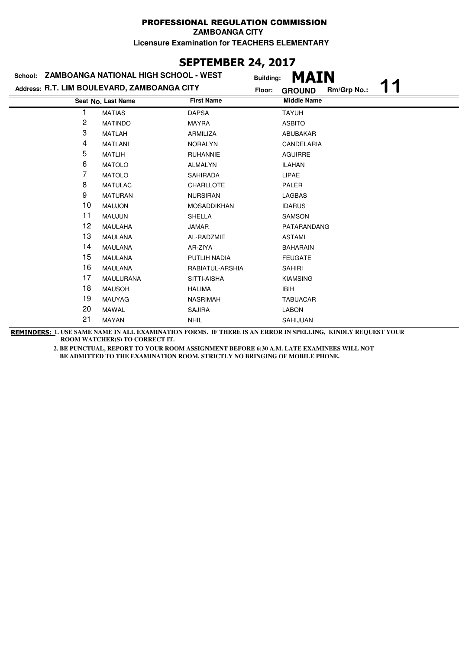### **SEPTEMBER 24, 2017**

|    | School: ZAMBOANGA NATIONAL HIGH SCHOOL - WEST | <b>Building:</b>   | <b>MAIN</b>                  |
|----|-----------------------------------------------|--------------------|------------------------------|
|    | Address: R.T. LIM BOULEVARD, ZAMBOANGA CITY   | Floor:             | Rm/Grp No.:<br><b>GROUND</b> |
|    | Seat No. Last Name                            | <b>First Name</b>  | <b>Middle Name</b>           |
|    | <b>MATIAS</b>                                 | <b>DAPSA</b>       | <b>TAYUH</b>                 |
| 2  | <b>MATINDO</b>                                | <b>MAYRA</b>       | <b>ASBITO</b>                |
| 3  | <b>MATLAH</b>                                 | ARMILIZA           | <b>ABUBAKAR</b>              |
| 4  | <b>MATLANI</b>                                | <b>NORALYN</b>     | CANDELARIA                   |
| 5  | <b>MATLIH</b>                                 | <b>RUHANNIE</b>    | <b>AGUIRRE</b>               |
| 6  | <b>MATOLO</b>                                 | <b>ALMALYN</b>     | <b>ILAHAN</b>                |
| 7  | <b>MATOLO</b>                                 | SAHIRADA           | LIPAE                        |
| 8  | <b>MATULAC</b>                                | CHARLLOTE          | <b>PALER</b>                 |
| 9  | <b>MATURAN</b>                                | <b>NURSIRAN</b>    | <b>LAGBAS</b>                |
| 10 | <b>MAUJON</b>                                 | <b>MOSADDIKHAN</b> | <b>IDARUS</b>                |
| 11 | <b>MAUJUN</b>                                 | <b>SHELLA</b>      | <b>SAMSON</b>                |
| 12 | MAULAHA                                       | <b>JAMAR</b>       | PATARANDANG                  |
| 13 | <b>MAULANA</b>                                | AL-RADZMIE         | <b>ASTAMI</b>                |
| 14 | <b>MAULANA</b>                                | AR-ZIYA            | <b>BAHARAIN</b>              |
| 15 | <b>MAULANA</b>                                | PUTLIH NADIA       | <b>FEUGATE</b>               |
| 16 | <b>MAULANA</b>                                | RABIATUL-ARSHIA    | <b>SAHIRI</b>                |
| 17 | <b>MAULURANA</b>                              | SITTI-AISHA        | <b>KIAMSING</b>              |
| 18 | <b>MAUSOH</b>                                 | <b>HALIMA</b>      | <b>IBIH</b>                  |
| 19 | <b>MAUYAG</b>                                 | <b>NASRIMAH</b>    | <b>TABUACAR</b>              |
| 20 | <b>MAWAL</b>                                  | <b>SAJIRA</b>      | <b>LABON</b>                 |
| 21 | MAYAN                                         | <b>NHIL</b>        | SAHIJUAN                     |

**REMINDERS: 1. USE SAME NAME IN ALL EXAMINATION FORMS. IF THERE IS AN ERROR IN SPELLING, KINDLY REQUEST YOUR ROOM WATCHER(S) TO CORRECT IT.**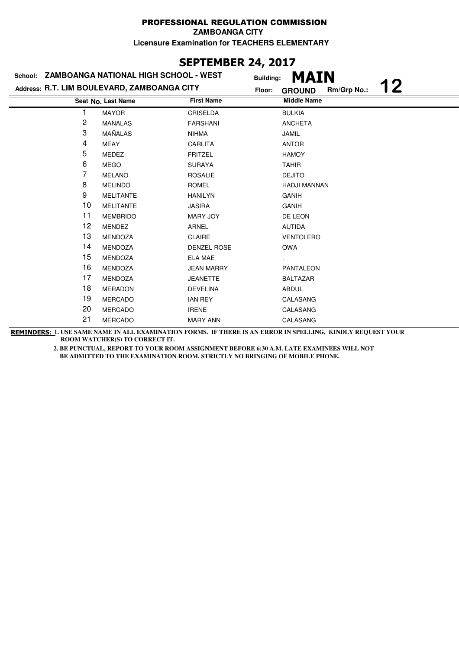### **SEPTEMBER 24, 2017**

|    | School: ZAMBOANGA NATIONAL HIGH SCHOOL - WEST | <b>Building:</b>  | <b>MAIN</b>                        |
|----|-----------------------------------------------|-------------------|------------------------------------|
|    | Address: R.T. LIM BOULEVARD, ZAMBOANGA CITY   | Floor:            | 12<br>Rm/Grp No.:<br><b>GROUND</b> |
|    | Seat No. Last Name                            | <b>First Name</b> | <b>Middle Name</b>                 |
|    | <b>MAYOR</b>                                  | CRISELDA          | <b>BULKIA</b>                      |
| 2  | MAÑALAS                                       | <b>FARSHANI</b>   | <b>ANCHETA</b>                     |
| 3  | MAÑALAS                                       | <b>NIHMA</b>      | <b>JAMIL</b>                       |
| 4  | MEAY                                          | CARLITA           | <b>ANTOR</b>                       |
| 5  | MEDEZ                                         | <b>FRITZEL</b>    | <b>HAMOY</b>                       |
| 6  | <b>MEGO</b>                                   | <b>SURAYA</b>     | <b>TAHIR</b>                       |
| 7  | <b>MELANO</b>                                 | <b>ROSALIE</b>    | <b>DEJITO</b>                      |
| 8  | <b>MELINDO</b>                                | <b>ROMEL</b>      | <b>HADJI MANNAN</b>                |
| 9  | <b>MELITANTE</b>                              | <b>HANILYN</b>    | <b>GANIH</b>                       |
| 10 | <b>MELITANTE</b>                              | <b>JASIRA</b>     | <b>GANIH</b>                       |
| 11 | <b>MEMBRIDO</b>                               | <b>MARY JOY</b>   | DE LEON                            |
| 12 | <b>MENDEZ</b>                                 | ARNEL             | <b>AUTIDA</b>                      |
| 13 | <b>MENDOZA</b>                                | <b>CLAIRE</b>     | <b>VENTOLERO</b>                   |
| 14 | <b>MENDOZA</b>                                | DENZEL ROSE       | <b>OWA</b>                         |
| 15 | <b>MENDOZA</b>                                | <b>ELA MAE</b>    |                                    |
| 16 | <b>MENDOZA</b>                                | <b>JEAN MARRY</b> | PANTALEON                          |
| 17 | <b>MENDOZA</b>                                | <b>JEANETTE</b>   | <b>BALTAZAR</b>                    |
| 18 | <b>MERADON</b>                                | <b>DEVELINA</b>   | <b>ABDUL</b>                       |
| 19 | <b>MERCADO</b>                                | <b>IAN REY</b>    | CALASANG                           |
| 20 | <b>MERCADO</b>                                | <b>IRENE</b>      | CALASANG                           |
| 21 | <b>MERCADO</b>                                | <b>MARY ANN</b>   | CALASANG                           |

**REMINDERS: 1. USE SAME NAME IN ALL EXAMINATION FORMS. IF THERE IS AN ERROR IN SPELLING, KINDLY REQUEST YOUR ROOM WATCHER(S) TO CORRECT IT.**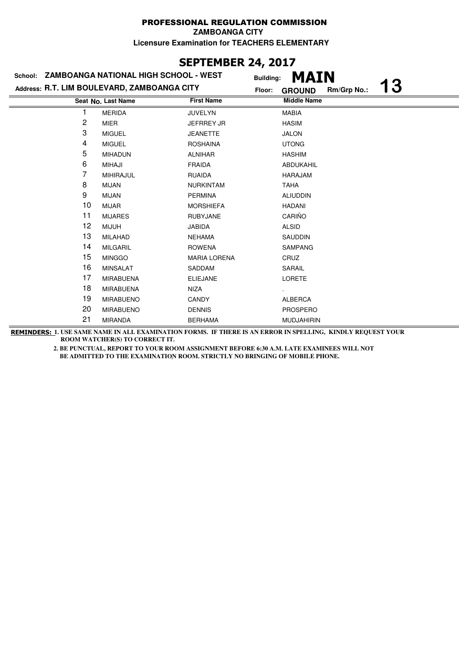### **SEPTEMBER 24, 2017**

|    | School: ZAMBOANGA NATIONAL HIGH SCHOOL - WEST | <b>Building:</b>    | MAIN                                      |
|----|-----------------------------------------------|---------------------|-------------------------------------------|
|    | Address: R.T. LIM BOULEVARD, ZAMBOANGA CITY   | Floor:              | <b>13</b><br>Rm/Grp No.:<br><b>GROUND</b> |
|    | Seat No. Last Name                            | <b>First Name</b>   | <b>Middle Name</b>                        |
|    | <b>MERIDA</b>                                 | <b>JUVELYN</b>      | <b>MABIA</b>                              |
| 2  | MIER                                          | <b>JEFRREY JR</b>   | <b>HASIM</b>                              |
| 3  | <b>MIGUEL</b>                                 | <b>JEANETTE</b>     | <b>JALON</b>                              |
| 4  | <b>MIGUEL</b>                                 | <b>ROSHAINA</b>     | <b>UTONG</b>                              |
| 5  | <b>MIHADUN</b>                                | <b>ALNIHAR</b>      | <b>HASHIM</b>                             |
| 6  | <b>MIHAJI</b>                                 | <b>FRAIDA</b>       | ABDUKAHIL                                 |
| 7  | <b>MIHIRAJUL</b>                              | <b>RUAIDA</b>       | HARAJAM                                   |
| 8  | <b>MIJAN</b>                                  | <b>NURKINTAM</b>    | <b>TAHA</b>                               |
| 9  | <b>MIJAN</b>                                  | <b>PERMINA</b>      | <b>ALIUDDIN</b>                           |
| 10 | <b>MIJAR</b>                                  | <b>MORSHIEFA</b>    | <b>HADANI</b>                             |
| 11 | <b>MIJARES</b>                                | <b>RUBYJANE</b>     | CARIÑO                                    |
| 12 | <b>MIJUH</b>                                  | <b>JABIDA</b>       | <b>ALSID</b>                              |
| 13 | <b>MILAHAD</b>                                | <b>NEHAMA</b>       | <b>SAUDDIN</b>                            |
| 14 | <b>MILGARIL</b>                               | <b>ROWENA</b>       | <b>SAMPANG</b>                            |
| 15 | <b>MINGGO</b>                                 | <b>MARIA LORENA</b> | CRUZ                                      |
| 16 | <b>MINSALAT</b>                               | SADDAM              | SARAIL                                    |
| 17 | <b>MIRABUENA</b>                              | <b>ELIEJANE</b>     | <b>LORETE</b>                             |
| 18 | <b>MIRABUENA</b>                              | NIZA                |                                           |
| 19 | <b>MIRABUENO</b>                              | <b>CANDY</b>        | <b>ALBERCA</b>                            |
| 20 | <b>MIRABUENO</b>                              | <b>DENNIS</b>       | <b>PROSPERO</b>                           |
| 21 | <b>MIRANDA</b>                                | <b>BERHAMA</b>      | <b>MUDJAHIRIN</b>                         |

**REMINDERS: 1. USE SAME NAME IN ALL EXAMINATION FORMS. IF THERE IS AN ERROR IN SPELLING, KINDLY REQUEST YOUR ROOM WATCHER(S) TO CORRECT IT.**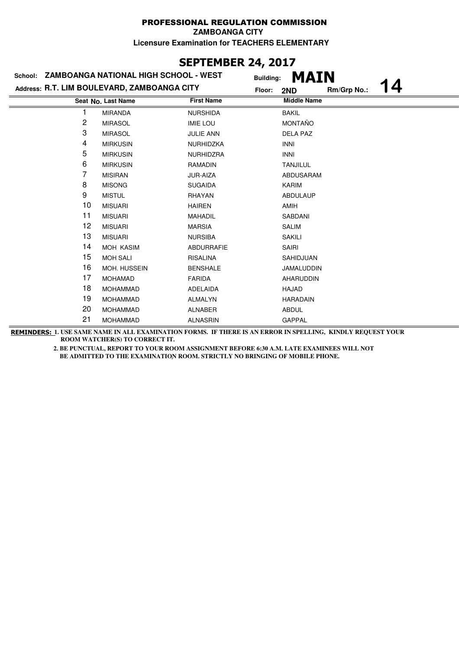### **SEPTEMBER 24, 2017**

| School: ZAMBOANGA NATIONAL HIGH SCHOOL - WEST |                                             |                   | <b>MAIN</b><br><b>Building:</b> |             |   |
|-----------------------------------------------|---------------------------------------------|-------------------|---------------------------------|-------------|---|
|                                               | Address: R.T. LIM BOULEVARD, ZAMBOANGA CITY | Floor:            | 2ND                             | Rm/Grp No.: | 4 |
|                                               | Seat No. Last Name                          | <b>First Name</b> | <b>Middle Name</b>              |             |   |
|                                               | <b>MIRANDA</b>                              | <b>NURSHIDA</b>   | <b>BAKIL</b>                    |             |   |
| 2                                             | <b>MIRASOL</b>                              | <b>IMIE LOU</b>   | <b>MONTAÑO</b>                  |             |   |
| 3                                             | <b>MIRASOL</b>                              | <b>JULIE ANN</b>  | <b>DELA PAZ</b>                 |             |   |
| 4                                             | <b>MIRKUSIN</b>                             | NURHIDZKA         | <b>INNI</b>                     |             |   |
| 5                                             | <b>MIRKUSIN</b>                             | NURHIDZRA         | <b>INNI</b>                     |             |   |
| 6                                             | <b>MIRKUSIN</b>                             | <b>RAMADIN</b>    | <b>TANJILUL</b>                 |             |   |
| 7                                             | <b>MISIRAN</b>                              | JUR-AIZA          | ABDUSARAM                       |             |   |
| 8                                             | <b>MISONG</b>                               | <b>SUGAIDA</b>    | <b>KARIM</b>                    |             |   |
| 9                                             | <b>MISTUL</b>                               | RHAYAN            | <b>ABDULAUP</b>                 |             |   |
| 10                                            | <b>MISUARI</b>                              | <b>HAIREN</b>     | AMIH                            |             |   |
| 11                                            | <b>MISUARI</b>                              | MAHADIL           | SABDANI                         |             |   |
| 12                                            | <b>MISUARI</b>                              | <b>MARSIA</b>     | <b>SALIM</b>                    |             |   |
| 13                                            | <b>MISUARI</b>                              | <b>NURSIBA</b>    | <b>SAKILI</b>                   |             |   |
| 14                                            | <b>MOH KASIM</b>                            | <b>ABDURRAFIE</b> | <b>SAIRI</b>                    |             |   |
| 15                                            | <b>MOH SALI</b>                             | <b>RISALINA</b>   | SAHIDJUAN                       |             |   |
| 16                                            | MOH. HUSSEIN                                | <b>BENSHALE</b>   | <b>JAMALUDDIN</b>               |             |   |
| 17                                            | <b>MOHAMAD</b>                              | <b>FARIDA</b>     | AHARUDDIN                       |             |   |
| 18                                            | <b>MOHAMMAD</b>                             | <b>ADELAIDA</b>   | HAJAD                           |             |   |
| 19                                            | <b>MOHAMMAD</b>                             | <b>ALMALYN</b>    | <b>HARADAIN</b>                 |             |   |
| 20                                            | <b>MOHAMMAD</b>                             | <b>ALNABER</b>    | <b>ABDUL</b>                    |             |   |
| 21                                            | <b>MOHAMMAD</b>                             | <b>ALNASRIN</b>   | <b>GAPPAL</b>                   |             |   |

**REMINDERS: 1. USE SAME NAME IN ALL EXAMINATION FORMS. IF THERE IS AN ERROR IN SPELLING, KINDLY REQUEST YOUR ROOM WATCHER(S) TO CORRECT IT.**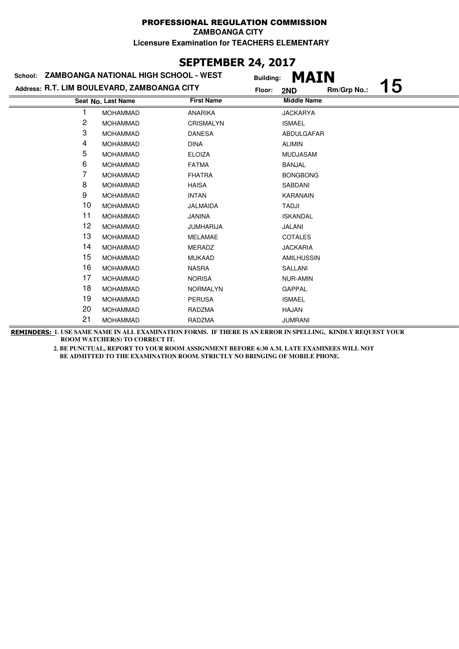# **SEPTEMBER 24, 2017**

| School: ZAMBOANGA NATIONAL HIGH SCHOOL - WEST |                                             |                   | <b>MAIN</b><br><b>Building:</b> |             |    |
|-----------------------------------------------|---------------------------------------------|-------------------|---------------------------------|-------------|----|
|                                               | Address: R.T. LIM BOULEVARD, ZAMBOANGA CITY | Floor:            | 2ND                             | Rm/Grp No.: | 15 |
|                                               | Seat No. Last Name                          | <b>First Name</b> | <b>Middle Name</b>              |             |    |
|                                               | <b>MOHAMMAD</b>                             | <b>ANARIKA</b>    | <b>JACKARYA</b>                 |             |    |
| 2                                             | <b>MOHAMMAD</b>                             | <b>CRISMALYN</b>  | <b>ISMAEL</b>                   |             |    |
| 3                                             | <b>MOHAMMAD</b>                             | <b>DANESA</b>     | ABDULGAFAR                      |             |    |
| 4                                             | <b>MOHAMMAD</b>                             | <b>DINA</b>       | <b>ALIMIN</b>                   |             |    |
| 5                                             | <b>MOHAMMAD</b>                             | <b>ELOIZA</b>     | MUDJASAM                        |             |    |
| 6                                             | <b>MOHAMMAD</b>                             | <b>FATMA</b>      | BANJAL                          |             |    |
| 7                                             | <b>MOHAMMAD</b>                             | <b>FHATRA</b>     | <b>BONGBONG</b>                 |             |    |
| 8                                             | <b>MOHAMMAD</b>                             | <b>HAISA</b>      | SABDANI                         |             |    |
| 9                                             | <b>MOHAMMAD</b>                             | <b>INTAN</b>      | <b>KARANAIN</b>                 |             |    |
| 10                                            | <b>MOHAMMAD</b>                             | <b>JALMAIDA</b>   | <b>TADJI</b>                    |             |    |
| 11                                            | <b>MOHAMMAD</b>                             | <b>JANINA</b>     | <b>ISKANDAL</b>                 |             |    |
| 12                                            | <b>MOHAMMAD</b>                             | <b>JUMHARIJA</b>  | JALANI                          |             |    |
| 13                                            | <b>MOHAMMAD</b>                             | <b>MELAMAE</b>    | <b>COTALES</b>                  |             |    |
| 14                                            | <b>MOHAMMAD</b>                             | <b>MERADZ</b>     | <b>JACKARIA</b>                 |             |    |
| 15                                            | <b>MOHAMMAD</b>                             | <b>MUKAAD</b>     | <b>AMILHUSSIN</b>               |             |    |
| 16                                            | <b>MOHAMMAD</b>                             | <b>NASRA</b>      | SALLANI                         |             |    |
| 17                                            | <b>MOHAMMAD</b>                             | <b>NORISA</b>     | <b>NUR-AMIN</b>                 |             |    |
| 18                                            | <b>MOHAMMAD</b>                             | <b>NORMALYN</b>   | <b>GAPPAL</b>                   |             |    |
| 19                                            | <b>MOHAMMAD</b>                             | <b>PERUSA</b>     | <b>ISMAEL</b>                   |             |    |
| 20                                            | <b>MOHAMMAD</b>                             | RADZMA            | <b>HAJAN</b>                    |             |    |
| 21                                            | <b>MOHAMMAD</b>                             | RADZMA            | <b>JUMRANI</b>                  |             |    |

**REMINDERS: 1. USE SAME NAME IN ALL EXAMINATION FORMS. IF THERE IS AN ERROR IN SPELLING, KINDLY REQUEST YOUR ROOM WATCHER(S) TO CORRECT IT.**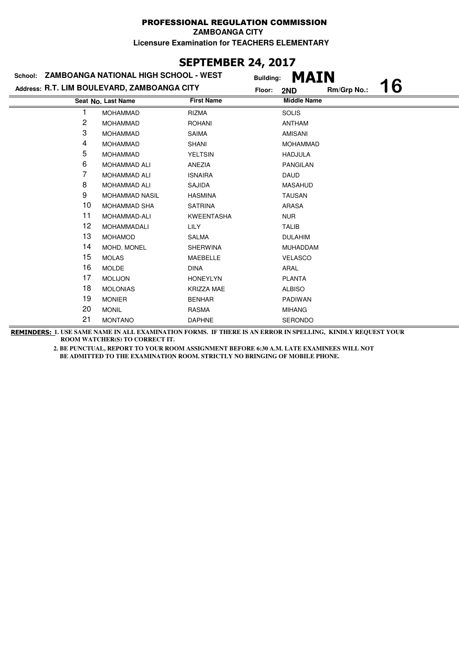# **SEPTEMBER 24, 2017**

| School: ZAMBOANGA NATIONAL HIGH SCHOOL - WEST |                       | <b>MAIN</b><br><b>Building:</b> |                                    |  |
|-----------------------------------------------|-----------------------|---------------------------------|------------------------------------|--|
| Address: R.T. LIM BOULEVARD, ZAMBOANGA CITY   |                       |                                 | 16<br>Rm/Grp No.:<br>Floor:<br>2ND |  |
|                                               | Seat No. Last Name    | <b>First Name</b>               | <b>Middle Name</b>                 |  |
|                                               | <b>MOHAMMAD</b>       | <b>RIZMA</b>                    | <b>SOLIS</b>                       |  |
| 2                                             | <b>MOHAMMAD</b>       | <b>ROHANI</b>                   | <b>ANTHAM</b>                      |  |
| 3                                             | <b>MOHAMMAD</b>       | <b>SAIMA</b>                    | AMISANI                            |  |
| 4                                             | <b>MOHAMMAD</b>       | <b>SHANI</b>                    | <b>MOHAMMAD</b>                    |  |
| 5                                             | <b>MOHAMMAD</b>       | <b>YELTSIN</b>                  | <b>HADJULA</b>                     |  |
| 6                                             | <b>MOHAMMAD ALI</b>   | ANEZIA                          | <b>PANGILAN</b>                    |  |
| 7                                             | <b>MOHAMMAD ALI</b>   | <b>ISNAIRA</b>                  | <b>DAUD</b>                        |  |
| 8                                             | <b>MOHAMMAD ALI</b>   | SAJIDA                          | <b>MASAHUD</b>                     |  |
| 9                                             | <b>MOHAMMAD NASIL</b> | <b>HASMINA</b>                  | <b>TAUSAN</b>                      |  |
| 10                                            | <b>MOHAMMAD SHA</b>   | <b>SATRINA</b>                  | ARASA                              |  |
| 11                                            | MOHAMMAD-ALI          | <b>KWEENTASHA</b>               | <b>NUR</b>                         |  |
| 12                                            | MOHAMMADALI           | <b>LILY</b>                     | <b>TALIB</b>                       |  |
| 13                                            | <b>MOHAMOD</b>        | SALMA                           | <b>DULAHIM</b>                     |  |
| 14                                            | MOHD, MONEL           | <b>SHERWINA</b>                 | <b>MUHADDAM</b>                    |  |
| 15                                            | <b>MOLAS</b>          | MAEBELLE                        | <b>VELASCO</b>                     |  |
| 16                                            | <b>MOLDE</b>          | <b>DINA</b>                     | ARAL                               |  |
| 17                                            | <b>MOLIJON</b>        | <b>HONEYLYN</b>                 | <b>PLANTA</b>                      |  |
| 18                                            | <b>MOLONIAS</b>       | KRIZZA MAE                      | <b>ALBISO</b>                      |  |
| 19                                            | <b>MONIER</b>         | <b>BENHAR</b>                   | <b>PADIWAN</b>                     |  |
| 20                                            | <b>MONIL</b>          | <b>RASMA</b>                    | <b>MIHANG</b>                      |  |
| 21                                            | <b>MONTANO</b>        | <b>DAPHNE</b>                   | <b>SERONDO</b>                     |  |

**REMINDERS: 1. USE SAME NAME IN ALL EXAMINATION FORMS. IF THERE IS AN ERROR IN SPELLING, KINDLY REQUEST YOUR ROOM WATCHER(S) TO CORRECT IT.**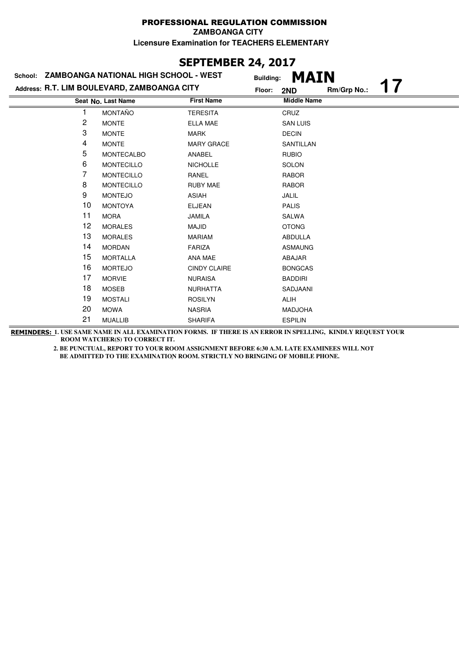# **SEPTEMBER 24, 2017**

| School: ZAMBOANGA NATIONAL HIGH SCHOOL - WEST |                                             |                     | <b>MAIN</b><br><b>Building:</b> |             |  |
|-----------------------------------------------|---------------------------------------------|---------------------|---------------------------------|-------------|--|
|                                               | Address: R.T. LIM BOULEVARD, ZAMBOANGA CITY | Floor:              | 2ND                             | Rm/Grp No.: |  |
|                                               | Seat No. Last Name                          | <b>First Name</b>   | <b>Middle Name</b>              |             |  |
|                                               | <b>MONTAÑO</b>                              | <b>TERESITA</b>     | CRUZ                            |             |  |
| 2                                             | <b>MONTE</b>                                | <b>ELLA MAE</b>     | <b>SAN LUIS</b>                 |             |  |
| 3                                             | <b>MONTE</b>                                | <b>MARK</b>         | <b>DECIN</b>                    |             |  |
| 4                                             | <b>MONTE</b>                                | <b>MARY GRACE</b>   | SANTILLAN                       |             |  |
| 5                                             | MONTECALBO                                  | ANABEL              | <b>RUBIO</b>                    |             |  |
| 6                                             | <b>MONTECILLO</b>                           | <b>NICHOLLE</b>     | <b>SOLON</b>                    |             |  |
| 7                                             | <b>MONTECILLO</b>                           | RANEL               | <b>RABOR</b>                    |             |  |
| 8                                             | <b>MONTECILLO</b>                           | <b>RUBY MAE</b>     | <b>RABOR</b>                    |             |  |
| 9                                             | <b>MONTEJO</b>                              | <b>ASIAH</b>        | <b>JALIL</b>                    |             |  |
| 10                                            | <b>MONTOYA</b>                              | <b>ELJEAN</b>       | <b>PALIS</b>                    |             |  |
| 11                                            | <b>MORA</b>                                 | <b>JAMILA</b>       | SALWA                           |             |  |
| 12                                            | <b>MORALES</b>                              | MAJID               | <b>OTONG</b>                    |             |  |
| 13                                            | <b>MORALES</b>                              | <b>MARIAM</b>       | ABDULLA                         |             |  |
| 14                                            | <b>MORDAN</b>                               | <b>FARIZA</b>       | <b>ASMAUNG</b>                  |             |  |
| 15                                            | <b>MORTALLA</b>                             | ANA MAE             | ABAJAR                          |             |  |
| 16                                            | <b>MORTEJO</b>                              | <b>CINDY CLAIRE</b> | <b>BONGCAS</b>                  |             |  |
| 17                                            | <b>MORVIE</b>                               | <b>NURAISA</b>      | <b>BADDIRI</b>                  |             |  |
| 18                                            | <b>MOSEB</b>                                | <b>NURHATTA</b>     | SADJAANI                        |             |  |
| 19                                            | <b>MOSTALI</b>                              | <b>ROSILYN</b>      | <b>ALIH</b>                     |             |  |
| 20                                            | <b>MOWA</b>                                 | <b>NASRIA</b>       | <b>MADJOHA</b>                  |             |  |
| 21                                            | <b>MUALLIB</b>                              | <b>SHARIFA</b>      | <b>ESPILIN</b>                  |             |  |

**REMINDERS: 1. USE SAME NAME IN ALL EXAMINATION FORMS. IF THERE IS AN ERROR IN SPELLING, KINDLY REQUEST YOUR ROOM WATCHER(S) TO CORRECT IT.**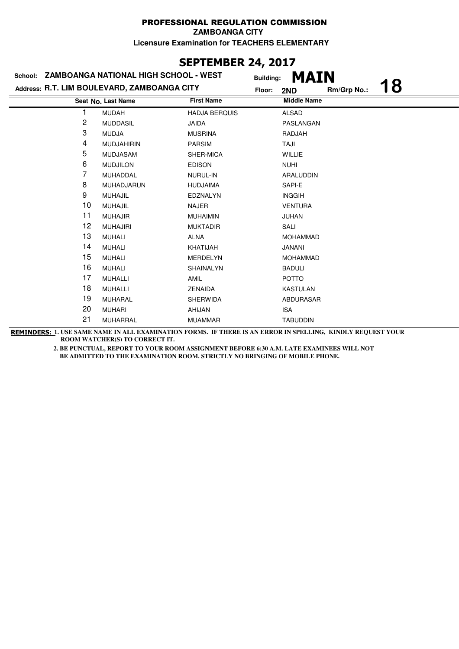# **SEPTEMBER 24, 2017**

| School: ZAMBOANGA NATIONAL HIGH SCHOOL - WEST |                                             |                      | <b>MAIN</b><br><b>Building:</b> |             |    |
|-----------------------------------------------|---------------------------------------------|----------------------|---------------------------------|-------------|----|
|                                               | Address: R.T. LIM BOULEVARD, ZAMBOANGA CITY | Floor:               | 2ND                             | Rm/Grp No.: | 18 |
|                                               | Seat No. Last Name                          | <b>First Name</b>    | <b>Middle Name</b>              |             |    |
|                                               | <b>MUDAH</b>                                | <b>HADJA BERQUIS</b> | <b>ALSAD</b>                    |             |    |
| 2                                             | <b>MUDDASIL</b>                             | <b>JAIDA</b>         | PASLANGAN                       |             |    |
| 3                                             | <b>MUDJA</b>                                | <b>MUSRINA</b>       | RADJAH                          |             |    |
| 4                                             | <b>MUDJAHIRIN</b>                           | <b>PARSIM</b>        | TAJI                            |             |    |
| 5                                             | <b>MUDJASAM</b>                             | SHER-MICA            | <b>WILLIE</b>                   |             |    |
| 6                                             | <b>MUDJILON</b>                             | <b>EDISON</b>        | <b>NUHI</b>                     |             |    |
| 7                                             | MUHADDAL                                    | NURUL-IN             | ARALUDDIN                       |             |    |
| 8                                             | MUHADJARUN                                  | <b>HUDJAIMA</b>      | SAPI-E                          |             |    |
| 9                                             | <b>MUHAJIL</b>                              | <b>EDZNALYN</b>      | <b>INGGIH</b>                   |             |    |
| 10                                            | <b>MUHAJIL</b>                              | <b>NAJER</b>         | <b>VENTURA</b>                  |             |    |
| 11                                            | <b>MUHAJIR</b>                              | <b>MUHAIMIN</b>      | JUHAN                           |             |    |
| 12                                            | <b>MUHAJIRI</b>                             | <b>MUKTADIR</b>      | SALI                            |             |    |
| 13                                            | <b>MUHALI</b>                               | <b>ALNA</b>          | <b>MOHAMMAD</b>                 |             |    |
| 14                                            | <b>MUHALI</b>                               | KHATIJAH             | JANANI                          |             |    |
| 15                                            | <b>MUHALI</b>                               | <b>MERDELYN</b>      | <b>MOHAMMAD</b>                 |             |    |
| 16                                            | <b>MUHALI</b>                               | <b>SHAINALYN</b>     | <b>BADULI</b>                   |             |    |
| 17                                            | <b>MUHALLI</b>                              | <b>AMIL</b>          | <b>POTTO</b>                    |             |    |
| 18                                            | <b>MUHALLI</b>                              | ZENAIDA              | <b>KASTULAN</b>                 |             |    |
| 19                                            | <b>MUHARAL</b>                              | <b>SHERWIDA</b>      | ABDURASAR                       |             |    |
| 20                                            | <b>MUHARI</b>                               | AHIJAN               | <b>ISA</b>                      |             |    |
| 21                                            | <b>MUHARRAL</b>                             | <b>MUAMMAR</b>       | <b>TABUDDIN</b>                 |             |    |

**REMINDERS: 1. USE SAME NAME IN ALL EXAMINATION FORMS. IF THERE IS AN ERROR IN SPELLING, KINDLY REQUEST YOUR ROOM WATCHER(S) TO CORRECT IT.**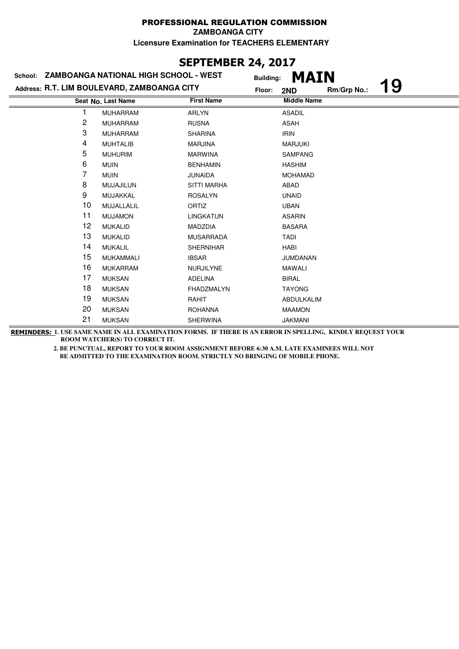### **SEPTEMBER 24, 2017**

| School: ZAMBOANGA NATIONAL HIGH SCHOOL - WEST |                  |                    |                                             |                            |                                   |
|-----------------------------------------------|------------------|--------------------|---------------------------------------------|----------------------------|-----------------------------------|
|                                               |                  |                    | 2ND                                         | Rm/Grp No.:                | 19                                |
|                                               |                  | <b>First Name</b>  |                                             |                            |                                   |
|                                               | <b>MUHARRAM</b>  | <b>ARLYN</b>       | <b>ASADIL</b>                               |                            |                                   |
| 2                                             | <b>MUHARRAM</b>  | <b>RUSNA</b>       | <b>ASAH</b>                                 |                            |                                   |
| 3                                             | <b>MUHARRAM</b>  | <b>SHARINA</b>     | <b>IRIN</b>                                 |                            |                                   |
| 4                                             | <b>MUHTALIB</b>  | <b>MARJINA</b>     | <b>MARJUKI</b>                              |                            |                                   |
| 5                                             | <b>MUHURIM</b>   | <b>MARWINA</b>     | <b>SAMPANG</b>                              |                            |                                   |
| 6                                             | <b>MUIN</b>      | <b>BENHAMIN</b>    | <b>HASHIM</b>                               |                            |                                   |
| 7                                             | <b>MUIN</b>      | <b>JUNAIDA</b>     | <b>MOHAMAD</b>                              |                            |                                   |
| 8                                             | MUJAJILUN        | <b>SITTI MARHA</b> | ABAD                                        |                            |                                   |
| 9                                             | MUJAKKAL         | <b>ROSALYN</b>     | <b>UNAID</b>                                |                            |                                   |
| 10                                            | MUJALLALIL       | ORTIZ              | <b>UBAN</b>                                 |                            |                                   |
| 11                                            | <b>MUJAMON</b>   | <b>LINGKATUN</b>   | <b>ASARIN</b>                               |                            |                                   |
| 12                                            | <b>MUKALID</b>   | <b>MADZDIA</b>     | <b>BASARA</b>                               |                            |                                   |
| 13                                            | <b>MUKALID</b>   | <b>MUSARRADA</b>   | TADI                                        |                            |                                   |
| 14                                            | <b>MUKALIL</b>   | <b>SHERNIHAR</b>   | <b>HABI</b>                                 |                            |                                   |
| 15                                            | <b>MUKAMMALI</b> | <b>IBSAR</b>       | <b>JUMDANAN</b>                             |                            |                                   |
| 16                                            | <b>MUKARRAM</b>  | NURJILYNE          | <b>MAWALI</b>                               |                            |                                   |
| 17                                            | <b>MUKSAN</b>    | <b>ADELINA</b>     | <b>BIRAL</b>                                |                            |                                   |
| 18                                            | <b>MUKSAN</b>    | FHADZMALYN         | <b>TAYONG</b>                               |                            |                                   |
| 19                                            | <b>MUKSAN</b>    | RAHIT              | ABDULKALIM                                  |                            |                                   |
| 20                                            | <b>MUKSAN</b>    | <b>ROHANNA</b>     | <b>MAAMON</b>                               |                            |                                   |
| 21                                            | <b>MUKSAN</b>    | SHERWINA           | <b>JAKMANI</b>                              |                            |                                   |
|                                               |                  | Seat No. Last Name | Address: R.T. LIM BOULEVARD, ZAMBOANGA CITY | <b>Building:</b><br>Floor: | <b>MAIN</b><br><b>Middle Name</b> |

**REMINDERS: 1. USE SAME NAME IN ALL EXAMINATION FORMS. IF THERE IS AN ERROR IN SPELLING, KINDLY REQUEST YOUR ROOM WATCHER(S) TO CORRECT IT.**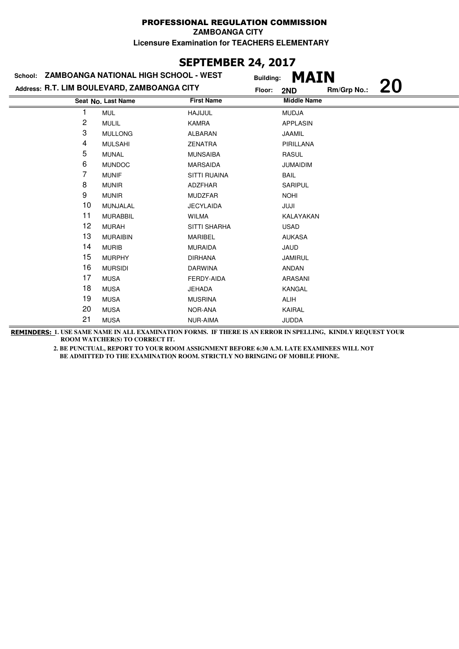# **SEPTEMBER 24, 2017**

| School: ZAMBOANGA NATIONAL HIGH SCHOOL - WEST |                                             |                     | <b>MAIN</b><br><b>Building:</b> |             |    |
|-----------------------------------------------|---------------------------------------------|---------------------|---------------------------------|-------------|----|
|                                               | Address: R.T. LIM BOULEVARD, ZAMBOANGA CITY | Floor:              | 2ND                             | Rm/Grp No.: | 20 |
|                                               | Seat No. Last Name                          | <b>First Name</b>   | <b>Middle Name</b>              |             |    |
|                                               | <b>MUL</b>                                  | <b>HAJIJUL</b>      | <b>MUDJA</b>                    |             |    |
| 2                                             | <b>MULIL</b>                                | <b>KAMRA</b>        | <b>APPLASIN</b>                 |             |    |
| 3                                             | <b>MULLONG</b>                              | <b>ALBARAN</b>      | <b>JAAMIL</b>                   |             |    |
| 4                                             | <b>MULSAHI</b>                              | <b>ZENATRA</b>      | PIRILLANA                       |             |    |
| 5                                             | <b>MUNAL</b>                                | <b>MUNSAIBA</b>     | <b>RASUL</b>                    |             |    |
| 6                                             | <b>MUNDOC</b>                               | <b>MARSAIDA</b>     | <b>JUMAIDIM</b>                 |             |    |
| 7                                             | <b>MUNIF</b>                                | <b>SITTI RUAINA</b> | BAIL                            |             |    |
| 8                                             | <b>MUNIR</b>                                | <b>ADZFHAR</b>      | <b>SARIPUL</b>                  |             |    |
| 9                                             | <b>MUNIR</b>                                | <b>MUDZFAR</b>      | <b>NOHI</b>                     |             |    |
| 10                                            | MUNJALAL                                    | <b>JECYLAIDA</b>    | JUJI                            |             |    |
| 11                                            | <b>MURABBIL</b>                             | WILMA               | KALAYAKAN                       |             |    |
| 12                                            | <b>MURAH</b>                                | <b>SITTI SHARHA</b> | <b>USAD</b>                     |             |    |
| 13                                            | <b>MURAIBIN</b>                             | MARIBEL             | <b>AUKASA</b>                   |             |    |
| 14                                            | <b>MURIB</b>                                | <b>MURAIDA</b>      | JAUD                            |             |    |
| 15                                            | <b>MURPHY</b>                               | <b>DIRHANA</b>      | <b>JAMIRUL</b>                  |             |    |
| 16                                            | <b>MURSIDI</b>                              | <b>DARWINA</b>      | ANDAN                           |             |    |
| 17                                            | <b>MUSA</b>                                 | FERDY-AIDA          | ARASANI                         |             |    |
| 18                                            | <b>MUSA</b>                                 | <b>JEHADA</b>       | KANGAL                          |             |    |
| 19                                            | <b>MUSA</b>                                 | <b>MUSRINA</b>      | <b>ALIH</b>                     |             |    |
| 20                                            | <b>MUSA</b>                                 | NOR-ANA             | KAIRAL                          |             |    |
| 21                                            | <b>MUSA</b>                                 | <b>NUR-AIMA</b>     | <b>JUDDA</b>                    |             |    |

**REMINDERS: 1. USE SAME NAME IN ALL EXAMINATION FORMS. IF THERE IS AN ERROR IN SPELLING, KINDLY REQUEST YOUR ROOM WATCHER(S) TO CORRECT IT.**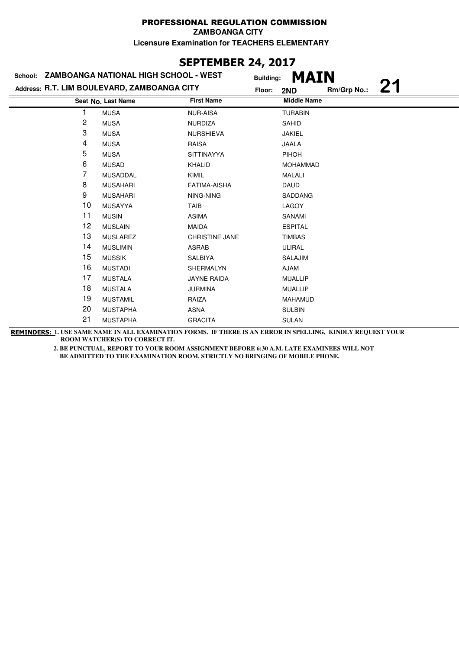### **SEPTEMBER 24, 2017**

| School: ZAMBOANGA NATIONAL HIGH SCHOOL - WEST |                                             |                       | <b>MAIN</b><br><b>Building:</b> |             |  |
|-----------------------------------------------|---------------------------------------------|-----------------------|---------------------------------|-------------|--|
|                                               | Address: R.T. LIM BOULEVARD, ZAMBOANGA CITY | Floor:                | 2ND                             | Rm/Grp No.: |  |
|                                               | Seat No. Last Name                          | <b>First Name</b>     | <b>Middle Name</b>              |             |  |
|                                               | <b>MUSA</b>                                 | <b>NUR-AISA</b>       | <b>TURABIN</b>                  |             |  |
| $\overline{c}$                                | <b>MUSA</b>                                 | <b>NURDIZA</b>        | <b>SAHID</b>                    |             |  |
| 3                                             | <b>MUSA</b>                                 | <b>NURSHIEVA</b>      | <b>JAKIEL</b>                   |             |  |
| 4                                             | <b>MUSA</b>                                 | <b>RAISA</b>          | <b>JAALA</b>                    |             |  |
| 5                                             | <b>MUSA</b>                                 | <b>SITTINAYYA</b>     | PIHOH                           |             |  |
| 6                                             | <b>MUSAD</b>                                | <b>KHALID</b>         | <b>MOHAMMAD</b>                 |             |  |
| 7                                             | <b>MUSADDAL</b>                             | <b>KIMIL</b>          | <b>MALALI</b>                   |             |  |
| 8                                             | <b>MUSAHARI</b>                             | <b>FATIMA-AISHA</b>   | <b>DAUD</b>                     |             |  |
| 9                                             | <b>MUSAHARI</b>                             | NING-NING             | <b>SADDANG</b>                  |             |  |
| 10                                            | <b>MUSAYYA</b>                              | TAIB                  | <b>LAGOY</b>                    |             |  |
| 11                                            | <b>MUSIN</b>                                | <b>ASIMA</b>          | SANAMI                          |             |  |
| 12                                            | <b>MUSLAIN</b>                              | <b>MAIDA</b>          | <b>ESPITAL</b>                  |             |  |
| 13                                            | <b>MUSLAREZ</b>                             | <b>CHRISTINE JANE</b> | <b>TIMBAS</b>                   |             |  |
| 14                                            | <b>MUSLIMIN</b>                             | <b>ASRAB</b>          | ULIRAL                          |             |  |
| 15                                            | <b>MUSSIK</b>                               | SALBIYA               | SALAJIM                         |             |  |
| 16                                            | <b>MUSTADI</b>                              | SHERMALYN             | <b>AJAM</b>                     |             |  |
| 17                                            | <b>MUSTALA</b>                              | <b>JAYNE RAIDA</b>    | <b>MUALLIP</b>                  |             |  |
| 18                                            | <b>MUSTALA</b>                              | <b>JURMINA</b>        | <b>MUALLIP</b>                  |             |  |
| 19                                            | <b>MUSTAMIL</b>                             | RAIZA                 | <b>MAHAMUD</b>                  |             |  |
| 20                                            | <b>MUSTAPHA</b>                             | <b>ASNA</b>           | <b>SULBIN</b>                   |             |  |
| 21                                            | <b>MUSTAPHA</b>                             | <b>GRACITA</b>        | <b>SULAN</b>                    |             |  |

**REMINDERS: 1. USE SAME NAME IN ALL EXAMINATION FORMS. IF THERE IS AN ERROR IN SPELLING, KINDLY REQUEST YOUR ROOM WATCHER(S) TO CORRECT IT.**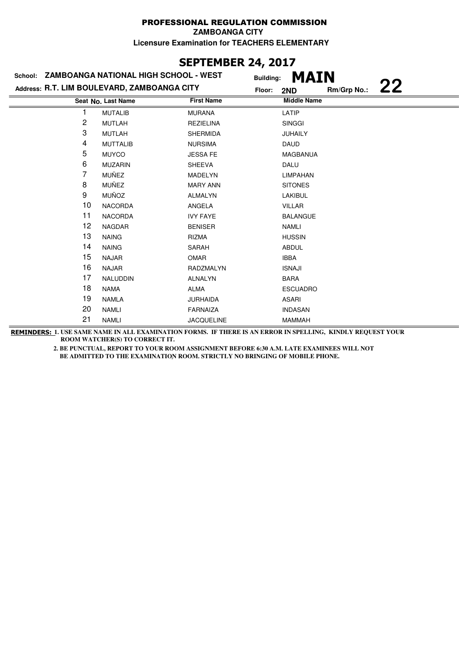### **SEPTEMBER 24, 2017**

| School: ZAMBOANGA NATIONAL HIGH SCHOOL - WEST |                 | <b>Building:</b>   |                                             |             |                                   |
|-----------------------------------------------|-----------------|--------------------|---------------------------------------------|-------------|-----------------------------------|
|                                               |                 |                    | Floor:<br>2ND                               | Rm/Grp No.: | 22                                |
|                                               |                 | <b>First Name</b>  |                                             |             |                                   |
|                                               | <b>MUTALIB</b>  | <b>MURANA</b>      | LATIP                                       |             |                                   |
| 2                                             | <b>MUTLAH</b>   | <b>REZIELINA</b>   | <b>SINGGI</b>                               |             |                                   |
| 3                                             | <b>MUTLAH</b>   | <b>SHERMIDA</b>    | <b>JUHAILY</b>                              |             |                                   |
| 4                                             | <b>MUTTALIB</b> | <b>NURSIMA</b>     | <b>DAUD</b>                                 |             |                                   |
| 5                                             | <b>MUYCO</b>    | <b>JESSA FE</b>    | MAGBANUA                                    |             |                                   |
| 6                                             | <b>MUZARIN</b>  | <b>SHEEVA</b>      | DALU                                        |             |                                   |
| 7                                             | MUÑEZ           | <b>MADELYN</b>     | <b>LIMPAHAN</b>                             |             |                                   |
| 8                                             | MUÑEZ           | <b>MARY ANN</b>    | <b>SITONES</b>                              |             |                                   |
| 9                                             | <b>MUÑOZ</b>    | <b>ALMALYN</b>     | LAKIBUL                                     |             |                                   |
| 10                                            | <b>NACORDA</b>  | ANGELA             | <b>VILLAR</b>                               |             |                                   |
| 11                                            | <b>NACORDA</b>  | <b>IVY FAYE</b>    | <b>BALANGUE</b>                             |             |                                   |
| 12                                            | <b>NAGDAR</b>   | <b>BENISER</b>     | <b>NAMLI</b>                                |             |                                   |
| 13                                            | <b>NAING</b>    | <b>RIZMA</b>       | <b>HUSSIN</b>                               |             |                                   |
| 14                                            | <b>NAING</b>    | SARAH              | <b>ABDUL</b>                                |             |                                   |
| 15                                            | <b>NAJAR</b>    | <b>OMAR</b>        | <b>IBBA</b>                                 |             |                                   |
| 16                                            | <b>NAJAR</b>    | RADZMALYN          | <b>ISNAJI</b>                               |             |                                   |
| 17                                            | NALUDDIN        | <b>ALNALYN</b>     | <b>BARA</b>                                 |             |                                   |
| 18                                            | <b>NAMA</b>     | ALMA               | <b>ESCUADRO</b>                             |             |                                   |
| 19                                            | <b>NAMLA</b>    | <b>JURHAIDA</b>    | <b>ASARI</b>                                |             |                                   |
| 20                                            | <b>NAMLI</b>    | <b>FARNAIZA</b>    | <b>INDASAN</b>                              |             |                                   |
| 21                                            | <b>NAMLI</b>    | <b>JACQUELINE</b>  | <b>MAMMAH</b>                               |             |                                   |
|                                               |                 | Seat No. Last Name | Address: R.T. LIM BOULEVARD, ZAMBOANGA CITY |             | <b>MAIN</b><br><b>Middle Name</b> |

**REMINDERS: 1. USE SAME NAME IN ALL EXAMINATION FORMS. IF THERE IS AN ERROR IN SPELLING, KINDLY REQUEST YOUR ROOM WATCHER(S) TO CORRECT IT.**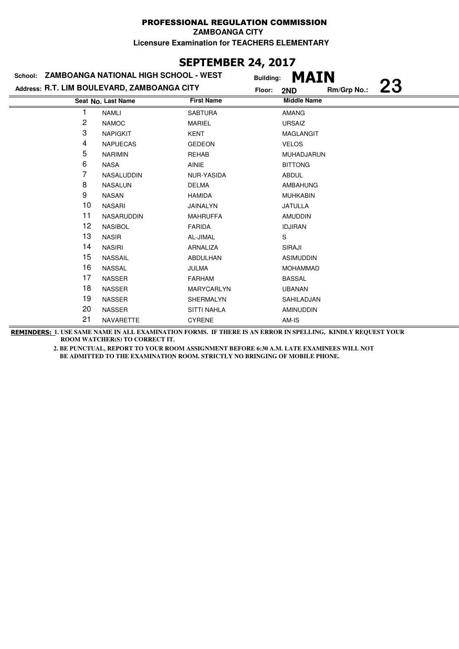### **SEPTEMBER 24, 2017**

|    | School: ZAMBOANGA NATIONAL HIGH SCHOOL - WEST | <b>Building:</b>   | <b>MAIN</b>        |             |           |
|----|-----------------------------------------------|--------------------|--------------------|-------------|-----------|
|    | Address: R.T. LIM BOULEVARD, ZAMBOANGA CITY   | Floor:             | 2ND                | Rm/Grp No.: | <b>23</b> |
|    | Seat No. Last Name                            | <b>First Name</b>  | <b>Middle Name</b> |             |           |
|    | <b>NAMLI</b>                                  | <b>SABTURA</b>     | <b>AMANG</b>       |             |           |
| 2  | <b>NAMOC</b>                                  | <b>MARIEL</b>      | <b>URSAIZ</b>      |             |           |
| 3  | <b>NAPIGKIT</b>                               | <b>KENT</b>        | <b>MAGLANGIT</b>   |             |           |
| 4  | <b>NAPUECAS</b>                               | <b>GEDEON</b>      | <b>VELOS</b>       |             |           |
| 5  | <b>NARIMIN</b>                                | <b>REHAB</b>       | MUHADJARUN         |             |           |
| 6  | <b>NASA</b>                                   | <b>AINIE</b>       | <b>BITTONG</b>     |             |           |
| 7  | NASALUDDIN                                    | <b>NUR-YASIDA</b>  | <b>ABDUL</b>       |             |           |
| 8  | <b>NASALUN</b>                                | <b>DELMA</b>       | <b>AMBAHUNG</b>    |             |           |
| 9  | <b>NASAN</b>                                  | <b>HAMIDA</b>      | <b>MUHKABIN</b>    |             |           |
| 10 | NASARI                                        | JAINALYN           | <b>JATULLA</b>     |             |           |
| 11 | <b>NASARUDDIN</b>                             | <b>MAHRUFFA</b>    | <b>AMUDDIN</b>     |             |           |
| 12 | <b>NASIBOL</b>                                | <b>FARIDA</b>      | <b>IDJIRAN</b>     |             |           |
| 13 | <b>NASIR</b>                                  | AL-JIMAL           | S                  |             |           |
| 14 | <b>NASIRI</b>                                 | ARNALIZA           | SIRAJI             |             |           |
| 15 | <b>NASSAIL</b>                                | ABDULHAN           | <b>ASIMUDDIN</b>   |             |           |
| 16 | <b>NASSAL</b>                                 | <b>JULMA</b>       | <b>MOHAMMAD</b>    |             |           |
| 17 | <b>NASSER</b>                                 | <b>FARHAM</b>      | <b>BASSAL</b>      |             |           |
| 18 | <b>NASSER</b>                                 | MARYCARLYN         | <b>UBANAN</b>      |             |           |
| 19 | <b>NASSER</b>                                 | SHERMALYN          | SAHILADJAN         |             |           |
| 20 | <b>NASSER</b>                                 | <b>SITTI NAHLA</b> | <b>AMINUDDIN</b>   |             |           |
| 21 | <b>NAVARETTE</b>                              | <b>CYRENE</b>      | AM-IS              |             |           |

**REMINDERS: 1. USE SAME NAME IN ALL EXAMINATION FORMS. IF THERE IS AN ERROR IN SPELLING, KINDLY REQUEST YOUR ROOM WATCHER(S) TO CORRECT IT.**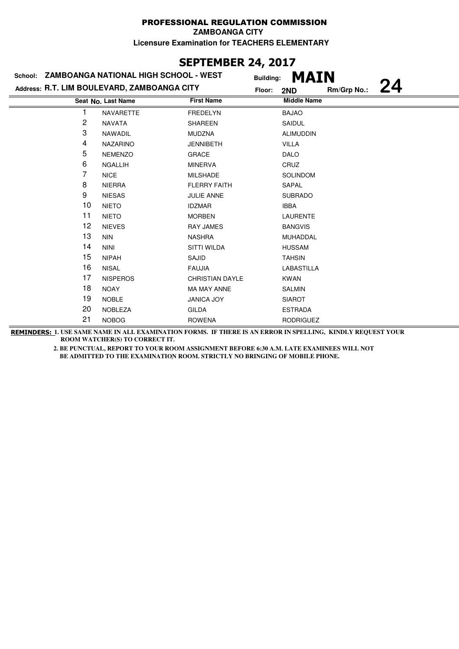# **SEPTEMBER 24, 2017**

|    | School: ZAMBOANGA NATIONAL HIGH SCHOOL - WEST | <b>Building:</b>       | <b>MAIN</b>        |             |    |
|----|-----------------------------------------------|------------------------|--------------------|-------------|----|
|    | Address: R.T. LIM BOULEVARD, ZAMBOANGA CITY   | Floor:                 | 2ND                | Rm/Grp No.: | 24 |
|    | Seat No. Last Name                            | <b>First Name</b>      | <b>Middle Name</b> |             |    |
|    | NAVARETTE                                     | <b>FREDELYN</b>        | <b>BAJAO</b>       |             |    |
| 2  | <b>NAVATA</b>                                 | <b>SHAREEN</b>         | SAIDUL             |             |    |
| 3  | <b>NAWADIL</b>                                | <b>MUDZNA</b>          | <b>ALIMUDDIN</b>   |             |    |
| 4  | <b>NAZARINO</b>                               | <b>JENNIBETH</b>       | <b>VILLA</b>       |             |    |
| 5  | <b>NEMENZO</b>                                | <b>GRACE</b>           | <b>DALO</b>        |             |    |
| 6  | <b>NGALLIH</b>                                | <b>MINERVA</b>         | CRUZ               |             |    |
| 7  | <b>NICE</b>                                   | <b>MILSHADE</b>        | <b>SOLINDOM</b>    |             |    |
| 8  | <b>NIERRA</b>                                 | <b>FLERRY FAITH</b>    | SAPAL              |             |    |
| 9  | <b>NIESAS</b>                                 | <b>JULIE ANNE</b>      | <b>SUBRADO</b>     |             |    |
| 10 | <b>NIETO</b>                                  | <b>IDZMAR</b>          | <b>IBBA</b>        |             |    |
| 11 | <b>NIETO</b>                                  | <b>MORBEN</b>          | <b>LAURENTE</b>    |             |    |
| 12 | <b>NIEVES</b>                                 | <b>RAY JAMES</b>       | <b>BANGVIS</b>     |             |    |
| 13 | <b>NIN</b>                                    | <b>NASHRA</b>          | MUHADDAL           |             |    |
| 14 | <b>NINI</b>                                   | SITTI WILDA            | <b>HUSSAM</b>      |             |    |
| 15 | <b>NIPAH</b>                                  | SAJID                  | <b>TAHSIN</b>      |             |    |
| 16 | <b>NISAL</b>                                  | <b>FAUJIA</b>          | LABASTILLA         |             |    |
| 17 | <b>NISPEROS</b>                               | <b>CHRISTIAN DAYLE</b> | <b>KWAN</b>        |             |    |
| 18 | <b>NOAY</b>                                   | <b>MA MAY ANNE</b>     | <b>SALMIN</b>      |             |    |
| 19 | <b>NOBLE</b>                                  | <b>JANICA JOY</b>      | <b>SIAROT</b>      |             |    |
| 20 | <b>NOBLEZA</b>                                | <b>GILDA</b>           | <b>ESTRADA</b>     |             |    |
| 21 | <b>NOBOG</b>                                  | <b>ROWENA</b>          | <b>RODRIGUEZ</b>   |             |    |
|    |                                               |                        |                    |             |    |

**REMINDERS: 1. USE SAME NAME IN ALL EXAMINATION FORMS. IF THERE IS AN ERROR IN SPELLING, KINDLY REQUEST YOUR ROOM WATCHER(S) TO CORRECT IT.**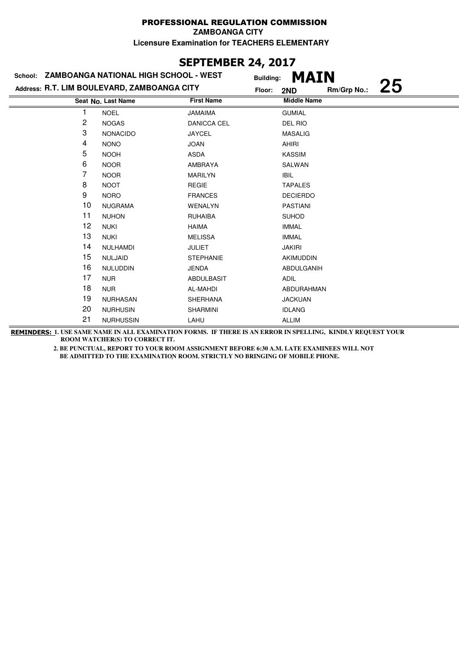# **SEPTEMBER 24, 2017**

| School: ZAMBOANGA NATIONAL HIGH SCHOOL - WEST |                    |                   | <b>MAIN</b><br><b>Building:</b> |             |    |
|-----------------------------------------------|--------------------|-------------------|---------------------------------|-------------|----|
| Address: R.T. LIM BOULEVARD, ZAMBOANGA CITY   |                    |                   | Floor:<br>2ND                   | Rm/Grp No.: | 25 |
|                                               | Seat No. Last Name | <b>First Name</b> | <b>Middle Name</b>              |             |    |
|                                               | <b>NOEL</b>        | <b>JAMAIMA</b>    | <b>GUMIAL</b>                   |             |    |
| 2                                             | <b>NOGAS</b>       | DANICCA CEL       | DEL RIO                         |             |    |
| 3                                             | <b>NONACIDO</b>    | <b>JAYCEL</b>     | <b>MASALIG</b>                  |             |    |
| 4                                             | <b>NONO</b>        | <b>JOAN</b>       | AHIRI                           |             |    |
| 5                                             | <b>NOOH</b>        | <b>ASDA</b>       | <b>KASSIM</b>                   |             |    |
| 6                                             | <b>NOOR</b>        | AMBRAYA           | SALWAN                          |             |    |
| 7                                             | <b>NOOR</b>        | <b>MARILYN</b>    | IBIL                            |             |    |
| 8                                             | <b>NOOT</b>        | <b>REGIE</b>      | <b>TAPALES</b>                  |             |    |
| 9                                             | <b>NORO</b>        | <b>FRANCES</b>    | <b>DECIERDO</b>                 |             |    |
| 10                                            | <b>NUGRAMA</b>     | WENALYN           | <b>PASTIANI</b>                 |             |    |
| 11                                            | <b>NUHON</b>       | <b>RUHAIBA</b>    | <b>SUHOD</b>                    |             |    |
| 12                                            | <b>NUKI</b>        | <b>HAIMA</b>      | <b>IMMAL</b>                    |             |    |
| 13                                            | <b>NUKI</b>        | <b>MELISSA</b>    | <b>IMMAL</b>                    |             |    |
| 14                                            | <b>NULHAMDI</b>    | <b>JULIET</b>     | <b>JAKIRI</b>                   |             |    |
| 15                                            | <b>NULJAID</b>     | <b>STEPHANIE</b>  | AKIMUDDIN                       |             |    |
| 16                                            | <b>NULUDDIN</b>    | <b>JENDA</b>      | ABDULGANIH                      |             |    |
| 17                                            | <b>NUR</b>         | <b>ABDULBASIT</b> | <b>ADIL</b>                     |             |    |
| 18                                            | <b>NUR</b>         | AL-MAHDI          | ABDURAHMAN                      |             |    |
| 19                                            | <b>NURHASAN</b>    | <b>SHERHANA</b>   | <b>JACKUAN</b>                  |             |    |
| 20                                            | <b>NURHUSIN</b>    | <b>SHARMINI</b>   | <b>IDLANG</b>                   |             |    |
| 21                                            | <b>NURHUSSIN</b>   | LAHU              | <b>ALLIM</b>                    |             |    |

**REMINDERS: 1. USE SAME NAME IN ALL EXAMINATION FORMS. IF THERE IS AN ERROR IN SPELLING, KINDLY REQUEST YOUR ROOM WATCHER(S) TO CORRECT IT.**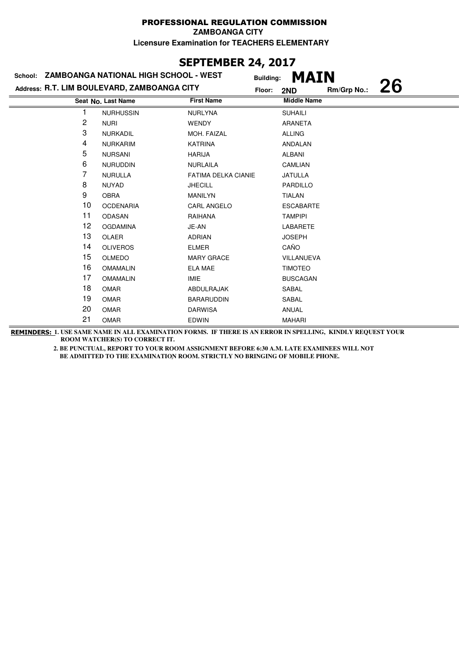### **SEPTEMBER 24, 2017**

|    | School: ZAMBOANGA NATIONAL HIGH SCHOOL - WEST | <b>Building:</b>           | <b>MAIN</b>        |             |    |
|----|-----------------------------------------------|----------------------------|--------------------|-------------|----|
|    | Address: R.T. LIM BOULEVARD, ZAMBOANGA CITY   | Floor:                     | 2ND                | Rm/Grp No.: | 26 |
|    | Seat No. Last Name                            | <b>First Name</b>          | <b>Middle Name</b> |             |    |
|    | <b>NURHUSSIN</b>                              | <b>NURLYNA</b>             | <b>SUHAILI</b>     |             |    |
| 2  | <b>NURI</b>                                   | <b>WENDY</b>               | <b>ARANETA</b>     |             |    |
| 3  | <b>NURKADIL</b>                               | MOH. FAIZAL                | <b>ALLING</b>      |             |    |
| 4  | <b>NURKARIM</b>                               | <b>KATRINA</b>             | <b>ANDALAN</b>     |             |    |
| 5  | <b>NURSANI</b>                                | <b>HARIJA</b>              | <b>ALBANI</b>      |             |    |
| 6  | <b>NURUDDIN</b>                               | <b>NURLAILA</b>            | <b>CAMLIAN</b>     |             |    |
| 7  | <b>NURULLA</b>                                | <b>FATIMA DELKA CIANIE</b> | <b>JATULLA</b>     |             |    |
| 8  | <b>NUYAD</b>                                  | <b>JHECILL</b>             | PARDILLO           |             |    |
| 9  | <b>OBRA</b>                                   | <b>MANILYN</b>             | <b>TIALAN</b>      |             |    |
| 10 | <b>OCDENARIA</b>                              | <b>CARL ANGELO</b>         | <b>ESCABARTE</b>   |             |    |
| 11 | <b>ODASAN</b>                                 | RAIHANA                    | <b>TAMPIPI</b>     |             |    |
| 12 | <b>OGDAMINA</b>                               | JE-AN                      | LABARETE           |             |    |
| 13 | OLAER                                         | <b>ADRIAN</b>              | <b>JOSEPH</b>      |             |    |
| 14 | <b>OLIVEROS</b>                               | <b>ELMER</b>               | CAÑO               |             |    |
| 15 | <b>OLMEDO</b>                                 | <b>MARY GRACE</b>          | VILLANUEVA         |             |    |
| 16 | <b>OMAMALIN</b>                               | <b>ELA MAE</b>             | <b>TIMOTEO</b>     |             |    |
| 17 | <b>OMAMALIN</b>                               | <b>IMIE</b>                | <b>BUSCAGAN</b>    |             |    |
| 18 | <b>OMAR</b>                                   | ABDULRAJAK                 | SABAL              |             |    |
| 19 | <b>OMAR</b>                                   | <b>BARARUDDIN</b>          | SABAL              |             |    |
| 20 | <b>OMAR</b>                                   | <b>DARWISA</b>             | ANUAL              |             |    |
| 21 | <b>OMAR</b>                                   | <b>EDWIN</b>               | <b>MAHARI</b>      |             |    |

**REMINDERS: 1. USE SAME NAME IN ALL EXAMINATION FORMS. IF THERE IS AN ERROR IN SPELLING, KINDLY REQUEST YOUR ROOM WATCHER(S) TO CORRECT IT.**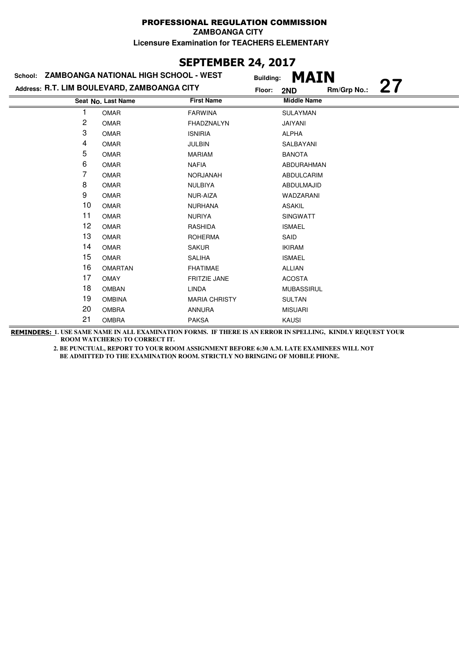### **SEPTEMBER 24, 2017**

|                | School: ZAMBOANGA NATIONAL HIGH SCHOOL - WEST | <b>Building:</b>     | <b>MAIN</b>        |             |    |
|----------------|-----------------------------------------------|----------------------|--------------------|-------------|----|
|                | Address: R.T. LIM BOULEVARD, ZAMBOANGA CITY   | Floor:               | 2ND                | Rm/Grp No.: | 27 |
|                | Seat No. Last Name                            | <b>First Name</b>    | <b>Middle Name</b> |             |    |
|                | <b>OMAR</b>                                   | <b>FARWINA</b>       | <b>SULAYMAN</b>    |             |    |
| $\overline{c}$ | <b>OMAR</b>                                   | FHADZNALYN           | JAIYANI            |             |    |
| 3              | <b>OMAR</b>                                   | <b>ISNIRIA</b>       | <b>ALPHA</b>       |             |    |
| 4              | <b>OMAR</b>                                   | <b>JULBIN</b>        | SALBAYANI          |             |    |
| 5              | <b>OMAR</b>                                   | <b>MARIAM</b>        | <b>BANOTA</b>      |             |    |
| 6              | <b>OMAR</b>                                   | <b>NAFIA</b>         | ABDURAHMAN         |             |    |
| 7              | <b>OMAR</b>                                   | <b>NORJANAH</b>      | ABDULCARIM         |             |    |
| 8              | <b>OMAR</b>                                   | <b>NULBIYA</b>       | ABDULMAJID         |             |    |
| 9              | <b>OMAR</b>                                   | NUR-AIZA             | WADZARANI          |             |    |
| 10             | <b>OMAR</b>                                   | <b>NURHANA</b>       | <b>ASAKIL</b>      |             |    |
| 11             | <b>OMAR</b>                                   | <b>NURIYA</b>        | <b>SINGWATT</b>    |             |    |
| 12             | <b>OMAR</b>                                   | RASHIDA              | <b>ISMAEL</b>      |             |    |
| 13             | <b>OMAR</b>                                   | <b>ROHERMA</b>       | SAID               |             |    |
| 14             | <b>OMAR</b>                                   | <b>SAKUR</b>         | <b>IKIRAM</b>      |             |    |
| 15             | <b>OMAR</b>                                   | <b>SALIHA</b>        | <b>ISMAEL</b>      |             |    |
| 16             | <b>OMARTAN</b>                                | <b>FHATIMAE</b>      | <b>ALLIAN</b>      |             |    |
| 17             | <b>OMAY</b>                                   | <b>FRITZIE JANE</b>  | <b>ACOSTA</b>      |             |    |
| 18             | <b>OMBAN</b>                                  | <b>LINDA</b>         | <b>MUBASSIRUL</b>  |             |    |
| 19             | <b>OMBINA</b>                                 | <b>MARIA CHRISTY</b> | <b>SULTAN</b>      |             |    |
| 20             | <b>OMBRA</b>                                  | <b>ANNURA</b>        | <b>MISUARI</b>     |             |    |
| 21             | <b>OMBRA</b>                                  | <b>PAKSA</b>         | <b>KAUSI</b>       |             |    |

**REMINDERS: 1. USE SAME NAME IN ALL EXAMINATION FORMS. IF THERE IS AN ERROR IN SPELLING, KINDLY REQUEST YOUR ROOM WATCHER(S) TO CORRECT IT.**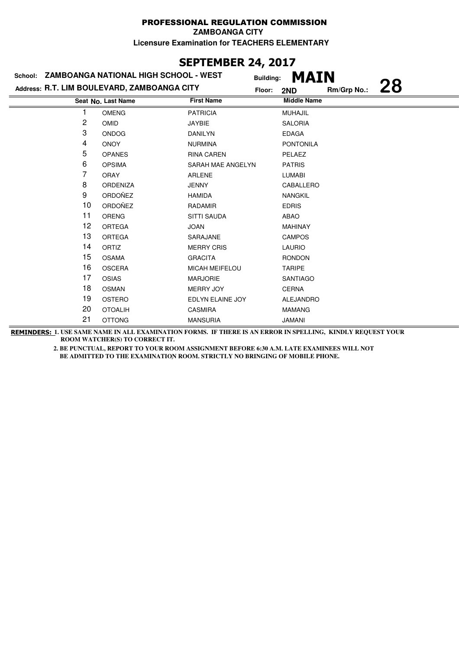### **SEPTEMBER 24, 2017**

|    | School: ZAMBOANGA NATIONAL HIGH SCHOOL - WEST |                       | <b>MAIN</b><br><b>Building:</b> |             |    |
|----|-----------------------------------------------|-----------------------|---------------------------------|-------------|----|
|    | Address: R.T. LIM BOULEVARD, ZAMBOANGA CITY   | Floor:                | 2ND                             | Rm/Grp No.: | 28 |
|    | Seat No. Last Name                            | <b>First Name</b>     | <b>Middle Name</b>              |             |    |
|    | <b>OMENG</b>                                  | <b>PATRICIA</b>       | <b>MUHAJIL</b>                  |             |    |
| 2  | <b>OMID</b>                                   | JAYBIE                | <b>SALORIA</b>                  |             |    |
| 3  | <b>ONDOG</b>                                  | <b>DANILYN</b>        | <b>EDAGA</b>                    |             |    |
| 4  | <b>ONOY</b>                                   | <b>NURMINA</b>        | <b>PONTONILA</b>                |             |    |
| 5  | <b>OPANES</b>                                 | <b>RINA CAREN</b>     | PELAEZ                          |             |    |
| 6  | <b>OPSIMA</b>                                 | SARAH MAE ANGELYN     | <b>PATRIS</b>                   |             |    |
| 7  | <b>ORAY</b>                                   | <b>ARLENE</b>         | <b>LUMABI</b>                   |             |    |
| 8  | <b>ORDENIZA</b>                               | <b>JENNY</b>          | CABALLERO                       |             |    |
| 9  | ORDOÑEZ                                       | <b>HAMIDA</b>         | <b>NANGKIL</b>                  |             |    |
| 10 | ORDOÑEZ                                       | <b>RADAMIR</b>        | <b>EDRIS</b>                    |             |    |
| 11 | ORENG                                         | <b>SITTI SAUDA</b>    | ABAO                            |             |    |
| 12 | <b>ORTEGA</b>                                 | <b>JOAN</b>           | <b>MAHINAY</b>                  |             |    |
| 13 | <b>ORTEGA</b>                                 | SARAJANE              | <b>CAMPOS</b>                   |             |    |
| 14 | ORTIZ                                         | <b>MERRY CRIS</b>     | <b>LAURIO</b>                   |             |    |
| 15 | <b>OSAMA</b>                                  | <b>GRACITA</b>        | <b>RONDON</b>                   |             |    |
| 16 | <b>OSCERA</b>                                 | <b>MICAH MEIFELOU</b> | <b>TARIPE</b>                   |             |    |
| 17 | <b>OSIAS</b>                                  | <b>MARJORIE</b>       | <b>SANTIAGO</b>                 |             |    |
| 18 | <b>OSMAN</b>                                  | MERRY JOY             | <b>CERNA</b>                    |             |    |
| 19 | OSTERO                                        | EDLYN ELAINE JOY      | <b>ALEJANDRO</b>                |             |    |
| 20 | <b>OTOALIH</b>                                | <b>CASMIRA</b>        | <b>MAMANG</b>                   |             |    |
| 21 | <b>OTTONG</b>                                 | <b>MANSURIA</b>       | <b>JAMANI</b>                   |             |    |

**REMINDERS: 1. USE SAME NAME IN ALL EXAMINATION FORMS. IF THERE IS AN ERROR IN SPELLING, KINDLY REQUEST YOUR ROOM WATCHER(S) TO CORRECT IT.**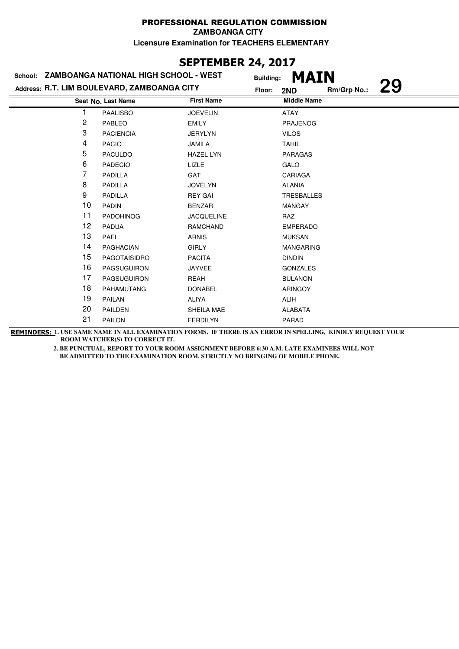# **SEPTEMBER 24, 2017**

|    | School: ZAMBOANGA NATIONAL HIGH SCHOOL - WEST | <b>Building:</b>  | <b>MAIN</b>        |             |    |
|----|-----------------------------------------------|-------------------|--------------------|-------------|----|
|    | Address: R.T. LIM BOULEVARD, ZAMBOANGA CITY   | Floor:            | 2ND                | Rm/Grp No.: | 29 |
|    | Seat No. Last Name                            | <b>First Name</b> | <b>Middle Name</b> |             |    |
|    | <b>PAALISBO</b>                               | <b>JOEVELIN</b>   | <b>ATAY</b>        |             |    |
| 2  | PABLEO                                        | <b>EMILY</b>      | <b>PRAJENOG</b>    |             |    |
| 3  | <b>PACIENCIA</b>                              | <b>JERYLYN</b>    | <b>VILOS</b>       |             |    |
| 4  | <b>PACIO</b>                                  | <b>JAMILA</b>     | <b>TAHIL</b>       |             |    |
| 5  | <b>PACULDO</b>                                | <b>HAZEL LYN</b>  | <b>PARAGAS</b>     |             |    |
| 6  | <b>PADECIO</b>                                | LIZLE             | GALO               |             |    |
| 7  | PADILLA                                       | GAT               | <b>CARIAGA</b>     |             |    |
| 8  | PADILLA                                       | <b>JOVELYN</b>    | <b>ALANIA</b>      |             |    |
| 9  | <b>PADILLA</b>                                | <b>REY GAI</b>    | <b>TRESBALLES</b>  |             |    |
| 10 | <b>PADIN</b>                                  | <b>BENZAR</b>     | <b>MANGAY</b>      |             |    |
| 11 | <b>PADOHINOG</b>                              | <b>JACQUELINE</b> | RAZ                |             |    |
| 12 | <b>PADUA</b>                                  | RAMCHAND          | <b>EMPERADO</b>    |             |    |
| 13 | PAEL                                          | <b>ARNIS</b>      | <b>MUKSAN</b>      |             |    |
| 14 | <b>PAGHACIAN</b>                              | <b>GIRLY</b>      | <b>MANGARING</b>   |             |    |
| 15 | PAGOTAISIDRO                                  | <b>PACITA</b>     | <b>DINDIN</b>      |             |    |
| 16 | <b>PAGSUGUIRON</b>                            | <b>JAYVEE</b>     | <b>GONZALES</b>    |             |    |
| 17 | <b>PAGSUGUIRON</b>                            | <b>REAH</b>       | <b>BULANON</b>     |             |    |
| 18 | <b>PAHAMUTANG</b>                             | <b>DONABEL</b>    | <b>ARINGOY</b>     |             |    |
| 19 | PAILAN                                        | <b>ALIYA</b>      | ALIH               |             |    |
| 20 | PAILDEN                                       | SHEILA MAE        | <b>ALABATA</b>     |             |    |
| 21 | <b>PAILON</b>                                 | <b>FERDILYN</b>   | PARAD              |             |    |

**REMINDERS: 1. USE SAME NAME IN ALL EXAMINATION FORMS. IF THERE IS AN ERROR IN SPELLING, KINDLY REQUEST YOUR ROOM WATCHER(S) TO CORRECT IT.**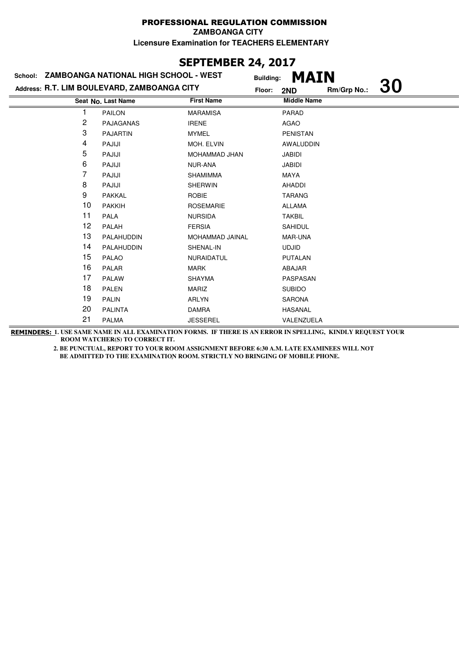### **SEPTEMBER 24, 2017**

|                | School: ZAMBOANGA NATIONAL HIGH SCHOOL - WEST |                   | <b>Building:</b> | <b>MAIN</b>        |             |           |
|----------------|-----------------------------------------------|-------------------|------------------|--------------------|-------------|-----------|
|                | Address: R.T. LIM BOULEVARD, ZAMBOANGA CITY   |                   | Floor:           | 2ND                | Rm/Grp No.: | <b>30</b> |
|                | Seat No. Last Name                            | <b>First Name</b> |                  | <b>Middle Name</b> |             |           |
|                | <b>PAILON</b>                                 | <b>MARAMISA</b>   |                  | PARAD              |             |           |
| $\overline{c}$ | PAJAGANAS                                     | <b>IRENE</b>      |                  | AGAO               |             |           |
| 3              | <b>PAJARTIN</b>                               | <b>MYMEL</b>      |                  | <b>PENISTAN</b>    |             |           |
| 4              | PAJIJI                                        | MOH. ELVIN        |                  | AWALUDDIN          |             |           |
| 5              | PAJIJI                                        | MOHAMMAD JHAN     |                  | JABIDI             |             |           |
| 6              | PAJIJI                                        | NUR-ANA           |                  | <b>JABIDI</b>      |             |           |
| 7              | PAJIJI                                        | <b>SHAMIMMA</b>   |                  | MAYA               |             |           |
| 8              | PAJIJI                                        | SHERWIN           |                  | AHADDI             |             |           |
| 9              | <b>PAKKAL</b>                                 | <b>ROBIE</b>      |                  | <b>TARANG</b>      |             |           |
| 10             | <b>PAKKIH</b>                                 | <b>ROSEMARIE</b>  |                  | <b>ALLAMA</b>      |             |           |
| 11             | <b>PALA</b>                                   | <b>NURSIDA</b>    |                  | <b>TAKBIL</b>      |             |           |
| 12             | PALAH                                         | <b>FERSIA</b>     |                  | SAHIDUL            |             |           |
| 13             | PALAHUDDIN                                    | MOHAMMAD JAINAL   |                  | MAR-UNA            |             |           |
| 14             | PALAHUDDIN                                    | SHENAL-IN         |                  | <b>UDJID</b>       |             |           |
| 15             | <b>PALAO</b>                                  | <b>NURAIDATUL</b> |                  | <b>PUTALAN</b>     |             |           |
| 16             | PALAR                                         | <b>MARK</b>       |                  | ABAJAR             |             |           |
| 17             | <b>PALAW</b>                                  | <b>SHAYMA</b>     |                  | PASPASAN           |             |           |
| 18             | <b>PALEN</b>                                  | MARIZ             |                  | <b>SUBIDO</b>      |             |           |
| 19             | <b>PALIN</b>                                  | ARLYN             |                  | <b>SARONA</b>      |             |           |
| 20             | <b>PALINTA</b>                                | <b>DAMRA</b>      |                  | <b>HASANAL</b>     |             |           |
| 21             | <b>PALMA</b>                                  | <b>JESSEREL</b>   |                  | VALENZUELA         |             |           |

**REMINDERS: 1. USE SAME NAME IN ALL EXAMINATION FORMS. IF THERE IS AN ERROR IN SPELLING, KINDLY REQUEST YOUR ROOM WATCHER(S) TO CORRECT IT.**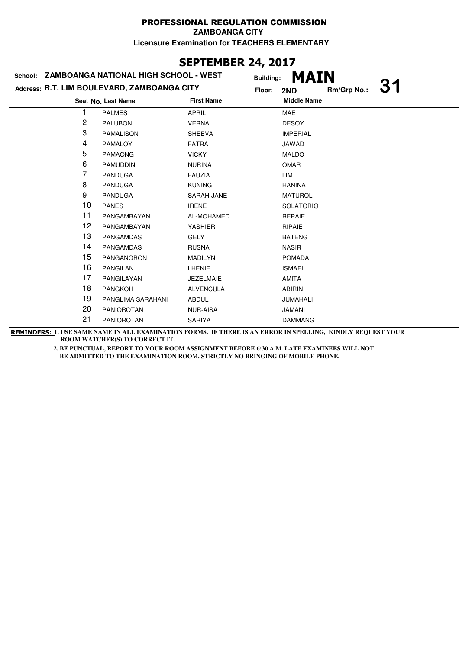### **SEPTEMBER 24, 2017**

| <b>MAIN</b>                                                                              |  |
|------------------------------------------------------------------------------------------|--|
| <b>31</b><br>Address: R.T. LIM BOULEVARD, ZAMBOANGA CITY<br>Rm/Grp No.:<br>Floor:<br>2ND |  |
| <b>First Name</b><br><b>Middle Name</b><br>Seat No. Last Name                            |  |
| <b>PALMES</b><br><b>APRIL</b><br><b>MAE</b>                                              |  |
| 2<br><b>PALUBON</b><br><b>VERNA</b><br><b>DESOY</b>                                      |  |
| 3<br><b>IMPERIAL</b><br><b>PAMALISON</b><br><b>SHEEVA</b>                                |  |
| 4<br><b>PAMALOY</b><br><b>FATRA</b><br>JAWAD                                             |  |
| 5<br><b>PAMAONG</b><br><b>VICKY</b><br><b>MALDO</b>                                      |  |
| 6<br><b>OMAR</b><br><b>PAMUDDIN</b><br><b>NURINA</b>                                     |  |
| 7<br><b>PANDUGA</b><br><b>FAUZIA</b><br>LIM                                              |  |
| 8<br><b>PANDUGA</b><br><b>KUNING</b><br><b>HANINA</b>                                    |  |
| 9<br><b>PANDUGA</b><br><b>MATUROL</b><br>SARAH-JANE                                      |  |
| 10<br><b>PANES</b><br><b>IRENE</b><br><b>SOLATORIO</b>                                   |  |
| 11<br>PANGAMBAYAN<br>AL-MOHAMED<br><b>REPAIE</b>                                         |  |
| 12<br>PANGAMBAYAN<br><b>YASHIER</b><br><b>RIPAIE</b>                                     |  |
| 13<br>PANGAMDAS<br><b>GELY</b><br><b>BATENG</b>                                          |  |
| 14<br>PANGAMDAS<br><b>RUSNA</b><br><b>NASIR</b>                                          |  |
| 15<br>PANGANORON<br><b>MADILYN</b><br><b>POMADA</b>                                      |  |
| 16<br><b>PANGILAN</b><br>LHENIE<br><b>ISMAEL</b>                                         |  |
| 17<br>PANGILAYAN<br><b>AMITA</b><br><b>JEZELMAIE</b>                                     |  |
| 18<br><b>PANGKOH</b><br><b>ALVENCULA</b><br><b>ABIRIN</b>                                |  |
| 19<br>PANGLIMA SARAHANI<br><b>ABDUL</b><br><b>JUMAHALI</b>                               |  |
| 20<br>PANIOROTAN<br><b>NUR-AISA</b><br><b>JAMANI</b>                                     |  |
| 21<br><b>PANIOROTAN</b><br>SARIYA<br><b>DAMMANG</b>                                      |  |

**REMINDERS: 1. USE SAME NAME IN ALL EXAMINATION FORMS. IF THERE IS AN ERROR IN SPELLING, KINDLY REQUEST YOUR ROOM WATCHER(S) TO CORRECT IT.**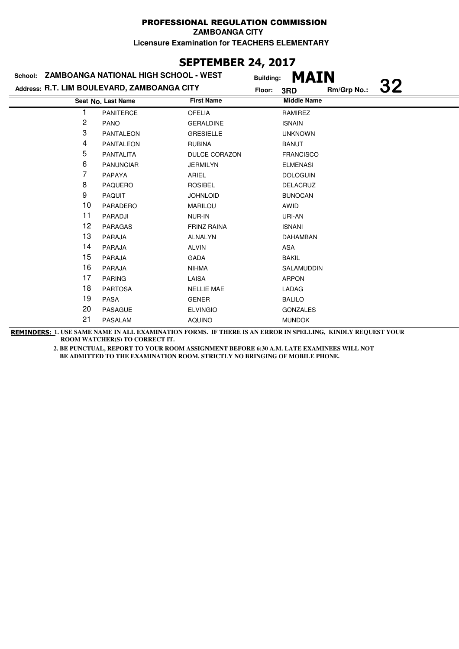### **SEPTEMBER 24, 2017**

|    | School: ZAMBOANGA NATIONAL HIGH SCHOOL - WEST |                    | <b>MAIN</b><br><b>Building:</b> |             |           |
|----|-----------------------------------------------|--------------------|---------------------------------|-------------|-----------|
|    | Address: R.T. LIM BOULEVARD, ZAMBOANGA CITY   |                    | Floor:<br>3RD                   | Rm/Grp No.: | <b>32</b> |
|    | Seat No. Last Name                            | <b>First Name</b>  | <b>Middle Name</b>              |             |           |
|    | <b>PANITERCE</b>                              | <b>OFELIA</b>      | RAMIREZ                         |             |           |
| 2  | <b>PANO</b>                                   | <b>GERALDINE</b>   | <b>ISNAIN</b>                   |             |           |
| 3  | <b>PANTALEON</b>                              | <b>GRESIELLE</b>   | <b>UNKNOWN</b>                  |             |           |
| 4  | <b>PANTALEON</b>                              | <b>RUBINA</b>      | <b>BANUT</b>                    |             |           |
| 5  | <b>PANTALITA</b>                              | DULCE CORAZON      | <b>FRANCISCO</b>                |             |           |
| 6  | <b>PANUNCIAR</b>                              | <b>JERMILYN</b>    | <b>ELMENASI</b>                 |             |           |
| 7  | PAPAYA                                        | ARIEL              | <b>DOLOGUIN</b>                 |             |           |
| 8  | <b>PAQUERO</b>                                | <b>ROSIBEL</b>     | <b>DELACRUZ</b>                 |             |           |
| 9  | <b>PAQUIT</b>                                 | <b>JOHNLOID</b>    | <b>BUNOCAN</b>                  |             |           |
| 10 | PARADERO                                      | <b>MARILOU</b>     | AWID                            |             |           |
| 11 | PARADJI                                       | NUR-IN             | URI-AN                          |             |           |
| 12 | <b>PARAGAS</b>                                | <b>FRINZ RAINA</b> | <b>ISNANI</b>                   |             |           |
| 13 | <b>PARAJA</b>                                 | <b>ALNALYN</b>     | DAHAMBAN                        |             |           |
| 14 | <b>PARAJA</b>                                 | <b>ALVIN</b>       | ASA                             |             |           |
| 15 | <b>PARAJA</b>                                 | <b>GADA</b>        | <b>BAKIL</b>                    |             |           |
| 16 | <b>PARAJA</b>                                 | <b>NIHMA</b>       | SALAMUDDIN                      |             |           |
| 17 | <b>PARING</b>                                 | LAISA              | <b>ARPON</b>                    |             |           |
| 18 | <b>PARTOSA</b>                                | <b>NELLIE MAE</b>  | LADAG                           |             |           |
| 19 | PASA                                          | <b>GENER</b>       | <b>BALILO</b>                   |             |           |
| 20 | <b>PASAGUE</b>                                | <b>ELVINGIO</b>    | <b>GONZALES</b>                 |             |           |
| 21 | <b>PASALAM</b>                                | <b>AQUINO</b>      | <b>MUNDOK</b>                   |             |           |
|    |                                               |                    |                                 |             |           |

**REMINDERS: 1. USE SAME NAME IN ALL EXAMINATION FORMS. IF THERE IS AN ERROR IN SPELLING, KINDLY REQUEST YOUR ROOM WATCHER(S) TO CORRECT IT.**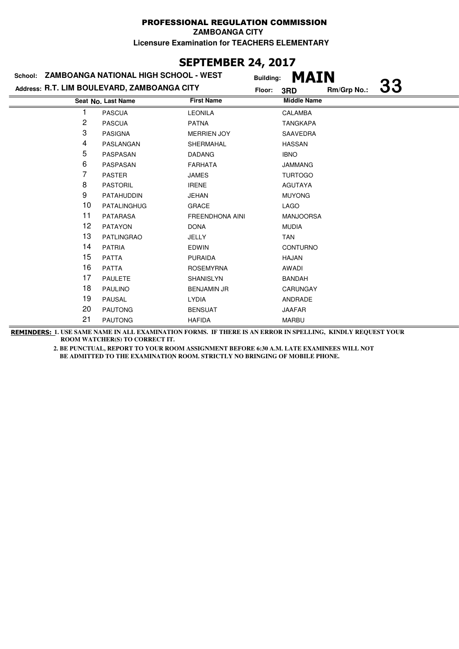### **SEPTEMBER 24, 2017**

|    | School: ZAMBOANGA NATIONAL HIGH SCHOOL - WEST |                        | <b>Building:</b> | <b>MAIN</b>        |             |           |
|----|-----------------------------------------------|------------------------|------------------|--------------------|-------------|-----------|
|    | Address: R.T. LIM BOULEVARD, ZAMBOANGA CITY   |                        | Floor:           | 3RD                | Rm/Grp No.: | <b>33</b> |
|    | Seat No. Last Name                            | <b>First Name</b>      |                  | <b>Middle Name</b> |             |           |
|    | <b>PASCUA</b>                                 | <b>LEONILA</b>         |                  | <b>CALAMBA</b>     |             |           |
| 2  | <b>PASCUA</b>                                 | <b>PATNA</b>           |                  | <b>TANGKAPA</b>    |             |           |
| 3  | <b>PASIGNA</b>                                | <b>MERRIEN JOY</b>     |                  | SAAVEDRA           |             |           |
| 4  | PASLANGAN                                     | SHERMAHAL              |                  | <b>HASSAN</b>      |             |           |
| 5  | PASPASAN                                      | <b>DADANG</b>          |                  | <b>IBNO</b>        |             |           |
| 6  | PASPASAN                                      | <b>FARHATA</b>         |                  | <b>JAMMANG</b>     |             |           |
| 7  | <b>PASTER</b>                                 | <b>JAMES</b>           |                  | <b>TURTOGO</b>     |             |           |
| 8  | <b>PASTORIL</b>                               | <b>IRENE</b>           |                  | <b>AGUTAYA</b>     |             |           |
| 9  | PATAHUDDIN                                    | <b>JEHAN</b>           |                  | <b>MUYONG</b>      |             |           |
| 10 | <b>PATALINGHUG</b>                            | <b>GRACE</b>           |                  | LAGO               |             |           |
| 11 | <b>PATARASA</b>                               | <b>FREENDHONA AINI</b> |                  | <b>MANJOORSA</b>   |             |           |
| 12 | <b>PATAYON</b>                                | <b>DONA</b>            |                  | <b>MUDIA</b>       |             |           |
| 13 | <b>PATLINGRAO</b>                             | JELLY                  |                  | <b>TAN</b>         |             |           |
| 14 | <b>PATRIA</b>                                 | <b>EDWIN</b>           |                  | <b>CONTURNO</b>    |             |           |
| 15 | <b>PATTA</b>                                  | <b>PURAIDA</b>         |                  | HAJAN              |             |           |
| 16 | <b>PATTA</b>                                  | <b>ROSEMYRNA</b>       |                  | AWADI              |             |           |
| 17 | <b>PAULETE</b>                                | <b>SHANISLYN</b>       |                  | <b>BANDAH</b>      |             |           |
| 18 | <b>PAULINO</b>                                | <b>BENJAMIN JR</b>     |                  | <b>CARUNGAY</b>    |             |           |
| 19 | <b>PAUSAL</b>                                 | <b>LYDIA</b>           |                  | ANDRADE            |             |           |
| 20 | <b>PAUTONG</b>                                | <b>BENSUAT</b>         |                  | <b>JAAFAR</b>      |             |           |
| 21 | <b>PAUTONG</b>                                | <b>HAFIDA</b>          |                  | <b>MARBU</b>       |             |           |

**REMINDERS: 1. USE SAME NAME IN ALL EXAMINATION FORMS. IF THERE IS AN ERROR IN SPELLING, KINDLY REQUEST YOUR ROOM WATCHER(S) TO CORRECT IT.**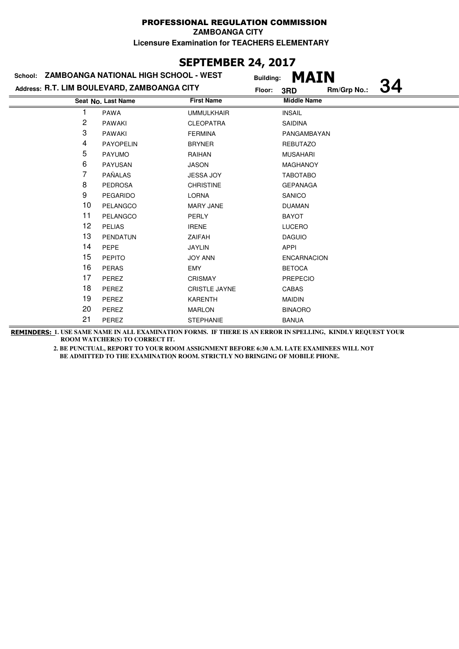### **SEPTEMBER 24, 2017**

|                | School: ZAMBOANGA NATIONAL HIGH SCHOOL - WEST | <b>Building:</b>     | <b>MAIN</b>        |             |           |
|----------------|-----------------------------------------------|----------------------|--------------------|-------------|-----------|
|                | Address: R.T. LIM BOULEVARD, ZAMBOANGA CITY   | Floor:               | 3RD                | Rm/Grp No.: | <b>34</b> |
|                | Seat No. Last Name                            | <b>First Name</b>    | <b>Middle Name</b> |             |           |
|                | <b>PAWA</b>                                   | <b>UMMULKHAIR</b>    | <b>INSAIL</b>      |             |           |
| $\overline{c}$ | <b>PAWAKI</b>                                 | <b>CLEOPATRA</b>     | <b>SAIDINA</b>     |             |           |
| 3              | <b>PAWAKI</b>                                 | <b>FERMINA</b>       | PANGAMBAYAN        |             |           |
| 4              | <b>PAYOPELIN</b>                              | <b>BRYNER</b>        | <b>REBUTAZO</b>    |             |           |
| 5              | <b>PAYUMO</b>                                 | RAIHAN               | <b>MUSAHARI</b>    |             |           |
| 6              | <b>PAYUSAN</b>                                | <b>JASON</b>         | <b>MAGHANOY</b>    |             |           |
| 7              | PAÑALAS                                       | <b>JESSA JOY</b>     | <b>TABOTABO</b>    |             |           |
| 8              | <b>PEDROSA</b>                                | <b>CHRISTINE</b>     | <b>GEPANAGA</b>    |             |           |
| 9              | <b>PEGARIDO</b>                               | <b>LORNA</b>         | SANICO             |             |           |
| 10             | PELANGCO                                      | <b>MARY JANE</b>     | <b>DUAMAN</b>      |             |           |
| 11             | PELANGCO                                      | <b>PERLY</b>         | <b>BAYOT</b>       |             |           |
| 12             | <b>PELIAS</b>                                 | <b>IRENE</b>         | <b>LUCERO</b>      |             |           |
| 13             | PENDATUN                                      | <b>ZAIFAH</b>        | <b>DAGUIO</b>      |             |           |
| 14             | <b>PEPE</b>                                   | <b>JAYLIN</b>        | APPI               |             |           |
| 15             | <b>PEPITO</b>                                 | <b>JOY ANN</b>       | <b>ENCARNACION</b> |             |           |
| 16             | <b>PERAS</b>                                  | <b>EMY</b>           | <b>BETOCA</b>      |             |           |
| 17             | PEREZ                                         | <b>CRISMAY</b>       | <b>PREPECIO</b>    |             |           |
| 18             | PEREZ                                         | <b>CRISTLE JAYNE</b> | <b>CABAS</b>       |             |           |
| 19             | PEREZ                                         | <b>KARENTH</b>       | <b>MAIDIN</b>      |             |           |
| 20             | PEREZ                                         | <b>MARLON</b>        | <b>BINAORO</b>     |             |           |
| 21             | PEREZ                                         | <b>STEPHANIE</b>     | <b>BANUA</b>       |             |           |

**REMINDERS: 1. USE SAME NAME IN ALL EXAMINATION FORMS. IF THERE IS AN ERROR IN SPELLING, KINDLY REQUEST YOUR ROOM WATCHER(S) TO CORRECT IT.**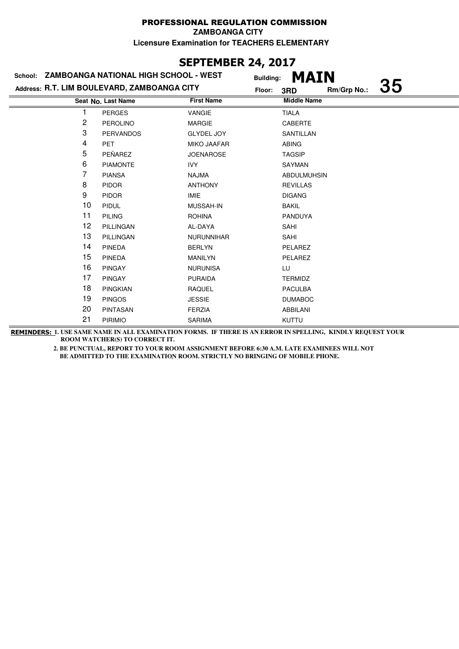### **SEPTEMBER 24, 2017**

|    | School: ZAMBOANGA NATIONAL HIGH SCHOOL - WEST | <b>Building:</b>   | MAIN               |             |           |
|----|-----------------------------------------------|--------------------|--------------------|-------------|-----------|
|    | Address: R.T. LIM BOULEVARD, ZAMBOANGA CITY   | Floor:             | 3RD                | Rm/Grp No.: | <b>35</b> |
|    | Seat No. Last Name                            | <b>First Name</b>  | <b>Middle Name</b> |             |           |
|    | <b>PERGES</b>                                 | VANGIE             | <b>TIALA</b>       |             |           |
| 2  | <b>PEROLINO</b>                               | <b>MARGIE</b>      | CABERTE            |             |           |
| 3  | <b>PERVANDOS</b>                              | <b>GLYDEL JOY</b>  | SANTILLAN          |             |           |
| 4  | <b>PET</b>                                    | <b>MIKO JAAFAR</b> | <b>ABING</b>       |             |           |
| 5  | PEÑAREZ                                       | <b>JOENAROSE</b>   | <b>TAGSIP</b>      |             |           |
| 6  | <b>PIAMONTE</b>                               | IVY                | SAYMAN             |             |           |
| 7  | <b>PIANSA</b>                                 | <b>NAJMA</b>       | <b>ABDULMUHSIN</b> |             |           |
| 8  | <b>PIDOR</b>                                  | <b>ANTHONY</b>     | <b>REVILLAS</b>    |             |           |
| 9  | <b>PIDOR</b>                                  | <b>IMIE</b>        | <b>DIGANG</b>      |             |           |
| 10 | <b>PIDUL</b>                                  | MUSSAH-IN          | <b>BAKIL</b>       |             |           |
| 11 | <b>PILING</b>                                 | <b>ROHINA</b>      | PANDUYA            |             |           |
| 12 | PILLINGAN                                     | AL-DAYA            | SAHI               |             |           |
| 13 | PILLINGAN                                     | <b>NURUNNIHAR</b>  | SAHI               |             |           |
| 14 | <b>PINEDA</b>                                 | <b>BERLYN</b>      | PELAREZ            |             |           |
| 15 | <b>PINEDA</b>                                 | <b>MANILYN</b>     | PELAREZ            |             |           |
| 16 | <b>PINGAY</b>                                 | <b>NURUNISA</b>    | LU                 |             |           |
| 17 | <b>PINGAY</b>                                 | <b>PURAIDA</b>     | <b>TERMIDZ</b>     |             |           |
| 18 | <b>PINGKIAN</b>                               | <b>RAQUEL</b>      | <b>PACULBA</b>     |             |           |
| 19 | <b>PINGOS</b>                                 | <b>JESSIE</b>      | <b>DUMABOC</b>     |             |           |
| 20 | <b>PINTASAN</b>                               | <b>FERZIA</b>      | <b>ABBILANI</b>    |             |           |
| 21 | <b>PIRIMIO</b>                                | <b>SARIMA</b>      | <b>KUTTU</b>       |             |           |
|    |                                               |                    |                    |             |           |

**REMINDERS: 1. USE SAME NAME IN ALL EXAMINATION FORMS. IF THERE IS AN ERROR IN SPELLING, KINDLY REQUEST YOUR ROOM WATCHER(S) TO CORRECT IT.**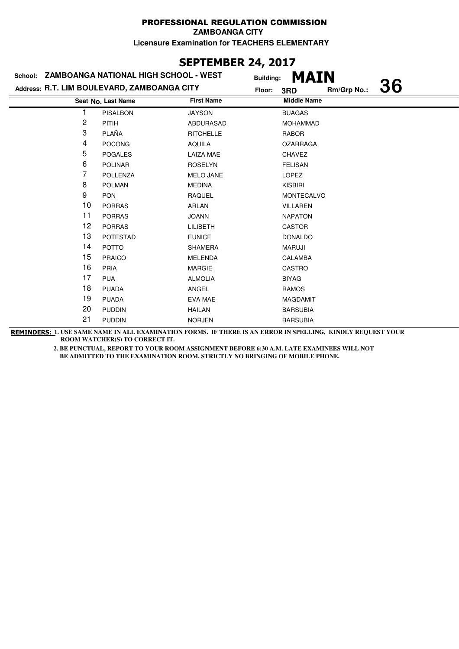# **SEPTEMBER 24, 2017**

|    | School: ZAMBOANGA NATIONAL HIGH SCHOOL - WEST | <b>Building:</b>  | <b>MAIN</b>        |             |           |
|----|-----------------------------------------------|-------------------|--------------------|-------------|-----------|
|    | Address: R.T. LIM BOULEVARD, ZAMBOANGA CITY   | Floor:            | 3RD                | Rm/Grp No.: | <b>36</b> |
|    | Seat No. Last Name                            | <b>First Name</b> | <b>Middle Name</b> |             |           |
|    | <b>PISALBON</b>                               | <b>JAYSON</b>     | <b>BUAGAS</b>      |             |           |
| 2  | <b>PITIH</b>                                  | ABDURASAD         | <b>MOHAMMAD</b>    |             |           |
| 3  | PLAÑA                                         | <b>RITCHELLE</b>  | RABOR              |             |           |
| 4  | <b>POCONG</b>                                 | <b>AQUILA</b>     | <b>OZARRAGA</b>    |             |           |
| 5  | <b>POGALES</b>                                | <b>LAIZA MAE</b>  | <b>CHAVEZ</b>      |             |           |
| 6  | <b>POLINAR</b>                                | <b>ROSELYN</b>    | <b>FELISAN</b>     |             |           |
| 7  | <b>POLLENZA</b>                               | <b>MELO JANE</b>  | LOPEZ              |             |           |
| 8  | <b>POLMAN</b>                                 | <b>MEDINA</b>     | <b>KISBIRI</b>     |             |           |
| 9  | <b>PON</b>                                    | <b>RAQUEL</b>     | <b>MONTECALVO</b>  |             |           |
| 10 | <b>PORRAS</b>                                 | ARLAN             | <b>VILLAREN</b>    |             |           |
| 11 | <b>PORRAS</b>                                 | <b>JOANN</b>      | <b>NAPATON</b>     |             |           |
| 12 | <b>PORRAS</b>                                 | <b>LILIBETH</b>   | <b>CASTOR</b>      |             |           |
| 13 | <b>POTESTAD</b>                               | <b>EUNICE</b>     | <b>DONALDO</b>     |             |           |
| 14 | <b>POTTO</b>                                  | <b>SHAMERA</b>    | <b>MARUJI</b>      |             |           |
| 15 | <b>PRAICO</b>                                 | <b>MELENDA</b>    | <b>CALAMBA</b>     |             |           |
| 16 | <b>PRIA</b>                                   | <b>MARGIE</b>     | CASTRO             |             |           |
| 17 | <b>PUA</b>                                    | <b>ALMOLIA</b>    | <b>BIYAG</b>       |             |           |
| 18 | <b>PUADA</b>                                  | ANGEL             | <b>RAMOS</b>       |             |           |
| 19 | <b>PUADA</b>                                  | <b>EVA MAE</b>    | <b>MAGDAMIT</b>    |             |           |
| 20 | <b>PUDDIN</b>                                 | <b>HAILAN</b>     | <b>BARSUBIA</b>    |             |           |
| 21 | <b>PUDDIN</b>                                 | <b>NORJEN</b>     | <b>BARSUBIA</b>    |             |           |

**REMINDERS: 1. USE SAME NAME IN ALL EXAMINATION FORMS. IF THERE IS AN ERROR IN SPELLING, KINDLY REQUEST YOUR ROOM WATCHER(S) TO CORRECT IT.**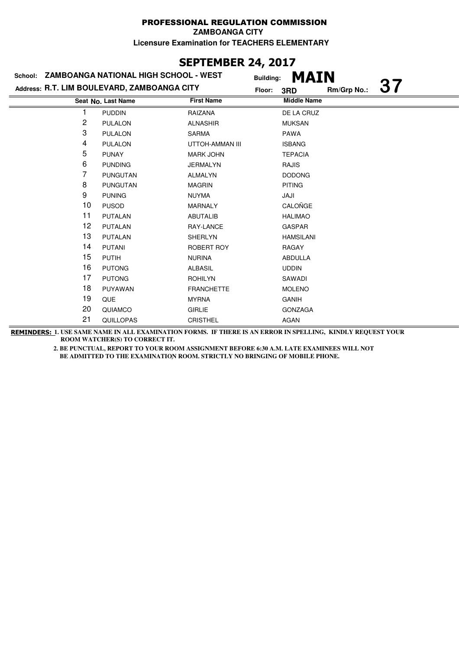# **SEPTEMBER 24, 2017**

| School: ZAMBOANGA NATIONAL HIGH SCHOOL - WEST |                    |                   | <b>MAIN</b><br><b>Building:</b>           |  |
|-----------------------------------------------|--------------------|-------------------|-------------------------------------------|--|
| Address: R.T. LIM BOULEVARD, ZAMBOANGA CITY   |                    |                   | <b>37</b><br>Rm/Grp No.:<br>Floor:<br>3RD |  |
|                                               | Seat No. Last Name | <b>First Name</b> | <b>Middle Name</b>                        |  |
|                                               | <b>PUDDIN</b>      | RAIZANA           | DE LA CRUZ                                |  |
| 2                                             | <b>PULALON</b>     | <b>ALNASHIR</b>   | <b>MUKSAN</b>                             |  |
| 3                                             | <b>PULALON</b>     | <b>SARMA</b>      | <b>PAWA</b>                               |  |
| 4                                             | <b>PULALON</b>     | UTTOH-AMMAN III   | <b>ISBANG</b>                             |  |
| 5                                             | <b>PUNAY</b>       | <b>MARK JOHN</b>  | <b>TEPACIA</b>                            |  |
| 6                                             | <b>PUNDING</b>     | <b>JERMALYN</b>   | <b>RAJIS</b>                              |  |
| 7                                             | <b>PUNGUTAN</b>    | <b>ALMALYN</b>    | <b>DODONG</b>                             |  |
| 8                                             | PUNGUTAN           | <b>MAGRIN</b>     | <b>PITING</b>                             |  |
| 9                                             | <b>PUNING</b>      | <b>NUYMA</b>      | JAJI                                      |  |
| 10                                            | <b>PUSOD</b>       | <b>MARNALY</b>    | CALOÑGE                                   |  |
| 11                                            | <b>PUTALAN</b>     | <b>ABUTALIB</b>   | <b>HALIMAO</b>                            |  |
| 12                                            | <b>PUTALAN</b>     | RAY-LANCE         | <b>GASPAR</b>                             |  |
| 13                                            | PUTALAN            | <b>SHERLYN</b>    | <b>HAMSILANI</b>                          |  |
| 14                                            | <b>PUTANI</b>      | ROBERT ROY        | RAGAY                                     |  |
| 15                                            | <b>PUTIH</b>       | <b>NURINA</b>     | <b>ABDULLA</b>                            |  |
| 16                                            | <b>PUTONG</b>      | <b>ALBASIL</b>    | <b>UDDIN</b>                              |  |
| 17                                            | <b>PUTONG</b>      | <b>ROHILYN</b>    | SAWADI                                    |  |
| 18                                            | PUYAWAN            | <b>FRANCHETTE</b> | <b>MOLENO</b>                             |  |
| 19                                            | <b>QUE</b>         | <b>MYRNA</b>      | GANIH                                     |  |
| 20                                            | QUIAMCO            | <b>GIRLIE</b>     | <b>GONZAGA</b>                            |  |
| 21                                            | <b>QUILLOPAS</b>   | <b>CRISTHEL</b>   | <b>AGAN</b>                               |  |

**REMINDERS: 1. USE SAME NAME IN ALL EXAMINATION FORMS. IF THERE IS AN ERROR IN SPELLING, KINDLY REQUEST YOUR ROOM WATCHER(S) TO CORRECT IT.**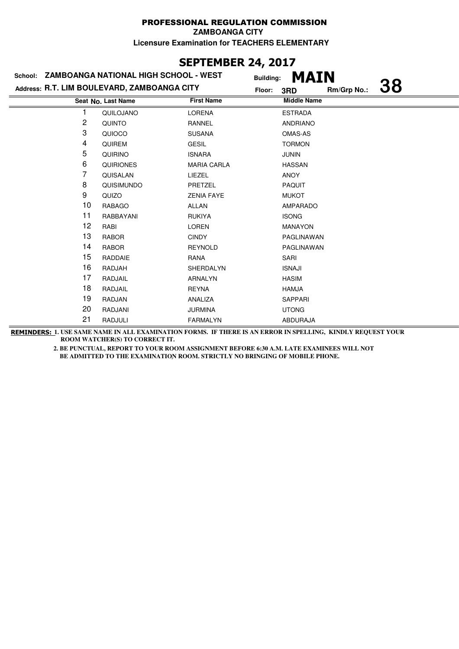### **SEPTEMBER 24, 2017**

|                                             | School: ZAMBOANGA NATIONAL HIGH SCHOOL - WEST | <b>Building:</b>   | <b>MAIN</b>        |             |           |
|---------------------------------------------|-----------------------------------------------|--------------------|--------------------|-------------|-----------|
| Address: R.T. LIM BOULEVARD, ZAMBOANGA CITY |                                               |                    | 3RD                | Rm/Grp No.: | <b>38</b> |
|                                             | Seat No. Last Name                            | <b>First Name</b>  | <b>Middle Name</b> |             |           |
|                                             | QUILOJANO                                     | <b>LORENA</b>      | <b>ESTRADA</b>     |             |           |
| 2                                           | QUINTO                                        | <b>RANNEL</b>      | <b>ANDRIANO</b>    |             |           |
| 3                                           | QUIOCO                                        | <b>SUSANA</b>      | OMAS-AS            |             |           |
| 4                                           | <b>QUIREM</b>                                 | <b>GESIL</b>       | <b>TORMON</b>      |             |           |
| 5                                           | <b>QUIRINO</b>                                | <b>ISNARA</b>      | <b>JUNIN</b>       |             |           |
| 6                                           | <b>QUIRIONES</b>                              | <b>MARIA CARLA</b> | <b>HASSAN</b>      |             |           |
| 7                                           | QUISALAN                                      | LIEZEL             | <b>ANOY</b>        |             |           |
| 8                                           | QUISIMUNDO                                    | PRETZEL            | <b>PAQUIT</b>      |             |           |
| 9                                           | QUIZO                                         | <b>ZENIA FAYE</b>  | <b>MUKOT</b>       |             |           |
| 10                                          | <b>RABAGO</b>                                 | <b>ALLAN</b>       | AMPARADO           |             |           |
| 11                                          | RABBAYANI                                     | <b>RUKIYA</b>      | <b>ISONG</b>       |             |           |
| 12                                          | RABI                                          | <b>LOREN</b>       | <b>MANAYON</b>     |             |           |
| 13                                          | <b>RABOR</b>                                  | <b>CINDY</b>       | PAGLINAWAN         |             |           |
| 14                                          | <b>RABOR</b>                                  | <b>REYNOLD</b>     | PAGLINAWAN         |             |           |
| 15                                          | RADDAIE                                       | RANA               | SARI               |             |           |
| 16                                          | RADJAH                                        | SHERDALYN          | <b>ISNAJI</b>      |             |           |
| 17                                          | RADJAIL                                       | <b>ARNALYN</b>     | <b>HASIM</b>       |             |           |
| 18                                          | RADJAIL                                       | <b>REYNA</b>       | <b>HAMJA</b>       |             |           |
| 19                                          | RADJAN                                        | ANALIZA            | <b>SAPPARI</b>     |             |           |
| 20                                          | RADJANI                                       | <b>JURMINA</b>     | <b>UTONG</b>       |             |           |
| 21                                          | RADJULI                                       | <b>FARMALYN</b>    | <b>ABDURAJA</b>    |             |           |

**REMINDERS: 1. USE SAME NAME IN ALL EXAMINATION FORMS. IF THERE IS AN ERROR IN SPELLING, KINDLY REQUEST YOUR ROOM WATCHER(S) TO CORRECT IT.**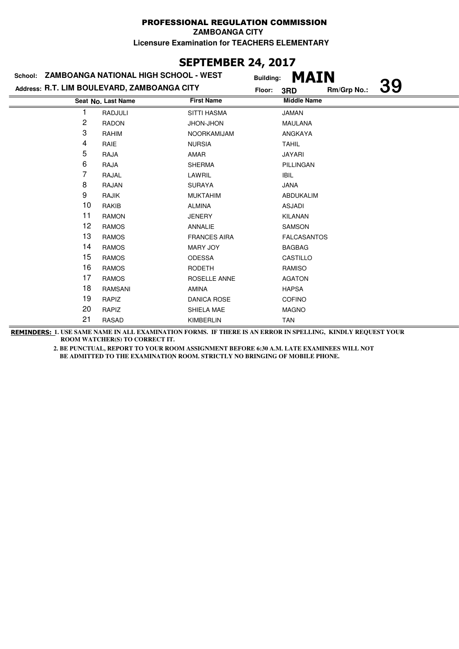# **SEPTEMBER 24, 2017**

|    | School: ZAMBOANGA NATIONAL HIGH SCHOOL - WEST | <b>Building:</b>    | <b>MAIN</b>        |             |           |
|----|-----------------------------------------------|---------------------|--------------------|-------------|-----------|
|    | Address: R.T. LIM BOULEVARD, ZAMBOANGA CITY   | Floor:              | 3RD                | Rm/Grp No.: | <b>39</b> |
|    | Seat No. Last Name                            | <b>First Name</b>   | <b>Middle Name</b> |             |           |
|    | RADJULI                                       | <b>SITTI HASMA</b>  | <b>JAMAN</b>       |             |           |
| 2  | <b>RADON</b>                                  | JHON-JHON           | <b>MAULANA</b>     |             |           |
| 3  | RAHIM                                         | NOORKAMIJAM         | ANGKAYA            |             |           |
| 4  | RAIE                                          | <b>NURSIA</b>       | <b>TAHIL</b>       |             |           |
| 5  | RAJA                                          | AMAR                | <b>JAYARI</b>      |             |           |
| 6  | RAJA                                          | <b>SHERMA</b>       | PILLINGAN          |             |           |
| 7  | RAJAL                                         | LAWRIL              | <b>IBIL</b>        |             |           |
| 8  | <b>RAJAN</b>                                  | <b>SURAYA</b>       | <b>JANA</b>        |             |           |
| 9  | RAJIK                                         | <b>MUKTAHIM</b>     | ABDUKALIM          |             |           |
| 10 | RAKIB                                         | <b>ALMINA</b>       | ASJADI             |             |           |
| 11 | <b>RAMON</b>                                  | <b>JENERY</b>       | <b>KILANAN</b>     |             |           |
| 12 | <b>RAMOS</b>                                  | ANNALIE             | <b>SAMSON</b>      |             |           |
| 13 | <b>RAMOS</b>                                  | <b>FRANCES AIRA</b> | <b>FALCASANTOS</b> |             |           |
| 14 | <b>RAMOS</b>                                  | <b>MARY JOY</b>     | <b>BAGBAG</b>      |             |           |
| 15 | <b>RAMOS</b>                                  | <b>ODESSA</b>       | CASTILLO           |             |           |
| 16 | <b>RAMOS</b>                                  | <b>RODETH</b>       | <b>RAMISO</b>      |             |           |
| 17 | <b>RAMOS</b>                                  | ROSELLE ANNE        | <b>AGATON</b>      |             |           |
| 18 | <b>RAMSANI</b>                                | <b>AMINA</b>        | <b>HAPSA</b>       |             |           |
| 19 | RAPIZ                                         | <b>DANICA ROSE</b>  | <b>COFINO</b>      |             |           |
| 20 | RAPIZ                                         | SHIELA MAE          | <b>MAGNO</b>       |             |           |
| 21 | <b>RASAD</b>                                  | <b>KIMBERLIN</b>    | <b>TAN</b>         |             |           |

**REMINDERS: 1. USE SAME NAME IN ALL EXAMINATION FORMS. IF THERE IS AN ERROR IN SPELLING, KINDLY REQUEST YOUR ROOM WATCHER(S) TO CORRECT IT.**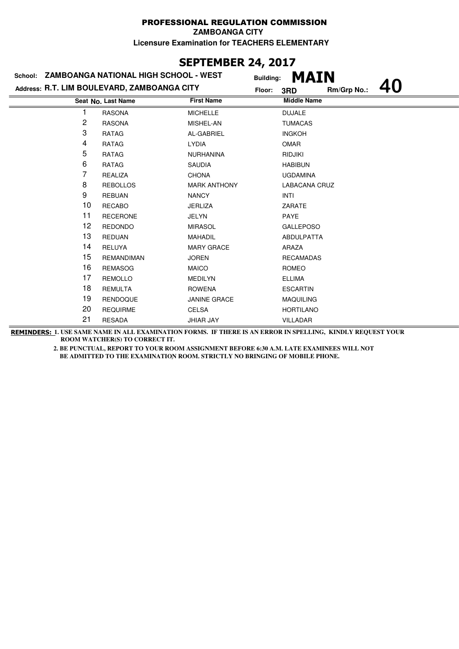# **SEPTEMBER 24, 2017**

|    | School: ZAMBOANGA NATIONAL HIGH SCHOOL - WEST |                     | <b>Building:</b> | <b>MAIN</b>          |             |  |
|----|-----------------------------------------------|---------------------|------------------|----------------------|-------------|--|
|    | Address: R.T. LIM BOULEVARD, ZAMBOANGA CITY   |                     | Floor:           | 3RD                  | Rm/Grp No.: |  |
|    | Seat No. Last Name                            | <b>First Name</b>   |                  | <b>Middle Name</b>   |             |  |
|    | <b>RASONA</b>                                 | <b>MICHELLE</b>     |                  | <b>DUJALE</b>        |             |  |
| 2  | <b>RASONA</b>                                 | MISHEL-AN           |                  | <b>TUMACAS</b>       |             |  |
| 3  | RATAG                                         | AL-GABRIEL          |                  | <b>INGKOH</b>        |             |  |
| 4  | <b>RATAG</b>                                  | <b>LYDIA</b>        |                  | <b>OMAR</b>          |             |  |
| 5  | <b>RATAG</b>                                  | <b>NURHANINA</b>    |                  | <b>RIDJIKI</b>       |             |  |
| 6  | RATAG                                         | <b>SAUDIA</b>       |                  | <b>HABIBUN</b>       |             |  |
| 7  | <b>REALIZA</b>                                | <b>CHONA</b>        |                  | <b>UGDAMINA</b>      |             |  |
| 8  | <b>REBOLLOS</b>                               | <b>MARK ANTHONY</b> |                  | <b>LABACANA CRUZ</b> |             |  |
| 9  | <b>REBUAN</b>                                 | <b>NANCY</b>        |                  | <b>INTI</b>          |             |  |
| 10 | <b>RECABO</b>                                 | <b>JERLIZA</b>      |                  | ZARATE               |             |  |
| 11 | <b>RECERONE</b>                               | <b>JELYN</b>        |                  | PAYE                 |             |  |
| 12 | <b>REDONDO</b>                                | <b>MIRASOL</b>      |                  | <b>GALLEPOSO</b>     |             |  |
| 13 | <b>REDUAN</b>                                 | <b>MAHADIL</b>      |                  | ABDULPATTA           |             |  |
| 14 | <b>RELUYA</b>                                 | <b>MARY GRACE</b>   |                  | ARAZA                |             |  |
| 15 | <b>REMANDIMAN</b>                             | <b>JOREN</b>        |                  | <b>RECAMADAS</b>     |             |  |
| 16 | <b>REMASOG</b>                                | <b>MAICO</b>        |                  | ROMEO                |             |  |
| 17 | <b>REMOLLO</b>                                | <b>MEDILYN</b>      |                  | <b>ELLIMA</b>        |             |  |
| 18 | <b>REMULTA</b>                                | <b>ROWENA</b>       |                  | <b>ESCARTIN</b>      |             |  |
| 19 | <b>RENDOQUE</b>                               | <b>JANINE GRACE</b> |                  | <b>MAQUILING</b>     |             |  |
| 20 | <b>REQUIRME</b>                               | <b>CELSA</b>        |                  | <b>HORTILANO</b>     |             |  |
| 21 | <b>RESADA</b>                                 | <b>JHIAR JAY</b>    |                  | <b>VILLADAR</b>      |             |  |

**REMINDERS: 1. USE SAME NAME IN ALL EXAMINATION FORMS. IF THERE IS AN ERROR IN SPELLING, KINDLY REQUEST YOUR ROOM WATCHER(S) TO CORRECT IT.**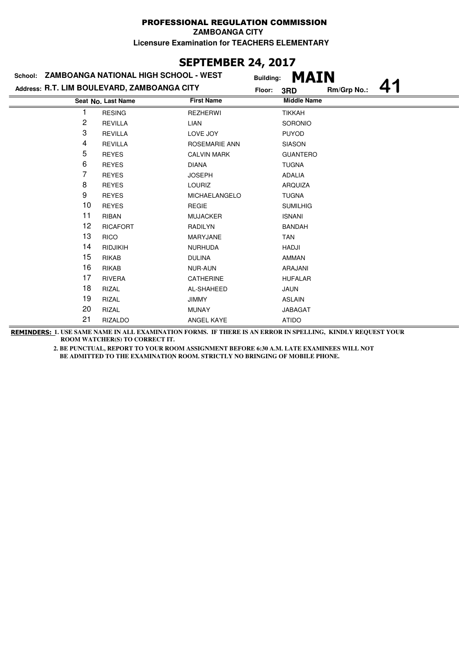# **SEPTEMBER 24, 2017**

| School: ZAMBOANGA NATIONAL HIGH SCHOOL - WEST |                    |                      | <b>Building:</b> | <b>MAIN</b>        |             |  |
|-----------------------------------------------|--------------------|----------------------|------------------|--------------------|-------------|--|
| Address: R.T. LIM BOULEVARD, ZAMBOANGA CITY   |                    |                      | Floor:           | 3RD                | Rm/Grp No.: |  |
|                                               | Seat No. Last Name | <b>First Name</b>    |                  | <b>Middle Name</b> |             |  |
|                                               | <b>RESING</b>      | <b>REZHERWI</b>      |                  | <b>TIKKAH</b>      |             |  |
| 2                                             | <b>REVILLA</b>     | LIAN                 |                  | SORONIO            |             |  |
| 3                                             | <b>REVILLA</b>     | LOVE JOY             |                  | <b>PUYOD</b>       |             |  |
| 4                                             | <b>REVILLA</b>     | <b>ROSEMARIE ANN</b> |                  | <b>SIASON</b>      |             |  |
| 5                                             | <b>REYES</b>       | <b>CALVIN MARK</b>   |                  | <b>GUANTERO</b>    |             |  |
| 6                                             | <b>REYES</b>       | <b>DIANA</b>         |                  | <b>TUGNA</b>       |             |  |
| 7                                             | <b>REYES</b>       | <b>JOSEPH</b>        |                  | <b>ADALIA</b>      |             |  |
| 8                                             | <b>REYES</b>       | <b>LOURIZ</b>        |                  | ARQUIZA            |             |  |
| 9                                             | <b>REYES</b>       | <b>MICHAELANGELO</b> |                  | <b>TUGNA</b>       |             |  |
| 10                                            | <b>REYES</b>       | <b>REGIE</b>         |                  | <b>SUMILHIG</b>    |             |  |
| 11                                            | <b>RIBAN</b>       | <b>MUJACKER</b>      |                  | <b>ISNANI</b>      |             |  |
| 12                                            | <b>RICAFORT</b>    | <b>RADILYN</b>       |                  | <b>BANDAH</b>      |             |  |
| 13                                            | <b>RICO</b>        | MARYJANE             |                  | <b>TAN</b>         |             |  |
| 14                                            | <b>RIDJIKIH</b>    | <b>NURHUDA</b>       |                  | HADJI              |             |  |
| 15                                            | <b>RIKAB</b>       | <b>DULINA</b>        |                  | AMMAN              |             |  |
| 16                                            | <b>RIKAB</b>       | <b>NUR-AUN</b>       |                  | ARAJANI            |             |  |
| 17                                            | <b>RIVERA</b>      | <b>CATHERINE</b>     |                  | <b>HUFALAR</b>     |             |  |
| 18                                            | <b>RIZAL</b>       | AL-SHAHEED           |                  | <b>JAUN</b>        |             |  |
| 19                                            | <b>RIZAL</b>       | <b>JIMMY</b>         |                  | <b>ASLAIN</b>      |             |  |
| 20                                            | <b>RIZAL</b>       | <b>MUNAY</b>         |                  | <b>JABAGAT</b>     |             |  |
| 21                                            | <b>RIZALDO</b>     | ANGEL KAYE           |                  | <b>ATIDO</b>       |             |  |

**REMINDERS: 1. USE SAME NAME IN ALL EXAMINATION FORMS. IF THERE IS AN ERROR IN SPELLING, KINDLY REQUEST YOUR ROOM WATCHER(S) TO CORRECT IT.**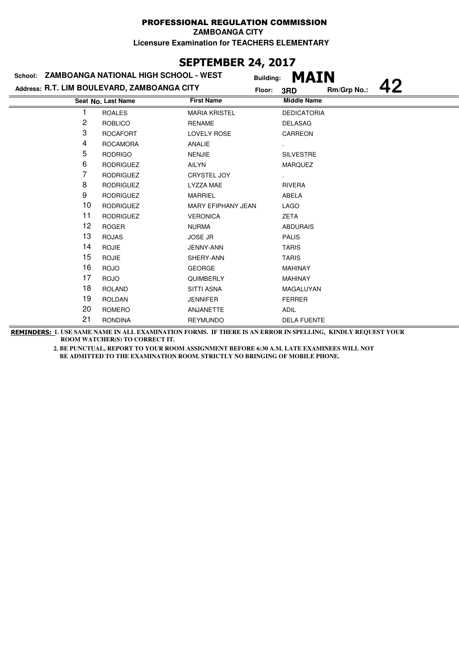# **SEPTEMBER 24, 2017**

|    |                  | Floor:                    | 3RD                                                                                          | Rm/Grp No.:      |                                                         |
|----|------------------|---------------------------|----------------------------------------------------------------------------------------------|------------------|---------------------------------------------------------|
|    |                  | <b>First Name</b>         | <b>Middle Name</b>                                                                           |                  |                                                         |
|    | <b>ROALES</b>    | <b>MARIA KRISTEL</b>      |                                                                                              |                  |                                                         |
| 2  | <b>ROBLICO</b>   | <b>RENAME</b>             | <b>DELASAG</b>                                                                               |                  |                                                         |
| 3  | <b>ROCAFORT</b>  | <b>LOVELY ROSE</b>        | CARREON                                                                                      |                  |                                                         |
| 4  | <b>ROCAMORA</b>  | ANALIE                    |                                                                                              |                  |                                                         |
| 5  | <b>RODRIGO</b>   | <b>NENJIE</b>             | <b>SILVESTRE</b>                                                                             |                  |                                                         |
| 6  | <b>RODRIGUEZ</b> | AILYN                     | <b>MARQUEZ</b>                                                                               |                  |                                                         |
| 7  | <b>RODRIGUEZ</b> | <b>CRYSTEL JOY</b>        |                                                                                              |                  |                                                         |
| 8  | <b>RODRIGUEZ</b> | LYZZA MAE                 | <b>RIVERA</b>                                                                                |                  |                                                         |
| 9  | <b>RODRIGUEZ</b> | <b>MARRIEL</b>            | <b>ABELA</b>                                                                                 |                  |                                                         |
| 10 | <b>RODRIGUEZ</b> | <b>MARY EFIPHANY JEAN</b> | <b>LAGO</b>                                                                                  |                  |                                                         |
| 11 | <b>RODRIGUEZ</b> | <b>VERONICA</b>           | <b>ZETA</b>                                                                                  |                  |                                                         |
| 12 | <b>ROGER</b>     | <b>NURMA</b>              | <b>ABDURAIS</b>                                                                              |                  |                                                         |
| 13 | <b>ROJAS</b>     | <b>JOSE JR</b>            | <b>PALIS</b>                                                                                 |                  |                                                         |
| 14 | <b>ROJIE</b>     | JENNY-ANN                 | <b>TARIS</b>                                                                                 |                  |                                                         |
| 15 | <b>ROJIE</b>     | SHERY-ANN                 | <b>TARIS</b>                                                                                 |                  |                                                         |
| 16 | <b>ROJO</b>      | <b>GEORGE</b>             | <b>MAHINAY</b>                                                                               |                  |                                                         |
| 17 | <b>ROJO</b>      | <b>QUIMBERLY</b>          | <b>MAHINAY</b>                                                                               |                  |                                                         |
| 18 | <b>ROLAND</b>    | <b>SITTI ASNA</b>         | MAGALUYAN                                                                                    |                  |                                                         |
| 19 | <b>ROLDAN</b>    | <b>JENNIFER</b>           | <b>FERRER</b>                                                                                |                  |                                                         |
| 20 | <b>ROMERO</b>    | ANJANETTE                 | <b>ADIL</b>                                                                                  |                  |                                                         |
| 21 | <b>RONDINA</b>   | <b>REYMUNDO</b>           |                                                                                              |                  |                                                         |
|    |                  | Seat No. Last Name        | School: ZAMBOANGA NATIONAL HIGH SCHOOL - WEST<br>Address: R.T. LIM BOULEVARD, ZAMBOANGA CITY | <b>Building:</b> | <b>MAIN</b><br><b>DEDICATORIA</b><br><b>DELA FUENTE</b> |

**REMINDERS: 1. USE SAME NAME IN ALL EXAMINATION FORMS. IF THERE IS AN ERROR IN SPELLING, KINDLY REQUEST YOUR ROOM WATCHER(S) TO CORRECT IT.**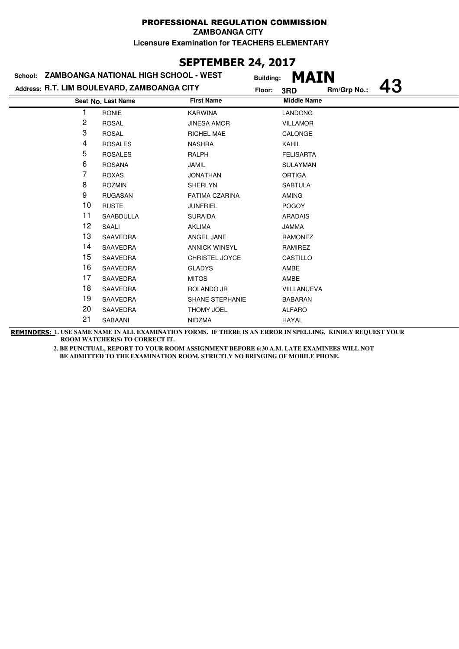### **SEPTEMBER 24, 2017**

|    | School: ZAMBOANGA NATIONAL HIGH SCHOOL - WEST | <b>Building:</b>       | <b>MAIN</b>        |             |           |
|----|-----------------------------------------------|------------------------|--------------------|-------------|-----------|
|    | Address: R.T. LIM BOULEVARD, ZAMBOANGA CITY   | Floor:                 | 3RD                | Rm/Grp No.: | <b>43</b> |
|    | Seat No. Last Name                            | <b>First Name</b>      | <b>Middle Name</b> |             |           |
|    | <b>RONIE</b>                                  | <b>KARWINA</b>         | <b>LANDONG</b>     |             |           |
| 2  | <b>ROSAL</b>                                  | <b>JINESA AMOR</b>     | <b>VILLAMOR</b>    |             |           |
| 3  | <b>ROSAL</b>                                  | <b>RICHEL MAE</b>      | CALONGE            |             |           |
| 4  | <b>ROSALES</b>                                | <b>NASHRA</b>          | <b>KAHIL</b>       |             |           |
| 5  | <b>ROSALES</b>                                | <b>RALPH</b>           | <b>FELISARTA</b>   |             |           |
| 6  | <b>ROSANA</b>                                 | <b>JAMIL</b>           | <b>SULAYMAN</b>    |             |           |
| 7  | <b>ROXAS</b>                                  | <b>JONATHAN</b>        | <b>ORTIGA</b>      |             |           |
| 8  | <b>ROZMIN</b>                                 | <b>SHERLYN</b>         | <b>SABTULA</b>     |             |           |
| 9  | <b>RUGASAN</b>                                | <b>FATIMA CZARINA</b>  | <b>AMING</b>       |             |           |
| 10 | <b>RUSTE</b>                                  | <b>JUNFRIEL</b>        | <b>POGOY</b>       |             |           |
| 11 | <b>SAABDULLA</b>                              | <b>SURAIDA</b>         | <b>ARADAIS</b>     |             |           |
| 12 | SAALI                                         | <b>AKLIMA</b>          | <b>JAMMA</b>       |             |           |
| 13 | SAAVEDRA                                      | ANGEL JANE             | <b>RAMONEZ</b>     |             |           |
| 14 | SAAVEDRA                                      | <b>ANNICK WINSYL</b>   | RAMIREZ            |             |           |
| 15 | SAAVEDRA                                      | CHRISTEL JOYCE         | CASTILLO           |             |           |
| 16 | SAAVEDRA                                      | <b>GLADYS</b>          | AMBE               |             |           |
| 17 | SAAVEDRA                                      | <b>MITOS</b>           | AMBE               |             |           |
| 18 | SAAVEDRA                                      | ROLANDO JR             | VIILLANUEVA        |             |           |
| 19 | SAAVEDRA                                      | <b>SHANE STEPHANIE</b> | <b>BABARAN</b>     |             |           |
| 20 | SAAVEDRA                                      | THOMY JOEL             | <b>ALFARO</b>      |             |           |
| 21 | SABAANI                                       | <b>NIDZMA</b>          | <b>HAYAL</b>       |             |           |

**REMINDERS: 1. USE SAME NAME IN ALL EXAMINATION FORMS. IF THERE IS AN ERROR IN SPELLING, KINDLY REQUEST YOUR ROOM WATCHER(S) TO CORRECT IT.**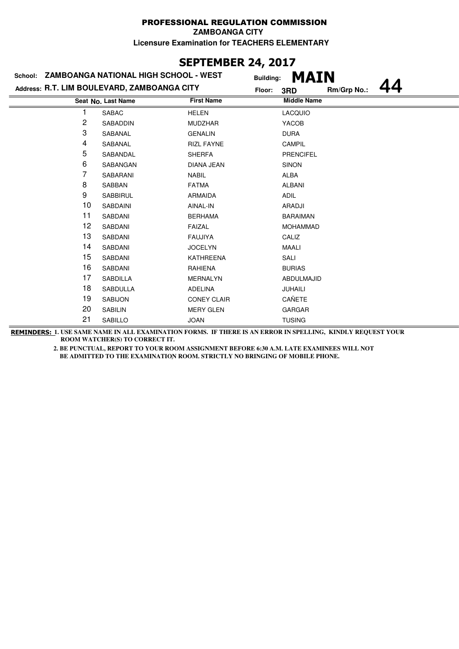### **SEPTEMBER 24, 2017**

|    | School: ZAMBOANGA NATIONAL HIGH SCHOOL - WEST | <b>Building:</b>   | <b>MAIN</b>        |             |  |
|----|-----------------------------------------------|--------------------|--------------------|-------------|--|
|    | Address: R.T. LIM BOULEVARD, ZAMBOANGA CITY   | Floor:             | 3RD                | Rm/Grp No.: |  |
|    | Seat No. Last Name                            | <b>First Name</b>  | <b>Middle Name</b> |             |  |
|    | <b>SABAC</b>                                  | <b>HELEN</b>       | <b>LACQUIO</b>     |             |  |
| 2  | SABADDIN                                      | <b>MUDZHAR</b>     | YACOB              |             |  |
| 3  | SABANAL                                       | <b>GENALIN</b>     | <b>DURA</b>        |             |  |
| 4  | SABANAL                                       | <b>RIZL FAYNE</b>  | CAMPIL             |             |  |
| 5  | SABANDAL                                      | <b>SHERFA</b>      | <b>PRENCIFEL</b>   |             |  |
| 6  | SABANGAN                                      | <b>DIANA JEAN</b>  | <b>SINON</b>       |             |  |
| 7  | SABARANI                                      | <b>NABIL</b>       | ALBA               |             |  |
| 8  | SABBAN                                        | <b>FATMA</b>       | <b>ALBANI</b>      |             |  |
| 9  | <b>SABBIRUL</b>                               | <b>ARMAIDA</b>     | <b>ADIL</b>        |             |  |
| 10 | <b>SABDAINI</b>                               | AINAL-IN           | ARADJI             |             |  |
| 11 | SABDANI                                       | <b>BERHAMA</b>     | <b>BARAIMAN</b>    |             |  |
| 12 | SABDANI                                       | <b>FAIZAL</b>      | <b>MOHAMMAD</b>    |             |  |
| 13 | SABDANI                                       | <b>FAUJIYA</b>     | CALIZ              |             |  |
| 14 | SABDANI                                       | <b>JOCELYN</b>     | <b>MAALI</b>       |             |  |
| 15 | SABDANI                                       | <b>KATHREENA</b>   | SALI               |             |  |
| 16 | SABDANI                                       | <b>RAHIENA</b>     | <b>BURIAS</b>      |             |  |
| 17 | <b>SABDILLA</b>                               | <b>MERNALYN</b>    | ABDULMAJID         |             |  |
| 18 | <b>SABDULLA</b>                               | ADELINA            | JUHAILI            |             |  |
| 19 | <b>SABIJON</b>                                | <b>CONEY CLAIR</b> | CAÑETE             |             |  |
| 20 | <b>SABILIN</b>                                | <b>MERY GLEN</b>   | <b>GARGAR</b>      |             |  |
| 21 | SABILLO                                       | <b>JOAN</b>        | <b>TUSING</b>      |             |  |

**REMINDERS: 1. USE SAME NAME IN ALL EXAMINATION FORMS. IF THERE IS AN ERROR IN SPELLING, KINDLY REQUEST YOUR ROOM WATCHER(S) TO CORRECT IT.**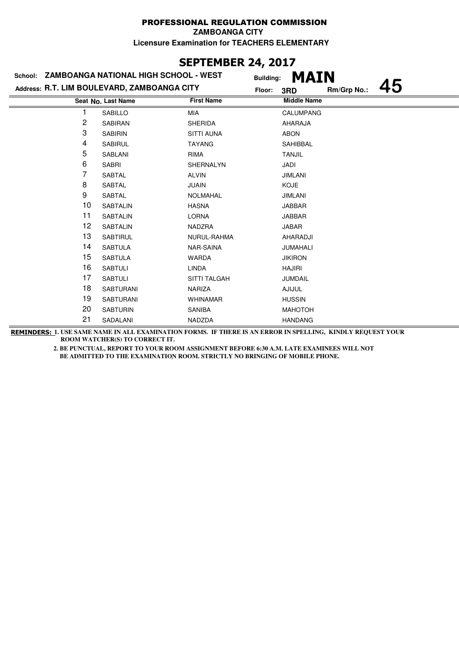### **SEPTEMBER 24, 2017**

|    | School: ZAMBOANGA NATIONAL HIGH SCHOOL - WEST | <b>Building:</b>    | <b>MAIN</b>        |             |    |
|----|-----------------------------------------------|---------------------|--------------------|-------------|----|
|    | Address: R.T. LIM BOULEVARD, ZAMBOANGA CITY   | Floor:              | 3RD                | Rm/Grp No.: | 45 |
|    | Seat No. Last Name                            | <b>First Name</b>   | <b>Middle Name</b> |             |    |
|    | SABILLO                                       | MIA                 | <b>CALUMPANG</b>   |             |    |
| 2  | SABIRAN                                       | <b>SHERIDA</b>      | AHARAJA            |             |    |
| 3  | <b>SABIRIN</b>                                | <b>SITTI AUNA</b>   | <b>ABON</b>        |             |    |
| 4  | <b>SABIRUL</b>                                | <b>TAYANG</b>       | SAHIBBAL           |             |    |
| 5  | SABLANI                                       | <b>RIMA</b>         | <b>TANJIL</b>      |             |    |
| 6  | <b>SABRI</b>                                  | SHERNALYN           | JADI               |             |    |
| 7  | <b>SABTAL</b>                                 | <b>ALVIN</b>        | <b>JIMLANI</b>     |             |    |
| 8  | <b>SABTAL</b>                                 | <b>JUAIN</b>        | <b>KOJE</b>        |             |    |
| 9  | <b>SABTAL</b>                                 | <b>NOLMAHAL</b>     | <b>JIMLANI</b>     |             |    |
| 10 | <b>SABTALIN</b>                               | <b>HASNA</b>        | <b>JABBAR</b>      |             |    |
| 11 | <b>SABTALIN</b>                               | <b>LORNA</b>        | <b>JABBAR</b>      |             |    |
| 12 | <b>SABTALIN</b>                               | NADZRA              | <b>JABAR</b>       |             |    |
| 13 | <b>SABTIRUL</b>                               | NURUL-RAHMA         | AHARADJI           |             |    |
| 14 | <b>SABTULA</b>                                | NAR-SAINA           | JUMAHALI           |             |    |
| 15 | <b>SABTULA</b>                                | <b>WARDA</b>        | <b>JIKIRON</b>     |             |    |
| 16 | <b>SABTULI</b>                                | <b>LINDA</b>        | <b>HAJIRI</b>      |             |    |
| 17 | <b>SABTULI</b>                                | <b>SITTI TALGAH</b> | <b>JUMDAIL</b>     |             |    |
| 18 | <b>SABTURANI</b>                              | <b>NARIZA</b>       | <b>AJIJUL</b>      |             |    |
| 19 | <b>SABTURANI</b>                              | <b>WHINAMAR</b>     | <b>HUSSIN</b>      |             |    |
| 20 | <b>SABTURIN</b>                               | SANIBA              | <b>MAHOTOH</b>     |             |    |
| 21 | SADALANI                                      | NADZDA              | <b>HANDANG</b>     |             |    |

**REMINDERS: 1. USE SAME NAME IN ALL EXAMINATION FORMS. IF THERE IS AN ERROR IN SPELLING, KINDLY REQUEST YOUR ROOM WATCHER(S) TO CORRECT IT.**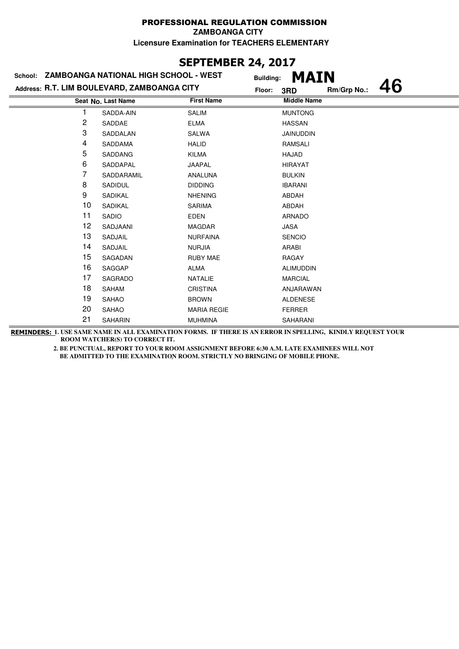# **SEPTEMBER 24, 2017**

|    | School: ZAMBOANGA NATIONAL HIGH SCHOOL - WEST | <b>Building:</b>   | <b>MAIN</b>        |             |  |
|----|-----------------------------------------------|--------------------|--------------------|-------------|--|
|    | Address: R.T. LIM BOULEVARD, ZAMBOANGA CITY   | Floor:             | 3RD                | Rm/Grp No.: |  |
|    | Seat No. Last Name                            | <b>First Name</b>  | <b>Middle Name</b> |             |  |
|    | SADDA-AIN                                     | <b>SALIM</b>       | <b>MUNTONG</b>     |             |  |
| 2  | SADDAE                                        | <b>ELMA</b>        | <b>HASSAN</b>      |             |  |
| 3  | SADDALAN                                      | SALWA              | <b>JAINUDDIN</b>   |             |  |
| 4  | SADDAMA                                       | <b>HALID</b>       | RAMSALI            |             |  |
| 5  | SADDANG                                       | <b>KILMA</b>       | HAJAD              |             |  |
| 6  | SADDAPAL                                      | JAAPAL             | <b>HIRAYAT</b>     |             |  |
| 7  | SADDARAMIL                                    | <b>ANALUNA</b>     | <b>BULKIN</b>      |             |  |
| 8  | SADIDUL                                       | <b>DIDDING</b>     | <b>IBARANI</b>     |             |  |
| 9  | SADIKAL                                       | <b>NHENING</b>     | ABDAH              |             |  |
| 10 | SADIKAL                                       | <b>SARIMA</b>      | ABDAH              |             |  |
| 11 | SADIO                                         | <b>EDEN</b>        | <b>ARNADO</b>      |             |  |
| 12 | SADJAANI                                      | <b>MAGDAR</b>      | JASA               |             |  |
| 13 | SADJAIL                                       | <b>NURFAINA</b>    | <b>SENCIO</b>      |             |  |
| 14 | SADJAIL                                       | <b>NURJIA</b>      | ARABI              |             |  |
| 15 | SAGADAN                                       | <b>RUBY MAE</b>    | <b>RAGAY</b>       |             |  |
| 16 | SAGGAP                                        | <b>ALMA</b>        | <b>ALIMUDDIN</b>   |             |  |
| 17 | SAGRADO                                       | <b>NATALIE</b>     | <b>MARCIAL</b>     |             |  |
| 18 | SAHAM                                         | <b>CRISTINA</b>    | ANJARAWAN          |             |  |
| 19 | <b>SAHAO</b>                                  | <b>BROWN</b>       | <b>ALDENESE</b>    |             |  |
| 20 | <b>SAHAO</b>                                  | <b>MARIA REGIE</b> | <b>FERRER</b>      |             |  |
| 21 | <b>SAHARIN</b>                                | <b>MUHMINA</b>     | <b>SAHARANI</b>    |             |  |

**REMINDERS: 1. USE SAME NAME IN ALL EXAMINATION FORMS. IF THERE IS AN ERROR IN SPELLING, KINDLY REQUEST YOUR ROOM WATCHER(S) TO CORRECT IT.**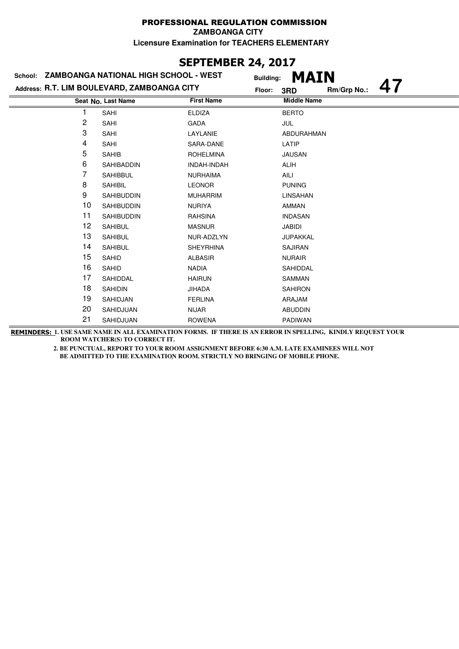#### PROFESSIONAL REGULATION COMMISSION **ZAMBOANGA CITY**

**Licensure Examination for TEACHERS ELEMENTARY**

## **SEPTEMBER 24, 2017**

|                | School: ZAMBOANGA NATIONAL HIGH SCHOOL - WEST | <b>Building:</b>  | <b>MAIN</b>        |             |  |
|----------------|-----------------------------------------------|-------------------|--------------------|-------------|--|
|                | Address: R.T. LIM BOULEVARD, ZAMBOANGA CITY   | Floor:            | 3RD                | Rm/Grp No.: |  |
|                | Seat No. Last Name                            | <b>First Name</b> | <b>Middle Name</b> |             |  |
|                | SAHI                                          | <b>ELDIZA</b>     | <b>BERTO</b>       |             |  |
| $\overline{c}$ | SAHI                                          | <b>GADA</b>       | JUL                |             |  |
| 3              | SAHI                                          | LAYLANIE          | ABDURAHMAN         |             |  |
| 4              | SAHI                                          | SARA-DANE         | LATIP              |             |  |
| 5              | <b>SAHIB</b>                                  | <b>ROHELMINA</b>  | <b>JAUSAN</b>      |             |  |
| 6              | SAHIBADDIN                                    | INDAH-INDAH       | <b>ALIH</b>        |             |  |
| 7              | <b>SAHIBBUL</b>                               | <b>NURHAIMA</b>   | AILI               |             |  |
| 8              | <b>SAHIBIL</b>                                | <b>LEONOR</b>     | <b>PUNING</b>      |             |  |
| 9              | <b>SAHIBUDDIN</b>                             | <b>MUHARRIM</b>   | LINSAHAN           |             |  |
| 10             | <b>SAHIBUDDIN</b>                             | <b>NURIYA</b>     | AMMAN              |             |  |
| 11             | <b>SAHIBUDDIN</b>                             | <b>RAHSINA</b>    | <b>INDASAN</b>     |             |  |
| 12             | <b>SAHIBUL</b>                                | <b>MASNUR</b>     | JABIDI             |             |  |
| 13             | SAHIBUL                                       | NUR-ADZLYN        | <b>JUPAKKAL</b>    |             |  |
| 14             | <b>SAHIBUL</b>                                | <b>SHEYRHINA</b>  | <b>SAJIRAN</b>     |             |  |
| 15             | SAHID                                         | <b>ALBASIR</b>    | <b>NURAIR</b>      |             |  |
| 16             | SAHID                                         | <b>NADIA</b>      | SAHIDDAL           |             |  |
| 17             | SAHIDDAL                                      | <b>HAIRUN</b>     | <b>SAMMAN</b>      |             |  |
| 18             | <b>SAHIDIN</b>                                | <b>JIHADA</b>     | <b>SAHIRON</b>     |             |  |
| 19             | SAHIDJAN                                      | <b>FERLINA</b>    | ARAJAM             |             |  |
| 20             | SAHIDJUAN                                     | <b>NIJAR</b>      | <b>ABUDDIN</b>     |             |  |
| 21             | SAHIDJUAN                                     | <b>ROWENA</b>     | PADIWAN            |             |  |

**REMINDERS: 1. USE SAME NAME IN ALL EXAMINATION FORMS. IF THERE IS AN ERROR IN SPELLING, KINDLY REQUEST YOUR ROOM WATCHER(S) TO CORRECT IT.**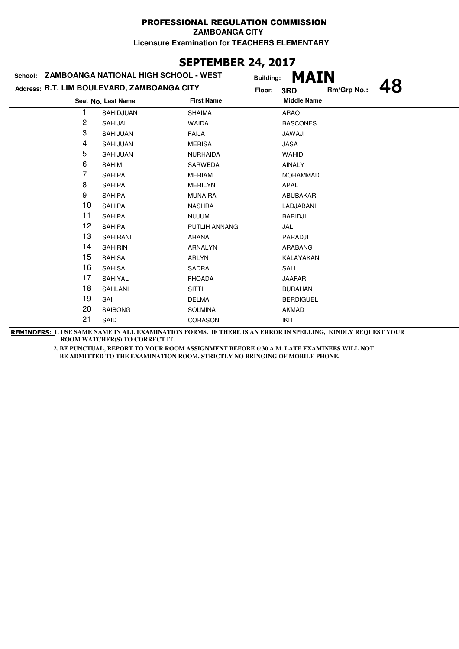## **SEPTEMBER 24, 2017**

|                | School: ZAMBOANGA NATIONAL HIGH SCHOOL - WEST | <b>Building:</b>  | <b>MAIN</b>        |             |    |
|----------------|-----------------------------------------------|-------------------|--------------------|-------------|----|
|                | Address: R.T. LIM BOULEVARD, ZAMBOANGA CITY   | Floor:            | 3RD                | Rm/Grp No.: | 48 |
|                | Seat No. Last Name                            | <b>First Name</b> | <b>Middle Name</b> |             |    |
|                | SAHIDJUAN                                     | <b>SHAIMA</b>     | ARAO               |             |    |
| $\overline{c}$ | SAHIJAL                                       | <b>WAIDA</b>      | <b>BASCONES</b>    |             |    |
| 3              | SAHIJUAN                                      | <b>FAIJA</b>      | JAWAJI             |             |    |
| 4              | SAHIJUAN                                      | <b>MERISA</b>     | JASA               |             |    |
| 5              | SAHIJUAN                                      | <b>NURHAIDA</b>   | <b>WAHID</b>       |             |    |
| 6              | <b>SAHIM</b>                                  | SARWEDA           | <b>AINALY</b>      |             |    |
| 7              | <b>SAHIPA</b>                                 | <b>MERIAM</b>     | <b>MOHAMMAD</b>    |             |    |
| 8              | <b>SAHIPA</b>                                 | <b>MERILYN</b>    | APAL               |             |    |
| 9              | <b>SAHIPA</b>                                 | <b>MUNAIRA</b>    | ABUBAKAR           |             |    |
| 10             | <b>SAHIPA</b>                                 | <b>NASHRA</b>     | LADJABANI          |             |    |
| 11             | <b>SAHIPA</b>                                 | <b>NUJUM</b>      | <b>BARIDJI</b>     |             |    |
| 12             | <b>SAHIPA</b>                                 | PUTLIH ANNANG     | JAL                |             |    |
| 13             | <b>SAHIRANI</b>                               | <b>ARANA</b>      | PARADJI            |             |    |
| 14             | <b>SAHIRIN</b>                                | <b>ARNALYN</b>    | ARABANG            |             |    |
| 15             | <b>SAHISA</b>                                 | <b>ARLYN</b>      | KALAYAKAN          |             |    |
| 16             | <b>SAHISA</b>                                 | <b>SADRA</b>      | SALI               |             |    |
| 17             | SAHIYAL                                       | <b>FHOADA</b>     | <b>JAAFAR</b>      |             |    |
| 18             | <b>SAHLANI</b>                                | <b>SITTI</b>      | <b>BURAHAN</b>     |             |    |
| 19             | SAI                                           | <b>DELMA</b>      | <b>BERDIGUEL</b>   |             |    |
| 20             | <b>SAIBONG</b>                                | <b>SOLMINA</b>    | <b>AKMAD</b>       |             |    |
| 21             | SAID                                          | <b>CORASON</b>    | <b>IKIT</b>        |             |    |

**REMINDERS: 1. USE SAME NAME IN ALL EXAMINATION FORMS. IF THERE IS AN ERROR IN SPELLING, KINDLY REQUEST YOUR ROOM WATCHER(S) TO CORRECT IT.**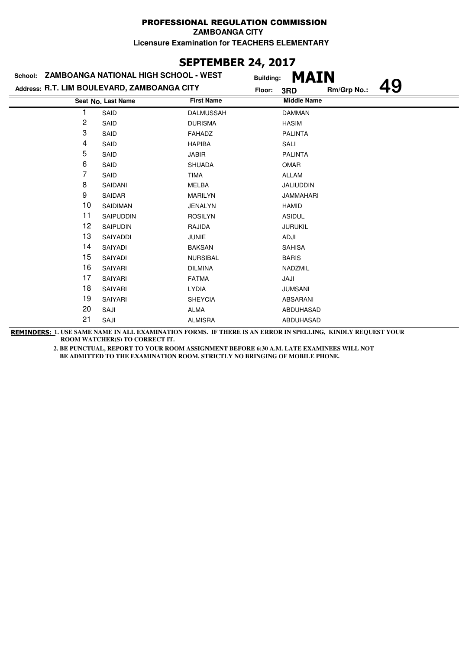### **SEPTEMBER 24, 2017**

| School: ZAMBOANGA NATIONAL HIGH SCHOOL - WEST |                                             | <b>Building:</b>  | <b>MAIN</b>        |             |    |
|-----------------------------------------------|---------------------------------------------|-------------------|--------------------|-------------|----|
|                                               | Address: R.T. LIM BOULEVARD, ZAMBOANGA CITY | Floor:            | 3RD                | Rm/Grp No.: | 19 |
|                                               | Seat No. Last Name                          | <b>First Name</b> | <b>Middle Name</b> |             |    |
|                                               | SAID                                        | <b>DALMUSSAH</b>  | <b>DAMMAN</b>      |             |    |
| 2                                             | SAID                                        | <b>DURISMA</b>    | <b>HASIM</b>       |             |    |
| 3                                             | SAID                                        | <b>FAHADZ</b>     | <b>PALINTA</b>     |             |    |
| 4                                             | SAID                                        | <b>HAPIBA</b>     | SALI               |             |    |
| 5                                             | SAID                                        | <b>JABIR</b>      | <b>PALINTA</b>     |             |    |
| 6                                             | SAID                                        | <b>SHUADA</b>     | <b>OMAR</b>        |             |    |
| 7                                             | SAID                                        | <b>TIMA</b>       | <b>ALLAM</b>       |             |    |
| 8                                             | SAIDANI                                     | MELBA             | JALIUDDIN          |             |    |
| 9                                             | SAIDAR                                      | <b>MARILYN</b>    | <b>JAMMAHARI</b>   |             |    |
| 10                                            | SAIDIMAN                                    | <b>JENALYN</b>    | <b>HAMID</b>       |             |    |
| 11                                            | SAIPUDDIN                                   | <b>ROSILYN</b>    | <b>ASIDUL</b>      |             |    |
| 12                                            | <b>SAIPUDIN</b>                             | RAJIDA            | <b>JURUKIL</b>     |             |    |
| 13                                            | SAIYADDI                                    | <b>JUNIE</b>      | ADJI               |             |    |
| 14                                            | SAIYADI                                     | <b>BAKSAN</b>     | <b>SAHISA</b>      |             |    |
| 15                                            | SAIYADI                                     | <b>NURSIBAL</b>   | <b>BARIS</b>       |             |    |
| 16                                            | SAIYARI                                     | <b>DILMINA</b>    | NADZMIL            |             |    |
| 17                                            | SAIYARI                                     | <b>FATMA</b>      | JAJI               |             |    |
| 18                                            | SAIYARI                                     | <b>LYDIA</b>      | <b>JUMSANI</b>     |             |    |
| 19                                            | <b>SAIYARI</b>                              | <b>SHEYCIA</b>    | ABSARANI           |             |    |
| 20                                            | SAJI                                        | <b>ALMA</b>       | ABDUHASAD          |             |    |
| 21                                            | SAJI                                        | <b>ALMISRA</b>    | ABDUHASAD          |             |    |

**REMINDERS: 1. USE SAME NAME IN ALL EXAMINATION FORMS. IF THERE IS AN ERROR IN SPELLING, KINDLY REQUEST YOUR ROOM WATCHER(S) TO CORRECT IT.**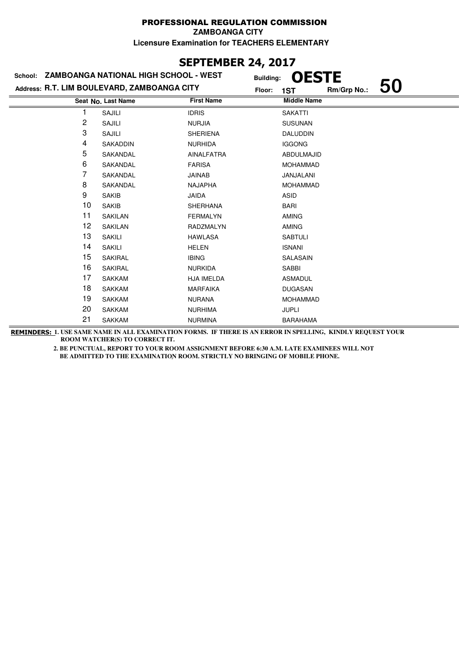## **SEPTEMBER 24, 2017**

| School: ZAMBOANGA NATIONAL HIGH SCHOOL - WEST |                    |                   | <b>OESTE</b><br><b>Building:</b>   |  |
|-----------------------------------------------|--------------------|-------------------|------------------------------------|--|
| Address: R.T. LIM BOULEVARD, ZAMBOANGA CITY   |                    |                   | 50<br>Rm/Grp No.:<br>Floor:<br>1ST |  |
|                                               | Seat No. Last Name | <b>First Name</b> | <b>Middle Name</b>                 |  |
|                                               | SAJILI             | <b>IDRIS</b>      | <b>SAKATTI</b>                     |  |
| 2                                             | SAJILI             | <b>NURJIA</b>     | <b>SUSUNAN</b>                     |  |
| 3                                             | SAJILI             | <b>SHERIENA</b>   | DALUDDIN                           |  |
| 4                                             | SAKADDIN           | <b>NURHIDA</b>    | <b>IGGONG</b>                      |  |
| 5                                             | SAKANDAL           | <b>AINALFATRA</b> | ABDULMAJID                         |  |
| 6                                             | SAKANDAL           | <b>FARISA</b>     | <b>MOHAMMAD</b>                    |  |
| 7                                             | SAKANDAL           | <b>JAINAB</b>     | JANJALANI                          |  |
| 8                                             | SAKANDAL           | <b>NAJAPHA</b>    | <b>MOHAMMAD</b>                    |  |
| 9                                             | <b>SAKIB</b>       | <b>JAIDA</b>      | <b>ASID</b>                        |  |
| 10                                            | <b>SAKIB</b>       | <b>SHERHANA</b>   | <b>BARI</b>                        |  |
| 11                                            | SAKILAN            | <b>FERMALYN</b>   | <b>AMING</b>                       |  |
| 12                                            | SAKILAN            | RADZMALYN         | AMING                              |  |
| 13                                            | <b>SAKILI</b>      | <b>HAWLASA</b>    | <b>SABTULI</b>                     |  |
| 14                                            | <b>SAKILI</b>      | <b>HELEN</b>      | <b>ISNANI</b>                      |  |
| 15                                            | <b>SAKIRAL</b>     | <b>IBING</b>      | SALASAIN                           |  |
| 16                                            | <b>SAKIRAL</b>     | <b>NURKIDA</b>    | <b>SABBI</b>                       |  |
| 17                                            | <b>SAKKAM</b>      | HJA IMELDA        | <b>ASMADUL</b>                     |  |
| 18                                            | <b>SAKKAM</b>      | <b>MARFAIKA</b>   | <b>DUGASAN</b>                     |  |
| 19                                            | <b>SAKKAM</b>      | <b>NURANA</b>     | <b>MOHAMMAD</b>                    |  |
| 20                                            | <b>SAKKAM</b>      | <b>NURHIMA</b>    | <b>JUPLI</b>                       |  |
| 21                                            | <b>SAKKAM</b>      | <b>NURMINA</b>    | <b>BARAHAMA</b>                    |  |

**REMINDERS: 1. USE SAME NAME IN ALL EXAMINATION FORMS. IF THERE IS AN ERROR IN SPELLING, KINDLY REQUEST YOUR ROOM WATCHER(S) TO CORRECT IT.**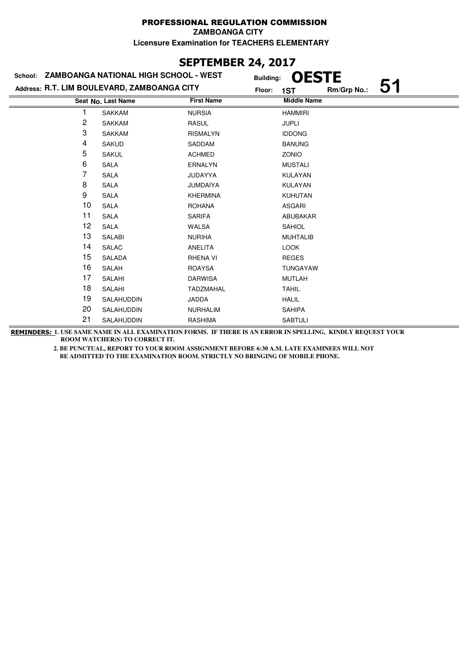## **SEPTEMBER 24, 2017**

| School:                                     | ZAMBOANGA NATIONAL HIGH SCHOOL - WEST |                   | <b>OESTE</b><br><b>Building:</b> |  |
|---------------------------------------------|---------------------------------------|-------------------|----------------------------------|--|
| Address: R.T. LIM BOULEVARD, ZAMBOANGA CITY |                                       |                   | Rm/Grp No.:<br>Floor:<br>1ST     |  |
|                                             | Seat No. Last Name                    | <b>First Name</b> | <b>Middle Name</b>               |  |
|                                             | <b>SAKKAM</b>                         | <b>NURSIA</b>     | <b>HAMMIRI</b>                   |  |
| 2                                           | <b>SAKKAM</b>                         | <b>RASUL</b>      | <b>JUPLI</b>                     |  |
| 3                                           | <b>SAKKAM</b>                         | <b>RISMALYN</b>   | <b>IDDONG</b>                    |  |
| 4                                           | <b>SAKUD</b>                          | SADDAM            | <b>BANUNG</b>                    |  |
| 5                                           | <b>SAKUL</b>                          | <b>ACHMED</b>     | ZONIO                            |  |
| 6                                           | <b>SALA</b>                           | <b>ERNALYN</b>    | <b>MUSTALI</b>                   |  |
| 7                                           | <b>SALA</b>                           | <b>JUDAYYA</b>    | KULAYAN                          |  |
| 8                                           | <b>SALA</b>                           | <b>JUMDAIYA</b>   | KULAYAN                          |  |
| 9                                           | <b>SALA</b>                           | <b>KHERMINA</b>   | <b>KUHUTAN</b>                   |  |
| 10                                          | <b>SALA</b>                           | <b>ROHANA</b>     | ASGARI                           |  |
| 11                                          | <b>SALA</b>                           | <b>SARIFA</b>     | ABUBAKAR                         |  |
| 12                                          | <b>SALA</b>                           | <b>WALSA</b>      | <b>SAHIOL</b>                    |  |
| 13                                          | SALABI                                | <b>NURIHA</b>     | <b>MUHTALIB</b>                  |  |
| 14                                          | SALAC                                 | ANELITA           | <b>LOOK</b>                      |  |
| 15                                          | <b>SALADA</b>                         | <b>RHENA VI</b>   | <b>REGES</b>                     |  |
| 16                                          | SALAH                                 | <b>ROAYSA</b>     | <b>TUNGAYAW</b>                  |  |
| 17                                          | SALAHI                                | <b>DARWISA</b>    | <b>MUTLAH</b>                    |  |
| 18                                          | <b>SALAHI</b>                         | <b>TADZMAHAL</b>  | <b>TAHIL</b>                     |  |
| 19                                          | SALAHUDDIN                            | JADDA             | <b>HALIL</b>                     |  |
| 20                                          | SALAHUDDIN                            | <b>NURHALIM</b>   | <b>SAHIPA</b>                    |  |
| 21                                          | SALAHUDDIN                            | <b>RASHIMA</b>    | <b>SABTULI</b>                   |  |
|                                             |                                       |                   |                                  |  |

**REMINDERS: 1. USE SAME NAME IN ALL EXAMINATION FORMS. IF THERE IS AN ERROR IN SPELLING, KINDLY REQUEST YOUR ROOM WATCHER(S) TO CORRECT IT.**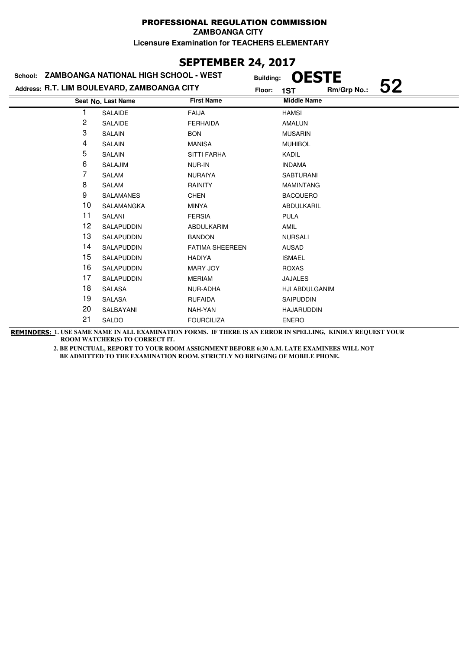## **SEPTEMBER 24, 2017**

|    | School: ZAMBOANGA NATIONAL HIGH SCHOOL - WEST | <b>Building:</b>       | <b>OESTE</b>       |             |    |
|----|-----------------------------------------------|------------------------|--------------------|-------------|----|
|    | Address: R.T. LIM BOULEVARD, ZAMBOANGA CITY   | Floor:                 | 1ST                | Rm/Grp No.: | 52 |
|    | Seat No. Last Name                            | <b>First Name</b>      | <b>Middle Name</b> |             |    |
|    | SALAIDE                                       | <b>FAIJA</b>           | <b>HAMSI</b>       |             |    |
| 2  | <b>SALAIDE</b>                                | <b>FERHAIDA</b>        | AMALUN             |             |    |
| 3  | SALAIN                                        | <b>BON</b>             | <b>MUSARIN</b>     |             |    |
| 4  | SALAIN                                        | <b>MANISA</b>          | <b>MUHIBOL</b>     |             |    |
| 5  | SALAIN                                        | <b>SITTI FARHA</b>     | KADIL              |             |    |
| 6  | <b>SALAJIM</b>                                | NUR-IN                 | <b>INDAMA</b>      |             |    |
| 7  | SALAM                                         | <b>NURAIYA</b>         | <b>SABTURANI</b>   |             |    |
| 8  | SALAM                                         | <b>RAINITY</b>         | <b>MAMINTANG</b>   |             |    |
| 9  | <b>SALAMANES</b>                              | <b>CHEN</b>            | <b>BACQUERO</b>    |             |    |
| 10 | SALAMANGKA                                    | <b>MINYA</b>           | ABDULKARIL         |             |    |
| 11 | SALANI                                        | <b>FERSIA</b>          | <b>PULA</b>        |             |    |
| 12 | SALAPUDDIN                                    | ABDULKARIM             | AMIL               |             |    |
| 13 | SALAPUDDIN                                    | <b>BANDON</b>          | <b>NURSALI</b>     |             |    |
| 14 | SALAPUDDIN                                    | <b>FATIMA SHEEREEN</b> | <b>AUSAD</b>       |             |    |
| 15 | SALAPUDDIN                                    | <b>HADIYA</b>          | <b>ISMAEL</b>      |             |    |
| 16 | SALAPUDDIN                                    | MARY JOY               | <b>ROXAS</b>       |             |    |
| 17 | SALAPUDDIN                                    | <b>MERIAM</b>          | <b>JAJALES</b>     |             |    |
| 18 | <b>SALASA</b>                                 | NUR-ADHA               | HJI ABDULGANIM     |             |    |
| 19 | SALASA                                        | <b>RUFAIDA</b>         | <b>SAIPUDDIN</b>   |             |    |
| 20 | SALBAYANI                                     | NAH-YAN                | <b>HAJARUDDIN</b>  |             |    |
| 21 | SALDO                                         | <b>FOURCILIZA</b>      | <b>ENERO</b>       |             |    |

**REMINDERS: 1. USE SAME NAME IN ALL EXAMINATION FORMS. IF THERE IS AN ERROR IN SPELLING, KINDLY REQUEST YOUR ROOM WATCHER(S) TO CORRECT IT.**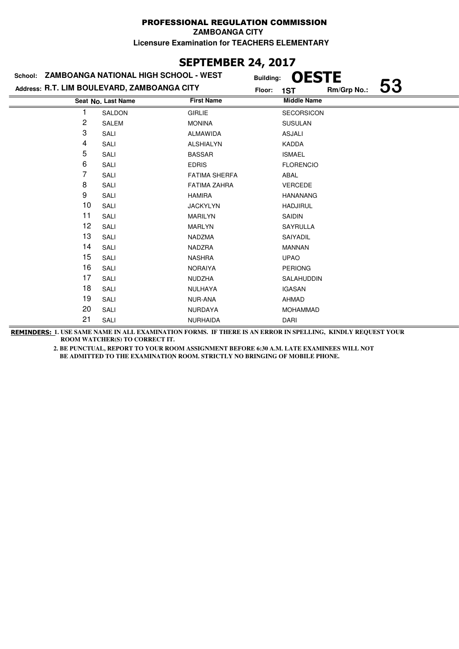## **SEPTEMBER 24, 2017**

|    | School: ZAMBOANGA NATIONAL HIGH SCHOOL - WEST | <b>Building:</b>     | <b>OESTE</b>       |             |    |
|----|-----------------------------------------------|----------------------|--------------------|-------------|----|
|    | Address: R.T. LIM BOULEVARD, ZAMBOANGA CITY   | Floor:               | 1ST                | Rm/Grp No.: | 53 |
|    | Seat No. Last Name                            | <b>First Name</b>    | <b>Middle Name</b> |             |    |
|    | <b>SALDON</b>                                 | <b>GIRLIE</b>        | <b>SECORSICON</b>  |             |    |
| 2  | <b>SALEM</b>                                  | <b>MONINA</b>        | <b>SUSULAN</b>     |             |    |
| 3  | SALI                                          | ALMAWIDA             | <b>ASJALI</b>      |             |    |
| 4  | SALI                                          | <b>ALSHIALYN</b>     | KADDA              |             |    |
| 5  | SALI                                          | <b>BASSAR</b>        | <b>ISMAEL</b>      |             |    |
| 6  | SALI                                          | <b>EDRIS</b>         | <b>FLORENCIO</b>   |             |    |
| 7  | SALI                                          | <b>FATIMA SHERFA</b> | ABAL               |             |    |
| 8  | SALI                                          | <b>FATIMA ZAHRA</b>  | <b>VERCEDE</b>     |             |    |
| 9  | SALI                                          | <b>HAMIRA</b>        | <b>HANANANG</b>    |             |    |
| 10 | SALI                                          | <b>JACKYLYN</b>      | <b>HADJIRUL</b>    |             |    |
| 11 | SALI                                          | <b>MARILYN</b>       | <b>SAIDIN</b>      |             |    |
| 12 | SALI                                          | MARLYN               | <b>SAYRULLA</b>    |             |    |
| 13 | SALI                                          | NADZMA               | SAIYADIL           |             |    |
| 14 | SALI                                          | <b>NADZRA</b>        | <b>MANNAN</b>      |             |    |
| 15 | SALI                                          | <b>NASHRA</b>        | <b>UPAO</b>        |             |    |
| 16 | SALI                                          | <b>NORAIYA</b>       | <b>PERIONG</b>     |             |    |
| 17 | SALI                                          | NUDZHA               | SALAHUDDIN         |             |    |
| 18 | SALI                                          | NULHAYA              | <b>IGASAN</b>      |             |    |
| 19 | SALI                                          | NUR-ANA              | AHMAD              |             |    |
| 20 | SALI                                          | NURDAYA              | <b>MOHAMMAD</b>    |             |    |
| 21 | SALI                                          | <b>NURHAIDA</b>      | DARI               |             |    |

**REMINDERS: 1. USE SAME NAME IN ALL EXAMINATION FORMS. IF THERE IS AN ERROR IN SPELLING, KINDLY REQUEST YOUR ROOM WATCHER(S) TO CORRECT IT.**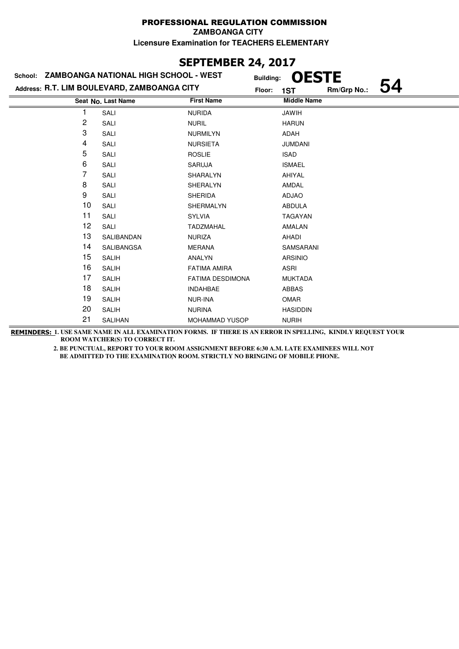#### PROFESSIONAL REGULATION COMMISSION **ZAMBOANGA CITY**

**Licensure Examination for TEACHERS ELEMENTARY**

# **SEPTEMBER 24, 2017**

|                | School: ZAMBOANGA NATIONAL HIGH SCHOOL - WEST | <b>Building:</b>        | <b>OESTE</b>       |             |  |
|----------------|-----------------------------------------------|-------------------------|--------------------|-------------|--|
|                | Address: R.T. LIM BOULEVARD, ZAMBOANGA CITY   | Floor:                  | 1ST                | Rm/Grp No.: |  |
|                | Seat No. Last Name                            | <b>First Name</b>       | <b>Middle Name</b> |             |  |
|                | SALI                                          | <b>NURIDA</b>           | <b>JAWIH</b>       |             |  |
| $\overline{c}$ | SALI                                          | <b>NURIL</b>            | <b>HARUN</b>       |             |  |
| 3              | SALI                                          | <b>NURMILYN</b>         | ADAH               |             |  |
| 4              | SALI                                          | <b>NURSIETA</b>         | <b>JUMDANI</b>     |             |  |
| 5              | SALI                                          | <b>ROSLIE</b>           | <b>ISAD</b>        |             |  |
| 6              | SALI                                          | <b>SARUJA</b>           | <b>ISMAEL</b>      |             |  |
| 7              | SALI                                          | SHARALYN                | AHIYAL             |             |  |
| 8              | SALI                                          | SHERALYN                | AMDAL              |             |  |
| 9              | SALI                                          | <b>SHERIDA</b>          | <b>ADJAO</b>       |             |  |
| 10             | SALI                                          | SHERMALYN               | <b>ABDULA</b>      |             |  |
| 11             | SALI                                          | <b>SYLVIA</b>           | <b>TAGAYAN</b>     |             |  |
| 12             | SALI                                          | <b>TADZMAHAL</b>        | AMALAN             |             |  |
| 13             | SALIBANDAN                                    | <b>NURIZA</b>           | AHADI              |             |  |
| 14             | SALIBANGSA                                    | <b>MERANA</b>           | SAMSARANI          |             |  |
| 15             | <b>SALIH</b>                                  | ANALYN                  | <b>ARSINIO</b>     |             |  |
| 16             | <b>SALIH</b>                                  | <b>FATIMA AMIRA</b>     | <b>ASRI</b>        |             |  |
| 17             | <b>SALIH</b>                                  | <b>FATIMA DESDIMONA</b> | <b>MUKTADA</b>     |             |  |
| 18             | <b>SALIH</b>                                  | <b>INDAHBAE</b>         | <b>ABBAS</b>       |             |  |
| 19             | <b>SALIH</b>                                  | <b>NUR-INA</b>          | <b>OMAR</b>        |             |  |
| 20             | <b>SALIH</b>                                  | <b>NURINA</b>           | <b>HASIDDIN</b>    |             |  |
| 21             | SALIHAN                                       | <b>MOHAMMAD YUSOP</b>   | <b>NURIH</b>       |             |  |

**REMINDERS: 1. USE SAME NAME IN ALL EXAMINATION FORMS. IF THERE IS AN ERROR IN SPELLING, KINDLY REQUEST YOUR ROOM WATCHER(S) TO CORRECT IT.**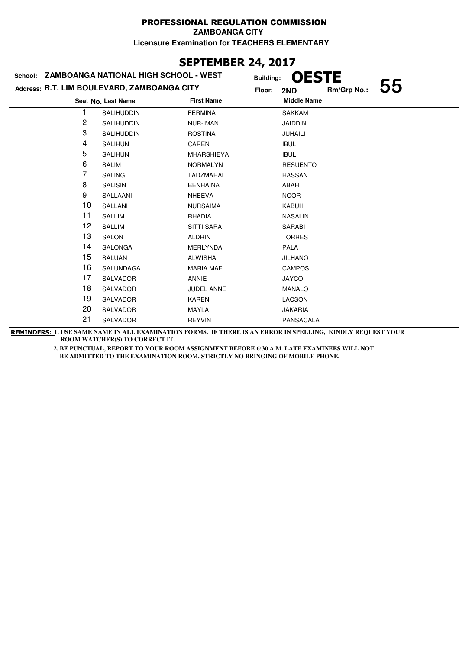### **SEPTEMBER 24, 2017**

|    | School: ZAMBOANGA NATIONAL HIGH SCHOOL - WEST | <b>Building:</b>  | <b>OESTE</b>       |             |    |
|----|-----------------------------------------------|-------------------|--------------------|-------------|----|
|    | Address: R.T. LIM BOULEVARD, ZAMBOANGA CITY   | Floor:            | 2ND                | Rm/Grp No.: | 55 |
|    | Seat No. Last Name                            | <b>First Name</b> | <b>Middle Name</b> |             |    |
|    | <b>SALIHUDDIN</b>                             | <b>FERMINA</b>    | <b>SAKKAM</b>      |             |    |
| 2  | <b>SALIHUDDIN</b>                             | <b>NUR-IMAN</b>   | <b>JAIDDIN</b>     |             |    |
| 3  | <b>SALIHUDDIN</b>                             | <b>ROSTINA</b>    | JUHAILI            |             |    |
| 4  | <b>SALIHUN</b>                                | CAREN             | <b>IBUL</b>        |             |    |
| 5  | <b>SALIHUN</b>                                | <b>MHARSHIEYA</b> | <b>IBUL</b>        |             |    |
| 6  | <b>SALIM</b>                                  | <b>NORMALYN</b>   | <b>RESUENTO</b>    |             |    |
| 7  | <b>SALING</b>                                 | <b>TADZMAHAL</b>  | <b>HASSAN</b>      |             |    |
| 8  | <b>SALISIN</b>                                | <b>BENHAINA</b>   | ABAH               |             |    |
| 9  | SALLAANI                                      | <b>NHEEVA</b>     | <b>NOOR</b>        |             |    |
| 10 | SALLANI                                       | <b>NURSAIMA</b>   | <b>KABUH</b>       |             |    |
| 11 | <b>SALLIM</b>                                 | RHADIA            | <b>NASALIN</b>     |             |    |
| 12 | <b>SALLIM</b>                                 | <b>SITTI SARA</b> | <b>SARABI</b>      |             |    |
| 13 | <b>SALON</b>                                  | <b>ALDRIN</b>     | <b>TORRES</b>      |             |    |
| 14 | <b>SALONGA</b>                                | <b>MERLYNDA</b>   | <b>PALA</b>        |             |    |
| 15 | <b>SALUAN</b>                                 | <b>ALWISHA</b>    | <b>JILHANO</b>     |             |    |
| 16 | <b>SALUNDAGA</b>                              | <b>MARIA MAE</b>  | <b>CAMPOS</b>      |             |    |
| 17 | SALVADOR                                      | <b>ANNIE</b>      | <b>JAYCO</b>       |             |    |
| 18 | <b>SALVADOR</b>                               | <b>JUDEL ANNE</b> | <b>MANALO</b>      |             |    |
| 19 | <b>SALVADOR</b>                               | <b>KAREN</b>      | LACSON             |             |    |
| 20 | <b>SALVADOR</b>                               | <b>MAYLA</b>      | <b>JAKARIA</b>     |             |    |
| 21 | SALVADOR                                      | <b>REYVIN</b>     | PANSACALA          |             |    |

**REMINDERS: 1. USE SAME NAME IN ALL EXAMINATION FORMS. IF THERE IS AN ERROR IN SPELLING, KINDLY REQUEST YOUR ROOM WATCHER(S) TO CORRECT IT.**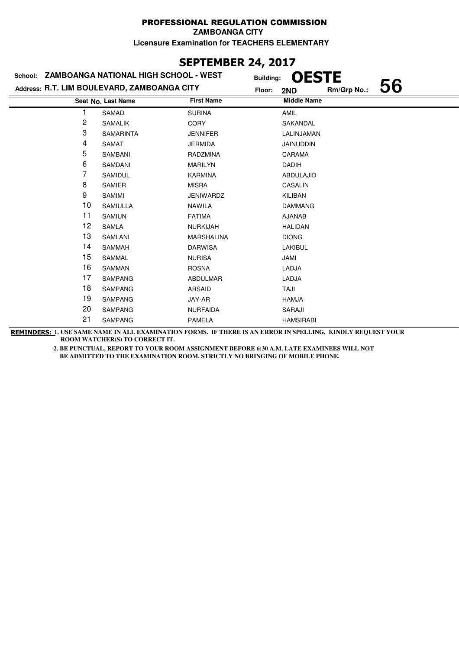## **SEPTEMBER 24, 2017**

| School: ZAMBOANGA NATIONAL HIGH SCHOOL - WEST |                    | <b>Building:</b>  | <b>OESTE</b>       |             |    |
|-----------------------------------------------|--------------------|-------------------|--------------------|-------------|----|
| Address: R.T. LIM BOULEVARD, ZAMBOANGA CITY   |                    | Floor:            | 2ND                | Rm/Grp No.: | 56 |
|                                               | Seat No. Last Name | <b>First Name</b> | <b>Middle Name</b> |             |    |
|                                               | SAMAD              | <b>SURINA</b>     | AMIL               |             |    |
| 2                                             | <b>SAMALIK</b>     | <b>CORY</b>       | SAKANDAL           |             |    |
| 3                                             | <b>SAMARINTA</b>   | <b>JENNIFER</b>   | LALINJAMAN         |             |    |
| 4                                             | <b>SAMAT</b>       | <b>JERMIDA</b>    | <b>JAINUDDIN</b>   |             |    |
| 5                                             | SAMBANI            | RADZMINA          | CARAMA             |             |    |
| 6                                             | SAMDANI            | <b>MARILYN</b>    | <b>DADIH</b>       |             |    |
| 7                                             | SAMIDUL            | <b>KARMINA</b>    | ABDULAJID          |             |    |
| 8                                             | <b>SAMIER</b>      | <b>MISRA</b>      | CASALIN            |             |    |
| 9                                             | SAMIMI             | JENIWARDZ         | KILIBAN            |             |    |
| 10                                            | <b>SAMIULLA</b>    | <b>NAWILA</b>     | <b>DAMMANG</b>     |             |    |
| 11                                            | <b>SAMIUN</b>      | <b>FATIMA</b>     | <b>AJANAB</b>      |             |    |
| 12                                            | <b>SAMLA</b>       | <b>NURKIJAH</b>   | <b>HALIDAN</b>     |             |    |
| 13                                            | SAMLANI            | MARSHALINA        | <b>DIONG</b>       |             |    |
| 14                                            | <b>SAMMAH</b>      | <b>DARWISA</b>    | <b>LAKIBUL</b>     |             |    |
| 15                                            | SAMMAL             | <b>NURISA</b>     | JAMI               |             |    |
| 16                                            | <b>SAMMAN</b>      | <b>ROSNA</b>      | LADJA              |             |    |
| 17                                            | <b>SAMPANG</b>     | <b>ABDULMAR</b>   | LADJA              |             |    |
| 18                                            | <b>SAMPANG</b>     | <b>ARSAID</b>     | TAJI               |             |    |
| 19                                            | <b>SAMPANG</b>     | JAY-AR            | HAMJA              |             |    |
| 20                                            | <b>SAMPANG</b>     | <b>NURFAIDA</b>   | SARAJI             |             |    |
| 21                                            | <b>SAMPANG</b>     | <b>PAMELA</b>     | <b>HAMSIRABI</b>   |             |    |

**REMINDERS: 1. USE SAME NAME IN ALL EXAMINATION FORMS. IF THERE IS AN ERROR IN SPELLING, KINDLY REQUEST YOUR ROOM WATCHER(S) TO CORRECT IT.**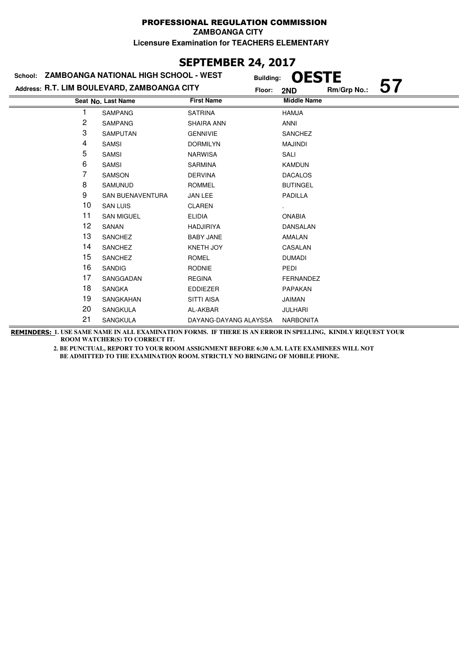## **SEPTEMBER 24, 2017**

| School: ZAMBOANGA NATIONAL HIGH SCHOOL - WEST |                         | <b>Building:</b>      | <b>OESTE</b>       |
|-----------------------------------------------|-------------------------|-----------------------|--------------------|
| Address: R.T. LIM BOULEVARD, ZAMBOANGA CITY   |                         | Floor:                | Rm/Grp No.:<br>2ND |
|                                               | Seat No. Last Name      | <b>First Name</b>     | <b>Middle Name</b> |
|                                               | <b>SAMPANG</b>          | <b>SATRINA</b>        | <b>HAMJA</b>       |
| 2                                             | <b>SAMPANG</b>          | <b>SHAIRA ANN</b>     | <b>ANNI</b>        |
| 3                                             | <b>SAMPUTAN</b>         | <b>GENNIVIE</b>       | <b>SANCHEZ</b>     |
| 4                                             | <b>SAMSI</b>            | <b>DORMILYN</b>       | <b>MAJINDI</b>     |
| 5                                             | <b>SAMSI</b>            | <b>NARWISA</b>        | SALI               |
| 6                                             | <b>SAMSI</b>            | <b>SARMINA</b>        | <b>KAMDUN</b>      |
| 7                                             | <b>SAMSON</b>           | <b>DERVINA</b>        | <b>DACALOS</b>     |
| 8                                             | <b>SAMUNUD</b>          | <b>ROMMEL</b>         | <b>BUTINGEL</b>    |
| 9                                             | <b>SAN BUENAVENTURA</b> | JAN LEE               | PADILLA            |
| 10                                            | <b>SAN LUIS</b>         | <b>CLAREN</b>         |                    |
| 11                                            | <b>SAN MIGUEL</b>       | <b>ELIDIA</b>         | <b>ONABIA</b>      |
| 12                                            | SANAN                   | <b>HADJIRIYA</b>      | DANSALAN           |
| 13                                            | <b>SANCHEZ</b>          | <b>BABY JANE</b>      | AMALAN             |
| 14                                            | <b>SANCHEZ</b>          | <b>KNETH JOY</b>      | CASALAN            |
| 15                                            | <b>SANCHEZ</b>          | <b>ROMEL</b>          | <b>DUMADI</b>      |
| 16                                            | <b>SANDIG</b>           | <b>RODNIE</b>         | PEDI               |
| 17                                            | SANGGADAN               | <b>REGINA</b>         | <b>FERNANDEZ</b>   |
| 18                                            | <b>SANGKA</b>           | <b>EDDIEZER</b>       | <b>PAPAKAN</b>     |
| 19                                            | SANGKAHAN               | <b>SITTI AISA</b>     | JAIMAN             |
| 20                                            | SANGKULA                | AL-AKBAR              | JULHARI            |
| 21                                            | <b>SANGKULA</b>         | DAYANG-DAYANG ALAYSSA | <b>NARBONITA</b>   |

**REMINDERS: 1. USE SAME NAME IN ALL EXAMINATION FORMS. IF THERE IS AN ERROR IN SPELLING, KINDLY REQUEST YOUR ROOM WATCHER(S) TO CORRECT IT.**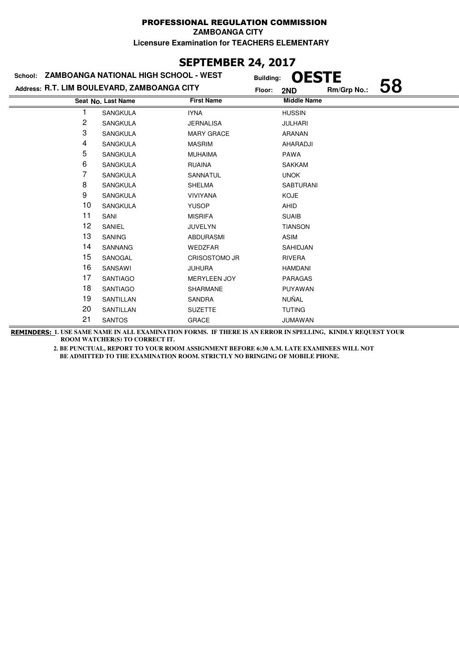### **SEPTEMBER 24, 2017**

|    | School: ZAMBOANGA NATIONAL HIGH SCHOOL - WEST | <b>Building:</b>     | <b>OESTE</b>       |             |    |
|----|-----------------------------------------------|----------------------|--------------------|-------------|----|
|    | Address: R.T. LIM BOULEVARD, ZAMBOANGA CITY   | Floor:               | 2ND                | Rm/Grp No.: | 58 |
|    | Seat No. Last Name                            | <b>First Name</b>    | <b>Middle Name</b> |             |    |
|    | <b>SANGKULA</b>                               | <b>IYNA</b>          | <b>HUSSIN</b>      |             |    |
| 2  | <b>SANGKULA</b>                               | <b>JERNALISA</b>     | <b>JULHARI</b>     |             |    |
| 3  | SANGKULA                                      | <b>MARY GRACE</b>    | <b>ARANAN</b>      |             |    |
| 4  | <b>SANGKULA</b>                               | <b>MASRIM</b>        | AHARADJI           |             |    |
| 5  | <b>SANGKULA</b>                               | <b>MUHAIMA</b>       | <b>PAWA</b>        |             |    |
| 6  | <b>SANGKULA</b>                               | <b>RUAINA</b>        | <b>SAKKAM</b>      |             |    |
| 7  | <b>SANGKULA</b>                               | SANNATUL             | <b>UNOK</b>        |             |    |
| 8  | SANGKULA                                      | <b>SHELMA</b>        | <b>SABTURANI</b>   |             |    |
| 9  | SANGKULA                                      | <b>VIVIYANA</b>      | <b>KOJE</b>        |             |    |
| 10 | SANGKULA                                      | <b>YUSOP</b>         | AHID               |             |    |
| 11 | SANI                                          | <b>MISRIFA</b>       | <b>SUAIB</b>       |             |    |
| 12 | SANIEL                                        | <b>JUVELYN</b>       | <b>TIANSON</b>     |             |    |
| 13 | <b>SANING</b>                                 | <b>ABDURASMI</b>     | <b>ASIM</b>        |             |    |
| 14 | <b>SANNANG</b>                                | <b>WEDZFAR</b>       | SAHIDJAN           |             |    |
| 15 | SANOGAL                                       | <b>CRISOSTOMO JR</b> | <b>RIVERA</b>      |             |    |
| 16 | SANSAWI                                       | <b>JUHURA</b>        | <b>HAMDANI</b>     |             |    |
| 17 | <b>SANTIAGO</b>                               | <b>MERYLEEN JOY</b>  | <b>PARAGAS</b>     |             |    |
| 18 | <b>SANTIAGO</b>                               | SHARMANE             | PUYAWAN            |             |    |
| 19 | SANTILLAN                                     | SANDRA               | NUÑAL              |             |    |
| 20 | SANTILLAN                                     | <b>SUZETTE</b>       | <b>TUTING</b>      |             |    |
| 21 | <b>SANTOS</b>                                 | <b>GRACE</b>         | <b>JUMAWAN</b>     |             |    |

**REMINDERS: 1. USE SAME NAME IN ALL EXAMINATION FORMS. IF THERE IS AN ERROR IN SPELLING, KINDLY REQUEST YOUR ROOM WATCHER(S) TO CORRECT IT.**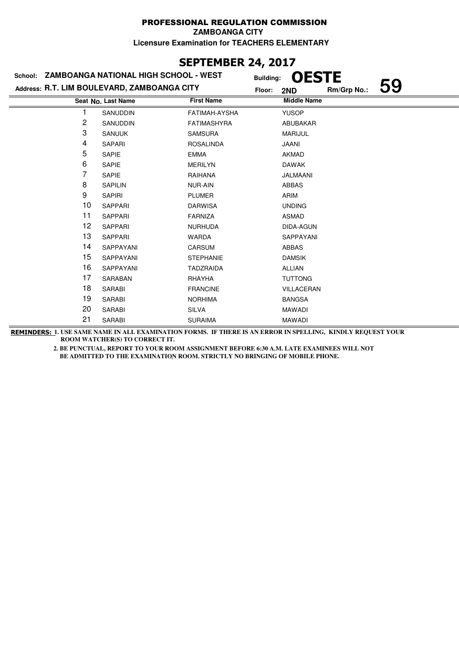## **SEPTEMBER 24, 2017**

|    | School: ZAMBOANGA NATIONAL HIGH SCHOOL - WEST | <b>Building:</b>   | <b>OESTE</b>       |             |  |
|----|-----------------------------------------------|--------------------|--------------------|-------------|--|
|    | Address: R.T. LIM BOULEVARD, ZAMBOANGA CITY   | Floor:             | 2ND                | Rm/Grp No.: |  |
|    | Seat No. Last Name                            | <b>First Name</b>  | <b>Middle Name</b> |             |  |
|    | SANUDDIN                                      | FATIMAH-AYSHA      | <b>YUSOP</b>       |             |  |
| 2  | SANUDDIN                                      | <b>FATIMASHYRA</b> | ABUBAKAR           |             |  |
| 3  | <b>SANUUK</b>                                 | <b>SAMSURA</b>     | <b>MARIJUL</b>     |             |  |
| 4  | SAPARI                                        | <b>ROSALINDA</b>   | JAANI              |             |  |
| 5  | <b>SAPIE</b>                                  | <b>EMMA</b>        | <b>AKMAD</b>       |             |  |
| 6  | <b>SAPIE</b>                                  | <b>MERILYN</b>     | <b>DAWAK</b>       |             |  |
| 7  | SAPIE                                         | RAIHANA            | JALMAANI           |             |  |
| 8  | <b>SAPILIN</b>                                | <b>NUR-AIN</b>     | <b>ABBAS</b>       |             |  |
| 9  | <b>SAPIRI</b>                                 | <b>PLUMER</b>      | ARIM               |             |  |
| 10 | <b>SAPPARI</b>                                | <b>DARWISA</b>     | <b>UNDING</b>      |             |  |
| 11 | <b>SAPPARI</b>                                | <b>FARNIZA</b>     | <b>ASMAD</b>       |             |  |
| 12 | <b>SAPPARI</b>                                | <b>NURHUDA</b>     | DIDA-AGUN          |             |  |
| 13 | <b>SAPPARI</b>                                | <b>WARDA</b>       | SAPPAYANI          |             |  |
| 14 | SAPPAYANI                                     | CARSUM             | <b>ABBAS</b>       |             |  |
| 15 | SAPPAYANI                                     | <b>STEPHANIE</b>   | <b>DAMSIK</b>      |             |  |
| 16 | <b>SAPPAYANI</b>                              | <b>TADZRAIDA</b>   | <b>ALLIAN</b>      |             |  |
| 17 | SARABAN                                       | RHAYHA             | <b>TUTTONG</b>     |             |  |
| 18 | <b>SARABI</b>                                 | <b>FRANCINE</b>    | VILLACERAN         |             |  |
| 19 | SARABI                                        | <b>NORHIMA</b>     | <b>BANGSA</b>      |             |  |
| 20 | <b>SARABI</b>                                 | <b>SILVA</b>       | MAWADI             |             |  |
| 21 | <b>SARABI</b>                                 | <b>SURAIMA</b>     | <b>MAWADI</b>      |             |  |

**REMINDERS: 1. USE SAME NAME IN ALL EXAMINATION FORMS. IF THERE IS AN ERROR IN SPELLING, KINDLY REQUEST YOUR ROOM WATCHER(S) TO CORRECT IT.**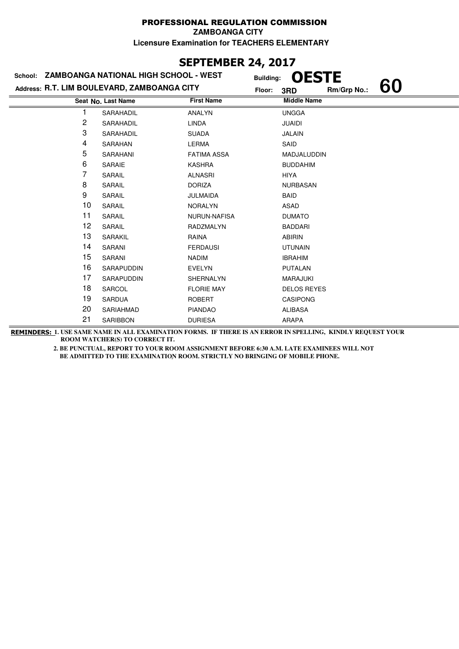# **SEPTEMBER 24, 2017**

| School: | ZAMBOANGA NATIONAL HIGH SCHOOL - WEST       |                    | <b>OESTE</b><br><b>Building:</b> |             |    |
|---------|---------------------------------------------|--------------------|----------------------------------|-------------|----|
|         | Address: R.T. LIM BOULEVARD, ZAMBOANGA CITY |                    | Floor:<br>3RD                    | Rm/Grp No.: | 60 |
|         | Seat No. Last Name                          | <b>First Name</b>  | <b>Middle Name</b>               |             |    |
|         | SARAHADIL                                   | ANALYN             | <b>UNGGA</b>                     |             |    |
| 2       | SARAHADIL                                   | <b>LINDA</b>       | <b>JUAIDI</b>                    |             |    |
| 3       | SARAHADIL                                   | <b>SUADA</b>       | <b>JALAIN</b>                    |             |    |
| 4       | SARAHAN                                     | LERMA              | SAID                             |             |    |
| 5       | SARAHANI                                    | <b>FATIMA ASSA</b> | MADJALUDDIN                      |             |    |
| 6       | SARAIE                                      | <b>KASHRA</b>      | <b>BUDDAHIM</b>                  |             |    |
| 7       | SARAIL                                      | <b>ALNASRI</b>     | <b>HIYA</b>                      |             |    |
| 8       | SARAIL                                      | <b>DORIZA</b>      | <b>NURBASAN</b>                  |             |    |
| 9       | SARAIL                                      | <b>JULMAIDA</b>    | <b>BAID</b>                      |             |    |
| 10      | SARAIL                                      | <b>NORALYN</b>     | ASAD                             |             |    |
| 11      | SARAIL                                      | NURUN-NAFISA       | <b>DUMATO</b>                    |             |    |
| 12      | SARAIL                                      | <b>RADZMALYN</b>   | <b>BADDARI</b>                   |             |    |
| 13      | SARAKIL                                     | RAINA              | <b>ABIRIN</b>                    |             |    |
| 14      | SARANI                                      | <b>FERDAUSI</b>    | <b>UTUNAIN</b>                   |             |    |
| 15      | SARANI                                      | <b>NADIM</b>       | <b>IBRAHIM</b>                   |             |    |
| 16      | <b>SARAPUDDIN</b>                           | <b>EVELYN</b>      | <b>PUTALAN</b>                   |             |    |
| 17      | SARAPUDDIN                                  | SHERNALYN          | MARAJUKI                         |             |    |
| 18      | SARCOL                                      | <b>FLORIE MAY</b>  | <b>DELOS REYES</b>               |             |    |
| 19      | SARDUA                                      | <b>ROBERT</b>      | <b>CASIPONG</b>                  |             |    |
| 20      | SARIAHMAD                                   | <b>PIANDAO</b>     | <b>ALIBASA</b>                   |             |    |
| 21      | <b>SARIBBON</b>                             | <b>DURIESA</b>     | <b>ARAPA</b>                     |             |    |

**REMINDERS: 1. USE SAME NAME IN ALL EXAMINATION FORMS. IF THERE IS AN ERROR IN SPELLING, KINDLY REQUEST YOUR ROOM WATCHER(S) TO CORRECT IT.**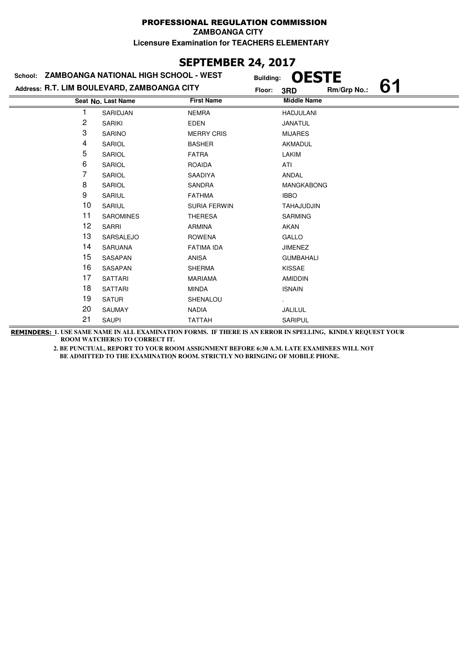# **SEPTEMBER 24, 2017**

|    | School: ZAMBOANGA NATIONAL HIGH SCHOOL - WEST | <b>Building:</b>    | <b>OESTE</b>       |             |    |
|----|-----------------------------------------------|---------------------|--------------------|-------------|----|
|    | Address: R.T. LIM BOULEVARD, ZAMBOANGA CITY   | Floor:              | 3RD                | Rm/Grp No.: | 61 |
|    | Seat No. Last Name                            | <b>First Name</b>   | <b>Middle Name</b> |             |    |
|    | SARIDJAN                                      | <b>NEMRA</b>        | <b>HADJULANI</b>   |             |    |
| 2  | <b>SARIKI</b>                                 | <b>EDEN</b>         | JANATUL            |             |    |
| 3  | <b>SARINO</b>                                 | <b>MERRY CRIS</b>   | <b>MIJARES</b>     |             |    |
| 4  | SARIOL                                        | <b>BASHER</b>       | AKMADUL            |             |    |
| 5  | SARIOL                                        | <b>FATRA</b>        | LAKIM              |             |    |
| 6  | SARIOL                                        | <b>ROAIDA</b>       | ATI                |             |    |
| 7  | SARIOL                                        | SAADIYA             | ANDAL              |             |    |
| 8  | SARIOL                                        | SANDRA              | <b>MANGKABONG</b>  |             |    |
| 9  | SARIUL                                        | <b>FATHMA</b>       | <b>IBBO</b>        |             |    |
| 10 | SARIUL                                        | <b>SURIA FERWIN</b> | TAHAJUDJIN         |             |    |
| 11 | <b>SAROMINES</b>                              | <b>THERESA</b>      | <b>SARMING</b>     |             |    |
| 12 | <b>SARRI</b>                                  | <b>ARMINA</b>       | AKAN               |             |    |
| 13 | SARSALEJO                                     | <b>ROWENA</b>       | GALLO              |             |    |
| 14 | <b>SARUANA</b>                                | <b>FATIMA IDA</b>   | <b>JIMENEZ</b>     |             |    |
| 15 | SASAPAN                                       | <b>ANISA</b>        | <b>GUMBAHALI</b>   |             |    |
| 16 | SASAPAN                                       | <b>SHERMA</b>       | <b>KISSAE</b>      |             |    |
| 17 | <b>SATTARI</b>                                | <b>MARIAMA</b>      | <b>AMIDDIN</b>     |             |    |
| 18 | <b>SATTARI</b>                                | <b>MINDA</b>        | <b>ISNAIN</b>      |             |    |
| 19 | <b>SATUR</b>                                  | SHENALOU            |                    |             |    |
| 20 | <b>SAUMAY</b>                                 | <b>NADIA</b>        | JALILUL            |             |    |
| 21 | <b>SAUPI</b>                                  | <b>TATTAH</b>       | SARIPUL            |             |    |

**REMINDERS: 1. USE SAME NAME IN ALL EXAMINATION FORMS. IF THERE IS AN ERROR IN SPELLING, KINDLY REQUEST YOUR ROOM WATCHER(S) TO CORRECT IT.**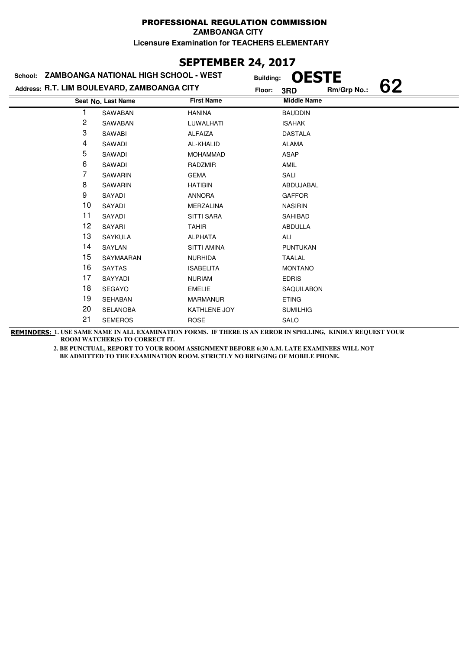# **SEPTEMBER 24, 2017**

|    | School: ZAMBOANGA NATIONAL HIGH SCHOOL - WEST | <b>Building:</b>   | <b>OESTE</b>       |             |    |
|----|-----------------------------------------------|--------------------|--------------------|-------------|----|
|    | Address: R.T. LIM BOULEVARD, ZAMBOANGA CITY   | Floor:             | 3RD                | Rm/Grp No.: | 62 |
|    | Seat No. Last Name                            | <b>First Name</b>  | <b>Middle Name</b> |             |    |
|    | SAWABAN                                       | <b>HANINA</b>      | <b>BAUDDIN</b>     |             |    |
| 2  | SAWABAN                                       | LUWALHATI          | <b>ISAHAK</b>      |             |    |
| 3  | SAWABI                                        | <b>ALFAIZA</b>     | <b>DASTALA</b>     |             |    |
| 4  | SAWADI                                        | AL-KHALID          | <b>ALAMA</b>       |             |    |
| 5  | SAWADI                                        | <b>MOHAMMAD</b>    | <b>ASAP</b>        |             |    |
| 6  | SAWADI                                        | <b>RADZMIR</b>     | <b>AMIL</b>        |             |    |
| 7  | SAWARIN                                       | <b>GEMA</b>        | SALI               |             |    |
| 8  | SAWARIN                                       | <b>HATIBIN</b>     | ABDUJABAL          |             |    |
| 9  | SAYADI                                        | <b>ANNORA</b>      | <b>GAFFOR</b>      |             |    |
| 10 | SAYADI                                        | <b>MERZALINA</b>   | <b>NASIRIN</b>     |             |    |
| 11 | SAYADI                                        | <b>SITTI SARA</b>  | SAHIBAD            |             |    |
| 12 | SAYARI                                        | <b>TAHIR</b>       | ABDULLA            |             |    |
| 13 | <b>SAYKULA</b>                                | <b>ALPHATA</b>     | ALI                |             |    |
| 14 | SAYLAN                                        | <b>SITTI AMINA</b> | <b>PUNTUKAN</b>    |             |    |
| 15 | SAYMAARAN                                     | <b>NURHIDA</b>     | <b>TAALAL</b>      |             |    |
| 16 | <b>SAYTAS</b>                                 | <b>ISABELITA</b>   | <b>MONTANO</b>     |             |    |
| 17 | SAYYADI                                       | <b>NURIAM</b>      | <b>EDRIS</b>       |             |    |
| 18 | <b>SEGAYO</b>                                 | <b>EMELIE</b>      | <b>SAQUILABON</b>  |             |    |
| 19 | <b>SEHABAN</b>                                | <b>MARMANUR</b>    | <b>ETING</b>       |             |    |
| 20 | <b>SELANOBA</b>                               | KATHLENE JOY       | <b>SUMILHIG</b>    |             |    |
| 21 | <b>SEMEROS</b>                                | <b>ROSE</b>        | <b>SALO</b>        |             |    |

**REMINDERS: 1. USE SAME NAME IN ALL EXAMINATION FORMS. IF THERE IS AN ERROR IN SPELLING, KINDLY REQUEST YOUR ROOM WATCHER(S) TO CORRECT IT.**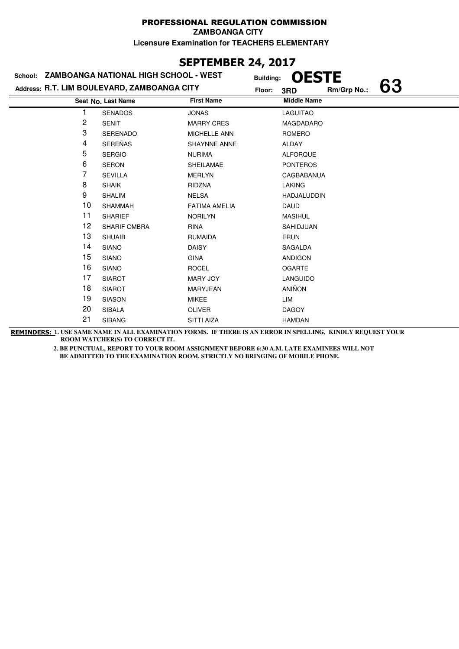## **SEPTEMBER 24, 2017**

| School: ZAMBOANGA NATIONAL HIGH SCHOOL - WEST |                     |                      | <b>OESTE</b><br><b>Building:</b>   |  |
|-----------------------------------------------|---------------------|----------------------|------------------------------------|--|
| Address: R.T. LIM BOULEVARD, ZAMBOANGA CITY   |                     |                      | 63<br>Rm/Grp No.:<br>Floor:<br>3RD |  |
|                                               | Seat No. Last Name  | <b>First Name</b>    | <b>Middle Name</b>                 |  |
|                                               | <b>SENADOS</b>      | <b>JONAS</b>         | <b>LAGUITAO</b>                    |  |
| 2                                             | <b>SENIT</b>        | <b>MARRY CRES</b>    | MAGDADARO                          |  |
| 3                                             | <b>SERENADO</b>     | <b>MICHELLE ANN</b>  | ROMERO                             |  |
| 4                                             | <b>SEREÑAS</b>      | <b>SHAYNNE ANNE</b>  | <b>ALDAY</b>                       |  |
| 5                                             | <b>SERGIO</b>       | <b>NURIMA</b>        | <b>ALFORQUE</b>                    |  |
| 6                                             | SERON               | <b>SHEILAMAE</b>     | <b>PONTEROS</b>                    |  |
| 7                                             | <b>SEVILLA</b>      | <b>MERLYN</b>        | CAGBABANUA                         |  |
| 8                                             | <b>SHAIK</b>        | RIDZNA               | <b>LAKING</b>                      |  |
| 9                                             | <b>SHALIM</b>       | <b>NELSA</b>         | HADJALUDDIN                        |  |
| 10                                            | <b>SHAMMAH</b>      | <b>FATIMA AMELIA</b> | <b>DAUD</b>                        |  |
| 11                                            | <b>SHARIEF</b>      | <b>NORILYN</b>       | <b>MASIHUL</b>                     |  |
| 12                                            | <b>SHARIF OMBRA</b> | <b>RINA</b>          | SAHIDJUAN                          |  |
| 13                                            | <b>SHUAIB</b>       | <b>RUMAIDA</b>       | <b>ERUN</b>                        |  |
| 14                                            | <b>SIANO</b>        | <b>DAISY</b>         | SAGALDA                            |  |
| 15                                            | <b>SIANO</b>        | <b>GINA</b>          | <b>ANDIGON</b>                     |  |
| 16                                            | <b>SIANO</b>        | <b>ROCEL</b>         | <b>OGARTE</b>                      |  |
| 17                                            | <b>SIAROT</b>       | MARY JOY             | <b>LANGUIDO</b>                    |  |
| 18                                            | <b>SIAROT</b>       | MARYJEAN             | <b>ANIÑON</b>                      |  |
| 19                                            | <b>SIASON</b>       | <b>MIKEE</b>         | LIM                                |  |
| 20                                            | <b>SIBALA</b>       | <b>OLIVER</b>        | <b>DAGOY</b>                       |  |
| 21                                            | <b>SIBANG</b>       | <b>SITTI AIZA</b>    | <b>HAMDAN</b>                      |  |

**REMINDERS: 1. USE SAME NAME IN ALL EXAMINATION FORMS. IF THERE IS AN ERROR IN SPELLING, KINDLY REQUEST YOUR ROOM WATCHER(S) TO CORRECT IT.**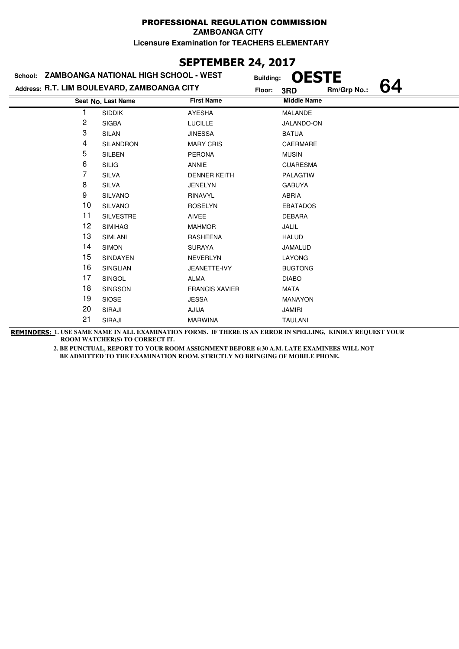### **SEPTEMBER 24, 2017**

|                    |                       | 3RD                                                                                          | Rm/Grp No.:                | 64                                               |
|--------------------|-----------------------|----------------------------------------------------------------------------------------------|----------------------------|--------------------------------------------------|
| Seat No. Last Name | <b>First Name</b>     |                                                                                              |                            |                                                  |
| <b>SIDDIK</b>      | <b>AYESHA</b>         | <b>MALANDE</b>                                                                               |                            |                                                  |
| <b>SIGBA</b>       | <b>LUCILLE</b>        |                                                                                              |                            |                                                  |
| SILAN              | <b>JINESSA</b>        | <b>BATUA</b>                                                                                 |                            |                                                  |
| <b>SILANDRON</b>   | <b>MARY CRIS</b>      | <b>CAERMARE</b>                                                                              |                            |                                                  |
| <b>SILBEN</b>      | <b>PERONA</b>         | <b>MUSIN</b>                                                                                 |                            |                                                  |
| <b>SILIG</b>       | <b>ANNIE</b>          | <b>CUARESMA</b>                                                                              |                            |                                                  |
| <b>SILVA</b>       | <b>DENNER KEITH</b>   | <b>PALAGTIW</b>                                                                              |                            |                                                  |
| <b>SILVA</b>       | <b>JENELYN</b>        | <b>GABUYA</b>                                                                                |                            |                                                  |
| <b>SILVANO</b>     | <b>RINAVYL</b>        | <b>ABRIA</b>                                                                                 |                            |                                                  |
| <b>SILVANO</b>     | <b>ROSELYN</b>        | <b>EBATADOS</b>                                                                              |                            |                                                  |
| <b>SILVESTRE</b>   | <b>AIVEE</b>          | <b>DEBARA</b>                                                                                |                            |                                                  |
| <b>SIMIHAG</b>     | <b>MAHMOR</b>         | <b>JALIL</b>                                                                                 |                            |                                                  |
| <b>SIMLANI</b>     | <b>RASHEENA</b>       | <b>HALUD</b>                                                                                 |                            |                                                  |
| <b>SIMON</b>       | <b>SURAYA</b>         | JAMALUD                                                                                      |                            |                                                  |
| <b>SINDAYEN</b>    | <b>NEVERLYN</b>       | LAYONG                                                                                       |                            |                                                  |
| <b>SINGLIAN</b>    | JEANETTE-IVY          | <b>BUGTONG</b>                                                                               |                            |                                                  |
| SINGOL             | <b>ALMA</b>           | <b>DIABO</b>                                                                                 |                            |                                                  |
| <b>SINGSON</b>     | <b>FRANCIS XAVIER</b> | <b>MATA</b>                                                                                  |                            |                                                  |
| <b>SIOSE</b>       | <b>JESSA</b>          | <b>MANAYON</b>                                                                               |                            |                                                  |
| SIRAJI             | AJIJA                 | <b>JAMIRI</b>                                                                                |                            |                                                  |
| SIRAJI             | <b>MARWINA</b>        | <b>TAULANI</b>                                                                               |                            |                                                  |
|                    |                       | School: ZAMBOANGA NATIONAL HIGH SCHOOL - WEST<br>Address: R.T. LIM BOULEVARD, ZAMBOANGA CITY | <b>Building:</b><br>Floor: | <b>OESTE</b><br><b>Middle Name</b><br>JALANDO-ON |

**REMINDERS: 1. USE SAME NAME IN ALL EXAMINATION FORMS. IF THERE IS AN ERROR IN SPELLING, KINDLY REQUEST YOUR ROOM WATCHER(S) TO CORRECT IT.**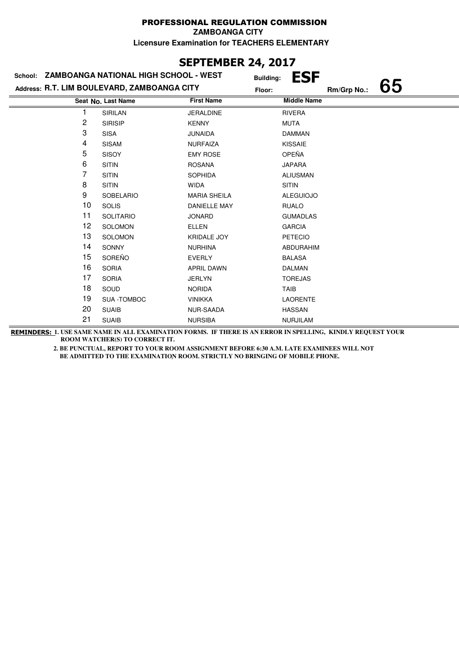#### PROFESSIONAL REGULATION COMMISSION **ZAMBOANGA CITY**

**Licensure Examination for TEACHERS ELEMENTARY**

## **SEPTEMBER 24, 2017**

|                | School: ZAMBOANGA NATIONAL HIGH SCHOOL - WEST | <b>Building:</b>    | <b>ESF</b>         |             |    |
|----------------|-----------------------------------------------|---------------------|--------------------|-------------|----|
|                | Address: R.T. LIM BOULEVARD, ZAMBOANGA CITY   | Floor:              |                    | Rm/Grp No.: | 65 |
|                | Seat No. Last Name                            | <b>First Name</b>   | <b>Middle Name</b> |             |    |
|                | <b>SIRILAN</b>                                | <b>JERALDINE</b>    | <b>RIVERA</b>      |             |    |
| $\overline{c}$ | <b>SIRISIP</b>                                | <b>KENNY</b>        | <b>MUTA</b>        |             |    |
| 3              | <b>SISA</b>                                   | <b>JUNAIDA</b>      | <b>DAMMAN</b>      |             |    |
| 4              | <b>SISAM</b>                                  | <b>NURFAIZA</b>     | <b>KISSAIE</b>     |             |    |
| 5              | <b>SISOY</b>                                  | <b>EMY ROSE</b>     | OPEÑA              |             |    |
| 6              | <b>SITIN</b>                                  | <b>ROSANA</b>       | <b>JAPARA</b>      |             |    |
| 7              | <b>SITIN</b>                                  | <b>SOPHIDA</b>      | <b>ALIUSMAN</b>    |             |    |
| 8              | <b>SITIN</b>                                  | <b>WIDA</b>         | <b>SITIN</b>       |             |    |
| 9              | <b>SOBELARIO</b>                              | <b>MARIA SHEILA</b> | <b>ALEGUIOJO</b>   |             |    |
| 10             | <b>SOLIS</b>                                  | <b>DANIELLE MAY</b> | <b>RUALO</b>       |             |    |
| 11             | <b>SOLITARIO</b>                              | <b>JONARD</b>       | <b>GUMADLAS</b>    |             |    |
| 12             | <b>SOLOMON</b>                                | <b>ELLEN</b>        | <b>GARCIA</b>      |             |    |
| 13             | SOLOMON                                       | <b>KRIDALE JOY</b>  | PETECIO            |             |    |
| 14             | <b>SONNY</b>                                  | <b>NURHINA</b>      | <b>ABDURAHIM</b>   |             |    |
| 15             | SOREÑO                                        | <b>EVERLY</b>       | <b>BALASA</b>      |             |    |
| 16             | <b>SORIA</b>                                  | <b>APRIL DAWN</b>   | <b>DALMAN</b>      |             |    |
| 17             | <b>SORIA</b>                                  | <b>JERLYN</b>       | <b>TOREJAS</b>     |             |    |
| 18             | SOUD                                          | <b>NORIDA</b>       | TAIB               |             |    |
| 19             | SUA -TOMBOC                                   | <b>VINIKKA</b>      | <b>LAORENTE</b>    |             |    |
| 20             | <b>SUAIB</b>                                  | NUR-SAADA           | <b>HASSAN</b>      |             |    |
| 21             | <b>SUAIB</b>                                  | <b>NURSIBA</b>      | <b>NURJILAM</b>    |             |    |

**REMINDERS: 1. USE SAME NAME IN ALL EXAMINATION FORMS. IF THERE IS AN ERROR IN SPELLING, KINDLY REQUEST YOUR ROOM WATCHER(S) TO CORRECT IT.**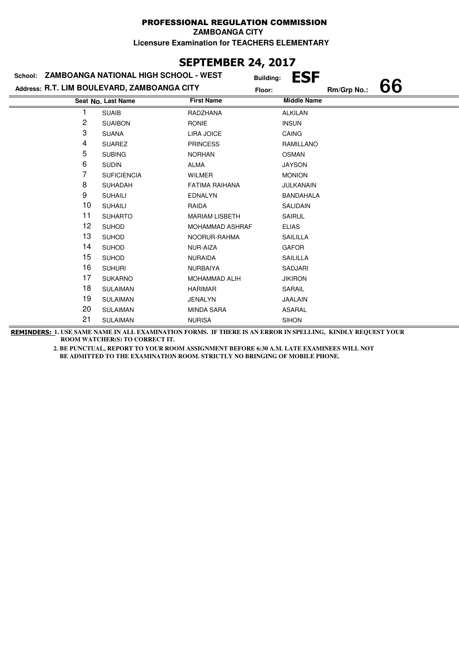#### PROFESSIONAL REGULATION COMMISSION **ZAMBOANGA CITY**

**Licensure Examination for TEACHERS ELEMENTARY**

## **SEPTEMBER 24, 2017**

|    | School: ZAMBOANGA NATIONAL HIGH SCHOOL - WEST |                        | <b>ESF</b><br><b>Building:</b> |             |    |
|----|-----------------------------------------------|------------------------|--------------------------------|-------------|----|
|    | Address: R.T. LIM BOULEVARD, ZAMBOANGA CITY   |                        | Floor:                         | Rm/Grp No.: | 66 |
|    | Seat No. Last Name                            | <b>First Name</b>      | <b>Middle Name</b>             |             |    |
|    | <b>SUAIB</b>                                  | RADZHANA               | <b>ALKILAN</b>                 |             |    |
| 2  | <b>SUAIBON</b>                                | <b>RONIE</b>           | <b>INSUN</b>                   |             |    |
| 3  | <b>SUANA</b>                                  | LIRA JOICE             | <b>CAING</b>                   |             |    |
| 4  | <b>SUAREZ</b>                                 | <b>PRINCESS</b>        | RAMILLANO                      |             |    |
| 5  | <b>SUBING</b>                                 | <b>NORHAN</b>          | <b>OSMAN</b>                   |             |    |
| 6  | <b>SUDIN</b>                                  | <b>ALMA</b>            | <b>JAYSON</b>                  |             |    |
| 7  | <b>SUFICIENCIA</b>                            | <b>WILMER</b>          | <b>MONION</b>                  |             |    |
| 8  | <b>SUHADAH</b>                                | <b>FATIMA RAIHANA</b>  | <b>JULKANAIN</b>               |             |    |
| 9  | <b>SUHAILI</b>                                | <b>EDNALYN</b>         | <b>BANDAHALA</b>               |             |    |
| 10 | <b>SUHAILI</b>                                | RAIDA                  | <b>SALIDAIN</b>                |             |    |
| 11 | <b>SUHARTO</b>                                | <b>MARIAM LISBETH</b>  | <b>SAIRUL</b>                  |             |    |
| 12 | <b>SUHOD</b>                                  | <b>MOHAMMAD ASHRAF</b> | <b>ELIAS</b>                   |             |    |
| 13 | <b>SUHOD</b>                                  | NOORUR-RAHMA           | SAILILLA                       |             |    |
| 14 | <b>SUHOD</b>                                  | NUR-AIZA               | <b>GAFOR</b>                   |             |    |
| 15 | <b>SUHOD</b>                                  | <b>NURAIDA</b>         | SAILILLA                       |             |    |
| 16 | <b>SUHURI</b>                                 | <b>NURBAIYA</b>        | SADJARI                        |             |    |
| 17 | <b>SUKARNO</b>                                | <b>MOHAMMAD ALIH</b>   | <b>JIKIRON</b>                 |             |    |
| 18 | <b>SULAIMAN</b>                               | <b>HARIMAR</b>         | SARAIL                         |             |    |
| 19 | <b>SULAIMAN</b>                               | <b>JENALYN</b>         | <b>JAALAIN</b>                 |             |    |
| 20 | <b>SULAIMAN</b>                               | <b>MINDA SARA</b>      | <b>ASARAL</b>                  |             |    |
| 21 | <b>SULAIMAN</b>                               | <b>NURISA</b>          | <b>SIHON</b>                   |             |    |
|    |                                               |                        |                                |             |    |

**REMINDERS: 1. USE SAME NAME IN ALL EXAMINATION FORMS. IF THERE IS AN ERROR IN SPELLING, KINDLY REQUEST YOUR ROOM WATCHER(S) TO CORRECT IT.**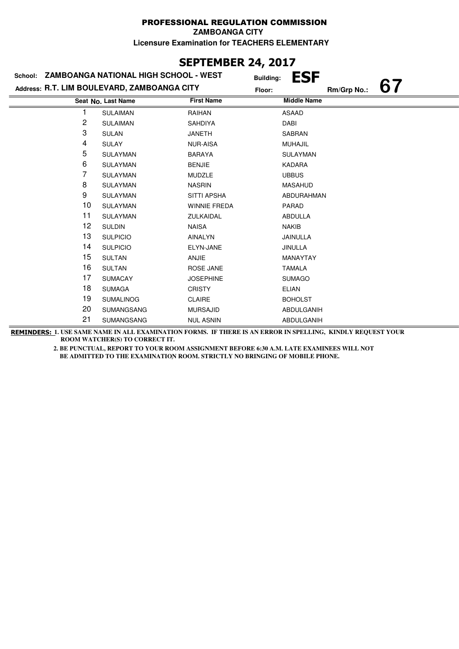### **SEPTEMBER 24, 2017**

| School: | ZAMBOANGA NATIONAL HIGH SCHOOL - WEST       | <b>Building:</b>    | <b>ESF</b>         |             |    |
|---------|---------------------------------------------|---------------------|--------------------|-------------|----|
|         | Address: R.T. LIM BOULEVARD, ZAMBOANGA CITY | Floor:              |                    | Rm/Grp No.: | 67 |
|         | Seat No. Last Name                          | <b>First Name</b>   | <b>Middle Name</b> |             |    |
|         | <b>SULAIMAN</b>                             | RAIHAN              | <b>ASAAD</b>       |             |    |
| 2       | <b>SULAIMAN</b>                             | <b>SAHDIYA</b>      | DABI               |             |    |
| 3       | <b>SULAN</b>                                | <b>JANETH</b>       | SABRAN             |             |    |
| 4       | <b>SULAY</b>                                | <b>NUR-AISA</b>     | <b>MUHAJIL</b>     |             |    |
| 5       | <b>SULAYMAN</b>                             | <b>BARAYA</b>       | SULAYMAN           |             |    |
| 6       | <b>SULAYMAN</b>                             | <b>BENJIE</b>       | <b>KADARA</b>      |             |    |
| 7       | <b>SULAYMAN</b>                             | <b>MUDZLE</b>       | <b>UBBUS</b>       |             |    |
| 8       | <b>SULAYMAN</b>                             | <b>NASRIN</b>       | <b>MASAHUD</b>     |             |    |
| 9       | <b>SULAYMAN</b>                             | <b>SITTI APSHA</b>  | ABDURAHMAN         |             |    |
| 10      | <b>SULAYMAN</b>                             | <b>WINNIE FREDA</b> | <b>PARAD</b>       |             |    |
| 11      | <b>SULAYMAN</b>                             | ZULKAIDAL           | ABDULLA            |             |    |
| 12      | <b>SULDIN</b>                               | <b>NAISA</b>        | <b>NAKIB</b>       |             |    |
| 13      | <b>SULPICIO</b>                             | AINALYN             | JAINULLA           |             |    |
| 14      | <b>SULPICIO</b>                             | ELYN-JANE           | <b>JINULLA</b>     |             |    |
| 15      | <b>SULTAN</b>                               | ANJIE               | <b>MANAYTAY</b>    |             |    |
| 16      | <b>SULTAN</b>                               | ROSE JANE           | <b>TAMALA</b>      |             |    |
| 17      | <b>SUMACAY</b>                              | <b>JOSEPHINE</b>    | <b>SUMAGO</b>      |             |    |
| 18      | <b>SUMAGA</b>                               | <b>CRISTY</b>       | <b>ELIAN</b>       |             |    |
| 19      | <b>SUMALINOG</b>                            | <b>CLAIRE</b>       | <b>BOHOLST</b>     |             |    |
| 20      | <b>SUMANGSANG</b>                           | <b>MURSAJID</b>     | ABDULGANIH         |             |    |
| 21      | <b>SUMANGSANG</b>                           | <b>NUL ASNIN</b>    | ABDULGANIH         |             |    |

**REMINDERS: 1. USE SAME NAME IN ALL EXAMINATION FORMS. IF THERE IS AN ERROR IN SPELLING, KINDLY REQUEST YOUR ROOM WATCHER(S) TO CORRECT IT.**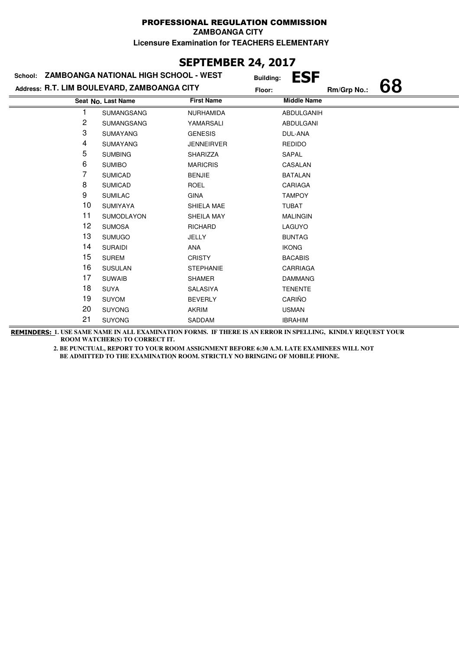## **SEPTEMBER 24, 2017**

| School: | ZAMBOANGA NATIONAL HIGH SCHOOL - WEST       | <b>Building:</b>  | ESF                |             |    |
|---------|---------------------------------------------|-------------------|--------------------|-------------|----|
|         | Address: R.T. LIM BOULEVARD, ZAMBOANGA CITY | Floor:            |                    | Rm/Grp No.: | 68 |
|         | Seat No. Last Name                          | <b>First Name</b> | <b>Middle Name</b> |             |    |
|         | <b>SUMANGSANG</b>                           | NURHAMIDA         | ABDULGANIH         |             |    |
| 2       | <b>SUMANGSANG</b>                           | YAMARSALI         | ABDULGANI          |             |    |
| 3       | <b>SUMAYANG</b>                             | <b>GENESIS</b>    | DUL-ANA            |             |    |
| 4       | <b>SUMAYANG</b>                             | <b>JENNEIRVER</b> | <b>REDIDO</b>      |             |    |
| 5       | <b>SUMBING</b>                              | SHARIZZA          | SAPAL              |             |    |
| 6       | <b>SUMIBO</b>                               | <b>MARICRIS</b>   | CASALAN            |             |    |
| 7       | <b>SUMICAD</b>                              | <b>BENJIE</b>     | <b>BATALAN</b>     |             |    |
| 8       | <b>SUMICAD</b>                              | <b>ROEL</b>       | CARIAGA            |             |    |
| 9       | <b>SUMILAC</b>                              | <b>GINA</b>       | <b>TAMPOY</b>      |             |    |
| 10      | <b>SUMIYAYA</b>                             | SHIELA MAE        | <b>TUBAT</b>       |             |    |
| 11      | <b>SUMODLAYON</b>                           | SHEILA MAY        | <b>MALINGIN</b>    |             |    |
| 12      | <b>SUMOSA</b>                               | <b>RICHARD</b>    | LAGUYO             |             |    |
| 13      | <b>SUMUGO</b>                               | JELLY             | <b>BUNTAG</b>      |             |    |
| 14      | <b>SURAIDI</b>                              | ANA               | <b>IKONG</b>       |             |    |
| 15      | <b>SUREM</b>                                | <b>CRISTY</b>     | <b>BACABIS</b>     |             |    |
| 16      | <b>SUSULAN</b>                              | <b>STEPHANIE</b>  | <b>CARRIAGA</b>    |             |    |
| 17      | <b>SUWAIB</b>                               | <b>SHAMER</b>     | <b>DAMMANG</b>     |             |    |
| 18      | <b>SUYA</b>                                 | SALASIYA          | <b>TENENTE</b>     |             |    |
| 19      | <b>SUYOM</b>                                | <b>BEVERLY</b>    | CARIÑO             |             |    |
| 20      | <b>SUYONG</b>                               | <b>AKRIM</b>      | <b>USMAN</b>       |             |    |
| 21      | <b>SUYONG</b>                               | SADDAM            | <b>IBRAHIM</b>     |             |    |

**REMINDERS: 1. USE SAME NAME IN ALL EXAMINATION FORMS. IF THERE IS AN ERROR IN SPELLING, KINDLY REQUEST YOUR ROOM WATCHER(S) TO CORRECT IT.**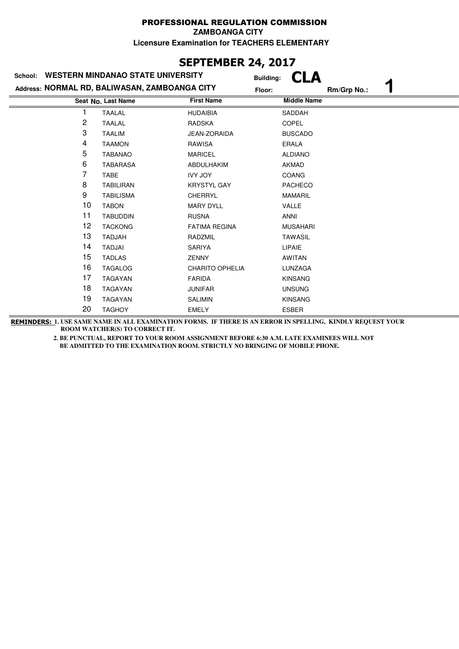**ZAMBOANGA CITY**

**Licensure Examination for TEACHERS ELEMENTARY**

# **SEPTEMBER 24, 2017**

| School: | <b>WESTERN MINDANAO STATE UNIVERSITY</b>      | <b>Building:</b>       | 'LA                |             |
|---------|-----------------------------------------------|------------------------|--------------------|-------------|
|         | Address: NORMAL RD, BALIWASAN, ZAMBOANGA CITY | Floor:                 |                    | Rm/Grp No.: |
|         | Seat No. Last Name                            | <b>First Name</b>      | <b>Middle Name</b> |             |
|         | <b>TAALAL</b>                                 | <b>HUDAIBIA</b>        | SADDAH             |             |
| 2       | <b>TAALAL</b>                                 | <b>RADSKA</b>          | <b>COPEL</b>       |             |
| 3       | <b>TAALIM</b>                                 | JEAN-ZORAIDA           | <b>BUSCADO</b>     |             |
| 4       | <b>TAAMON</b>                                 | RAWISA                 | ERALA              |             |
| 5       | <b>TABANAO</b>                                | <b>MARICEL</b>         | <b>ALDIANO</b>     |             |
| 6       | <b>TABARASA</b>                               | ABDULHAKIM             | <b>AKMAD</b>       |             |
| 7       | <b>TABE</b>                                   | <b>IVY JOY</b>         | <b>COANG</b>       |             |
| 8       | <b>TABILIRAN</b>                              | <b>KRYSTYL GAY</b>     | <b>PACHECO</b>     |             |
| 9       | <b>TABILISMA</b>                              | <b>CHERRYL</b>         | <b>MAMARIL</b>     |             |
| 10      | <b>TABON</b>                                  | <b>MARY DYLL</b>       | <b>VALLE</b>       |             |
| 11      | <b>TABUDDIN</b>                               | <b>RUSNA</b>           | <b>ANNI</b>        |             |
| 12      | <b>TACKONG</b>                                | <b>FATIMA REGINA</b>   | <b>MUSAHARI</b>    |             |
| 13      | <b>TADJAH</b>                                 | RADZMIL                | <b>TAWASIL</b>     |             |
| 14      | <b>TADJAI</b>                                 | SARIYA                 | <b>LIPAIE</b>      |             |
| 15      | <b>TADLAS</b>                                 | <b>ZENNY</b>           | AWITAN             |             |
| 16      | <b>TAGALOG</b>                                | <b>CHARITO OPHELIA</b> | LUNZAGA            |             |
| 17      | <b>TAGAYAN</b>                                | <b>FARIDA</b>          | <b>KINSANG</b>     |             |
| 18      | TAGAYAN                                       | <b>JUNIFAR</b>         | <b>UNSUNG</b>      |             |
| 19      | <b>TAGAYAN</b>                                | <b>SALIMIN</b>         | <b>KINSANG</b>     |             |
| 20      | <b>TAGHOY</b>                                 | <b>EMELY</b>           | <b>ESBER</b>       |             |

**REMINDERS: 1. USE SAME NAME IN ALL EXAMINATION FORMS. IF THERE IS AN ERROR IN SPELLING, KINDLY REQUEST YOUR ROOM WATCHER(S) TO CORRECT IT.**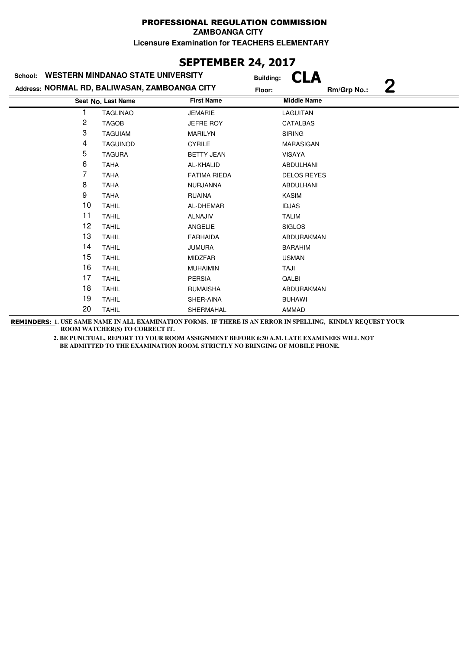**ZAMBOANGA CITY**

**Licensure Examination for TEACHERS ELEMENTARY**

# **SEPTEMBER 24, 2017**

| <b>WESTERN MINDANAO STATE UNIVERSITY</b><br>School: |                                               |                     | <b>Building:</b>   |
|-----------------------------------------------------|-----------------------------------------------|---------------------|--------------------|
|                                                     | Address: NORMAL RD, BALIWASAN, ZAMBOANGA CITY | Floor:              | 2<br>Rm/Grp No.:   |
|                                                     | Seat No. Last Name                            | <b>First Name</b>   | <b>Middle Name</b> |
|                                                     | <b>TAGLINAO</b>                               | <b>JEMARIE</b>      | LAGUITAN           |
| 2                                                   | <b>TAGOB</b>                                  | <b>JEFRE ROY</b>    | CATALBAS           |
| 3                                                   | <b>TAGUIAM</b>                                | <b>MARILYN</b>      | <b>SIRING</b>      |
| 4                                                   | <b>TAGUINOD</b>                               | <b>CYRILE</b>       | <b>MARASIGAN</b>   |
| 5                                                   | <b>TAGURA</b>                                 | <b>BETTY JEAN</b>   | <b>VISAYA</b>      |
| 6                                                   | <b>TAHA</b>                                   | AL-KHALID           | <b>ABDULHANI</b>   |
| 7                                                   | <b>TAHA</b>                                   | <b>FATIMA RIEDA</b> | <b>DELOS REYES</b> |
| 8                                                   | <b>TAHA</b>                                   | <b>NURJANNA</b>     | ABDULHANI          |
| 9                                                   | <b>TAHA</b>                                   | <b>RUAINA</b>       | <b>KASIM</b>       |
| 10                                                  | <b>TAHIL</b>                                  | AL-DHEMAR           | <b>IDJAS</b>       |
| 11                                                  | <b>TAHIL</b>                                  | <b>ALNAJIV</b>      | <b>TALIM</b>       |
| 12                                                  | <b>TAHIL</b>                                  | ANGELIE             | <b>SIGLOS</b>      |
| 13                                                  | <b>TAHIL</b>                                  | <b>FARHAIDA</b>     | ABDURAKMAN         |
| 14                                                  | <b>TAHIL</b>                                  | <b>JUMURA</b>       | <b>BARAHIM</b>     |
| 15                                                  | <b>TAHIL</b>                                  | <b>MIDZFAR</b>      | <b>USMAN</b>       |
| 16                                                  | <b>TAHIL</b>                                  | <b>MUHAIMIN</b>     | TAJI               |
| 17                                                  | <b>TAHIL</b>                                  | <b>PERSIA</b>       | QALBI              |
| 18                                                  | <b>TAHIL</b>                                  | <b>RUMAISHA</b>     | ABDURAKMAN         |
| 19                                                  | <b>TAHIL</b>                                  | SHER-AINA           | <b>BUHAWI</b>      |
| 20                                                  | <b>TAHIL</b>                                  | SHERMAHAL           | AMMAD              |

**REMINDERS: 1. USE SAME NAME IN ALL EXAMINATION FORMS. IF THERE IS AN ERROR IN SPELLING, KINDLY REQUEST YOUR ROOM WATCHER(S) TO CORRECT IT.**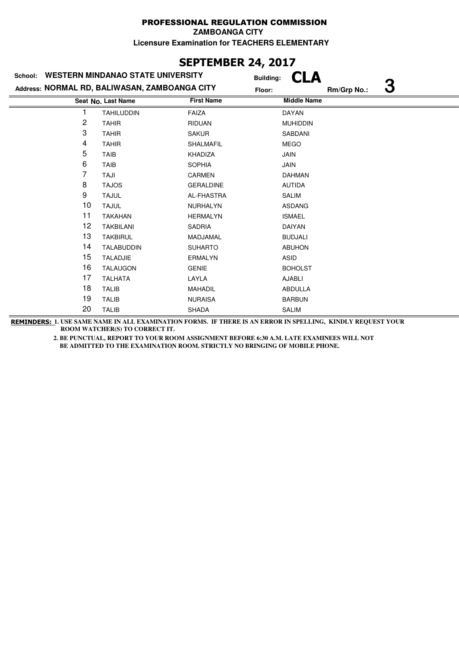**ZAMBOANGA CITY**

**Licensure Examination for TEACHERS ELEMENTARY**

# **SEPTEMBER 24, 2017**

| School:        | <b>WESTERN MINDANAO STATE UNIVERSITY</b>      | <b>Building:</b>  | CLA                |             |   |
|----------------|-----------------------------------------------|-------------------|--------------------|-------------|---|
|                | Address: NORMAL RD, BALIWASAN, ZAMBOANGA CITY | Floor:            |                    | Rm/Grp No.: | З |
|                | Seat No. Last Name                            | <b>First Name</b> | <b>Middle Name</b> |             |   |
|                | <b>TAHILUDDIN</b>                             | <b>FAIZA</b>      | DAYAN              |             |   |
| $\overline{c}$ | <b>TAHIR</b>                                  | <b>RIDUAN</b>     | <b>MUHIDDIN</b>    |             |   |
| 3              | <b>TAHIR</b>                                  | <b>SAKUR</b>      | SABDANI            |             |   |
| 4              | <b>TAHIR</b>                                  | SHALMAFIL         | <b>MEGO</b>        |             |   |
| 5              | <b>TAIB</b>                                   | KHADIZA           | <b>JAIN</b>        |             |   |
| 6              | <b>TAIB</b>                                   | <b>SOPHIA</b>     | <b>JAIN</b>        |             |   |
| 7              | TAJI                                          | <b>CARMEN</b>     | <b>DAHMAN</b>      |             |   |
| 8              | <b>TAJOS</b>                                  | <b>GERALDINE</b>  | <b>AUTIDA</b>      |             |   |
| 9              | <b>TAJUL</b>                                  | AL-FHASTRA        | SALIM              |             |   |
| 10             | <b>TAJUL</b>                                  | <b>NURHALYN</b>   | <b>ASDANG</b>      |             |   |
| 11             | <b>TAKAHAN</b>                                | <b>HERMALYN</b>   | <b>ISMAEL</b>      |             |   |
| 12             | <b>TAKBILANI</b>                              | <b>SADRIA</b>     | DAIYAN             |             |   |
| 13             | <b>TAKBIRUL</b>                               | MADJAMAL          | <b>BUDJALI</b>     |             |   |
| 14             | <b>TALABUDDIN</b>                             | <b>SUHARTO</b>    | <b>ABUHON</b>      |             |   |
| 15             | <b>TALADJIE</b>                               | <b>ERMALYN</b>    | ASID               |             |   |
| 16             | <b>TALAUGON</b>                               | <b>GENIE</b>      | <b>BOHOLST</b>     |             |   |
| 17             | <b>TALHATA</b>                                | LAYLA             | <b>AJABLI</b>      |             |   |
| 18             | <b>TALIB</b>                                  | <b>MAHADIL</b>    | <b>ABDULLA</b>     |             |   |
| 19             | <b>TALIB</b>                                  | <b>NURAISA</b>    | <b>BARBUN</b>      |             |   |
| 20             | <b>TALIB</b>                                  | <b>SHADA</b>      | <b>SALIM</b>       |             |   |

**REMINDERS: 1. USE SAME NAME IN ALL EXAMINATION FORMS. IF THERE IS AN ERROR IN SPELLING, KINDLY REQUEST YOUR ROOM WATCHER(S) TO CORRECT IT.**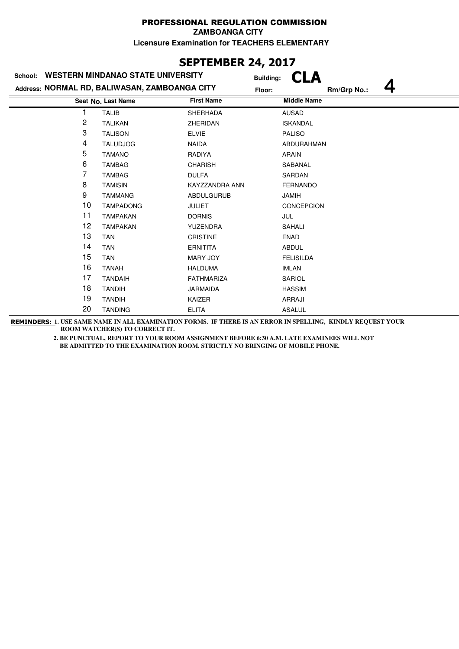**ZAMBOANGA CITY**

**Licensure Examination for TEACHERS ELEMENTARY**

# **SEPTEMBER 24, 2017**

| <b>WESTERN MINDANAO STATE UNIVERSITY</b><br>School: |                                               |                   | <b>Building:</b>   |             |  |
|-----------------------------------------------------|-----------------------------------------------|-------------------|--------------------|-------------|--|
|                                                     | Address: NORMAL RD, BALIWASAN, ZAMBOANGA CITY | Floor:            |                    | Rm/Grp No.: |  |
|                                                     | Seat No. Last Name                            | <b>First Name</b> | <b>Middle Name</b> |             |  |
|                                                     | <b>TALIB</b>                                  | <b>SHERHADA</b>   | <b>AUSAD</b>       |             |  |
| 2                                                   | <b>TALIKAN</b>                                | ZHERIDAN          | <b>ISKANDAL</b>    |             |  |
| 3                                                   | <b>TALISON</b>                                | <b>ELVIE</b>      | <b>PALISO</b>      |             |  |
| 4                                                   | <b>TALUDJOG</b>                               | <b>NAIDA</b>      | ABDURAHMAN         |             |  |
| 5                                                   | <b>TAMANO</b>                                 | <b>RADIYA</b>     | <b>ARAIN</b>       |             |  |
| 6                                                   | <b>TAMBAG</b>                                 | <b>CHARISH</b>    | SABANAL            |             |  |
| 7                                                   | <b>TAMBAG</b>                                 | <b>DULFA</b>      | SARDAN             |             |  |
| 8                                                   | <b>TAMISIN</b>                                | KAYZZANDRA ANN    | <b>FERNANDO</b>    |             |  |
| 9                                                   | <b>TAMMANG</b>                                | <b>ABDULGURUB</b> | <b>JAMIH</b>       |             |  |
| 10                                                  | <b>TAMPADONG</b>                              | <b>JULIET</b>     | <b>CONCEPCION</b>  |             |  |
| 11                                                  | <b>TAMPAKAN</b>                               | <b>DORNIS</b>     | JUL                |             |  |
| 12                                                  | <b>TAMPAKAN</b>                               | <b>YUZENDRA</b>   | <b>SAHALI</b>      |             |  |
| 13                                                  | <b>TAN</b>                                    | <b>CRISTINE</b>   | <b>ENAD</b>        |             |  |
| 14                                                  | <b>TAN</b>                                    | <b>ERNITITA</b>   | <b>ABDUL</b>       |             |  |
| 15                                                  | <b>TAN</b>                                    | MARY JOY          | <b>FELISILDA</b>   |             |  |
| 16                                                  | <b>TANAH</b>                                  | <b>HALDUMA</b>    | <b>IMLAN</b>       |             |  |
| 17                                                  | <b>TANDAIH</b>                                | <b>FATHMARIZA</b> | SARIOL             |             |  |
| 18                                                  | <b>TANDIH</b>                                 | <b>JARMAIDA</b>   | <b>HASSIM</b>      |             |  |
| 19                                                  | <b>TANDIH</b>                                 | KAIZER            | <b>ARRAJI</b>      |             |  |
| 20                                                  | <b>TANDING</b>                                | <b>ELITA</b>      | <b>ASALUL</b>      |             |  |

**REMINDERS: 1. USE SAME NAME IN ALL EXAMINATION FORMS. IF THERE IS AN ERROR IN SPELLING, KINDLY REQUEST YOUR ROOM WATCHER(S) TO CORRECT IT.**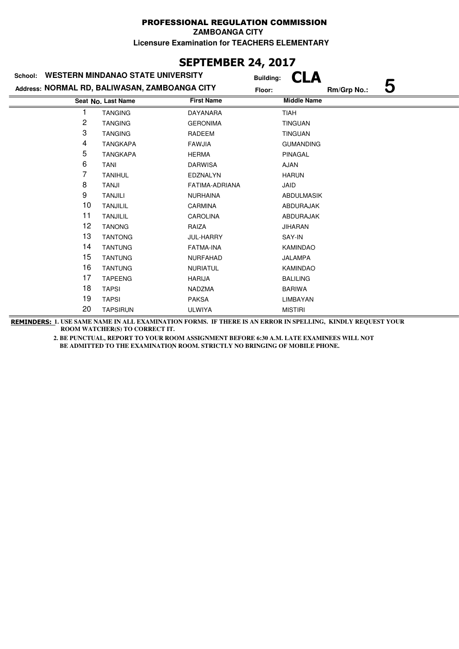**ZAMBOANGA CITY**

**Licensure Examination for TEACHERS ELEMENTARY**

# **SEPTEMBER 24, 2017**

| <b>WESTERN MINDANAO STATE UNIVERSITY</b><br>School: |                                               |                   | CLA<br><b>Building:</b> |                  |  |
|-----------------------------------------------------|-----------------------------------------------|-------------------|-------------------------|------------------|--|
|                                                     | Address: NORMAL RD, BALIWASAN, ZAMBOANGA CITY |                   | Floor:                  | 5<br>Rm/Grp No.: |  |
|                                                     | Seat No. Last Name                            | <b>First Name</b> | <b>Middle Name</b>      |                  |  |
|                                                     | <b>TANGING</b>                                | <b>DAYANARA</b>   | <b>TIAH</b>             |                  |  |
| 2                                                   | <b>TANGING</b>                                | <b>GERONIMA</b>   | <b>TINGUAN</b>          |                  |  |
| 3                                                   | <b>TANGING</b>                                | <b>RADEEM</b>     | <b>TINGUAN</b>          |                  |  |
| 4                                                   | <b>TANGKAPA</b>                               | <b>FAWJIA</b>     | <b>GUMANDING</b>        |                  |  |
| 5                                                   | <b>TANGKAPA</b>                               | <b>HERMA</b>      | PINAGAL                 |                  |  |
| 6                                                   | <b>TANI</b>                                   | <b>DARWISA</b>    | <b>AJAN</b>             |                  |  |
| 7                                                   | <b>TANIHUL</b>                                | EDZNALYN          | <b>HARUN</b>            |                  |  |
| 8                                                   | TANJI                                         | FATIMA-ADRIANA    | JAID                    |                  |  |
| 9                                                   | <b>TANJILI</b>                                | <b>NURHAINA</b>   | <b>ABDULMASIK</b>       |                  |  |
| 10                                                  | <b>TANJILIL</b>                               | <b>CARMINA</b>    | ABDURAJAK               |                  |  |
| 11                                                  | <b>TANJILIL</b>                               | <b>CAROLINA</b>   | ABDURAJAK               |                  |  |
| 12                                                  | <b>TANONG</b>                                 | RAIZA             | <b>JIHARAN</b>          |                  |  |
| 13                                                  | <b>TANTONG</b>                                | JUL-HARRY         | SAY-IN                  |                  |  |
| 14                                                  | <b>TANTUNG</b>                                | <b>FATMA-INA</b>  | <b>KAMINDAO</b>         |                  |  |
| 15                                                  | <b>TANTUNG</b>                                | NURFAHAD          | <b>JALAMPA</b>          |                  |  |
| 16                                                  | <b>TANTUNG</b>                                | <b>NURIATUL</b>   | <b>KAMINDAO</b>         |                  |  |
| 17                                                  | <b>TAPEENG</b>                                | <b>HARIJA</b>     | <b>BALILING</b>         |                  |  |
| 18                                                  | <b>TAPSI</b>                                  | <b>NADZMA</b>     | <b>BARIWA</b>           |                  |  |
| 19                                                  | <b>TAPSI</b>                                  | <b>PAKSA</b>      | LIMBAYAN                |                  |  |
| 20                                                  | <b>TAPSIRUN</b>                               | <b>ULWIYA</b>     | <b>MISTIRI</b>          |                  |  |

**REMINDERS: 1. USE SAME NAME IN ALL EXAMINATION FORMS. IF THERE IS AN ERROR IN SPELLING, KINDLY REQUEST YOUR ROOM WATCHER(S) TO CORRECT IT.**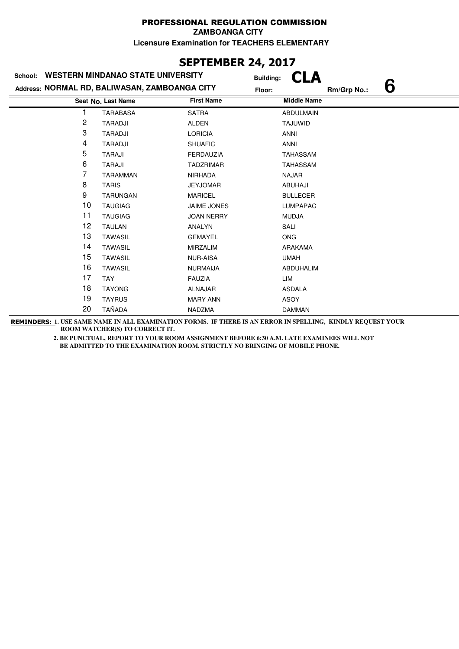**ZAMBOANGA CITY**

**Licensure Examination for TEACHERS ELEMENTARY**

# **SEPTEMBER 24, 2017**

| <b>WESTERN MINDANAO STATE UNIVERSITY</b><br>School: |                                               |                    | CLA<br><b>Building:</b> |
|-----------------------------------------------------|-----------------------------------------------|--------------------|-------------------------|
|                                                     | Address: NORMAL RD, BALIWASAN, ZAMBOANGA CITY | Floor:             | 6<br>Rm/Grp No.:        |
|                                                     | Seat No. Last Name                            | <b>First Name</b>  | <b>Middle Name</b>      |
|                                                     | <b>TARABASA</b>                               | <b>SATRA</b>       | <b>ABDULMAIN</b>        |
| 2                                                   | <b>TARADJI</b>                                | ALDEN              | TAJUWID                 |
| 3                                                   | <b>TARADJI</b>                                | <b>LORICIA</b>     | <b>ANNI</b>             |
| 4                                                   | <b>TARADJI</b>                                | <b>SHUAFIC</b>     | ANNI                    |
| 5                                                   | <b>TARAJI</b>                                 | <b>FERDAUZIA</b>   | <b>TAHASSAM</b>         |
| 6                                                   | <b>TARAJI</b>                                 | <b>TADZRIMAR</b>   | <b>TAHASSAM</b>         |
| 7                                                   | <b>TARAMMAN</b>                               | <b>NIRHADA</b>     | <b>NAJAR</b>            |
| 8                                                   | <b>TARIS</b>                                  | <b>JEYJOMAR</b>    | ABUHAJI                 |
| 9                                                   | <b>TARUNGAN</b>                               | <b>MARICEL</b>     | <b>BULLECER</b>         |
| 10                                                  | <b>TAUGIAG</b>                                | <b>JAIME JONES</b> | <b>LUMPAPAC</b>         |
| 11                                                  | <b>TAUGIAG</b>                                | <b>JOAN NERRY</b>  | <b>MUDJA</b>            |
| 12                                                  | <b>TAULAN</b>                                 | ANALYN             | SALI                    |
| 13                                                  | <b>TAWASIL</b>                                | <b>GEMAYEL</b>     | <b>ONG</b>              |
| 14                                                  | <b>TAWASIL</b>                                | <b>MIRZALIM</b>    | <b>ARAKAMA</b>          |
| 15                                                  | <b>TAWASIL</b>                                | <b>NUR-AISA</b>    | <b>UMAH</b>             |
| 16                                                  | <b>TAWASIL</b>                                | <b>NURMAIJA</b>    | ABDUHALIM               |
| 17                                                  | <b>TAY</b>                                    | <b>FAUZIA</b>      | LIM                     |
| 18                                                  | <b>TAYONG</b>                                 | ALNAJAR            | <b>ASDALA</b>           |
| 19                                                  | <b>TAYRUS</b>                                 | <b>MARY ANN</b>    | ASOY                    |
| 20                                                  | <b>TAÑADA</b>                                 | NADZMA             | <b>DAMMAN</b>           |

**REMINDERS: 1. USE SAME NAME IN ALL EXAMINATION FORMS. IF THERE IS AN ERROR IN SPELLING, KINDLY REQUEST YOUR ROOM WATCHER(S) TO CORRECT IT.**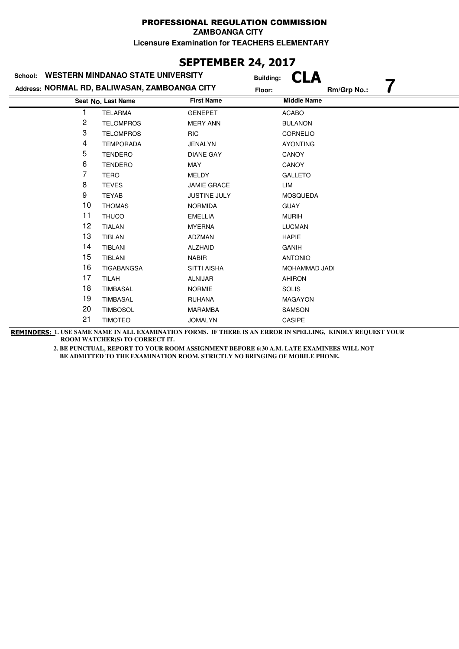**ZAMBOANGA CITY**

**Licensure Examination for TEACHERS ELEMENTARY**

# **SEPTEMBER 24, 2017**

| School: | <b>WESTERN MINDANAO STATE UNIVERSITY</b>      | <b>Building:</b>    | LA                 |             |  |
|---------|-----------------------------------------------|---------------------|--------------------|-------------|--|
|         | Address: NORMAL RD, BALIWASAN, ZAMBOANGA CITY | Floor:              |                    | Rm/Grp No.: |  |
|         | Seat No. Last Name                            | <b>First Name</b>   | <b>Middle Name</b> |             |  |
|         | <b>TELARMA</b>                                | <b>GENEPET</b>      | <b>ACABO</b>       |             |  |
| 2       | <b>TELOMPROS</b>                              | <b>MERY ANN</b>     | <b>BULANON</b>     |             |  |
| 3       | <b>TELOMPROS</b>                              | <b>RIC</b>          | CORNELIO           |             |  |
| 4       | <b>TEMPORADA</b>                              | <b>JENALYN</b>      | <b>AYONTING</b>    |             |  |
| 5       | <b>TENDERO</b>                                | <b>DIANE GAY</b>    | CANOY              |             |  |
| 6       | <b>TENDERO</b>                                | MAY                 | <b>CANOY</b>       |             |  |
| 7       | <b>TERO</b>                                   | <b>MELDY</b>        | <b>GALLETO</b>     |             |  |
| 8       | <b>TEVES</b>                                  | <b>JAMIE GRACE</b>  | LIM                |             |  |
| 9       | <b>TEYAB</b>                                  | <b>JUSTINE JULY</b> | <b>MOSQUEDA</b>    |             |  |
| 10      | <b>THOMAS</b>                                 | <b>NORMIDA</b>      | <b>GUAY</b>        |             |  |
| 11      | <b>THUCO</b>                                  | <b>EMELLIA</b>      | <b>MURIH</b>       |             |  |
| 12      | <b>TIALAN</b>                                 | <b>MYERNA</b>       | <b>LUCMAN</b>      |             |  |
| 13      | <b>TIBLAN</b>                                 | ADZMAN              | <b>HAPIE</b>       |             |  |
| 14      | <b>TIBLANI</b>                                | <b>ALZHAID</b>      | <b>GANIH</b>       |             |  |
| 15      | TIBLANI                                       | <b>NABIR</b>        | <b>ANTONIO</b>     |             |  |
| 16      | <b>TIGABANGSA</b>                             | <b>SITTI AISHA</b>  | MOHAMMAD JADI      |             |  |
| 17      | <b>TILAH</b>                                  | <b>ALNIJAR</b>      | <b>AHIRON</b>      |             |  |
| 18      | <b>TIMBASAL</b>                               | <b>NORMIE</b>       | <b>SOLIS</b>       |             |  |
| 19      | <b>TIMBASAL</b>                               | <b>RUHANA</b>       | <b>MAGAYON</b>     |             |  |
| 20      | <b>TIMBOSOL</b>                               | <b>MARAMBA</b>      | SAMSON             |             |  |
| 21      | <b>TIMOTEO</b>                                | <b>JOMALYN</b>      | <b>CASIPE</b>      |             |  |

**REMINDERS: 1. USE SAME NAME IN ALL EXAMINATION FORMS. IF THERE IS AN ERROR IN SPELLING, KINDLY REQUEST YOUR ROOM WATCHER(S) TO CORRECT IT.**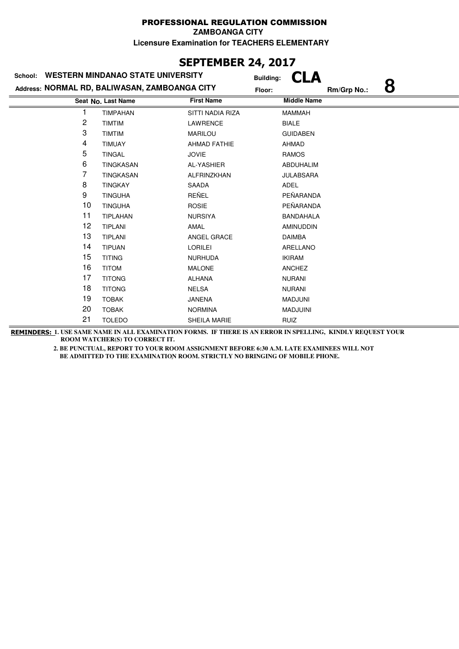**ZAMBOANGA CITY**

**Licensure Examination for TEACHERS ELEMENTARY**

# **SEPTEMBER 24, 2017**

| School:                                       | <b>WESTERN MINDANAO STATE UNIVERSITY</b> |                     | <b>Building:</b>   |             |   |  |
|-----------------------------------------------|------------------------------------------|---------------------|--------------------|-------------|---|--|
| Address: NORMAL RD, BALIWASAN, ZAMBOANGA CITY |                                          |                     | Floor:             | Rm/Grp No.: | 8 |  |
|                                               | Seat No. Last Name                       | <b>First Name</b>   | <b>Middle Name</b> |             |   |  |
|                                               | <b>TIMPAHAN</b>                          | SITTI NADIA RIZA    | <b>MAMMAH</b>      |             |   |  |
| 2                                             | <b>TIMTIM</b>                            | LAWRENCE            | <b>BIALE</b>       |             |   |  |
| 3                                             | <b>TIMTIM</b>                            | <b>MARILOU</b>      | <b>GUIDABEN</b>    |             |   |  |
| 4                                             | <b>TIMUAY</b>                            | <b>AHMAD FATHIE</b> | AHMAD              |             |   |  |
| 5                                             | <b>TINGAL</b>                            | <b>JOVIE</b>        | <b>RAMOS</b>       |             |   |  |
| 6                                             | <b>TINGKASAN</b>                         | AL-YASHIER          | ABDUHALIM          |             |   |  |
| 7                                             | <b>TINGKASAN</b>                         | ALFRINZKHAN         | <b>JULABSARA</b>   |             |   |  |
| 8                                             | <b>TINGKAY</b>                           | SAADA               | <b>ADEL</b>        |             |   |  |
| 9                                             | <b>TINGUHA</b>                           | REÑEL               | PEÑARANDA          |             |   |  |
| 10                                            | <b>TINGUHA</b>                           | <b>ROSIE</b>        | PEÑARANDA          |             |   |  |
| 11                                            | <b>TIPLAHAN</b>                          | <b>NURSIYA</b>      | <b>BANDAHALA</b>   |             |   |  |
| 12                                            | <b>TIPLANI</b>                           | AMAL                | <b>AMINUDDIN</b>   |             |   |  |
| 13                                            | <b>TIPLANI</b>                           | ANGEL GRACE         | <b>DAIMBA</b>      |             |   |  |
| 14                                            | <b>TIPUAN</b>                            | <b>LORILEI</b>      | ARELLANO           |             |   |  |
| 15                                            | <b>TITING</b>                            | <b>NURHUDA</b>      | <b>IKIRAM</b>      |             |   |  |
| 16                                            | <b>TITOM</b>                             | <b>MALONE</b>       | <b>ANCHEZ</b>      |             |   |  |
| 17                                            | <b>TITONG</b>                            | ALHANA              | <b>NURANI</b>      |             |   |  |
| 18                                            | <b>TITONG</b>                            | <b>NELSA</b>        | <b>NURANI</b>      |             |   |  |
| 19                                            | <b>TOBAK</b>                             | <b>JANENA</b>       | <b>MADJUNI</b>     |             |   |  |
| 20                                            | <b>TOBAK</b>                             | <b>NORMINA</b>      | <b>MADJUINI</b>    |             |   |  |
| 21                                            | <b>TOLEDO</b>                            | <b>SHEILA MARIE</b> | <b>RUIZ</b>        |             |   |  |
|                                               |                                          |                     |                    |             |   |  |

**REMINDERS: 1. USE SAME NAME IN ALL EXAMINATION FORMS. IF THERE IS AN ERROR IN SPELLING, KINDLY REQUEST YOUR ROOM WATCHER(S) TO CORRECT IT.**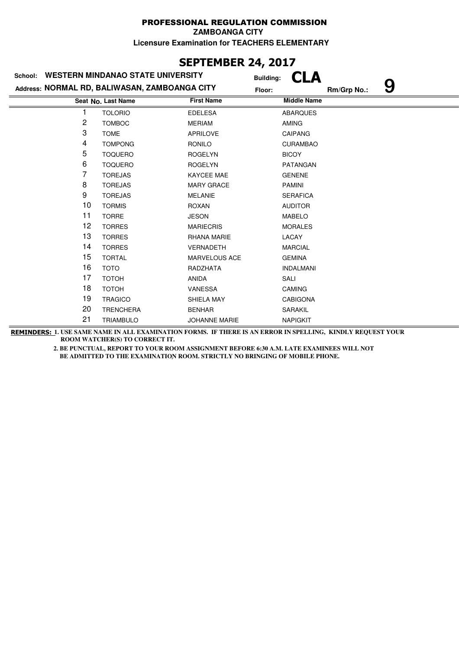#### PROFESSIONAL REGULATION COMMISSION **ZAMBOANGA CITY**

**Licensure Examination for TEACHERS ELEMENTARY**

## **SEPTEMBER 24, 2017**

| School:        | <b>WESTERN MINDANAO STATE UNIVERSITY</b>      | <b>Building:</b>     |                    |             |   |
|----------------|-----------------------------------------------|----------------------|--------------------|-------------|---|
|                | Address: NORMAL RD, BALIWASAN, ZAMBOANGA CITY | Floor:               |                    | Rm/Grp No.: | 9 |
|                | Seat No. Last Name                            | <b>First Name</b>    | <b>Middle Name</b> |             |   |
|                | <b>TOLORIO</b>                                | <b>EDELESA</b>       | <b>ABARQUES</b>    |             |   |
| $\overline{c}$ | <b>TOMBOC</b>                                 | <b>MERIAM</b>        | <b>AMING</b>       |             |   |
| 3              | <b>TOME</b>                                   | <b>APRILOVE</b>      | <b>CAIPANG</b>     |             |   |
| 4              | <b>TOMPONG</b>                                | <b>RONILO</b>        | <b>CURAMBAO</b>    |             |   |
| 5              | <b>TOQUERO</b>                                | <b>ROGELYN</b>       | <b>BICOY</b>       |             |   |
| 6              | <b>TOQUERO</b>                                | <b>ROGELYN</b>       | PATANGAN           |             |   |
| 7              | <b>TOREJAS</b>                                | KAYCEE MAE           | <b>GENENE</b>      |             |   |
| 8              | <b>TOREJAS</b>                                | <b>MARY GRACE</b>    | <b>PAMINI</b>      |             |   |
| 9              | <b>TOREJAS</b>                                | <b>MELANIE</b>       | <b>SERAFICA</b>    |             |   |
| 10             | <b>TORMIS</b>                                 | <b>ROXAN</b>         | <b>AUDITOR</b>     |             |   |
| 11             | <b>TORRE</b>                                  | <b>JESON</b>         | <b>MABELO</b>      |             |   |
| 12             | <b>TORRES</b>                                 | <b>MARIECRIS</b>     | <b>MORALES</b>     |             |   |
| 13             | <b>TORRES</b>                                 | <b>RHANA MARIE</b>   | LACAY              |             |   |
| 14             | <b>TORRES</b>                                 | <b>VERNADETH</b>     | <b>MARCIAL</b>     |             |   |
| 15             | <b>TORTAL</b>                                 | <b>MARVELOUS ACE</b> | <b>GEMINA</b>      |             |   |
| 16             | <b>TOTO</b>                                   | RADZHATA             | <b>INDALMANI</b>   |             |   |
| 17             | <b>TOTOH</b>                                  | <b>ANIDA</b>         | SALI               |             |   |
| 18             | <b>TOTOH</b>                                  | <b>VANESSA</b>       | <b>CAMING</b>      |             |   |
| 19             | <b>TRAGICO</b>                                | SHIELA MAY           | <b>CABIGONA</b>    |             |   |
| 20             | <b>TRENCHERA</b>                              | <b>BENHAR</b>        | SARAKIL            |             |   |
| 21             | <b>TRIAMBULO</b>                              | <b>JOHANNE MARIE</b> | <b>NAPIGKIT</b>    |             |   |

**REMINDERS: 1. USE SAME NAME IN ALL EXAMINATION FORMS. IF THERE IS AN ERROR IN SPELLING, KINDLY REQUEST YOUR ROOM WATCHER(S) TO CORRECT IT.**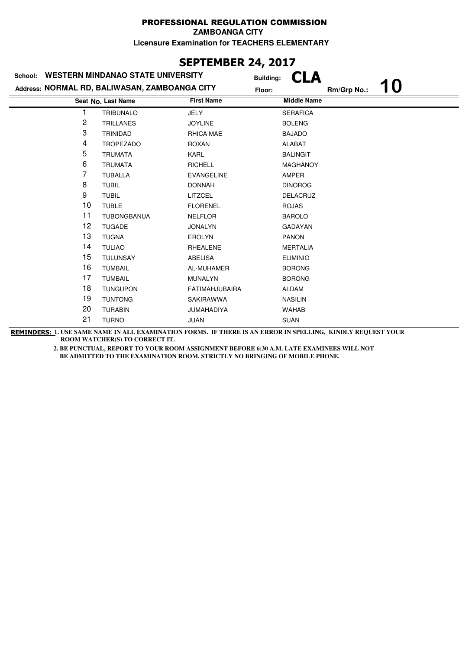**ZAMBOANGA CITY**

**Licensure Examination for TEACHERS ELEMENTARY**

### **SEPTEMBER 24, 2017**

| School: | <b>WESTERN MINDANAO STATE UNIVERSITY</b>      | <b>Building:</b>      |                    |             |    |
|---------|-----------------------------------------------|-----------------------|--------------------|-------------|----|
|         | Address: NORMAL RD, BALIWASAN, ZAMBOANGA CITY | Floor:                |                    | Rm/Grp No.: | 10 |
|         | Seat No. Last Name                            | <b>First Name</b>     | <b>Middle Name</b> |             |    |
|         | <b>TRIBUNALO</b>                              | <b>JELY</b>           | <b>SERAFICA</b>    |             |    |
| 2       | <b>TRILLANES</b>                              | <b>JOYLINE</b>        | <b>BOLENG</b>      |             |    |
| 3       | <b>TRINIDAD</b>                               | RHICA MAE             | <b>BAJADO</b>      |             |    |
| 4       | <b>TROPEZADO</b>                              | <b>ROXAN</b>          | <b>ALABAT</b>      |             |    |
| 5       | <b>TRUMATA</b>                                | <b>KARL</b>           | <b>BALINGIT</b>    |             |    |
| 6       | <b>TRUMATA</b>                                | <b>RICHELL</b>        | <b>MAGHANOY</b>    |             |    |
| 7       | <b>TUBALLA</b>                                | <b>EVANGELINE</b>     | AMPER              |             |    |
| 8       | <b>TUBIL</b>                                  | <b>DONNAH</b>         | <b>DINOROG</b>     |             |    |
| 9       | <b>TUBIL</b>                                  | LITZCEL               | <b>DELACRUZ</b>    |             |    |
| 10      | <b>TUBLE</b>                                  | <b>FLORENEL</b>       | <b>ROJAS</b>       |             |    |
| 11      | <b>TUBONGBANUA</b>                            | <b>NELFLOR</b>        | <b>BAROLO</b>      |             |    |
| 12      | <b>TUGADE</b>                                 | <b>JONALYN</b>        | <b>GADAYAN</b>     |             |    |
| 13      | <b>TUGNA</b>                                  | <b>EROLYN</b>         | <b>PANON</b>       |             |    |
| 14      | <b>TULIAO</b>                                 | <b>RHEALENE</b>       | <b>MERTALIA</b>    |             |    |
| 15      | <b>TULUNSAY</b>                               | ABELISA               | <b>ELIMINIO</b>    |             |    |
| 16      | <b>TUMBAIL</b>                                | AL-MUHAMER            | <b>BORONG</b>      |             |    |
| 17      | <b>TUMBAIL</b>                                | <b>MUNALYN</b>        | <b>BORONG</b>      |             |    |
| 18      | <b>TUNGUPON</b>                               | <b>FATIMAHJUBAIRA</b> | <b>ALDAM</b>       |             |    |
| 19      | <b>TUNTONG</b>                                | <b>SAKIRAWWA</b>      | <b>NASILIN</b>     |             |    |
| 20      | <b>TURABIN</b>                                | <b>JUMAHADIYA</b>     | <b>WAHAB</b>       |             |    |
| 21      | <b>TURNO</b>                                  | JUAN                  | <b>SUAN</b>        |             |    |

**REMINDERS: 1. USE SAME NAME IN ALL EXAMINATION FORMS. IF THERE IS AN ERROR IN SPELLING, KINDLY REQUEST YOUR ROOM WATCHER(S) TO CORRECT IT.**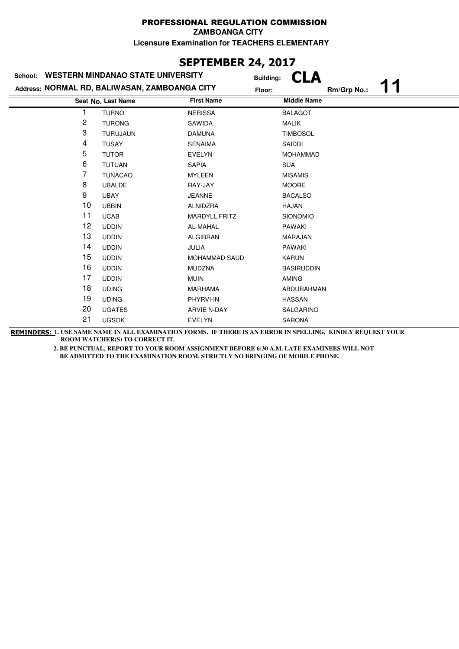**ZAMBOANGA CITY**

**Licensure Examination for TEACHERS ELEMENTARY**

# **SEPTEMBER 24, 2017**

| School: | <b>WESTERN MINDANAO STATE UNIVERSITY</b>      | <b>Building:</b>     |                    |             |  |
|---------|-----------------------------------------------|----------------------|--------------------|-------------|--|
|         | Address: NORMAL RD, BALIWASAN, ZAMBOANGA CITY | Floor:               |                    | Rm/Grp No.: |  |
|         | Seat No. Last Name                            | <b>First Name</b>    | <b>Middle Name</b> |             |  |
|         | <b>TURNO</b>                                  | <b>NERISSA</b>       | <b>BALAGOT</b>     |             |  |
| 2       | <b>TURONG</b>                                 | SAWIDA               | <b>MALIK</b>       |             |  |
| 3       | <b>TURUJAUN</b>                               | <b>DAMUNA</b>        | <b>TIMBOSOL</b>    |             |  |
| 4       | <b>TUSAY</b>                                  | <b>SENAIMA</b>       | SAIDDI             |             |  |
| 5       | <b>TUTOR</b>                                  | <b>EVELYN</b>        | <b>MOHAMMAD</b>    |             |  |
| 6       | <b>TUTUAN</b>                                 | <b>SAPIA</b>         | <b>SUA</b>         |             |  |
| 7       | <b>TUÑACAO</b>                                | <b>MYLEEN</b>        | <b>MISAMIS</b>     |             |  |
| 8       | <b>UBALDE</b>                                 | RAY-JAY              | <b>MOORE</b>       |             |  |
| 9       | <b>UBAY</b>                                   | <b>JEANNE</b>        | <b>BACALSO</b>     |             |  |
| 10      | <b>UBBIN</b>                                  | ALNIDZRA             | <b>HAJAN</b>       |             |  |
| 11      | <b>UCAB</b>                                   | <b>MARDYLL FRITZ</b> | SIONOMIO           |             |  |
| 12      | <b>UDDIN</b>                                  | AL-MAHAL             | <b>PAWAKI</b>      |             |  |
| 13      | <b>UDDIN</b>                                  | <b>ALGIBRAN</b>      | <b>MARAJAN</b>     |             |  |
| 14      | <b>UDDIN</b>                                  | JULIA                | <b>PAWAKI</b>      |             |  |
| 15      | <b>UDDIN</b>                                  | <b>MOHAMMAD SAUD</b> | <b>KARUN</b>       |             |  |
| 16      | <b>UDDIN</b>                                  | <b>MUDZNA</b>        | <b>BASIRUDDIN</b>  |             |  |
| 17      | <b>UDDIN</b>                                  | <b>MUIN</b>          | <b>AMING</b>       |             |  |
| 18      | <b>UDING</b>                                  | <b>MARHAMA</b>       | ABDURAHMAN         |             |  |
| 19      | <b>UDING</b>                                  | PHYRVI-IN            | <b>HASSAN</b>      |             |  |
| 20      | <b>UGATES</b>                                 | <b>ARVIE N-DAY</b>   | SALGARINO          |             |  |
| 21      | <b>UGSOK</b>                                  | <b>EVELYN</b>        | <b>SARONA</b>      |             |  |
|         |                                               |                      |                    |             |  |

**REMINDERS: 1. USE SAME NAME IN ALL EXAMINATION FORMS. IF THERE IS AN ERROR IN SPELLING, KINDLY REQUEST YOUR ROOM WATCHER(S) TO CORRECT IT.**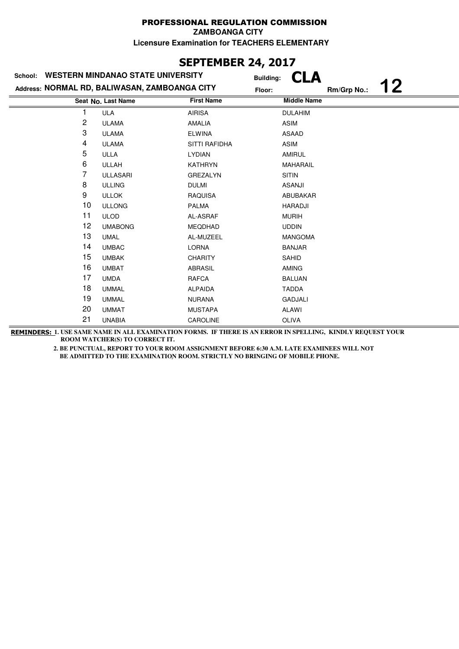**ZAMBOANGA CITY**

**Licensure Examination for TEACHERS ELEMENTARY**

### **SEPTEMBER 24, 2017**

| School: | <b>WESTERN MINDANAO STATE UNIVERSITY</b>      | <b>Building:</b>  |                    |             |    |
|---------|-----------------------------------------------|-------------------|--------------------|-------------|----|
|         | Address: NORMAL RD, BALIWASAN, ZAMBOANGA CITY | Floor:            |                    | Rm/Grp No.: | 12 |
|         | Seat No. Last Name                            | <b>First Name</b> | <b>Middle Name</b> |             |    |
| 1       | ULA                                           | <b>AIRISA</b>     | <b>DULAHIM</b>     |             |    |
| 2       | <b>ULAMA</b>                                  | AMALIA            | ASIM               |             |    |
| 3       | <b>ULAMA</b>                                  | <b>ELWINA</b>     | ASAAD              |             |    |
| 4       | <b>ULAMA</b>                                  | SITTI RAFIDHA     | ASIM               |             |    |
| 5       | <b>ULLA</b>                                   | <b>LYDIAN</b>     | <b>AMIRUL</b>      |             |    |
| 6       | <b>ULLAH</b>                                  | <b>KATHRYN</b>    | <b>MAHARAIL</b>    |             |    |
| 7       | <b>ULLASARI</b>                               | <b>GREZALYN</b>   | <b>SITIN</b>       |             |    |
| 8       | <b>ULLING</b>                                 | <b>DULMI</b>      | <b>ASANJI</b>      |             |    |
| 9       | <b>ULLOK</b>                                  | <b>RAQUISA</b>    | ABUBAKAR           |             |    |
| 10      | <b>ULLONG</b>                                 | <b>PALMA</b>      | <b>HARADJI</b>     |             |    |
| 11      | <b>ULOD</b>                                   | AL-ASRAF          | <b>MURIH</b>       |             |    |
| 12      | <b>UMABONG</b>                                | <b>MEQDHAD</b>    | <b>UDDIN</b>       |             |    |
| 13      | <b>UMAL</b>                                   | AL-MUZEEL         | <b>MANGOMA</b>     |             |    |
| 14      | <b>UMBAC</b>                                  | <b>LORNA</b>      | <b>BANJAR</b>      |             |    |
| 15      | <b>UMBAK</b>                                  | <b>CHARITY</b>    | <b>SAHID</b>       |             |    |
| 16      | <b>UMBAT</b>                                  | <b>ABRASIL</b>    | <b>AMING</b>       |             |    |
| 17      | <b>UMDA</b>                                   | <b>RAFCA</b>      | <b>BALUAN</b>      |             |    |
| 18      | <b>UMMAL</b>                                  | <b>ALPAIDA</b>    | <b>TADDA</b>       |             |    |
| 19      | <b>UMMAL</b>                                  | <b>NURANA</b>     | <b>GADJALI</b>     |             |    |
| 20      | <b>UMMAT</b>                                  | <b>MUSTAPA</b>    | <b>ALAWI</b>       |             |    |
| 21      | <b>UNABIA</b>                                 | <b>CAROLINE</b>   | <b>OLIVA</b>       |             |    |

**REMINDERS: 1. USE SAME NAME IN ALL EXAMINATION FORMS. IF THERE IS AN ERROR IN SPELLING, KINDLY REQUEST YOUR ROOM WATCHER(S) TO CORRECT IT.**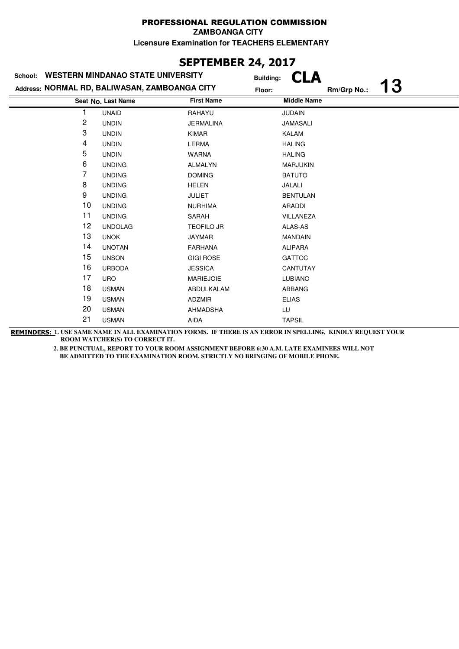**ZAMBOANGA CITY**

**Licensure Examination for TEACHERS ELEMENTARY**

### **SEPTEMBER 24, 2017**

| School:        | <b>WESTERN MINDANAO STATE UNIVERSITY</b>      | <b>Building:</b>  |                    |             |    |
|----------------|-----------------------------------------------|-------------------|--------------------|-------------|----|
|                | Address: NORMAL RD, BALIWASAN, ZAMBOANGA CITY | Floor:            |                    | Rm/Grp No.: | 13 |
|                | Seat No. Last Name                            | <b>First Name</b> | <b>Middle Name</b> |             |    |
|                | <b>UNAID</b>                                  | RAHAYU            | <b>JUDAIN</b>      |             |    |
| $\overline{c}$ | <b>UNDIN</b>                                  | <b>JERMALINA</b>  | <b>JAMASALI</b>    |             |    |
| 3              | <b>UNDIN</b>                                  | <b>KIMAR</b>      | <b>KALAM</b>       |             |    |
| 4              | <b>UNDIN</b>                                  | <b>LERMA</b>      | <b>HALING</b>      |             |    |
| 5              | <b>UNDIN</b>                                  | <b>WARNA</b>      | <b>HALING</b>      |             |    |
| 6              | <b>UNDING</b>                                 | <b>ALMALYN</b>    | <b>MARJUKIN</b>    |             |    |
| 7              | <b>UNDING</b>                                 | <b>DOMING</b>     | <b>BATUTO</b>      |             |    |
| 8              | <b>UNDING</b>                                 | <b>HELEN</b>      | JALALI             |             |    |
| 9              | <b>UNDING</b>                                 | <b>JULIET</b>     | <b>BENTULAN</b>    |             |    |
| 10             | <b>UNDING</b>                                 | <b>NURHIMA</b>    | ARADDI             |             |    |
| 11             | <b>UNDING</b>                                 | SARAH             | VILLANEZA          |             |    |
| 12             | <b>UNDOLAG</b>                                | <b>TEOFILO JR</b> | ALAS-AS            |             |    |
| 13             | <b>UNOK</b>                                   | <b>JAYMAR</b>     | <b>MANDAIN</b>     |             |    |
| 14             | <b>UNOTAN</b>                                 | <b>FARHANA</b>    | <b>ALIPARA</b>     |             |    |
| 15             | <b>UNSON</b>                                  | <b>GIGI ROSE</b>  | <b>GATTOC</b>      |             |    |
| 16             | <b>URBODA</b>                                 | <b>JESSICA</b>    | <b>CANTUTAY</b>    |             |    |
| 17             | <b>URO</b>                                    | <b>MARIEJOIE</b>  | <b>LUBIANO</b>     |             |    |
| 18             | <b>USMAN</b>                                  | ABDULKALAM        | ABBANG             |             |    |
| 19             | <b>USMAN</b>                                  | <b>ADZMIR</b>     | <b>ELIAS</b>       |             |    |
| 20             | <b>USMAN</b>                                  | <b>AHMADSHA</b>   | LU                 |             |    |
| 21             | <b>USMAN</b>                                  | <b>AIDA</b>       | <b>TAPSIL</b>      |             |    |

**REMINDERS: 1. USE SAME NAME IN ALL EXAMINATION FORMS. IF THERE IS AN ERROR IN SPELLING, KINDLY REQUEST YOUR ROOM WATCHER(S) TO CORRECT IT.**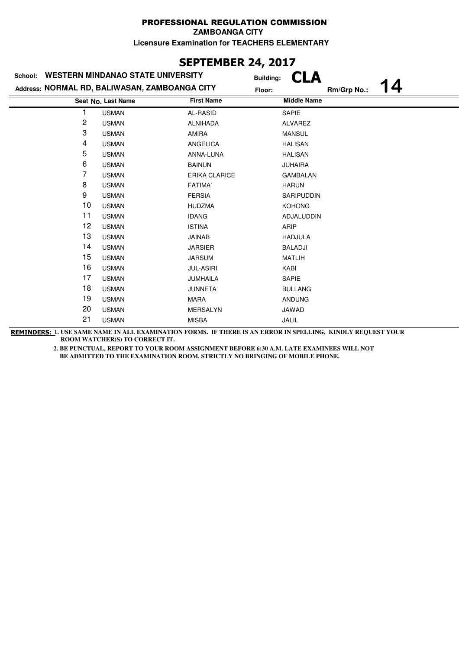#### PROFESSIONAL REGULATION COMMISSION **ZAMBOANGA CITY**

**Licensure Examination for TEACHERS ELEMENTARY**

### **SEPTEMBER 24, 2017**

| School: | <b>WESTERN MINDANAO STATE UNIVERSITY</b>      | <b>Building:</b>  |                    |
|---------|-----------------------------------------------|-------------------|--------------------|
|         | Address: NORMAL RD, BALIWASAN, ZAMBOANGA CITY | Floor:            | 4<br>Rm/Grp No.:   |
|         | Seat No. Last Name                            | <b>First Name</b> | <b>Middle Name</b> |
|         | <b>USMAN</b>                                  | AL-RASID          | SAPIE              |
| 2       | <b>USMAN</b>                                  | <b>ALNIHADA</b>   | ALVAREZ            |
| 3       | <b>USMAN</b>                                  | <b>AMIRA</b>      | <b>MANSUL</b>      |
| 4       | <b>USMAN</b>                                  | <b>ANGELICA</b>   | <b>HALISAN</b>     |
| 5       | <b>USMAN</b>                                  | ANNA-LUNA         | <b>HALISAN</b>     |
| 6       | <b>USMAN</b>                                  | <b>BAINUN</b>     | <b>JUHAIRA</b>     |
| 7       | <b>USMAN</b>                                  | ERIKA CLARICE     | <b>GAMBALAN</b>    |
| 8       | <b>USMAN</b>                                  | <b>FATIMA</b>     | <b>HARUN</b>       |
| 9       | <b>USMAN</b>                                  | <b>FERSIA</b>     | <b>SARIPUDDIN</b>  |
| 10      | <b>USMAN</b>                                  | <b>HUDZMA</b>     | <b>KOHONG</b>      |
| 11      | <b>USMAN</b>                                  | <b>IDANG</b>      | ADJALUDDIN         |
| 12      | <b>USMAN</b>                                  | <b>ISTINA</b>     | ARIP               |
| 13      | <b>USMAN</b>                                  | <b>JAINAB</b>     | <b>HADJULA</b>     |
| 14      | <b>USMAN</b>                                  | <b>JARSIER</b>    | <b>BALADJI</b>     |
| 15      | <b>USMAN</b>                                  | <b>JARSUM</b>     | <b>MATLIH</b>      |
| 16      | <b>USMAN</b>                                  | <b>JUL-ASIRI</b>  | KABI               |
| 17      | <b>USMAN</b>                                  | JUMHAILA          | SAPIE              |
| 18      | <b>USMAN</b>                                  | <b>JUNNETA</b>    | <b>BULLANG</b>     |
| 19      | <b>USMAN</b>                                  | <b>MARA</b>       | <b>ANDUNG</b>      |
| 20      | <b>USMAN</b>                                  | <b>MERSALYN</b>   | JAWAD              |
| 21      | <b>USMAN</b>                                  | <b>MISBA</b>      | JALIL              |

**REMINDERS: 1. USE SAME NAME IN ALL EXAMINATION FORMS. IF THERE IS AN ERROR IN SPELLING, KINDLY REQUEST YOUR ROOM WATCHER(S) TO CORRECT IT.**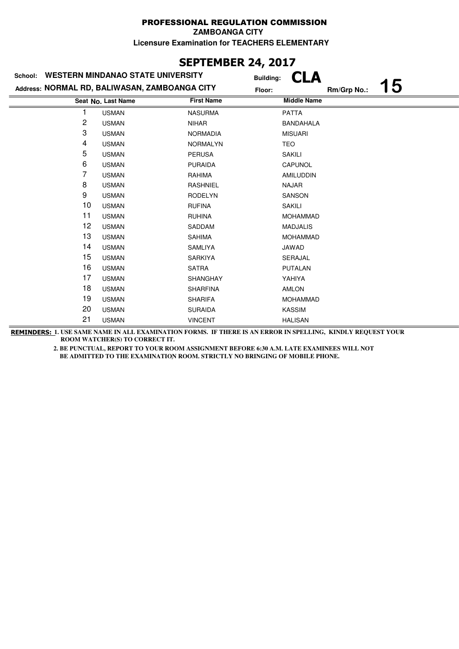**ZAMBOANGA CITY**

**Licensure Examination for TEACHERS ELEMENTARY**

### **SEPTEMBER 24, 2017**

| <b>WESTERN MINDANAO STATE UNIVERSITY</b><br>School: |                                               |                   | <b>Building:</b>   |             |    |
|-----------------------------------------------------|-----------------------------------------------|-------------------|--------------------|-------------|----|
|                                                     | Address: NORMAL RD, BALIWASAN, ZAMBOANGA CITY | Floor:            |                    | Rm/Grp No.: | 15 |
|                                                     | Seat No. Last Name                            | <b>First Name</b> | <b>Middle Name</b> |             |    |
|                                                     | <b>USMAN</b>                                  | <b>NASURMA</b>    | <b>PATTA</b>       |             |    |
| 2                                                   | <b>USMAN</b>                                  | <b>NIHAR</b>      | <b>BANDAHALA</b>   |             |    |
| 3                                                   | <b>USMAN</b>                                  | <b>NORMADIA</b>   | <b>MISUARI</b>     |             |    |
| 4                                                   | <b>USMAN</b>                                  | <b>NORMALYN</b>   | <b>TEO</b>         |             |    |
| 5                                                   | <b>USMAN</b>                                  | <b>PERUSA</b>     | <b>SAKILI</b>      |             |    |
| 6                                                   | <b>USMAN</b>                                  | <b>PURAIDA</b>    | CAPUNOL            |             |    |
| 7                                                   | <b>USMAN</b>                                  | RAHIMA            | <b>AMILUDDIN</b>   |             |    |
| 8                                                   | <b>USMAN</b>                                  | <b>RASHNIEL</b>   | <b>NAJAR</b>       |             |    |
| 9                                                   | <b>USMAN</b>                                  | <b>RODELYN</b>    | SANSON             |             |    |
| 10                                                  | <b>USMAN</b>                                  | <b>RUFINA</b>     | <b>SAKILI</b>      |             |    |
| 11                                                  | <b>USMAN</b>                                  | <b>RUHINA</b>     | <b>MOHAMMAD</b>    |             |    |
| 12                                                  | <b>USMAN</b>                                  | SADDAM            | <b>MADJALIS</b>    |             |    |
| 13                                                  | <b>USMAN</b>                                  | <b>SAHIMA</b>     | <b>MOHAMMAD</b>    |             |    |
| 14                                                  | <b>USMAN</b>                                  | <b>SAMLIYA</b>    | JAWAD              |             |    |
| 15                                                  | <b>USMAN</b>                                  | <b>SARKIYA</b>    | SERAJAL            |             |    |
| 16                                                  | <b>USMAN</b>                                  | <b>SATRA</b>      | <b>PUTALAN</b>     |             |    |
| 17                                                  | <b>USMAN</b>                                  | <b>SHANGHAY</b>   | YAHIYA             |             |    |
| 18                                                  | <b>USMAN</b>                                  | <b>SHARFINA</b>   | AMLON              |             |    |
| 19                                                  | <b>USMAN</b>                                  | <b>SHARIFA</b>    | <b>MOHAMMAD</b>    |             |    |
| 20                                                  | <b>USMAN</b>                                  | <b>SURAIDA</b>    | <b>KASSIM</b>      |             |    |
| 21                                                  | <b>USMAN</b>                                  | <b>VINCENT</b>    | <b>HALISAN</b>     |             |    |
|                                                     |                                               |                   |                    |             |    |

**REMINDERS: 1. USE SAME NAME IN ALL EXAMINATION FORMS. IF THERE IS AN ERROR IN SPELLING, KINDLY REQUEST YOUR ROOM WATCHER(S) TO CORRECT IT.**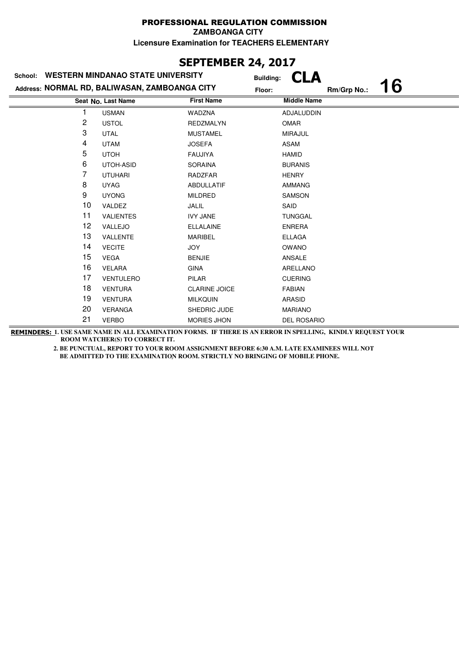**ZAMBOANGA CITY**

**Licensure Examination for TEACHERS ELEMENTARY**

# **SEPTEMBER 24, 2017**

| <b>WESTERN MINDANAO STATE UNIVERSITY</b><br>School: |                    |                      | <b>Building:</b>   |    |  |
|-----------------------------------------------------|--------------------|----------------------|--------------------|----|--|
| Address: NORMAL RD, BALIWASAN, ZAMBOANGA CITY       | Floor:             |                      | Rm/Grp No.:        | 16 |  |
|                                                     | Seat No. Last Name | <b>First Name</b>    | <b>Middle Name</b> |    |  |
|                                                     | <b>USMAN</b>       | WADZNA               | ADJALUDDIN         |    |  |
| 2                                                   | <b>USTOL</b>       | <b>REDZMALYN</b>     | OMAR               |    |  |
| 3                                                   | <b>UTAL</b>        | <b>MUSTAMEL</b>      | <b>MIRAJUL</b>     |    |  |
| 4                                                   | <b>UTAM</b>        | <b>JOSEFA</b>        | <b>ASAM</b>        |    |  |
| 5                                                   | <b>UTOH</b>        | <b>FAUJIYA</b>       | <b>HAMID</b>       |    |  |
| 6                                                   | UTOH-ASID          | <b>SORAINA</b>       | <b>BURANIS</b>     |    |  |
| 7                                                   | <b>UTUHARI</b>     | RADZFAR              | <b>HENRY</b>       |    |  |
| 8                                                   | <b>UYAG</b>        | <b>ABDULLATIF</b>    | <b>AMMANG</b>      |    |  |
| 9                                                   | <b>UYONG</b>       | <b>MILDRED</b>       | SAMSON             |    |  |
| 10                                                  | VALDEZ             | JALIL                | SAID               |    |  |
| 11                                                  | <b>VALIENTES</b>   | <b>IVY JANE</b>      | <b>TUNGGAL</b>     |    |  |
| 12                                                  | VALLEJO            | <b>ELLALAINE</b>     | <b>ENRERA</b>      |    |  |
| 13                                                  | VALLENTE           | <b>MARIBEL</b>       | <b>ELLAGA</b>      |    |  |
| 14                                                  | <b>VECITE</b>      | <b>JOY</b>           | <b>OWANO</b>       |    |  |
| 15                                                  | <b>VEGA</b>        | <b>BENJIE</b>        | ANSALE             |    |  |
| 16                                                  | <b>VELARA</b>      | <b>GINA</b>          | ARELLANO           |    |  |
| 17                                                  | <b>VENTULERO</b>   | PILAR                | <b>CUERING</b>     |    |  |
| 18                                                  | <b>VENTURA</b>     | <b>CLARINE JOICE</b> | <b>FABIAN</b>      |    |  |
| 19                                                  | <b>VENTURA</b>     | <b>MILKQUIN</b>      | <b>ARASID</b>      |    |  |
| 20                                                  | <b>VERANGA</b>     | SHEDRIC JUDE         | <b>MARIANO</b>     |    |  |
| 21                                                  | <b>VERBO</b>       | <b>MORIES JHON</b>   | <b>DEL ROSARIO</b> |    |  |

**REMINDERS: 1. USE SAME NAME IN ALL EXAMINATION FORMS. IF THERE IS AN ERROR IN SPELLING, KINDLY REQUEST YOUR ROOM WATCHER(S) TO CORRECT IT.**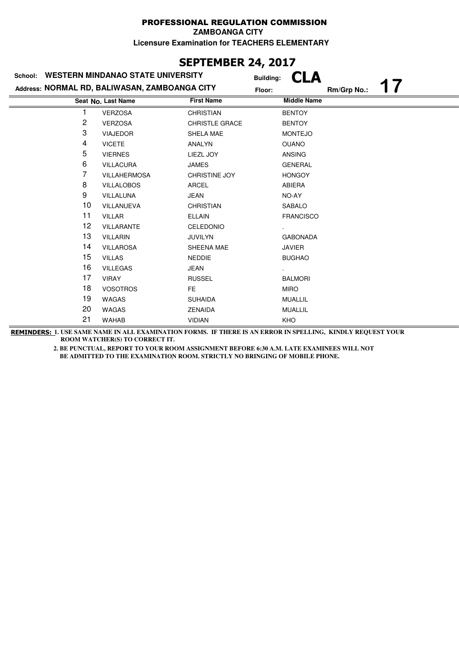#### PROFESSIONAL REGULATION COMMISSION **ZAMBOANGA CITY**

**Licensure Examination for TEACHERS ELEMENTARY**

## **SEPTEMBER 24, 2017**

| <b>WESTERN MINDANAO STATE UNIVERSITY</b><br>School: |                     |                       | <b>Building:</b>   |  |  |
|-----------------------------------------------------|---------------------|-----------------------|--------------------|--|--|
| Address: NORMAL RD, BALIWASAN, ZAMBOANGA CITY       | Floor:              | Rm/Grp No.:           |                    |  |  |
| <b>First Name</b><br>Seat No. Last Name             |                     |                       | <b>Middle Name</b> |  |  |
|                                                     | <b>VERZOSA</b>      | <b>CHRISTIAN</b>      | <b>BENTOY</b>      |  |  |
| 2                                                   | <b>VERZOSA</b>      | <b>CHRISTLE GRACE</b> | <b>BENTOY</b>      |  |  |
| 3                                                   | <b>VIAJEDOR</b>     | SHELA MAE             | <b>MONTEJO</b>     |  |  |
| 4                                                   | <b>VICETE</b>       | ANALYN                | <b>OUANO</b>       |  |  |
| 5                                                   | <b>VIERNES</b>      | LIEZL JOY             | <b>ANSING</b>      |  |  |
| 6                                                   | <b>VILLACURA</b>    | <b>JAMES</b>          | <b>GENERAL</b>     |  |  |
| 7                                                   | <b>VILLAHERMOSA</b> | <b>CHRISTINE JOY</b>  | <b>HONGOY</b>      |  |  |
| 8                                                   | <b>VILLALOBOS</b>   | <b>ARCEL</b>          | ABIERA             |  |  |
| 9                                                   | VILLALUNA           | <b>JEAN</b>           | NO-AY              |  |  |
| 10                                                  | VILLANUEVA          | <b>CHRISTIAN</b>      | <b>SABALO</b>      |  |  |
| 11                                                  | <b>VILLAR</b>       | <b>ELLAIN</b>         | <b>FRANCISCO</b>   |  |  |
| 12 <sub>2</sub>                                     | <b>VILLARANTE</b>   | CELEDONIO             |                    |  |  |
| 13                                                  | <b>VILLARIN</b>     | <b>JUVILYN</b>        | <b>GABONADA</b>    |  |  |
| 14                                                  | <b>VILLAROSA</b>    | SHEENA MAE            | JAVIER             |  |  |
| 15                                                  | <b>VILLAS</b>       | <b>NEDDIE</b>         | <b>BUGHAO</b>      |  |  |
| 16                                                  | <b>VILLEGAS</b>     | <b>JEAN</b>           |                    |  |  |
| 17                                                  | <b>VIRAY</b>        | <b>RUSSEL</b>         | <b>BALMORI</b>     |  |  |
| 18                                                  | <b>VOSOTROS</b>     | FE.                   | <b>MIRO</b>        |  |  |
| 19                                                  | WAGAS               | <b>SUHAIDA</b>        | <b>MUALLIL</b>     |  |  |
| 20                                                  | <b>WAGAS</b>        | <b>ZENAIDA</b>        | <b>MUALLIL</b>     |  |  |
| 21                                                  | <b>WAHAB</b>        | <b>VIDIAN</b>         | KHO                |  |  |

**REMINDERS: 1. USE SAME NAME IN ALL EXAMINATION FORMS. IF THERE IS AN ERROR IN SPELLING, KINDLY REQUEST YOUR ROOM WATCHER(S) TO CORRECT IT.**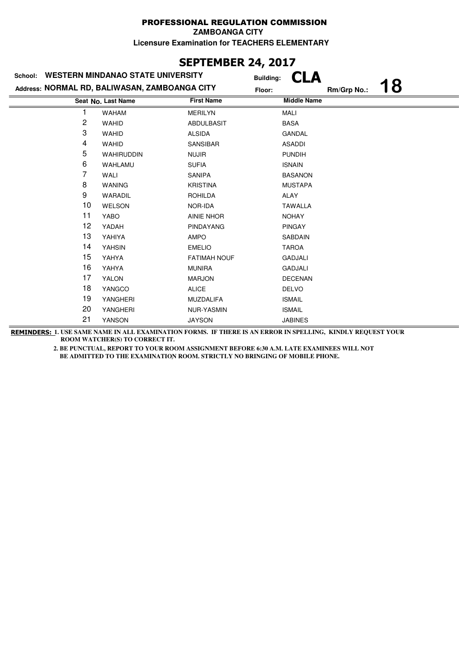**ZAMBOANGA CITY**

**Licensure Examination for TEACHERS ELEMENTARY**

### **SEPTEMBER 24, 2017**

| <b>WESTERN MINDANAO STATE UNIVERSITY</b><br>School: |                                         |                     | <b>Building:</b>   |    |  |
|-----------------------------------------------------|-----------------------------------------|---------------------|--------------------|----|--|
| Address: NORMAL RD, BALIWASAN, ZAMBOANGA CITY       | Floor:                                  |                     | Rm/Grp No.:        | 18 |  |
|                                                     | <b>First Name</b><br>Seat No. Last Name |                     | <b>Middle Name</b> |    |  |
|                                                     | <b>WAHAM</b>                            | <b>MERILYN</b>      | MALI               |    |  |
| 2                                                   | <b>WAHID</b>                            | <b>ABDULBASIT</b>   | <b>BASA</b>        |    |  |
| 3                                                   | <b>WAHID</b>                            | <b>ALSIDA</b>       | <b>GANDAL</b>      |    |  |
| 4                                                   | <b>WAHID</b>                            | SANSIBAR            | <b>ASADDI</b>      |    |  |
| 5                                                   | <b>WAHIRUDDIN</b>                       | <b>NUJIR</b>        | <b>PUNDIH</b>      |    |  |
| 6                                                   | WAHLAMU                                 | <b>SUFIA</b>        | <b>ISNAIN</b>      |    |  |
| 7                                                   | WALI                                    | SANIPA              | <b>BASANON</b>     |    |  |
| 8                                                   | <b>WANING</b>                           | <b>KRISTINA</b>     | <b>MUSTAPA</b>     |    |  |
| 9                                                   | WARADIL                                 | <b>ROHILDA</b>      | ALAY               |    |  |
| 10                                                  | WELSON                                  | NOR-IDA             | <b>TAWALLA</b>     |    |  |
| 11                                                  | YABO                                    | <b>AINIE NHOR</b>   | <b>NOHAY</b>       |    |  |
| 12                                                  | YADAH                                   | <b>PINDAYANG</b>    | <b>PINGAY</b>      |    |  |
| 13                                                  | YAHIYA                                  | <b>AMPO</b>         | SABDAIN            |    |  |
| 14                                                  | <b>YAHSIN</b>                           | <b>EMELIO</b>       | <b>TAROA</b>       |    |  |
| 15                                                  | YAHYA                                   | <b>FATIMAH NOUF</b> | <b>GADJALI</b>     |    |  |
| 16                                                  | YAHYA                                   | <b>MUNIRA</b>       | <b>GADJALI</b>     |    |  |
| 17                                                  | <b>YALON</b>                            | <b>MARJON</b>       | <b>DECENAN</b>     |    |  |
| 18                                                  | YANGCO                                  | <b>ALICE</b>        | <b>DELVO</b>       |    |  |
| 19                                                  | YANGHERI                                | <b>MUZDALIFA</b>    | <b>ISMAIL</b>      |    |  |
| 20                                                  | YANGHERI                                | <b>NUR-YASMIN</b>   | <b>ISMAIL</b>      |    |  |
| 21                                                  | YANSON                                  | <b>JAYSON</b>       | <b>JABINES</b>     |    |  |
|                                                     |                                         |                     |                    |    |  |

**REMINDERS: 1. USE SAME NAME IN ALL EXAMINATION FORMS. IF THERE IS AN ERROR IN SPELLING, KINDLY REQUEST YOUR ROOM WATCHER(S) TO CORRECT IT.**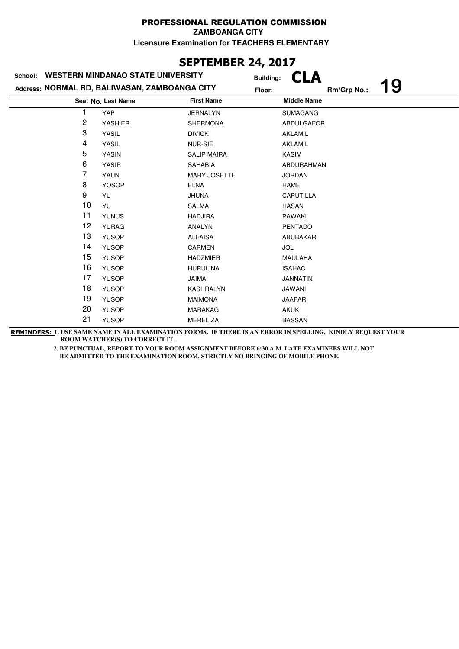**ZAMBOANGA CITY**

**Licensure Examination for TEACHERS ELEMENTARY**

# **SEPTEMBER 24, 2017**

| School:                                       | <b>WESTERN MINDANAO STATE UNIVERSITY</b> | <b>Building:</b>    |                    |    |  |
|-----------------------------------------------|------------------------------------------|---------------------|--------------------|----|--|
| Address: NORMAL RD, BALIWASAN, ZAMBOANGA CITY | Floor:                                   |                     | Rm/Grp No.:        | 19 |  |
| <b>First Name</b><br>Seat No. Last Name       |                                          |                     | <b>Middle Name</b> |    |  |
|                                               | YAP                                      | <b>JERNALYN</b>     | <b>SUMAGANG</b>    |    |  |
| 2                                             | <b>YASHIER</b>                           | <b>SHERMONA</b>     | ABDULGAFOR         |    |  |
| 3                                             | YASIL                                    | <b>DIVICK</b>       | <b>AKLAMIL</b>     |    |  |
| 4                                             | YASIL                                    | <b>NUR-SIE</b>      | <b>AKLAMIL</b>     |    |  |
| 5                                             | <b>YASIN</b>                             | <b>SALIP MAIRA</b>  | <b>KASIM</b>       |    |  |
| 6                                             | <b>YASIR</b>                             | <b>SAHABIA</b>      | ABDURAHMAN         |    |  |
| 7                                             | YAUN                                     | <b>MARY JOSETTE</b> | <b>JORDAN</b>      |    |  |
| 8                                             | <b>YOSOP</b>                             | <b>ELNA</b>         | <b>HAME</b>        |    |  |
| 9                                             | YU                                       | <b>JHUNA</b>        | CAPUTILLA          |    |  |
| 10                                            | YU                                       | SALMA               | <b>HASAN</b>       |    |  |
| 11                                            | <b>YUNUS</b>                             | <b>HADJIRA</b>      | <b>PAWAKI</b>      |    |  |
| 12                                            | <b>YURAG</b>                             | <b>ANALYN</b>       | <b>PENTADO</b>     |    |  |
| 13                                            | <b>YUSOP</b>                             | <b>ALFAISA</b>      | ABUBAKAR           |    |  |
| 14                                            | <b>YUSOP</b>                             | <b>CARMEN</b>       | <b>JOL</b>         |    |  |
| 15                                            | <b>YUSOP</b>                             | <b>HADZMIER</b>     | <b>MAULAHA</b>     |    |  |
| 16                                            | <b>YUSOP</b>                             | <b>HURULINA</b>     | <b>ISAHAC</b>      |    |  |
| 17                                            | <b>YUSOP</b>                             | JAIMA               | <b>JANNATIN</b>    |    |  |
| 18                                            | <b>YUSOP</b>                             | <b>KASHRALYN</b>    | <b>JAWANI</b>      |    |  |
| 19                                            | <b>YUSOP</b>                             | <b>MAIMONA</b>      | <b>JAAFAR</b>      |    |  |
| 20                                            | <b>YUSOP</b>                             | <b>MARAKAG</b>      | <b>AKUK</b>        |    |  |
| 21                                            | <b>YUSOP</b>                             | <b>MERELIZA</b>     | <b>BASSAN</b>      |    |  |

**REMINDERS: 1. USE SAME NAME IN ALL EXAMINATION FORMS. IF THERE IS AN ERROR IN SPELLING, KINDLY REQUEST YOUR ROOM WATCHER(S) TO CORRECT IT.**